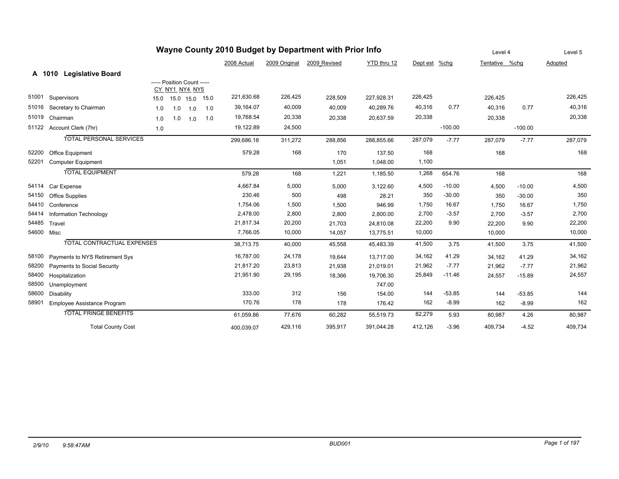| Wayne County 2010 Budget by Department with Prior Info |                                    |      |                            |                |     |             |               |              |             |               | Level 4   |                | Level 5   |         |
|--------------------------------------------------------|------------------------------------|------|----------------------------|----------------|-----|-------------|---------------|--------------|-------------|---------------|-----------|----------------|-----------|---------|
|                                                        |                                    |      |                            |                |     | 2008 Actual | 2009 Original | 2009 Revised | YTD thru 12 | Dept est %chg |           | Tentative %chg |           | Adopted |
|                                                        | <b>Legislative Board</b><br>A 1010 |      |                            |                |     |             |               |              |             |               |           |                |           |         |
|                                                        |                                    |      | ----- Position Count ----- |                |     |             |               |              |             |               |           |                |           |         |
|                                                        |                                    |      | CY NY1 NY4 NY5             |                |     |             |               |              |             |               |           |                |           |         |
| 51001                                                  | Supervisors                        | 15.0 |                            | 15.0 15.0 15.0 |     | 221,630.68  | 226,425       | 228,509      | 227,928.31  | 226,425       |           | 226,425        |           | 226,425 |
| 51016                                                  | Secretary to Chairman              | 1.0  | 1.0                        | 1.0            | 1.0 | 39,164.07   | 40,009        | 40,009       | 40,289.76   | 40,316        | 0.77      | 40.316         | 0.77      | 40,316  |
| 51019                                                  | Chairman                           | 1.0  | 1.0                        | 1.0            | 1.0 | 19,768.54   | 20,338        | 20,338       | 20,637.59   | 20,338        |           | 20,338         |           | 20,338  |
| 51122                                                  | Account Clerk (7hr)                | 1.0  |                            |                |     | 19,122.89   | 24,500        |              |             |               | $-100.00$ |                | $-100.00$ |         |
|                                                        | <b>TOTAL PERSONAL SERVICES</b>     |      |                            |                |     | 299,686.18  | 311,272       | 288,856      | 288,855.66  | 287,079       | $-7.77$   | 287,079        | $-7.77$   | 287,079 |
| 52200                                                  | Office Equipment                   |      |                            |                |     | 579.28      | 168           | 170          | 137.50      | 168           |           | 168            |           | 168     |
| 52201                                                  | <b>Computer Equipment</b>          |      |                            |                |     |             |               | 1,051        | 1,048.00    | 1,100         |           |                |           |         |
|                                                        | <b>TOTAL EQUIPMENT</b>             |      |                            |                |     | 579.28      | 168           | 1,221        | 1,185.50    | 1,268         | 654.76    | 168            |           | 168     |
| 54114                                                  | Car Expense                        |      |                            |                |     | 4,667.84    | 5,000         | 5,000        | 3,122.60    | 4,500         | $-10.00$  | 4,500          | $-10.00$  | 4,500   |
| 54150                                                  | <b>Office Supplies</b>             |      |                            |                |     | 230.46      | 500           | 498          | 28.21       | 350           | $-30.00$  | 350            | $-30.00$  | 350     |
| 54410                                                  | Conference                         |      |                            |                |     | 1,754.06    | 1,500         | 1,500        | 946.99      | 1,750         | 16.67     | 1,750          | 16.67     | 1,750   |
| 54414                                                  | Information Technology             |      |                            |                |     | 2,478.00    | 2,800         | 2,800        | 2,800.00    | 2,700         | $-3.57$   | 2,700          | $-3.57$   | 2,700   |
| 54485                                                  | Travel                             |      |                            |                |     | 21,817.34   | 20,200        | 21,703       | 24,810.08   | 22,200        | 9.90      | 22,200         | 9.90      | 22,200  |
|                                                        | 54600 Misc                         |      |                            |                |     | 7,766.05    | 10,000        | 14,057       | 13,775.51   | 10,000        |           | 10,000         |           | 10,000  |
|                                                        | TOTAL CONTRACTUAL EXPENSES         |      |                            |                |     | 38,713.75   | 40,000        | 45,558       | 45,483.39   | 41,500        | 3.75      | 41,500         | 3.75      | 41,500  |
| 58100                                                  | Payments to NYS Retirement Sys     |      |                            |                |     | 16,787.00   | 24,178        | 19,644       | 13,717.00   | 34,162        | 41.29     | 34,162         | 41.29     | 34,162  |
| 58200                                                  | Payments to Social Security        |      |                            |                |     | 21.817.20   | 23,813        | 21,938       | 21,019.01   | 21,962        | $-7.77$   | 21,962         | $-7.77$   | 21,962  |
| 58400                                                  | Hospitalization                    |      |                            |                |     | 21,951.90   | 29,195        | 18,366       | 19,706.30   | 25,849        | $-11.46$  | 24,557         | $-15.89$  | 24,557  |
| 58500                                                  | Unemployment                       |      |                            |                |     |             |               |              | 747.00      |               |           |                |           |         |
| 58600                                                  | <b>Disability</b>                  |      |                            |                |     | 333.00      | 312           | 156          | 154.00      | 144           | $-53.85$  | 144            | $-53.85$  | 144     |
| 58901                                                  | Employee Assistance Program        |      |                            |                |     | 170.76      | 178           | 178          | 176.42      | 162           | $-8.99$   | 162            | $-8.99$   | 162     |
|                                                        | <b>TOTAL FRINGE BENEFITS</b>       |      |                            |                |     | 61,059.86   | 77,676        | 60,282       | 55,519.73   | 82,279        | 5.93      | 80,987         | 4.26      | 80,987  |
|                                                        | <b>Total County Cost</b>           |      |                            |                |     | 400,039.07  | 429,116       | 395,917      | 391,044.28  | 412,126       | $-3.96$   | 409,734        | $-4.52$   | 409,734 |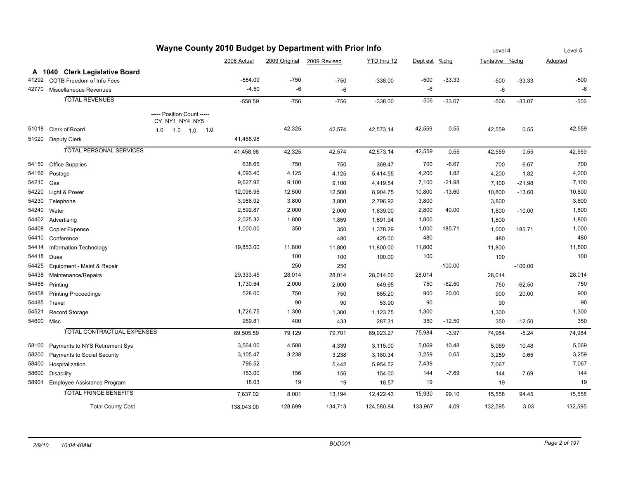| Wayne County 2010 Budget by Department with Prior Info |                                   |                            |             |               |              |             |               |           |                | Level 4   |         |
|--------------------------------------------------------|-----------------------------------|----------------------------|-------------|---------------|--------------|-------------|---------------|-----------|----------------|-----------|---------|
|                                                        |                                   |                            | 2008 Actual | 2009 Original | 2009 Revised | YTD thru 12 | Dept est %chg |           | Tentative %chg |           | Adopted |
|                                                        | A 1040 Clerk Legislative Board    |                            |             |               |              |             |               |           |                |           |         |
| 41292                                                  | COTB Freedom of Info Fees         |                            | -554.09     | $-750$        | $-750$       | $-338.00$   | $-500$        | $-33.33$  | $-500$         | $-33.33$  | $-500$  |
| 42770                                                  | Miscellaneous Revenues            |                            | $-4.50$     | -6            | -6           |             | $-6$          |           | $-6$           |           | $-6$    |
|                                                        | <b>TOTAL REVENUES</b>             |                            | $-558.59$   | $-756$        | $-756$       | $-338.00$   | $-506$        | $-33.07$  | $-506$         | $-33.07$  | $-506$  |
|                                                        |                                   | ----- Position Count ----- |             |               |              |             |               |           |                |           |         |
|                                                        |                                   | CY NY1 NY4 NY5             |             |               |              |             |               |           |                |           |         |
|                                                        | 51018 Clerk of Board              | 1.0<br>1.0<br>1.0<br>1.0   |             | 42,325        | 42,574       | 42,573.14   | 42,559        | 0.55      | 42,559         | 0.55      | 42,559  |
| 51020                                                  | Deputy Clerk                      |                            | 41,458.98   |               |              |             |               |           |                |           |         |
|                                                        | <b>TOTAL PERSONAL SERVICES</b>    |                            | 41,458.98   | 42,325        | 42,574       | 42,573.14   | 42,559        | 0.55      | 42,559         | 0.55      | 42,559  |
| 54150                                                  | <b>Office Supplies</b>            |                            | 638.65      | 750           | 750          | 369.47      | 700           | $-6.67$   | 700            | $-6.67$   | 700     |
| 54166                                                  | Postage                           |                            | 4,093.40    | 4,125         | 4,125        | 5,414.55    | 4,200         | 1.82      | 4,200          | 1.82      | 4,200   |
| 54210                                                  | Gas                               |                            | 9,627.92    | 9,100         | 9,100        | 4,419.54    | 7,100         | $-21.98$  | 7,100          | $-21.98$  | 7,100   |
| 54220                                                  | Light & Power                     |                            | 12,098.96   | 12,500        | 12,500       | 8,904.75    | 10,800        | $-13.60$  | 10,800         | $-13.60$  | 10,800  |
| 54230                                                  | Telephone                         |                            | 3,986.92    | 3,800         | 3,800        | 2,796.92    | 3,800         |           | 3,800          |           | 3,800   |
| 54240                                                  | Water                             |                            | 2,592.87    | 2,000         | 2,000        | 1,639.00    | 2,800         | 40.00     | 1,800          | $-10.00$  | 1,800   |
| 54402                                                  | Advertising                       |                            | 2,025.32    | 1,800         | 1,859        | 1,691.94    | 1,800         |           | 1,800          |           | 1,800   |
| 54408                                                  | Copier Expense                    |                            | 1,000.00    | 350           | 350          | 1,378.29    | 1,000         | 185.71    | 1,000          | 185.71    | 1,000   |
| 54410                                                  | Conference                        |                            |             |               | 480          | 425.00      | 480           |           | 480            |           | 480     |
| 54414                                                  | Information Technology            |                            | 19,853.00   | 11,800        | 11,800       | 11,800.00   | 11,800        |           | 11,800         |           | 11,800  |
| 54418                                                  | Dues                              |                            |             | 100           | 100          | 100.00      | 100           |           | 100            |           | 100     |
| 54425                                                  | Equipment - Maint & Repair        |                            |             | 250           | 250          |             |               | $-100.00$ |                | $-100.00$ |         |
| 54438                                                  | Maintenance/Repairs               |                            | 29,333.45   | 28,014        | 28,014       | 28,014.00   | 28,014        |           | 28,014         |           | 28,014  |
| 54456                                                  | Printing                          |                            | 1,730.54    | 2,000         | 2,000        | 649.65      | 750           | $-62.50$  | 750            | $-62.50$  | 750     |
| 54458                                                  | <b>Printing Proceedings</b>       |                            | 528.00      | 750           | 750          | 855.20      | 900           | 20.00     | 900            | 20.00     | 900     |
| 54485                                                  | Travel                            |                            |             | 90            | 90           | 53.90       | 90            |           | 90             |           | 90      |
| 54521                                                  | Record Storage                    |                            | 1,726.75    | 1,300         | 1,300        | 1,123.75    | 1,300         |           | 1,300          |           | 1,300   |
| 54600 Misc                                             |                                   |                            | 269.81      | 400           | 433          | 287.31      | 350           | $-12.50$  | 350            | $-12.50$  | 350     |
|                                                        | <b>TOTAL CONTRACTUAL EXPENSES</b> |                            | 89,505.59   | 79,129        | 79,701       | 69,923.27   | 75,984        | $-3.97$   | 74,984         | $-5.24$   | 74,984  |
| 58100                                                  | Payments to NYS Retirement Sys    |                            | 3,564.00    | 4,588         | 4,339        | 3,115.00    | 5,069         | 10.48     | 5,069          | 10.48     | 5,069   |
| 58200                                                  | Payments to Social Security       |                            | 3,105.47    | 3,238         | 3,238        | 3,180.34    | 3,259         | 0.65      | 3,259          | 0.65      | 3,259   |
| 58400                                                  | Hospitalization                   |                            | 796.52      |               | 5,442        | 5,954.52    | 7,439         |           | 7,067          |           | 7,067   |
| 58600                                                  | <b>Disability</b>                 |                            | 153.00      | 156           | 156          | 154.00      | 144           | $-7.69$   | 144            | $-7.69$   | 144     |
| 58901                                                  | Employee Assistance Program       |                            | 18.03       | 19            | 19           | 18.57       | 19            |           | 19             |           | 19      |
|                                                        | <b>TOTAL FRINGE BENEFITS</b>      |                            | 7,637.02    | 8,001         |              | 12,422.43   | 15,930        | 99.10     | 15,558         | 94.45     | 15,558  |
|                                                        |                                   |                            |             |               | 13,194       |             |               |           |                |           |         |
|                                                        | <b>Total County Cost</b>          |                            | 138.043.00  | 128,699       | 134,713      | 124,580.84  | 133,967       | 4.09      | 132,595        | 3.03      | 132,595 |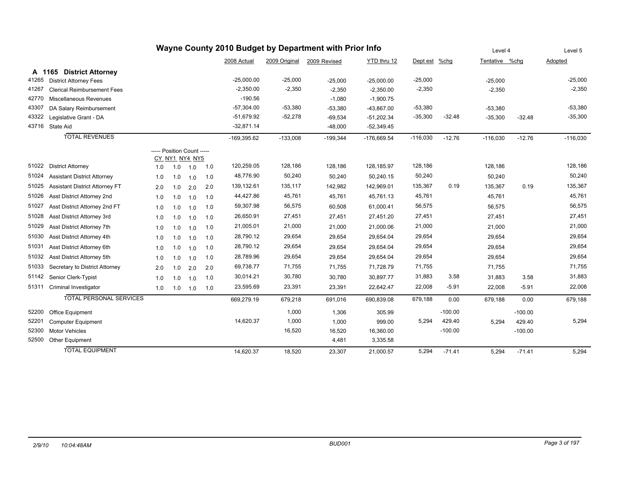| Wayne County 2010 Budget by Department with Prior Info |                                    |                            |                |     |     |               |               |              |               |               | Level 4   |                | Level 5   |            |
|--------------------------------------------------------|------------------------------------|----------------------------|----------------|-----|-----|---------------|---------------|--------------|---------------|---------------|-----------|----------------|-----------|------------|
|                                                        |                                    |                            |                |     |     | 2008 Actual   | 2009 Original | 2009 Revised | YTD thru 12   | Dept est %chg |           | Tentative %chq |           | Adopted    |
| A 1165                                                 | <b>District Attorney</b>           |                            |                |     |     |               |               |              |               |               |           |                |           |            |
| 41265                                                  | <b>District Attorney Fees</b>      |                            |                |     |     | $-25,000.00$  | $-25,000$     | $-25,000$    | $-25,000.00$  | $-25,000$     |           | $-25,000$      |           | $-25,000$  |
| 41267                                                  | <b>Clerical Reimbursement Fees</b> |                            |                |     |     | $-2,350.00$   | $-2,350$      | $-2,350$     | $-2,350.00$   | $-2,350$      |           | $-2,350$       |           | $-2,350$   |
| 42770                                                  | Miscellaneous Revenues             |                            |                |     |     | $-190.56$     |               | $-1,080$     | $-1,900.75$   |               |           |                |           |            |
| 43307                                                  | DA Salary Reimbursement            |                            |                |     |     | $-57.304.00$  | $-53,380$     | $-53,380$    | $-43,867.00$  | $-53,380$     |           | $-53,380$      |           | $-53,380$  |
| 43322                                                  | Legislative Grant - DA             |                            |                |     |     | $-51,679.92$  | $-52,278$     | $-69,534$    | $-51,202.34$  | $-35,300$     | $-32.48$  | $-35,300$      | $-32.48$  | $-35,300$  |
|                                                        | 43716 State Aid                    |                            |                |     |     | $-32,871.14$  |               | $-48,000$    | $-52,349.45$  |               |           |                |           |            |
|                                                        | <b>TOTAL REVENUES</b>              |                            |                |     |     | $-169,395.62$ | $-133,008$    | $-199,344$   | $-176.669.54$ | $-116,030$    | $-12.76$  | $-116,030$     | $-12.76$  | $-116,030$ |
|                                                        |                                    | ----- Position Count ----- | CY_NY1_NY4_NY5 |     |     |               |               |              |               |               |           |                |           |            |
| 51022                                                  | <b>District Attorney</b>           | 1.0                        | 1.0            | 1.0 | 1.0 | 120,259.05    | 128,186       | 128,186      | 128,185.97    | 128,186       |           | 128,186        |           | 128,186    |
| 51024                                                  | <b>Assistant District Attorney</b> | 1.0                        | 1.0            | 1.0 | 1.0 | 48,776.90     | 50,240        | 50,240       | 50,240.15     | 50,240        |           | 50,240         |           | 50,240     |
| 51025                                                  | Assistant District Attorney FT     | 2.0                        | 1.0            | 2.0 | 2.0 | 139,132.61    | 135,117       | 142,982      | 142,969.01    | 135,367       | 0.19      | 135,367        | 0.19      | 135,367    |
| 51026                                                  | Asst District Attorney 2nd         | 1.0                        | 1.0            | 1.0 | 1.0 | 44,427.86     | 45,761        | 45,761       | 45,761.13     | 45,761        |           | 45,761         |           | 45,761     |
| 51027                                                  | Asst District Attorney 2nd FT      | 1.0                        | 1.0            | 1.0 | 1.0 | 59,307.98     | 56,575        | 60,508       | 61,000.41     | 56,575        |           | 56,575         |           | 56,575     |
| 51028                                                  | Asst District Attorney 3rd         | 1.0                        | 1.0            | 1.0 | 1.0 | 26,650.91     | 27,451        | 27,451       | 27,451.20     | 27,451        |           | 27,451         |           | 27,451     |
| 51029                                                  | Asst District Attorney 7th         | 1.0                        | 1.0            | 1.0 | 1.0 | 21,005.01     | 21,000        | 21,000       | 21,000.06     | 21,000        |           | 21,000         |           | 21,000     |
| 51030                                                  | Asst District Attorney 4th         | 1.0                        | 1.0            | 1.0 | 1.0 | 28,790.12     | 29,654        | 29,654       | 29,654.04     | 29,654        |           | 29,654         |           | 29,654     |
| 51031                                                  | Asst District Attorney 6th         | 1.0                        | 1.0            | 1.0 | 1.0 | 28,790.12     | 29,654        | 29,654       | 29,654.04     | 29,654        |           | 29,654         |           | 29,654     |
| 51032                                                  | Asst District Attorney 5th         | 1.0                        | 1.0            | 1.0 | 1.0 | 28,789.96     | 29,654        | 29,654       | 29,654.04     | 29,654        |           | 29,654         |           | 29,654     |
| 51033                                                  | Secretary to District Attorney     | 2.0                        | 1.0            | 2.0 | 2.0 | 69,738.77     | 71,755        | 71,755       | 71,728.79     | 71,755        |           | 71,755         |           | 71,755     |
| 51142                                                  | Senior Clerk-Typist                | 1.0                        | 1.0            | 1.0 | 1.0 | 30,014.21     | 30,780        | 30,780       | 30,897.77     | 31,883        | 3.58      | 31,883         | 3.58      | 31,883     |
| 51311                                                  | <b>Criminal Investigator</b>       | 1.0                        | 1.0            | 1.0 | 1.0 | 23,595.69     | 23,391        | 23,391       | 22,642.47     | 22,008        | $-5.91$   | 22,008         | $-5.91$   | 22,008     |
|                                                        | <b>TOTAL PERSONAL SERVICES</b>     |                            |                |     |     | 669,279.19    | 679,218       | 691,016      | 690,839.08    | 679,188       | 0.00      | 679,188        | 0.00      | 679,188    |
| 52200                                                  | Office Equipment                   |                            |                |     |     |               | 1,000         | 1,306        | 305.99        |               | $-100.00$ |                | $-100.00$ |            |
| 52201                                                  | <b>Computer Equipment</b>          |                            |                |     |     | 14,620.37     | 1,000         | 1,000        | 999.00        | 5,294         | 429.40    | 5,294          | 429.40    | 5,294      |
| 52300                                                  | <b>Motor Vehicles</b>              |                            |                |     |     |               | 16,520        | 16,520       | 16,360.00     |               | $-100.00$ |                | $-100.00$ |            |
| 52500                                                  | Other Equipment                    |                            |                |     |     |               |               | 4,481        | 3,335.58      |               |           |                |           |            |
|                                                        | <b>TOTAL EQUIPMENT</b>             |                            |                |     |     | 14,620.37     | 18,520        | 23,307       | 21,000.57     | 5,294         | $-71.41$  | 5,294          | $-71.41$  | 5,294      |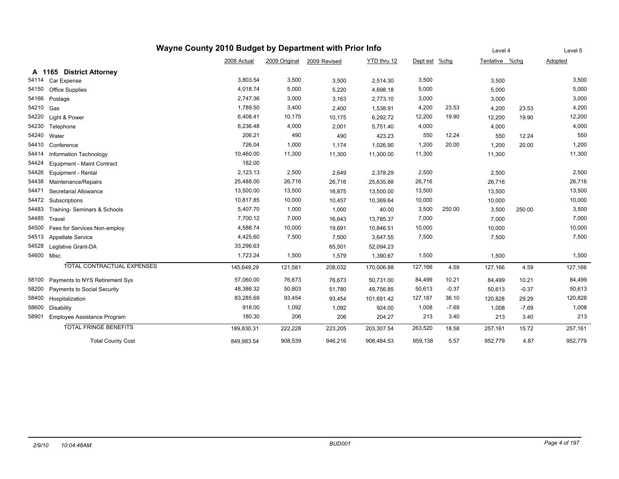|            | Wayne County 2010 Budget by Department with Prior Info |             | Level 4       |              | Level 5     |          |         |                |         |         |
|------------|--------------------------------------------------------|-------------|---------------|--------------|-------------|----------|---------|----------------|---------|---------|
|            |                                                        | 2008 Actual | 2009 Original | 2009 Revised | YTD thru 12 | Dept est | $%$ chg | Tentative %chg |         | Adopted |
|            | A 1165 District Attorney                               |             |               |              |             |          |         |                |         |         |
| 54114      | Car Expense                                            | 3,803.54    | 3,500         | 3,500        | 2,514.30    | 3,500    |         | 3,500          |         | 3,500   |
| 54150      | Office Supplies                                        | 4,018.74    | 5,000         | 5,220        | 4,698.18    | 5,000    |         | 5,000          |         | 5,000   |
| 54166      | Postage                                                | 2,747.36    | 3,000         | 3,163        | 2,773.10    | 3,000    |         | 3,000          |         | 3,000   |
| 54210      | Gas                                                    | 1,789.50    | 3,400         | 2,400        | 1,538.91    | 4,200    | 23.53   | 4,200          | 23.53   | 4,200   |
| 54220      | Light & Power                                          | 6,408.41    | 10,175        | 10,175       | 6,292.72    | 12,200   | 19.90   | 12,200         | 19.90   | 12,200  |
| 54230      | Telephone                                              | 6,236.48    | 4,000         | 2,001        | 5,751.40    | 4,000    |         | 4,000          |         | 4,000   |
| 54240      | Water                                                  | 206.21      | 490           | 490          | 423.23      | 550      | 12.24   | 550            | 12.24   | 550     |
| 54410      | Conference                                             | 726.04      | 1,000         | 1,174        | 1,026.90    | 1,200    | 20.00   | 1,200          | 20.00   | 1,200   |
| 54414      | Information Technology                                 | 10,460.00   | 11,300        | 11,300       | 11,300.00   | 11,300   |         | 11,300         |         | 11,300  |
| 54424      | Equipment - Maint Contract                             | 182.00      |               |              |             |          |         |                |         |         |
| 54426      | Equipment - Rental                                     | 2,123.13    | 2,500         | 2,649        | 2,378.29    | 2,500    |         | 2,500          |         | 2,500   |
| 54438      | Maintenance/Repairs                                    | 25,488.00   | 26,716        | 26,716       | 25,635.88   | 26,716   |         | 26,716         |         | 26,716  |
| 54471      | Secretarial Allowance                                  | 13,500.00   | 13,500        | 16,875       | 13,500.00   | 13,500   |         | 13,500         |         | 13,500  |
| 54472      | Subscriptions                                          | 10,817.85   | 10,000        | 10,457       | 10,369.64   | 10,000   |         | 10,000         |         | 10,000  |
| 54483      | Training- Seminars & Schools                           | 5,407.70    | 1,000         | 1,000        | 40.00       | 3,500    | 250.00  | 3,500          | 250.00  | 3,500   |
| 54485      | Travel                                                 | 7,700.12    | 7,000         | 16,643       | 13,785.37   | 7,000    |         | 7,000          |         | 7,000   |
| 54500      | Fees for Services Non-employ                           | 4,588.74    | 10,000        | 19,691       | 10,846.51   | 10,000   |         | 10,000         |         | 10,000  |
| 54513      | <b>Appellate Service</b>                               | 4,425.60    | 7,500         | 7,500        | 3,647.55    | 7,500    |         | 7,500          |         | 7,500   |
| 54528      | Leglative Grant-DA                                     | 33,296.63   |               | 65,501       | 52,094.23   |          |         |                |         |         |
| 54600 Misc |                                                        | 1,723.24    | 1,500         | 1,579        | 1,390.67    | 1,500    |         | 1,500          |         | 1,500   |
|            | <b>TOTAL CONTRACTUAL EXPENSES</b>                      | 145,649.29  | 121,581       | 208,032      | 170,006.88  | 127,166  | 4.59    | 127,166        | 4.59    | 127,166 |
| 58100      | Payments to NYS Retirement Sys                         | 57,060.00   | 76,673        | 76,673       | 50,731.00   | 84,499   | 10.21   | 84,499         | 10.21   | 84,499  |
| 58200      | Payments to Social Security                            | 48,386.32   | 50,803        | 51,780       | 49,756.85   | 50,613   | $-0.37$ | 50,613         | $-0.37$ | 50,613  |
| 58400      | Hospitalization                                        | 83,285.69   | 93,454        | 93,454       | 101,691.42  | 127,187  | 36.10   | 120,828        | 29.29   | 120,828 |
| 58600      | Disability                                             | 918.00      | 1,092         | 1,092        | 924.00      | 1,008    | $-7.69$ | 1,008          | $-7.69$ | 1,008   |
| 58901      | Employee Assistance Program                            | 180.30      | 206           | 206          | 204.27      | 213      | 3.40    | 213            | 3.40    | 213     |
|            | <b>TOTAL FRINGE BENEFITS</b>                           | 189,830.31  | 222,228       | 223,205      | 203,307.54  | 263,520  | 18.58   | 257.161        | 15.72   | 257,161 |
|            | <b>Total County Cost</b>                               | 849,983.54  | 908,539       | 946,216      | 908,484.53  | 959,138  | 5.57    | 952,779        | 4.87    | 952,779 |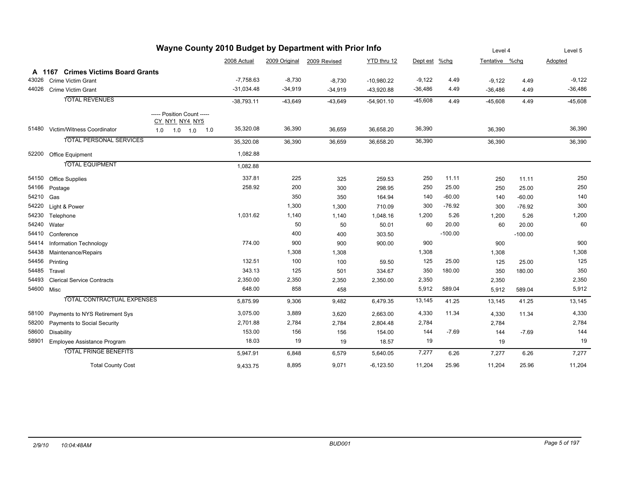| Wayne County 2010 Budget by Department with Prior Info |                                    |                                              |              |           |                            |              |               |           |                | Level 4   |           |
|--------------------------------------------------------|------------------------------------|----------------------------------------------|--------------|-----------|----------------------------|--------------|---------------|-----------|----------------|-----------|-----------|
|                                                        |                                    |                                              | 2008 Actual  |           | 2009 Original 2009 Revised | YTD thru 12  | Dept est %chg |           | Tentative %chg |           | Adopted   |
|                                                        | A 1167 Crimes Victims Board Grants |                                              |              |           |                            |              |               |           |                |           |           |
| 43026                                                  | <b>Crime Victim Grant</b>          |                                              | $-7,758.63$  | $-8,730$  | $-8,730$                   | $-10,980.22$ | $-9,122$      | 4.49      | $-9,122$       | 4.49      | $-9,122$  |
| 44026                                                  | Crime Victim Grant                 |                                              | $-31,034.48$ | $-34,919$ | $-34,919$                  | $-43,920.88$ | $-36,486$     | 4.49      | $-36,486$      | 4.49      | $-36,486$ |
|                                                        | <b>TOTAL REVENUES</b>              |                                              | $-38,793.11$ | $-43,649$ | $-43,649$                  | $-54,901.10$ | $-45,608$     | 4.49      | $-45,608$      | 4.49      | $-45,608$ |
|                                                        |                                    | ----- Position Count -----<br>CY_NY1_NY4_NY5 |              |           |                            |              |               |           |                |           |           |
|                                                        | 51480 Victim/Witness Coordinator   | $1.0$ $1.0$<br>1.0<br>1.0                    | 35,320.08    | 36,390    | 36,659                     | 36,658.20    | 36,390        |           | 36,390         |           | 36,390    |
|                                                        | <b>TOTAL PERSONAL SERVICES</b>     |                                              | 35,320.08    | 36,390    | 36,659                     | 36,658.20    | 36,390        |           | 36,390         |           | 36,390    |
| 52200                                                  | Office Equipment                   |                                              | 1,082.88     |           |                            |              |               |           |                |           |           |
|                                                        | <b>TOTAL EQUIPMENT</b>             |                                              | 1,082.88     |           |                            |              |               |           |                |           |           |
| 54150                                                  | <b>Office Supplies</b>             |                                              | 337.81       | 225       | 325                        | 259.53       | 250           | 11.11     | 250            | 11.11     | 250       |
| 54166                                                  | Postage                            |                                              | 258.92       | 200       | 300                        | 298.95       | 250           | 25.00     | 250            | 25.00     | 250       |
| 54210                                                  | Gas                                |                                              |              | 350       | 350                        | 164.94       | 140           | $-60.00$  | 140            | $-60.00$  | 140       |
| 54220                                                  | Light & Power                      |                                              |              | 1,300     | 1,300                      | 710.09       | 300           | $-76.92$  | 300            | $-76.92$  | 300       |
| 54230                                                  | Telephone                          |                                              | 1,031.62     | 1,140     | 1,140                      | 1,048.16     | 1,200         | 5.26      | 1,200          | 5.26      | 1,200     |
| 54240                                                  | Water                              |                                              |              | 50        | 50                         | 50.01        | 60            | 20.00     | 60             | 20.00     | 60        |
| 54410                                                  | Conference                         |                                              |              | 400       | 400                        | 303.50       |               | $-100.00$ |                | $-100.00$ |           |
| 54414                                                  | Information Technology             |                                              | 774.00       | 900       | 900                        | 900.00       | 900           |           | 900            |           | 900       |
| 54438                                                  | Maintenance/Repairs                |                                              |              | 1,308     | 1,308                      |              | 1,308         |           | 1,308          |           | 1,308     |
| 54456                                                  | Printing                           |                                              | 132.51       | 100       | 100                        | 59.50        | 125           | 25.00     | 125            | 25.00     | 125       |
| 54485                                                  | Travel                             |                                              | 343.13       | 125       | 501                        | 334.67       | 350           | 180.00    | 350            | 180.00    | 350       |
| 54493                                                  | <b>Clerical Service Contracts</b>  |                                              | 2,350.00     | 2,350     | 2,350                      | 2,350.00     | 2,350         |           | 2,350          |           | 2,350     |
| 54600 Misc                                             |                                    |                                              | 648.00       | 858       | 458                        |              | 5,912         | 589.04    | 5,912          | 589.04    | 5,912     |
|                                                        | TOTAL CONTRACTUAL EXPENSES         |                                              | 5,875.99     | 9,306     | 9,482                      | 6,479.35     | 13,145        | 41.25     | 13,145         | 41.25     | 13,145    |
| 58100                                                  | Payments to NYS Retirement Sys     |                                              | 3,075.00     | 3,889     | 3,620                      | 2,663.00     | 4,330         | 11.34     | 4,330          | 11.34     | 4,330     |
| 58200                                                  | Payments to Social Security        |                                              | 2,701.88     | 2,784     | 2,784                      | 2,804.48     | 2,784         |           | 2,784          |           | 2,784     |
| 58600                                                  | <b>Disability</b>                  |                                              | 153.00       | 156       | 156                        | 154.00       | 144           | $-7.69$   | 144            | $-7.69$   | 144       |
| 58901                                                  | Employee Assistance Program        |                                              | 18.03        | 19        | 19                         | 18.57        | 19            |           | 19             |           | 19        |
|                                                        | <b>TOTAL FRINGE BENEFITS</b>       |                                              | 5,947.91     | 6,848     | 6,579                      | 5,640.05     | 7,277         | 6.26      | 7,277          | 6.26      | 7,277     |
|                                                        | <b>Total County Cost</b>           |                                              | 9,433.75     | 8,895     | 9,071                      | $-6,123.50$  | 11,204        | 25.96     | 11,204         | 25.96     | 11,204    |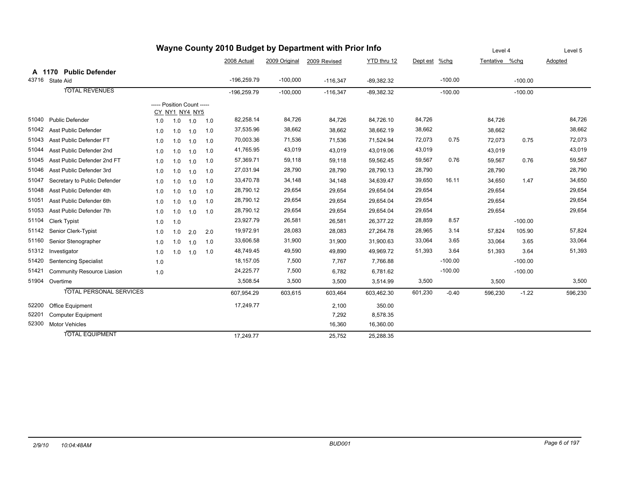|       |                                |                            |     |                |     |               |               | wayne County 2010 Budget by Department with Prior info |              |               |           | Level 4        |           | Level 5 |
|-------|--------------------------------|----------------------------|-----|----------------|-----|---------------|---------------|--------------------------------------------------------|--------------|---------------|-----------|----------------|-----------|---------|
|       |                                |                            |     |                |     | 2008 Actual   | 2009 Original | 2009 Revised                                           | YTD thru 12  | Dept est %chg |           | Tentative %chg |           | Adopted |
|       | A 1170 Public Defender         |                            |     |                |     |               |               |                                                        |              |               |           |                |           |         |
|       | 43716 State Aid                |                            |     |                |     | $-196,259.79$ | $-100,000$    | $-116,347$                                             | $-89,382.32$ |               | $-100.00$ |                | $-100.00$ |         |
|       | <b>TOTAL REVENUES</b>          |                            |     |                |     | $-196,259.79$ | $-100.000$    | $-116,347$                                             | $-89,382.32$ |               | $-100.00$ |                | $-100.00$ |         |
|       |                                | ----- Position Count ----- |     | CY NY1 NY4 NY5 |     |               |               |                                                        |              |               |           |                |           |         |
| 51040 | <b>Public Defender</b>         | 1.0                        | 1.0 | 1.0            | 1.0 | 82,258.14     | 84,726        | 84,726                                                 | 84,726.10    | 84,726        |           | 84,726         |           | 84,726  |
| 51042 | <b>Asst Public Defender</b>    | 1.0                        | 1.0 | 1.0            | 1.0 | 37,535.96     | 38,662        | 38,662                                                 | 38,662.19    | 38,662        |           | 38,662         |           | 38,662  |
| 51043 | Asst Public Defender FT        | 1.0                        | 1.0 | 1.0            | 1.0 | 70,003.36     | 71,536        | 71,536                                                 | 71,524.94    | 72,073        | 0.75      | 72,073         | 0.75      | 72,073  |
| 51044 | Asst Public Defender 2nd       | 1.0                        | 1.0 | 1.0            | 1.0 | 41,765.95     | 43,019        | 43,019                                                 | 43,019.06    | 43,019        |           | 43,019         |           | 43,019  |
| 51045 | Asst Public Defender 2nd FT    | 1.0                        | 1.0 | 1.0            | 1.0 | 57,369.71     | 59,118        | 59,118                                                 | 59,562.45    | 59,567        | 0.76      | 59,567         | 0.76      | 59,567  |
| 51046 | Asst Public Defender 3rd       | 1.0                        | 1.0 | 1.0            | 1.0 | 27,031.94     | 28,790        | 28,790                                                 | 28,790.13    | 28,790        |           | 28,790         |           | 28,790  |
| 51047 | Secretary to Public Defender   | 1.0                        | 1.0 | 1.0            | 1.0 | 33,470.78     | 34,148        | 34,148                                                 | 34,639.47    | 39,650        | 16.11     | 34.650         | 1.47      | 34,650  |
| 51048 | Asst Public Defender 4th       | 1.0                        | 1.0 | 1.0            | 1.0 | 28,790.12     | 29,654        | 29,654                                                 | 29,654.04    | 29,654        |           | 29,654         |           | 29,654  |
| 51051 | Asst Public Defender 6th       | 1.0                        | 1.0 | 1.0            | 1.0 | 28,790.12     | 29,654        | 29,654                                                 | 29,654.04    | 29,654        |           | 29,654         |           | 29,654  |
| 51053 | Asst Public Defender 7th       | 1.0                        | 1.0 | 1.0            | 1.0 | 28,790.12     | 29,654        | 29,654                                                 | 29,654.04    | 29,654        |           | 29,654         |           | 29,654  |
| 51104 | <b>Clerk Typist</b>            | 1.0                        | 1.0 |                |     | 23,927.79     | 26,581        | 26,581                                                 | 26,377.22    | 28,859        | 8.57      |                | $-100.00$ |         |
| 51142 | Senior Clerk-Typist            | 1.0                        | 1.0 | 2.0            | 2.0 | 19,972.91     | 28,083        | 28,083                                                 | 27,264.78    | 28,965        | 3.14      | 57,824         | 105.90    | 57,824  |
| 51160 | Senior Stenographer            | 1.0                        | 1.0 | 1.0            | 1.0 | 33,606.58     | 31,900        | 31,900                                                 | 31,900.63    | 33,064        | 3.65      | 33,064         | 3.65      | 33,064  |
| 51312 | Investigator                   | 1.0                        | 1.0 | 1.0            | 1.0 | 48,749.45     | 49,590        | 49,890                                                 | 49,969.72    | 51,393        | 3.64      | 51,393         | 3.64      | 51,393  |
| 51420 | <b>Sentencing Specialist</b>   | 1.0                        |     |                |     | 18,157.05     | 7,500         | 7,767                                                  | 7,766.88     |               | $-100.00$ |                | $-100.00$ |         |
| 51421 | Community Resource Liasion     | 1.0                        |     |                |     | 24,225.77     | 7,500         | 6,782                                                  | 6,781.62     |               | $-100.00$ |                | $-100.00$ |         |
|       | 51904 Overtime                 |                            |     |                |     | 3,508.54      | 3,500         | 3,500                                                  | 3,514.99     | 3,500         |           | 3,500          |           | 3,500   |
|       | <b>TOTAL PERSONAL SERVICES</b> |                            |     |                |     | 607,954.29    | 603,615       | 603,464                                                | 603,462.30   | 601,230       | $-0.40$   | 596,230        | $-1.22$   | 596,230 |
| 52200 | Office Equipment               |                            |     |                |     | 17,249.77     |               | 2,100                                                  | 350.00       |               |           |                |           |         |
| 52201 | <b>Computer Equipment</b>      |                            |     |                |     |               |               | 7,292                                                  | 8,578.35     |               |           |                |           |         |
| 52300 | <b>Motor Vehicles</b>          |                            |     |                |     |               |               | 16,360                                                 | 16,360.00    |               |           |                |           |         |
|       | <b>TOTAL EQUIPMENT</b>         |                            |     |                |     | 17,249.77     |               | 25,752                                                 | 25,288.35    |               |           |                |           |         |

## **Wayne County 2010 Budget by Department with Prior Info**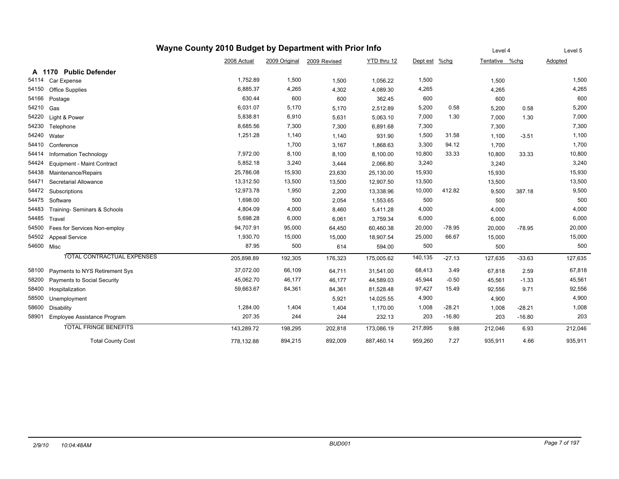|            | Wayne County 2010 Budget by Department with Prior Info |             | Level 4       |              | Level 5     |          |          |                |          |         |
|------------|--------------------------------------------------------|-------------|---------------|--------------|-------------|----------|----------|----------------|----------|---------|
|            |                                                        | 2008 Actual | 2009 Original | 2009 Revised | YTD thru 12 | Dept est | $%$ chg  | Tentative %chg |          | Adopted |
|            | A 1170 Public Defender                                 |             |               |              |             |          |          |                |          |         |
| 54114      | Car Expense                                            | 1,752.89    | 1,500         | 1,500        | 1,056.22    | 1,500    |          | 1,500          |          | 1,500   |
| 54150      | Office Supplies                                        | 6,885.37    | 4,265         | 4,302        | 4,089.30    | 4,265    |          | 4,265          |          | 4,265   |
| 54166      | Postage                                                | 630.44      | 600           | 600          | 362.45      | 600      |          | 600            |          | 600     |
| 54210      | Gas                                                    | 6,031.07    | 5,170         | 5,170        | 2,512.89    | 5,200    | 0.58     | 5,200          | 0.58     | 5,200   |
| 54220      | Light & Power                                          | 5,838.81    | 6,910         | 5,631        | 5,063.10    | 7,000    | 1.30     | 7,000          | 1.30     | 7,000   |
| 54230      | Telephone                                              | 8,685.56    | 7,300         | 7,300        | 6,891.68    | 7,300    |          | 7,300          |          | 7,300   |
| 54240      | Water                                                  | 1,251.28    | 1,140         | 1,140        | 931.90      | 1,500    | 31.58    | 1,100          | $-3.51$  | 1,100   |
| 54410      | Conference                                             |             | 1,700         | 3,167        | 1,868.63    | 3,300    | 94.12    | 1,700          |          | 1,700   |
| 54414      | Information Technology                                 | 7,972.00    | 8,100         | 8,100        | 8,100.00    | 10,800   | 33.33    | 10,800         | 33.33    | 10,800  |
| 54424      | Equipment - Maint Contract                             | 5,852.18    | 3,240         | 3,444        | 2,066.80    | 3,240    |          | 3,240          |          | 3,240   |
| 54438      | Maintenance/Repairs                                    | 25,786.08   | 15,930        | 23,630       | 25,130.00   | 15,930   |          | 15,930         |          | 15,930  |
| 54471      | Secretarial Allowance                                  | 13,312.50   | 13,500        | 13,500       | 12,907.50   | 13,500   |          | 13,500         |          | 13,500  |
| 54472      | Subscriptions                                          | 12,973.78   | 1,950         | 2,200        | 13,338.96   | 10,000   | 412.82   | 9,500          | 387.18   | 9,500   |
| 54475      | Software                                               | 1,698.00    | 500           | 2,054        | 1,553.65    | 500      |          | 500            |          | 500     |
| 54483      | Training- Seminars & Schools                           | 4,804.09    | 4,000         | 8,460        | 5,411.28    | 4,000    |          | 4,000          |          | 4,000   |
| 54485      | Travel                                                 | 5,698.28    | 6,000         | 6,061        | 3,759.34    | 6,000    |          | 6,000          |          | 6,000   |
| 54500      | Fees for Services Non-employ                           | 94,707.91   | 95,000        | 64,450       | 60,460.38   | 20,000   | $-78.95$ | 20,000         | $-78.95$ | 20,000  |
| 54502      | <b>Appeal Service</b>                                  | 1,930.70    | 15,000        | 15,000       | 18,907.54   | 25,000   | 66.67    | 15,000         |          | 15,000  |
| 54600 Misc |                                                        | 87.95       | 500           | 614          | 594.00      | 500      |          | 500            |          | 500     |
|            | TOTAL CONTRACTUAL EXPENSES                             | 205,898.89  | 192,305       | 176,323      | 175,005.62  | 140,135  | $-27.13$ | 127,635        | $-33.63$ | 127,635 |
| 58100      | Payments to NYS Retirement Sys                         | 37,072.00   | 66,109        | 64,711       | 31,541.00   | 68,413   | 3.49     | 67,818         | 2.59     | 67,818  |
| 58200      | <b>Payments to Social Security</b>                     | 45,062.70   | 46,177        | 46,177       | 44,589.03   | 45,944   | $-0.50$  | 45,561         | $-1.33$  | 45,561  |
| 58400      | Hospitalization                                        | 59,663.67   | 84,361        | 84,361       | 81,528.48   | 97,427   | 15.49    | 92,556         | 9.71     | 92,556  |
| 58500      | Unemployment                                           |             |               | 5,921        | 14,025.55   | 4,900    |          | 4,900          |          | 4,900   |
| 58600      | Disability                                             | 1,284.00    | 1,404         | 1,404        | 1,170.00    | 1,008    | $-28.21$ | 1,008          | $-28.21$ | 1,008   |
| 58901      | Employee Assistance Program                            | 207.35      | 244           | 244          | 232.13      | 203      | $-16.80$ | 203            | $-16.80$ | 203     |
|            | <b>TOTAL FRINGE BENEFITS</b>                           | 143,289.72  | 198,295       | 202,818      | 173,086.19  | 217,895  | 9.88     | 212,046        | 6.93     | 212,046 |
|            | <b>Total County Cost</b>                               | 778,132.88  | 894,215       | 892,009      | 887,460.14  | 959.260  | 7.27     | 935,911        | 4.66     | 935,911 |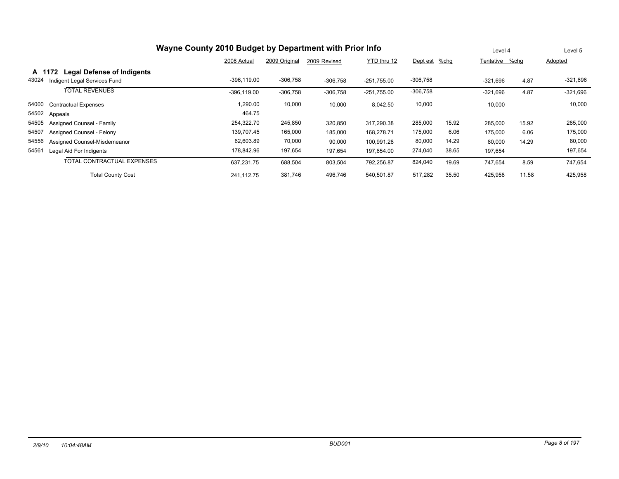|       | Wayne County 2010 Budget by Department with Prior Info | Level 4        |               | Level 5      |               |               |       |                |       |            |
|-------|--------------------------------------------------------|----------------|---------------|--------------|---------------|---------------|-------|----------------|-------|------------|
|       |                                                        | 2008 Actual    | 2009 Original | 2009 Revised | YTD thru 12   | Dept est %chg |       | Tentative %chq |       | Adopted    |
|       | <b>Legal Defense of Indigents</b><br>A 1172            |                |               |              |               |               |       |                |       |            |
| 43024 | Indigent Legal Services Fund                           | $-396, 119.00$ | $-306,758$    | $-306.758$   | $-251.755.00$ | $-306,758$    |       | $-321.696$     | 4.87  | $-321,696$ |
|       | <b>TOTAL REVENUES</b>                                  | $-396.119.00$  | $-306,758$    | $-306,758$   | $-251,755.00$ | $-306,758$    |       | $-321,696$     | 4.87  | $-321,696$ |
| 54000 | <b>Contractual Expenses</b>                            | 1,290.00       | 10,000        | 10,000       | 8,042.50      | 10,000        |       | 10,000         |       | 10,000     |
|       | 54502 Appeals                                          | 464.75         |               |              |               |               |       |                |       |            |
| 54505 | <b>Assigned Counsel - Family</b>                       | 254,322.70     | 245,850       | 320,850      | 317.290.38    | 285,000       | 15.92 | 285,000        | 15.92 | 285,000    |
| 54507 | Assigned Counsel - Felony                              | 139,707.45     | 165,000       | 185,000      | 168,278.71    | 175,000       | 6.06  | 175,000        | 6.06  | 175,000    |
| 54556 | Assigned Counsel-Misdemeanor                           | 62,603.89      | 70,000        | 90,000       | 100,991.28    | 80,000        | 14.29 | 80,000         | 14.29 | 80,000     |
| 54561 | Legal Aid For Indigents                                | 178,842.96     | 197,654       | 197,654      | 197,654.00    | 274,040       | 38.65 | 197,654        |       | 197,654    |
|       | TOTAL CONTRACTUAL EXPENSES                             | 637,231.75     | 688,504       | 803,504      | 792,256.87    | 824,040       | 19.69 | 747,654        | 8.59  | 747,654    |
|       | <b>Total County Cost</b>                               | 241.112.75     | 381,746       | 496,746      | 540,501.87    | 517,282       | 35.50 | 425,958        | 11.58 | 425,958    |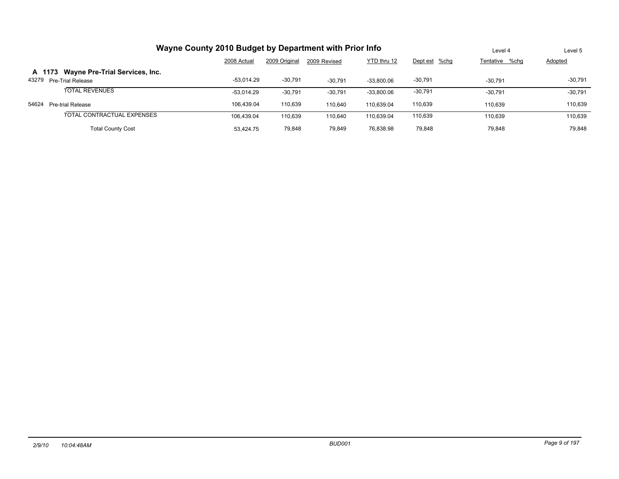|       | Wayne County 2010 Budget by Department with Prior Info |              | Level 4       | Level 5      |              |               |                |           |
|-------|--------------------------------------------------------|--------------|---------------|--------------|--------------|---------------|----------------|-----------|
|       |                                                        | 2008 Actual  | 2009 Original | 2009 Revised | YTD thru 12  | Dept est %chg | Tentative %chg | Adopted   |
|       | A 1173 Wayne Pre-Trial Services, Inc.                  |              |               |              |              |               |                |           |
| 43279 | <b>Pre-Trial Release</b>                               | $-53.014.29$ | $-30.791$     | $-30.791$    | $-33.800.06$ | $-30,791$     | $-30.791$      | $-30,791$ |
|       | <b>TOTAL REVENUES</b>                                  | $-53.014.29$ | $-30,791$     | $-30,791$    | $-33,800.06$ | $-30,791$     | $-30.791$      | $-30,791$ |
| 54624 | Pre-trial Release                                      | 106.439.04   | 110.639       | 110.640      | 110.639.04   | 110,639       | 110.639        | 110,639   |
|       | TOTAL CONTRACTUAL EXPENSES                             | 106.439.04   | 110.639       | 110.640      | 110.639.04   | 110,639       | 110.639        | 110.639   |
|       | <b>Total County Cost</b>                               | 53.424.75    | 79,848        | 79.849       | 76,838.98    | 79,848        | 79.848         | 79,848    |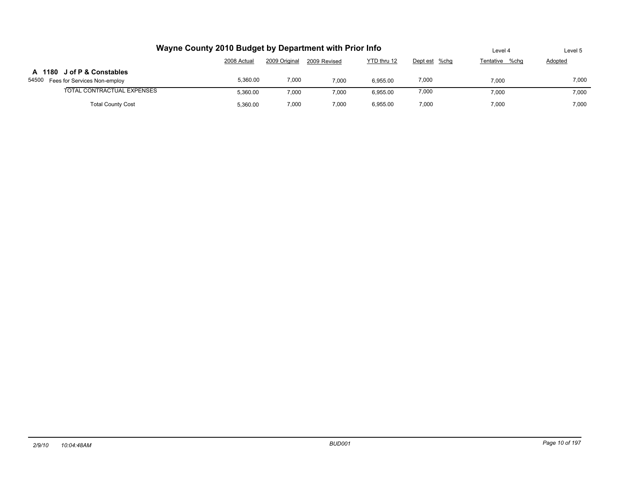| Wayne County 2010 Budget by Department with Prior Info              | Level 4     | Level 5       |              |             |               |                |                |
|---------------------------------------------------------------------|-------------|---------------|--------------|-------------|---------------|----------------|----------------|
|                                                                     | 2008 Actual | 2009 Original | 2009 Revised | YTD thru 12 | Dept est %chg | Tentative %chq | <b>Adopted</b> |
| A 1180 J of P & Constables<br>54500<br>Fees for Services Non-employ | 5.360.00    | 7,000         | 7,000        | 6.955.00    | 7,000         | 7,000          | 7,000          |
| TOTAL CONTRACTUAL EXPENSES                                          | 5.360.00    | 7,000         | 7,000        | 6.955.00    | 7,000         | 7.000          | 7,000          |
| <b>Total County Cost</b>                                            | 5.360.00    | 7,000         | 7.000        | 6.955.00    | 7.000         | 7,000          | 7.000          |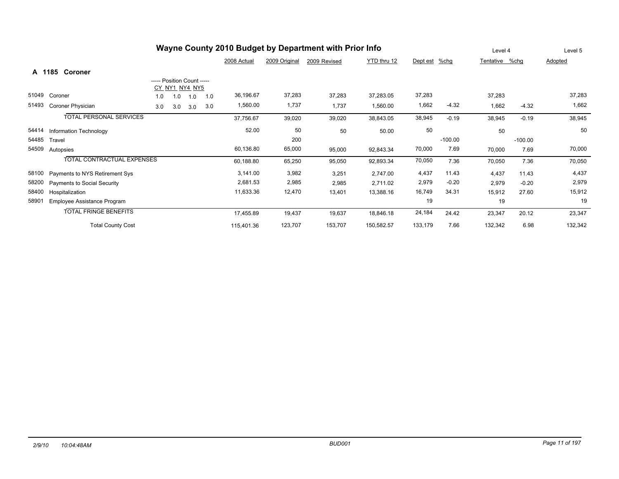| Wayne County 2010 Budget by Department with Prior Info |                                    |     |                                              |     |     |             |               |              |             | Level 4  |           | Level 5   |           |         |
|--------------------------------------------------------|------------------------------------|-----|----------------------------------------------|-----|-----|-------------|---------------|--------------|-------------|----------|-----------|-----------|-----------|---------|
|                                                        |                                    |     |                                              |     |     | 2008 Actual | 2009 Original | 2009 Revised | YTD thru 12 | Dept est | $%$ chg   | Tentative | %chg      | Adopted |
|                                                        | A 1185 Coroner                     |     |                                              |     |     |             |               |              |             |          |           |           |           |         |
|                                                        |                                    |     | ----- Position Count -----<br>CY NY1 NY4 NY5 |     |     |             |               |              |             |          |           |           |           |         |
| 51049                                                  | Coroner                            | 1.0 | 1.0                                          | 1.0 | 1.0 | 36,196.67   | 37,283        | 37,283       | 37,283.05   | 37,283   |           | 37,283    |           | 37,283  |
| 51493                                                  | Coroner Physician                  | 3.0 | 3.0                                          | 3.0 | 3.0 | 1,560.00    | 1,737         | 1,737        | 1,560.00    | 1,662    | $-4.32$   | 1,662     | $-4.32$   | 1,662   |
|                                                        | TOTAL PERSONAL SERVICES            |     |                                              |     |     | 37,756.67   | 39,020        | 39,020       | 38,843.05   | 38,945   | $-0.19$   | 38,945    | $-0.19$   | 38,945  |
| 54414                                                  | Information Technology             |     |                                              |     |     | 52.00       | 50            | 50           | 50.00       | 50       |           | 50        |           | 50      |
| 54485                                                  | Travel                             |     |                                              |     |     |             | 200           |              |             |          | $-100.00$ |           | $-100.00$ |         |
| 54509                                                  | Autopsies                          |     |                                              |     |     | 60,136.80   | 65,000        | 95,000       | 92,843.34   | 70,000   | 7.69      | 70,000    | 7.69      | 70,000  |
|                                                        | <b>TOTAL CONTRACTUAL EXPENSES</b>  |     |                                              |     |     | 60,188.80   | 65,250        | 95,050       | 92,893.34   | 70,050   | 7.36      | 70,050    | 7.36      | 70,050  |
| 58100                                                  | Payments to NYS Retirement Sys     |     |                                              |     |     | 3,141.00    | 3,982         | 3,251        | 2,747.00    | 4,437    | 11.43     | 4,437     | 11.43     | 4,437   |
| 58200                                                  | <b>Payments to Social Security</b> |     |                                              |     |     | 2,681.53    | 2,985         | 2,985        | 2,711.02    | 2,979    | $-0.20$   | 2,979     | $-0.20$   | 2,979   |
| 58400                                                  | Hospitalization                    |     |                                              |     |     | 11,633.36   | 12,470        | 13,401       | 13,388.16   | 16,749   | 34.31     | 15,912    | 27.60     | 15,912  |
| 58901                                                  | Employee Assistance Program        |     |                                              |     |     |             |               |              |             | 19       |           | 19        |           | 19      |
|                                                        | <b>TOTAL FRINGE BENEFITS</b>       |     |                                              |     |     | 17,455.89   | 19,437        | 19,637       | 18,846.18   | 24,184   | 24.42     | 23,347    | 20.12     | 23,347  |
|                                                        | <b>Total County Cost</b>           |     |                                              |     |     | 115,401.36  | 123,707       | 153,707      | 150,582.57  | 133,179  | 7.66      | 132,342   | 6.98      | 132,342 |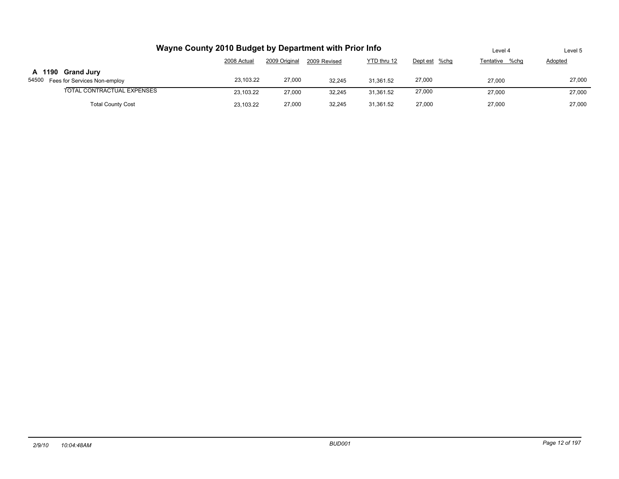| Wayne County 2010 Budget by Department with Prior Info  | Level 4     | Level 5       |              |             |               |                |         |
|---------------------------------------------------------|-------------|---------------|--------------|-------------|---------------|----------------|---------|
|                                                         | 2008 Actual | 2009 Original | 2009 Revised | YTD thru 12 | Dept est %chg | Tentative %chg | Adopted |
| A 1190 Grand Jury<br>54500 Fees for Services Non-employ | 23.103.22   | 27,000        | 32.245       | 31.361.52   | 27,000        | 27,000         | 27,000  |
| TOTAL CONTRACTUAL EXPENSES                              | 23.103.22   | 27,000        | 32,245       | 31.361.52   | 27,000        | 27,000         | 27,000  |
| <b>Total County Cost</b>                                | 23.103.22   | 27,000        | 32,245       | 31,361.52   | 27,000        | 27,000         | 27,000  |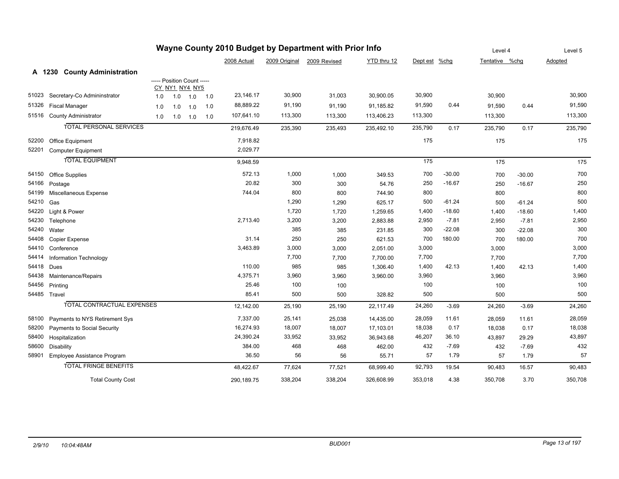|       | Wayne County 2010 Budget by Department with Prior Info |     |                            |             |     |             |         |                            |             |               |          |                |          | Level 5 |
|-------|--------------------------------------------------------|-----|----------------------------|-------------|-----|-------------|---------|----------------------------|-------------|---------------|----------|----------------|----------|---------|
|       |                                                        |     |                            |             |     | 2008 Actual |         | 2009 Original 2009 Revised | YTD thru 12 | Dept est %chg |          | Tentative %chg |          | Adopted |
|       | A 1230 County Administration                           |     |                            |             |     |             |         |                            |             |               |          |                |          |         |
|       |                                                        |     | ----- Position Count ----- |             |     |             |         |                            |             |               |          |                |          |         |
|       |                                                        |     | CY NY1 NY4 NY5             |             |     |             |         |                            |             |               |          |                |          |         |
| 51023 | Secretary-Co Admininstrator                            | 1.0 |                            | $1.0$ $1.0$ | 1.0 | 23,146.17   | 30,900  | 31,003                     | 30,900.05   | 30,900        |          | 30,900         |          | 30,900  |
| 51326 | <b>Fiscal Manager</b>                                  | 1.0 | 1.0                        | 1.0         | 1.0 | 88,889.22   | 91,190  | 91,190                     | 91,185.82   | 91,590        | 0.44     | 91,590         | 0.44     | 91,590  |
|       | 51516 County Administrator                             | 1.0 |                            | $1.0$ $1.0$ | 1.0 | 107,641.10  | 113,300 | 113,300                    | 113,406.23  | 113,300       |          | 113,300        |          | 113,300 |
|       | <b>TOTAL PERSONAL SERVICES</b>                         |     |                            |             |     | 219,676.49  | 235,390 | 235,493                    | 235,492.10  | 235,790       | 0.17     | 235,790        | 0.17     | 235,790 |
| 52200 | Office Equipment                                       |     |                            |             |     | 7,918.82    |         |                            |             | 175           |          | 175            |          | 175     |
| 52201 | <b>Computer Equipment</b>                              |     |                            |             |     | 2,029.77    |         |                            |             |               |          |                |          |         |
|       | <b>TOTAL EQUIPMENT</b>                                 |     |                            |             |     | 9,948.59    |         |                            |             | 175           |          | 175            |          | 175     |
| 54150 | <b>Office Supplies</b>                                 |     |                            |             |     | 572.13      | 1,000   | 1,000                      | 349.53      | 700           | $-30.00$ | 700            | $-30.00$ | 700     |
| 54166 | Postage                                                |     |                            |             |     | 20.82       | 300     | 300                        | 54.76       | 250           | $-16.67$ | 250            | $-16.67$ | 250     |
| 54199 | Miscellaneous Expense                                  |     |                            |             |     | 744.04      | 800     | 800                        | 744.90      | 800           |          | 800            |          | 800     |
| 54210 | Gas                                                    |     |                            |             |     |             | 1,290   | 1,290                      | 625.17      | 500           | $-61.24$ | 500            | $-61.24$ | 500     |
| 54220 | Light & Power                                          |     |                            |             |     |             | 1,720   | 1,720                      | 1,259.65    | 1,400         | $-18.60$ | 1,400          | $-18.60$ | 1,400   |
| 54230 | Telephone                                              |     |                            |             |     | 2,713.40    | 3,200   | 3,200                      | 2,883.88    | 2,950         | $-7.81$  | 2,950          | $-7.81$  | 2,950   |
| 54240 | Water                                                  |     |                            |             |     |             | 385     | 385                        | 231.85      | 300           | $-22.08$ | 300            | $-22.08$ | 300     |
| 54408 | Copier Expense                                         |     |                            |             |     | 31.14       | 250     | 250                        | 621.53      | 700           | 180.00   | 700            | 180.00   | 700     |
| 54410 | Conference                                             |     |                            |             |     | 3,463.89    | 3,000   | 3,000                      | 2,051.00    | 3,000         |          | 3,000          |          | 3,000   |
| 54414 | Information Technology                                 |     |                            |             |     |             | 7,700   | 7,700                      | 7,700.00    | 7,700         |          | 7,700          |          | 7,700   |
| 54418 | Dues                                                   |     |                            |             |     | 110.00      | 985     | 985                        | 1,306.40    | 1,400         | 42.13    | 1,400          | 42.13    | 1,400   |
| 54438 | Maintenance/Repairs                                    |     |                            |             |     | 4,375.71    | 3,960   | 3,960                      | 3,960.00    | 3,960         |          | 3,960          |          | 3,960   |
| 54456 | Printing                                               |     |                            |             |     | 25.46       | 100     | 100                        |             | 100           |          | 100            |          | 100     |
|       | 54485 Travel                                           |     |                            |             |     | 85.41       | 500     | 500                        | 328.82      | 500           |          | 500            |          | 500     |
|       | <b>TOTAL CONTRACTUAL EXPENSES</b>                      |     |                            |             |     | 12,142.00   | 25,190  | 25,190                     | 22,117.49   | 24,260        | $-3.69$  | 24,260         | $-3.69$  | 24,260  |
| 58100 | Payments to NYS Retirement Sys                         |     |                            |             |     | 7,337.00    | 25,141  | 25,038                     | 14,435.00   | 28,059        | 11.61    | 28,059         | 11.61    | 28,059  |
| 58200 | Payments to Social Security                            |     |                            |             |     | 16,274.93   | 18,007  | 18,007                     | 17,103.01   | 18,038        | 0.17     | 18,038         | 0.17     | 18,038  |
| 58400 | Hospitalization                                        |     |                            |             |     | 24,390.24   | 33,952  | 33,952                     | 36,943.68   | 46,207        | 36.10    | 43,897         | 29.29    | 43,897  |
| 58600 | Disability                                             |     |                            |             |     | 384.00      | 468     | 468                        | 462.00      | 432           | $-7.69$  | 432            | $-7.69$  | 432     |
| 58901 | Employee Assistance Program                            |     |                            |             |     | 36.50       | 56      | 56                         | 55.71       | 57            | 1.79     | 57             | 1.79     | 57      |
|       | <b>TOTAL FRINGE BENEFITS</b>                           |     |                            |             |     | 48,422.67   | 77,624  | 77,521                     | 68,999.40   | 92,793        | 19.54    | 90,483         | 16.57    | 90,483  |
|       | <b>Total County Cost</b>                               |     |                            |             |     | 290,189.75  | 338,204 | 338,204                    | 326,608.99  | 353,018       | 4.38     | 350,708        | 3.70     | 350,708 |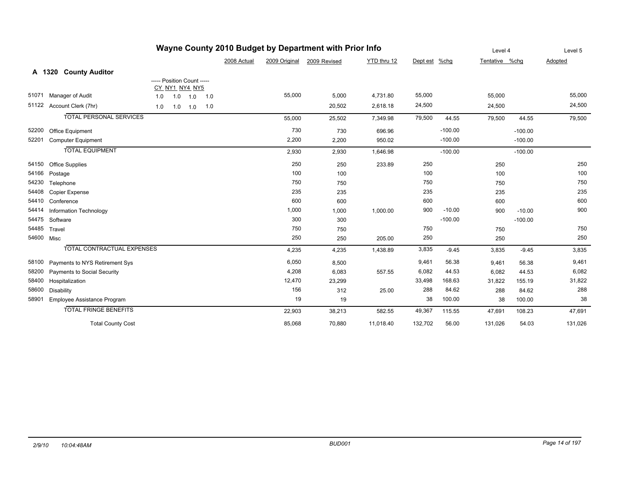|            |                                   |     | Level 4                    |             | Level 5 |             |               |              |             |               |           |                |           |         |
|------------|-----------------------------------|-----|----------------------------|-------------|---------|-------------|---------------|--------------|-------------|---------------|-----------|----------------|-----------|---------|
|            |                                   |     |                            |             |         | 2008 Actual | 2009 Original | 2009 Revised | YTD thru 12 | Dept est %chg |           | Tentative %chg |           | Adopted |
|            | A 1320 County Auditor             |     |                            |             |         |             |               |              |             |               |           |                |           |         |
|            |                                   |     | ----- Position Count ----- |             |         |             |               |              |             |               |           |                |           |         |
|            |                                   |     | CY NY1 NY4 NY5             |             |         |             |               |              |             |               |           |                |           |         |
| 51071      | Manager of Audit                  | 1.0 |                            | $1.0$ $1.0$ | 1.0     |             | 55,000        | 5,000        | 4,731.80    | 55,000        |           | 55,000         |           | 55,000  |
| 51122      | Account Clerk (7hr)               | 1.0 |                            | $1.0$ $1.0$ | 1.0     |             |               | 20,502       | 2,618.18    | 24,500        |           | 24,500         |           | 24,500  |
|            | <b>TOTAL PERSONAL SERVICES</b>    |     |                            |             |         |             | 55,000        | 25,502       | 7,349.98    | 79,500        | 44.55     | 79,500         | 44.55     | 79,500  |
| 52200      | Office Equipment                  |     |                            |             |         |             | 730           | 730          | 696.96      |               | $-100.00$ |                | $-100.00$ |         |
| 52201      | <b>Computer Equipment</b>         |     |                            |             |         |             | 2,200         | 2,200        | 950.02      |               | $-100.00$ |                | $-100.00$ |         |
|            | <b>TOTAL EQUIPMENT</b>            |     |                            |             |         |             | 2,930         | 2,930        | 1,646.98    |               | $-100.00$ |                | $-100.00$ |         |
| 54150      | <b>Office Supplies</b>            |     |                            |             |         |             | 250           | 250          | 233.89      | 250           |           | 250            |           | 250     |
| 54166      | Postage                           |     |                            |             |         |             | 100           | 100          |             | 100           |           | 100            |           | 100     |
| 54230      | Telephone                         |     |                            |             |         |             | 750           | 750          |             | 750           |           | 750            |           | 750     |
| 54408      | <b>Copier Expense</b>             |     |                            |             |         |             | 235           | 235          |             | 235           |           | 235            |           | 235     |
| 54410      | Conference                        |     |                            |             |         |             | 600           | 600          |             | 600           |           | 600            |           | 600     |
| 54414      | Information Technology            |     |                            |             |         |             | 1,000         | 1,000        | 1,000.00    | 900           | $-10.00$  | 900            | $-10.00$  | 900     |
| 54475      | Software                          |     |                            |             |         |             | 300           | 300          |             |               | $-100.00$ |                | $-100.00$ |         |
| 54485      | Travel                            |     |                            |             |         |             | 750           | 750          |             | 750           |           | 750            |           | 750     |
| 54600 Misc |                                   |     |                            |             |         |             | 250           | 250          | 205.00      | 250           |           | 250            |           | 250     |
|            | <b>TOTAL CONTRACTUAL EXPENSES</b> |     |                            |             |         |             | 4,235         | 4,235        | 1,438.89    | 3,835         | $-9.45$   | 3,835          | $-9.45$   | 3,835   |
| 58100      | Payments to NYS Retirement Sys    |     |                            |             |         |             | 6,050         | 8,500        |             | 9,461         | 56.38     | 9,461          | 56.38     | 9,461   |
| 58200      | Payments to Social Security       |     |                            |             |         |             | 4,208         | 6,083        | 557.55      | 6,082         | 44.53     | 6,082          | 44.53     | 6,082   |
| 58400      | Hospitalization                   |     |                            |             |         |             | 12,470        | 23,299       |             | 33,498        | 168.63    | 31,822         | 155.19    | 31,822  |
| 58600      | Disability                        |     |                            |             |         |             | 156           | 312          | 25.00       | 288           | 84.62     | 288            | 84.62     | 288     |
| 58901      | Employee Assistance Program       |     |                            |             |         |             | 19            | 19           |             | 38            | 100.00    | 38             | 100.00    | 38      |
|            | <b>TOTAL FRINGE BENEFITS</b>      |     |                            |             |         |             | 22,903        | 38,213       | 582.55      | 49,367        | 115.55    | 47,691         | 108.23    | 47,691  |
|            | <b>Total County Cost</b>          |     |                            |             |         |             | 85,068        | 70,880       | 11,018.40   | 132,702       | 56.00     | 131,026        | 54.03     | 131,026 |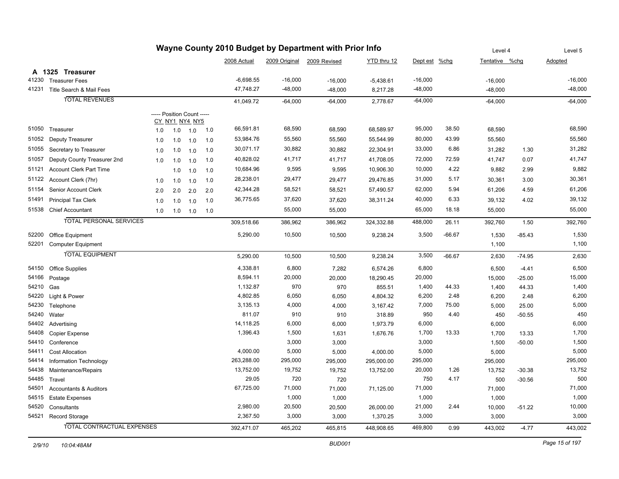|                |                                               |     |     |                            |     |                    |               | Wayne County 2010 Budget by Department with Prior Info |             |                 |          | Level 4         |          | Level 5       |
|----------------|-----------------------------------------------|-----|-----|----------------------------|-----|--------------------|---------------|--------------------------------------------------------|-------------|-----------------|----------|-----------------|----------|---------------|
|                |                                               |     |     |                            |     | 2008 Actual        | 2009 Original | 2009 Revised                                           | YTD thru 12 | Dept est %chg   |          | Tentative %chg  |          | Adopted       |
|                | A 1325 Treasurer                              |     |     |                            |     |                    |               |                                                        |             |                 |          |                 |          |               |
| 41230          | <b>Treasurer Fees</b>                         |     |     |                            |     | $-6,698.55$        | $-16,000$     | $-16,000$                                              | $-5,438.61$ | $-16,000$       |          | $-16,000$       |          | $-16,000$     |
| 41231          | Title Search & Mail Fees                      |     |     |                            |     | 47,748.27          | $-48,000$     | $-48,000$                                              | 8,217.28    | $-48,000$       |          | $-48,000$       |          | $-48,000$     |
|                | <b>TOTAL REVENUES</b>                         |     |     |                            |     | 41,049.72          | $-64,000$     | $-64,000$                                              | 2,778.67    | $-64,000$       |          | $-64,000$       |          | $-64,000$     |
|                |                                               |     |     | ----- Position Count ----- |     |                    |               |                                                        |             |                 |          |                 |          |               |
|                |                                               |     |     | CY_NY1_NY4_NY5             |     |                    |               |                                                        |             |                 |          |                 |          |               |
| 51050          | Treasurer                                     | 1.0 | 1.0 | 1.0                        | 1.0 | 66,591.81          | 68,590        | 68,590                                                 | 68,589.97   | 95,000          | 38.50    | 68,590          |          | 68,590        |
| 51052          | Deputy Treasurer                              | 1.0 | 1.0 | 1.0                        | 1.0 | 53,984.76          | 55,560        | 55,560                                                 | 55,544.99   | 80,000          | 43.99    | 55,560          |          | 55,560        |
| 51055          | Secretary to Treasurer                        | 1.0 | 1.0 | 1.0                        | 1.0 | 30,071.17          | 30,882        | 30,882                                                 | 22,304.91   | 33,000          | 6.86     | 31,282          | 1.30     | 31,282        |
| 51057          | Deputy County Treasurer 2nd                   | 1.0 | 1.0 | 1.0                        | 1.0 | 40,828.02          | 41,717        | 41,717                                                 | 41,708.05   | 72,000          | 72.59    | 41,747          | 0.07     | 41,747        |
| 51121          | <b>Account Clerk Part Time</b>                |     | 1.0 | 1.0                        | 1.0 | 10,684.96          | 9,595         | 9,595                                                  | 10,906.30   | 10,000          | 4.22     | 9,882           | 2.99     | 9,882         |
| 51122          | Account Clerk (7hr)                           | 1.0 | 1.0 | 1.0                        | 1.0 | 28,238.01          | 29,477        | 29,477                                                 | 29,476.85   | 31,000          | 5.17     | 30,361          | 3.00     | 30,361        |
| 51154          | Senior Account Clerk                          | 2.0 | 2.0 | 2.0                        | 2.0 | 42,344.28          | 58,521        | 58,521                                                 | 57,490.57   | 62,000          | 5.94     | 61,206          | 4.59     | 61,206        |
| 51491          | <b>Principal Tax Clerk</b>                    | 1.0 | 1.0 | 1.0                        | 1.0 | 36,775.65          | 37,620        | 37,620                                                 | 38,311.24   | 40,000          | 6.33     | 39,132          | 4.02     | 39,132        |
| 51538          | <b>Chief Accountant</b>                       | 1.0 | 1.0 | 1.0                        | 1.0 |                    | 55,000        | 55,000                                                 |             | 65,000          | 18.18    | 55,000          |          | 55,000        |
|                | <b>TOTAL PERSONAL SERVICES</b>                |     |     |                            |     | 309,518.66         | 386,962       | 386,962                                                | 324,332.88  | 488,000         | 26.11    | 392,760         | 1.50     | 392,760       |
| 52200          |                                               |     |     |                            |     | 5,290.00           | 10,500        |                                                        |             | 3,500           | $-66.67$ |                 |          | 1,530         |
| 52201          | Office Equipment<br><b>Computer Equipment</b> |     |     |                            |     |                    |               | 10,500                                                 | 9,238.24    |                 |          | 1,530<br>1,100  | $-85.43$ | 1,100         |
|                | <b>TOTAL EQUIPMENT</b>                        |     |     |                            |     |                    |               |                                                        |             |                 |          |                 |          |               |
|                |                                               |     |     |                            |     | 5,290.00           | 10,500        | 10,500                                                 | 9,238.24    | 3,500           | $-66.67$ | 2,630           | $-74.95$ | 2,630         |
| 54150          | <b>Office Supplies</b>                        |     |     |                            |     | 4,338.81           | 6,800         | 7,282                                                  | 6,574.26    | 6,800           |          | 6,500           | $-4.41$  | 6,500         |
| 54166          | Postage                                       |     |     |                            |     | 8,594.11           | 20,000        | 20,000                                                 | 18,290.45   | 20,000          |          | 15,000          | $-25.00$ | 15,000        |
| 54210          | Gas                                           |     |     |                            |     | 1,132.87           | 970           | 970                                                    | 855.51      | 1,400           | 44.33    | 1,400           | 44.33    | 1,400         |
| 54220          | Light & Power                                 |     |     |                            |     | 4,802.85           | 6,050         | 6,050                                                  | 4,804.32    | 6,200           | 2.48     | 6,200           | 2.48     | 6,200         |
| 54230          | Telephone                                     |     |     |                            |     | 3,135.13           | 4,000         | 4,000                                                  | 3,167.42    | 7,000           | 75.00    | 5,000           | 25.00    | 5,000         |
| 54240          | Water                                         |     |     |                            |     | 811.07             | 910           | 910                                                    | 318.89      | 950             | 4.40     | 450             | $-50.55$ | 450           |
| 54402          | Advertising                                   |     |     |                            |     | 14,118.25          | 6,000         | 6,000                                                  | 1,973.79    | 6,000           |          | 6,000           |          | 6,000         |
| 54408          | Copier Expense                                |     |     |                            |     | 1,396.43           | 1,500         | 1,631                                                  | 1,676.76    | 1,700           | 13.33    | 1,700           | 13.33    | 1,700         |
| 54410          | Conference                                    |     |     |                            |     |                    | 3,000         | 3,000                                                  |             | 3,000           |          | 1,500           | $-50.00$ | 1,500         |
| 54411          | <b>Cost Allocation</b>                        |     |     |                            |     | 4,000.00           | 5,000         | 5,000                                                  | 4,000.00    | 5,000           |          | 5,000           |          | 5,000         |
| 54414          | Information Technology                        |     |     |                            |     | 263,288.00         | 295,000       | 295,000                                                | 295,000.00  | 295,000         |          | 295,000         |          | 295,000       |
| 54438          | Maintenance/Repairs                           |     |     |                            |     | 13,752.00          | 19,752        | 19,752                                                 | 13,752.00   | 20,000          | 1.26     | 13,752          | $-30.38$ | 13,752        |
| 54485          | Travel                                        |     |     |                            |     | 29.05<br>67,725.00 | 720<br>71,000 | 720                                                    |             | 750             | 4.17     | 500             | $-30.56$ | 500<br>71,000 |
| 54501<br>54515 | <b>Accountants &amp; Auditors</b>             |     |     |                            |     |                    | 1,000         | 71,000                                                 | 71,125.00   | 71,000<br>1,000 |          | 71,000          |          | 1,000         |
| 54520          | <b>Estate Expenses</b>                        |     |     |                            |     | 2,980.00           | 20,500        | 1,000                                                  |             | 21,000          | 2.44     | 1,000           |          | 10,000        |
|                | Consultants<br>54521 Record Storage           |     |     |                            |     | 2,367.50           | 3,000         | 20,500                                                 | 26,000.00   | 3,000           |          | 10,000<br>3,000 | $-51.22$ | 3,000         |
|                |                                               |     |     |                            |     |                    |               | 3,000                                                  | 1,370.25    |                 |          |                 |          |               |
|                | TOTAL CONTRACTUAL EXPENSES                    |     |     |                            |     | 392,471.07         | 465,202       | 465,815                                                | 448,908.65  | 469,800         | 0.99     | 443,002         | $-4.77$  | 443,002       |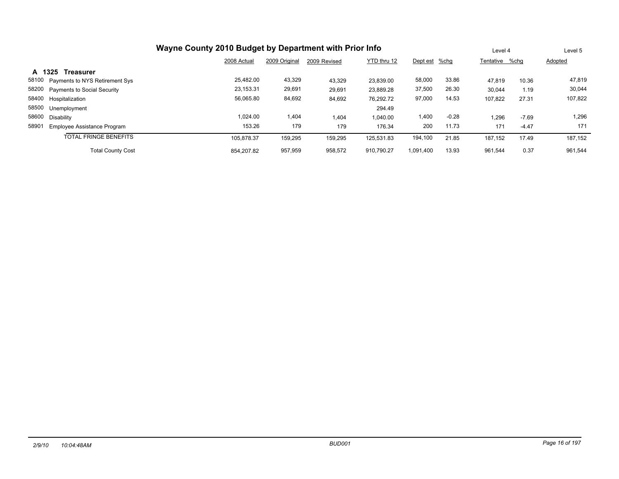|                                             |             | Level 4       |              | Level 5     |               |         |                |         |         |
|---------------------------------------------|-------------|---------------|--------------|-------------|---------------|---------|----------------|---------|---------|
|                                             | 2008 Actual | 2009 Original | 2009 Revised | YTD thru 12 | Dept est %chg |         | Tentative %chq |         | Adopted |
| A 1325<br><b>Treasurer</b>                  |             |               |              |             |               |         |                |         |         |
| 58100<br>Payments to NYS Retirement Sys     | 25,482.00   | 43,329        | 43,329       | 23.839.00   | 58,000        | 33.86   | 47,819         | 10.36   | 47,819  |
| 58200<br><b>Payments to Social Security</b> | 23,153.31   | 29,691        | 29,691       | 23,889.28   | 37,500        | 26.30   | 30,044         | 1.19    | 30,044  |
| 58400<br>Hospitalization                    | 56,065.80   | 84,692        | 84.692       | 76.292.72   | 97,000        | 14.53   | 107.822        | 27.31   | 107,822 |
| 58500<br>Unemployment                       |             |               |              | 294.49      |               |         |                |         |         |
| 58600<br>Disability                         | 1.024.00    | 404. ا        | 1.404        | 1.040.00    | 1,400         | $-0.28$ | .296           | $-7.69$ | 1,296   |
| 58901<br>Employee Assistance Program        | 153.26      | 179           | 179          | 176.34      | 200           | 11.73   | 171            | $-4.47$ | 171     |
| <b>TOTAL FRINGE BENEFITS</b>                | 105.878.37  | 159,295       | 159,295      | 125.531.83  | 194,100       | 21.85   | 187,152        | 17.49   | 187,152 |
| <b>Total County Cost</b>                    | 854.207.82  | 957,959       | 958,572      | 910.790.27  | 1.091.400     | 13.93   | 961,544        | 0.37    | 961,544 |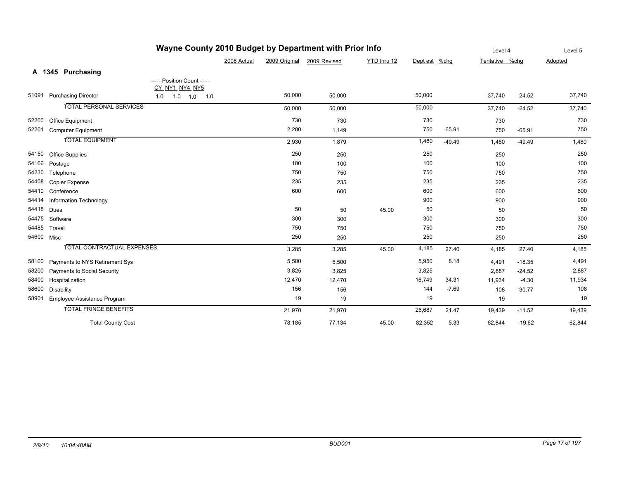|            |            |                                   | Level 4                    |             | Level 5       |              |             |               |          |                |          |         |
|------------|------------|-----------------------------------|----------------------------|-------------|---------------|--------------|-------------|---------------|----------|----------------|----------|---------|
|            |            |                                   |                            | 2008 Actual | 2009 Original | 2009 Revised | YTD thru 12 | Dept est %chg |          | Tentative %chg |          | Adopted |
|            |            | A 1345 Purchasing                 |                            |             |               |              |             |               |          |                |          |         |
|            |            |                                   | ----- Position Count ----- |             |               |              |             |               |          |                |          |         |
|            |            |                                   | CY_NY1_NY4_NY5             |             |               |              |             |               |          |                |          |         |
| 51091      |            | <b>Purchasing Director</b>        | $1.0$ $1.0$ $1.0$ $1.0$    |             | 50,000        | 50,000       |             | 50,000        |          | 37,740         | $-24.52$ | 37,740  |
|            |            | <b>TOTAL PERSONAL SERVICES</b>    |                            |             | 50,000        | 50,000       |             | 50,000        |          | 37,740         | $-24.52$ | 37,740  |
| 52200      |            | Office Equipment                  |                            |             | 730           | 730          |             | 730           |          | 730            |          | 730     |
| 52201      |            | <b>Computer Equipment</b>         |                            |             | 2,200         | 1,149        |             | 750           | $-65.91$ | 750            | $-65.91$ | 750     |
|            |            | <b>TOTAL EQUIPMENT</b>            |                            |             | 2,930         | 1,879        |             | 1,480         | $-49.49$ | 1,480          | $-49.49$ | 1,480   |
| 54150      |            | <b>Office Supplies</b>            |                            |             | 250           | 250          |             | 250           |          | 250            |          | 250     |
| 54166      | Postage    |                                   |                            |             | 100           | 100          |             | 100           |          | 100            |          | 100     |
| 54230      |            | Telephone                         |                            |             | 750           | 750          |             | 750           |          | 750            |          | 750     |
| 54408      |            | Copier Expense                    |                            |             | 235           | 235          |             | 235           |          | 235            |          | 235     |
| 54410      |            | Conference                        |                            |             | 600           | 600          |             | 600           |          | 600            |          | 600     |
| 54414      |            | Information Technology            |                            |             |               |              |             | 900           |          | 900            |          | 900     |
| 54418      | Dues       |                                   |                            |             | 50            | 50           | 45.00       | 50            |          | 50             |          | 50      |
| 54475      | Software   |                                   |                            |             | 300           | 300          |             | 300           |          | 300            |          | 300     |
| 54485      | Travel     |                                   |                            |             | 750           | 750          |             | 750           |          | 750            |          | 750     |
| 54600 Misc |            |                                   |                            |             | 250           | 250          |             | 250           |          | 250            |          | 250     |
|            |            | <b>TOTAL CONTRACTUAL EXPENSES</b> |                            |             | 3,285         | 3,285        | 45.00       | 4,185         | 27.40    | 4,185          | 27.40    | 4,185   |
| 58100      |            | Payments to NYS Retirement Sys    |                            |             | 5,500         | 5,500        |             | 5,950         | 8.18     | 4,491          | $-18.35$ | 4,491   |
| 58200      |            | Payments to Social Security       |                            |             | 3,825         | 3,825        |             | 3,825         |          | 2,887          | $-24.52$ | 2,887   |
| 58400      |            | Hospitalization                   |                            |             | 12,470        | 12,470       |             | 16,749        | 34.31    | 11,934         | $-4.30$  | 11,934  |
| 58600      | Disability |                                   |                            |             | 156           | 156          |             | 144           | $-7.69$  | 108            | $-30.77$ | 108     |
| 58901      |            | Employee Assistance Program       |                            |             | 19            | 19           |             | 19            |          | 19             |          | 19      |
|            |            | <b>TOTAL FRINGE BENEFITS</b>      |                            |             | 21,970        | 21,970       |             | 26,687        | 21.47    | 19,439         | $-11.52$ | 19,439  |
|            |            | <b>Total County Cost</b>          |                            |             | 78,185        | 77,134       | 45.00       | 82,352        | 5.33     | 62,844         | $-19.62$ | 62,844  |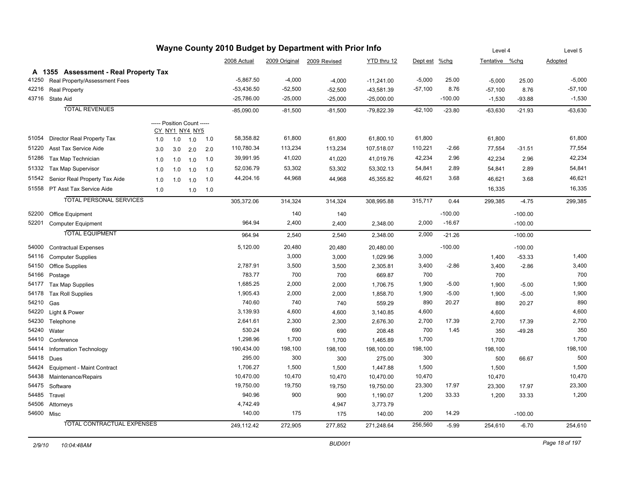|            |                                       |     | Level 4                    |     | Level 5 |              |           |                            |              |               |           |                |           |                |
|------------|---------------------------------------|-----|----------------------------|-----|---------|--------------|-----------|----------------------------|--------------|---------------|-----------|----------------|-----------|----------------|
|            |                                       |     |                            |     |         | 2008 Actual  |           | 2009 Original 2009 Revised | YTD thru 12  | Dept est %chg |           | Tentative %chg |           | <b>Adopted</b> |
|            | A 1355 Assessment - Real Property Tax |     |                            |     |         |              |           |                            |              |               |           |                |           |                |
| 41250      | Real Property/Assessment Fees         |     |                            |     |         | $-5,867.50$  | $-4,000$  | $-4,000$                   | $-11,241.00$ | $-5,000$      | 25.00     | $-5,000$       | 25.00     | $-5,000$       |
| 42216      | <b>Real Property</b>                  |     |                            |     |         | $-53,436.50$ | $-52,500$ | $-52,500$                  | -43,581.39   | $-57,100$     | 8.76      | $-57,100$      | 8.76      | $-57,100$      |
|            | 43716 State Aid                       |     |                            |     |         | $-25,786.00$ | $-25,000$ | $-25,000$                  | $-25,000.00$ |               | $-100.00$ | $-1,530$       | $-93.88$  | $-1,530$       |
|            | <b>TOTAL REVENUES</b>                 |     |                            |     |         | $-85,090.00$ | $-81,500$ | $-81,500$                  | $-79,822.39$ | $-62,100$     | $-23.80$  | $-63,630$      | $-21.93$  | $-63,630$      |
|            |                                       |     | ----- Position Count ----- |     |         |              |           |                            |              |               |           |                |           |                |
|            |                                       |     | CY_NY1_NY4_NY5             |     |         |              |           |                            |              |               |           |                |           |                |
| 51054      | Director Real Property Tax            | 1.0 | 1.0                        | 1.0 | 1.0     | 58,358.82    | 61,800    | 61,800                     | 61,800.10    | 61,800        |           | 61,800         |           | 61,800         |
| 51220      | Asst Tax Service Aide                 | 3.0 | 3.0                        | 2.0 | 2.0     | 110,780.34   | 113,234   | 113,234                    | 107,518.07   | 110,221       | $-2.66$   | 77,554         | $-31.51$  | 77,554         |
| 51286      | Tax Map Technician                    | 1.0 | 1.0                        | 1.0 | 1.0     | 39,991.95    | 41,020    | 41,020                     | 41,019.76    | 42,234        | 2.96      | 42,234         | 2.96      | 42,234         |
| 51332      | Tax Map Supervisor                    | 1.0 | 1.0                        | 1.0 | 1.0     | 52,036.79    | 53,302    | 53,302                     | 53,302.13    | 54,841        | 2.89      | 54,841         | 2.89      | 54,841         |
| 51542      | Senior Real Property Tax Aide         | 1.0 | 1.0                        | 1.0 | 1.0     | 44,204.16    | 44,968    | 44,968                     | 45,355.82    | 46,621        | 3.68      | 46,621         | 3.68      | 46,621         |
|            | 51558 PT Asst Tax Service Aide        | 1.0 |                            | 1.0 | 1.0     |              |           |                            |              |               |           | 16,335         |           | 16,335         |
|            | <b>TOTAL PERSONAL SERVICES</b>        |     |                            |     |         | 305,372.06   | 314,324   | 314,324                    | 308,995.88   | 315,717       | 0.44      | 299,385        | $-4.75$   | 299,385        |
| 52200      | <b>Office Equipment</b>               |     |                            |     |         |              | 140       | 140                        |              |               | $-100.00$ |                | $-100.00$ |                |
| 52201      | <b>Computer Equipment</b>             |     |                            |     |         | 964.94       | 2,400     | 2,400                      | 2,348.00     | 2,000         | $-16.67$  |                | $-100.00$ |                |
|            | <b>TOTAL EQUIPMENT</b>                |     |                            |     |         | 964.94       | 2,540     | 2,540                      | 2,348.00     | 2,000         | $-21.26$  |                | $-100.00$ |                |
|            |                                       |     |                            |     |         |              |           |                            |              |               |           |                |           |                |
| 54000      | <b>Contractual Expenses</b>           |     |                            |     |         | 5,120.00     | 20,480    | 20,480                     | 20,480.00    |               | $-100.00$ |                | $-100.00$ |                |
| 54116      | <b>Computer Supplies</b>              |     |                            |     |         |              | 3,000     | 3,000                      | 1,029.96     | 3,000         |           | 1,400          | $-53.33$  | 1,400          |
| 54150      | Office Supplies                       |     |                            |     |         | 2,787.91     | 3,500     | 3,500                      | 2,305.81     | 3,400         | $-2.86$   | 3,400          | $-2.86$   | 3,400          |
| 54166      | Postage                               |     |                            |     |         | 783.77       | 700       | 700                        | 669.87       | 700           |           | 700            |           | 700            |
| 54177      | <b>Tax Map Supplies</b>               |     |                            |     |         | 1,685.25     | 2,000     | 2,000                      | 1,706.75     | 1,900         | $-5.00$   | 1,900          | $-5.00$   | 1,900          |
| 54178      | <b>Tax Roll Supplies</b>              |     |                            |     |         | 1,905.43     | 2,000     | 2,000                      | 1,858.70     | 1,900         | $-5.00$   | 1,900          | $-5.00$   | 1,900          |
| 54210      | Gas                                   |     |                            |     |         | 740.60       | 740       | 740                        | 559.29       | 890           | 20.27     | 890            | 20.27     | 890            |
| 54220      | Light & Power                         |     |                            |     |         | 3,139.93     | 4,600     | 4,600                      | 3,140.85     | 4,600         |           | 4,600          |           | 4,600          |
| 54230      | Telephone                             |     |                            |     |         | 2,641.61     | 2,300     | 2,300                      | 2,676.30     | 2,700         | 17.39     | 2,700          | 17.39     | 2,700          |
| 54240      | Water                                 |     |                            |     |         | 530.24       | 690       | 690                        | 208.48       | 700           | 1.45      | 350            | $-49.28$  | 350            |
| 54410      | Conference                            |     |                            |     |         | 1,298.96     | 1,700     | 1,700                      | 1,465.89     | 1,700         |           | 1,700          |           | 1,700          |
| 54414      | Information Technology                |     |                            |     |         | 190,434.00   | 198,100   | 198,100                    | 198,100.00   | 198,100       |           | 198,100        |           | 198,100        |
| 54418      | Dues                                  |     |                            |     |         | 295.00       | 300       | 300                        | 275.00       | 300           |           | 500            | 66.67     | 500            |
| 54424      | Equipment - Maint Contract            |     |                            |     |         | 1,706.27     | 1,500     | 1,500                      | 1,447.88     | 1,500         |           | 1,500          |           | 1,500          |
| 54438      | Maintenance/Repairs                   |     |                            |     |         | 10,470.00    | 10,470    | 10,470                     | 10,470.00    | 10,470        |           | 10,470         |           | 10,470         |
| 54475      | Software                              |     |                            |     |         | 19,750.00    | 19,750    | 19,750                     | 19,750.00    | 23,300        | 17.97     | 23,300         | 17.97     | 23,300         |
| 54485      | Travel                                |     |                            |     |         | 940.96       | 900       | 900                        | 1,190.07     | 1,200         | 33.33     | 1,200          | 33.33     | 1,200          |
| 54506      | Attorneys                             |     |                            |     |         | 4,742.49     |           | 4,947                      | 3,773.79     |               |           |                |           |                |
| 54600 Misc |                                       |     |                            |     |         | 140.00       | 175       | 175                        | 140.00       | 200           | 14.29     |                | $-100.00$ |                |
|            | TOTAL CONTRACTUAL EXPENSES            |     |                            |     |         | 249,112.42   | 272,905   | 277,852                    | 271,248.64   | 256,560       | $-5.99$   | 254,610        | $-6.70$   | 254,610        |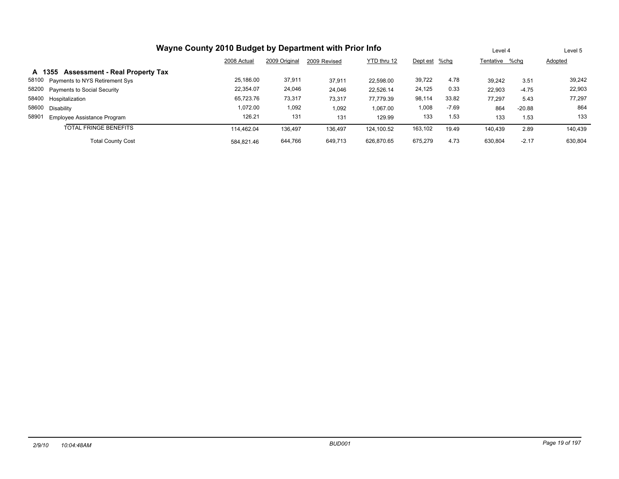| Wayne County 2010 Budget by Department with Prior Info |             | Level 4       |              | Level 5     |               |         |                |          |         |
|--------------------------------------------------------|-------------|---------------|--------------|-------------|---------------|---------|----------------|----------|---------|
|                                                        | 2008 Actual | 2009 Original | 2009 Revised | YTD thru 12 | Dept est %chg |         | Tentative %chg |          | Adopted |
| <b>Assessment - Real Property Tax</b><br>A 1355        |             |               |              |             |               |         |                |          |         |
| 58100 Payments to NYS Retirement Sys                   | 25,186.00   | 37,911        | 37.911       | 22.598.00   | 39,722        | 4.78    | 39.242         | 3.51     | 39,242  |
| 58200 Payments to Social Security                      | 22.354.07   | 24,046        | 24,046       | 22,526.14   | 24,125        | 0.33    | 22,903         | $-4.75$  | 22,903  |
| 58400 Hospitalization                                  | 65,723.76   | 73,317        | 73,317       | 77.779.39   | 98,114        | 33.82   | 77.297         | 5.43     | 77,297  |
| 58600 Disability                                       | 1.072.00    | 1,092         | 1,092        | 1,067.00    | 1,008         | $-7.69$ | 864            | $-20.88$ | 864     |
| 58901<br>Employee Assistance Program                   | 126.21      | 131           | 131          | 129.99      | 133           | 1.53    | 133            | 1.53     | 133     |
| <b>TOTAL FRINGE BENEFITS</b>                           | 114.462.04  | 136,497       | 136,497      | 124.100.52  | 163,102       | 19.49   | 140,439        | 2.89     | 140.439 |
| <b>Total County Cost</b>                               | 630.804     | $-2.17$       | 630,804      |             |               |         |                |          |         |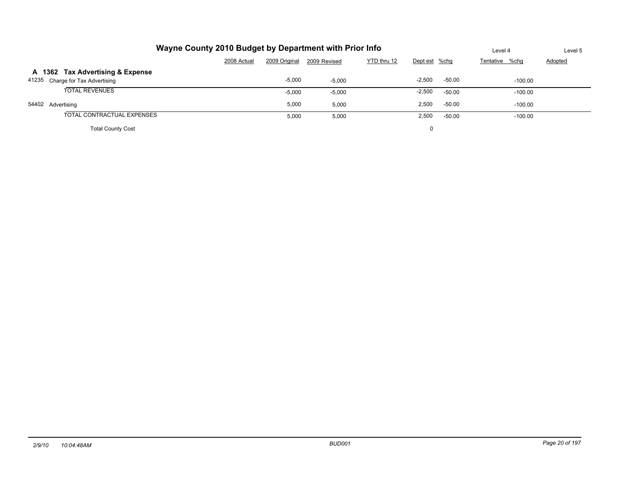| Wayne County 2010 Budget by Department with Prior Info |                                                                              |          |          |  |          |          | Level 4   | Level 5 |  |  |  |  |  |
|--------------------------------------------------------|------------------------------------------------------------------------------|----------|----------|--|----------|----------|-----------|---------|--|--|--|--|--|
|                                                        | YTD thru 12<br>2009 Original<br>2008 Actual<br>Dept est %chg<br>2009 Revised |          |          |  |          |          |           |         |  |  |  |  |  |
| A 1362 Tax Advertising & Expense                       |                                                                              |          |          |  |          |          |           |         |  |  |  |  |  |
| 41235 Charge for Tax Advertising                       |                                                                              | $-5,000$ | $-5,000$ |  | $-2,500$ | $-50.00$ | $-100.00$ |         |  |  |  |  |  |
| <b>TOTAL REVENUES</b>                                  |                                                                              | $-5,000$ | $-5,000$ |  | $-2,500$ | $-50.00$ | $-100.00$ |         |  |  |  |  |  |
| 54402 Advertising                                      |                                                                              | 5,000    | 5.000    |  | 2,500    | $-50.00$ | $-100.00$ |         |  |  |  |  |  |
| TOTAL CONTRACTUAL EXPENSES                             |                                                                              | 5,000    | 5,000    |  | 2,500    | $-50.00$ | $-100.00$ |         |  |  |  |  |  |
| <b>Total County Cost</b>                               |                                                                              |          |          |  | 0        |          |           |         |  |  |  |  |  |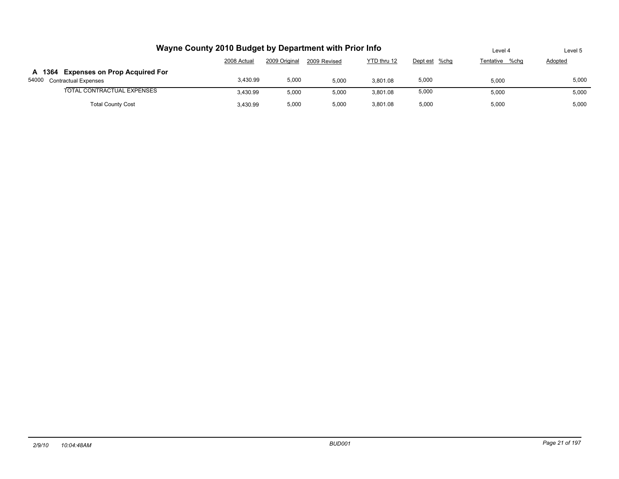|                                                                    | Wayne County 2010 Budget by Department with Prior Info                       |       |       |          |       | Level 4 | Level 5 |  |  |  |  |  |  |
|--------------------------------------------------------------------|------------------------------------------------------------------------------|-------|-------|----------|-------|---------|---------|--|--|--|--|--|--|
|                                                                    | 2009 Original<br>YTD thru 12<br>Dept est %chg<br>2008 Actual<br>2009 Revised |       |       |          |       |         |         |  |  |  |  |  |  |
| A 1364 Expenses on Prop Acquired For<br>54000 Contractual Expenses | 5,000                                                                        | 5,000 |       |          |       |         |         |  |  |  |  |  |  |
| TOTAL CONTRACTUAL EXPENSES                                         | 3.430.99                                                                     | 5,000 | 5,000 | 3.801.08 | 5,000 | 5,000   | 5,000   |  |  |  |  |  |  |
| <b>Total County Cost</b>                                           | 5,000                                                                        | 5.000 |       |          |       |         |         |  |  |  |  |  |  |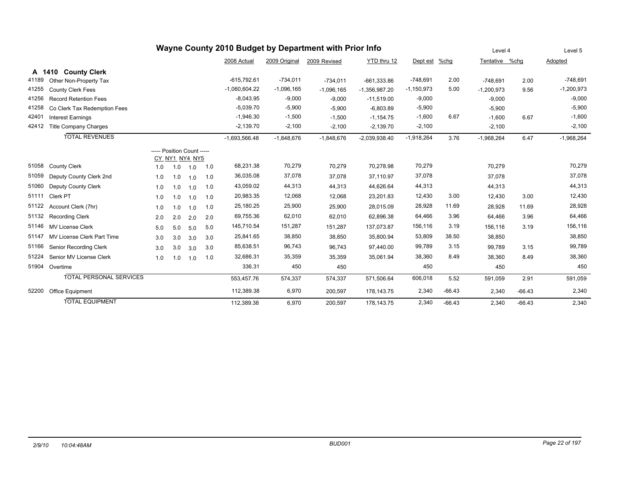|        |                                |                            | Level 4        |     | Level 5 |                 |               |              |                 |              |          |              |          |              |
|--------|--------------------------------|----------------------------|----------------|-----|---------|-----------------|---------------|--------------|-----------------|--------------|----------|--------------|----------|--------------|
|        |                                |                            |                |     |         | 2008 Actual     | 2009 Original | 2009 Revised | YTD thru 12     | Dept est     | $%$ chg  | Tentative    | %chq     | Adopted      |
| A 1410 | <b>County Clerk</b>            |                            |                |     |         |                 |               |              |                 |              |          |              |          |              |
| 41189  | Other Non-Property Tax         |                            |                |     |         | $-615.792.61$   | $-734,011$    | $-734,011$   | $-661,333.86$   | $-748,691$   | 2.00     | $-748.691$   | 2.00     | $-748,691$   |
| 41255  | <b>County Clerk Fees</b>       |                            |                |     |         | $-1,060,604.22$ | $-1,096,165$  | $-1,096,165$ | $-1,356,987.20$ | $-1,150,973$ | 5.00     | $-1,200,973$ | 9.56     | $-1,200,973$ |
| 41256  | <b>Record Retention Fees</b>   |                            |                |     |         | $-8,043.95$     | $-9,000$      | $-9,000$     | $-11,519.00$    | $-9,000$     |          | $-9,000$     |          | $-9,000$     |
| 41258  | Co Clerk Tax Redemption Fees   |                            |                |     |         | $-5,039.70$     | $-5,900$      | $-5,900$     | $-6,803.89$     | $-5,900$     |          | $-5,900$     |          | $-5,900$     |
| 42401  | <b>Interest Earnings</b>       |                            |                |     |         | $-1,946.30$     | $-1,500$      | $-1,500$     | $-1,154.75$     | $-1,600$     | 6.67     | $-1,600$     | 6.67     | $-1,600$     |
| 42412  | <b>Title Company Charges</b>   |                            |                |     |         | $-2,139.70$     | $-2,100$      | $-2,100$     | $-2,139.70$     | $-2,100$     |          | $-2,100$     |          | $-2,100$     |
|        | <b>TOTAL REVENUES</b>          |                            |                |     |         | $-1,693,566.48$ | $-1,848,676$  | $-1,848,676$ | $-2,039,938.40$ | $-1,918,264$ | 3.76     | $-1,968,264$ | 6.47     | $-1,968,264$ |
|        |                                | ----- Position Count ----- | CY_NY1_NY4_NY5 |     |         |                 |               |              |                 |              |          |              |          |              |
| 51058  | <b>County Clerk</b>            | 1.0                        | 1.0            | 1.0 | 1.0     | 68,231.38       | 70,279        | 70,279       | 70,278.98       | 70,279       |          | 70,279       |          | 70,279       |
| 51059  | Deputy County Clerk 2nd        | 1.0                        | 1.0            | 1.0 | 1.0     | 36,035.08       | 37,078        | 37,078       | 37,110.97       | 37,078       |          | 37,078       |          | 37,078       |
| 51060  | <b>Deputy County Clerk</b>     | 1.0                        | 1.0            | 1.0 | 1.0     | 43,059.02       | 44,313        | 44,313       | 44,626.64       | 44,313       |          | 44,313       |          | 44,313       |
| 51111  | Clerk PT                       | 1.0                        | 1.0            | 1.0 | 1.0     | 20,983.35       | 12,068        | 12,068       | 23,201.83       | 12,430       | 3.00     | 12,430       | 3.00     | 12,430       |
| 51122  | Account Clerk (7hr)            | 1.0                        | 1.0            | 1.0 | 1.0     | 25,180.25       | 25,900        | 25,900       | 28,015.09       | 28,928       | 11.69    | 28,928       | 11.69    | 28,928       |
| 51132  | <b>Recording Clerk</b>         | 2.0                        | 2.0            | 2.0 | 2.0     | 69,755.36       | 62,010        | 62,010       | 62,896.38       | 64,466       | 3.96     | 64,466       | 3.96     | 64,466       |
| 51146  | <b>MV License Clerk</b>        | 5.0                        | 5.0            | 5.0 | 5.0     | 145,710.54      | 151,287       | 151,287      | 137,073.87      | 156,116      | 3.19     | 156,116      | 3.19     | 156,116      |
| 51147  | MV License Clerk Part Time     | 3.0                        | 3.0            | 3.0 | 3.0     | 25,841.65       | 38,850        | 38,850       | 35,800.94       | 53,809       | 38.50    | 38,850       |          | 38,850       |
| 51166  | Senior Recording Clerk         | 3.0                        | 3.0            | 3.0 | 3.0     | 85,638.51       | 96,743        | 96,743       | 97,440.00       | 99,789       | 3.15     | 99,789       | 3.15     | 99,789       |
| 51224  | Senior MV License Clerk        | 1.0                        | 1.0            | 1.0 | 1.0     | 32,686.31       | 35,359        | 35,359       | 35,061.94       | 38,360       | 8.49     | 38,360       | 8.49     | 38,360       |
| 51904  | Overtime                       |                            |                |     |         | 336.31          | 450           | 450          |                 | 450          |          | 450          |          | 450          |
|        | <b>TOTAL PERSONAL SERVICES</b> |                            |                |     |         | 553,457.76      | 574,337       | 574,337      | 571,506.64      | 606,018      | 5.52     | 591,059      | 2.91     | 591,059      |
| 52200  | Office Equipment               |                            |                |     |         | 112,389.38      | 6,970         | 200,597      | 178,143.75      | 2,340        | $-66.43$ | 2,340        | $-66.43$ | 2,340        |
|        | <b>TOTAL EQUIPMENT</b>         |                            |                |     |         | 112,389.38      | 6.970         | 200.597      | 178.143.75      | 2,340        | $-66.43$ | 2.340        | $-66.43$ | 2.340        |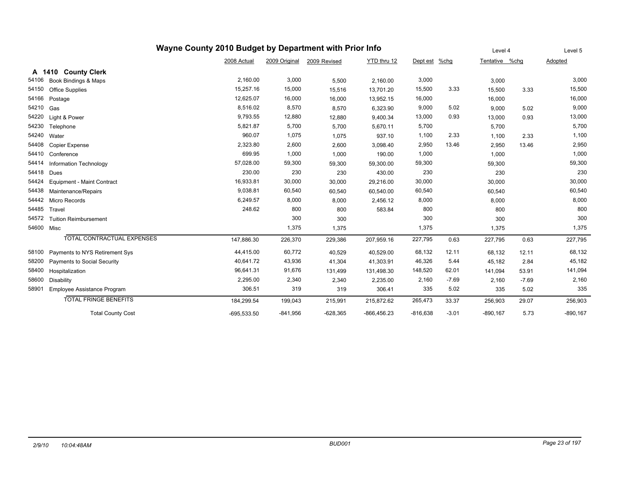|            | Wayne County 2010 Budget by Department with Prior Info |               | Level 4       |              | Level 5       |            |         |             |         |             |
|------------|--------------------------------------------------------|---------------|---------------|--------------|---------------|------------|---------|-------------|---------|-------------|
|            |                                                        | 2008 Actual   | 2009 Original | 2009 Revised | YTD thru 12   | Dept est   | $%$ chg | Tentative   | %chg    | Adopted     |
|            | <b>County Clerk</b><br>A 1410                          |               |               |              |               |            |         |             |         |             |
| 54106      | Book Bindings & Maps                                   | 2,160.00      | 3,000         | 5,500        | 2,160.00      | 3,000      |         | 3,000       |         | 3,000       |
| 54150      | <b>Office Supplies</b>                                 | 15,257.16     | 15,000        | 15,516       | 13,701.20     | 15,500     | 3.33    | 15,500      | 3.33    | 15,500      |
| 54166      | Postage                                                | 12,625.07     | 16,000        | 16,000       | 13,952.15     | 16,000     |         | 16,000      |         | 16,000      |
| 54210      | Gas                                                    | 8,516.02      | 8,570         | 8,570        | 6,323.90      | 9,000      | 5.02    | 9,000       | 5.02    | 9,000       |
| 54220      | Light & Power                                          | 9,793.55      | 12,880        | 12,880       | 9,400.34      | 13,000     | 0.93    | 13,000      | 0.93    | 13,000      |
| 54230      | Telephone                                              | 5,821.87      | 5,700         | 5,700        | 5,670.11      | 5,700      |         | 5,700       |         | 5,700       |
| 54240      | Water                                                  | 960.07        | 1,075         | 1,075        | 937.10        | 1,100      | 2.33    | 1,100       | 2.33    | 1,100       |
| 54408      | <b>Copier Expense</b>                                  | 2,323.80      | 2,600         | 2,600        | 3,098.40      | 2,950      | 13.46   | 2,950       | 13.46   | 2,950       |
| 54410      | Conference                                             | 699.95        | 1,000         | 1,000        | 190.00        | 1,000      |         | 1,000       |         | 1,000       |
| 54414      | Information Technology                                 | 57,028.00     | 59,300        | 59,300       | 59,300.00     | 59,300     |         | 59,300      |         | 59,300      |
| 54418      | Dues                                                   | 230.00        | 230           | 230          | 430.00        | 230        |         | 230         |         | 230         |
| 54424      | Equipment - Maint Contract                             | 16,933.81     | 30,000        | 30,000       | 29,216.00     | 30,000     |         | 30,000      |         | 30,000      |
| 54438      | Maintenance/Repairs                                    | 9,038.81      | 60,540        | 60,540       | 60,540.00     | 60,540     |         | 60,540      |         | 60,540      |
| 54442      | <b>Micro Records</b>                                   | 6,249.57      | 8,000         | 8,000        | 2,456.12      | 8,000      |         | 8,000       |         | 8,000       |
| 54485      | Travel                                                 | 248.62        | 800           | 800          | 583.84        | 800        |         | 800         |         | 800         |
| 54572      | <b>Tuition Reimbursement</b>                           |               | 300           | 300          |               | 300        |         | 300         |         | 300         |
| 54600 Misc |                                                        |               | 1,375         | 1,375        |               | 1,375      |         | 1,375       |         | 1,375       |
|            | TOTAL CONTRACTUAL EXPENSES                             | 147,886.30    | 226,370       | 229,386      | 207,959.16    | 227,795    | 0.63    | 227,795     | 0.63    | 227,795     |
| 58100      | Payments to NYS Retirement Sys                         | 44,415.00     | 60,772        | 40,529       | 40,529.00     | 68,132     | 12.11   | 68,132      | 12.11   | 68,132      |
| 58200      | Payments to Social Security                            | 40,641.72     | 43,936        | 41,304       | 41,303.91     | 46,326     | 5.44    | 45,182      | 2.84    | 45,182      |
| 58400      | Hospitalization                                        | 96,641.31     | 91,676        | 131,499      | 131,498.30    | 148,520    | 62.01   | 141,094     | 53.91   | 141,094     |
| 58600      | <b>Disability</b>                                      | 2,295.00      | 2,340         | 2,340        | 2,235.00      | 2,160      | $-7.69$ | 2,160       | $-7.69$ | 2,160       |
| 58901      | Employee Assistance Program                            | 306.51        | 319           | 319          | 306.41        | 335        | 5.02    | 335         | 5.02    | 335         |
|            | <b>TOTAL FRINGE BENEFITS</b>                           | 184,299.54    | 199,043       | 215,991      | 215,872.62    | 265,473    | 33.37   | 256,903     | 29.07   | 256,903     |
|            | <b>Total County Cost</b>                               | $-695,533.50$ | $-841,956$    | $-628,365$   | $-866,456.23$ | $-816,638$ | $-3.01$ | $-890, 167$ | 5.73    | $-890, 167$ |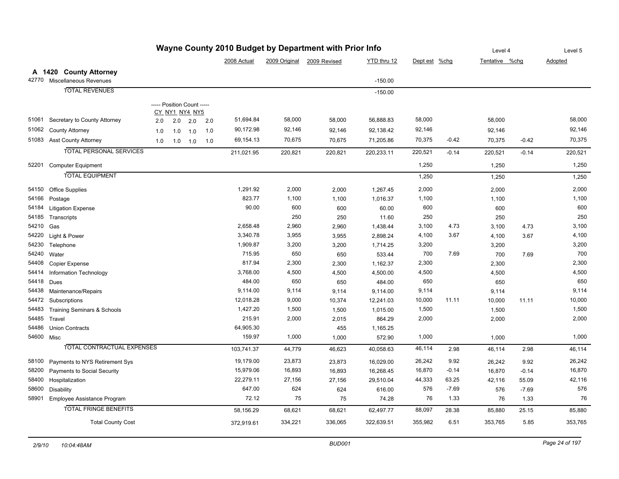|            |                                        |                            |     |                |         |             |               | Wayne County 2010 Budget by Department with Prior Info |             |               |         | Level 4        |         | Level 5 |
|------------|----------------------------------------|----------------------------|-----|----------------|---------|-------------|---------------|--------------------------------------------------------|-------------|---------------|---------|----------------|---------|---------|
|            |                                        |                            |     |                |         | 2008 Actual | 2009 Original | 2009 Revised                                           | YTD thru 12 | Dept est %chg |         | Tentative %chq |         | Adopted |
|            | A 1420 County Attorney                 |                            |     |                |         |             |               |                                                        |             |               |         |                |         |         |
| 42770      | Miscellaneous Revenues                 |                            |     |                |         |             |               |                                                        | $-150.00$   |               |         |                |         |         |
|            | <b>TOTAL REVENUES</b>                  |                            |     |                |         |             |               |                                                        | $-150.00$   |               |         |                |         |         |
|            |                                        |                            |     |                |         |             |               |                                                        |             |               |         |                |         |         |
|            |                                        | ----- Position Count ----- |     | CY NY1 NY4 NY5 |         |             |               |                                                        |             |               |         |                |         |         |
| 51061      | Secretary to County Attorney           | 2.0                        | 2.0 | 2.0            | $2.0\,$ | 51,694.84   | 58,000        | 58,000                                                 | 56,888.83   | 58,000        |         | 58,000         |         | 58,000  |
| 51062      | <b>County Attorney</b>                 | 1.0                        | 1.0 | 1.0            | 1.0     | 90,172.98   | 92,146        | 92,146                                                 | 92,138.42   | 92,146        |         | 92,146         |         | 92,146  |
|            | 51083 Asst County Attorney             | 1.0                        |     | $1.0$ $1.0$    | 1.0     | 69,154.13   | 70,675        | 70,675                                                 | 71,205.86   | 70,375        | $-0.42$ | 70,375         | $-0.42$ | 70,375  |
|            | <b>TOTAL PERSONAL SERVICES</b>         |                            |     |                |         | 211,021.95  | 220,821       | 220,821                                                | 220,233.11  | 220,521       | $-0.14$ | 220,521        | $-0.14$ | 220,521 |
| 52201      |                                        |                            |     |                |         |             |               |                                                        |             | 1,250         |         |                |         | 1,250   |
|            | <b>Computer Equipment</b>              |                            |     |                |         |             |               |                                                        |             |               |         | 1,250          |         |         |
|            | <b>TOTAL EQUIPMENT</b>                 |                            |     |                |         |             |               |                                                        |             | 1,250         |         | 1,250          |         | 1,250   |
| 54150      | Office Supplies                        |                            |     |                |         | 1,291.92    | 2,000         | 2,000                                                  | 1,267.45    | 2,000         |         | 2,000          |         | 2,000   |
| 54166      | Postage                                |                            |     |                |         | 823.77      | 1,100         | 1,100                                                  | 1,016.37    | 1,100         |         | 1,100          |         | 1,100   |
| 54184      | <b>Litigation Expense</b>              |                            |     |                |         | 90.00       | 600           | 600                                                    | 60.00       | 600           |         | 600            |         | 600     |
| 54185      | Transcripts                            |                            |     |                |         |             | 250           | 250                                                    | 11.60       | 250           |         | 250            |         | 250     |
| 54210      | Gas                                    |                            |     |                |         | 2,658.48    | 2,960         | 2,960                                                  | 1,438.44    | 3,100         | 4.73    | 3,100          | 4.73    | 3,100   |
| 54220      | Light & Power                          |                            |     |                |         | 3,340.78    | 3,955         | 3,955                                                  | 2,898.24    | 4,100         | 3.67    | 4,100          | 3.67    | 4,100   |
| 54230      | Telephone                              |                            |     |                |         | 1,909.87    | 3,200         | 3,200                                                  | 1,714.25    | 3,200         |         | 3,200          |         | 3,200   |
| 54240      | Water                                  |                            |     |                |         | 715.95      | 650           | 650                                                    | 533.44      | 700           | 7.69    | 700            | 7.69    | 700     |
| 54408      | Copier Expense                         |                            |     |                |         | 817.94      | 2,300         | 2,300                                                  | 1,162.37    | 2,300         |         | 2,300          |         | 2,300   |
| 54414      | Information Technology                 |                            |     |                |         | 3,768.00    | 4,500         | 4,500                                                  | 4,500.00    | 4,500         |         | 4,500          |         | 4,500   |
| 54418      | Dues                                   |                            |     |                |         | 484.00      | 650           | 650                                                    | 484.00      | 650           |         | 650            |         | 650     |
| 54438      | Maintenance/Repairs                    |                            |     |                |         | 9,114.00    | 9,114         | 9,114                                                  | 9,114.00    | 9,114         |         | 9,114          |         | 9,114   |
| 54472      | Subscriptions                          |                            |     |                |         | 12,018.28   | 9,000         | 10,374                                                 | 12,241.03   | 10,000        | 11.11   | 10,000         | 11.11   | 10,000  |
| 54483      | <b>Training Seminars &amp; Schools</b> |                            |     |                |         | 1,427.20    | 1,500         | 1,500                                                  | 1,015.00    | 1,500         |         | 1,500          |         | 1,500   |
| 54485      | Travel                                 |                            |     |                |         | 215.91      | 2,000         | 2,015                                                  | 864.29      | 2,000         |         | 2,000          |         | 2,000   |
| 54486      | <b>Union Contracts</b>                 |                            |     |                |         | 64,905.30   |               | 455                                                    | 1,165.25    |               |         |                |         |         |
| 54600 Misc |                                        |                            |     |                |         | 159.97      | 1,000         | 1,000                                                  | 572.90      | 1,000         |         | 1,000          |         | 1,000   |
|            | <b>TOTAL CONTRACTUAL EXPENSES</b>      |                            |     |                |         | 103,741.37  | 44,779        | 46,623                                                 | 40,058.63   | 46,114        | 2.98    | 46,114         | 2.98    | 46,114  |
| 58100      | Payments to NYS Retirement Sys         |                            |     |                |         | 19,179.00   | 23,873        | 23,873                                                 | 16,029.00   | 26,242        | 9.92    | 26,242         | 9.92    | 26,242  |
| 58200      | Payments to Social Security            |                            |     |                |         | 15,979.06   | 16,893        | 16,893                                                 | 16,268.45   | 16,870        | $-0.14$ | 16,870         | $-0.14$ | 16,870  |
| 58400      | Hospitalization                        |                            |     |                |         | 22,279.11   | 27,156        | 27,156                                                 | 29,510.04   | 44,333        | 63.25   | 42,116         | 55.09   | 42,116  |
| 58600      | Disability                             |                            |     |                |         | 647.00      | 624           | 624                                                    | 616.00      | 576           | $-7.69$ | 576            | $-7.69$ | 576     |
| 58901      | Employee Assistance Program            |                            |     |                |         | 72.12       | 75            | 75                                                     | 74.28       | 76            | 1.33    | 76             | 1.33    | 76      |
|            | <b>TOTAL FRINGE BENEFITS</b>           |                            |     |                |         | 58,156.29   | 68,621        | 68,621                                                 | 62,497.77   | 88,097        | 28.38   | 85,880         | 25.15   | 85,880  |
|            | <b>Total County Cost</b>               |                            |     |                |         | 372,919.61  | 334,221       | 336,065                                                | 322,639.51  | 355,982       | 6.51    | 353,765        | 5.85    | 353,765 |

## **Wayne County 2010 Budget by Department with Prior Info**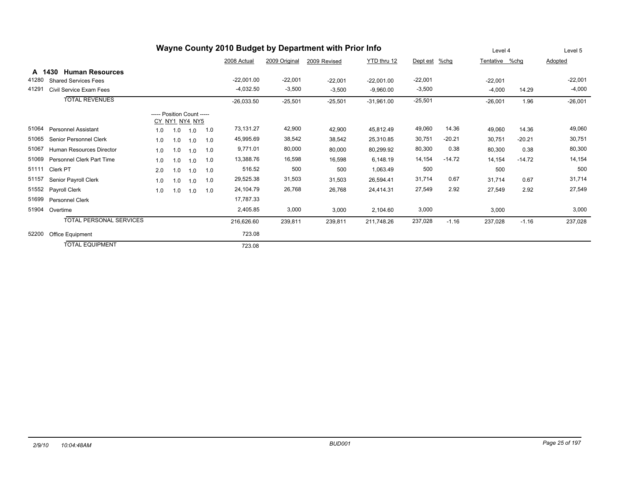| Wayne County 2010 Budget by Department with Prior Info |                                  |                            |     |                |     |              |               |              |              |               |          | Level 4        |          | Level 5   |
|--------------------------------------------------------|----------------------------------|----------------------------|-----|----------------|-----|--------------|---------------|--------------|--------------|---------------|----------|----------------|----------|-----------|
|                                                        |                                  |                            |     |                |     | 2008 Actual  | 2009 Original | 2009 Revised | YTD thru 12  | Dept est %chg |          | Tentative %chg |          | Adopted   |
| A                                                      | <b>Human Resources</b><br>1430   |                            |     |                |     |              |               |              |              |               |          |                |          |           |
| 41280                                                  | <b>Shared Services Fees</b>      |                            |     |                |     | $-22,001.00$ | $-22,001$     | $-22,001$    | $-22,001.00$ | $-22,001$     |          | $-22,001$      |          | $-22,001$ |
| 41291                                                  | Civil Service Exam Fees          |                            |     |                |     | $-4,032.50$  | $-3,500$      | $-3,500$     | $-9,960.00$  | $-3,500$      |          | $-4,000$       | 14.29    | $-4,000$  |
|                                                        | <b>TOTAL REVENUES</b>            |                            |     |                |     | $-26,033.50$ | $-25,501$     | $-25,501$    | $-31,961.00$ | $-25,501$     |          | $-26,001$      | 1.96     | $-26,001$ |
|                                                        |                                  | ----- Position Count ----- |     | CY NY1 NY4 NY5 |     |              |               |              |              |               |          |                |          |           |
| 51064                                                  | <b>Personnel Assistant</b>       | 1.0                        | 1.0 | 1.0            | 1.0 | 73,131.27    | 42,900        | 42,900       | 45,812.49    | 49,060        | 14.36    | 49,060         | 14.36    | 49,060    |
| 51065                                                  | Senior Personnel Clerk           | 1.0                        | 1.0 | 1.0            | 1.0 | 45,995.69    | 38,542        | 38,542       | 25,310.85    | 30,751        | $-20.21$ | 30,751         | $-20.21$ | 30,751    |
| 51067                                                  | Human Resources Director         | 1.0                        | 1.0 | 1.0            | 1.0 | 9,771.01     | 80,000        | 80,000       | 80,299.92    | 80,300        | 0.38     | 80,300         | 0.38     | 80,300    |
| 51069                                                  | <b>Personnel Clerk Part Time</b> | 1.0                        | 1.0 | 1.0            | 1.0 | 13,388.76    | 16,598        | 16,598       | 6,148.19     | 14,154        | $-14.72$ | 14,154         | $-14.72$ | 14,154    |
| 51111                                                  | Clerk PT                         | 2.0                        | 1.0 | 1.0            | 1.0 | 516.52       | 500           | 500          | 1,063.49     | 500           |          | 500            |          | 500       |
| 51157                                                  | Senior Payroll Clerk             | 1.0                        | 1.0 | 1.0            | 1.0 | 29,525.38    | 31,503        | 31,503       | 26,594.41    | 31,714        | 0.67     | 31,714         | 0.67     | 31,714    |
| 51552                                                  | Payroll Clerk                    | 1.0                        | 1.0 | 1.0            | 1.0 | 24,104.79    | 26,768        | 26,768       | 24,414.31    | 27,549        | 2.92     | 27,549         | 2.92     | 27,549    |
| 51699                                                  | <b>Personnel Clerk</b>           |                            |     |                |     | 17,787.33    |               |              |              |               |          |                |          |           |
| 51904                                                  | Overtime                         |                            |     |                |     | 2,405.85     | 3,000         | 3,000        | 2,104.60     | 3,000         |          | 3,000          |          | 3,000     |
|                                                        | TOTAL PERSONAL SERVICES          |                            |     |                |     | 216,626.60   | 239,811       | 239,811      | 211.748.26   | 237,028       | $-1.16$  | 237,028        | $-1.16$  | 237,028   |
| 52200                                                  | Office Equipment                 |                            |     |                |     | 723.08       |               |              |              |               |          |                |          |           |
|                                                        | <b>TOTAL EQUIPMENT</b>           |                            |     |                |     | 723.08       |               |              |              |               |          |                |          |           |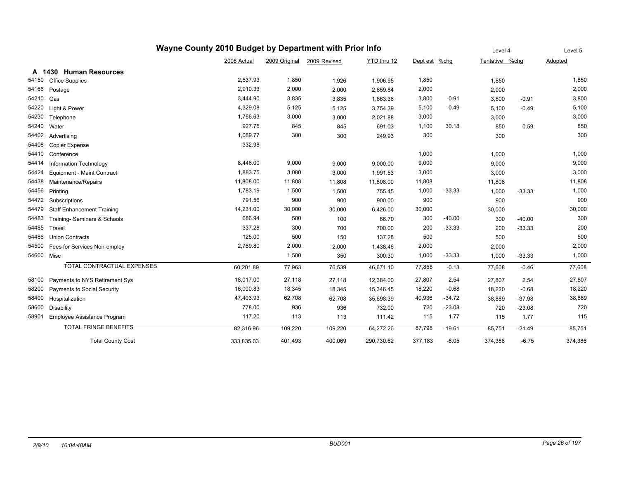|            | Wayne County 2010 Budget by Department with Prior Info |             | Level 4       |              | Level 5     |               |          |                |          |         |
|------------|--------------------------------------------------------|-------------|---------------|--------------|-------------|---------------|----------|----------------|----------|---------|
|            |                                                        | 2008 Actual | 2009 Original | 2009 Revised | YTD thru 12 | Dept est %chg |          | Tentative %chg |          | Adopted |
|            | A 1430 Human Resources                                 |             |               |              |             |               |          |                |          |         |
| 54150      | <b>Office Supplies</b>                                 | 2,537.93    | 1,850         | 1,926        | 1,906.95    | 1,850         |          | 1,850          |          | 1,850   |
| 54166      | Postage                                                | 2,910.33    | 2,000         | 2,000        | 2,659.84    | 2,000         |          | 2,000          |          | 2,000   |
| 54210      | Gas                                                    | 3,444.90    | 3,835         | 3,835        | 1,863.36    | 3,800         | $-0.91$  | 3,800          | $-0.91$  | 3,800   |
| 54220      | Light & Power                                          | 4,329.08    | 5,125         | 5,125        | 3,754.39    | 5,100         | $-0.49$  | 5,100          | $-0.49$  | 5,100   |
| 54230      | Telephone                                              | 1,766.63    | 3,000         | 3,000        | 2,021.88    | 3,000         |          | 3,000          |          | 3,000   |
| 54240      | Water                                                  | 927.75      | 845           | 845          | 691.03      | 1,100         | 30.18    | 850            | 0.59     | 850     |
| 54402      | Advertising                                            | 1,089.77    | 300           | 300          | 249.93      | 300           |          | 300            |          | 300     |
| 54408      | <b>Copier Expense</b>                                  | 332.98      |               |              |             |               |          |                |          |         |
| 54410      | Conference                                             |             |               |              |             | 1,000         |          | 1,000          |          | 1,000   |
| 54414      | Information Technology                                 | 8,446.00    | 9,000         | 9,000        | 9,000.00    | 9,000         |          | 9,000          |          | 9,000   |
| 54424      | Equipment - Maint Contract                             | 1,883.75    | 3,000         | 3,000        | 1,991.53    | 3,000         |          | 3,000          |          | 3,000   |
| 54438      | Maintenance/Repairs                                    | 11,808.00   | 11,808        | 11,808       | 11,808.00   | 11,808        |          | 11,808         |          | 11,808  |
| 54456      | Printing                                               | 1,783.19    | 1,500         | 1,500        | 755.45      | 1,000         | $-33.33$ | 1,000          | $-33.33$ | 1,000   |
| 54472      | Subscriptions                                          | 791.56      | 900           | 900          | 900.00      | 900           |          | 900            |          | 900     |
| 54479      | <b>Staff Enhancement Training</b>                      | 14,231.00   | 30,000        | 30,000       | 6,426.00    | 30,000        |          | 30,000         |          | 30,000  |
| 54483      | Training- Seminars & Schools                           | 686.94      | 500           | 100          | 66.70       | 300           | $-40.00$ | 300            | $-40.00$ | 300     |
| 54485      | Travel                                                 | 337.28      | 300           | 700          | 700.00      | 200           | $-33.33$ | 200            | $-33.33$ | 200     |
| 54486      | <b>Union Contracts</b>                                 | 125.00      | 500           | 150          | 137.28      | 500           |          | 500            |          | 500     |
| 54500      | Fees for Services Non-employ                           | 2,769.80    | 2,000         | 2,000        | 1,438.46    | 2,000         |          | 2,000          |          | 2,000   |
| 54600 Misc |                                                        |             | 1,500         | 350          | 300.30      | 1,000         | $-33.33$ | 1,000          | $-33.33$ | 1,000   |
|            | <b>TOTAL CONTRACTUAL EXPENSES</b>                      | 60,201.89   | 77,963        | 76,539       | 46,671.10   | 77,858        | $-0.13$  | 77,608         | $-0.46$  | 77,608  |
| 58100      | Payments to NYS Retirement Sys                         | 18,017.00   | 27,118        | 27,118       | 12,384.00   | 27,807        | 2.54     | 27,807         | 2.54     | 27,807  |
| 58200      | <b>Payments to Social Security</b>                     | 16,000.83   | 18,345        | 18,345       | 15,346.45   | 18,220        | $-0.68$  | 18,220         | $-0.68$  | 18,220  |
| 58400      | Hospitalization                                        | 47,403.93   | 62,708        | 62,708       | 35,698.39   | 40,936        | $-34.72$ | 38,889         | $-37.98$ | 38,889  |
| 58600      | Disability                                             | 778.00      | 936           | 936          | 732.00      | 720           | $-23.08$ | 720            | $-23.08$ | 720     |
| 58901      | Employee Assistance Program                            | 117.20      | 113           | 113          | 111.42      | 115           | 1.77     | 115            | 1.77     | 115     |
|            | <b>TOTAL FRINGE BENEFITS</b>                           | 82,316.96   | 109,220       | 109,220      | 64,272.26   | 87,798        | $-19.61$ | 85,751         | $-21.49$ | 85,751  |
|            | <b>Total County Cost</b>                               | 333,835.03  | 401,493       | 400,069      | 290,730.62  | 377,183       | $-6.05$  | 374,386        | $-6.75$  | 374,386 |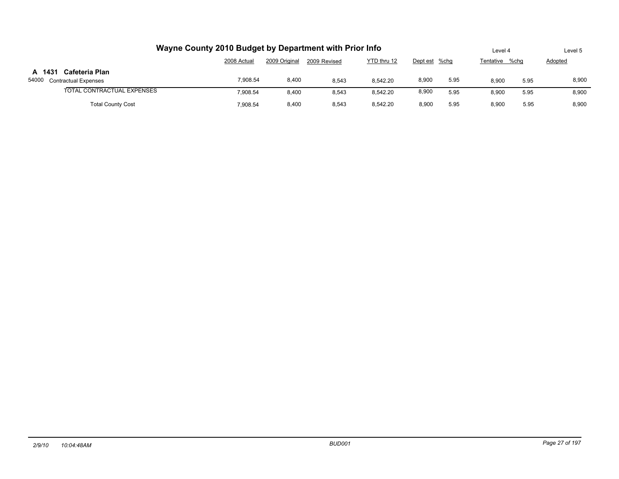| Wayne County 2010 Budget by Department with Prior Info | Level 4     |               | Level 5      |             |               |      |           |      |         |
|--------------------------------------------------------|-------------|---------------|--------------|-------------|---------------|------|-----------|------|---------|
|                                                        | 2008 Actual | 2009 Original | 2009 Revised | YTD thru 12 | Dept est %chq |      | Tentative | %cha | Adopted |
| A 1431<br>Cafeteria Plan<br>54000 Contractual Expenses | 7.908.54    | 8,400         | 8,543        | 8.542.20    | 8,900         | 5.95 | 8,900     | 5.95 | 8,900   |
| TOTAL CONTRACTUAL EXPENSES                             | 7.908.54    | 8,400         | 8,543        | 8,542.20    | 8,900         | 5.95 | 8,900     | 5.95 | 8,900   |
| <b>Total County Cost</b>                               | 7.908.54    | 8,400         | 8,543        | 8.542.20    | 8,900         | 5.95 | 8,900     | 5.95 | 8,900   |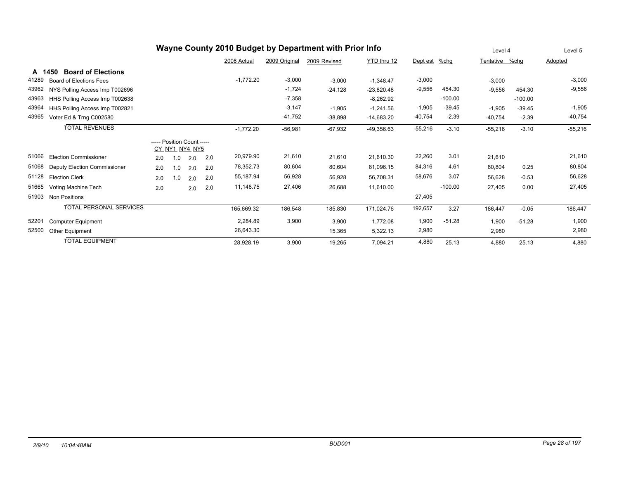| Wayne County 2010 Budget by Department with Prior Info |                                     |                            |                |     |     |             |               |              |              |               |           | Level 4        |           | Level 5   |
|--------------------------------------------------------|-------------------------------------|----------------------------|----------------|-----|-----|-------------|---------------|--------------|--------------|---------------|-----------|----------------|-----------|-----------|
|                                                        |                                     |                            |                |     |     | 2008 Actual | 2009 Original | 2009 Revised | YTD thru 12  | Dept est %chg |           | Tentative %chg |           | Adopted   |
|                                                        | <b>Board of Elections</b><br>A 1450 |                            |                |     |     |             |               |              |              |               |           |                |           |           |
| 41289                                                  | <b>Board of Elections Fees</b>      |                            |                |     |     | $-1,772.20$ | $-3,000$      | $-3,000$     | $-1,348.47$  | $-3,000$      |           | $-3,000$       |           | $-3,000$  |
| 43962                                                  | NYS Polling Access Imp T002696      |                            |                |     |     |             | $-1,724$      | $-24,128$    | $-23,820.48$ | $-9,556$      | 454.30    | $-9,556$       | 454.30    | $-9,556$  |
| 43963                                                  | HHS Polling Access Imp T002638      |                            |                |     |     |             | $-7,358$      |              | $-8,262.92$  |               | $-100.00$ |                | $-100.00$ |           |
| 43964                                                  | HHS Polling Access Imp T002821      |                            |                |     |     |             | $-3,147$      | $-1,905$     | $-1,241.56$  | $-1,905$      | $-39.45$  | $-1,905$       | $-39.45$  | $-1,905$  |
| 43965                                                  | Voter Ed & Trng C002580             |                            |                |     |     |             | $-41,752$     | $-38,898$    | $-14,683.20$ | $-40,754$     | $-2.39$   | $-40,754$      | $-2.39$   | $-40,754$ |
|                                                        | <b>TOTAL REVENUES</b>               |                            |                |     |     | $-1,772.20$ | $-56,981$     | $-67,932$    | $-49,356.63$ | $-55,216$     | $-3.10$   | $-55,216$      | $-3.10$   | $-55,216$ |
|                                                        |                                     | ----- Position Count ----- | CY NY1 NY4 NY5 |     |     |             |               |              |              |               |           |                |           |           |
| 51066                                                  | <b>Election Commissioner</b>        | 2.0                        | 1.0            | 2.0 | 2.0 | 20,979.90   | 21,610        | 21,610       | 21,610.30    | 22,260        | 3.01      | 21,610         |           | 21,610    |
| 51068                                                  | Deputy Election Commissioner        | 2.0                        | 1.0            | 2.0 | 2.0 | 78,352.73   | 80,604        | 80,604       | 81,096.15    | 84,316        | 4.61      | 80,804         | 0.25      | 80,804    |
| 51128                                                  | <b>Election Clerk</b>               | 2.0                        | 1.0            | 2.0 | 2.0 | 55,187.94   | 56,928        | 56,928       | 56,708.31    | 58,676        | 3.07      | 56,628         | $-0.53$   | 56,628    |
| 51665                                                  | Voting Machine Tech                 | 2.0                        |                | 2.0 | 2.0 | 11,148.75   | 27,406        | 26,688       | 11,610.00    |               | $-100.00$ | 27,405         | 0.00      | 27,405    |
| 51903                                                  | <b>Non Positions</b>                |                            |                |     |     |             |               |              |              | 27,405        |           |                |           |           |
|                                                        | <b>TOTAL PERSONAL SERVICES</b>      |                            |                |     |     | 165,669.32  | 186,548       | 185,830      | 171,024.76   | 192,657       | 3.27      | 186,447        | $-0.05$   | 186,447   |
| 52201                                                  | <b>Computer Equipment</b>           |                            |                |     |     | 2,284.89    | 3,900         | 3,900        | 1,772.08     | 1,900         | $-51.28$  | 1,900          | $-51.28$  | 1,900     |
| 52500                                                  | Other Equipment                     |                            |                |     |     | 26,643.30   |               | 15,365       | 5,322.13     | 2,980         |           | 2,980          |           | 2,980     |
|                                                        | <b>TOTAL EQUIPMENT</b>              |                            |                |     |     | 28,928.19   | 3,900         | 19,265       | 7,094.21     | 4.880         | 25.13     | 4,880          | 25.13     | 4,880     |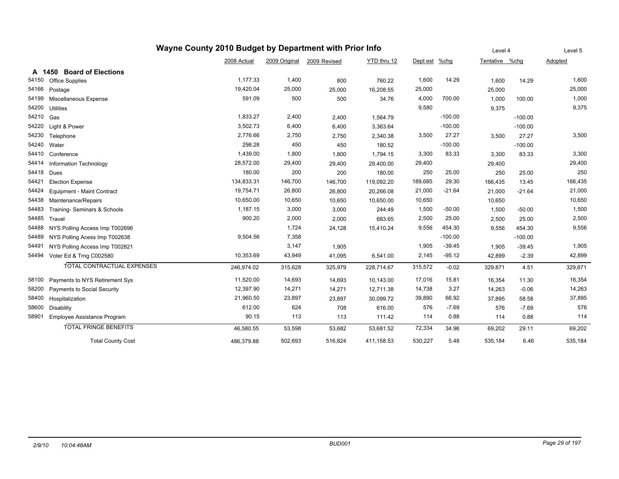|        | Wayne County 2010 Budget by Department with Prior Info |             | Level 4       |              | Level 5     |          |           |                |           |         |
|--------|--------------------------------------------------------|-------------|---------------|--------------|-------------|----------|-----------|----------------|-----------|---------|
|        |                                                        | 2008 Actual | 2009 Original | 2009 Revised | YTD thru 12 | Dept est | $%$ chg   | Tentative %chg |           | Adopted |
| A 1450 | <b>Board of Elections</b>                              |             |               |              |             |          |           |                |           |         |
| 54150  | <b>Office Supplies</b>                                 | 1,177.33    | 1,400         | 800          | 760.22      | 1,600    | 14.29     | 1,600          | 14.29     | 1,600   |
| 54166  | Postage                                                | 19,420.04   | 25,000        | 25,000       | 16,208.55   | 25,000   |           | 25,000         |           | 25,000  |
| 54199  | Miscellaneous Expense                                  | 591.09      | 500           | 500          | 34.76       | 4,000    | 700.00    | 1,000          | 100.00    | 1,000   |
| 54200  | <b>Utilities</b>                                       |             |               |              |             | 9,580    |           | 9,375          |           | 9,375   |
| 54210  | Gas                                                    | 1,833.27    | 2,400         | 2,400        | 1,564.79    |          | $-100.00$ |                | $-100.00$ |         |
| 54220  | Light & Power                                          | 3,502.73    | 6,400         | 6,400        | 3,363.64    |          | $-100.00$ |                | $-100.00$ |         |
| 54230  | Telephone                                              | 2,776.66    | 2,750         | 2,750        | 2,340.38    | 3,500    | 27.27     | 3,500          | 27.27     | 3,500   |
| 54240  | Water                                                  | 298.28      | 450           | 450          | 180.52      |          | $-100.00$ |                | $-100.00$ |         |
| 54410  | Conference                                             | 1,439.00    | 1,800         | 1,800        | 1,794.15    | 3,300    | 83.33     | 3,300          | 83.33     | 3,300   |
| 54414  | Information Technology                                 | 28,572.00   | 29,400        | 29,400       | 29,400.00   | 29,400   |           | 29,400         |           | 29,400  |
| 54418  | Dues                                                   | 180.00      | 200           | 200          | 180.00      | 250      | 25.00     | 250            | 25.00     | 250     |
| 54421  | <b>Election Expense</b>                                | 134,833.31  | 146,700       | 146,700      | 119,092.20  | 189,685  | 29.30     | 166,435        | 13.45     | 166,435 |
| 54424  | Equipment - Maint Contract                             | 19,754.71   | 26,800        | 26,800       | 20,266.08   | 21,000   | $-21.64$  | 21,000         | $-21.64$  | 21,000  |
| 54438  | Maintenance/Repairs                                    | 10,650.00   | 10,650        | 10,650       | 10,650.00   | 10,650   |           | 10,650         |           | 10,650  |
| 54483  | Training- Seminars & Schools                           | 1,187.15    | 3,000         | 3,000        | 244.49      | 1,500    | $-50.00$  | 1,500          | $-50.00$  | 1,500   |
| 54485  | Travel                                                 | 900.20      | 2,000         | 2,000        | 683.65      | 2,500    | 25.00     | 2,500          | 25.00     | 2,500   |
| 54488  | NYS Polling Access Imp T002696                         |             | 1,724         | 24,128       | 15,410.24   | 9,556    | 454.30    | 9,556          | 454.30    | 9,556   |
| 54489  | NYS Polling Acess Imp T002638                          | 9,504.56    | 7,358         |              |             |          | $-100.00$ |                | $-100.00$ |         |
| 54491  | NYS Polling Access Imp T002821                         |             | 3,147         | 1,905        |             | 1,905    | $-39.45$  | 1,905          | $-39.45$  | 1,905   |
| 54494  | Voter Ed & Trng C002580                                | 10,353.69   | 43,949        | 41,095       | 6,541.00    | 2,145    | $-95.12$  | 42,899         | $-2.39$   | 42,899  |
|        | TOTAL CONTRACTUAL EXPENSES                             | 246,974.02  | 315,628       | 325,979      | 228,714.67  | 315,572  | $-0.02$   | 329,871        | 4.51      | 329,871 |
| 58100  | Payments to NYS Retirement Sys                         | 11,520.00   | 14,693        | 14,693       | 10,143.00   | 17,016   | 15.81     | 16,354         | 11.30     | 16,354  |
| 58200  | Payments to Social Security                            | 12,397.90   | 14,271        | 14,271       | 12,711.38   | 14,738   | 3.27      | 14,263         | $-0.06$   | 14,263  |
| 58400  | Hospitalization                                        | 21,960.50   | 23,897        | 23,897       | 30,099.72   | 39,890   | 66.92     | 37,895         | 58.58     | 37,895  |
| 58600  | Disability                                             | 612.00      | 624           | 708          | 616.00      | 576      | $-7.69$   | 576            | $-7.69$   | 576     |
| 58901  | Employee Assistance Program                            | 90.15       | 113           | 113          | 111.42      | 114      | 0.88      | 114            | 0.88      | 114     |
|        | <b>TOTAL FRINGE BENEFITS</b>                           | 46,580.55   | 53,598        | 53,682       | 53,681.52   | 72,334   | 34.96     | 69,202         | 29.11     | 69,202  |
|        | <b>Total County Cost</b>                               | 486,379.88  | 502,693       | 516,824      | 411,158.53  | 530,227  | 5.48      | 535,184        | 6.46      | 535,184 |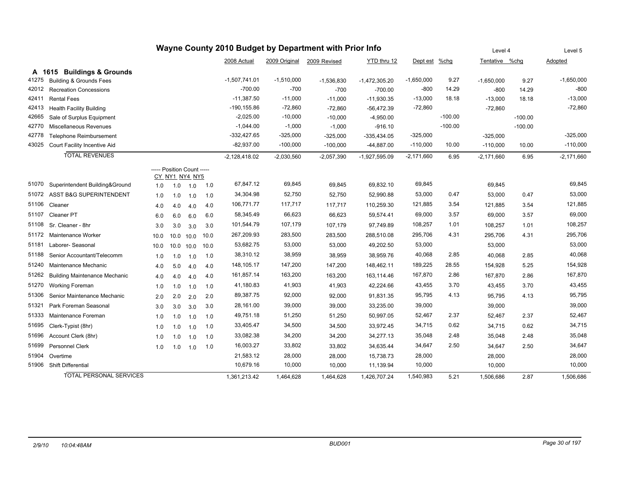| Wayne County 2010 Budget by Department with Prior Info |                                                                                                                                                 |                            |                |      |      |                 |               |              | Level 4         |              | Level 5   |                |           |              |
|--------------------------------------------------------|-------------------------------------------------------------------------------------------------------------------------------------------------|----------------------------|----------------|------|------|-----------------|---------------|--------------|-----------------|--------------|-----------|----------------|-----------|--------------|
|                                                        |                                                                                                                                                 |                            |                |      |      | 2008 Actual     | 2009 Original | 2009 Revised | YTD thru 12     | Dept est     | $%$ chg   | Tentative %chg |           | Adopted      |
| A 1615                                                 | <b>Buildings &amp; Grounds</b>                                                                                                                  |                            |                |      |      |                 |               |              |                 |              |           |                |           |              |
| 41275                                                  | <b>Building &amp; Grounds Fees</b>                                                                                                              |                            |                |      |      | $-1,507,741.01$ | $-1,510,000$  | $-1,536,830$ | $-1,472,305.20$ | $-1,650,000$ | 9.27      | $-1,650,000$   | 9.27      | $-1,650,000$ |
| 42012                                                  | <b>Recreation Concessions</b>                                                                                                                   |                            |                |      |      | $-700.00$       | $-700$        | -700         | -700.00         | $-800$       | 14.29     | $-800$         | 14.29     | $-800$       |
| 42411                                                  | <b>Rental Fees</b>                                                                                                                              |                            |                |      |      | $-11,387.50$    | $-11,000$     | $-11,000$    | $-11,930.35$    | $-13,000$    | 18.18     | $-13,000$      | 18.18     | $-13,000$    |
| 42413                                                  | <b>Health Facility Building</b>                                                                                                                 |                            |                |      |      | -190,155.86     | $-72,860$     | $-72,860$    | $-56,472.39$    | $-72,860$    |           | $-72,860$      |           | $-72,860$    |
| 42665                                                  | Sale of Surplus Equipment                                                                                                                       |                            |                |      |      | $-2,025.00$     | $-10,000$     | $-10,000$    | $-4,950.00$     |              | $-100.00$ |                | $-100.00$ |              |
| 42770                                                  | Miscellaneous Revenues                                                                                                                          |                            |                |      |      | $-1,044.00$     | $-1,000$      | $-1,000$     | $-916.10$       |              | $-100.00$ |                | $-100.00$ |              |
| 42778                                                  | <b>Telephone Reimbursement</b>                                                                                                                  |                            |                |      |      | $-332,427.65$   | $-325,000$    | $-325,000$   | $-335,434.05$   | $-325,000$   |           | $-325,000$     |           | $-325,000$   |
| 43025                                                  | Court Facility Incentive Aid                                                                                                                    |                            |                |      |      | $-82,937.00$    | $-100,000$    | $-100,000$   | $-44,887.00$    | $-110,000$   | 10.00     | $-110,000$     | 10.00     | $-110,000$   |
|                                                        | <b>TOTAL REVENUES</b>                                                                                                                           |                            |                |      |      | $-2,128,418.02$ | $-2,030,560$  | $-2,057,390$ | $-1,927,595.09$ | $-2,171,660$ | 6.95      | $-2.171.660$   | 6.95      | $-2,171,660$ |
|                                                        |                                                                                                                                                 | ----- Position Count ----- |                |      |      |                 |               |              |                 |              |           |                |           |              |
|                                                        |                                                                                                                                                 |                            | CY_NY1_NY4_NY5 |      |      | 67,847.12       | 69,845        |              |                 | 69,845       |           |                |           | 69,845       |
| 51070                                                  | Superintendent Building&Ground                                                                                                                  | 1.0                        | 1.0            | 1.0  | 1.0  |                 |               | 69,845       | 69,832.10       |              |           | 69,845         |           |              |
| 51072                                                  | <b>ASST B&amp;G SUPERINTENDENT</b>                                                                                                              | 1.0                        | 1.0            | 1.0  | 1.0  | 34,304.98       | 52,750        | 52,750       | 52,990.88       | 53,000       | 0.47      | 53.000         | 0.47      | 53,000       |
| 51106                                                  | Cleaner                                                                                                                                         | 4.0                        | 4.0            | 4.0  | 4.0  | 106,771.77      | 117,717       | 117,717      | 110,259.30      | 121,885      | 3.54      | 121,885        | 3.54      | 121,885      |
| 51107                                                  | Cleaner PT                                                                                                                                      | 6.0                        | 6.0            | 6.0  | 6.0  | 58,345.49       | 66,623        | 66,623       | 59,574.41       | 69,000       | 3.57      | 69,000         | 3.57      | 69,000       |
| 51108                                                  | Sr. Cleaner - 8hr                                                                                                                               | 3.0                        | 3.0            | 3.0  | 3.0  | 101,544.79      | 107,179       | 107,179      | 97,749.89       | 108,257      | 1.01      | 108,257        | 1.01      | 108,257      |
| 51172                                                  | Maintenance Worker                                                                                                                              | 10.0                       | 10.0           | 10.0 | 10.0 | 267,209.93      | 283,500       | 283,500      | 288,510.08      | 295,706      | 4.31      | 295,706        | 4.31      | 295,706      |
| 51181                                                  | Laborer- Seasonal                                                                                                                               | 10.0                       | 10.0           | 10.0 | 10.0 | 53,682.75       | 53,000        | 53,000       | 49,202.50       | 53,000       |           | 53,000         |           | 53,000       |
| 51188                                                  | Senior Accountant/Telecomm                                                                                                                      | 1.0                        | 1.0            | 1.0  | 1.0  | 38,310.12       | 38,959        | 38,959       | 38,959.76       | 40,068       | 2.85      | 40,068         | 2.85      | 40,068       |
| 51240                                                  | Maintenance Mechanic                                                                                                                            | 4.0                        | 5.0            | 4.0  | 4.0  | 148,105.17      | 147,200       | 147,200      | 148,462.11      | 189,225      | 28.55     | 154,928        | 5.25      | 154,928      |
| 51262                                                  | <b>Building Maintenance Mechanic</b>                                                                                                            | 4.0                        | 4.0            | 4.0  | 4.0  | 161,857.14      | 163,200       | 163,200      | 163,114.46      | 167,870      | 2.86      | 167,870        | 2.86      | 167,870      |
| 51270                                                  | Working Foreman                                                                                                                                 | 1.0                        | 1.0            | 1.0  | 1.0  | 41,180.83       | 41,903        | 41,903       | 42,224.66       | 43,455       | 3.70      | 43,455         | 3.70      | 43,455       |
| 51306                                                  | Senior Maintenance Mechanic                                                                                                                     | 2.0                        | 2.0            | 2.0  | 2.0  | 89,387.75       | 92,000        | 92,000       | 91,831.35       | 95,795       | 4.13      | 95,795         | 4.13      | 95,795       |
| 51321                                                  | Park Foreman Seasonal                                                                                                                           | 3.0                        | 3.0            | 3.0  | 3.0  | 28,161.00       | 39,000        | 39,000       | 33,235.00       | 39,000       |           | 39,000         |           | 39,000       |
| 51333                                                  | Maintenance Foreman                                                                                                                             | 1.0                        | 1.0            | 1.0  | 1.0  | 49,751.18       | 51,250        | 51,250       | 50,997.05       | 52,467       | 2.37      | 52,467         | 2.37      | 52,467       |
| 51695                                                  | Clerk-Typist (8hr)                                                                                                                              | 1.0                        | 1.0            | 1.0  | 1.0  | 33,405.47       | 34,500        | 34,500       | 33,972.45       | 34,715       | 0.62      | 34,715         | 0.62      | 34,715       |
| 51696                                                  | Account Clerk (8hr)                                                                                                                             | 1.0                        | 1.0            | 1.0  | 1.0  | 33,082.38       | 34,200        | 34,200       | 34,277.13       | 35,048       | 2.48      | 35,048         | 2.48      | 35,048       |
| 51699                                                  | Personnel Clerk                                                                                                                                 | 1.0                        | 1.0            | 1.0  | 1.0  | 16,003.27       | 33,802        | 33,802       | 34,635.44       | 34,647       | 2.50      | 34,647         | 2.50      | 34,647       |
| 51904                                                  | Overtime                                                                                                                                        |                            |                |      |      | 21,583.12       | 28,000        | 28,000       | 15,738.73       | 28,000       |           | 28,000         |           | 28,000       |
| 51906                                                  | <b>Shift Differential</b>                                                                                                                       |                            |                |      |      | 10,679.16       | 10,000        | 10,000       | 11,139.94       | 10,000       |           | 10,000         |           | 10,000       |
|                                                        | <b>TOTAL PERSONAL SERVICES</b><br>1,540,983<br>1,361,213.42<br>1,464,628<br>1,464,628<br>1,426,707.24<br>5.21<br>1,506,686<br>2.87<br>1,506,686 |                            |                |      |      |                 |               |              |                 |              |           |                |           |              |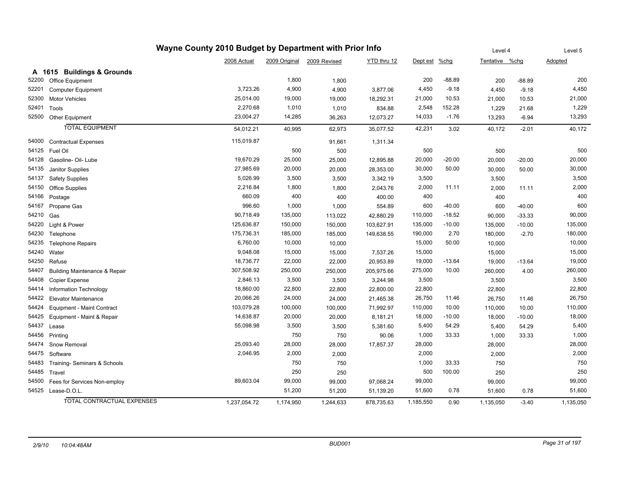| Wayne County 2010 Budget by Department with Prior Info |                                          |              |               |              |             |           |          |                | Level 4  |           |
|--------------------------------------------------------|------------------------------------------|--------------|---------------|--------------|-------------|-----------|----------|----------------|----------|-----------|
|                                                        |                                          | 2008 Actual  | 2009 Original | 2009 Revised | YTD thru 12 | Dept est  | $%$ chg  | Tentative %chg |          | Adopted   |
|                                                        | A 1615 Buildings & Grounds               |              |               |              |             |           |          |                |          |           |
| 52200                                                  | Office Equipment                         |              | 1,800         | 1,800        |             | 200       | $-88.89$ | 200            | $-88.89$ | 200       |
| 52201                                                  | <b>Computer Equipment</b>                | 3,723.26     | 4,900         | 4,900        | 3,877.06    | 4,450     | $-9.18$  | 4,450          | $-9.18$  | 4,450     |
| 52300                                                  | <b>Motor Vehicles</b>                    | 25,014.00    | 19,000        | 19,000       | 18,292.31   | 21,000    | 10.53    | 21,000         | 10.53    | 21,000    |
| 52401                                                  | Tools                                    | 2,270.68     | 1,010         | 1,010        | 834.88      | 2,548     | 152.28   | 1,229          | 21.68    | 1,229     |
| 52500                                                  | Other Equipment                          | 23,004.27    | 14,285        | 36,263       | 12,073.27   | 14,033    | $-1.76$  | 13,293         | $-6.94$  | 13,293    |
|                                                        | <b>TOTAL EQUIPMENT</b>                   | 54,012.21    | 40,995        | 62,973       | 35,077.52   | 42,231    | 3.02     | 40,172         | $-2.01$  | 40,172    |
| 54000                                                  | <b>Contractual Expenses</b>              | 115,019.87   |               | 91,661       | 1,311.34    |           |          |                |          |           |
| 54125                                                  | Fuel Oil                                 |              | 500           | 500          |             | 500       |          | 500            |          | 500       |
| 54128                                                  | Gasoline- Oil- Lube                      | 19,670.29    | 25,000        | 25,000       | 12,895.88   | 20,000    | $-20.00$ | 20,000         | $-20.00$ | 20,000    |
| 54135                                                  | Janitor Supplies                         | 27,985.69    | 20,000        | 20,000       | 28,353.00   | 30,000    | 50.00    | 30,000         | 50.00    | 30,000    |
| 54137                                                  | <b>Safety Supplies</b>                   | 5,026.99     | 3,500         | 3,500        | 3,342.19    | 3,500     |          | 3,500          |          | 3,500     |
| 54150                                                  | Office Supplies                          | 2,216.84     | 1,800         | 1,800        | 2,043.76    | 2,000     | 11.11    | 2,000          | 11.11    | 2,000     |
| 54166                                                  | Postage                                  | 660.09       | 400           | 400          | 400.00      | 400       |          | 400            |          | 400       |
| 54167                                                  | Propane Gas                              | 996.60       | 1,000         | 1,000        | 554.89      | 600       | $-40.00$ | 600            | $-40.00$ | 600       |
| 54210                                                  | Gas                                      | 90,718.49    | 135,000       | 113,022      | 42,880.29   | 110,000   | $-18.52$ | 90,000         | $-33.33$ | 90,000    |
| 54220                                                  | Light & Power                            | 125,636.87   | 150,000       | 150,000      | 103,627.91  | 135,000   | $-10.00$ | 135,000        | $-10.00$ | 135,000   |
| 54230                                                  | Telephone                                | 175,736.31   | 185,000       | 185,000      | 149,638.55  | 190,000   | 2.70     | 180,000        | $-2.70$  | 180,000   |
| 54235                                                  | <b>Telephone Repairs</b>                 | 6,760.00     | 10,000        | 10,000       |             | 15,000    | 50.00    | 10,000         |          | 10,000    |
| 54240                                                  | Water                                    | 9,048.08     | 15,000        | 15,000       | 7,537.26    | 15,000    |          | 15,000         |          | 15,000    |
| 54250                                                  | Refuse                                   | 18,736.77    | 22,000        | 22,000       | 20,953.89   | 19,000    | $-13.64$ | 19,000         | $-13.64$ | 19,000    |
| 54407                                                  | <b>Building Maintenance &amp; Repair</b> | 307,508.92   | 250,000       | 250,000      | 205,975.66  | 275,000   | 10.00    | 260,000        | 4.00     | 260,000   |
| 54408                                                  | Copier Expense                           | 2,846.13     | 3,500         | 3,500        | 3,244.98    | 3,500     |          | 3,500          |          | 3,500     |
| 54414                                                  | Information Technology                   | 18,860.00    | 22,800        | 22,800       | 22,800.00   | 22,800    |          | 22,800         |          | 22,800    |
| 54422                                                  | <b>Elevator Maintenance</b>              | 20,066.26    | 24,000        | 24,000       | 21,465.38   | 26,750    | 11.46    | 26,750         | 11.46    | 26,750    |
| 54424                                                  | Equipment - Maint Contract               | 103,079.28   | 100,000       | 100,000      | 71,992.97   | 110,000   | 10.00    | 110,000        | 10.00    | 110,000   |
| 54425                                                  | Equipment - Maint & Repair               | 14,638.87    | 20,000        | 20,000       | 8,181.21    | 18,000    | $-10.00$ | 18,000         | $-10.00$ | 18,000    |
| 54437                                                  | Lease                                    | 55,098.98    | 3,500         | 3,500        | 5,381.60    | 5,400     | 54.29    | 5,400          | 54.29    | 5,400     |
| 54456                                                  | Printing                                 |              | 750           | 750          | 90.06       | 1,000     | 33.33    | 1,000          | 33.33    | 1,000     |
| 54474                                                  | Snow Removal                             | 25,093.40    | 28,000        | 28,000       | 17,857.37   | 28,000    |          | 28,000         |          | 28,000    |
| 54475                                                  | Software                                 | 2,046.95     | 2,000         | 2,000        |             | 2,000     |          | 2,000          |          | 2,000     |
| 54483                                                  | Training-Seminars & Schools              |              | 750           | 750          |             | 1,000     | 33.33    | 750            |          | 750       |
| 54485                                                  | Travel                                   |              | 250           | 250          |             | 500       | 100.00   | 250            |          | 250       |
| 54500                                                  | Fees for Services Non-employ             | 89,603.04    | 99,000        | 99,000       | 97,068.24   | 99,000    |          | 99,000         |          | 99,000    |
|                                                        | 54525 Lease-D.O.L.                       |              | 51,200        | 51,200       | 51,139.20   | 51,600    | 0.78     | 51,600         | 0.78     | 51,600    |
|                                                        | <b>TOTAL CONTRACTUAL EXPENSES</b>        | 1,237,054.72 | 1,174,950     | 1,244,633    | 878,735.63  | 1,185,550 | 0.90     | 1,135,050      | $-3.40$  | 1,135,050 |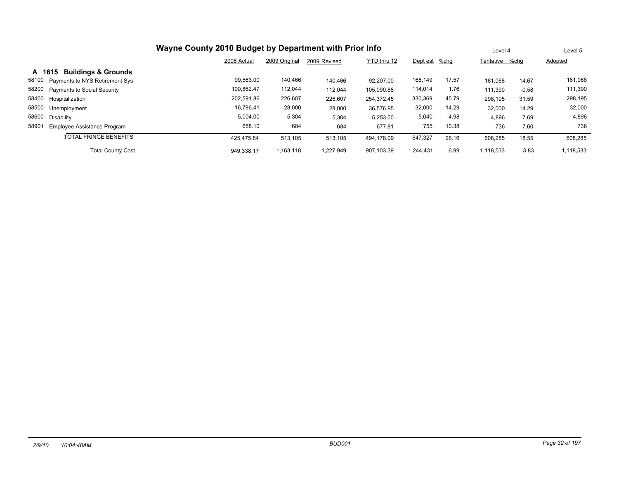| Wayne County 2010 Budget by Department with Prior Info |                                   |             |               |              |             |               |         |                | Level 4 | Level 5   |  |
|--------------------------------------------------------|-----------------------------------|-------------|---------------|--------------|-------------|---------------|---------|----------------|---------|-----------|--|
|                                                        |                                   | 2008 Actual | 2009 Original | 2009 Revised | YTD thru 12 | Dept est %chg |         | Tentative %chq |         | Adopted   |  |
| A 1615                                                 | <b>Buildings &amp; Grounds</b>    |             |               |              |             |               |         |                |         |           |  |
| 58100                                                  | Payments to NYS Retirement Sys    | 99,563.00   | 140,466       | 140,466      | 92.207.00   | 165,149       | 17.57   | 161,068        | 14.67   | 161,068   |  |
|                                                        | 58200 Payments to Social Security | 100,862.47  | 112,044       | 112,044      | 105,090.88  | 114,014       | 1.76    | 111,390        | $-0.58$ | 111,390   |  |
| 58400 Hospitalization                                  |                                   | 202,591.86  | 226,607       | 226,607      | 254.372.45  | 330,369       | 45.79   | 298,195        | 31.59   | 298,195   |  |
| 58500                                                  | Unemployment                      | 16.796.41   | 28,000        | 28,000       | 36.576.95   | 32,000        | 14.29   | 32,000         | 14.29   | 32,000    |  |
| 58600<br>Disability                                    |                                   | 5,004.00    | 5,304         | 5,304        | 5,253.00    | 5,040         | $-4.98$ | 4,896          | $-7.69$ | 4,896     |  |
| 58901                                                  | Employee Assistance Program       | 658.10      | 684           | 684          | 677.81      | 755           | 10.38   | 736            | 7.60    | 736       |  |
|                                                        | <b>TOTAL FRINGE BENEFITS</b>      | 425.475.84  | 513,105       | 513,105      | 494.178.09  | 647,327       | 26.16   | 608,285        | 18.55   | 608,285   |  |
|                                                        | <b>Total County Cost</b>          | 949.338.17  | 1,163,118     | 1.227.949    | 907.103.39  | 1.244.431     | 6.99    | 1,118,533      | $-3.83$ | 1,118,533 |  |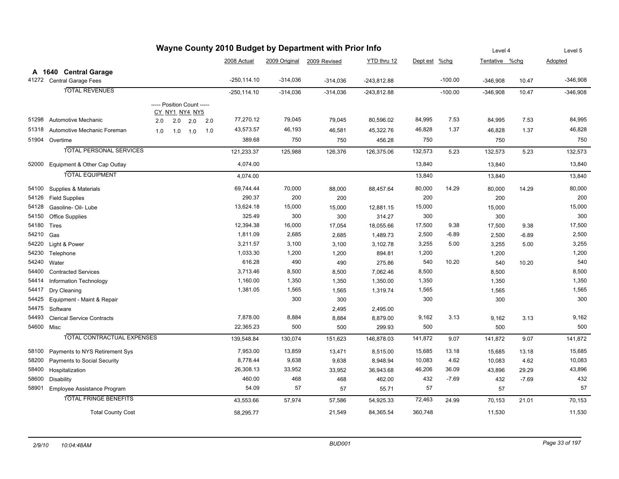|            | Wayne County 2010 Budget by Department with Prior Info |     |                            |     |                |            | Level 4                    | Level 5       |          |           |                |         |            |
|------------|--------------------------------------------------------|-----|----------------------------|-----|----------------|------------|----------------------------|---------------|----------|-----------|----------------|---------|------------|
|            |                                                        |     |                            |     | 2008 Actual    |            | 2009 Original 2009 Revised | YTD thru 12   | Dept est | $%$ chg   | Tentative %chg |         | Adopted    |
|            | A 1640 Central Garage                                  |     |                            |     |                |            |                            |               |          |           |                |         |            |
| 41272      | <b>Central Garage Fees</b>                             |     |                            |     | $-250, 114.10$ | $-314,036$ | $-314,036$                 | $-243,812.88$ |          | $-100.00$ | $-346,908$     | 10.47   | $-346,908$ |
|            | <b>TOTAL REVENUES</b>                                  |     |                            |     | $-250, 114.10$ | $-314,036$ | $-314,036$                 | $-243,812.88$ |          | $-100.00$ | $-346,908$     | 10.47   | $-346,908$ |
|            |                                                        |     | ----- Position Count ----- |     |                |            |                            |               |          |           |                |         |            |
|            |                                                        |     | CY_NY1_NY4_NY5             |     |                |            |                            |               |          |           |                |         |            |
| 51298      | <b>Automotive Mechanic</b>                             | 2.0 | 2.0<br>2.0                 | 2.0 | 77,270.12      | 79,045     | 79,045                     | 80,596.02     | 84,995   | 7.53      | 84,995         | 7.53    | 84,995     |
| 51318      | Automotive Mechanic Foreman                            | 1.0 | 1.0<br>1.0                 | 1.0 | 43,573.57      | 46,193     | 46,581                     | 45,322.76     | 46,828   | 1.37      | 46,828         | 1.37    | 46,828     |
|            | 51904 Overtime                                         |     |                            |     | 389.68         | 750        | 750                        | 456.28        | 750      |           | 750            |         | 750        |
|            | <b>TOTAL PERSONAL SERVICES</b>                         |     |                            |     | 121,233.37     | 125,988    | 126,376                    | 126,375.06    | 132,573  | 5.23      | 132,573        | 5.23    | 132,573    |
| 52000      | Equipment & Other Cap Outlay                           |     |                            |     | 4,074.00       |            |                            |               | 13,840   |           | 13,840         |         | 13,840     |
|            | <b>TOTAL EQUIPMENT</b>                                 |     |                            |     | 4,074.00       |            |                            |               | 13,840   |           | 13,840         |         | 13,840     |
|            |                                                        |     |                            |     |                |            |                            |               |          |           |                |         |            |
| 54100      | Supplies & Materials                                   |     |                            |     | 69,744.44      | 70,000     | 88,000                     | 88,457.64     | 80,000   | 14.29     | 80,000         | 14.29   | 80,000     |
| 54126      | <b>Field Supplies</b>                                  |     |                            |     | 290.37         | 200        | 200                        |               | 200      |           | 200            |         | 200        |
| 54128      | Gasoline- Oil- Lube                                    |     |                            |     | 13,624.18      | 15,000     | 15,000                     | 12,881.15     | 15,000   |           | 15,000         |         | 15,000     |
| 54150      | Office Supplies                                        |     |                            |     | 325.49         | 300        | 300                        | 314.27        | 300      |           | 300            |         | 300        |
| 54180      | Tires                                                  |     |                            |     | 12,394.38      | 16,000     | 17,054                     | 18,055.66     | 17,500   | 9.38      | 17,500         | 9.38    | 17,500     |
| 54210      | Gas                                                    |     |                            |     | 1,811.09       | 2,685      | 2,685                      | 1,489.73      | 2,500    | $-6.89$   | 2,500          | $-6.89$ | 2,500      |
| 54220      | Light & Power                                          |     |                            |     | 3,211.57       | 3,100      | 3,100                      | 3,102.78      | 3,255    | 5.00      | 3,255          | 5.00    | 3,255      |
| 54230      | Telephone                                              |     |                            |     | 1,033.30       | 1,200      | 1,200                      | 894.81        | 1,200    |           | 1,200          |         | 1,200      |
| 54240      | Water                                                  |     |                            |     | 616.28         | 490        | 490                        | 275.86        | 540      | 10.20     | 540            | 10.20   | 540        |
| 54400      | <b>Contracted Services</b>                             |     |                            |     | 3,713.46       | 8,500      | 8,500                      | 7,062.46      | 8,500    |           | 8,500          |         | 8,500      |
| 54414      | Information Technology                                 |     |                            |     | 1,160.00       | 1,350      | 1,350                      | 1,350.00      | 1,350    |           | 1,350          |         | 1,350      |
| 54417      | Dry Cleaning                                           |     |                            |     | 1,381.05       | 1,565      | 1,565                      | 1,319.74      | 1,565    |           | 1,565          |         | 1,565      |
| 54425      | Equipment - Maint & Repair                             |     |                            |     |                | 300        | 300                        |               | 300      |           | 300            |         | 300        |
| 54475      | Software                                               |     |                            |     |                |            | 2,495                      | 2,495.00      |          |           |                |         |            |
| 54493      | <b>Clerical Service Contracts</b>                      |     |                            |     | 7,878.00       | 8,884      | 8,884                      | 8,879.00      | 9,162    | 3.13      | 9,162          | 3.13    | 9,162      |
| 54600 Misc |                                                        |     |                            |     | 22,365.23      | 500        | 500                        | 299.93        | 500      |           | 500            |         | 500        |
|            | TOTAL CONTRACTUAL EXPENSES                             |     |                            |     | 139,548.84     | 130,074    | 151,623                    | 146,878.03    | 141,872  | 9.07      | 141,872        | 9.07    | 141,872    |
| 58100      | Payments to NYS Retirement Sys                         |     |                            |     | 7,953.00       | 13,859     | 13,471                     | 8,515.00      | 15,685   | 13.18     | 15,685         | 13.18   | 15,685     |
| 58200      | <b>Payments to Social Security</b>                     |     |                            |     | 8,778.44       | 9,638      | 9,638                      | 8,948.94      | 10,083   | 4.62      | 10,083         | 4.62    | 10,083     |
| 58400      | Hospitalization                                        |     |                            |     | 26,308.13      | 33,952     | 33,952                     | 36,943.68     | 46,206   | 36.09     | 43,896         | 29.29   | 43,896     |
| 58600      | <b>Disability</b>                                      |     |                            |     | 460.00         | 468        | 468                        | 462.00        | 432      | $-7.69$   | 432            | $-7.69$ | 432        |
| 58901      | <b>Employee Assistance Program</b>                     |     |                            |     | 54.09          | 57         | 57                         | 55.71         | 57       |           | 57             |         | 57         |
|            | <b>TOTAL FRINGE BENEFITS</b>                           |     |                            |     | 43,553.66      | 57,974     | 57,586                     | 54,925.33     | 72,463   | 24.99     | 70,153         | 21.01   | 70,153     |
|            | <b>Total County Cost</b>                               |     |                            |     | 58,295.77      |            | 21,549                     | 84,365.54     | 360,748  |           | 11,530         |         | 11,530     |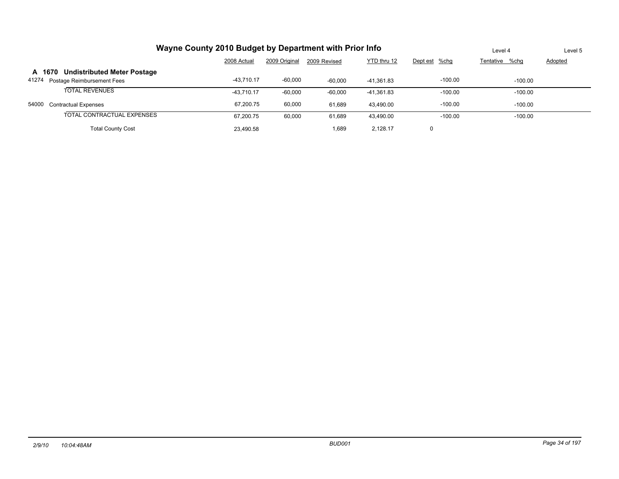| Wayne County 2010 Budget by Department with Prior Info |               | Level 4        | Level 5   |            |           |           |  |
|--------------------------------------------------------|---------------|----------------|-----------|------------|-----------|-----------|--|
|                                                        | Dept est %chg | Tentative %chg | Adopted   |            |           |           |  |
| <b>Undistributed Meter Postage</b><br>A 1670           |               |                |           |            |           |           |  |
| 41274<br>Postage Reimbursement Fees                    | $-43.710.17$  | $-60,000$      | $-60.000$ | -41.361.83 | $-100.00$ | $-100.00$ |  |
| <b>TOTAL REVENUES</b>                                  | $-43.710.17$  | $-60.000$      | $-60,000$ | -41,361.83 | $-100.00$ | $-100.00$ |  |
| 54000<br><b>Contractual Expenses</b>                   | 67.200.75     | 60,000         | 61.689    | 43.490.00  | $-100.00$ | $-100.00$ |  |
| TOTAL CONTRACTUAL EXPENSES                             | 67,200.75     | 60,000         | 61,689    | 43,490.00  | $-100.00$ | $-100.00$ |  |
| <b>Total County Cost</b>                               | 23.490.58     |                | 1,689     | 2.128.17   | 0         |           |  |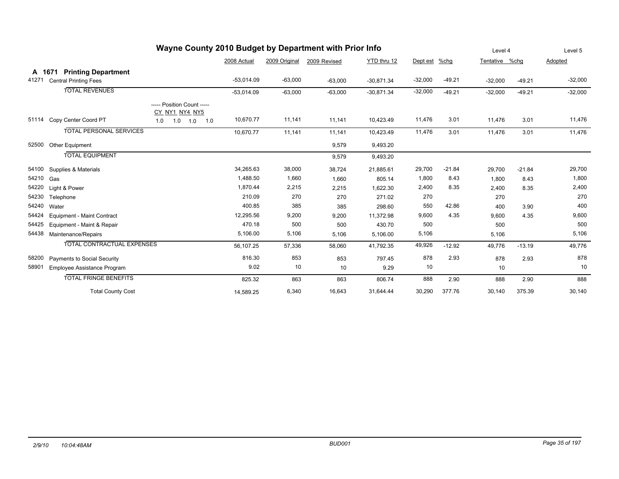| Wayne County 2010 Budget by Department with Prior Info |                                   |                                              |              |               |              |              |           |          |                | Level 4  |           |
|--------------------------------------------------------|-----------------------------------|----------------------------------------------|--------------|---------------|--------------|--------------|-----------|----------|----------------|----------|-----------|
|                                                        |                                   |                                              | 2008 Actual  | 2009 Original | 2009 Revised | YTD thru 12  | Dept est  | $%$ chg  | Tentative %chq |          | Adopted   |
|                                                        | A 1671 Printing Department        |                                              |              |               |              |              |           |          |                |          |           |
| 41271                                                  | <b>Central Printing Fees</b>      |                                              | $-53,014.09$ | $-63,000$     | $-63,000$    | $-30,871.34$ | $-32,000$ | $-49.21$ | $-32,000$      | $-49.21$ | $-32,000$ |
|                                                        | <b>TOTAL REVENUES</b>             |                                              | $-53,014.09$ | $-63,000$     | $-63,000$    | $-30,871.34$ | $-32,000$ | $-49.21$ | $-32,000$      | $-49.21$ | $-32,000$ |
|                                                        |                                   | ----- Position Count -----<br>CY_NY1_NY4_NY5 |              |               |              |              |           |          |                |          |           |
| 51114                                                  | Copy Center Coord PT              | 1.0<br>1.0<br>1.0<br>1.0                     | 10,670.77    | 11,141        | 11,141       | 10,423.49    | 11,476    | 3.01     | 11,476         | 3.01     | 11,476    |
|                                                        | <b>TOTAL PERSONAL SERVICES</b>    |                                              | 10,670.77    | 11,141        | 11,141       | 10,423.49    | 11,476    | 3.01     | 11,476         | 3.01     | 11,476    |
| 52500                                                  | Other Equipment                   |                                              |              |               | 9,579        | 9,493.20     |           |          |                |          |           |
|                                                        | <b>TOTAL EQUIPMENT</b>            |                                              |              |               | 9,579        | 9,493.20     |           |          |                |          |           |
| 54100                                                  | Supplies & Materials              |                                              | 34,265.63    | 38,000        | 38,724       | 21,885.61    | 29,700    | $-21.84$ | 29,700         | $-21.84$ | 29,700    |
| 54210                                                  | Gas                               |                                              | 1,488.50     | 1,660         | 1,660        | 805.14       | 1,800     | 8.43     | 1,800          | 8.43     | 1,800     |
| 54220                                                  | Light & Power                     |                                              | 1,870.44     | 2,215         | 2,215        | 1,622.30     | 2,400     | 8.35     | 2,400          | 8.35     | 2,400     |
| 54230                                                  | Telephone                         |                                              | 210.09       | 270           | 270          | 271.02       | 270       |          | 270            |          | 270       |
| 54240                                                  | Water                             |                                              | 400.85       | 385           | 385          | 298.60       | 550       | 42.86    | 400            | 3.90     | 400       |
| 54424                                                  | Equipment - Maint Contract        |                                              | 12,295.56    | 9,200         | 9,200        | 11,372.98    | 9,600     | 4.35     | 9,600          | 4.35     | 9,600     |
| 54425                                                  | Equipment - Maint & Repair        |                                              | 470.18       | 500           | 500          | 430.70       | 500       |          | 500            |          | 500       |
| 54438                                                  | Maintenance/Repairs               |                                              | 5,106.00     | 5,106         | 5,106        | 5,106.00     | 5,106     |          | 5,106          |          | 5,106     |
|                                                        | <b>TOTAL CONTRACTUAL EXPENSES</b> |                                              | 56,107.25    | 57,336        | 58,060       | 41,792.35    | 49,926    | $-12.92$ | 49,776         | $-13.19$ | 49,776    |
| 58200                                                  | Payments to Social Security       |                                              | 816.30       | 853           | 853          | 797.45       | 878       | 2.93     | 878            | 2.93     | 878       |
| 58901                                                  | Employee Assistance Program       |                                              | 9.02         | 10            | 10           | 9.29         | 10        |          | 10             |          | 10        |
|                                                        | <b>TOTAL FRINGE BENEFITS</b>      |                                              | 825.32       | 863           | 863          | 806.74       | 888       | 2.90     | 888            | 2.90     | 888       |
|                                                        | <b>Total County Cost</b>          |                                              | 14,589.25    | 6,340         | 16,643       | 31,644.44    | 30,290    | 377.76   | 30,140         | 375.39   | 30,140    |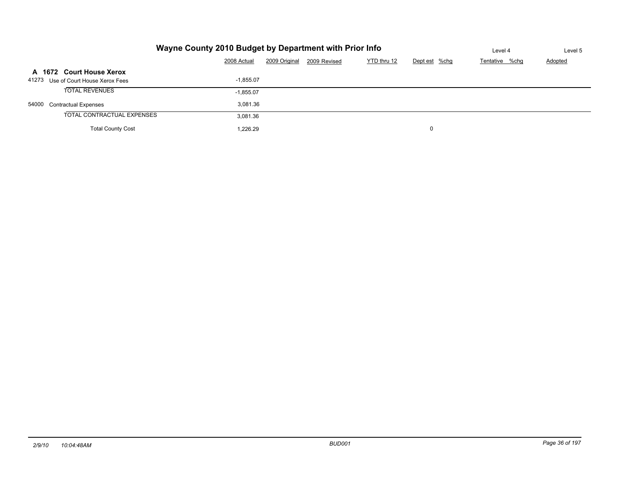|                                     | Wayne County 2010 Budget by Department with Prior Info |               |              |             |               |                |         |  |  |  |  |
|-------------------------------------|--------------------------------------------------------|---------------|--------------|-------------|---------------|----------------|---------|--|--|--|--|
|                                     | 2008 Actual                                            | 2009 Original | 2009 Revised | YTD thru 12 | Dept est %chg | Tentative %chg | Adopted |  |  |  |  |
| A 1672 Court House Xerox            |                                                        |               |              |             |               |                |         |  |  |  |  |
| 41273 Use of Court House Xerox Fees | $-1.855.07$                                            |               |              |             |               |                |         |  |  |  |  |
| <b>TOTAL REVENUES</b>               | $-1,855.07$                                            |               |              |             |               |                |         |  |  |  |  |
| 54000 Contractual Expenses          | 3.081.36                                               |               |              |             |               |                |         |  |  |  |  |
| TOTAL CONTRACTUAL EXPENSES          | 3.081.36                                               |               |              |             |               |                |         |  |  |  |  |
| <b>Total County Cost</b>            | 1.226.29                                               |               |              |             | 0             |                |         |  |  |  |  |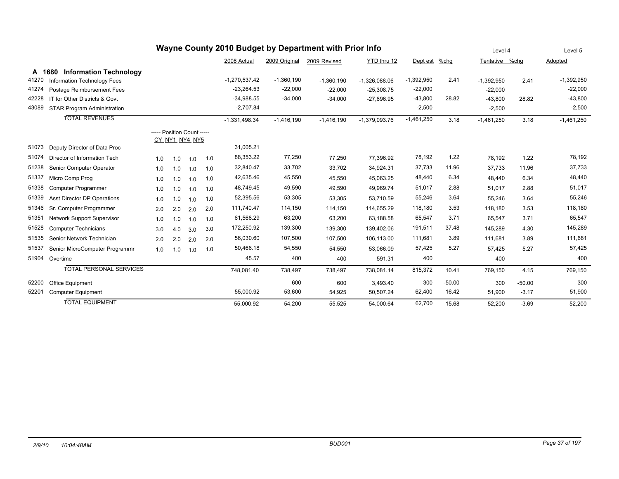| Wayne County 2010 Budget by Department with Prior Info |                                         |                            |     |                |     |                 |               |              |                 |              | Level 4  |                | Level 5  |              |
|--------------------------------------------------------|-----------------------------------------|----------------------------|-----|----------------|-----|-----------------|---------------|--------------|-----------------|--------------|----------|----------------|----------|--------------|
|                                                        |                                         |                            |     |                |     | 2008 Actual     | 2009 Original | 2009 Revised | YTD thru 12     | Dept est     | $%$ chg  | Tentative %chq |          | Adopted      |
|                                                        | <b>Information Technology</b><br>A 1680 |                            |     |                |     |                 |               |              |                 |              |          |                |          |              |
| 41270                                                  | Information Technology Fees             |                            |     |                |     | $-1,270,537.42$ | $-1,360,190$  | $-1,360,190$ | $-1,326,088.06$ | $-1,392,950$ | 2.41     | $-1,392,950$   | 2.41     | $-1,392,950$ |
| 41274                                                  | Postage Reimbursement Fees              |                            |     |                |     | $-23,264.53$    | $-22,000$     | $-22,000$    | $-25,308.75$    | $-22,000$    |          | $-22,000$      |          | $-22,000$    |
| 42228                                                  | IT for Other Districts & Govt           |                            |     |                |     | $-34,988.55$    | $-34,000$     | $-34,000$    | $-27,696.95$    | $-43,800$    | 28.82    | $-43,800$      | 28.82    | $-43,800$    |
| 43089                                                  | <b>STAR Program Administration</b>      |                            |     |                |     | $-2,707.84$     |               |              |                 | $-2,500$     |          | $-2,500$       |          | $-2,500$     |
|                                                        | <b>TOTAL REVENUES</b>                   |                            |     |                |     | $-1,331,498.34$ | $-1,416,190$  | $-1,416,190$ | $-1,379,093.76$ | $-1,461,250$ | 3.18     | $-1,461,250$   | 3.18     | $-1,461,250$ |
|                                                        |                                         | ----- Position Count ----- |     |                |     |                 |               |              |                 |              |          |                |          |              |
|                                                        |                                         |                            |     | CY NY1 NY4 NY5 |     |                 |               |              |                 |              |          |                |          |              |
| 51073                                                  | Deputy Director of Data Proc            |                            |     |                |     | 31,005.21       |               |              |                 |              |          |                |          |              |
| 51074                                                  | Director of Information Tech            | 1.0                        | 1.0 | 1.0            | 1.0 | 88,353.22       | 77,250        | 77,250       | 77,396.92       | 78,192       | 1.22     | 78,192         | 1.22     | 78,192       |
| 51238                                                  | Senior Computer Operator                | 1.0                        | 1.0 | 1.0            | 1.0 | 32,840.47       | 33,702        | 33,702       | 34,924.31       | 37,733       | 11.96    | 37,733         | 11.96    | 37,733       |
| 51337                                                  | Micro Comp Prog                         | 1.0                        | 1.0 | 1.0            | 1.0 | 42,635.46       | 45,550        | 45,550       | 45,063.25       | 48,440       | 6.34     | 48,440         | 6.34     | 48,440       |
| 51338                                                  | Computer Programmer                     | 1.0                        | 1.0 | 1.0            | 1.0 | 48,749.45       | 49,590        | 49,590       | 49,969.74       | 51,017       | 2.88     | 51,017         | 2.88     | 51,017       |
| 51339                                                  | <b>Asst Director DP Operations</b>      | 1.0                        | 1.0 | 1.0            | 1.0 | 52,395.56       | 53,305        | 53,305       | 53,710.59       | 55,246       | 3.64     | 55,246         | 3.64     | 55,246       |
| 51346                                                  | Sr. Computer Programmer                 | 2.0                        | 2.0 | 2.0            | 2.0 | 111,740.47      | 114,150       | 114,150      | 114,655.29      | 118,180      | 3.53     | 118,180        | 3.53     | 118,180      |
| 51351                                                  | Network Support Supervisor              | 1.0                        | 1.0 | 1.0            | 1.0 | 61,568.29       | 63,200        | 63,200       | 63,188.58       | 65,547       | 3.71     | 65,547         | 3.71     | 65,547       |
| 51528                                                  | <b>Computer Technicians</b>             | 3.0                        | 4.0 | 3.0            | 3.0 | 172,250.92      | 139,300       | 139,300      | 139,402.06      | 191,511      | 37.48    | 145.289        | 4.30     | 145,289      |
| 51535                                                  | Senior Network Technician               | 2.0                        | 2.0 | 2.0            | 2.0 | 56,030.60       | 107,500       | 107,500      | 106,113.00      | 111,681      | 3.89     | 111.681        | 3.89     | 111,681      |
| 51537                                                  | Senior MicroComputer Programmr          | 1.0                        | 1.0 | 1.0            | 1.0 | 50,466.18       | 54,550        | 54,550       | 53,066.09       | 57,425       | 5.27     | 57.425         | 5.27     | 57,425       |
| 51904                                                  | Overtime                                |                            |     |                |     | 45.57           | 400           | 400          | 591.31          | 400          |          | 400            |          | 400          |
|                                                        | <b>TOTAL PERSONAL SERVICES</b>          |                            |     |                |     | 748,081.40      | 738,497       | 738,497      | 738,081.14      | 815,372      | 10.41    | 769,150        | 4.15     | 769,150      |
| 52200                                                  | Office Equipment                        |                            |     |                |     |                 | 600           | 600          | 3,493.40        | 300          | $-50.00$ | 300            | $-50.00$ | 300          |
| 52201                                                  | <b>Computer Equipment</b>               |                            |     |                |     | 55,000.92       | 53,600        | 54,925       | 50,507.24       | 62,400       | 16.42    | 51,900         | $-3.17$  | 51,900       |
|                                                        | <b>TOTAL EQUIPMENT</b>                  |                            |     |                |     | 55,000.92       | 54,200        | 55,525       | 54.000.64       | 62.700       | 15.68    | 52.200         | $-3.69$  | 52,200       |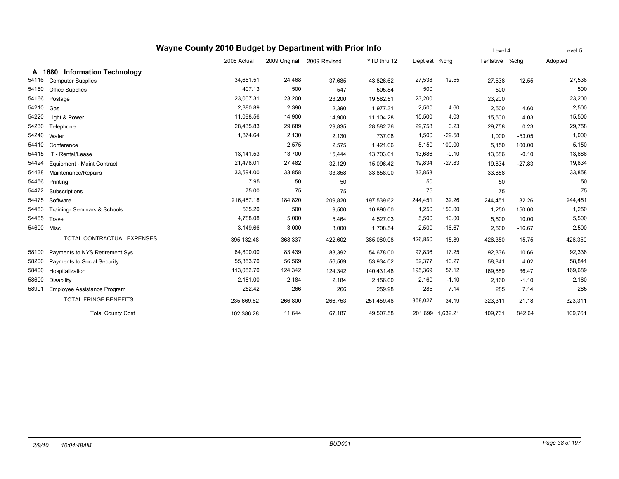| Wayne County 2010 Budget by Department with Prior Info |                                |             |               |              |             |               |          |                |          | Level 5 |
|--------------------------------------------------------|--------------------------------|-------------|---------------|--------------|-------------|---------------|----------|----------------|----------|---------|
|                                                        |                                | 2008 Actual | 2009 Original | 2009 Revised | YTD thru 12 | Dept est %chg |          | Tentative %chg |          | Adopted |
| A                                                      | 1680 Information Technology    |             |               |              |             |               |          |                |          |         |
| 54116                                                  | <b>Computer Supplies</b>       | 34,651.51   | 24,468        | 37,685       | 43,826.62   | 27,538        | 12.55    | 27,538         | 12.55    | 27,538  |
| 54150                                                  | Office Supplies                | 407.13      | 500           | 547          | 505.84      | 500           |          | 500            |          | 500     |
| 54166                                                  | Postage                        | 23,007.31   | 23,200        | 23,200       | 19,582.51   | 23,200        |          | 23,200         |          | 23,200  |
| 54210                                                  | Gas                            | 2,380.89    | 2,390         | 2,390        | 1,977.31    | 2,500         | 4.60     | 2,500          | 4.60     | 2,500   |
| 54220                                                  | Light & Power                  | 11,088.56   | 14,900        | 14,900       | 11,104.28   | 15,500        | 4.03     | 15,500         | 4.03     | 15,500  |
| 54230                                                  | Telephone                      | 28,435.83   | 29,689        | 29,835       | 28,582.76   | 29,758        | 0.23     | 29,758         | 0.23     | 29,758  |
| 54240                                                  | Water                          | 1,874.64    | 2,130         | 2,130        | 737.08      | 1,500         | $-29.58$ | 1,000          | $-53.05$ | 1,000   |
| 54410                                                  | Conference                     | 1,421.06    | 5,150         | 100.00       | 5,150       | 100.00        | 5,150    |                |          |         |
| 54415                                                  | IT - Rental/Lease              | 13,141.53   | 13,700        | 15,444       | 13,703.01   | 13,686        | $-0.10$  | 13,686         | $-0.10$  | 13,686  |
| 54424                                                  | Equipment - Maint Contract     | 21,478.01   | 27,482        | 32,129       | 15,096.42   | 19,834        | $-27.83$ | 19,834         | $-27.83$ | 19,834  |
| 54438                                                  | Maintenance/Repairs            | 33,594.00   | 33,858        | 33,858       | 33,858.00   | 33,858        |          | 33,858         |          | 33,858  |
| 54456                                                  | Printing                       | 7.95        | 50            | 50           |             | 50            |          | 50             |          | 50      |
| 54472                                                  | Subscriptions                  | 75.00       | 75            | 75           |             | 75            |          | 75             |          | 75      |
| 54475                                                  | Software                       | 216,487.18  | 184,820       | 209,820      | 197,539.62  | 244,451       | 32.26    | 244,451        | 32.26    | 244,451 |
| 54483                                                  | Training- Seminars & Schools   | 565.20      | 500           | 9,500        | 10,890.00   | 1,250         | 150.00   | 1,250          | 150.00   | 1,250   |
| 54485                                                  | Travel                         | 4,788.08    | 5,000         | 5,464        | 4,527.03    | 5,500         | 10.00    | 5,500          | 10.00    | 5,500   |
| 54600                                                  | Misc                           | 3,149.66    | 3,000         | 3,000        | 1,708.54    | 2,500         | $-16.67$ | 2,500          | $-16.67$ | 2,500   |
|                                                        | TOTAL CONTRACTUAL EXPENSES     | 395,132.48  | 368,337       | 422,602      | 385,060.08  | 426,850       | 15.89    | 426,350        | 15.75    | 426,350 |
| 58100                                                  | Payments to NYS Retirement Sys | 64,800.00   | 83,439        | 83,392       | 54,678.00   | 97,836        | 17.25    | 92,336         | 10.66    | 92,336  |
| 58200                                                  | Payments to Social Security    | 55,353.70   | 56,569        | 56,569       | 53,934.02   | 62,377        | 10.27    | 58,841         | 4.02     | 58,841  |
| 58400                                                  | Hospitalization                | 113,082.70  | 124,342       | 124,342      | 140,431.48  | 195,369       | 57.12    | 169,689        | 36.47    | 169,689 |
| 58600                                                  | <b>Disability</b>              | 2,181.00    | 2,184         | 2,184        | 2,156.00    | 2,160         | $-1.10$  | 2,160          | $-1.10$  | 2,160   |
| 58901                                                  | Employee Assistance Program    | 252.42      | 266           | 266          | 259.98      | 285           | 7.14     | 285            | 7.14     | 285     |
|                                                        | <b>TOTAL FRINGE BENEFITS</b>   | 235,669.82  | 266,800       | 266,753      | 251,459.48  | 358,027       | 34.19    | 323,311        | 21.18    | 323,311 |
|                                                        | <b>Total County Cost</b>       | 109,761     | 842.64        | 109,761      |             |               |          |                |          |         |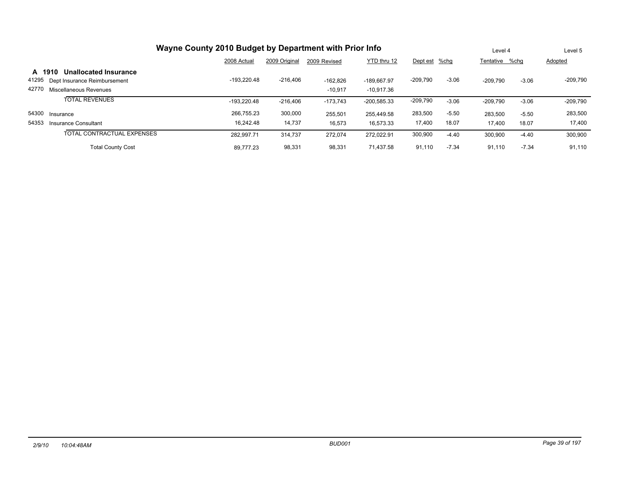| Wayne County 2010 Budget by Department with Prior Info |                              |               |               |              |               |               |         |                |         | Level 5    |  |
|--------------------------------------------------------|------------------------------|---------------|---------------|--------------|---------------|---------------|---------|----------------|---------|------------|--|
|                                                        |                              | 2008 Actual   | 2009 Original | 2009 Revised | YTD thru 12   | Dept est %chg |         | Tentative %chq |         | Adopted    |  |
| A 1910                                                 | <b>Unallocated Insurance</b> |               |               |              |               |               |         |                |         |            |  |
| 41295                                                  | Dept Insurance Reimbursement | -193.220.48   | $-216,406$    | $-162.826$   | -189.667.97   | $-209,790$    | $-3.06$ | $-209.790$     | $-3.06$ | $-209,790$ |  |
| 42770                                                  | Miscellaneous Revenues       |               |               | $-10.917$    | $-10.917.36$  |               |         |                |         |            |  |
|                                                        | <b>TOTAL REVENUES</b>        | $-193.220.48$ | $-216,406$    | $-173,743$   | $-200,585.33$ | $-209,790$    | $-3.06$ | $-209,790$     | $-3.06$ | $-209,790$ |  |
|                                                        | 54300 Insurance              | 266,755.23    | 300,000       | 255.501      | 255.449.58    | 283,500       | $-5.50$ | 283,500        | $-5.50$ | 283,500    |  |
| 54353                                                  | Insurance Consultant         | 16.242.48     | 14,737        | 16,573       | 16.573.33     | 17,400        | 18.07   | 17,400         | 18.07   | 17,400     |  |
|                                                        | TOTAL CONTRACTUAL EXPENSES   | 282.997.71    | 314.737       | 272.074      | 272.022.91    | 300,900       | $-4.40$ | 300,900        | $-4.40$ | 300,900    |  |
|                                                        | <b>Total County Cost</b>     | 89.777.23     | 98,331        | 98,331       | 71.437.58     | 91,110        | $-7.34$ | 91.110         | $-7.34$ | 91,110     |  |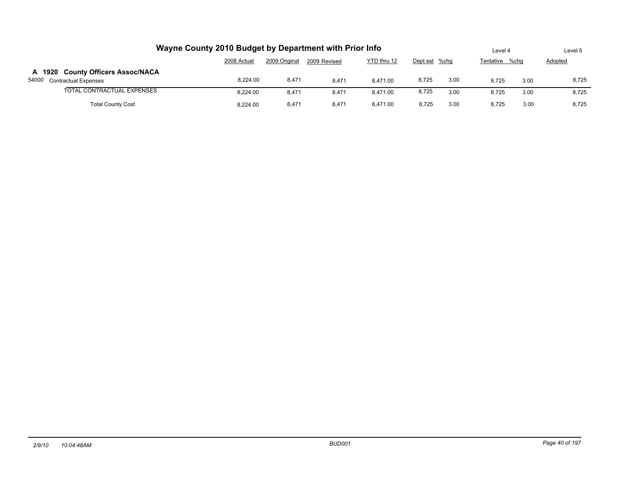| Wayne County 2010 Budget by Department with Prior Info                              | Level 4     |               | Level 5      |             |               |      |           |      |         |  |
|-------------------------------------------------------------------------------------|-------------|---------------|--------------|-------------|---------------|------|-----------|------|---------|--|
|                                                                                     | 2008 Actual | 2009 Original | 2009 Revised | YTD thru 12 | Dept est %chg |      | Tentative | %cha | Adopted |  |
| A 1920 County Officers Assoc/NACA<br>54000 Contractual Expenses                     | 8.224.00    | 8,471         | 8.471        | 8.471.00    | 8,725         | 3.00 | 8.725     | 3.00 | 8,725   |  |
| TOTAL CONTRACTUAL EXPENSES                                                          | 8.224.00    | 8,471         | 8.471        | 8.471.00    | 8,725         | 3.00 | 8.725     | 3.00 | 8,725   |  |
| <b>Total County Cost</b><br>3.00<br>8.471.00<br>8,471<br>8.725<br>8.471<br>8.224.00 |             |               |              |             |               |      |           |      | 8.725   |  |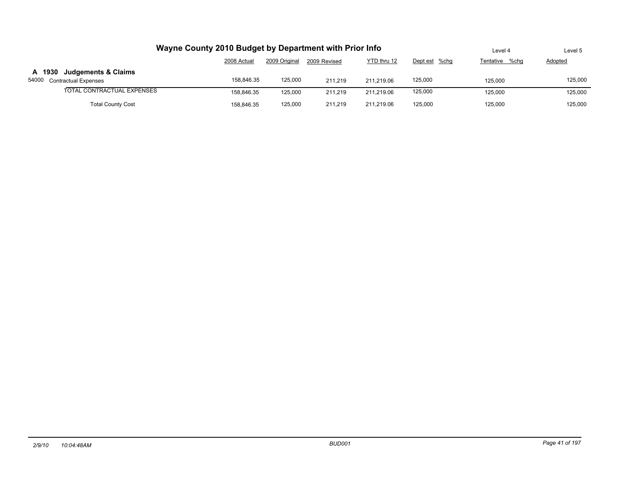| Wayne County 2010 Budget by Department with Prior Info   | Level 4     | Level 5       |              |             |               |                |                |
|----------------------------------------------------------|-------------|---------------|--------------|-------------|---------------|----------------|----------------|
|                                                          | 2008 Actual | 2009 Original | 2009 Revised | YTD thru 12 | Dept est %chg | Tentative %chq | <b>Adopted</b> |
| A 1930 Judgements & Claims<br>54000 Contractual Expenses | 158.846.35  | 125,000       | 211.219      | 211.219.06  | 125,000       | 125,000        | 125,000        |
| TOTAL CONTRACTUAL EXPENSES                               | 158.846.35  | 125.000       | 211.219      | 211.219.06  | 125,000       | 125,000        | 125,000        |
| <b>Total County Cost</b>                                 | 158.846.35  | 125,000       | 211.219      | 211.219.06  | 125,000       | 125,000        | 125,000        |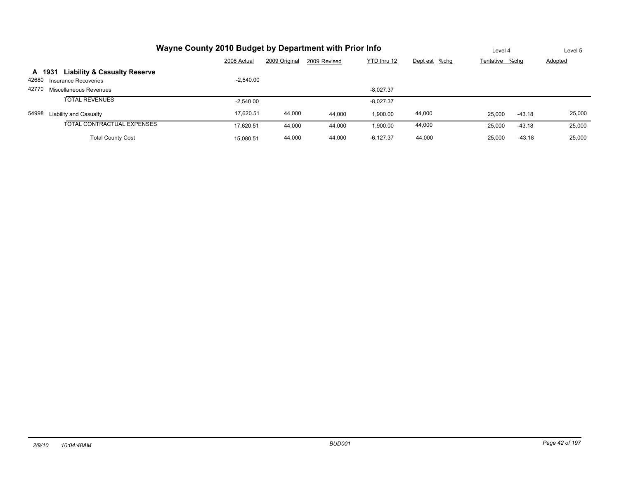|       | Wayne County 2010 Budget by Department with Prior Info | Level 4     | Level 5       |              |             |               |                    |         |
|-------|--------------------------------------------------------|-------------|---------------|--------------|-------------|---------------|--------------------|---------|
|       |                                                        | 2008 Actual | 2009 Original | 2009 Revised | YTD thru 12 | Dept est %chg | Tentative %chg     | Adopted |
|       | <b>Liability &amp; Casualty Reserve</b><br>A 1931      |             |               |              |             |               |                    |         |
|       | 42680 Insurance Recoveries                             | $-2.540.00$ |               |              |             |               |                    |         |
|       | 42770 Miscellaneous Revenues                           |             |               |              | $-8.027.37$ |               |                    |         |
|       | <b>TOTAL REVENUES</b>                                  | $-2,540.00$ |               |              | $-8,027.37$ |               |                    |         |
| 54998 | Liability and Casualty                                 | 17.620.51   | 44,000        | 44.000       | 1,900.00    | 44,000        | 25,000<br>$-43.18$ | 25,000  |
|       | TOTAL CONTRACTUAL EXPENSES                             | 17,620.51   | 44,000        | 44,000       | 1,900.00    | 44,000        | 25,000<br>$-43.18$ | 25,000  |
|       | <b>Total County Cost</b>                               | 15.080.51   | 44,000        | 44,000       | $-6,127.37$ | 44,000        | 25,000<br>$-43.18$ | 25,000  |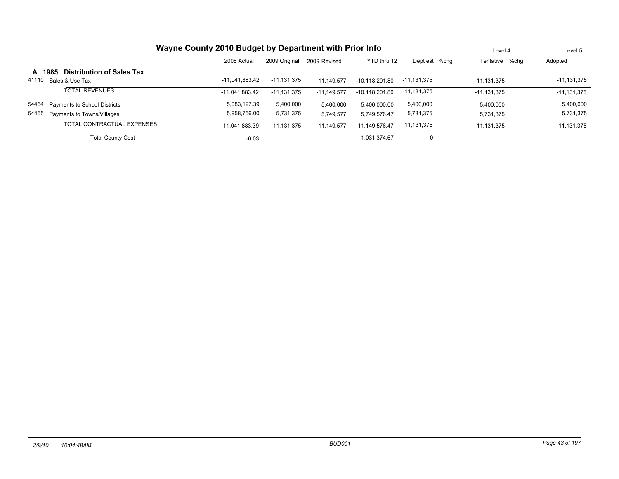|       |        |                                  | Level 4          | Level 5       |               |                  |               |                |               |
|-------|--------|----------------------------------|------------------|---------------|---------------|------------------|---------------|----------------|---------------|
|       |        |                                  | 2008 Actual      | 2009 Original | 2009 Revised  | YTD thru 12      | Dept est %chg | Tentative %chq | Adopted       |
|       | A 1985 | <b>Distribution of Sales Tax</b> |                  |               |               |                  |               |                |               |
| 41110 |        | Sales & Use Tax                  | $-11.041.883.42$ | $-11,131,375$ | $-11.149.577$ | $-10.118.201.80$ | $-11,131,375$ | $-11.131.375$  | $-11,131,375$ |
|       |        | <b>TOTAL REVENUES</b>            | $-11.041.883.42$ | $-11.131.375$ | $-11.149.577$ | $-10.118.201.80$ | $-11,131,375$ | $-11.131.375$  | $-11,131,375$ |
| 54454 |        | Payments to School Districts     | 5.083.127.39     | 5,400,000     | 5,400,000     | 5,400,000.00     | 5,400,000     | 5.400.000      | 5,400,000     |
| 54455 |        | Payments to Towns/Villages       | 5.958.756.00     | 5,731,375     | 5,749,577     | 5,749,576.47     | 5,731,375     | 5.731.375      | 5,731,375     |
|       |        | TOTAL CONTRACTUAL EXPENSES       | 11,041,883.39    | 11,131,375    | 11,149,577    | 11,149,576.47    | 11,131,375    | 11, 131, 375   | 11,131,375    |
|       |        | <b>Total County Cost</b>         | $-0.03$          |               |               | 1.031.374.67     | 0             |                |               |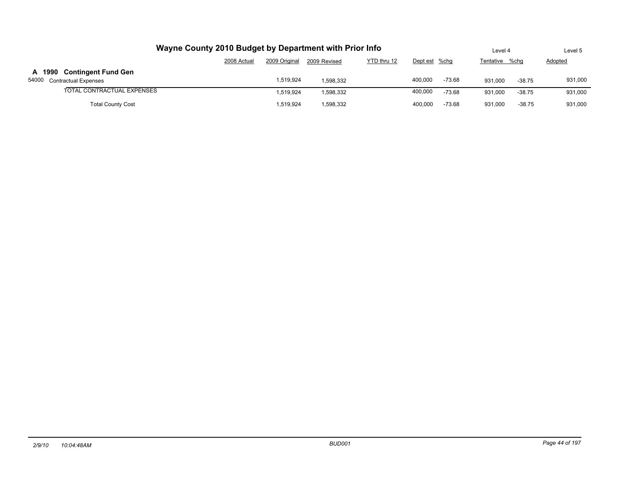| Wayne County 2010 Budget by Department with Prior Info   | Level 4                                                                      |           | Level 5   |  |         |          |         |          |         |
|----------------------------------------------------------|------------------------------------------------------------------------------|-----------|-----------|--|---------|----------|---------|----------|---------|
|                                                          | YTD thru 12<br>2009 Original<br>2008 Actual<br>2009 Revised<br>Dept est %chg |           |           |  |         |          |         |          |         |
| A 1990 Contingent Fund Gen<br>54000 Contractual Expenses |                                                                              | 1.519.924 | 1.598.332 |  | 400.000 | $-73.68$ | 931.000 | $-38.75$ | 931,000 |
| TOTAL CONTRACTUAL EXPENSES                               |                                                                              | 1.519.924 | 1,598,332 |  | 400.000 | $-73.68$ | 931.000 | $-38.75$ | 931,000 |
| <b>Total County Cost</b>                                 |                                                                              | 1.519.924 | 1,598,332 |  | 400.000 | $-73.68$ | 931,000 | $-38.75$ | 931,000 |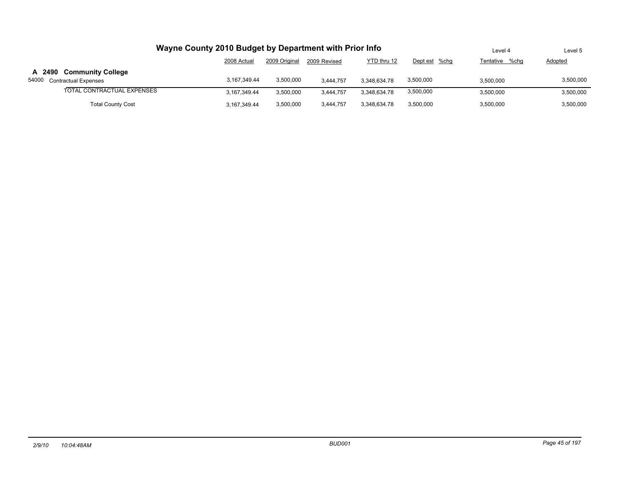| Wayne County 2010 Budget by Department with Prior Info | Level 4        | Level 5       |              |              |               |                |           |
|--------------------------------------------------------|----------------|---------------|--------------|--------------|---------------|----------------|-----------|
|                                                        | 2008 Actual    | 2009 Original | 2009 Revised | YTD thru 12  | Dept est %chg | Tentative %chq | Adopted   |
| A 2490 Community College                               |                |               |              |              |               |                |           |
| 54000<br><b>Contractual Expenses</b>                   | 3.167.349.44   | 3,500,000     | 3.444.757    | 3.348.634.78 | 3,500,000     | 3.500.000      | 3,500,000 |
| TOTAL CONTRACTUAL EXPENSES                             | 3.167.349.44   | 3,500,000     | 3.444.757    | 3.348.634.78 | 3,500,000     | 3.500.000      | 3,500,000 |
| <b>Total County Cost</b>                               | 3, 167, 349.44 | 3,500,000     | 3.444.757    | 3.348.634.78 | 3,500,000     | 3,500,000      | 3,500,000 |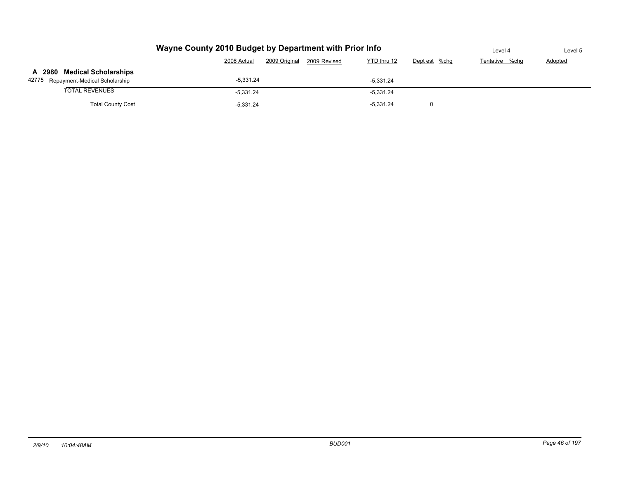|                                     | Level 4     | Level 5       |              |             |               |                |         |
|-------------------------------------|-------------|---------------|--------------|-------------|---------------|----------------|---------|
|                                     | 2008 Actual | 2009 Original | 2009 Revised | YTD thru 12 | Dept est %chg | Tentative %chg | Adopted |
| A 2980 Medical Scholarships         |             |               |              |             |               |                |         |
| 42775 Repayment-Medical Scholarship | $-5.331.24$ |               |              | $-5.331.24$ |               |                |         |
| <b>TOTAL REVENUES</b>               | $-5,331.24$ |               |              | $-5,331.24$ |               |                |         |
| <b>Total County Cost</b>            |             |               |              |             |               |                |         |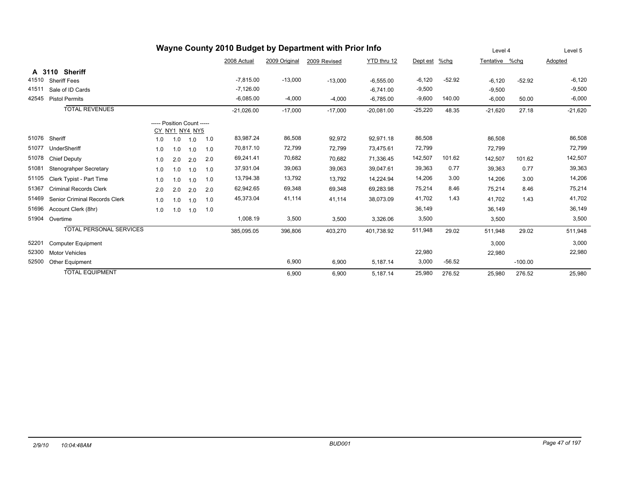|       | Wayne County 2010 Budget by Department with Prior Info |                            |     |                       |     |              |               |              |              |           |          | Level 4        | Level 5   |           |
|-------|--------------------------------------------------------|----------------------------|-----|-----------------------|-----|--------------|---------------|--------------|--------------|-----------|----------|----------------|-----------|-----------|
|       |                                                        |                            |     |                       |     | 2008 Actual  | 2009 Original | 2009 Revised | YTD thru 12  | Dept est  | %chg     | Tentative %chq |           | Adopted   |
|       | <b>Sheriff</b><br>A 3110                               |                            |     |                       |     |              |               |              |              |           |          |                |           |           |
| 41510 | <b>Sheriff Fees</b>                                    |                            |     |                       |     | $-7,815.00$  | $-13,000$     | $-13,000$    | $-6,555.00$  | $-6,120$  | $-52.92$ | $-6,120$       | $-52.92$  | $-6,120$  |
| 41511 | Sale of ID Cards                                       |                            |     |                       |     | $-7,126.00$  |               |              | $-6.741.00$  | $-9,500$  |          | $-9,500$       |           | $-9,500$  |
| 42545 | <b>Pistol Permits</b>                                  |                            |     |                       |     | $-6,085.00$  | $-4,000$      | $-4,000$     | $-6,785.00$  | $-9,600$  | 140.00   | $-6,000$       | 50.00     | $-6,000$  |
|       | <b>TOTAL REVENUES</b>                                  |                            |     |                       |     | $-21,026.00$ | $-17,000$     | $-17,000$    | $-20,081.00$ | $-25,220$ | 48.35    | $-21,620$      | 27.18     | $-21,620$ |
|       |                                                        | ----- Position Count ----- |     |                       |     |              |               |              |              |           |          |                |           |           |
| 51076 | Sheriff                                                | 1.0                        | 1.0 | CY_NY1_NY4_NY5<br>1.0 | 1.0 | 83,987.24    | 86,508        | 92,972       | 92,971.18    | 86,508    |          | 86,508         |           | 86,508    |
| 51077 | UnderSheriff                                           | 1.0                        | 1.0 | 1.0                   | 1.0 | 70,817.10    | 72,799        | 72,799       | 73,475.61    | 72,799    |          | 72,799         |           | 72,799    |
| 51078 | <b>Chief Deputy</b>                                    | 1.0                        | 2.0 | 2.0                   | 2.0 | 69,241.41    | 70,682        | 70,682       | 71,336.45    | 142,507   | 101.62   | 142,507        | 101.62    | 142,507   |
| 51081 | Stenograhper Secretary                                 | 1.0                        | 1.0 | 1.0                   | 1.0 | 37,931.04    | 39,063        | 39,063       | 39,047.61    | 39,363    | 0.77     | 39,363         | 0.77      | 39,363    |
| 51105 | Clerk Typist - Part Time                               | 1.0                        | 1.0 | 1.0                   | 1.0 | 13,794.38    | 13,792        | 13,792       | 14,224.94    | 14,206    | 3.00     | 14,206         | 3.00      | 14,206    |
| 51367 | <b>Criminal Records Clerk</b>                          | 2.0                        | 2.0 | 2.0                   | 2.0 | 62,942.65    | 69,348        | 69,348       | 69,283.98    | 75,214    | 8.46     | 75,214         | 8.46      | 75,214    |
| 51469 | Senior Criminal Records Clerk                          | 1.0                        | 1.0 | 1.0                   | 1.0 | 45,373.04    | 41,114        | 41,114       | 38,073.09    | 41,702    | 1.43     | 41.702         | 1.43      | 41,702    |
| 51696 | Account Clerk (8hr)                                    | 1.0                        | 1.0 | 1.0                   | 1.0 |              |               |              |              | 36,149    |          | 36,149         |           | 36,149    |
| 51904 | Overtime                                               |                            |     |                       |     | 1,008.19     | 3,500         | 3,500        | 3,326.06     | 3,500     |          | 3,500          |           | 3,500     |
|       | <b>TOTAL PERSONAL SERVICES</b>                         |                            |     |                       |     | 385,095.05   | 396,806       | 403,270      | 401,738.92   | 511,948   | 29.02    | 511,948        | 29.02     | 511,948   |
| 52201 | <b>Computer Equipment</b>                              |                            |     |                       |     |              |               |              |              |           |          | 3,000          |           | 3,000     |
| 52300 | <b>Motor Vehicles</b>                                  |                            |     |                       |     |              |               |              |              | 22,980    |          | 22,980         |           | 22,980    |
| 52500 | Other Equipment                                        |                            |     |                       |     |              | 6,900         | 6,900        | 5,187.14     | 3,000     | $-56.52$ |                | $-100.00$ |           |
|       | <b>TOTAL EQUIPMENT</b>                                 |                            |     |                       |     |              | 6,900         | 6,900        | 5,187.14     | 25,980    | 276.52   | 25,980         | 276.52    | 25,980    |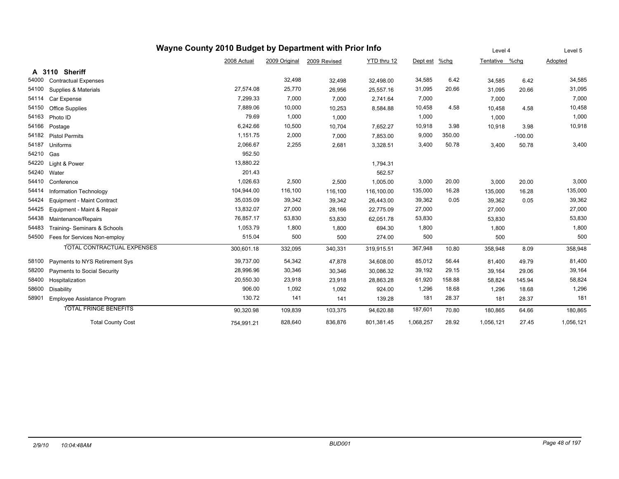|       | Wayne County 2010 Budget by Department with Prior Info                             | Level 4     |               | Level 5      |             |          |         |                |        |         |
|-------|------------------------------------------------------------------------------------|-------------|---------------|--------------|-------------|----------|---------|----------------|--------|---------|
|       |                                                                                    | 2008 Actual | 2009 Original | 2009 Revised | YTD thru 12 | Dept est | $%$ chg | Tentative %chg |        | Adopted |
|       | A 3110 Sheriff                                                                     |             |               |              |             |          |         |                |        |         |
| 54000 | <b>Contractual Expenses</b>                                                        |             | 32,498        | 32,498       | 32,498.00   | 34,585   | 6.42    | 34,585         | 6.42   | 34,585  |
| 54100 | Supplies & Materials                                                               | 27,574.08   | 25,770        | 26,956       | 25,557.16   | 31,095   | 20.66   | 31,095         | 20.66  | 31,095  |
| 54114 | Car Expense                                                                        | 7,299.33    | 7,000         | 7,000        | 2,741.64    | 7,000    |         | 7,000          |        | 7,000   |
| 54150 | Office Supplies                                                                    | 7,889.06    | 10,000        | 10,253       | 8,584.88    | 10,458   | 4.58    | 10,458         | 4.58   | 10,458  |
| 54163 | Photo ID                                                                           | 79.69       | 1,000         | 1,000        |             | 1,000    |         | 1,000          |        | 1,000   |
| 54166 | Postage                                                                            | 6,242.66    | 10,500        | 10,704       | 7,652.27    | 10,918   | 3.98    | 10,918         | 3.98   | 10,918  |
| 54182 | 1,151.75<br>2,000<br>9,000<br>350.00<br><b>Pistol Permits</b><br>7,000<br>7,853.00 |             |               |              |             |          |         |                |        |         |
| 54187 | 2,066.67<br>2,255<br>3,400<br>50.78<br>2,681<br>Uniforms<br>3,328.51               |             |               |              |             |          |         |                |        | 3,400   |
| 54210 | 952.50<br>Gas                                                                      |             |               |              |             |          |         |                |        |         |
| 54220 | Light & Power                                                                      | 13,880.22   |               |              | 1,794.31    |          |         |                |        |         |
| 54240 | Water                                                                              | 201.43      |               |              | 562.57      |          |         |                |        |         |
| 54410 | Conference                                                                         | 1,026.63    | 2,500         | 2,500        | 1,005.00    | 3,000    | 20.00   | 3,000          | 20.00  | 3,000   |
| 54414 | Information Technology                                                             | 104,944.00  | 116,100       | 116,100      | 116,100.00  | 135,000  | 16.28   | 135,000        | 16.28  | 135,000 |
| 54424 | Equipment - Maint Contract                                                         | 35,035.09   | 39,342        | 39,342       | 26,443.00   | 39,362   | 0.05    | 39,362         | 0.05   | 39,362  |
| 54425 | Equipment - Maint & Repair                                                         | 13,832.07   | 27,000        | 28,166       | 22,775.09   | 27,000   |         | 27,000         |        | 27,000  |
| 54438 | Maintenance/Repairs                                                                | 76,857.17   | 53,830        | 53,830       | 62,051.78   | 53,830   |         | 53,830         |        | 53,830  |
| 54483 | Training- Seminars & Schools                                                       | 1,053.79    | 1,800         | 1,800        | 694.30      | 1,800    |         | 1,800          |        | 1,800   |
| 54500 | Fees for Services Non-employ                                                       | 515.04      | 500           | 500          | 274.00      | 500      |         | 500            |        | 500     |
|       | TOTAL CONTRACTUAL EXPENSES                                                         | 300,601.18  | 332,095       | 340,331      | 319,915.51  | 367,948  | 10.80   | 358,948        | 8.09   | 358,948 |
| 58100 | Payments to NYS Retirement Sys                                                     | 39,737.00   | 54,342        | 47,878       | 34,608.00   | 85,012   | 56.44   | 81,400         | 49.79  | 81,400  |
| 58200 | Payments to Social Security                                                        | 28,996.96   | 30,346        | 30,346       | 30,086.32   | 39,192   | 29.15   | 39,164         | 29.06  | 39,164  |
| 58400 | Hospitalization                                                                    | 20,550.30   | 23,918        | 23,918       | 28,863.28   | 61,920   | 158.88  | 58,824         | 145.94 | 58,824  |
| 58600 | Disability                                                                         | 906.00      | 1,092         | 1,092        | 924.00      | 1,296    | 18.68   | 1,296          | 18.68  | 1,296   |
| 58901 | Employee Assistance Program                                                        | 130.72      | 141           | 141          | 139.28      | 181      | 28.37   | 181            | 28.37  | 181     |
|       | <b>TOTAL FRINGE BENEFITS</b>                                                       | 90,320.98   | 109,839       | 103,375      | 94,620.88   | 187,601  | 70.80   | 180,865        | 64.66  | 180,865 |
|       | <b>Total County Cost</b>                                                           | 1,056,121   | 27.45         | 1,056,121    |             |          |         |                |        |         |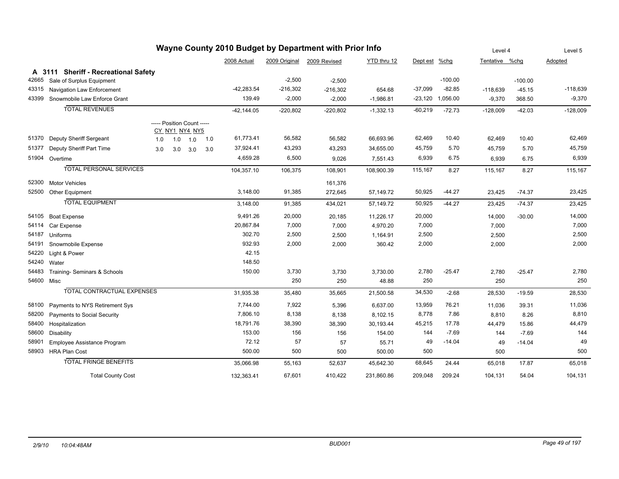|            |                                      |                            |     |                |     |              |               | Wayne County 2010 Budget by Department with Prior Info |             |               |           | Level 4        |           | Level 5    |
|------------|--------------------------------------|----------------------------|-----|----------------|-----|--------------|---------------|--------------------------------------------------------|-------------|---------------|-----------|----------------|-----------|------------|
|            |                                      |                            |     |                |     | 2008 Actual  | 2009 Original | 2009 Revised                                           | YTD thru 12 | Dept est %chg |           | Tentative %chq |           | Adopted    |
|            | A 3111 Sheriff - Recreational Safety |                            |     |                |     |              |               |                                                        |             |               |           |                |           |            |
| 42665      | Sale of Surplus Equipment            |                            |     |                |     |              | $-2,500$      | $-2,500$                                               |             |               | $-100.00$ |                | $-100.00$ |            |
| 43315      | Navigation Law Enforcement           |                            |     |                |     | $-42,283.54$ | $-216,302$    | $-216,302$                                             | 654.68      | $-37,099$     | $-82.85$  | $-118,639$     | $-45.15$  | -118,639   |
| 43399      | Snowmobile Law Enforce Grant         |                            |     |                |     | 139.49       | $-2,000$      | $-2,000$                                               | $-1,986.81$ | $-23,120$     | 1,056.00  | $-9,370$       | 368.50    | $-9,370$   |
|            | <b>TOTAL REVENUES</b>                |                            |     |                |     | $-42,144.05$ | $-220,802$    | $-220,802$                                             | $-1,332.13$ | $-60,219$     | $-72.73$  | $-128,009$     | $-42.03$  | $-128,009$ |
|            |                                      | ----- Position Count ----- |     |                |     |              |               |                                                        |             |               |           |                |           |            |
|            |                                      |                            |     | CY NY1 NY4 NY5 |     |              |               |                                                        |             |               |           |                |           |            |
| 51370      | Deputy Sheriff Sergeant              | 1.0                        | 1.0 | 1.0            | 1.0 | 61,773.41    | 56,582        | 56,582                                                 | 66,693.96   | 62,469        | 10.40     | 62,469         | 10.40     | 62,469     |
| 51377      | Deputy Sheriff Part Time             | 3.0                        | 3.0 | 3.0            | 3.0 | 37,924.41    | 43,293        | 43,293                                                 | 34,655.00   | 45,759        | 5.70      | 45,759         | 5.70      | 45,759     |
|            | 51904 Overtime                       |                            |     |                |     | 4,659.28     | 6,500         | 9,026                                                  | 7,551.43    | 6,939         | 6.75      | 6,939          | 6.75      | 6,939      |
|            | <b>TOTAL PERSONAL SERVICES</b>       |                            |     |                |     | 104,357.10   | 106,375       | 108,901                                                | 108,900.39  | 115,167       | 8.27      | 115,167        | 8.27      | 115,167    |
| 52300      | <b>Motor Vehicles</b>                |                            |     |                |     |              |               | 161,376                                                |             |               |           |                |           |            |
|            | 52500 Other Equipment                |                            |     |                |     | 3,148.00     | 91,385        | 272,645                                                | 57,149.72   | 50,925        | $-44.27$  | 23,425         | $-74.37$  | 23,425     |
|            | <b>TOTAL EQUIPMENT</b>               |                            |     |                |     | 3,148.00     | 91,385        | 434,021                                                | 57,149.72   | 50,925        | $-44.27$  | 23,425         | $-74.37$  | 23,425     |
| 54105      | <b>Boat Expense</b>                  |                            |     |                |     | 9,491.26     | 20,000        | 20,185                                                 | 11,226.17   | 20,000        |           | 14,000         | $-30.00$  | 14,000     |
| 54114      | Car Expense                          |                            |     |                |     | 20,867.84    | 7,000         | 7,000                                                  | 4,970.20    | 7,000         |           | 7,000          |           | 7,000      |
| 54187      | Uniforms                             |                            |     |                |     | 302.70       | 2,500         | 2,500                                                  | 1,164.91    | 2,500         |           | 2,500          |           | 2,500      |
| 54191      | Snowmobile Expense                   |                            |     |                |     | 932.93       | 2,000         | 2,000                                                  | 360.42      | 2,000         |           | 2,000          |           | 2,000      |
| 54220      | Light & Power                        |                            |     |                |     | 42.15        |               |                                                        |             |               |           |                |           |            |
| 54240      | Water                                |                            |     |                |     | 148.50       |               |                                                        |             |               |           |                |           |            |
| 54483      | Training- Seminars & Schools         |                            |     |                |     | 150.00       | 3,730         | 3,730                                                  | 3,730.00    | 2,780         | $-25.47$  | 2,780          | $-25.47$  | 2,780      |
| 54600 Misc |                                      |                            |     |                |     |              | 250           | 250                                                    | 48.88       | 250           |           | 250            |           | 250        |
|            | <b>TOTAL CONTRACTUAL EXPENSES</b>    |                            |     |                |     | 31,935.38    | 35,480        | 35,665                                                 | 21,500.58   | 34,530        | $-2.68$   | 28,530         | $-19.59$  | 28,530     |
| 58100      | Payments to NYS Retirement Sys       |                            |     |                |     | 7,744.00     | 7,922         | 5,396                                                  | 6,637.00    | 13,959        | 76.21     | 11,036         | 39.31     | 11,036     |
| 58200      | Payments to Social Security          |                            |     |                |     | 7,806.10     | 8,138         | 8,138                                                  | 8,102.15    | 8,778         | 7.86      | 8,810          | 8.26      | 8,810      |
| 58400      | Hospitalization                      |                            |     |                |     | 18,791.76    | 38,390        | 38,390                                                 | 30,193.44   | 45,215        | 17.78     | 44,479         | 15.86     | 44,479     |
| 58600      | Disability                           |                            |     |                |     | 153.00       | 156           | 156                                                    | 154.00      | 144           | $-7.69$   | 144            | $-7.69$   | 144        |
| 58901      | Employee Assistance Program          |                            |     |                |     | 72.12        | 57            | 57                                                     | 55.71       | 49            | $-14.04$  | 49             | $-14.04$  | 49         |
|            | 58903 HRA Plan Cost                  |                            |     |                |     | 500.00       | 500           | 500                                                    | 500.00      | 500           |           | 500            |           | 500        |
|            | <b>TOTAL FRINGE BENEFITS</b>         |                            |     |                |     | 35,066.98    | 55,163        | 52,637                                                 | 45,642.30   | 68,645        | 24.44     | 65,018         | 17.87     | 65,018     |
|            | <b>Total County Cost</b>             |                            |     |                |     | 132,363.41   | 67,601        | 410,422                                                | 231,860.86  | 209,048       | 209.24    | 104,131        | 54.04     | 104,131    |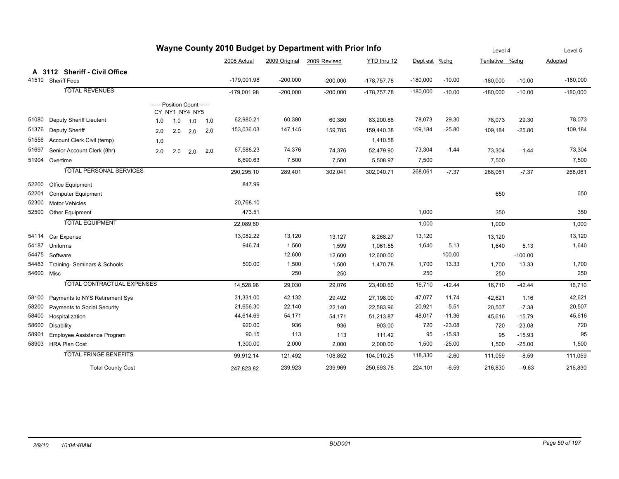|            |                                   |     |                                              |     |     |               |            | Wayne County 2010 Budget by Department with Prior Info |               |               |           | Level 4        |           | Level 5    |
|------------|-----------------------------------|-----|----------------------------------------------|-----|-----|---------------|------------|--------------------------------------------------------|---------------|---------------|-----------|----------------|-----------|------------|
|            |                                   |     |                                              |     |     | 2008 Actual   |            | 2009 Original 2009 Revised                             | YTD thru 12   | Dept est %chg |           | Tentative %chg |           | Adopted    |
|            | A 3112 Sheriff - Civil Office     |     |                                              |     |     |               |            |                                                        |               |               |           |                |           |            |
|            | 41510 Sheriff Fees                |     |                                              |     |     | $-179,001.98$ | $-200,000$ | $-200,000$                                             | $-178,757.78$ | $-180,000$    | $-10.00$  | $-180,000$     | $-10.00$  | $-180,000$ |
|            | <b>TOTAL REVENUES</b>             |     |                                              |     |     | $-179,001.98$ | $-200,000$ | $-200,000$                                             | $-178,757.78$ | $-180,000$    | $-10.00$  | $-180,000$     | $-10.00$  | $-180,000$ |
|            |                                   |     | ----- Position Count -----<br>CY_NY1_NY4_NY5 |     |     |               |            |                                                        |               |               |           |                |           |            |
| 51080      | Deputy Sheriff Lieutent           | 1.0 | 1.0                                          | 1.0 | 1.0 | 62,980.21     | 60,380     | 60,380                                                 | 83,200.88     | 78,073        | 29.30     | 78,073         | 29.30     | 78,073     |
| 51376      | Deputy Sheriff                    | 2.0 | 2.0                                          | 2.0 | 2.0 | 153,036.03    | 147,145    | 159,785                                                | 159,440.38    | 109,184       | $-25.80$  | 109,184        | $-25.80$  | 109,184    |
| 51556      | Account Clerk Civil (temp)        | 1.0 |                                              |     |     |               |            |                                                        | 1,410.58      |               |           |                |           |            |
| 51697      | Senior Account Clerk (8hr)        | 2.0 | 2.0                                          | 2.0 | 2.0 | 67,588.23     | 74,376     | 74,376                                                 | 52,479.90     | 73,304        | $-1.44$   | 73,304         | $-1.44$   | 73,304     |
|            | 51904 Overtime                    |     |                                              |     |     | 6,690.63      | 7,500      | 7,500                                                  | 5,508.97      | 7,500         |           | 7,500          |           | 7,500      |
|            | <b>TOTAL PERSONAL SERVICES</b>    |     |                                              |     |     | 290,295.10    | 289,401    | 302,041                                                | 302,040.71    | 268,061       | $-7.37$   | 268,061        | $-7.37$   | 268,061    |
| 52200      | Office Equipment                  |     |                                              |     |     | 847.99        |            |                                                        |               |               |           |                |           |            |
| 52201      | <b>Computer Equipment</b>         |     |                                              |     |     |               |            |                                                        |               |               |           | 650            |           | 650        |
| 52300      | <b>Motor Vehicles</b>             |     |                                              |     |     | 20,768.10     |            |                                                        |               |               |           |                |           |            |
| 52500      | Other Equipment                   |     |                                              |     |     | 473.51        |            |                                                        |               | 1,000         |           | 350            |           | 350        |
|            | <b>TOTAL EQUIPMENT</b>            |     |                                              |     |     | 22,089.60     |            |                                                        |               | 1,000         |           | 1,000          |           | 1,000      |
| 54114      | Car Expense                       |     |                                              |     |     | 13,082.22     | 13,120     | 13,127                                                 | 8,268.27      | 13,120        |           | 13,120         |           | 13,120     |
| 54187      | Uniforms                          |     |                                              |     |     | 946.74        | 1,560      | 1,599                                                  | 1,061.55      | 1,640         | 5.13      | 1,640          | 5.13      | 1,640      |
| 54475      | Software                          |     |                                              |     |     |               | 12,600     | 12,600                                                 | 12,600.00     |               | $-100.00$ |                | $-100.00$ |            |
| 54483      | Training- Seminars & Schools      |     |                                              |     |     | 500.00        | 1,500      | 1,500                                                  | 1,470.78      | 1,700         | 13.33     | 1,700          | 13.33     | 1,700      |
| 54600 Misc |                                   |     |                                              |     |     |               | 250        | 250                                                    |               | 250           |           | 250            |           | 250        |
|            | <b>TOTAL CONTRACTUAL EXPENSES</b> |     |                                              |     |     | 14,528.96     | 29,030     | 29,076                                                 | 23,400.60     | 16,710        | $-42.44$  | 16,710         | $-42.44$  | 16,710     |
| 58100      | Payments to NYS Retirement Sys    |     |                                              |     |     | 31,331.00     | 42,132     | 29,492                                                 | 27,198.00     | 47,077        | 11.74     | 42,621         | 1.16      | 42,621     |
| 58200      | Payments to Social Security       |     |                                              |     |     | 21,656.30     | 22,140     | 22,140                                                 | 22,583.96     | 20,921        | $-5.51$   | 20,507         | $-7.38$   | 20,507     |
| 58400      | Hospitalization                   |     |                                              |     |     | 44,614.69     | 54,171     | 54,171                                                 | 51,213.87     | 48,017        | $-11.36$  | 45,616         | $-15.79$  | 45,616     |
| 58600      | Disability                        |     |                                              |     |     | 920.00        | 936        | 936                                                    | 903.00        | 720           | $-23.08$  | 720            | $-23.08$  | 720        |
| 58901      | Employee Assistance Program       |     |                                              |     |     | 90.15         | 113        | 113                                                    | 111.42        | 95            | $-15.93$  | 95             | $-15.93$  | 95         |
| 58903      | <b>HRA Plan Cost</b>              |     |                                              |     |     | 1,300.00      | 2,000      | 2,000                                                  | 2,000.00      | 1,500         | $-25.00$  | 1,500          | $-25.00$  | 1,500      |
|            | <b>TOTAL FRINGE BENEFITS</b>      |     |                                              |     |     | 99,912.14     | 121,492    | 108,852                                                | 104,010.25    | 118,330       | $-2.60$   | 111,059        | $-8.59$   | 111,059    |
|            | <b>Total County Cost</b>          |     |                                              |     |     | 247,823.82    | 239,923    | 239,969                                                | 250,693.78    | 224,101       | $-6.59$   | 216,830        | $-9.63$   | 216,830    |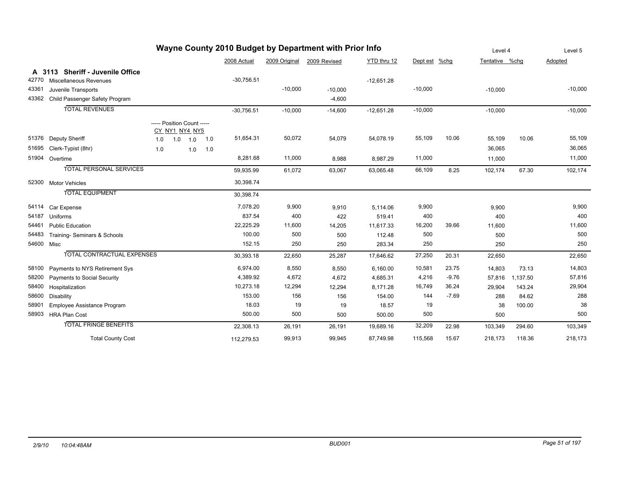|            |                                   |                                              |             |     |              |               | Wayne County 2010 Budget by Department with Prior Info |              |               |         | Level 4        |          | Level 5   |
|------------|-----------------------------------|----------------------------------------------|-------------|-----|--------------|---------------|--------------------------------------------------------|--------------|---------------|---------|----------------|----------|-----------|
|            |                                   |                                              |             |     | 2008 Actual  | 2009 Original | 2009 Revised                                           | YTD thru 12  | Dept est %chg |         | Tentative %chg |          | Adopted   |
|            | A 3113 Sheriff - Juvenile Office  |                                              |             |     |              |               |                                                        |              |               |         |                |          |           |
| 42770      | Miscellaneous Revenues            |                                              |             |     | $-30,756.51$ |               |                                                        | $-12,651.28$ |               |         |                |          |           |
| 43361      | Juvenile Transports               |                                              |             |     |              | $-10,000$     | $-10,000$                                              |              | $-10,000$     |         | $-10,000$      |          | $-10,000$ |
| 43362      | Child Passenger Safety Program    |                                              |             |     |              |               | $-4,600$                                               |              |               |         |                |          |           |
|            | <b>TOTAL REVENUES</b>             |                                              |             |     | $-30,756.51$ | $-10,000$     | $-14,600$                                              | $-12,651.28$ | $-10,000$     |         | $-10,000$      |          | $-10,000$ |
|            |                                   | ----- Position Count -----<br>CY_NY1_NY4_NY5 |             |     |              |               |                                                        |              |               |         |                |          |           |
|            | 51376 Deputy Sheriff              | 1.0                                          | $1.0$ $1.0$ | 1.0 | 51,654.31    | 50,072        | 54,079                                                 | 54,078.19    | 55,109        | 10.06   | 55,109         | 10.06    | 55,109    |
| 51695      | Clerk-Typist (8hr)                | 1.0                                          | 1.0         | 1.0 |              |               |                                                        |              |               |         | 36,065         |          | 36,065    |
|            | 51904 Overtime                    |                                              |             |     | 8,281.68     | 11,000        | 8,988                                                  | 8,987.29     | 11,000        |         | 11,000         |          | 11,000    |
|            | <b>TOTAL PERSONAL SERVICES</b>    |                                              |             |     | 59,935.99    | 61,072        | 63,067                                                 | 63,065.48    | 66,109        | 8.25    | 102,174        | 67.30    | 102,174   |
| 52300      | <b>Motor Vehicles</b>             |                                              |             |     | 30,398.74    |               |                                                        |              |               |         |                |          |           |
|            | <b>TOTAL EQUIPMENT</b>            |                                              |             |     | 30,398.74    |               |                                                        |              |               |         |                |          |           |
| 54114      | Car Expense                       |                                              |             |     | 7,078.20     | 9,900         | 9,910                                                  | 5,114.06     | 9,900         |         | 9,900          |          | 9,900     |
| 54187      | Uniforms                          |                                              |             |     | 837.54       | 400           | 422                                                    | 519.41       | 400           |         | 400            |          | 400       |
| 54461      | <b>Public Education</b>           |                                              |             |     | 22,225.29    | 11,600        | 14,205                                                 | 11,617.33    | 16,200        | 39.66   | 11,600         |          | 11,600    |
| 54483      | Training- Seminars & Schools      |                                              |             |     | 100.00       | 500           | 500                                                    | 112.48       | 500           |         | 500            |          | 500       |
| 54600 Misc |                                   |                                              |             |     | 152.15       | 250           | 250                                                    | 283.34       | 250           |         | 250            |          | 250       |
|            | <b>TOTAL CONTRACTUAL EXPENSES</b> |                                              |             |     | 30,393.18    | 22,650        | 25,287                                                 | 17,646.62    | 27,250        | 20.31   | 22,650         |          | 22,650    |
| 58100      | Payments to NYS Retirement Sys    |                                              |             |     | 6,974.00     | 8,550         | 8,550                                                  | 6,160.00     | 10,581        | 23.75   | 14,803         | 73.13    | 14,803    |
| 58200      | Payments to Social Security       |                                              |             |     | 4,389.92     | 4,672         | 4,672                                                  | 4,685.31     | 4,216         | $-9.76$ | 57,816         | 1,137.50 | 57,816    |
| 58400      | Hospitalization                   |                                              |             |     | 10,273.18    | 12,294        | 12,294                                                 | 8,171.28     | 16,749        | 36.24   | 29,904         | 143.24   | 29,904    |
| 58600      | Disability                        |                                              |             |     | 153.00       | 156           | 156                                                    | 154.00       | 144           | $-7.69$ | 288            | 84.62    | 288       |
| 58901      | Employee Assistance Program       |                                              |             |     | 18.03        | 19            | 19                                                     | 18.57        | 19            |         | 38             | 100.00   | 38        |
| 58903      | <b>HRA Plan Cost</b>              |                                              |             |     | 500.00       | 500           | 500                                                    | 500.00       | 500           |         | 500            |          | 500       |
|            | <b>TOTAL FRINGE BENEFITS</b>      |                                              |             |     | 22,308.13    | 26,191        | 26,191                                                 | 19,689.16    | 32,209        | 22.98   | 103,349        | 294.60   | 103,349   |
|            | <b>Total County Cost</b>          |                                              |             |     | 112,279.53   | 99,913        | 99,945                                                 | 87,749.98    | 115,568       | 15.67   | 218,173        | 118.36   | 218,173   |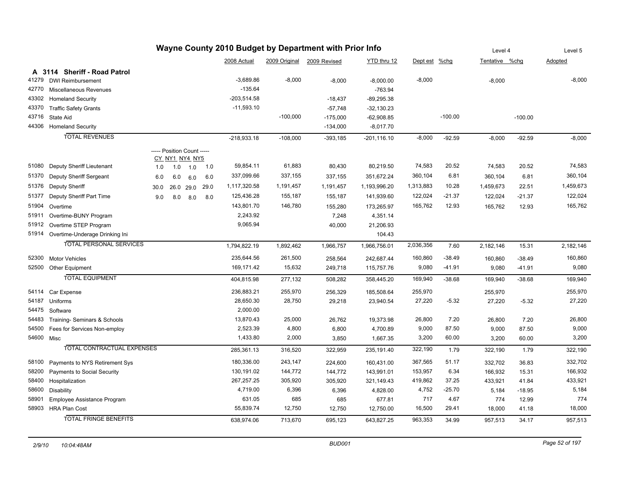|            |                                      |                            |                |     |      |               |            | Wayne County 2010 Budget by Department with Prior Info |                |               |           | Level 4        |           | Level 5   |
|------------|--------------------------------------|----------------------------|----------------|-----|------|---------------|------------|--------------------------------------------------------|----------------|---------------|-----------|----------------|-----------|-----------|
|            |                                      |                            |                |     |      | 2008 Actual   |            | 2009 Original 2009 Revised                             | YTD thru 12    | Dept est %chg |           | Tentative %chq |           | Adopted   |
|            | A 3114 Sheriff - Road Patrol         |                            |                |     |      |               |            |                                                        |                |               |           |                |           |           |
| 41279      | <b>DWI Reimbursement</b>             |                            |                |     |      | $-3,689.86$   | $-8,000$   | $-8,000$                                               | $-8,000.00$    | $-8,000$      |           | $-8,000$       |           | $-8,000$  |
| 42770      | Miscellaneous Revenues               |                            |                |     |      | $-135.64$     |            |                                                        | $-763.94$      |               |           |                |           |           |
| 43302      | <b>Homeland Security</b>             |                            |                |     |      | $-203,514.58$ |            | $-18,437$                                              | $-89,295.38$   |               |           |                |           |           |
| 43370      | <b>Traffic Safety Grants</b>         |                            |                |     |      | $-11,593.10$  |            | $-57,748$                                              | $-32,130.23$   |               |           |                |           |           |
| 43716      | State Aid                            |                            |                |     |      |               | $-100,000$ | $-175,000$                                             | $-62,908.85$   |               | $-100.00$ |                | $-100.00$ |           |
| 44306      | <b>Homeland Security</b>             |                            |                |     |      |               |            | $-134,000$                                             | $-8,017.70$    |               |           |                |           |           |
|            | <b>TOTAL REVENUES</b>                |                            |                |     |      | $-218,933.18$ | $-108,000$ | $-393,185$                                             | $-201, 116.10$ | $-8,000$      | $-92.59$  | $-8,000$       | $-92.59$  | $-8,000$  |
|            |                                      | ----- Position Count ----- | CY_NY1_NY4_NY5 |     |      |               |            |                                                        |                |               |           |                |           |           |
| 51080      | Deputy Sheriff Lieutenant            | 1.0                        | 1.0            | 1.0 | 1.0  | 59,854.11     | 61,883     | 80,430                                                 | 80,219.50      | 74,583        | 20.52     | 74,583         | 20.52     | 74,583    |
| 51370      | Deputy Sheriff Sergeant              | 6.0                        | 6.0            | 6.0 | 6.0  | 337,099.66    | 337,155    | 337,155                                                | 351,672.24     | 360,104       | 6.81      | 360,104        | 6.81      | 360,104   |
| 51376      | Deputy Sheriff                       | 30.0                       | 26.0 29.0      |     | 29.0 | 1,117,320.58  | 1,191,457  | 1,191,457                                              | 1,193,996.20   | 1,313,883     | 10.28     | 1,459,673      | 22.51     | 1,459,673 |
| 51377      | Deputy Sheriff Part Time             | 9.0                        | 8.0            | 8.0 | 8.0  | 125,436.28    | 155,187    | 155,187                                                | 141,939.60     | 122,024       | $-21.37$  | 122,024        | $-21.37$  | 122,024   |
| 51904      | Overtime                             |                            |                |     |      | 143,801.70    | 146,780    | 155,280                                                | 173,265.97     | 165,762       | 12.93     | 165,762        | 12.93     | 165,762   |
| 51911      | Overtime-BUNY Program                |                            |                |     |      | 2,243.92      |            | 7,248                                                  | 4,351.14       |               |           |                |           |           |
| 51912      | Overtime STEP Program                |                            |                |     |      | 9,065.94      |            | 40,000                                                 | 21,206.93      |               |           |                |           |           |
|            | 51914 Overtime-Underage Drinking Ini |                            |                |     |      |               |            |                                                        | 104.43         |               |           |                |           |           |
|            | <b>TOTAL PERSONAL SERVICES</b>       |                            |                |     |      | 1,794,822.19  | 1,892,462  | 1,966,757                                              | 1,966,756.01   | 2,036,356     | 7.60      | 2,182,146      | 15.31     | 2,182,146 |
| 52300      | <b>Motor Vehicles</b>                |                            |                |     |      | 235,644.56    | 261,500    | 258,564                                                | 242,687.44     | 160,860       | $-38.49$  | 160,860        | $-38.49$  | 160,860   |
| 52500      | <b>Other Equipment</b>               |                            |                |     |      | 169,171.42    | 15,632     | 249,718                                                | 115,757.76     | 9,080         | $-41.91$  | 9,080          | $-41.91$  | 9,080     |
|            | <b>TOTAL EQUIPMENT</b>               |                            |                |     |      | 404,815.98    | 277,132    | 508,282                                                | 358,445.20     | 169,940       | $-38.68$  | 169,940        | $-38.68$  | 169,940   |
|            | 54114 Car Expense                    |                            |                |     |      | 236,883.21    | 255,970    | 256,329                                                | 185,508.64     | 255,970       |           | 255,970        |           | 255,970   |
| 54187      | Uniforms                             |                            |                |     |      | 28,650.30     | 28,750     | 29,218                                                 | 23,940.54      | 27,220        | $-5.32$   | 27,220         | $-5.32$   | 27,220    |
|            | 54475 Software                       |                            |                |     |      | 2,000.00      |            |                                                        |                |               |           |                |           |           |
| 54483      | Training- Seminars & Schools         |                            |                |     |      | 13,870.43     | 25,000     | 26,762                                                 | 19,373.98      | 26,800        | 7.20      | 26,800         | 7.20      | 26,800    |
| 54500      | Fees for Services Non-employ         |                            |                |     |      | 2,523.39      | 4,800      | 6,800                                                  | 4,700.89       | 9,000         | 87.50     | 9,000          | 87.50     | 9,000     |
| 54600 Misc |                                      |                            |                |     |      | 1,433.80      | 2,000      | 3,850                                                  | 1,667.35       | 3,200         | 60.00     | 3,200          | 60.00     | 3,200     |
|            | <b>TOTAL CONTRACTUAL EXPENSES</b>    |                            |                |     |      | 285,361.13    | 316,520    | 322,959                                                | 235,191.40     | 322,190       | 1.79      | 322,190        | 1.79      | 322,190   |
| 58100      | Payments to NYS Retirement Sys       |                            |                |     |      | 180,336.00    | 243,147    | 224,600                                                | 160,431.00     | 367,565       | 51.17     | 332,702        | 36.83     | 332,702   |
| 58200      | Payments to Social Security          |                            |                |     |      | 130,191.02    | 144,772    | 144,772                                                | 143,991.01     | 153,957       | 6.34      | 166,932        | 15.31     | 166,932   |
| 58400      | Hospitalization                      |                            |                |     |      | 267,257.25    | 305,920    | 305,920                                                | 321,149.43     | 419,862       | 37.25     | 433,921        | 41.84     | 433,921   |
| 58600      | Disability                           |                            |                |     |      | 4,719.00      | 6,396      | 6,396                                                  | 4,828.00       | 4,752         | $-25.70$  | 5,184          | $-18.95$  | 5,184     |
| 58901      | Employee Assistance Program          |                            |                |     |      | 631.05        | 685        | 685                                                    | 677.81         | 717           | 4.67      | 774            | 12.99     | 774       |
|            | 58903 HRA Plan Cost                  |                            |                |     |      | 55,839.74     | 12,750     | 12,750                                                 | 12,750.00      | 16,500        | 29.41     | 18,000         | 41.18     | 18,000    |
|            | <b>TOTAL FRINGE BENEFITS</b>         |                            |                |     |      | 638.974.06    | 713,670    | 695,123                                                | 643.827.25     | 963,353       | 34.99     | 957,513        | 34.17     | 957,513   |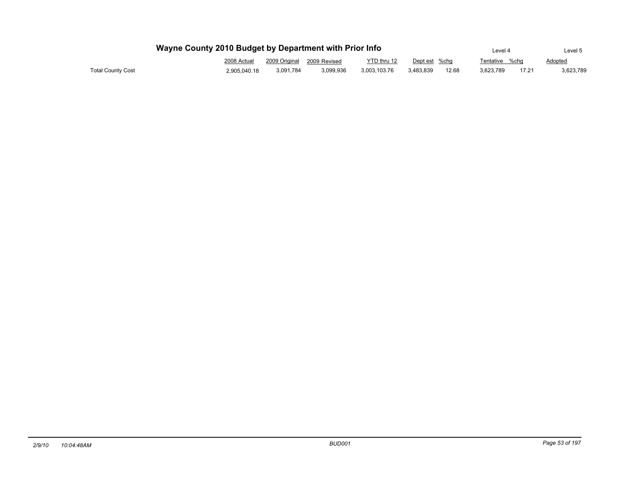|                   | Wayne County 2010 Budget by Department with Prior Info |                            |           |              |               |       | Level 4        |       | Level 5   |
|-------------------|--------------------------------------------------------|----------------------------|-----------|--------------|---------------|-------|----------------|-------|-----------|
|                   | 2008 Actual                                            | 2009 Original 2009 Revised |           | YTD thru 12  | Dept est %chg |       | Tentative %chq |       | Adopted   |
| Total County Cost | 2.905.040.18                                           | 3,091,784                  | 3.099.936 | 3.003.103.76 | 3.483.839     | 12.68 | 3.623.789      | 17.21 | 3,623,789 |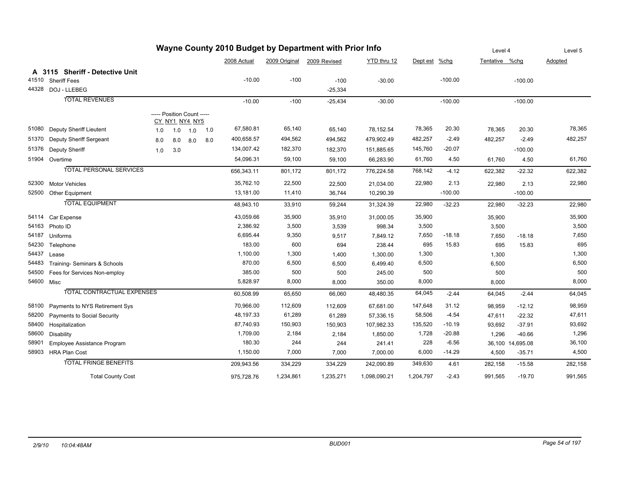|            |                                    |                            |                |     |     |             |           | Wayne County 2010 Budget by Department with Prior Info |              |               |           | Level 4        |                  | Level 5 |
|------------|------------------------------------|----------------------------|----------------|-----|-----|-------------|-----------|--------------------------------------------------------|--------------|---------------|-----------|----------------|------------------|---------|
|            |                                    |                            |                |     |     | 2008 Actual |           | 2009 Original 2009 Revised                             | YTD thru 12  | Dept est %chg |           | Tentative %chg |                  | Adopted |
|            | A 3115 Sheriff - Detective Unit    |                            |                |     |     |             |           |                                                        |              |               |           |                |                  |         |
|            | 41510 Sheriff Fees                 |                            |                |     |     | $-10.00$    | $-100$    | $-100$                                                 | $-30.00$     |               | $-100.00$ |                | $-100.00$        |         |
|            | 44328 DOJ - LLEBEG                 |                            |                |     |     |             |           | $-25,334$                                              |              |               |           |                |                  |         |
|            | <b>TOTAL REVENUES</b>              |                            |                |     |     | $-10.00$    | $-100$    | $-25,434$                                              | $-30.00$     |               | $-100.00$ |                | $-100.00$        |         |
|            |                                    | ----- Position Count ----- | CY_NY1_NY4_NY5 |     |     |             |           |                                                        |              |               |           |                |                  |         |
| 51080      | <b>Deputy Sheriff Lieutent</b>     | 1.0                        | 1.0            | 1.0 | 1.0 | 67,580.81   | 65,140    | 65,140                                                 | 78,152.54    | 78,365        | 20.30     | 78,365         | 20.30            | 78,365  |
| 51370      | Deputy Sheriff Sergeant            | 8.0                        | 8.0            | 8.0 | 8.0 | 400,658.57  | 494,562   | 494,562                                                | 479,902.49   | 482,257       | $-2.49$   | 482,257        | $-2.49$          | 482,257 |
| 51376      | <b>Deputy Sheriff</b>              | 1.0                        | 3.0            |     |     | 134,007.42  | 182,370   | 182,370                                                | 151,885.65   | 145,760       | $-20.07$  |                | $-100.00$        |         |
|            | 51904 Overtime                     |                            |                |     |     | 54,096.31   | 59,100    | 59,100                                                 | 66,283.90    | 61,760        | 4.50      | 61,760         | 4.50             | 61,760  |
|            | <b>TOTAL PERSONAL SERVICES</b>     |                            |                |     |     | 656,343.11  | 801,172   | 801,172                                                | 776,224.58   | 768,142       | $-4.12$   | 622,382        | $-22.32$         | 622,382 |
| 52300      | <b>Motor Vehicles</b>              |                            |                |     |     | 35,762.10   | 22,500    | 22,500                                                 | 21,034.00    | 22,980        | 2.13      | 22,980         | 2.13             | 22,980  |
| 52500      | <b>Other Equipment</b>             |                            |                |     |     | 13,181.00   | 11,410    | 36,744                                                 | 10,290.39    |               | $-100.00$ |                | $-100.00$        |         |
|            | <b>TOTAL EQUIPMENT</b>             |                            |                |     |     | 48,943.10   | 33,910    | 59,244                                                 | 31,324.39    | 22,980        | $-32.23$  | 22,980         | $-32.23$         | 22,980  |
| 54114      | Car Expense                        |                            |                |     |     | 43,059.66   | 35,900    | 35,910                                                 | 31,000.05    | 35,900        |           | 35,900         |                  | 35,900  |
| 54163      | Photo ID                           |                            |                |     |     | 2,386.92    | 3,500     | 3,539                                                  | 998.34       | 3,500         |           | 3,500          |                  | 3,500   |
| 54187      | Uniforms                           |                            |                |     |     | 6,695.44    | 9,350     | 9,517                                                  | 7,849.12     | 7,650         | $-18.18$  | 7,650          | $-18.18$         | 7,650   |
| 54230      | Telephone                          |                            |                |     |     | 183.00      | 600       | 694                                                    | 238.44       | 695           | 15.83     | 695            | 15.83            | 695     |
| 54437      | Lease                              |                            |                |     |     | 1,100.00    | 1,300     | 1,400                                                  | 1,300.00     | 1,300         |           | 1,300          |                  | 1,300   |
| 54483      | Training- Seminars & Schools       |                            |                |     |     | 870.00      | 6,500     | 6,500                                                  | 6,499.40     | 6,500         |           | 6,500          |                  | 6,500   |
| 54500      | Fees for Services Non-employ       |                            |                |     |     | 385.00      | 500       | 500                                                    | 245.00       | 500           |           | 500            |                  | 500     |
| 54600 Misc |                                    |                            |                |     |     | 5,828.97    | 8,000     | 8,000                                                  | 350.00       | 8,000         |           | 8,000          |                  | 8,000   |
|            | <b>TOTAL CONTRACTUAL EXPENSES</b>  |                            |                |     |     | 60,508.99   | 65,650    | 66,060                                                 | 48,480.35    | 64,045        | $-2.44$   | 64,045         | $-2.44$          | 64,045  |
| 58100      | Payments to NYS Retirement Sys     |                            |                |     |     | 70,966.00   | 112,609   | 112,609                                                | 67,681.00    | 147,648       | 31.12     | 98,959         | $-12.12$         | 98,959  |
| 58200      | <b>Payments to Social Security</b> |                            |                |     |     | 48,197.33   | 61,289    | 61,289                                                 | 57,336.15    | 58,506        | $-4.54$   | 47,611         | $-22.32$         | 47,611  |
| 58400      | Hospitalization                    |                            |                |     |     | 87,740.93   | 150,903   | 150,903                                                | 107,982.33   | 135,520       | $-10.19$  | 93,692         | $-37.91$         | 93,692  |
| 58600      | Disability                         |                            |                |     |     | 1,709.00    | 2,184     | 2,184                                                  | 1,850.00     | 1,728         | $-20.88$  | 1,296          | $-40.66$         | 1,296   |
| 58901      | Employee Assistance Program        |                            |                |     |     | 180.30      | 244       | 244                                                    | 241.41       | 228           | $-6.56$   |                | 36,100 14,695.08 | 36,100  |
|            | 58903 HRA Plan Cost                |                            |                |     |     | 1,150.00    | 7,000     | 7,000                                                  | 7,000.00     | 6,000         | $-14.29$  | 4,500          | $-35.71$         | 4,500   |
|            | <b>TOTAL FRINGE BENEFITS</b>       |                            |                |     |     | 209,943.56  | 334,229   | 334,229                                                | 242,090.89   | 349,630       | 4.61      | 282,158        | $-15.58$         | 282,158 |
|            | <b>Total County Cost</b>           |                            |                |     |     | 975,728.76  | 1,234,861 | 1,235,271                                              | 1,098,090.21 | 1,204,797     | $-2.43$   | 991,565        | $-19.70$         | 991,565 |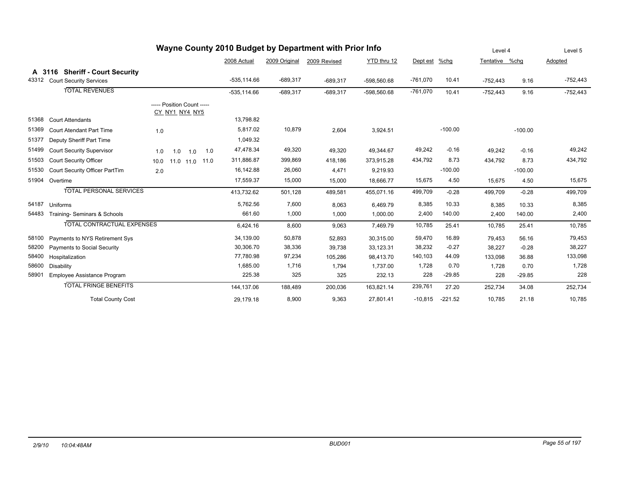|       |                                                                   | Wayne County 2010 Budget by Department with Prior Info |                |               |              |               |            |           | Level 4        |           | Level 5    |
|-------|-------------------------------------------------------------------|--------------------------------------------------------|----------------|---------------|--------------|---------------|------------|-----------|----------------|-----------|------------|
|       |                                                                   |                                                        | 2008 Actual    | 2009 Original | 2009 Revised | YTD thru 12   | Dept est   | $%$ chg   | Tentative %chg |           | Adopted    |
| 43312 | A 3116 Sheriff - Court Security<br><b>Court Security Services</b> |                                                        | $-535.114.66$  | $-689,317$    | $-689,317$   | -598,560.68   | $-761,070$ | 10.41     | $-752,443$     | 9.16      | $-752,443$ |
|       | <b>TOTAL REVENUES</b>                                             |                                                        | $-535, 114.66$ | $-689,317$    | $-689,317$   | $-598,560.68$ | $-761,070$ | 10.41     | $-752,443$     | 9.16      | $-752,443$ |
|       |                                                                   | ----- Position Count -----<br>CY_NY1_NY4_NY5           |                |               |              |               |            |           |                |           |            |
| 51368 | <b>Court Attendants</b>                                           |                                                        | 13,798.82      |               |              |               |            |           |                |           |            |
| 51369 | <b>Court Atendant Part Time</b>                                   | 1.0                                                    | 5,817.02       | 10,879        | 2,604        | 3,924.51      |            | $-100.00$ |                | $-100.00$ |            |
| 51377 | Deputy Sheriff Part Time                                          |                                                        | 1,049.32       |               |              |               |            |           |                |           |            |
| 51499 | <b>Court Security Supervisor</b>                                  | 1.0<br>1.0<br>1.0<br>1.0                               | 47,478.34      | 49,320        | 49,320       | 49,344.67     | 49,242     | $-0.16$   | 49,242         | $-0.16$   | 49,242     |
| 51503 | <b>Court Security Officer</b>                                     | 10.0<br>11.0 11.0 11.0                                 | 311,886.87     | 399,869       | 418,186      | 373,915.28    | 434,792    | 8.73      | 434,792        | 8.73      | 434,792    |
| 51530 | Court Security Officer PartTim                                    | 2.0                                                    | 16,142.88      | 26,060        | 4,471        | 9,219.93      |            | $-100.00$ |                | $-100.00$ |            |
| 51904 | Overtime                                                          |                                                        | 17,559.37      | 15,000        | 15,000       | 18,666.77     | 15,675     | 4.50      | 15,675         | 4.50      | 15,675     |
|       | TOTAL PERSONAL SERVICES                                           |                                                        | 413,732.62     | 501,128       | 489,581      | 455,071.16    | 499,709    | $-0.28$   | 499.709        | $-0.28$   | 499,709    |
| 54187 | Uniforms                                                          |                                                        | 5,762.56       | 7,600         | 8,063        | 6,469.79      | 8,385      | 10.33     | 8,385          | 10.33     | 8,385      |
| 54483 | Training- Seminars & Schools                                      |                                                        | 661.60         | 1,000         | 1,000        | 1,000.00      | 2,400      | 140.00    | 2,400          | 140.00    | 2,400      |
|       | <b>TOTAL CONTRACTUAL EXPENSES</b>                                 |                                                        | 6,424.16       | 8,600         | 9,063        | 7,469.79      | 10,785     | 25.41     | 10,785         | 25.41     | 10,785     |
| 58100 | Payments to NYS Retirement Sys                                    |                                                        | 34,139.00      | 50,878        | 52,893       | 30,315.00     | 59,470     | 16.89     | 79,453         | 56.16     | 79,453     |
| 58200 | Payments to Social Security                                       |                                                        | 30,306.70      | 38,336        | 39,738       | 33,123.31     | 38,232     | $-0.27$   | 38,227         | $-0.28$   | 38,227     |
| 58400 | Hospitalization                                                   |                                                        | 77,780.98      | 97,234        | 105,286      | 98,413.70     | 140,103    | 44.09     | 133,098        | 36.88     | 133,098    |
| 58600 | Disability                                                        |                                                        | 1,685.00       | 1,716         | 1,794        | 1,737.00      | 1,728      | 0.70      | 1,728          | 0.70      | 1,728      |
| 58901 | Employee Assistance Program                                       |                                                        | 225.38         | 325           | 325          | 232.13        | 228        | $-29.85$  | 228            | $-29.85$  | 228        |
|       | <b>TOTAL FRINGE BENEFITS</b>                                      |                                                        | 144,137.06     | 188,489       | 200,036      | 163,821.14    | 239,761    | 27.20     | 252,734        | 34.08     | 252,734    |
|       | <b>Total County Cost</b>                                          |                                                        | 29,179.18      | 8,900         | 9,363        | 27,801.41     | $-10,815$  | $-221.52$ | 10,785         | 21.18     | 10,785     |

## *2/9/10 10:04:48AM BUD001 Page 55 of 197*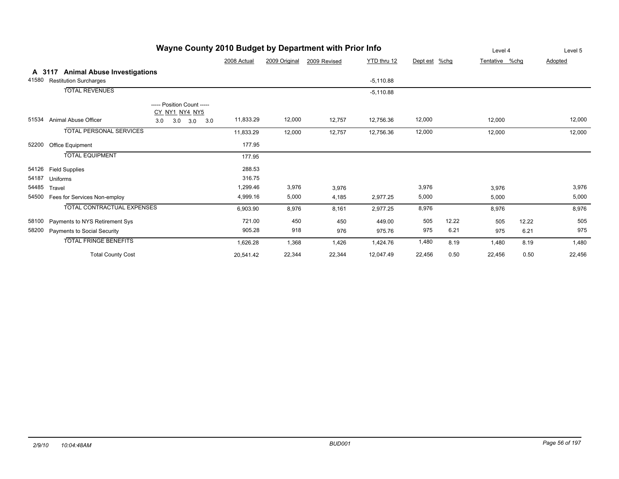|                 |                                                                     |                                              |             |               |              |             |               |       | 느, 이 구         |       | LUVUI J |
|-----------------|---------------------------------------------------------------------|----------------------------------------------|-------------|---------------|--------------|-------------|---------------|-------|----------------|-------|---------|
|                 |                                                                     |                                              | 2008 Actual | 2009 Original | 2009 Revised | YTD thru 12 | Dept est %chg |       | Tentative %chg |       | Adopted |
| A 3117<br>41580 | <b>Animal Abuse Investigations</b><br><b>Restitution Surcharges</b> |                                              |             |               |              | $-5,110.88$ |               |       |                |       |         |
|                 | <b>TOTAL REVENUES</b>                                               |                                              |             |               |              | $-5,110.88$ |               |       |                |       |         |
|                 |                                                                     | ----- Position Count -----<br>CY NY1 NY4 NY5 |             |               |              |             |               |       |                |       |         |
| 51534           | Animal Abuse Officer                                                | 3.0<br>3.0<br>3.0<br>3.0                     | 11,833.29   | 12,000        | 12,757       | 12,756.36   | 12,000        |       | 12,000         |       | 12,000  |
|                 | <b>TOTAL PERSONAL SERVICES</b>                                      |                                              | 11,833.29   | 12,000        | 12,757       | 12,756.36   | 12,000        |       | 12,000         |       | 12,000  |
| 52200           | Office Equipment                                                    |                                              | 177.95      |               |              |             |               |       |                |       |         |
|                 | <b>TOTAL EQUIPMENT</b>                                              |                                              | 177.95      |               |              |             |               |       |                |       |         |
| 54126           | <b>Field Supplies</b>                                               |                                              | 288.53      |               |              |             |               |       |                |       |         |
| 54187           | Uniforms                                                            |                                              | 316.75      |               |              |             |               |       |                |       |         |
| 54485           | Travel                                                              |                                              | 1,299.46    | 3,976         | 3,976        |             | 3,976         |       | 3,976          |       | 3,976   |
| 54500           | Fees for Services Non-employ                                        |                                              | 4,999.16    | 5,000         | 4,185        | 2,977.25    | 5,000         |       | 5,000          |       | 5,000   |
|                 | <b>TOTAL CONTRACTUAL EXPENSES</b>                                   |                                              | 6,903.90    | 8,976         | 8,161        | 2,977.25    | 8,976         |       | 8,976          |       | 8,976   |
| 58100           | Payments to NYS Retirement Sys                                      |                                              | 721.00      | 450           | 450          | 449.00      | 505           | 12.22 | 505            | 12.22 | 505     |
| 58200           | <b>Payments to Social Security</b>                                  |                                              | 905.28      | 918           | 976          | 975.76      | 975           | 6.21  | 975            | 6.21  | 975     |
|                 | <b>TOTAL FRINGE BENEFITS</b>                                        |                                              | 1,626.28    | 1,368         | 1,426        | 1,424.76    | 1,480         | 8.19  | 1,480          | 8.19  | 1,480   |
|                 | <b>Total County Cost</b>                                            |                                              | 20,541.42   | 22,344        | 22,344       | 12,047.49   | 22,456        | 0.50  | 22,456         | 0.50  | 22,456  |

## **Wayne County 2010 Budget by Department with Prior Info**

Level 4 Level 5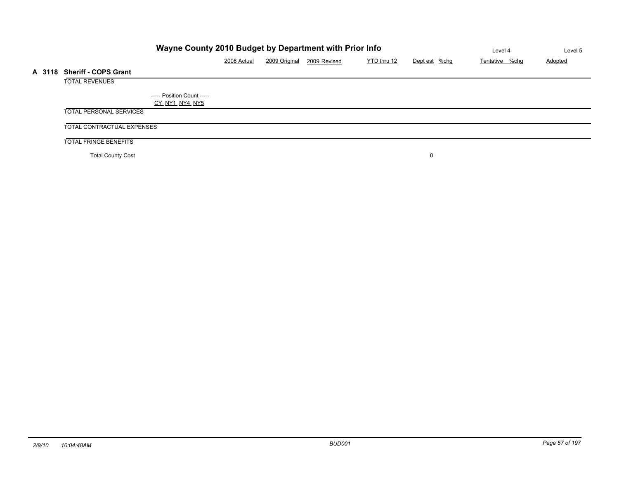|        |                                | Wayne County 2010 Budget by Department with Prior Info |             |               |              |             |               | Level 4        | Level 5 |
|--------|--------------------------------|--------------------------------------------------------|-------------|---------------|--------------|-------------|---------------|----------------|---------|
|        |                                |                                                        | 2008 Actual | 2009 Original | 2009 Revised | YTD thru 12 | Dept est %chg | Tentative %chq | Adopted |
| A 3118 | <b>Sheriff - COPS Grant</b>    |                                                        |             |               |              |             |               |                |         |
|        | <b>TOTAL REVENUES</b>          |                                                        |             |               |              |             |               |                |         |
|        |                                | ----- Position Count -----<br>CY NY1 NY4 NY5           |             |               |              |             |               |                |         |
|        | <b>TOTAL PERSONAL SERVICES</b> |                                                        |             |               |              |             |               |                |         |
|        | TOTAL CONTRACTUAL EXPENSES     |                                                        |             |               |              |             |               |                |         |
|        | <b>TOTAL FRINGE BENEFITS</b>   |                                                        |             |               |              |             |               |                |         |
|        | <b>Total County Cost</b>       |                                                        |             |               |              |             |               |                |         |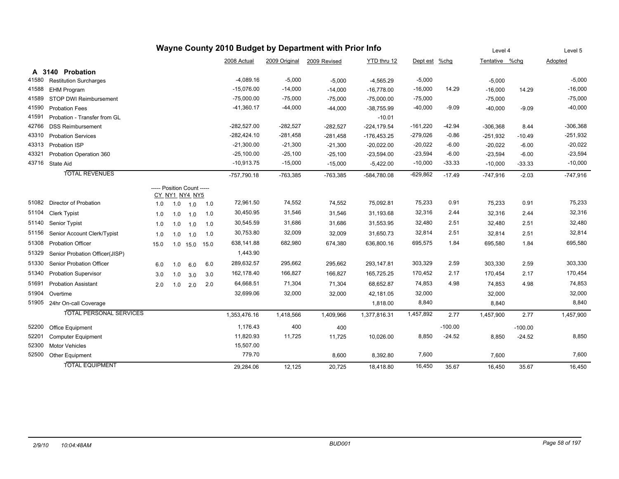|       |                                |                            |                |      |      |               |               | Wayne County 2010 Budget by Department with Prior Info |               |            |           | Level 4        |           | Level 5    |
|-------|--------------------------------|----------------------------|----------------|------|------|---------------|---------------|--------------------------------------------------------|---------------|------------|-----------|----------------|-----------|------------|
|       |                                |                            |                |      |      | 2008 Actual   | 2009 Original | 2009 Revised                                           | YTD thru 12   | Dept est   | %chg      | Tentative %chq |           | Adopted    |
|       | A 3140 Probation               |                            |                |      |      |               |               |                                                        |               |            |           |                |           |            |
| 41580 | <b>Restitution Surcharges</b>  |                            |                |      |      | $-4,089.16$   | $-5,000$      | $-5,000$                                               | $-4,565.29$   | $-5,000$   |           | $-5,000$       |           | $-5,000$   |
| 41588 | <b>EHM Program</b>             |                            |                |      |      | $-15,076.00$  | $-14,000$     | $-14,000$                                              | $-16,778.00$  | $-16,000$  | 14.29     | $-16,000$      | 14.29     | $-16,000$  |
| 41589 | STOP DWI Reimbursement         |                            |                |      |      | $-75,000.00$  | $-75,000$     | $-75,000$                                              | $-75,000.00$  | $-75,000$  |           | $-75,000$      |           | $-75,000$  |
| 41590 | <b>Probation Fees</b>          |                            |                |      |      | -41,360.17    | $-44,000$     | $-44,000$                                              | $-38,755.99$  | $-40,000$  | $-9.09$   | $-40,000$      | $-9.09$   | $-40,000$  |
| 41591 | Probation - Transfer from GL   |                            |                |      |      |               |               |                                                        | $-10.01$      |            |           |                |           |            |
| 42766 | <b>DSS Reimbursement</b>       |                            |                |      |      | $-282,527.00$ | $-282,527$    | $-282,527$                                             | $-224,179.54$ | $-161,220$ | $-42.94$  | $-306,368$     | 8.44      | $-306,368$ |
| 43310 | <b>Probation Services</b>      |                            |                |      |      | $-282,424.10$ | $-281,458$    | $-281,458$                                             | $-176,453.25$ | $-279,026$ | $-0.86$   | $-251,932$     | $-10.49$  | $-251,932$ |
| 43313 | Probation ISP                  |                            |                |      |      | $-21,300.00$  | $-21,300$     | $-21,300$                                              | $-20,022.00$  | $-20,022$  | $-6.00$   | $-20,022$      | $-6.00$   | $-20,022$  |
| 43321 | Probation Operation 360        |                            |                |      |      | $-25,100.00$  | $-25,100$     | $-25,100$                                              | $-23,594.00$  | $-23,594$  | $-6.00$   | $-23,594$      | $-6.00$   | $-23,594$  |
|       | 43716 State Aid                |                            |                |      |      | $-10,913.75$  | $-15,000$     | $-15,000$                                              | $-5,422.00$   | $-10,000$  | -33.33    | $-10,000$      | $-33.33$  | $-10,000$  |
|       | <b>TOTAL REVENUES</b>          |                            |                |      |      | -757,790.18   | $-763,385$    | $-763,385$                                             | -584,780.08   | $-629,862$ | $-17.49$  | $-747,916$     | $-2.03$   | $-747,916$ |
|       |                                | ----- Position Count ----- |                |      |      |               |               |                                                        |               |            |           |                |           |            |
|       |                                |                            | CY NY1 NY4 NY5 |      |      |               |               |                                                        |               |            |           |                |           |            |
| 51082 | Director of Probation          | 1.0                        | 1.0            | 1.0  | 1.0  | 72,961.50     | 74,552        | 74,552                                                 | 75,092.81     | 75,233     | 0.91      | 75,233         | 0.91      | 75,233     |
| 51104 | <b>Clerk Typist</b>            | 1.0                        | 1.0            | 1.0  | 1.0  | 30,450.95     | 31,546        | 31,546                                                 | 31,193.68     | 32,316     | 2.44      | 32,316         | 2.44      | 32,316     |
| 51140 | Senior Typist                  | 1.0                        | 1.0            | 1.0  | 1.0  | 30,545.59     | 31,686        | 31,686                                                 | 31,553.95     | 32,480     | 2.51      | 32,480         | 2.51      | 32,480     |
| 51156 | Senior Account Clerk/Typist    | 1.0                        | 1.0            | 1.0  | 1.0  | 30,753.80     | 32,009        | 32,009                                                 | 31,650.73     | 32,814     | 2.51      | 32,814         | 2.51      | 32,814     |
| 51308 | <b>Probation Officer</b>       | 15.0                       | 1.0            | 15.0 | 15.0 | 638,141.88    | 682,980       | 674,380                                                | 636,800.16    | 695,575    | 1.84      | 695,580        | 1.84      | 695,580    |
| 51329 | Senior Probation Officer(JISP) |                            |                |      |      | 1,443.90      |               |                                                        |               |            |           |                |           |            |
| 51330 | Senior Probation Officer       | 6.0                        | 1.0            | 6.0  | 6.0  | 289,632.57    | 295,662       | 295,662                                                | 293,147.81    | 303,329    | 2.59      | 303,330        | 2.59      | 303,330    |
| 51340 | <b>Probation Supervisor</b>    | 3.0                        | 1.0            | 3.0  | 3.0  | 162,178.40    | 166,827       | 166,827                                                | 165,725.25    | 170,452    | 2.17      | 170,454        | 2.17      | 170,454    |
| 51691 | <b>Probation Assistant</b>     | 2.0                        | 1.0            | 2.0  | 2.0  | 64,668.51     | 71,304        | 71,304                                                 | 68,652.87     | 74,853     | 4.98      | 74,853         | 4.98      | 74,853     |
| 51904 | Overtime                       |                            |                |      |      | 32,699.06     | 32,000        | 32,000                                                 | 42,181.05     | 32,000     |           | 32,000         |           | 32,000     |
|       | 51905 24hr On-call Coverage    |                            |                |      |      |               |               |                                                        | 1,818.00      | 8,840      |           | 8,840          |           | 8,840      |
|       | <b>TOTAL PERSONAL SERVICES</b> |                            |                |      |      | 1,353,476.16  | 1,418,566     | 1,409,966                                              | 1,377,816.31  | 1,457,892  | 2.77      | 1,457,900      | 2.77      | 1,457,900  |
| 52200 | <b>Office Equipment</b>        |                            |                |      |      | 1,176.43      | 400           | 400                                                    |               |            | $-100.00$ |                | $-100.00$ |            |
| 52201 | <b>Computer Equipment</b>      |                            |                |      |      | 11,820.93     | 11,725        | 11,725                                                 | 10,026.00     | 8,850      | $-24.52$  | 8,850          | $-24.52$  | 8,850      |
| 52300 | <b>Motor Vehicles</b>          |                            |                |      |      | 15,507.00     |               |                                                        |               |            |           |                |           |            |
| 52500 | Other Equipment                |                            |                |      |      | 779.70        |               | 8,600                                                  | 8,392.80      | 7,600      |           | 7,600          |           | 7,600      |
|       | <b>TOTAL EQUIPMENT</b>         |                            |                |      |      | 29,284.06     | 12,125        | 20,725                                                 | 18,418.80     | 16,450     | 35.67     | 16,450         | 35.67     | 16,450     |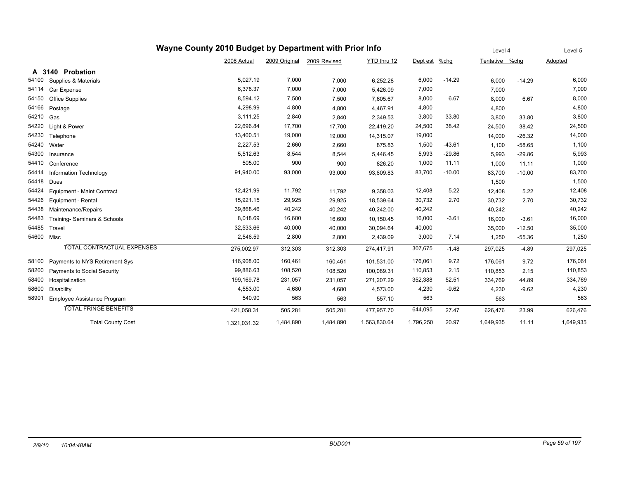|            |                                   | Wayne County 2010 Budget by Department with Prior Info |               |              |              |           |          | Level 4        |          | Level 5   |
|------------|-----------------------------------|--------------------------------------------------------|---------------|--------------|--------------|-----------|----------|----------------|----------|-----------|
|            |                                   | 2008 Actual                                            | 2009 Original | 2009 Revised | YTD thru 12  | Dept est  | $%$ chg  | Tentative %chg |          | Adopted   |
|            | A 3140 Probation                  |                                                        |               |              |              |           |          |                |          |           |
| 54100      | Supplies & Materials              | 5,027.19                                               | 7,000         | 7,000        | 6,252.28     | 6,000     | $-14.29$ | 6,000          | $-14.29$ | 6,000     |
| 54114      | Car Expense                       | 6,378.37                                               | 7,000         | 7,000        | 5,426.09     | 7,000     |          | 7,000          |          | 7,000     |
| 54150      | <b>Office Supplies</b>            | 8,594.12                                               | 7,500         | 7,500        | 7,605.67     | 8,000     | 6.67     | 8,000          | 6.67     | 8,000     |
| 54166      | Postage                           | 4,298.99                                               | 4,800         | 4,800        | 4,467.91     | 4,800     |          | 4,800          |          | 4,800     |
| 54210      | Gas                               | 3,111.25                                               | 2,840         | 2,840        | 2,349.53     | 3,800     | 33.80    | 3,800          | 33.80    | 3,800     |
| 54220      | Light & Power                     | 22,696.84                                              | 17,700        | 17,700       | 22,419.20    | 24,500    | 38.42    | 24,500         | 38.42    | 24,500    |
| 54230      | Telephone                         | 13,400.51                                              | 19,000        | 19,000       | 14,315.07    | 19,000    |          | 14,000         | $-26.32$ | 14,000    |
| 54240      | Water                             | 2,227.53                                               | 2,660         | 2,660        | 875.83       | 1,500     | $-43.61$ | 1,100          | $-58.65$ | 1,100     |
| 54300      | Insurance                         | 5,512.63                                               | 8,544         | 8,544        | 5,446.45     | 5,993     | $-29.86$ | 5,993          | $-29.86$ | 5,993     |
| 54410      | Conference                        | 505.00                                                 | 900           | 900          | 826.20       | 1,000     | 11.11    | 1,000          | 11.11    | 1,000     |
| 54414      | Information Technology            | 91,940.00                                              | 93,000        | 93,000       | 93,609.83    | 83,700    | $-10.00$ | 83,700         | $-10.00$ | 83,700    |
| 54418      | Dues                              |                                                        |               |              |              |           |          | 1,500          |          | 1,500     |
| 54424      | <b>Equipment - Maint Contract</b> | 12,421.99                                              | 11,792        | 11,792       | 9,358.03     | 12,408    | 5.22     | 12,408         | 5.22     | 12,408    |
| 54426      | Equipment - Rental                | 15,921.15                                              | 29,925        | 29,925       | 18,539.64    | 30,732    | 2.70     | 30,732         | 2.70     | 30,732    |
| 54438      | Maintenance/Repairs               | 39,868.46                                              | 40,242        | 40,242       | 40,242.00    | 40,242    |          | 40,242         |          | 40,242    |
| 54483      | Training- Seminars & Schools      | 8,018.69                                               | 16,600        | 16,600       | 10,150.45    | 16,000    | $-3.61$  | 16,000         | $-3.61$  | 16,000    |
| 54485      | Travel                            | 32,533.66                                              | 40,000        | 40,000       | 30,094.64    | 40,000    |          | 35,000         | $-12.50$ | 35,000    |
| 54600 Misc |                                   | 2,546.59                                               | 2,800         | 2,800        | 2,439.09     | 3,000     | 7.14     | 1,250          | $-55.36$ | 1,250     |
|            | <b>TOTAL CONTRACTUAL EXPENSES</b> | 275,002.97                                             | 312,303       | 312,303      | 274,417.91   | 307,675   | $-1.48$  | 297.025        | $-4.89$  | 297,025   |
| 58100      | Payments to NYS Retirement Sys    | 116,908.00                                             | 160,461       | 160,461      | 101,531.00   | 176,061   | 9.72     | 176,061        | 9.72     | 176,061   |
| 58200      | Payments to Social Security       | 99,886.63                                              | 108,520       | 108,520      | 100,089.31   | 110,853   | 2.15     | 110,853        | 2.15     | 110,853   |
| 58400      | Hospitalization                   | 199,169.78                                             | 231,057       | 231,057      | 271,207.29   | 352,388   | 52.51    | 334,769        | 44.89    | 334,769   |
| 58600      | <b>Disability</b>                 | 4,553.00                                               | 4,680         | 4,680        | 4,573.00     | 4,230     | $-9.62$  | 4,230          | $-9.62$  | 4,230     |
| 58901      | Employee Assistance Program       | 540.90                                                 | 563           | 563          | 557.10       | 563       |          | 563            |          | 563       |
|            | <b>TOTAL FRINGE BENEFITS</b>      | 421,058.31                                             | 505,281       | 505,281      | 477,957.70   | 644,095   | 27.47    | 626,476        | 23.99    | 626,476   |
|            | <b>Total County Cost</b>          | 1,321,031.32                                           | 1,484,890     | 1,484,890    | 1,563,830.64 | 1,796,250 | 20.97    | 1,649,935      | 11.11    | 1,649,935 |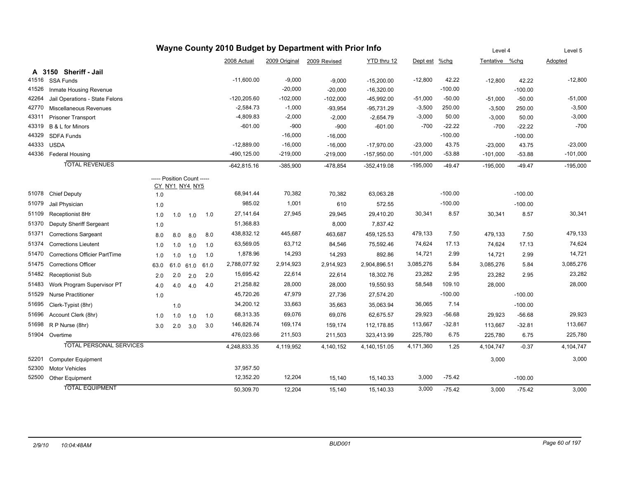|       |                                      |      |     |                                              |      |               |               | Wayne County 2010 Budget by Department with Prior Info |               |               |           | Level 4        |           | Level 5    |
|-------|--------------------------------------|------|-----|----------------------------------------------|------|---------------|---------------|--------------------------------------------------------|---------------|---------------|-----------|----------------|-----------|------------|
|       |                                      |      |     |                                              |      | 2008 Actual   | 2009 Original | 2009 Revised                                           | YTD thru 12   | Dept est %chg |           | Tentative %chg |           | Adopted    |
|       | A 3150 Sheriff - Jail                |      |     |                                              |      |               |               |                                                        |               |               |           |                |           |            |
| 41516 | <b>SSA Funds</b>                     |      |     |                                              |      | $-11,600.00$  | $-9,000$      | $-9,000$                                               | $-15,200.00$  | $-12,800$     | 42.22     | $-12,800$      | 42.22     | $-12,800$  |
| 41526 | Inmate Housing Revenue               |      |     |                                              |      |               | $-20,000$     | $-20,000$                                              | $-16,320.00$  |               | $-100.00$ |                | $-100.00$ |            |
| 42264 | Jail Operations - State Felons       |      |     |                                              |      | $-120,205.60$ | $-102,000$    | $-102,000$                                             | $-45,992.00$  | $-51,000$     | $-50.00$  | $-51,000$      | $-50.00$  | $-51,000$  |
| 42770 | Miscellaneous Revenues               |      |     |                                              |      | $-2,584.73$   | $-1,000$      | $-93,954$                                              | $-95,731.29$  | $-3,500$      | 250.00    | $-3,500$       | 250.00    | $-3,500$   |
| 43311 | <b>Prisoner Transport</b>            |      |     |                                              |      | $-4,809.83$   | $-2,000$      | $-2,000$                                               | $-2,654.79$   | $-3,000$      | 50.00     | $-3,000$       | 50.00     | $-3,000$   |
| 43319 | B & L for Minors                     |      |     |                                              |      | $-601.00$     | $-900$        | $-900$                                                 | $-601.00$     | $-700$        | $-22.22$  | $-700$         | $-22.22$  | $-700$     |
| 44329 | <b>SDFA Funds</b>                    |      |     |                                              |      |               | $-16,000$     | $-16,000$                                              |               |               | $-100.00$ |                | $-100.00$ |            |
| 44333 | <b>USDA</b>                          |      |     |                                              |      | $-12,889.00$  | $-16,000$     | $-16,000$                                              | $-17,970.00$  | $-23,000$     | 43.75     | $-23,000$      | 43.75     | $-23,000$  |
|       | 44336 Federal Housing                |      |     |                                              |      | -490,125.00   | $-219,000$    | $-219,000$                                             | $-157,950.00$ | $-101,000$    | $-53.88$  | $-101,000$     | $-53.88$  | $-101,000$ |
|       | <b>TOTAL REVENUES</b>                |      |     |                                              |      | $-642,815.16$ | $-385,900$    | -478,854                                               | $-352,419.08$ | $-195,000$    | $-49.47$  | $-195,000$     | $-49.47$  | $-195,000$ |
|       |                                      |      |     | ----- Position Count -----<br>CY_NY1_NY4_NY5 |      |               |               |                                                        |               |               |           |                |           |            |
| 51078 | <b>Chief Deputy</b>                  | 1.0  |     |                                              |      | 68,941.44     | 70,382        | 70,382                                                 | 63,063.28     |               | $-100.00$ |                | $-100.00$ |            |
| 51079 | Jail Physician                       | 1.0  |     |                                              |      | 985.02        | 1,001         | 610                                                    | 572.55        |               | $-100.00$ |                | $-100.00$ |            |
| 51109 | Receptionist 8Hr                     | 1.0  | 1.0 | 1.0                                          | 1.0  | 27,141.64     | 27,945        | 29,945                                                 | 29,410.20     | 30,341        | 8.57      | 30,341         | 8.57      | 30,341     |
| 51370 | Deputy Sheriff Sergeant              | 1.0  |     |                                              |      | 51,368.83     |               | 8,000                                                  | 7,837.42      |               |           |                |           |            |
| 51371 | <b>Corrections Sargeant</b>          | 8.0  | 8.0 | 8.0                                          | 8.0  | 438,832.12    | 445,687       | 463,687                                                | 459,125.53    | 479,133       | 7.50      | 479,133        | 7.50      | 479,133    |
| 51374 | <b>Corrections Lieutent</b>          | 1.0  | 1.0 | 1.0                                          | 1.0  | 63,569.05     | 63,712        | 84,546                                                 | 75,592.46     | 74,624        | 17.13     | 74,624         | 17.13     | 74,624     |
| 51470 | <b>Corrections Officier PartTime</b> | 1.0  | 1.0 | 1.0                                          | 1.0  | 1,878.96      | 14,293        | 14,293                                                 | 892.86        | 14,721        | 2.99      | 14,721         | 2.99      | 14,721     |
| 51475 | <b>Corrections Officer</b>           | 63.0 |     | 61.0 61.0                                    | 61.0 | 2,788,077.92  | 2,914,923     | 2,914,923                                              | 2,904,896.51  | 3,085,276     | 5.84      | 3,085,276      | 5.84      | 3,085,276  |
| 51482 | <b>Receptionist Sub</b>              | 2.0  | 2.0 | 2.0                                          | 2.0  | 15,695.42     | 22,614        | 22,614                                                 | 18,302.76     | 23,282        | 2.95      | 23,282         | 2.95      | 23,282     |
| 51483 | Work Program Supervisor PT           | 4.0  | 4.0 | 4.0                                          | 4.0  | 21,258.82     | 28,000        | 28,000                                                 | 19,550.93     | 58,548        | 109.10    | 28,000         |           | 28,000     |
| 51529 | <b>Nurse Practitioner</b>            | 1.0  |     |                                              |      | 45,720.26     | 47,979        | 27,736                                                 | 27,574.20     |               | $-100.00$ |                | $-100.00$ |            |
| 51695 | Clerk-Typist (8hr)                   |      | 1.0 |                                              |      | 34,200.12     | 33,663        | 35,663                                                 | 35,063.94     | 36,065        | 7.14      |                | $-100.00$ |            |
| 51696 | Account Clerk (8hr)                  | 1.0  | 1.0 | 1.0                                          | 1.0  | 68,313.35     | 69,076        | 69,076                                                 | 62,675.57     | 29,923        | $-56.68$  | 29,923         | $-56.68$  | 29,923     |
| 51698 | R P Nurse (8hr)                      | 3.0  | 2.0 | 3.0                                          | 3.0  | 146,826.74    | 169,174       | 159,174                                                | 112,178.85    | 113,667       | $-32.81$  | 113,667        | $-32.81$  | 113,667    |
|       | 51904 Overtime                       |      |     |                                              |      | 476,023.66    | 211,503       | 211,503                                                | 323,413.99    | 225,780       | 6.75      | 225,780        | 6.75      | 225,780    |
|       | <b>TOTAL PERSONAL SERVICES</b>       |      |     |                                              |      | 4,248,833.35  | 4,119,952     | 4,140,152                                              | 4,140,151.05  | 4,171,360     | 1.25      | 4,104,747      | $-0.37$   | 4,104,747  |
| 52201 | <b>Computer Equipment</b>            |      |     |                                              |      |               |               |                                                        |               |               |           | 3,000          |           | 3,000      |
| 52300 | <b>Motor Vehicles</b>                |      |     |                                              |      | 37,957.50     |               |                                                        |               |               |           |                |           |            |
| 52500 | Other Equipment                      |      |     |                                              |      | 12,352.20     | 12,204        | 15,140                                                 | 15,140.33     | 3,000         | $-75.42$  |                | $-100.00$ |            |
|       | <b>TOTAL EQUIPMENT</b>               |      |     |                                              |      | 50,309.70     | 12,204        | 15,140                                                 | 15.140.33     | 3,000         | $-75.42$  | 3,000          | $-75.42$  | 3,000      |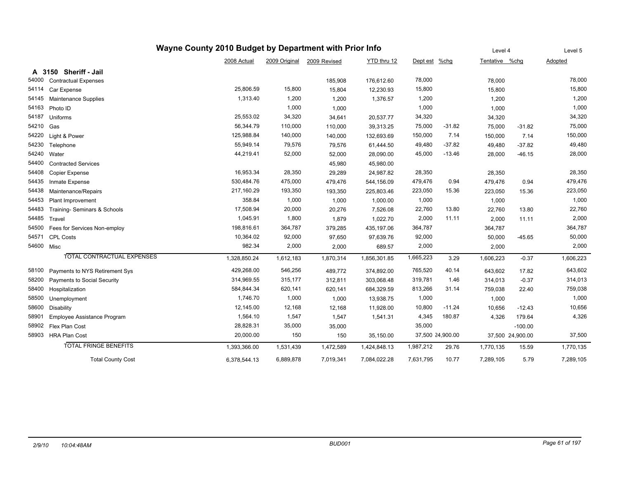|            |                                   |              | Level 4       |              | Level 5      |           |                  |                |                  |           |
|------------|-----------------------------------|--------------|---------------|--------------|--------------|-----------|------------------|----------------|------------------|-----------|
|            |                                   | 2008 Actual  | 2009 Original | 2009 Revised | YTD thru 12  | Dept est  | $%$ chg          | Tentative %chg |                  | Adopted   |
|            | A 3150 Sheriff - Jail             |              |               |              |              |           |                  |                |                  |           |
| 54000      | <b>Contractual Expenses</b>       |              |               | 185,908      | 176,612.60   | 78,000    |                  | 78,000         |                  | 78,000    |
| 54114      | Car Expense                       | 25,806.59    | 15,800        | 15,804       | 12,230.93    | 15,800    |                  | 15,800         |                  | 15,800    |
| 54145      | Maintenance Supplies              | 1,313.40     | 1,200         | 1,200        | 1,376.57     | 1,200     |                  | 1,200          |                  | 1,200     |
| 54163      | Photo ID                          |              | 1,000         | 1,000        |              | 1,000     |                  | 1,000          |                  | 1,000     |
| 54187      | Uniforms                          | 25,553.02    | 34,320        | 34,641       | 20,537.77    | 34,320    |                  | 34,320         |                  | 34,320    |
| 54210 Gas  |                                   | 56,344.79    | 110,000       | 110,000      | 39,313.25    | 75,000    | $-31.82$         | 75,000         | $-31.82$         | 75,000    |
| 54220      | Light & Power                     | 125,988.84   | 140,000       | 140,000      | 132,693.69   | 150,000   | 7.14             | 150,000        | 7.14             | 150,000   |
| 54230      | Telephone                         | 55,949.14    | 79,576        | 79,576       | 61,444.50    | 49,480    | $-37.82$         | 49,480         | $-37.82$         | 49,480    |
| 54240      | Water                             | 44,219.41    | 52,000        | 52,000       | 28,090.00    | 45,000    | $-13.46$         | 28,000         | $-46.15$         | 28,000    |
| 54400      | <b>Contracted Services</b>        |              |               | 45,980       | 45,980.00    |           |                  |                |                  |           |
| 54408      | Copier Expense                    | 16,953.34    | 28,350        | 29,289       | 24,987.82    | 28,350    |                  | 28,350         |                  | 28,350    |
| 54435      | Inmate Expense                    | 530,484.76   | 475,000       | 479,476      | 544,156.09   | 479,476   | 0.94             | 479,476        | 0.94             | 479,476   |
| 54438      | Maintenance/Repairs               | 217,160.29   | 193,350       | 193,350      | 225,803.46   | 223,050   | 15.36            | 223,050        | 15.36            | 223,050   |
| 54453      | Plant Improvement                 | 358.84       | 1,000         | 1,000        | 1,000.00     | 1,000     |                  | 1,000          |                  | 1,000     |
| 54483      | Training- Seminars & Schools      | 17,508.94    | 20,000        | 20,276       | 7,526.08     | 22,760    | 13.80            | 22,760         | 13.80            | 22,760    |
| 54485      | Travel                            | 1,045.91     | 1,800         | 1,879        | 1,022.70     | 2,000     | 11.11            | 2,000          | 11.11            | 2,000     |
| 54500      | Fees for Services Non-employ      | 198,816.61   | 364,787       | 379,285      | 435,197.06   | 364,787   |                  | 364,787        |                  | 364,787   |
| 54571      | <b>CPL Costs</b>                  | 10,364.02    | 92,000        | 97,650       | 97,639.76    | 92,000    |                  | 50,000         | $-45.65$         | 50,000    |
| 54600 Misc |                                   | 982.34       | 2,000         | 2,000        | 689.57       | 2,000     |                  | 2,000          |                  | 2,000     |
|            | <b>TOTAL CONTRACTUAL EXPENSES</b> | 1,328,850.24 | 1,612,183     | 1,870,314    | 1,856,301.85 | 1,665,223 | 3.29             | 1,606,223      | $-0.37$          | 1,606,223 |
| 58100      | Payments to NYS Retirement Sys    | 429,268.00   | 546,256       | 489,772      | 374,892.00   | 765,520   | 40.14            | 643,602        | 17.82            | 643,602   |
| 58200      | Payments to Social Security       | 314,969.55   | 315,177       | 312,811      | 303,068.48   | 319,781   | 1.46             | 314,013        | $-0.37$          | 314,013   |
| 58400      | Hospitalization                   | 584,844.34   | 620,141       | 620,141      | 684,329.59   | 813,266   | 31.14            | 759,038        | 22.40            | 759,038   |
| 58500      | Unemployment                      | 1,746.70     | 1,000         | 1,000        | 13,938.75    | 1,000     |                  | 1,000          |                  | 1,000     |
| 58600      | Disability                        | 12,145.00    | 12,168        | 12,168       | 11,928.00    | 10,800    | $-11.24$         | 10,656         | $-12.43$         | 10,656    |
| 58901      | Employee Assistance Program       | 1,564.10     | 1,547         | 1,547        | 1,541.31     | 4,345     | 180.87           | 4,326          | 179.64           | 4,326     |
| 58902      | Flex Plan Cost                    | 28,828.31    | 35,000        | 35,000       |              | 35,000    |                  |                | $-100.00$        |           |
|            | 58903 HRA Plan Cost               | 20,000.00    | 150           | 150          | 35,150.00    |           | 37,500 24,900.00 |                | 37,500 24,900.00 | 37,500    |
|            | <b>TOTAL FRINGE BENEFITS</b>      | 1,393,366.00 | 1,531,439     | 1,472,589    | 1,424,848.13 | 1,987,212 | 29.76            | 1,770,135      | 15.59            | 1,770,135 |
|            | <b>Total County Cost</b>          | 6,378,544.13 | 6,889,878     | 7,019,341    | 7,084,022.28 | 7,631,795 | 10.77            | 7,289,105      | 5.79             | 7,289,105 |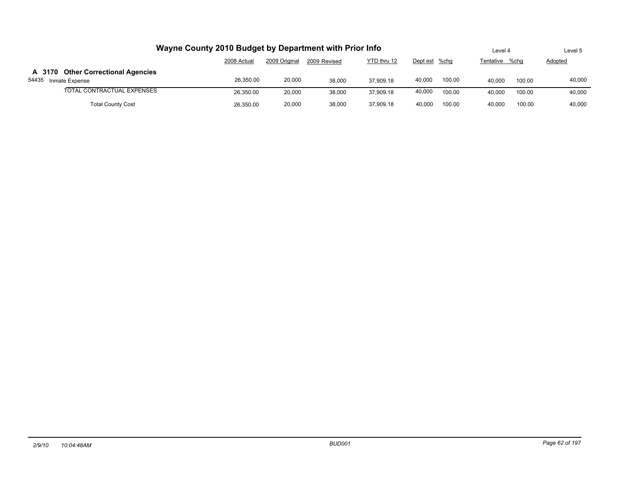|                                                               | Wayne County 2010 Budget by Department with Prior Info |               |              |             |               |        | Level 4        |        | Level 5 |
|---------------------------------------------------------------|--------------------------------------------------------|---------------|--------------|-------------|---------------|--------|----------------|--------|---------|
|                                                               | 2008 Actual                                            | 2009 Original | 2009 Revised | YTD thru 12 | Dept est %chg |        | Tentative %chg |        | Adopted |
| A 3170 Other Correctional Agencies<br>54435<br>Inmate Expense | 26.350.00                                              | 20,000        | 38,000       | 37.909.18   | 40,000        | 100.00 | 40.000         | 100.00 | 40,000  |
| TOTAL CONTRACTUAL EXPENSES                                    | 26,350.00                                              | 20.000        | 38,000       | 37.909.18   | 40,000        | 100.00 | 40.000         | 100.00 | 40,000  |
| <b>Total County Cost</b>                                      | 26,350.00                                              | 20,000        | 38.000       | 37.909.18   | 40.000        | 100.00 | 40.000         | 100.00 | 40.000  |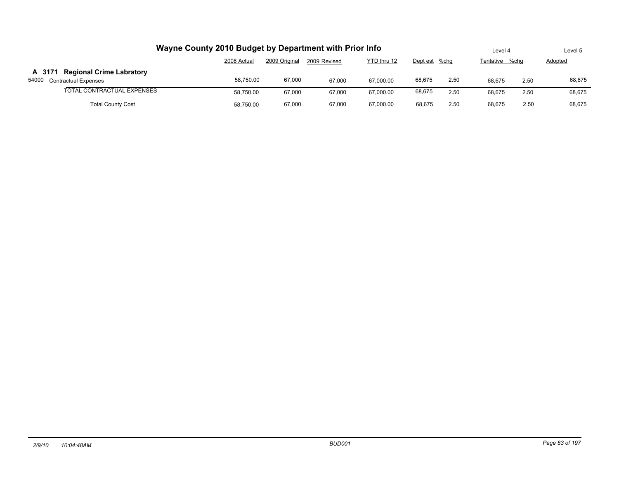|                                                                         | Wayne County 2010 Budget by Department with Prior Info |               |              |             |               |      | Level 4        |      | Level 5 |
|-------------------------------------------------------------------------|--------------------------------------------------------|---------------|--------------|-------------|---------------|------|----------------|------|---------|
|                                                                         | 2008 Actual                                            | 2009 Original | 2009 Revised | YTD thru 12 | Dept est %chg |      | Tentative %chq |      | Adopted |
| <b>Regional Crime Labratory</b><br>A 3171<br>54000 Contractual Expenses | 58.750.00                                              | 67,000        | 67.000       | 67.000.00   | 68,675        | 2.50 | 68.675         | 2.50 | 68,675  |
| TOTAL CONTRACTUAL EXPENSES                                              | 58.750.00                                              | 67.000        | 67.000       | 67.000.00   | 68,675        | 2.50 | 68.675         | 2.50 | 68.675  |
| <b>Total County Cost</b>                                                | 58,750.00                                              | 67,000        | 67.000       | 67.000.00   | 68.675        | 2.50 | 68.675         | 2.50 | 68.675  |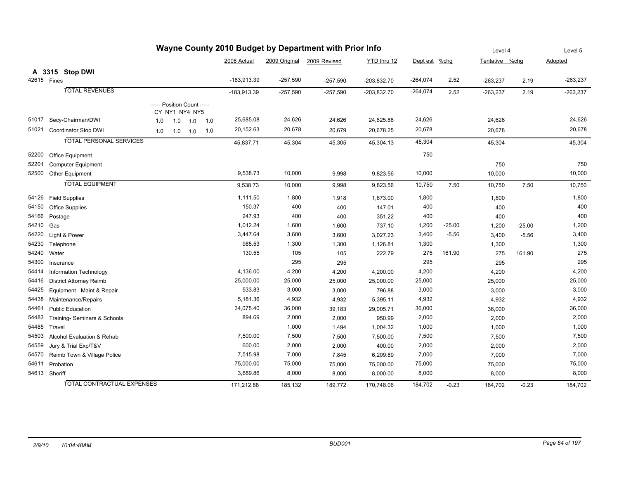|       | Wayne County 2010 Budget by Department with Prior Info |                            |             |     |     |               |            |                            |               |               |          |                |          | Level 5    |
|-------|--------------------------------------------------------|----------------------------|-------------|-----|-----|---------------|------------|----------------------------|---------------|---------------|----------|----------------|----------|------------|
|       |                                                        |                            |             |     |     | 2008 Actual   |            | 2009 Original 2009 Revised | YTD thru 12   | Dept est %chg |          | Tentative %chg |          | Adopted    |
|       | A 3315 Stop DWI                                        |                            |             |     |     |               |            |                            |               |               |          |                |          |            |
|       | 42615 Fines                                            |                            |             |     |     | $-183,913.39$ | $-257,590$ | $-257,590$                 | $-203,832.70$ | $-264,074$    | 2.52     | $-263,237$     | 2.19     | $-263,237$ |
|       | <b>TOTAL REVENUES</b>                                  |                            |             |     |     | $-183,913.39$ | $-257,590$ | $-257,590$                 | $-203,832.70$ | $-264,074$    | 2.52     | $-263,237$     | 2.19     | $-263,237$ |
|       |                                                        | ----- Position Count ----- |             |     |     |               |            |                            |               |               |          |                |          |            |
|       |                                                        | CY_NY1_NY4_NY5             |             |     |     |               |            |                            |               |               |          |                |          |            |
| 51017 | Secy-Chairman/DWI                                      | 1.0                        | 1.0         | 1.0 | 1.0 | 25,685.08     | 24,626     | 24,626                     | 24,625.88     | 24,626        |          | 24,626         |          | 24,626     |
| 51021 | Coordinator Stop DWI                                   | 1.0                        | $1.0$ $1.0$ |     | 1.0 | 20,152.63     | 20,678     | 20,679                     | 20,678.25     | 20,678        |          | 20,678         |          | 20,678     |
|       | <b>TOTAL PERSONAL SERVICES</b>                         |                            |             |     |     | 45,837.71     | 45,304     | 45,305                     | 45,304.13     | 45,304        |          | 45,304         |          | 45,304     |
| 52200 | Office Equipment                                       |                            |             |     |     |               |            |                            |               | 750           |          |                |          |            |
| 52201 | Computer Equipment                                     |                            |             |     |     |               |            |                            |               |               |          | 750            |          | 750        |
|       | 52500 Other Equipment                                  |                            |             |     |     | 9,538.73      | 10,000     | 9,998                      | 9,823.56      | 10,000        |          | 10,000         |          | 10,000     |
|       | <b>TOTAL EQUIPMENT</b>                                 |                            |             |     |     | 9,538.73      | 10,000     | 9,998                      | 9,823.56      | 10,750        | 7.50     | 10,750         | 7.50     | 10,750     |
|       | 54126 Field Supplies                                   |                            |             |     |     | 1,111.50      | 1,800      | 1,918                      | 1,673.00      | 1,800         |          | 1,800          |          | 1,800      |
| 54150 | <b>Office Supplies</b>                                 |                            |             |     |     | 150.37        | 400        | 400                        | 147.01        | 400           |          | 400            |          | 400        |
| 54166 | Postage                                                |                            |             |     |     | 247.93        | 400        | 400                        | 351.22        | 400           |          | 400            |          | 400        |
| 54210 | Gas                                                    |                            |             |     |     | 1,012.24      | 1,600      | 1,600                      | 737.10        | 1,200         | $-25.00$ | 1,200          | $-25.00$ | 1,200      |
| 54220 | Light & Power                                          |                            |             |     |     | 3,447.64      | 3,600      | 3,600                      | 3,027.23      | 3,400         | $-5.56$  | 3,400          | $-5.56$  | 3,400      |
| 54230 | Telephone                                              |                            |             |     |     | 985.53        | 1,300      | 1,300                      | 1,126.81      | 1,300         |          | 1,300          |          | 1,300      |
| 54240 | Water                                                  |                            |             |     |     | 130.55        | 105        | 105                        | 222.79        | 275           | 161.90   | 275            | 161.90   | 275        |
| 54300 | Insurance                                              |                            |             |     |     |               | 295        | 295                        |               | 295           |          | 295            |          | 295        |
| 54414 | Information Technology                                 |                            |             |     |     | 4,136.00      | 4,200      | 4,200                      | 4,200.00      | 4,200         |          | 4,200          |          | 4,200      |
| 54416 | <b>District Attorney Reimb</b>                         |                            |             |     |     | 25,000.00     | 25,000     | 25,000                     | 25,000.00     | 25,000        |          | 25,000         |          | 25,000     |
| 54425 | Equipment - Maint & Repair                             |                            |             |     |     | 533.83        | 3,000      | 3,000                      | 796.88        | 3,000         |          | 3,000          |          | 3,000      |
| 54438 | Maintenance/Repairs                                    |                            |             |     |     | 5,181.36      | 4,932      | 4,932                      | 5,395.11      | 4,932         |          | 4,932          |          | 4,932      |
| 54461 | <b>Public Education</b>                                |                            |             |     |     | 34,075.40     | 36,000     | 39,183                     | 29,005.71     | 36,000        |          | 36,000         |          | 36,000     |
| 54483 | Training- Seminars & Schools                           |                            |             |     |     | 894.69        | 2,000      | 2,000                      | 950.99        | 2,000         |          | 2,000          |          | 2,000      |
| 54485 | Travel                                                 |                            |             |     |     |               | 1,000      | 1,494                      | 1,004.32      | 1,000         |          | 1,000          |          | 1,000      |
| 54503 | Alcohol Evaluation & Rehab                             |                            |             |     |     | 7,500.00      | 7,500      | 7,500                      | 7,500.00      | 7,500         |          | 7,500          |          | 7,500      |
| 54559 | Jury & Trial Exp/T&V                                   |                            |             |     |     | 600.00        | 2,000      | 2,000                      | 400.00        | 2,000         |          | 2,000          |          | 2,000      |
| 54570 | Reimb Town & Village Police                            |                            |             |     |     | 7,515.98      | 7,000      | 7,845                      | 6,209.89      | 7,000         |          | 7,000          |          | 7,000      |
| 54611 | Probation                                              |                            |             |     |     | 75,000.00     | 75,000     | 75,000                     | 75,000.00     | 75,000        |          | 75,000         |          | 75,000     |
|       | 54613 Sheriff                                          |                            |             |     |     | 3,689.86      | 8,000      | 8,000                      | 8,000.00      | 8,000         |          | 8,000          |          | 8,000      |
|       | <b>TOTAL CONTRACTUAL EXPENSES</b>                      |                            |             |     |     | 171,212.88    | 185,132    | 189,772                    | 170,748.06    | 184,702       | $-0.23$  | 184,702        | $-0.23$  | 184,702    |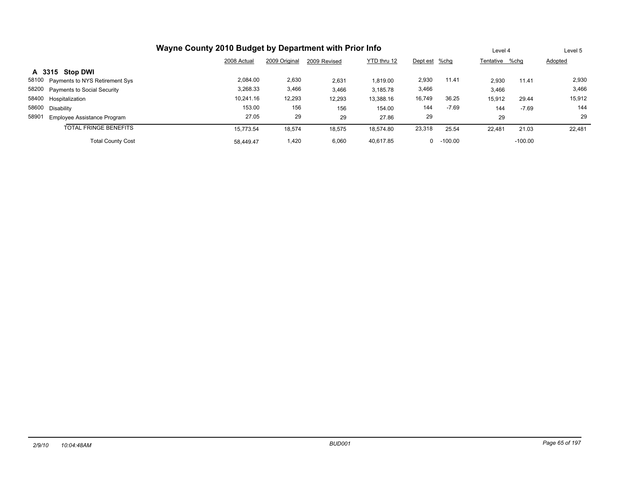| Wayne County 2010 Budget by Department with Prior Info |             | Level 4       |              | Level 5     |               |              |                |           |         |
|--------------------------------------------------------|-------------|---------------|--------------|-------------|---------------|--------------|----------------|-----------|---------|
|                                                        | 2008 Actual | 2009 Original | 2009 Revised | YTD thru 12 | Dept est %chg |              | Tentative %chg |           | Adopted |
| A 3315 Stop DWI                                        |             |               |              |             |               |              |                |           |         |
| 58100 Payments to NYS Retirement Sys                   | 2.084.00    | 2,630         | 2,631        | 1,819.00    | 2,930         | 11.41        | 2.930          | 11.41     | 2,930   |
| 58200 Payments to Social Security                      | 3,268.33    | 3,466         | 3,466        | 3,185.78    | 3,466         |              | 3,466          |           | 3,466   |
| 58400 Hospitalization                                  | 10.241.16   | 12,293        | 12,293       | 13,388.16   | 16,749        | 36.25        | 15,912         | 29.44     | 15,912  |
| 58600 Disability                                       | 153.00      | 156           | 156          | 154.00      | 144           | $-7.69$      | 144            | $-7.69$   | 144     |
| 58901<br>Employee Assistance Program                   | 27.05       | 29            | 29           | 27.86       | 29            |              | 29             |           | 29      |
| <b>TOTAL FRINGE BENEFITS</b>                           | 15.773.54   | 18,574        | 18,575       | 18.574.80   | 23,318        | 25.54        | 22,481         | 21.03     | 22,481  |
| <b>Total County Cost</b>                               | 58.449.47   | 1.420         | 6,060        | 40.617.85   |               | $0 - 100.00$ |                | $-100.00$ |         |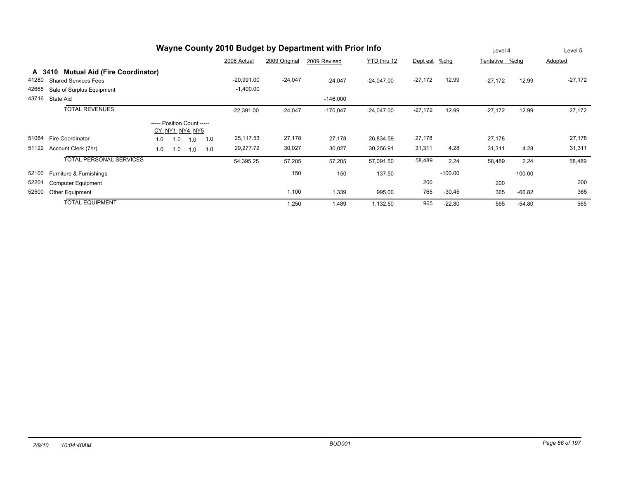|       |                                                |                            |                |     |     |              |               | Wayne County 2010 Budget by Department with Prior Info |              |           |           | Level 4        |           | Level 5   |
|-------|------------------------------------------------|----------------------------|----------------|-----|-----|--------------|---------------|--------------------------------------------------------|--------------|-----------|-----------|----------------|-----------|-----------|
|       |                                                |                            |                |     |     | 2008 Actual  | 2009 Original | 2009 Revised                                           | YTD thru 12  | Dept est  | %chg      | Tentative %chg |           | Adopted   |
|       | <b>Mutual Aid (Fire Coordinator)</b><br>A 3410 |                            |                |     |     |              |               |                                                        |              |           |           |                |           |           |
| 41280 | <b>Shared Services Fees</b>                    |                            |                |     |     | $-20,991.00$ | $-24,047$     | $-24,047$                                              | $-24,047.00$ | $-27,172$ | 12.99     | $-27,172$      | 12.99     | $-27,172$ |
| 42665 | Sale of Surplus Equipment                      |                            |                |     |     | $-1,400.00$  |               |                                                        |              |           |           |                |           |           |
| 43716 | State Aid                                      |                            |                |     |     |              |               | $-146,000$                                             |              |           |           |                |           |           |
|       | <b>TOTAL REVENUES</b>                          |                            |                |     |     | $-22,391.00$ | $-24,047$     | $-170,047$                                             | $-24,047.00$ | $-27,172$ | 12.99     | $-27,172$      | 12.99     | $-27,172$ |
|       |                                                | ----- Position Count ----- |                |     |     |              |               |                                                        |              |           |           |                |           |           |
|       |                                                |                            | CY NY1 NY4 NY5 |     |     |              |               |                                                        |              |           |           |                |           |           |
| 51084 | <b>Fire Coordinator</b>                        | 1.0                        | 1.0            | 1.0 | 1.0 | 25,117.53    | 27,178        | 27,178                                                 | 26,834.59    | 27,178    |           | 27,178         |           | 27,178    |
| 51122 | Account Clerk (7hr)                            | 1.0                        | 1.0            | 1.0 | 1.0 | 29,277.72    | 30,027        | 30,027                                                 | 30,256.91    | 31,311    | 4.28      | 31,311         | 4.28      | 31,311    |
|       | <b>TOTAL PERSONAL SERVICES</b>                 |                            |                |     |     | 54,395.25    | 57,205        | 57,205                                                 | 57,091.50    | 58,489    | 2.24      | 58,489         | 2.24      | 58,489    |
| 52100 | Furniture & Furnishings                        |                            |                |     |     |              | 150           | 150                                                    | 137.50       |           | $-100.00$ |                | $-100.00$ |           |
| 52201 | <b>Computer Equipment</b>                      |                            |                |     |     |              |               |                                                        |              | 200       |           | 200            |           | 200       |
| 52500 | Other Equipment                                |                            |                |     |     |              | 1,100         | 1,339                                                  | 995.00       | 765       | $-30.45$  | 365            | $-66.82$  | 365       |
|       | <b>TOTAL EQUIPMENT</b>                         |                            |                |     |     |              | 1,250         | 1,489                                                  | 1,132.50     | 965       | $-22.80$  | 565            | $-54.80$  | 565       |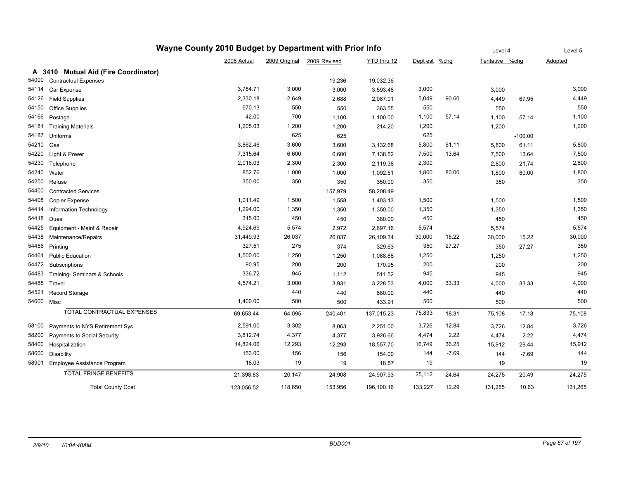|            |                                      | Wayne County 2010 Budget by Department with Prior Info |         |                            |             |               |         | Level 4        |           | Level 5 |
|------------|--------------------------------------|--------------------------------------------------------|---------|----------------------------|-------------|---------------|---------|----------------|-----------|---------|
|            |                                      | 2008 Actual                                            |         | 2009 Original 2009 Revised | YTD thru 12 | Dept est %chg |         | Tentative %chg |           | Adopted |
|            | A 3410 Mutual Aid (Fire Coordinator) |                                                        |         |                            |             |               |         |                |           |         |
| 54000      | <b>Contractual Expenses</b>          |                                                        |         | 19,236                     | 19,032.36   |               |         |                |           |         |
| 54114      | Car Expense                          | 3,784.71                                               | 3,000   | 3,000                      | 3,593.48    | 3,000         |         | 3,000          |           | 3,000   |
| 54126      | <b>Field Supplies</b>                | 2,330.18                                               | 2,649   | 2,688                      | 2,087.01    | 5,049         | 90.60   | 4,449          | 67.95     | 4,449   |
| 54150      | Office Supplies                      | 670.13                                                 | 550     | 550                        | 363.55      | 550           |         | 550            |           | 550     |
| 54166      | Postage                              | 42.00                                                  | 700     | 1,100                      | 1,100.00    | 1,100         | 57.14   | 1,100          | 57.14     | 1,100   |
| 54181      | <b>Training Materials</b>            | 1,205.03                                               | 1,200   | 1,200                      | 214.20      | 1,200         |         | 1,200          |           | 1,200   |
| 54187      | Uniforms                             |                                                        | 625     | 625                        |             | 625           |         |                | $-100.00$ |         |
| 54210      | Gas                                  | 3,862.46                                               | 3,600   | 3,600                      | 3,132.68    | 5,800         | 61.11   | 5,800          | 61.11     | 5,800   |
| 54220      | Light & Power                        | 7,315.64                                               | 6,600   | 6,600                      | 7,138.52    | 7,500         | 13.64   | 7,500          | 13.64     | 7,500   |
| 54230      | Telephone                            | 2,016.03                                               | 2,300   | 2,300                      | 2,119.38    | 2,300         |         | 2,800          | 21.74     | 2,800   |
| 54240      | Water                                | 852.76                                                 | 1,000   | 1,000                      | 1,092.51    | 1,800         | 80.00   | 1,800          | 80.00     | 1,800   |
| 54250      | Refuse                               | 350.00                                                 | 350     | 350                        | 350.00      | 350           |         | 350            |           | 350     |
| 54400      | <b>Contracted Services</b>           |                                                        |         | 157,979                    | 58,208.49   |               |         |                |           |         |
| 54408      | Copier Expense                       | 1,011.49                                               | 1,500   | 1,558                      | 1,403.13    | 1,500         |         | 1,500          |           | 1,500   |
| 54414      | <b>Information Technology</b>        | 1,294.00                                               | 1,350   | 1,350                      | 1,350.00    | 1,350         |         | 1,350          |           | 1,350   |
| 54418      | Dues                                 | 315.00                                                 | 450     | 450                        | 380.00      | 450           |         | 450            |           | 450     |
| 54425      | Equipment - Maint & Repair           | 4,924.69                                               | 5,574   | 2,972                      | 2,697.16    | 5,574         |         | 5,574          |           | 5,574   |
| 54438      | Maintenance/Repairs                  | 31,449.93                                              | 26,037  | 26,037                     | 26,109.34   | 30,000        | 15.22   | 30,000         | 15.22     | 30,000  |
| 54456      | Printing                             | 327.51                                                 | 275     | 374                        | 329.63      | 350           | 27.27   | 350            | 27.27     | 350     |
| 54461      | <b>Public Education</b>              | 1,500.00                                               | 1,250   | 1,250                      | 1,088.88    | 1,250         |         | 1,250          |           | 1,250   |
| 54472      | Subscriptions                        | 90.95                                                  | 200     | 200                        | 170.95      | 200           |         | 200            |           | 200     |
| 54483      | Training- Seminars & Schools         | 336.72                                                 | 945     | 1,112                      | 511.52      | 945           |         | 945            |           | 945     |
| 54485      | Travel                               | 4,574.21                                               | 3,000   | 3,931                      | 3,228.53    | 4,000         | 33.33   | 4,000          | 33.33     | 4,000   |
| 54521      | Record Storage                       |                                                        | 440     | 440                        | 880.00      | 440           |         | 440            |           | 440     |
| 54600 Misc |                                      | 1,400.00                                               | 500     | 500                        | 433.91      | 500           |         | 500            |           | 500     |
|            | <b>TOTAL CONTRACTUAL EXPENSES</b>    | 69,653.44                                              | 64,095  | 240,401                    | 137,015.23  | 75,833        | 18.31   | 75,108         | 17.18     | 75,108  |
| 58100      | Payments to NYS Retirement Sys       | 2,591.00                                               | 3,302   | 8,063                      | 2,251.00    | 3,726         | 12.84   | 3,726          | 12.84     | 3,726   |
| 58200      | Payments to Social Security          | 3,812.74                                               | 4,377   | 4,377                      | 3,926.66    | 4,474         | 2.22    | 4,474          | 2.22      | 4,474   |
| 58400      | Hospitalization                      | 14,824.06                                              | 12,293  | 12,293                     | 18,557.70   | 16,749        | 36.25   | 15,912         | 29.44     | 15,912  |
| 58600      | <b>Disability</b>                    | 153.00                                                 | 156     | 156                        | 154.00      | 144           | $-7.69$ | 144            | $-7.69$   | 144     |
| 58901      | Employee Assistance Program          | 18.03                                                  | 19      | 19                         | 18.57       | 19            |         | 19             |           | 19      |
|            | <b>TOTAL FRINGE BENEFITS</b>         | 21,398.83                                              | 20,147  | 24,908                     | 24,907.93   | 25,112        | 24.64   | 24,275         | 20.49     | 24,275  |
|            | <b>Total County Cost</b>             | 123,056.52                                             | 118,650 | 153,956                    | 196,100.16  | 133,227       | 12.29   | 131,265        | 10.63     | 131,265 |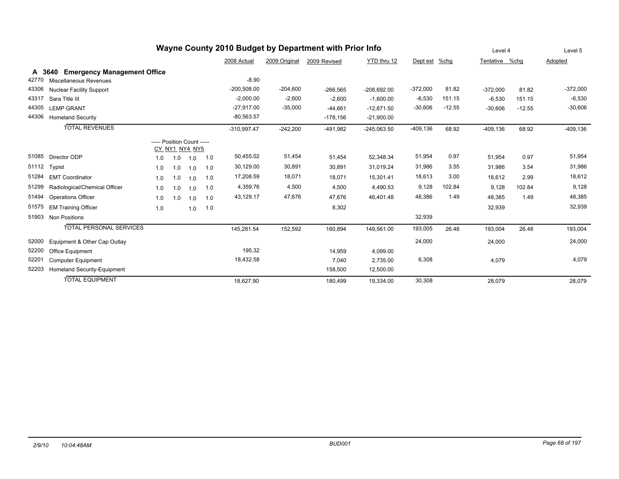| Wayne County 2010 Budget by Department with Prior Info |                                            |                            |     |                |     |               |               |              |               |             |          | Level 4        |          | Level 5    |
|--------------------------------------------------------|--------------------------------------------|----------------------------|-----|----------------|-----|---------------|---------------|--------------|---------------|-------------|----------|----------------|----------|------------|
|                                                        |                                            |                            |     |                |     | 2008 Actual   | 2009 Original | 2009 Revised | YTD thru 12   | Dept est    | %chg     | Tentative %chg |          | Adopted    |
| A                                                      | <b>Emergency Management Office</b><br>3640 |                            |     |                |     |               |               |              |               |             |          |                |          |            |
| 42770                                                  | Miscellaneous Revenues                     |                            |     |                |     | $-8.90$       |               |              |               |             |          |                |          |            |
| 43306                                                  | <b>Nuclear Facility Support</b>            |                            |     |                |     | $-200,508.00$ | $-204,600$    | $-266,565$   | $-208,692.00$ | $-372,000$  | 81.82    | $-372,000$     | 81.82    | $-372,000$ |
| 43317                                                  | Sara Title III                             |                            |     |                |     | $-2,000.00$   | $-2,600$      | $-2,600$     | $-1,600.00$   | $-6,530$    | 151.15   | $-6,530$       | 151.15   | $-6,530$   |
| 44305                                                  | <b>LEMP GRANT</b>                          |                            |     |                |     | $-27,917.00$  | $-35,000$     | $-44,661$    | $-12,871.50$  | $-30,606$   | $-12.55$ | $-30,606$      | $-12.55$ | $-30,606$  |
| 44306                                                  | <b>Homeland Security</b>                   |                            |     |                |     | $-80,563.57$  |               | $-178,156$   | $-21,900.00$  |             |          |                |          |            |
|                                                        | <b>TOTAL REVENUES</b>                      |                            |     |                |     | $-310,997.47$ | $-242,200$    | $-491,982$   | $-245,063.50$ | $-409, 136$ | 68.92    | $-409, 136$    | 68.92    | $-409.136$ |
|                                                        |                                            | ----- Position Count ----- |     |                |     |               |               |              |               |             |          |                |          |            |
|                                                        |                                            |                            |     | CY NY1 NY4 NY5 |     |               |               |              |               |             |          |                |          |            |
| 51085                                                  | Director ODP                               | 1.0                        | 1.0 | 1.0            | 1.0 | 50,455.02     | 51,454        | 51,454       | 52,348.34     | 51,954      | 0.97     | 51,954         | 0.97     | 51,954     |
| 51112                                                  | Typist                                     | 1.0                        | 1.0 | 1.0            | 1.0 | 30,129.00     | 30,891        | 30,891       | 31,019.24     | 31,986      | 3.55     | 31,986         | 3.54     | 31,986     |
| 51284                                                  | <b>EMT Coordinator</b>                     | 1.0                        | 1.0 | 1.0            | 1.0 | 17,208.59     | 18,071        | 18,071       | 15,301.41     | 18,613      | 3.00     | 18,612         | 2.99     | 18,612     |
| 51299                                                  | Radiological/Chemical Officer              | 1.0                        | 1.0 | 1.0            | 1.0 | 4,359.76      | 4,500         | 4,500        | 4,490.53      | 9,128       | 102.84   | 9,128          | 102.84   | 9,128      |
| 51494                                                  | <b>Operations Officer</b>                  | 1.0                        | 1.0 | 1.0            | 1.0 | 43,129.17     | 47,676        | 47,676       | 46,401.48     | 48,386      | 1.49     | 48,385         | 1.49     | 48,385     |
| 51575                                                  | <b>EM Training Officer</b>                 | 1.0                        |     | 1.0            | 1.0 |               |               | 8,302        |               |             |          | 32,939         |          | 32,939     |
| 51903                                                  | <b>Non Positions</b>                       |                            |     |                |     |               |               |              |               | 32,939      |          |                |          |            |
|                                                        | <b>TOTAL PERSONAL SERVICES</b>             |                            |     |                |     | 145,281.54    | 152,592       | 160,894      | 149,561.00    | 193,005     | 26.48    | 193,004        | 26.48    | 193,004    |
| 52000                                                  | Equipment & Other Cap Outlay               |                            |     |                |     |               |               |              |               | 24,000      |          | 24,000         |          | 24,000     |
| 52200                                                  | Office Equipment                           |                            |     |                |     | 195.32        |               | 14,959       | 4,099.00      |             |          |                |          |            |
| 52201                                                  | <b>Computer Equipment</b>                  |                            |     |                |     | 18,432.58     |               | 7,040        | 2,735.00      | 6,308       |          | 4,079          |          | 4,079      |
| 52203                                                  | Homeland Security-Equipment                |                            |     |                |     |               |               | 158,500      | 12,500.00     |             |          |                |          |            |
|                                                        | <b>TOTAL EQUIPMENT</b>                     |                            |     |                |     | 18,627.90     |               | 180,499      | 19,334.00     | 30,308      |          | 28,079         |          | 28,079     |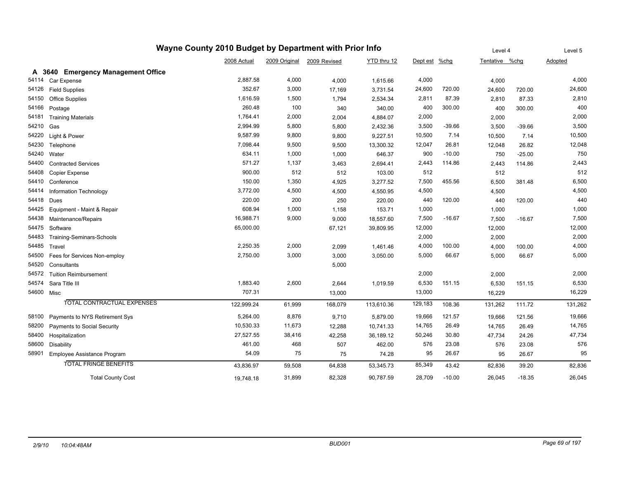|       | Wayne County 2010 Budget by Department with Prior Info |             | Level 4       |              | Level 5     |          |          |                |          |                |
|-------|--------------------------------------------------------|-------------|---------------|--------------|-------------|----------|----------|----------------|----------|----------------|
|       |                                                        | 2008 Actual | 2009 Original | 2009 Revised | YTD thru 12 | Dept est | $%$ chg  | Tentative %chg |          | <b>Adopted</b> |
|       | A 3640 Emergency Management Office                     |             |               |              |             |          |          |                |          |                |
| 54114 | Car Expense                                            | 2,887.58    | 4,000         | 4,000        | 1,615.66    | 4,000    |          | 4,000          |          | 4,000          |
| 54126 | <b>Field Supplies</b>                                  | 352.67      | 3,000         | 17,169       | 3,731.54    | 24,600   | 720.00   | 24,600         | 720.00   | 24,600         |
| 54150 | <b>Office Supplies</b>                                 | 1,616.59    | 1,500         | 1,794        | 2,534.34    | 2,811    | 87.39    | 2,810          | 87.33    | 2,810          |
| 54166 | Postage                                                | 260.48      | 100           | 340          | 340.00      | 400      | 300.00   | 400            | 300.00   | 400            |
| 54181 | <b>Training Materials</b>                              | 1,764.41    | 2,000         | 2,004        | 4,884.07    | 2,000    |          | 2,000          |          | 2,000          |
| 54210 | Gas                                                    | 2,994.99    | 5,800         | 5,800        | 2,432.36    | 3,500    | $-39.66$ | 3,500          | $-39.66$ | 3,500          |
| 54220 | Light & Power                                          | 9,587.99    | 9,800         | 9,800        | 9,227.51    | 10,500   | 7.14     | 10,500         | 7.14     | 10,500         |
| 54230 | Telephone                                              | 7,098.44    | 9,500         | 9,500        | 13,300.32   | 12,047   | 26.81    | 12,048         | 26.82    | 12,048         |
| 54240 | Water                                                  | 634.11      | 1,000         | 1,000        | 646.37      | 900      | $-10.00$ | 750            | $-25.00$ | 750            |
| 54400 | <b>Contracted Services</b>                             | 571.27      | 1,137         | 3,463        | 2,694.41    | 2,443    | 114.86   | 2,443          | 114.86   | 2,443          |
| 54408 | Copier Expense                                         | 900.00      | 512           | 512          | 103.00      | 512      |          | 512            |          | 512            |
| 54410 | Conference                                             | 150.00      | 1,350         | 4,925        | 3,277.52    | 7,500    | 455.56   | 6,500          | 381.48   | 6,500          |
| 54414 | Information Technology                                 | 3,772.00    | 4,500         | 4,500        | 4,550.95    | 4,500    |          | 4,500          |          | 4,500          |
| 54418 | Dues                                                   | 220.00      | 200           | 250          | 220.00      | 440      | 120.00   | 440            | 120.00   | 440            |
| 54425 | Equipment - Maint & Repair                             | 608.94      | 1,000         | 1,158        | 153.71      | 1,000    |          | 1,000          |          | 1,000          |
| 54438 | Maintenance/Repairs                                    | 16,988.71   | 9,000         | 9,000        | 18,557.60   | 7,500    | $-16.67$ | 7,500          | $-16.67$ | 7,500          |
| 54475 | Software                                               | 65,000.00   |               | 67,121       | 39,809.95   | 12,000   |          | 12,000         |          | 12,000         |
| 54483 | Training-Seminars-Schools                              |             |               |              |             | 2,000    |          | 2,000          |          | 2,000          |
| 54485 | Travel                                                 | 2,250.35    | 2,000         | 2,099        | 1,461.46    | 4,000    | 100.00   | 4,000          | 100.00   | 4,000          |
| 54500 | Fees for Services Non-employ                           | 2,750.00    | 3,000         | 3,000        | 3,050.00    | 5,000    | 66.67    | 5,000          | 66.67    | 5,000          |
| 54520 | Consultants                                            |             |               | 5,000        |             |          |          |                |          |                |
| 54572 | <b>Tuition Reimbursement</b>                           |             |               |              |             | 2,000    |          | 2,000          |          | 2,000          |
| 54574 | Sara Title III                                         | 1,883.40    | 2,600         | 2,644        | 1,019.59    | 6,530    | 151.15   | 6,530          | 151.15   | 6,530          |
|       | 54600 Misc                                             | 707.31      |               | 13,000       |             | 13,000   |          | 16,229         |          | 16,229         |
|       | <b>TOTAL CONTRACTUAL EXPENSES</b>                      | 122,999.24  | 61,999        | 168,079      | 113,610.36  | 129,183  | 108.36   | 131,262        | 111.72   | 131,262        |
| 58100 | Payments to NYS Retirement Sys                         | 5,264.00    | 8,876         | 9,710        | 5,879.00    | 19,666   | 121.57   | 19,666         | 121.56   | 19,666         |
| 58200 | Payments to Social Security                            | 10,530.33   | 11,673        | 12,288       | 10,741.33   | 14,765   | 26.49    | 14,765         | 26.49    | 14,765         |
| 58400 | Hospitalization                                        | 27,527.55   | 38,416        | 42,258       | 36,189.12   | 50,246   | 30.80    | 47,734         | 24.26    | 47,734         |
| 58600 | Disability                                             | 461.00      | 468           | 507          | 462.00      | 576      | 23.08    | 576            | 23.08    | 576            |
| 58901 | Employee Assistance Program                            | 54.09       | 75            | 75           | 74.28       | 95       | 26.67    | 95             | 26.67    | 95             |
|       | <b>TOTAL FRINGE BENEFITS</b>                           | 43,836.97   | 59,508        | 64,838       | 53,345.73   | 85,349   | 43.42    | 82,836         | 39.20    | 82,836         |
|       | <b>Total County Cost</b>                               | 19,748.18   | 31,899        | 82,328       | 90,787.59   | 28,709   | $-10.00$ | 26,045         | $-18.35$ | 26,045         |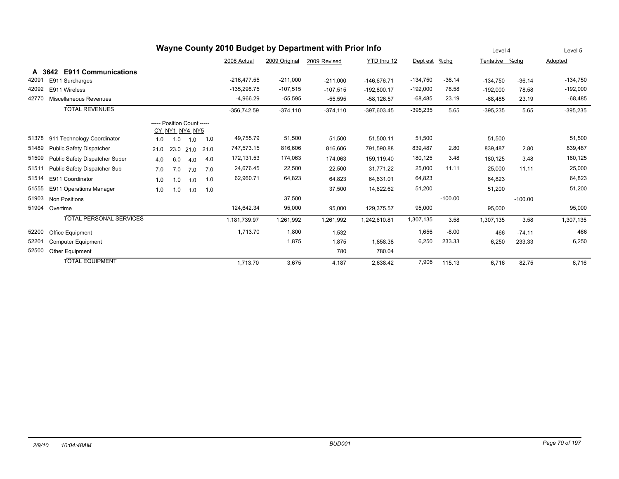|                                              |                                       |      | Level 4 |           | Level 5 |               |               |              |               |            |           |            |           |            |
|----------------------------------------------|---------------------------------------|------|---------|-----------|---------|---------------|---------------|--------------|---------------|------------|-----------|------------|-----------|------------|
|                                              |                                       |      |         |           |         | 2008 Actual   | 2009 Original | 2009 Revised | YTD thru 12   | Dept est   | %chq      | Tentative  | %chq      | Adopted    |
| A                                            | 3642 E911 Communications              |      |         |           |         |               |               |              |               |            |           |            |           |            |
| 42091                                        | E911 Surcharges                       |      |         |           |         | $-216.477.55$ | $-211.000$    | $-211.000$   | $-146.676.71$ | $-134,750$ | $-36.14$  | $-134.750$ | $-36.14$  | $-134,750$ |
| 42092                                        | E911 Wireless                         |      |         |           |         | $-135,298.75$ | $-107,515$    | $-107,515$   | $-192,800.17$ | $-192,000$ | 78.58     | $-192.000$ | 78.58     | $-192,000$ |
| 42770                                        | <b>Miscellaneous Revenues</b>         |      |         |           |         | $-4,966.29$   | $-55,595$     | $-55,595$    | $-58,126.57$  | $-68,485$  | 23.19     | $-68,485$  | 23.19     | $-68,485$  |
|                                              | <b>TOTAL REVENUES</b>                 |      |         |           |         | $-356.742.59$ | $-374,110$    | $-374,110$   | $-397,603.45$ | $-395,235$ | 5.65      | $-395,235$ | 5.65      | $-395,235$ |
| ----- Position Count -----<br>CY NY1 NY4 NY5 |                                       |      |         |           |         |               |               |              |               |            |           |            |           |            |
| 51378                                        | 911 Technology Coordinator            | 1.0  | 1.0     | 1.0       | 1.0     | 49,755.79     | 51,500        | 51,500       | 51,500.11     | 51,500     |           | 51,500     |           | 51,500     |
| 51489                                        | <b>Public Safety Dispatcher</b>       | 21.0 |         | 23.0 21.0 | 21.0    | 747,573.15    | 816,606       | 816,606      | 791,590.88    | 839,487    | 2.80      | 839,487    | 2.80      | 839,487    |
| 51509                                        | <b>Public Safety Dispatcher Super</b> | 4.0  | 6.0     | 4.0       | 4.0     | 172,131.53    | 174,063       | 174,063      | 159.119.40    | 180,125    | 3.48      | 180.125    | 3.48      | 180,125    |
| 51511                                        | Public Safety Dispatcher Sub          | 7.0  | 7.0     | 7.0       | 7.0     | 24,676.45     | 22,500        | 22,500       | 31.771.22     | 25,000     | 11.11     | 25.000     | 11.11     | 25,000     |
| 51514                                        | E911 Coordinator                      | 1.0  | 1.0     | 1.0       | 1.0     | 62,960.71     | 64,823        | 64,823       | 64,631.01     | 64,823     |           | 64,823     |           | 64,823     |
| 51555                                        | E911 Operations Manager               | 1.0  | 1.0     | 1.0       | 1.0     |               |               | 37,500       | 14,622.62     | 51,200     |           | 51,200     |           | 51,200     |
| 51903                                        | <b>Non Positions</b>                  |      |         |           |         |               | 37,500        |              |               |            | $-100.00$ |            | $-100.00$ |            |
| 51904                                        | Overtime                              |      |         |           |         | 124,642.34    | 95,000        | 95,000       | 129,375.57    | 95,000     |           | 95,000     |           | 95,000     |
|                                              | <b>TOTAL PERSONAL SERVICES</b>        |      |         |           |         | 1,181,739.97  | 1,261,992     | 1,261,992    | 1,242,610.81  | 1,307,135  | 3.58      | 1,307,135  | 3.58      | 1,307,135  |
| 52200                                        | Office Equipment                      |      |         |           |         | 1,713.70      | 1,800         | 1,532        |               | 1,656      | $-8.00$   | 466        | $-74.11$  | 466        |
| 52201                                        | <b>Computer Equipment</b>             |      |         |           |         |               | 1,875         | 1.875        | 1,858.38      | 6,250      | 233.33    | 6.250      | 233.33    | 6,250      |
| 52500                                        | Other Equipment                       |      |         |           |         |               |               | 780          | 780.04        |            |           |            |           |            |
|                                              | <b>TOTAL EQUIPMENT</b>                |      |         |           |         | 1,713.70      | 3,675         | 4,187        | 2,638.42      | 7,906      | 115.13    | 6,716      | 82.75     | 6,716      |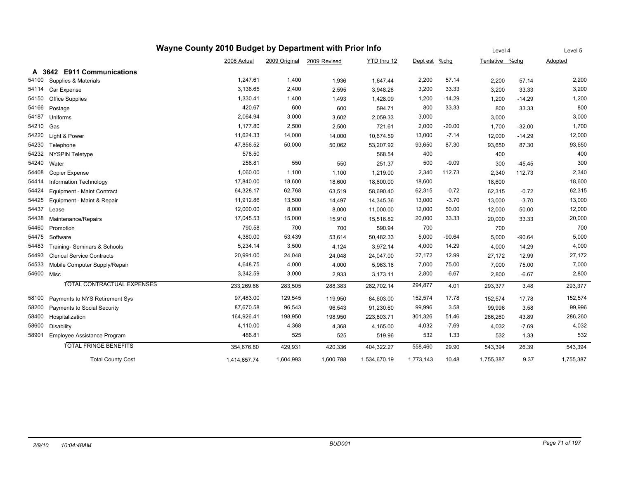|            |                                   |              | Level 4       |              | Level 5      |               |          |                |          |           |
|------------|-----------------------------------|--------------|---------------|--------------|--------------|---------------|----------|----------------|----------|-----------|
|            |                                   | 2008 Actual  | 2009 Original | 2009 Revised | YTD thru 12  | Dept est %chg |          | Tentative %chg |          | Adopted   |
| A          | 3642 E911 Communications          |              |               |              |              |               |          |                |          |           |
| 54100      | Supplies & Materials              | 1,247.61     | 1,400         | 1,936        | 1,647.44     | 2,200         | 57.14    | 2,200          | 57.14    | 2,200     |
| 54114      | Car Expense                       | 3,136.65     | 2,400         | 2,595        | 3,948.28     | 3,200         | 33.33    | 3,200          | 33.33    | 3,200     |
| 54150      | <b>Office Supplies</b>            | 1,330.41     | 1,400         | 1,493        | 1,428.09     | 1,200         | $-14.29$ | 1,200          | $-14.29$ | 1,200     |
| 54166      | Postage                           | 420.67       | 600           | 600          | 594.71       | 800           | 33.33    | 800            | 33.33    | 800       |
| 54187      | Uniforms                          | 2,064.94     | 3,000         | 3,602        | 2,059.33     | 3,000         |          | 3,000          |          | 3,000     |
| 54210      | Gas                               | 1,177.80     | 2,500         | 2,500        | 721.61       | 2,000         | $-20.00$ | 1,700          | $-32.00$ | 1,700     |
| 54220      | Light & Power                     | 11,624.33    | 14,000        | 14,000       | 10,674.59    | 13,000        | $-7.14$  | 12,000         | $-14.29$ | 12,000    |
| 54230      | Telephone                         | 47,856.52    | 50,000        | 50,062       | 53,207.92    | 93,650        | 87.30    | 93,650         | 87.30    | 93,650    |
| 54232      | <b>NYSPIN Teletype</b>            | 578.50       |               |              | 568.54       | 400           |          | 400            |          | 400       |
| 54240      | Water                             | 258.81       | 550           | 550          | 251.37       | 500           | $-9.09$  | 300            | $-45.45$ | 300       |
| 54408      | Copier Expense                    | 1,060.00     | 1,100         | 1,100        | 1,219.00     | 2,340         | 112.73   | 2,340          | 112.73   | 2,340     |
| 54414      | Information Technology            | 17,840.00    | 18,600        | 18,600       | 18,600.00    | 18,600        |          | 18,600         |          | 18,600    |
| 54424      | Equipment - Maint Contract        | 64,328.17    | 62,768        | 63,519       | 58,690.40    | 62,315        | $-0.72$  | 62,315         | $-0.72$  | 62,315    |
| 54425      | Equipment - Maint & Repair        | 11,912.86    | 13,500        | 14,497       | 14,345.36    | 13,000        | $-3.70$  | 13,000         | $-3.70$  | 13,000    |
| 54437      | Lease                             | 12,000.00    | 8,000         | 8,000        | 11,000.00    | 12,000        | 50.00    | 12,000         | 50.00    | 12,000    |
| 54438      | Maintenance/Repairs               | 17,045.53    | 15,000        | 15,910       | 15,516.82    | 20,000        | 33.33    | 20,000         | 33.33    | 20,000    |
| 54460      | Promotion                         | 790.58       | 700           | 700          | 590.94       | 700           |          | 700            |          | 700       |
| 54475      | Software                          | 4,380.00     | 53,439        | 53,614       | 50,482.33    | 5,000         | $-90.64$ | 5,000          | $-90.64$ | 5,000     |
| 54483      | Training- Seminars & Schools      | 5,234.14     | 3,500         | 4,124        | 3,972.14     | 4,000         | 14.29    | 4,000          | 14.29    | 4,000     |
| 54493      | <b>Clerical Service Contracts</b> | 20,991.00    | 24,048        | 24,048       | 24,047.00    | 27,172        | 12.99    | 27,172         | 12.99    | 27,172    |
| 54533      | Mobile Computer Supply/Repair     | 4,648.75     | 4,000         | 4,000        | 5,963.16     | 7,000         | 75.00    | 7,000          | 75.00    | 7,000     |
| 54600 Misc |                                   | 3,342.59     | 3,000         | 2,933        | 3,173.11     | 2,800         | $-6.67$  | 2,800          | $-6.67$  | 2,800     |
|            | TOTAL CONTRACTUAL EXPENSES        | 233,269.86   | 283,505       | 288,383      | 282,702.14   | 294,877       | 4.01     | 293,377        | 3.48     | 293,377   |
| 58100      | Payments to NYS Retirement Sys    | 97,483.00    | 129,545       | 119,950      | 84,603.00    | 152,574       | 17.78    | 152,574        | 17.78    | 152,574   |
| 58200      | Payments to Social Security       | 87,670.58    | 96,543        | 96,543       | 91,230.60    | 99,996        | 3.58     | 99.996         | 3.58     | 99,996    |
| 58400      | Hospitalization                   | 164,926.41   | 198,950       | 198,950      | 223,803.71   | 301,326       | 51.46    | 286,260        | 43.89    | 286,260   |
| 58600      | Disability                        | 4,110.00     | 4,368         | 4,368        | 4,165.00     | 4,032         | $-7.69$  | 4,032          | $-7.69$  | 4,032     |
| 58901      | Employee Assistance Program       | 486.81       | 525           | 525          | 519.96       | 532           | 1.33     | 532            | 1.33     | 532       |
|            | <b>TOTAL FRINGE BENEFITS</b>      | 354,676.80   | 429,931       | 420,336      | 404,322.27   | 558,460       | 29.90    | 543,394        | 26.39    | 543,394   |
|            | <b>Total County Cost</b>          | 1,414,657.74 | 1,604,993     | 1,600,788    | 1,534,670.19 | 1,773,143     | 10.48    | 1,755,387      | 9.37     | 1,755,387 |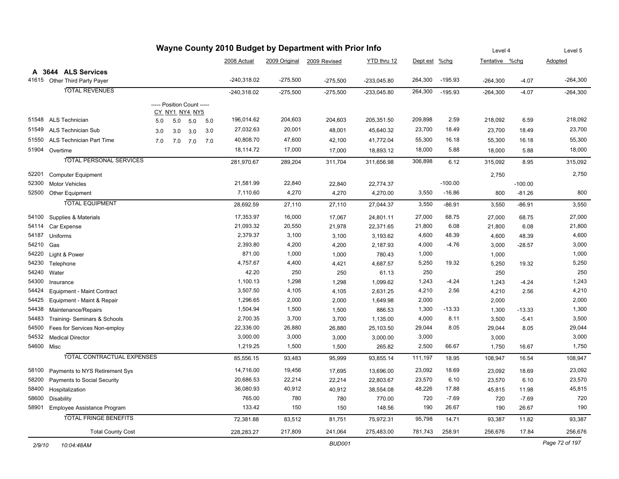| Wayne County 2010 Budget by Department with Prior Info |                                   |     |     |                                              |     |               |            |                            |               |          |           | Level 4        |           | Level 5        |
|--------------------------------------------------------|-----------------------------------|-----|-----|----------------------------------------------|-----|---------------|------------|----------------------------|---------------|----------|-----------|----------------|-----------|----------------|
|                                                        |                                   |     |     |                                              |     | 2008 Actual   |            | 2009 Original 2009 Revised | YTD thru 12   | Dept est | $%$ chg   | Tentative %chg |           | <b>Adopted</b> |
| A                                                      | 3644 ALS Services                 |     |     |                                              |     |               |            |                            |               |          |           |                |           |                |
|                                                        | 41615 Other Third Party Payer     |     |     |                                              |     | $-240,318.02$ | $-275,500$ | $-275,500$                 | $-233,045.80$ | 264,300  | $-195.93$ | $-264,300$     | $-4.07$   | $-264,300$     |
|                                                        | <b>TOTAL REVENUES</b>             |     |     |                                              |     | $-240,318.02$ | $-275,500$ | $-275,500$                 | $-233,045.80$ | 264,300  | $-195.93$ | $-264,300$     | $-4.07$   | $-264,300$     |
|                                                        |                                   |     |     |                                              |     |               |            |                            |               |          |           |                |           |                |
|                                                        |                                   |     |     | ----- Position Count -----<br>CY_NY1_NY4_NY5 |     |               |            |                            |               |          |           |                |           |                |
|                                                        | 51548 ALS Technician              | 5.0 | 5.0 | 5.0                                          | 5.0 | 196,014.62    | 204,603    | 204,603                    | 205,351.50    | 209,898  | 2.59      | 218,092        | 6.59      | 218,092        |
| 51549                                                  | <b>ALS Technician Sub</b>         | 3.0 | 3.0 | 3.0                                          | 3.0 | 27,032.63     | 20,001     | 48,001                     | 45,640.32     | 23,700   | 18.49     | 23,700         | 18.49     | 23,700         |
| 51550                                                  | ALS Technician Part Time          | 7.0 | 7.0 | 7.0                                          | 7.0 | 40,808.70     | 47,600     | 42,100                     | 41,772.04     | 55,300   | 16.18     | 55,300         | 16.18     | 55,300         |
|                                                        | 51904 Overtime                    |     |     |                                              |     | 18,114.72     | 17,000     | 17,000                     | 18,893.12     | 18,000   | 5.88      | 18,000         | 5.88      | 18,000         |
|                                                        | <b>TOTAL PERSONAL SERVICES</b>    |     |     |                                              |     | 281,970.67    | 289,204    | 311,704                    | 311,656.98    | 306,898  | 6.12      | 315,092        | 8.95      | 315,092        |
|                                                        |                                   |     |     |                                              |     |               |            |                            |               |          |           |                |           |                |
| 52201                                                  | <b>Computer Equipment</b>         |     |     |                                              |     |               |            |                            |               |          |           | 2,750          |           | 2,750          |
| 52300                                                  | <b>Motor Vehicles</b>             |     |     |                                              |     | 21,581.99     | 22,840     | 22,840                     | 22,774.37     |          | $-100.00$ |                | $-100.00$ |                |
| 52500                                                  | Other Equipment                   |     |     |                                              |     | 7,110.60      | 4,270      | 4,270                      | 4,270.00      | 3,550    | $-16.86$  | 800            | $-81.26$  | 800            |
|                                                        | <b>TOTAL EQUIPMENT</b>            |     |     |                                              |     | 28,692.59     | 27,110     | 27,110                     | 27,044.37     | 3,550    | $-86.91$  | 3,550          | $-86.91$  | 3,550          |
| 54100                                                  | Supplies & Materials              |     |     |                                              |     | 17,353.97     | 16,000     | 17,067                     | 24,801.11     | 27,000   | 68.75     | 27,000         | 68.75     | 27,000         |
| 54114                                                  | Car Expense                       |     |     |                                              |     | 21,093.32     | 20,550     | 21,978                     | 22,371.65     | 21,800   | 6.08      | 21,800         | 6.08      | 21,800         |
| 54187                                                  | Uniforms                          |     |     |                                              |     | 2,379.37      | 3,100      | 3,100                      | 3,193.62      | 4,600    | 48.39     | 4,600          | 48.39     | 4,600          |
| 54210                                                  | Gas                               |     |     |                                              |     | 2,393.80      | 4,200      | 4,200                      | 2,187.93      | 4,000    | $-4.76$   | 3,000          | $-28.57$  | 3,000          |
| 54220                                                  | Light & Power                     |     |     |                                              |     | 871.00        | 1,000      | 1,000                      | 780.43        | 1,000    |           | 1,000          |           | 1,000          |
| 54230                                                  | Telephone                         |     |     |                                              |     | 4,757.67      | 4,400      | 4,421                      | 4,687.57      | 5,250    | 19.32     | 5,250          | 19.32     | 5,250          |
| 54240                                                  | Water                             |     |     |                                              |     | 42.20         | 250        | 250                        | 61.13         | 250      |           | 250            |           | 250            |
| 54300                                                  | Insurance                         |     |     |                                              |     | 1,100.13      | 1,298      | 1,298                      | 1,099.62      | 1,243    | $-4.24$   | 1,243          | $-4.24$   | 1,243          |
| 54424                                                  | Equipment - Maint Contract        |     |     |                                              |     | 3,507.50      | 4,105      | 4,105                      | 2,631.25      | 4,210    | 2.56      | 4,210          | 2.56      | 4,210          |
| 54425                                                  | Equipment - Maint & Repair        |     |     |                                              |     | 1,296.65      | 2,000      | 2,000                      | 1,649.98      | 2,000    |           | 2,000          |           | 2,000          |
| 54438                                                  | Maintenance/Repairs               |     |     |                                              |     | 1,504.94      | 1,500      | 1,500                      | 886.53        | 1,300    | $-13.33$  | 1,300          | $-13.33$  | 1,300          |
| 54483                                                  | Training- Seminars & Schools      |     |     |                                              |     | 2,700.35      | 3,700      | 3,700                      | 1,135.00      | 4,000    | 8.11      | 3,500          | $-5.41$   | 3,500          |
| 54500                                                  | Fees for Services Non-employ      |     |     |                                              |     | 22,336.00     | 26,880     | 26,880                     | 25,103.50     | 29,044   | 8.05      | 29,044         | 8.05      | 29,044         |
| 54532                                                  | <b>Medical Director</b>           |     |     |                                              |     | 3,000.00      | 3,000      | 3,000                      | 3,000.00      | 3,000    |           | 3,000          |           | 3,000          |
| 54600 Misc                                             |                                   |     |     |                                              |     | 1,219.25      | 1,500      | 1,500                      | 265.82        | 2,500    | 66.67     | 1,750          | 16.67     | 1,750          |
|                                                        | TOTAL CONTRACTUAL EXPENSES        |     |     |                                              |     | 85,556.15     | 93,483     | 95,999                     | 93,855.14     | 111,197  | 18.95     | 108,947        | 16.54     | 108,947        |
| 58100                                                  | Payments to NYS Retirement Sys    |     |     |                                              |     | 14,716.00     | 19,456     | 17,695                     | 13,696.00     | 23,092   | 18.69     | 23,092         | 18.69     | 23,092         |
| 58200                                                  | Payments to Social Security       |     |     |                                              |     | 20,686.53     | 22,214     | 22,214                     | 22,803.67     | 23,570   | 6.10      | 23,570         | 6.10      | 23,570         |
| 58400                                                  | Hospitalization                   |     |     |                                              |     | 36,080.93     | 40,912     | 40,912                     | 38,554.08     | 48,226   | 17.88     | 45,815         | 11.98     | 45,815         |
| 58600                                                  | <b>Disability</b>                 |     |     |                                              |     | 765.00        | 780        | 780                        | 770.00        | 720      | $-7.69$   | 720            | $-7.69$   | 720            |
|                                                        | 58901 Employee Assistance Program |     |     |                                              |     | 133.42        | 150        | 150                        | 148.56        | 190      | 26.67     | 190            | 26.67     | 190            |
|                                                        | <b>TOTAL FRINGE BENEFITS</b>      |     |     |                                              |     | 72,381.88     | 83,512     | 81,751                     | 75,972.31     | 95,798   | 14.71     | 93,387         | 11.82     | 93,387         |
|                                                        | <b>Total County Cost</b>          |     |     |                                              |     | 228,283.27    | 217,809    | 241,064                    | 275,483.00    | 781,743  | 258.91    | 256,676        | 17.84     | 256,676        |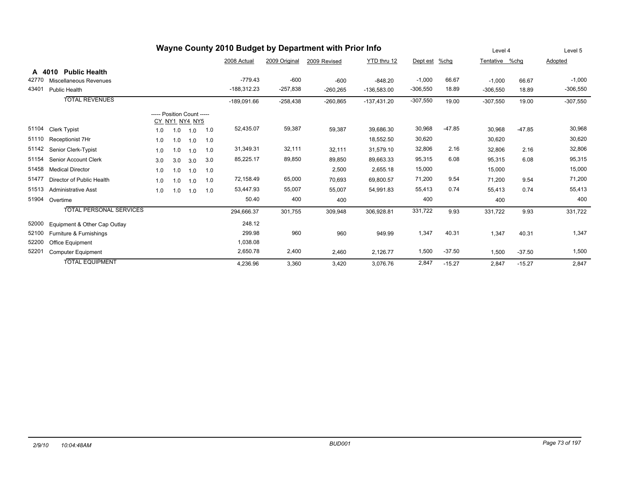| Wayne County 2010 Budget by Department with Prior Info |                                |                            |                |     |     | Level 4       |               | Level 5      |               |            |          |                |          |            |
|--------------------------------------------------------|--------------------------------|----------------------------|----------------|-----|-----|---------------|---------------|--------------|---------------|------------|----------|----------------|----------|------------|
|                                                        |                                |                            |                |     |     | 2008 Actual   | 2009 Original | 2009 Revised | YTD thru 12   | Dept est   | $%$ chg  | Tentative %chg |          | Adopted    |
| A 4010                                                 | <b>Public Health</b>           |                            |                |     |     |               |               |              |               |            |          |                |          |            |
| 42770                                                  | Miscellaneous Revenues         |                            |                |     |     | $-779.43$     | $-600$        | $-600$       | $-848.20$     | $-1,000$   | 66.67    | $-1.000$       | 66.67    | $-1,000$   |
| 43401                                                  | <b>Public Health</b>           |                            |                |     |     | $-188,312.23$ | $-257,838$    | $-260,265$   | $-136,583.00$ | $-306,550$ | 18.89    | $-306,550$     | 18.89    | $-306,550$ |
|                                                        | <b>TOTAL REVENUES</b>          |                            |                |     |     | $-189,091.66$ | $-258,438$    | $-260,865$   | $-137,431.20$ | $-307,550$ | 19.00    | $-307,550$     | 19.00    | $-307,550$ |
|                                                        |                                | ----- Position Count ----- | CY_NY1_NY4_NY5 |     |     |               |               |              |               |            |          |                |          |            |
| 51104                                                  | <b>Clerk Typist</b>            | 1.0                        | 1.0            | 1.0 | 1.0 | 52,435.07     | 59,387        | 59,387       | 39,686.30     | 30,968     | $-47.85$ | 30,968         | $-47.85$ | 30,968     |
| 51110                                                  | Receptionist 7Hr               | 1.0                        | 1.0            | 1.0 | 1.0 |               |               |              | 18,552.50     | 30,620     |          | 30,620         |          | 30,620     |
| 51142                                                  | Senior Clerk-Typist            | 1.0                        | 1.0            | 1.0 | 1.0 | 31,349.31     | 32,111        | 32,111       | 31,579.10     | 32,806     | 2.16     | 32,806         | 2.16     | 32,806     |
| 51154                                                  | Senior Account Clerk           | 3.0                        | 3.0            | 3.0 | 3.0 | 85,225.17     | 89,850        | 89,850       | 89,663.33     | 95,315     | 6.08     | 95,315         | 6.08     | 95,315     |
| 51458                                                  | <b>Medical Director</b>        | 1.0                        | 1.0            | 1.0 | 1.0 |               |               | 2,500        | 2,655.18      | 15,000     |          | 15,000         |          | 15,000     |
| 51477                                                  | Director of Public Health      | 1.0                        | 1.0            | 1.0 | 1.0 | 72,158.49     | 65,000        | 70,693       | 69,800.57     | 71,200     | 9.54     | 71,200         | 9.54     | 71,200     |
| 51513                                                  | <b>Administrative Asst</b>     | 1.0                        | 1.0            | 1.0 | 1.0 | 53,447.93     | 55,007        | 55,007       | 54,991.83     | 55,413     | 0.74     | 55,413         | 0.74     | 55,413     |
| 51904                                                  | Overtime                       |                            |                |     |     | 50.40         | 400           | 400          |               | 400        |          | 400            |          | 400        |
|                                                        | <b>TOTAL PERSONAL SERVICES</b> |                            |                |     |     | 294,666.37    | 301,755       | 309,948      | 306,928.81    | 331,722    | 9.93     | 331,722        | 9.93     | 331,722    |
| 52000                                                  | Equipment & Other Cap Outlay   |                            |                |     |     | 248.12        |               |              |               |            |          |                |          |            |
| 52100                                                  | Furniture & Furnishings        |                            |                |     |     | 299.98        | 960           | 960          | 949.99        | 1,347      | 40.31    | 1,347          | 40.31    | 1,347      |
| 52200                                                  | Office Equipment               |                            |                |     |     | 1,038.08      |               |              |               |            |          |                |          |            |
| 52201                                                  | <b>Computer Equipment</b>      |                            |                |     |     | 2,650.78      | 2,400         | 2,460        | 2,126.77      | 1,500      | $-37.50$ | 1,500          | $-37.50$ | 1,500      |
|                                                        | <b>TOTAL EQUIPMENT</b>         |                            |                |     |     | 4,236.96      | 3,360         | 3,420        | 3,076.76      | 2,847      | $-15.27$ | 2,847          | $-15.27$ | 2,847      |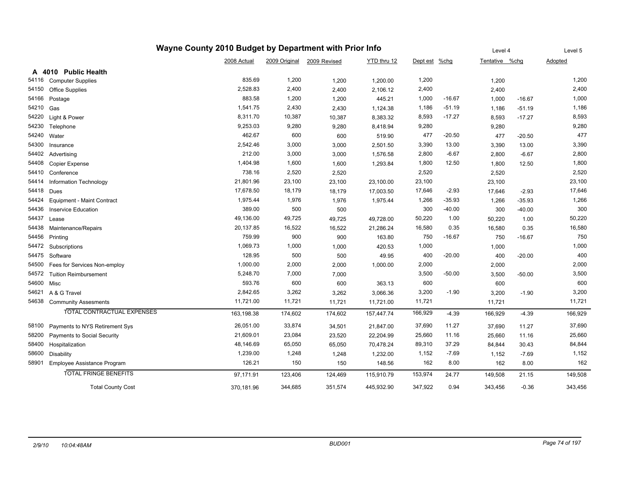| Wayne County 2010 Budget by Department with Prior Info |                                   |             |               |              |             |          | Level 4  |                | Level 5  |                |
|--------------------------------------------------------|-----------------------------------|-------------|---------------|--------------|-------------|----------|----------|----------------|----------|----------------|
|                                                        |                                   | 2008 Actual | 2009 Original | 2009 Revised | YTD thru 12 | Dept est | $%$ chg  | Tentative %chg |          | <b>Adopted</b> |
|                                                        | A 4010 Public Health              |             |               |              |             |          |          |                |          |                |
| 54116                                                  | <b>Computer Supplies</b>          | 835.69      | 1,200         | 1,200        | 1,200.00    | 1,200    |          | 1,200          |          | 1,200          |
| 54150                                                  | <b>Office Supplies</b>            | 2,528.83    | 2,400         | 2,400        | 2,106.12    | 2,400    |          | 2,400          |          | 2,400          |
| 54166                                                  | Postage                           | 883.58      | 1,200         | 1,200        | 445.21      | 1,000    | $-16.67$ | 1,000          | $-16.67$ | 1,000          |
| 54210                                                  | Gas                               | 1,541.75    | 2,430         | 2,430        | 1,124.38    | 1,186    | $-51.19$ | 1,186          | $-51.19$ | 1,186          |
| 54220                                                  | Light & Power                     | 8,311.70    | 10,387        | 10,387       | 8,383.32    | 8,593    | $-17.27$ | 8,593          | $-17.27$ | 8,593          |
| 54230                                                  | Telephone                         | 9,253.03    | 9,280         | 9,280        | 8,418.94    | 9,280    |          | 9,280          |          | 9,280          |
| 54240                                                  | Water                             | 462.67      | 600           | 600          | 519.90      | 477      | $-20.50$ | 477            | $-20.50$ | 477            |
| 54300                                                  | Insurance                         | 2,542.46    | 3,000         | 3,000        | 2,501.50    | 3,390    | 13.00    | 3,390          | 13.00    | 3,390          |
| 54402                                                  | Advertising                       | 212.00      | 3,000         | 3,000        | 1,576.58    | 2,800    | $-6.67$  | 2,800          | $-6.67$  | 2,800          |
| 54408                                                  | Copier Expense                    | 1,404.98    | 1,600         | 1,600        | 1,293.84    | 1,800    | 12.50    | 1,800          | 12.50    | 1,800          |
| 54410                                                  | Conference                        | 738.16      | 2,520         | 2,520        |             | 2,520    |          | 2,520          |          | 2,520          |
| 54414                                                  | Information Technology            | 21,801.96   | 23,100        | 23,100       | 23,100.00   | 23,100   |          | 23,100         |          | 23,100         |
| 54418                                                  | Dues                              | 17,678.50   | 18,179        | 18,179       | 17,003.50   | 17,646   | $-2.93$  | 17,646         | $-2.93$  | 17,646         |
| 54424                                                  | Equipment - Maint Contract        | 1,975.44    | 1,976         | 1,976        | 1,975.44    | 1,266    | $-35.93$ | 1,266          | $-35.93$ | 1,266          |
| 54436                                                  | <b>Inservice Education</b>        | 389.00      | 500           | 500          |             | 300      | $-40.00$ | 300            | $-40.00$ | 300            |
| 54437                                                  | Lease                             | 49,136.00   | 49,725        | 49,725       | 49,728.00   | 50,220   | 1.00     | 50,220         | 1.00     | 50,220         |
| 54438                                                  | Maintenance/Repairs               | 20,137.85   | 16,522        | 16,522       | 21,286.24   | 16,580   | 0.35     | 16,580         | 0.35     | 16,580         |
| 54456                                                  | Printing                          | 759.99      | 900           | 900          | 163.80      | 750      | $-16.67$ | 750            | $-16.67$ | 750            |
| 54472                                                  | Subscriptions                     | 1,069.73    | 1,000         | 1,000        | 420.53      | 1,000    |          | 1,000          |          | 1,000          |
| 54475                                                  | Software                          | 128.95      | 500           | 500          | 49.95       | 400      | $-20.00$ | 400            | $-20.00$ | 400            |
| 54500                                                  | Fees for Services Non-employ      | 1,000.00    | 2,000         | 2,000        | 1,000.00    | 2,000    |          | 2,000          |          | 2,000          |
| 54572                                                  | <b>Tuition Reimbursement</b>      | 5,248.70    | 7,000         | 7,000        |             | 3,500    | $-50.00$ | 3,500          | $-50.00$ | 3,500          |
| 54600                                                  | Misc                              | 593.76      | 600           | 600          | 363.13      | 600      |          | 600            |          | 600            |
| 54621                                                  | A & G Travel                      | 2,842.65    | 3,262         | 3,262        | 3,066.36    | 3,200    | $-1.90$  | 3,200          | $-1.90$  | 3,200          |
| 54638                                                  | <b>Community Assesments</b>       | 11,721.00   | 11,721        | 11,721       | 11,721.00   | 11,721   |          | 11,721         |          | 11,721         |
|                                                        | <b>TOTAL CONTRACTUAL EXPENSES</b> | 163,198.38  | 174,602       | 174,602      | 157,447.74  | 166,929  | $-4.39$  | 166,929        | $-4.39$  | 166,929        |
| 58100                                                  | Payments to NYS Retirement Sys    | 26,051.00   | 33,874        | 34,501       | 21,847.00   | 37,690   | 11.27    | 37,690         | 11.27    | 37,690         |
| 58200                                                  | Payments to Social Security       | 21,609.01   | 23,084        | 23,520       | 22,204.99   | 25,660   | 11.16    | 25,660         | 11.16    | 25,660         |
| 58400                                                  | Hospitalization                   | 48,146.69   | 65,050        | 65,050       | 70,478.24   | 89,310   | 37.29    | 84,844         | 30.43    | 84,844         |
| 58600                                                  | Disability                        | 1,239.00    | 1,248         | 1,248        | 1,232.00    | 1,152    | $-7.69$  | 1,152          | $-7.69$  | 1,152          |
| 58901                                                  | Employee Assistance Program       | 126.21      | 150           | 150          | 148.56      | 162      | 8.00     | 162            | 8.00     | 162            |
|                                                        | <b>TOTAL FRINGE BENEFITS</b>      | 97,171.91   | 123,406       | 124,469      | 115,910.79  | 153,974  | 24.77    | 149,508        | 21.15    | 149,508        |
|                                                        | <b>Total County Cost</b>          | 370,181.96  | 344,685       | 351,574      | 445,932.90  | 347,922  | 0.94     | 343,456        | $-0.36$  | 343,456        |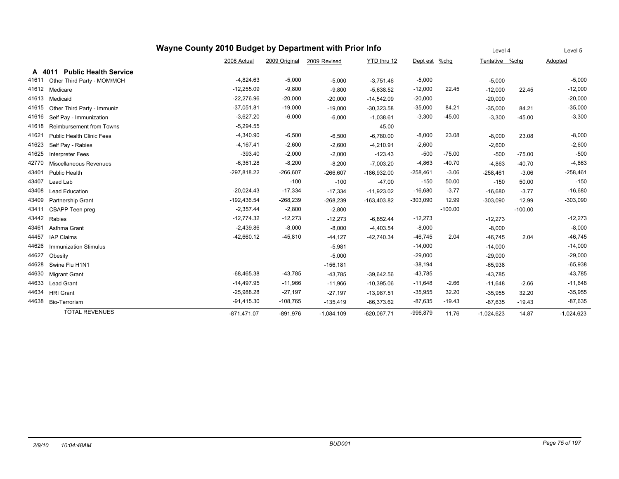| Wayne County 2010 Budget by Department with Prior Info |                                        |               |               |              |               |            |             |                | Level 4   | Level 5      |
|--------------------------------------------------------|----------------------------------------|---------------|---------------|--------------|---------------|------------|-------------|----------------|-----------|--------------|
|                                                        |                                        | 2008 Actual   | 2009 Original | 2009 Revised | YTD thru 12   | Dept est   | <u>%chg</u> | Tentative %chg |           | Adopted      |
|                                                        | <b>Public Health Service</b><br>A 4011 |               |               |              |               |            |             |                |           |              |
| 41611                                                  | Other Third Party - MOM/MCH            | $-4,824.63$   | $-5,000$      | $-5,000$     | $-3,751.46$   | $-5,000$   |             | $-5,000$       |           | $-5,000$     |
| 41612                                                  | Medicare                               | $-12,255.09$  | $-9,800$      | $-9,800$     | $-5,638.52$   | $-12,000$  | 22.45       | $-12,000$      | 22.45     | $-12,000$    |
| 41613                                                  | Medicaid                               | $-22,276.96$  | $-20,000$     | $-20,000$    | $-14,542.09$  | $-20,000$  |             | $-20,000$      |           | $-20,000$    |
| 41615                                                  | Other Third Party - Immuniz            | $-37,051.81$  | $-19,000$     | $-19,000$    | $-30,323.58$  | $-35,000$  | 84.21       | $-35,000$      | 84.21     | $-35,000$    |
| 41616                                                  | Self Pay - Immunization                | $-3,627.20$   | $-6,000$      | $-6,000$     | $-1,038.61$   | $-3,300$   | $-45.00$    | $-3,300$       | $-45.00$  | $-3,300$     |
| 41618                                                  | <b>Reimbursement from Towns</b>        | $-5,294.55$   |               |              | 45.00         |            |             |                |           |              |
| 41621                                                  | <b>Public Health Clinic Fees</b>       | $-4,340.90$   | $-6,500$      | $-6,500$     | $-6,780.00$   | $-8,000$   | 23.08       | $-8,000$       | 23.08     | $-8,000$     |
| 41623                                                  | Self Pay - Rabies                      | $-4,167.41$   | $-2,600$      | $-2,600$     | $-4,210.91$   | $-2,600$   |             | $-2,600$       |           | $-2,600$     |
| 41625                                                  | <b>Interpreter Fees</b>                | $-393.40$     | $-2,000$      | $-2,000$     | $-123.43$     | $-500$     | $-75.00$    | $-500$         | $-75.00$  | $-500$       |
| 42770                                                  | Miscellaneous Revenues                 | $-6,361.28$   | $-8,200$      | $-8,200$     | $-7,003.20$   | $-4,863$   | $-40.70$    | $-4,863$       | $-40.70$  | $-4,863$     |
| 43401                                                  | <b>Public Health</b>                   | $-297,818.22$ | $-266,607$    | $-266,607$   | $-186,932.00$ | $-258,461$ | $-3.06$     | $-258,461$     | $-3.06$   | $-258,461$   |
| 43407                                                  | Lead Lab                               |               | $-100$        | $-100$       | $-47.00$      | $-150$     | 50.00       | $-150$         | 50.00     | $-150$       |
| 43408                                                  | <b>Lead Education</b>                  | $-20,024.43$  | $-17,334$     | $-17,334$    | $-11,923.02$  | $-16,680$  | $-3.77$     | $-16,680$      | $-3.77$   | $-16,680$    |
| 43409                                                  | <b>Partnership Grant</b>               | $-192,436.54$ | $-268,239$    | $-268,239$   | -163,403.82   | $-303,090$ | 12.99       | $-303,090$     | 12.99     | $-303,090$   |
| 43411                                                  | CBAPP Teen preg                        | $-2,357.44$   | $-2,800$      | $-2,800$     |               |            | $-100.00$   |                | $-100.00$ |              |
| 43442                                                  | Rabies                                 | $-12,774.32$  | $-12,273$     | $-12,273$    | $-6,852.44$   | $-12,273$  |             | $-12,273$      |           | $-12,273$    |
| 43461                                                  | Asthma Grant                           | $-2,439.86$   | $-8,000$      | $-8,000$     | $-4,403.54$   | $-8,000$   |             | $-8,000$       |           | $-8,000$     |
| 44457                                                  | <b>IAP Claims</b>                      | $-42,660.12$  | $-45,810$     | $-44, 127$   | $-42,740.34$  | $-46,745$  | 2.04        | $-46,745$      | 2.04      | $-46,745$    |
| 44626                                                  | <b>Immunization Stimulus</b>           |               |               | $-5,981$     |               | $-14,000$  |             | $-14,000$      |           | $-14,000$    |
| 44627                                                  | Obesity                                |               |               | $-5,000$     |               | $-29,000$  |             | $-29,000$      |           | $-29,000$    |
| 44628                                                  | Swine Flu H1N1                         |               |               | $-156, 181$  |               | $-38,194$  |             | $-65,938$      |           | $-65,938$    |
| 44630                                                  | <b>Migrant Grant</b>                   | $-68,465.38$  | $-43,785$     | $-43,785$    | $-39,642.56$  | $-43,785$  |             | $-43,785$      |           | $-43,785$    |
| 44633                                                  | <b>Lead Grant</b>                      | $-14,497.95$  | $-11,966$     | $-11,966$    | $-10,395.06$  | $-11,648$  | $-2.66$     | $-11,648$      | $-2.66$   | $-11,648$    |
| 44634                                                  | <b>HRI</b> Grant                       | $-25,988.28$  | $-27,197$     | $-27,197$    | $-13,987.51$  | $-35,955$  | 32.20       | $-35,955$      | 32.20     | $-35,955$    |
| 44638                                                  | Bio-Terrorism                          | $-91,415.30$  | $-108,765$    | $-135,419$   | $-66,373.62$  | $-87,635$  | $-19.43$    | $-87,635$      | $-19.43$  | $-87,635$    |
|                                                        | <b>TOTAL REVENUES</b>                  | $-871,471.07$ | $-891,976$    | $-1,084,109$ | $-620,067.71$ | $-996,879$ | 11.76       | $-1,024,623$   | 14.87     | $-1,024,623$ |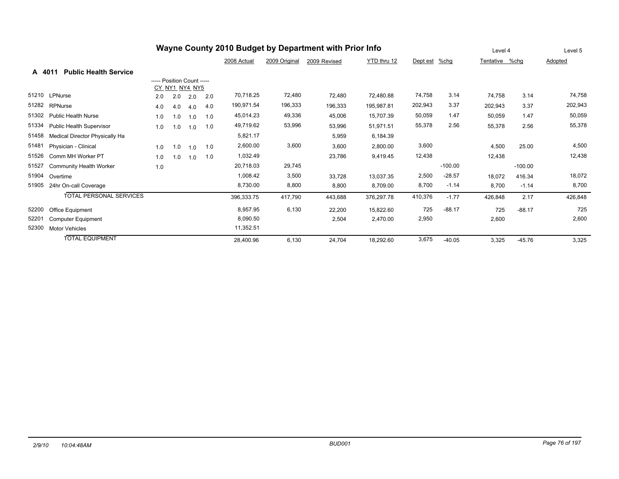| Wayne County 2010 Budget by Department with Prior Info |                                        |                            |                |     |     |             |               | Level 4      |             | Level 5  |           |                |           |         |
|--------------------------------------------------------|----------------------------------------|----------------------------|----------------|-----|-----|-------------|---------------|--------------|-------------|----------|-----------|----------------|-----------|---------|
|                                                        |                                        |                            |                |     |     | 2008 Actual | 2009 Original | 2009 Revised | YTD thru 12 | Dept est | %chg      | Tentative %chg |           | Adopted |
|                                                        | <b>Public Health Service</b><br>A 4011 |                            |                |     |     |             |               |              |             |          |           |                |           |         |
|                                                        |                                        | ----- Position Count ----- |                |     |     |             |               |              |             |          |           |                |           |         |
|                                                        |                                        |                            | CY NY1 NY4 NY5 |     |     |             |               |              |             |          |           |                |           |         |
| 51210                                                  | LPNurse                                | 2.0                        | 2.0            | 2.0 | 2.0 | 70,718.25   | 72,480        | 72.480       | 72,480.88   | 74,758   | 3.14      | 74.758         | 3.14      | 74,758  |
| 51282                                                  | <b>RPNurse</b>                         | 4.0                        | 4.0            | 4.0 | 4.0 | 190,971.54  | 196,333       | 196,333      | 195,987.81  | 202,943  | 3.37      | 202,943        | 3.37      | 202,943 |
| 51302                                                  | <b>Public Health Nurse</b>             | 1.0                        | 1.0            | 1.0 | 1.0 | 45,014.23   | 49,336        | 45,006       | 15,707.39   | 50,059   | 1.47      | 50,059         | 1.47      | 50,059  |
| 51334                                                  | <b>Public Health Supervisor</b>        | 1.0                        | 1.0            | 1.0 | 1.0 | 49,719.62   | 53,996        | 53,996       | 51,971.51   | 55,378   | 2.56      | 55,378         | 2.56      | 55,378  |
| 51458                                                  | <b>Medical Director Physically Ha</b>  |                            |                |     |     | 5,821.17    |               | 5,959        | 6,184.39    |          |           |                |           |         |
| 51481                                                  | Physician - Clinical                   | 1.0                        | 1.0            | 1.0 | 1.0 | 2,600.00    | 3,600         | 3,600        | 2,800.00    | 3,600    |           | 4,500          | 25.00     | 4,500   |
| 51526                                                  | Comm MH Worker PT                      | 1.0                        | 1.0            | 1.0 | 1.0 | 1,032.49    |               | 23,786       | 9,419.45    | 12,438   |           | 12,438         |           | 12,438  |
| 51527                                                  | <b>Community Health Worker</b>         | 1.0                        |                |     |     | 20,718.03   | 29,745        |              |             |          | $-100.00$ |                | $-100.00$ |         |
| 51904                                                  | Overtime                               |                            |                |     |     | 1,008.42    | 3,500         | 33,728       | 13,037.35   | 2,500    | $-28.57$  | 18,072         | 416.34    | 18,072  |
| 51905                                                  | 24hr On-call Coverage                  |                            |                |     |     | 8,730.00    | 8,800         | 8,800        | 8,709.00    | 8,700    | $-1.14$   | 8,700          | $-1.14$   | 8,700   |
|                                                        | <b>TOTAL PERSONAL SERVICES</b>         |                            |                |     |     | 396,333.75  | 417,790       | 443,688      | 376,297.78  | 410,376  | $-1.77$   | 426,848        | 2.17      | 426,848 |
| 52200                                                  | Office Equipment                       |                            |                |     |     | 8,957.95    | 6,130         | 22,200       | 15,822.60   | 725      | $-88.17$  | 725            | $-88.17$  | 725     |
| 52201                                                  | <b>Computer Equipment</b>              |                            |                |     |     | 8,090.50    |               | 2,504        | 2,470.00    | 2,950    |           | 2,600          |           | 2,600   |
| 52300                                                  | <b>Motor Vehicles</b>                  |                            |                |     |     | 11,352.51   |               |              |             |          |           |                |           |         |
|                                                        | <b>TOTAL EQUIPMENT</b>                 |                            |                |     |     | 28,400.96   | 6,130         | 24,704       | 18,292.60   | 3,675    | $-40.05$  | 3,325          | $-45.76$  | 3,325   |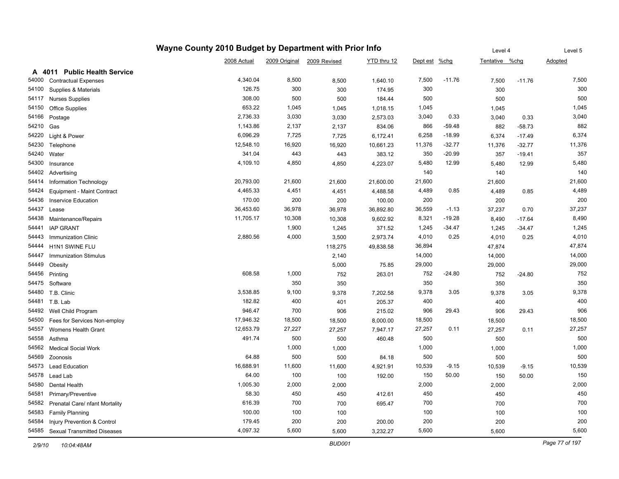| Wayne County 2010 Budget by Department with Prior Info |                                   |             |        |                            |             | Level 4       |          | Level 5        |          |         |
|--------------------------------------------------------|-----------------------------------|-------------|--------|----------------------------|-------------|---------------|----------|----------------|----------|---------|
|                                                        |                                   | 2008 Actual |        | 2009 Original 2009 Revised | YTD thru 12 | Dept est %chg |          | Tentative %chg |          | Adopted |
|                                                        | A 4011 Public Health Service      |             |        |                            |             |               |          |                |          |         |
| 54000                                                  | <b>Contractual Expenses</b>       | 4,340.04    | 8,500  | 8,500                      | 1,640.10    | 7,500         | $-11.76$ | 7,500          | $-11.76$ | 7,500   |
| 54100                                                  | Supplies & Materials              | 126.75      | 300    | 300                        | 174.95      | 300           |          | 300            |          | 300     |
| 54117                                                  | <b>Nurses Supplies</b>            | 308.00      | 500    | 500                        | 184.44      | 500           |          | 500            |          | 500     |
| 54150                                                  | <b>Office Supplies</b>            | 653.22      | 1,045  | 1,045                      | 1,018.15    | 1,045         |          | 1,045          |          | 1,045   |
| 54166                                                  | Postage                           | 2,736.33    | 3,030  | 3,030                      | 2,573.03    | 3,040         | 0.33     | 3,040          | 0.33     | 3,040   |
| 54210                                                  | Gas                               | 1,143.86    | 2,137  | 2,137                      | 834.06      | 866           | $-59.48$ | 882            | $-58.73$ | 882     |
| 54220                                                  | Light & Power                     | 6,096.29    | 7,725  | 7,725                      | 6,172.41    | 6,258         | $-18.99$ | 6,374          | $-17.49$ | 6,374   |
| 54230                                                  | Telephone                         | 12,548.10   | 16,920 | 16,920                     | 10,661.23   | 11,376        | $-32.77$ | 11,376         | $-32.77$ | 11,376  |
| 54240                                                  | Water                             | 341.04      | 443    | 443                        | 383.12      | 350           | $-20.99$ | 357            | $-19.41$ | 357     |
| 54300                                                  | Insurance                         | 4,109.10    | 4,850  | 4,850                      | 4,223.07    | 5,480         | 12.99    | 5,480          | 12.99    | 5,480   |
| 54402                                                  | Advertising                       |             |        |                            |             | 140           |          | 140            |          | 140     |
| 54414                                                  | Information Technology            | 20,793.00   | 21,600 | 21,600                     | 21,600.00   | 21,600        |          | 21,600         |          | 21,600  |
| 54424                                                  | Equipment - Maint Contract        | 4,465.33    | 4,451  | 4,451                      | 4,488.58    | 4,489         | 0.85     | 4,489          | 0.85     | 4,489   |
| 54436                                                  | <b>Inservice Education</b>        | 170.00      | 200    | 200                        | 100.00      | 200           |          | 200            |          | 200     |
| 54437                                                  | Lease                             | 36,453.60   | 36,978 | 36,978                     | 36,892.80   | 36,559        | $-1.13$  | 37,237         | 0.70     | 37,237  |
| 54438                                                  | Maintenance/Repairs               | 11,705.17   | 10,308 | 10,308                     | 9,602.92    | 8,321         | $-19.28$ | 8,490          | $-17.64$ | 8,490   |
| 54441                                                  | <b>IAP GRANT</b>                  |             | 1,900  | 1,245                      | 371.52      | 1,245         | $-34.47$ | 1,245          | $-34.47$ | 1,245   |
| 54443                                                  | <b>Immunization Clinic</b>        | 2,880.56    | 4,000  | 3,500                      | 2,973.74    | 4,010         | 0.25     | 4,010          | 0.25     | 4,010   |
| 54444                                                  | H1N1 SWINE FLU                    |             |        | 118,275                    | 49,838.58   | 36,894        |          | 47,874         |          | 47,874  |
| 54447                                                  | <b>Immunization Stimulus</b>      |             |        | 2,140                      |             | 14,000        |          | 14,000         |          | 14,000  |
| 54449                                                  | Obesity                           |             |        | 5,000                      | 75.85       | 29,000        |          | 29,000         |          | 29,000  |
| 54456                                                  | Printing                          | 608.58      | 1,000  | 752                        | 263.01      | 752           | $-24.80$ | 752            | $-24.80$ | 752     |
| 54475                                                  | Software                          |             | 350    | 350                        |             | 350           |          | 350            |          | 350     |
| 54480                                                  | T.B. Clinic                       | 3,538.85    | 9,100  | 9,378                      | 7,202.58    | 9,378         | 3.05     | 9,378          | 3.05     | 9,378   |
| 54481                                                  | T.B. Lab                          | 182.82      | 400    | 401                        | 205.37      | 400           |          | 400            |          | 400     |
| 54492                                                  | Well Child Program                | 946.47      | 700    | 906                        | 215.02      | 906           | 29.43    | 906            | 29.43    | 906     |
| 54500                                                  | Fees for Services Non-employ      | 17,946.32   | 18,500 | 18,500                     | 8,000.00    | 18,500        |          | 18,500         |          | 18,500  |
| 54557                                                  | Womens Health Grant               | 12,653.79   | 27,227 | 27,257                     | 7,947.17    | 27,257        | 0.11     | 27,257         | 0.11     | 27,257  |
| 54558                                                  | Asthma                            | 491.74      | 500    | 500                        | 460.48      | 500           |          | 500            |          | 500     |
| 54562                                                  | <b>Medical Social Work</b>        |             | 1,000  | 1,000                      |             | 1,000         |          | 1,000          |          | 1,000   |
| 54569                                                  | Zoonosis                          | 64.88       | 500    | 500                        | 84.18       | 500           |          | 500            |          | 500     |
| 54573                                                  | Lead Education                    | 16,688.91   | 11,600 | 11,600                     | 4,921.91    | 10,539        | $-9.15$  | 10,539         | $-9.15$  | 10,539  |
| 54578                                                  | Lead Lab                          | 64.00       | 100    | 100                        | 192.00      | 150           | 50.00    | 150            | 50.00    | 150     |
| 54580                                                  | <b>Dental Health</b>              | 1,005.30    | 2,000  | 2,000                      |             | 2,000         |          | 2,000          |          | 2,000   |
| 54581                                                  | Primary/Preventive                | 58.30       | 450    | 450                        | 412.61      | 450           |          | 450            |          | 450     |
| 54582                                                  | Prenatal Care/ nfant Mortality    | 616.39      | 700    | 700                        | 695.47      | 700           |          | 700            |          | 700     |
| 54583                                                  | <b>Family Planning</b>            | 100.00      | 100    | 100                        |             | 100           |          | 100            |          | 100     |
| 54584                                                  | Injury Prevention & Control       | 179.45      | 200    | 200                        | 200.00      | 200           |          | 200            |          | 200     |
|                                                        | 54585 Sexual Transmitted Diseases | 4,097.32    | 5,600  | 5,600                      | 3,232.27    | 5,600         |          | 5,600          |          | 5,600   |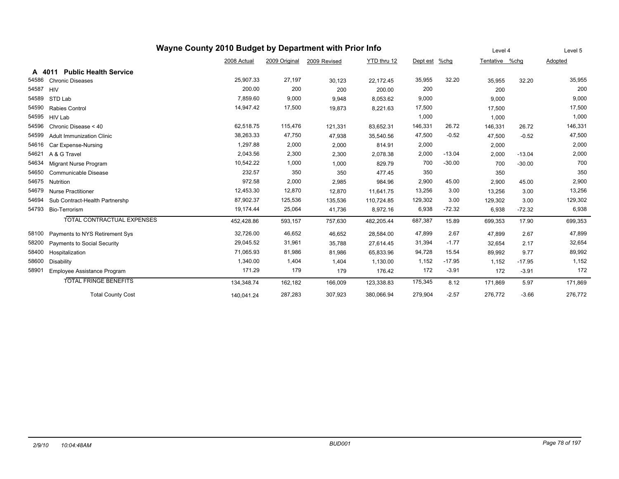| Wayne County 2010 Budget by Department with Prior Info |                                      |             |               |              |             |          | Level 4  |                | Level 5  |         |
|--------------------------------------------------------|--------------------------------------|-------------|---------------|--------------|-------------|----------|----------|----------------|----------|---------|
|                                                        |                                      | 2008 Actual | 2009 Original | 2009 Revised | YTD thru 12 | Dept est | %chg     | Tentative %chg |          | Adopted |
| A                                                      | <b>Public Health Service</b><br>4011 |             |               |              |             |          |          |                |          |         |
| 54586                                                  | <b>Chronic Diseases</b>              | 25,907.33   | 27,197        | 30,123       | 22,172.45   | 35,955   | 32.20    | 35,955         | 32.20    | 35,955  |
| 54587                                                  | <b>HIV</b>                           | 200.00      | 200           | 200          | 200.00      | 200      |          | 200            |          | 200     |
| 54589                                                  | STD Lab                              | 7,859.60    | 9,000         | 9,948        | 8,053.62    | 9,000    |          | 9,000          |          | 9,000   |
| 54590                                                  | <b>Rabies Control</b>                | 14,947.42   | 17,500        | 19,873       | 8,221.63    | 17,500   |          | 17,500         |          | 17,500  |
| 54595                                                  | <b>HIV Lab</b>                       |             |               |              |             | 1,000    |          | 1,000          |          | 1,000   |
| 54596                                                  | Chronic Disease < 40                 | 62,518.75   | 115,476       | 121,331      | 83,652.31   | 146,331  | 26.72    | 146,331        | 26.72    | 146,331 |
| 54599                                                  | <b>Adult Immunization Clinic</b>     | 38,263.33   | 47,750        | 47,938       | 35,540.56   | 47,500   | $-0.52$  | 47,500         | $-0.52$  | 47,500  |
| 54616                                                  | Car Expense-Nursing                  | 1,297.88    | 2,000         | 2,000        | 814.91      | 2,000    |          | 2,000          |          | 2,000   |
| 54621                                                  | A & G Travel                         | 2,043.56    | 2,300         | 2,300        | 2,078.38    | 2,000    | $-13.04$ | 2,000          | $-13.04$ | 2,000   |
| 54634                                                  | Migrant Nurse Program                | 10,542.22   | 1,000         | 1,000        | 829.79      | 700      | $-30.00$ | 700            | $-30.00$ | 700     |
| 54650                                                  | Communicable Disease                 | 232.57      | 350           | 350          | 477.45      | 350      |          | 350            |          | 350     |
| 54675                                                  | Nutrition                            | 972.58      | 2,000         | 2,985        | 984.96      | 2,900    | 45.00    | 2,900          | 45.00    | 2,900   |
| 54679                                                  | <b>Nurse Practitioner</b>            | 12,453.30   | 12,870        | 12,870       | 11,641.75   | 13,256   | 3.00     | 13,256         | 3.00     | 13,256  |
| 54694                                                  | Sub Contract-Health Partnershp       | 87,902.37   | 125,536       | 135,536      | 110,724.85  | 129,302  | 3.00     | 129,302        | 3.00     | 129,302 |
| 54793                                                  | Bio-Terrorism                        | 19,174.44   | 25,064        | 41,736       | 8,972.16    | 6,938    | $-72.32$ | 6,938          | $-72.32$ | 6,938   |
|                                                        | <b>TOTAL CONTRACTUAL EXPENSES</b>    | 452,428.86  | 593,157       | 757,630      | 482,205.44  | 687,387  | 15.89    | 699,353        | 17.90    | 699,353 |
| 58100                                                  | Payments to NYS Retirement Sys       | 32,726.00   | 46,652        | 46,652       | 28,584.00   | 47,899   | 2.67     | 47,899         | 2.67     | 47,899  |
| 58200                                                  | Payments to Social Security          | 29,045.52   | 31,961        | 35,788       | 27,614.45   | 31,394   | $-1.77$  | 32,654         | 2.17     | 32,654  |
| 58400                                                  | Hospitalization                      | 71,065.93   | 81,986        | 81,986       | 65,833.96   | 94,728   | 15.54    | 89,992         | 9.77     | 89,992  |
| 58600                                                  | <b>Disability</b>                    | 1,340.00    | 1,404         | 1,404        | 1,130.00    | 1,152    | $-17.95$ | 1,152          | $-17.95$ | 1,152   |
| 58901                                                  | Employee Assistance Program          | 171.29      | 179           | 179          | 176.42      | 172      | $-3.91$  | 172            | $-3.91$  | 172     |
|                                                        | <b>TOTAL FRINGE BENEFITS</b>         | 134,348.74  | 162,182       | 166,009      | 123,338.83  | 175,345  | 8.12     | 171,869        | 5.97     | 171,869 |
|                                                        | <b>Total County Cost</b>             | 140,041.24  | 287,283       | 307,923      | 380,066.94  | 279,904  | $-2.57$  | 276,772        | $-3.66$  | 276,772 |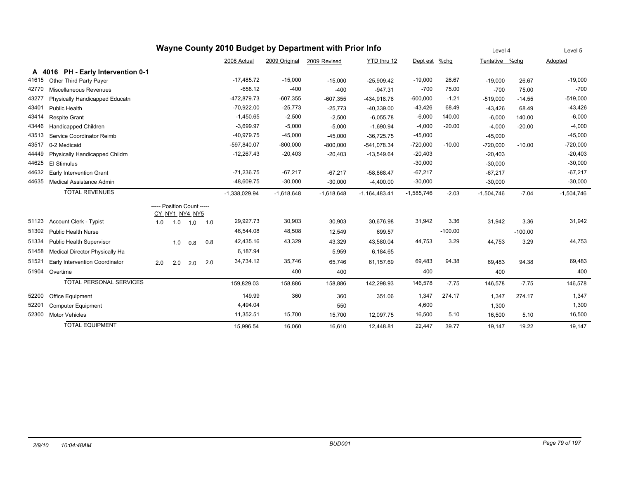| Wayne County 2010 Budget by Department with Prior Info |                                    |     |                            |     |     |                 |               |              |                 | Level 4      |           | Level 5        |           |              |
|--------------------------------------------------------|------------------------------------|-----|----------------------------|-----|-----|-----------------|---------------|--------------|-----------------|--------------|-----------|----------------|-----------|--------------|
|                                                        |                                    |     |                            |     |     | 2008 Actual     | 2009 Original | 2009 Revised | YTD thru 12     | Dept est     | %chg      | Tentative %chq |           | Adopted      |
|                                                        | A 4016 PH - Early Intervention 0-1 |     |                            |     |     |                 |               |              |                 |              |           |                |           |              |
| 41615                                                  | Other Third Party Payer            |     |                            |     |     | $-17,485.72$    | $-15,000$     | $-15,000$    | $-25,909.42$    | $-19,000$    | 26.67     | $-19,000$      | 26.67     | $-19,000$    |
| 42770                                                  | Miscellaneous Revenues             |     |                            |     |     | $-658.12$       | $-400$        | $-400$       | $-947.31$       | $-700$       | 75.00     | $-700$         | 75.00     | $-700$       |
| 43277                                                  | Physically Handicapped Educatn     |     |                            |     |     | -472,879.73     | $-607,355$    | $-607,355$   | -434.918.76     | $-600,000$   | $-1.21$   | $-519,000$     | $-14.55$  | $-519,000$   |
| 43401                                                  | <b>Public Health</b>               |     |                            |     |     | $-70,922.00$    | $-25,773$     | $-25,773$    | $-40,339.00$    | $-43,426$    | 68.49     | $-43,426$      | 68.49     | $-43,426$    |
| 43414                                                  | <b>Respite Grant</b>               |     |                            |     |     | $-1,450.65$     | $-2,500$      | $-2,500$     | $-6,055.78$     | $-6,000$     | 140.00    | $-6,000$       | 140.00    | $-6,000$     |
| 43446                                                  | Handicapped Children               |     |                            |     |     | $-3,699.97$     | $-5,000$      | $-5,000$     | $-1,690.94$     | $-4,000$     | $-20.00$  | $-4,000$       | $-20.00$  | $-4,000$     |
| 43513                                                  | Service Coordinator Reimb          |     |                            |     |     | $-40,979.75$    | $-45,000$     | $-45,000$    | $-36,725.75$    | $-45,000$    |           | $-45,000$      |           | $-45,000$    |
| 43517                                                  | 0-2 Medicaid                       |     |                            |     |     | $-597,840.07$   | $-800,000$    | $-800,000$   | -541.078.34     | $-720,000$   | $-10.00$  | $-720,000$     | $-10.00$  | $-720,000$   |
| 44449                                                  | Physically Handicapped Childrn     |     |                            |     |     | $-12,267.43$    | $-20,403$     | $-20,403$    | $-13,549.64$    | $-20,403$    |           | $-20,403$      |           | $-20,403$    |
| 44625                                                  | <b>El Stimulus</b>                 |     |                            |     |     |                 |               |              |                 | $-30,000$    |           | $-30,000$      |           | $-30,000$    |
| 44632                                                  | <b>Early Intervention Grant</b>    |     |                            |     |     | $-71,236.75$    | $-67,217$     | $-67,217$    | $-58,868.47$    | $-67,217$    |           | $-67,217$      |           | $-67,217$    |
| 44635                                                  | <b>Medical Assistance Admin</b>    |     |                            |     |     | $-48,609.75$    | $-30,000$     | $-30,000$    | $-4,400.00$     | $-30,000$    |           | $-30,000$      |           | $-30,000$    |
|                                                        | <b>TOTAL REVENUES</b>              |     |                            |     |     | $-1,338,029.94$ | $-1,618,648$  | $-1,618,648$ | $-1,164,483.41$ | $-1,585,746$ | $-2.03$   | $-1,504,746$   | $-7.04$   | $-1,504,746$ |
|                                                        |                                    |     | ----- Position Count ----- |     |     |                 |               |              |                 |              |           |                |           |              |
|                                                        |                                    |     | CY NY1 NY4 NY5             |     |     |                 |               |              |                 |              |           |                |           |              |
| 51123                                                  | Account Clerk - Typist             | 1.0 | 1.0                        | 1.0 | 1.0 | 29,927.73       | 30,903        | 30,903       | 30,676.98       | 31,942       | 3.36      | 31,942         | 3.36      | 31,942       |
| 51302                                                  | <b>Public Health Nurse</b>         |     |                            |     |     | 46,544.08       | 48,508        | 12,549       | 699.57          |              | $-100.00$ |                | $-100.00$ |              |
| 51334                                                  | Public Health Supervisor           |     | 1.0                        | 0.8 | 0.8 | 42,435.16       | 43,329        | 43,329       | 43,580.04       | 44,753       | 3.29      | 44,753         | 3.29      | 44,753       |
| 51458                                                  | Medical Director Physically Ha     |     |                            |     |     | 6,187.94        |               | 5,959        | 6,184.65        |              |           |                |           |              |
| 51521                                                  | Early Intervention Coordinator     | 2.0 | 2.0                        | 2.0 | 2.0 | 34,734.12       | 35,746        | 65,746       | 61,157.69       | 69,483       | 94.38     | 69,483         | 94.38     | 69,483       |
| 51904                                                  | Overtime                           |     |                            |     |     |                 | 400           | 400          |                 | 400          |           | 400            |           | 400          |
|                                                        | <b>TOTAL PERSONAL SERVICES</b>     |     |                            |     |     | 159,829.03      | 158,886       | 158,886      | 142,298.93      | 146,578      | $-7.75$   | 146,578        | $-7.75$   | 146,578      |
| 52200                                                  | Office Equipment                   |     |                            |     |     | 149.99          | 360           | 360          | 351.06          | 1,347        | 274.17    | 1,347          | 274.17    | 1,347        |
| 52201                                                  | Computer Equipment                 |     |                            |     |     | 4,494.04        |               | 550          |                 | 4,600        |           | 1,300          |           | 1,300        |
| 52300                                                  | <b>Motor Vehicles</b>              |     |                            |     |     | 11,352.51       | 15,700        | 15,700       | 12,097.75       | 16,500       | 5.10      | 16,500         | 5.10      | 16,500       |
|                                                        | <b>TOTAL EQUIPMENT</b>             |     |                            |     |     | 15.996.54       | 16.060        | 16.610       | 12.448.81       | 22,447       | 39.77     | 19.147         | 19.22     | 19.147       |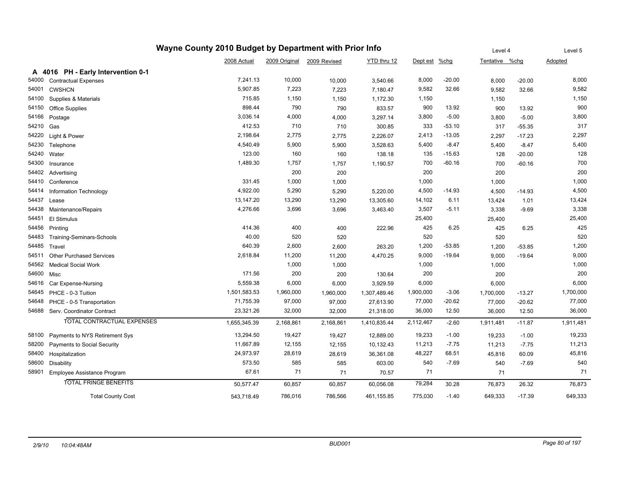| Wayne County 2010 Budget by Department with Prior Info |                                    |              |           |                            | Level 4      |           | Level 5  |                |          |                |
|--------------------------------------------------------|------------------------------------|--------------|-----------|----------------------------|--------------|-----------|----------|----------------|----------|----------------|
|                                                        |                                    | 2008 Actual  |           | 2009 Original 2009 Revised | YTD thru 12  | Dept est  | $%$ chg  | Tentative %chg |          | <b>Adopted</b> |
|                                                        | A 4016 PH - Early Intervention 0-1 |              |           |                            |              |           |          |                |          |                |
| 54000                                                  | <b>Contractual Expenses</b>        | 7,241.13     | 10,000    | 10,000                     | 3,540.66     | 8,000     | $-20.00$ | 8,000          | $-20.00$ | 8,000          |
| 54001                                                  | <b>CWSHCN</b>                      | 5,907.85     | 7,223     | 7,223                      | 7,180.47     | 9,582     | 32.66    | 9,582          | 32.66    | 9,582          |
| 54100                                                  | Supplies & Materials               | 715.85       | 1,150     | 1,150                      | 1,172.30     | 1,150     |          | 1,150          |          | 1,150          |
| 54150                                                  | <b>Office Supplies</b>             | 898.44       | 790       | 790                        | 833.57       | 900       | 13.92    | 900            | 13.92    | 900            |
| 54166                                                  | Postage                            | 3,036.14     | 4,000     | 4,000                      | 3,297.14     | 3,800     | $-5.00$  | 3,800          | $-5.00$  | 3,800          |
| 54210                                                  | Gas                                | 412.53       | 710       | 710                        | 300.85       | 333       | $-53.10$ | 317            | $-55.35$ | 317            |
| 54220                                                  | Light & Power                      | 2,198.64     | 2,775     | 2,775                      | 2,226.07     | 2,413     | $-13.05$ | 2,297          | $-17.23$ | 2,297          |
| 54230                                                  | Telephone                          | 4,540.49     | 5,900     | 5,900                      | 3,528.63     | 5,400     | $-8.47$  | 5,400          | $-8.47$  | 5,400          |
| 54240                                                  | Water                              | 123.00       | 160       | 160                        | 138.18       | 135       | $-15.63$ | 128            | $-20.00$ | 128            |
| 54300                                                  | Insurance                          | 1,489.30     | 1,757     | 1,757                      | 1,190.57     | 700       | $-60.16$ | 700            | $-60.16$ | 700            |
| 54402                                                  | Advertising                        |              | 200       | 200                        |              | 200       |          | 200            |          | 200            |
| 54410                                                  | Conference                         | 331.45       | 1,000     | 1,000                      |              | 1,000     |          | 1,000          |          | 1,000          |
| 54414                                                  | Information Technology             | 4,922.00     | 5,290     | 5,290                      | 5,220.00     | 4,500     | $-14.93$ | 4,500          | $-14.93$ | 4,500          |
| 54437                                                  | Lease                              | 13,147.20    | 13,290    | 13,290                     | 13,305.60    | 14,102    | 6.11     | 13,424         | 1.01     | 13,424         |
| 54438                                                  | Maintenance/Repairs                | 4,276.66     | 3,696     | 3,696                      | 3,463.40     | 3,507     | $-5.11$  | 3,338          | $-9.69$  | 3,338          |
| 54451                                                  | El Stimulus                        |              |           |                            |              | 25,400    |          | 25,400         |          | 25,400         |
| 54456                                                  | Printing                           | 414.36       | 400       | 400                        | 222.96       | 425       | 6.25     | 425            | 6.25     | 425            |
| 54483                                                  | Training-Seminars-Schools          | 40.00        | 520       | 520                        |              | 520       |          | 520            |          | 520            |
| 54485                                                  | Travel                             | 640.39       | 2,600     | 2,600                      | 263.20       | 1,200     | $-53.85$ | 1,200          | $-53.85$ | 1,200          |
| 54511                                                  | <b>Other Purchased Services</b>    | 2,618.84     | 11,200    | 11,200                     | 4,470.25     | 9,000     | $-19.64$ | 9,000          | $-19.64$ | 9,000          |
| 54562                                                  | <b>Medical Social Work</b>         |              | 1,000     | 1,000                      |              | 1,000     |          | 1,000          |          | 1,000          |
| 54600                                                  | Misc                               | 171.56       | 200       | 200                        | 130.64       | 200       |          | 200            |          | 200            |
| 54616                                                  | Car Expense-Nursing                | 5,559.38     | 6,000     | 6,000                      | 3,929.59     | 6,000     |          | 6,000          |          | 6,000          |
| 54645                                                  | PHCE - 0-3 Tuition                 | 1,501,583.53 | 1,960,000 | 1,960,000                  | 1,307,489.46 | 1,900,000 | $-3.06$  | 1,700,000      | $-13.27$ | 1,700,000      |
| 54648                                                  | PHCE - 0-5 Transportation          | 71,755.39    | 97,000    | 97,000                     | 27,613.90    | 77,000    | $-20.62$ | 77,000         | $-20.62$ | 77,000         |
| 54688                                                  | Serv. Coordinator Contract         | 23,321.26    | 32,000    | 32,000                     | 21,318.00    | 36,000    | 12.50    | 36,000         | 12.50    | 36,000         |
|                                                        | TOTAL CONTRACTUAL EXPENSES         | 1,655,345.39 | 2,168,861 | 2,168,861                  | 1,410,835.44 | 2,112,467 | $-2.60$  | 1,911,481      | $-11.87$ | 1,911,481      |
| 58100                                                  | Payments to NYS Retirement Sys     | 13,294.50    | 19,427    | 19,427                     | 12,889.00    | 19,233    | $-1.00$  | 19,233         | $-1.00$  | 19,233         |
| 58200                                                  | Payments to Social Security        | 11,667.89    | 12,155    | 12,155                     | 10,132.43    | 11,213    | $-7.75$  | 11,213         | $-7.75$  | 11,213         |
| 58400                                                  | Hospitalization                    | 24,973.97    | 28,619    | 28,619                     | 36,361.08    | 48,227    | 68.51    | 45,816         | 60.09    | 45,816         |
| 58600                                                  | Disability                         | 573.50       | 585       | 585                        | 603.00       | 540       | $-7.69$  | 540            | $-7.69$  | 540            |
| 58901                                                  | Employee Assistance Program        | 67.61        | 71        | 71                         | 70.57        | 71        |          | 71             |          | 71             |
|                                                        | <b>TOTAL FRINGE BENEFITS</b>       | 50,577.47    | 60,857    | 60,857                     | 60,056.08    | 79,284    | 30.28    | 76,873         | 26.32    | 76,873         |
|                                                        | <b>Total County Cost</b>           | 543,718.49   | 786,016   | 786,566                    | 461,155.85   | 775,030   | $-1.40$  | 649,333        | $-17.39$ | 649,333        |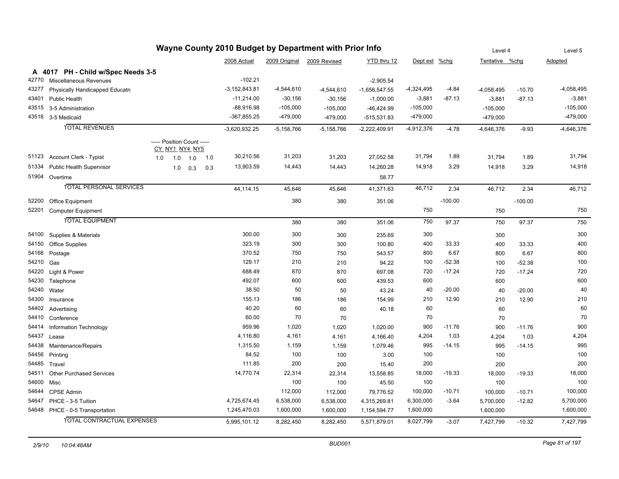| Wayne County 2010 Budget by Department with Prior Info |                                    |                                              |     |     |                   |                |                            |                 | Level 4      |           | Level 5        |           |              |
|--------------------------------------------------------|------------------------------------|----------------------------------------------|-----|-----|-------------------|----------------|----------------------------|-----------------|--------------|-----------|----------------|-----------|--------------|
|                                                        |                                    |                                              |     |     | 2008 Actual       |                | 2009 Original 2009 Revised | YTD thru 12     | Dept est     | $%$ chg   | Tentative %chg |           | Adopted      |
|                                                        | A 4017 PH - Child w/Spec Needs 3-5 |                                              |     |     |                   |                |                            |                 |              |           |                |           |              |
| 42770                                                  | Miscellaneous Revenues             |                                              |     |     | -102.21           |                |                            | $-2,905.54$     |              |           |                |           |              |
| 43277                                                  | Physically Handicapped Educatn     |                                              |     |     | $-3, 152, 843.81$ | $-4,544,610$   | $-4,544,610$               | $-1,656,547.55$ | $-4,324,495$ | $-4.84$   | $-4,058,495$   | $-10.70$  | $-4,058,495$ |
| 43401                                                  | <b>Public Health</b>               |                                              |     |     | $-11,214.00$      | $-30,156$      | $-30,156$                  | $-1,000.00$     | $-3,881$     | $-87.13$  | $-3,881$       | $-87.13$  | $-3,881$     |
| 43515                                                  | 3-5 Administration                 |                                              |     |     | $-88,916.98$      | $-105,000$     | $-105,000$                 | $-46,424.99$    | $-105,000$   |           | $-105,000$     |           | $-105,000$   |
|                                                        | 43516 3-5 Medicaid                 |                                              |     |     | $-367,855.25$     | $-479,000$     | $-479,000$                 | $-515,531.83$   | -479,000     |           | $-479,000$     |           | $-479,000$   |
|                                                        | <b>TOTAL REVENUES</b>              |                                              |     |     | $-3,620,932.25$   | $-5, 158, 766$ | $-5, 158, 766$             | $-2,222,409.91$ | $-4,912,376$ | $-4.78$   | $-4,646,376$   | $-9.93$   | $-4,646,376$ |
|                                                        |                                    | ----- Position Count -----<br>CY NY1 NY4 NY5 |     |     |                   |                |                            |                 |              |           |                |           |              |
| 51123                                                  | <b>Account Clerk - Typist</b>      | 1.0<br>1.0                                   | 1.0 | 1.0 | 30,210.56         | 31,203         | 31,203                     | 27,052.58       | 31,794       | 1.89      | 31,794         | 1.89      | 31,794       |
| 51334                                                  | <b>Public Health Supervisor</b>    | 1.0                                          | 0.3 | 0.3 | 13,903.59         | 14,443         | 14,443                     | 14,260.28       | 14,918       | 3.29      | 14,918         | 3.29      | 14,918       |
|                                                        | 51904 Overtime                     |                                              |     |     |                   |                |                            | 58.77           |              |           |                |           |              |
|                                                        | <b>TOTAL PERSONAL SERVICES</b>     |                                              |     |     | 44, 114. 15       | 45,646         | 45,646                     | 41,371.63       | 46,712       | 2.34      | 46,712         | 2.34      | 46,712       |
| 52200                                                  | Office Equipment                   |                                              |     |     |                   | 380            | 380                        | 351.06          |              | $-100.00$ |                | $-100.00$ |              |
| 52201                                                  | Computer Equipment                 |                                              |     |     |                   |                |                            |                 | 750          |           | 750            |           | 750          |
|                                                        | <b>TOTAL EQUIPMENT</b>             |                                              |     |     |                   | 380            | 380                        | 351.06          | 750          | 97.37     | 750            | 97.37     | 750          |
| 54100                                                  | Supplies & Materials               |                                              |     |     | 300.00            | 300            | 300                        | 235.69          | 300          |           | 300            |           | 300          |
| 54150                                                  | Office Supplies                    |                                              |     |     | 323.19            | 300            | 300                        | 100.80          | 400          | 33.33     | 400            | 33.33     | 400          |
| 54166                                                  | Postage                            |                                              |     |     | 370.52            | 750            | 750                        | 543.57          | 800          | 6.67      | 800            | 6.67      | 800          |
| 54210                                                  | Gas                                |                                              |     |     | 129.17            | 210            | 210                        | 94.22           | 100          | $-52.38$  | 100            | $-52.38$  | 100          |
| 54220                                                  | Light & Power                      |                                              |     |     | 688.49            | 870            | 870                        | 697.08          | 720          | $-17.24$  | 720            | $-17.24$  | 720          |
| 54230                                                  | Telephone                          |                                              |     |     | 492.07            | 600            | 600                        | 439.53          | 600          |           | 600            |           | 600          |
| 54240                                                  | Water                              |                                              |     |     | 38.50             | 50             | 50                         | 43.24           | 40           | $-20.00$  | 40             | $-20.00$  | 40           |
| 54300                                                  | Insurance                          |                                              |     |     | 155.13            | 186            | 186                        | 154.99          | 210          | 12.90     | 210            | 12.90     | 210          |
|                                                        | 54402 Advertising                  |                                              |     |     | 40.20             | 60             | 60                         | 40.18           | 60           |           | 60             |           | 60           |
| 54410                                                  | Conference                         |                                              |     |     | 60.00             | 70             | 70                         |                 | 70           |           | 70             |           | 70           |
| 54414                                                  | Information Technology             |                                              |     |     | 959.96            | 1,020          | 1,020                      | 1,020.00        | 900          | $-11.76$  | 900            | $-11.76$  | 900          |
| 54437                                                  | Lease                              |                                              |     |     | 4,116.80          | 4,161          | 4,161                      | 4,166.40        | 4,204        | 1.03      | 4,204          | 1.03      | 4,204        |
| 54438                                                  | Maintenance/Repairs                |                                              |     |     | 1,315.50          | 1,159          | 1,159                      | 1,079.46        | 995          | $-14.15$  | 995            | $-14.15$  | 995          |
| 54456                                                  | Printing                           |                                              |     |     | 84.52             | 100            | 100                        | 3.00            | 100          |           | 100            |           | 100          |
| 54485                                                  | Travel                             |                                              |     |     | 111.85            | 200            | 200                        | 15.40           | 200          |           | 200            |           | 200          |
| 54511                                                  | <b>Other Purchased Services</b>    |                                              |     |     | 14,770.74         | 22,314         | 22,314                     | 13,558.85       | 18,000       | $-19.33$  | 18,000         | $-19.33$  | 18,000       |
| 54600                                                  | Misc                               |                                              |     |     |                   | 100            | 100                        | 45.50           | 100          |           | 100            |           | 100          |
| 54644                                                  | CPSE Admin                         |                                              |     |     |                   | 112,000        | 112,000                    | 79,776.52       | 100,000      | $-10.71$  | 100,000        | $-10.71$  | 100,000      |
| 54647                                                  | PHCE - 3-5 Tuition                 |                                              |     |     | 4,725,674.45      | 6,538,000      | 6,538,000                  | 4,315,269.81    | 6,300,000    | $-3.64$   | 5,700,000      | $-12.82$  | 5,700,000    |
|                                                        | 54648 PHCE - 0-5 Transportation    |                                              |     |     | 1,245,470.03      | 1,600,000      | 1,600,000                  | 1,154,594.77    | 1,600,000    |           | 1,600,000      |           | 1,600,000    |
|                                                        | TOTAL CONTRACTUAL EXPENSES         |                                              |     |     | 5,995,101.12      | 8,282,450      | 8,282,450                  | 5,571,879.01    | 8,027,799    | $-3.07$   | 7,427,799      | $-10.32$  | 7,427,799    |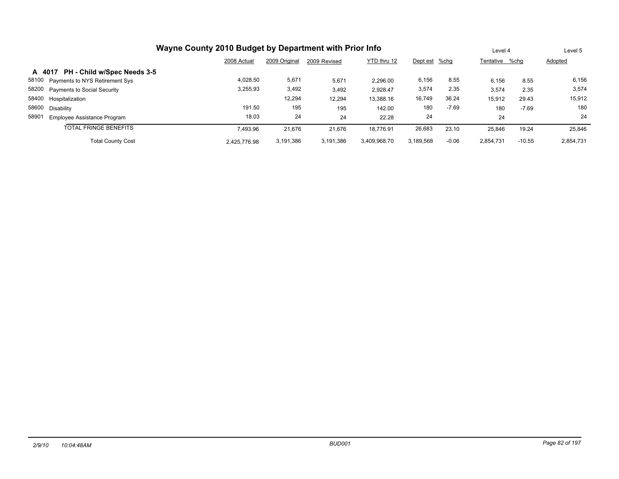| Wayne County 2010 Budget by Department with Prior Info |              |               |              |              |               |         | Level 4        |          | Level 5   |
|--------------------------------------------------------|--------------|---------------|--------------|--------------|---------------|---------|----------------|----------|-----------|
|                                                        | 2008 Actual  | 2009 Original | 2009 Revised | YTD thru 12  | Dept est %chg |         | Tentative %cha |          | Adopted   |
| PH - Child w/Spec Needs 3-5<br>A 4017                  |              |               |              |              |               |         |                |          |           |
| 58100<br>Payments to NYS Retirement Sys                | 4.028.50     | 5,671         | 5,671        | 2.296.00     | 6,156         | 8.55    | 6,156          | 8.55     | 6,156     |
| 58200<br><b>Payments to Social Security</b>            | 3,255.93     | 3,492         | 3,492        | 2.928.47     | 3,574         | 2.35    | 3,574          | 2.35     | 3,574     |
| 58400<br>Hospitalization                               |              | 12,294        | 12.294       | 13.388.16    | 16,749        | 36.24   | 15,912         | 29.43    | 15,912    |
| 58600<br>Disability                                    | 191.50       | 195           | 195          | 142.00       | 180           | $-7.69$ | 180            | $-7.69$  | 180       |
| 58901<br>Employee Assistance Program                   | 18.03        | 24            | 24           | 22.28        | 24            |         | 24             |          | 24        |
| <b>TOTAL FRINGE BENEFITS</b>                           | 7.493.96     | 21,676        | 21.676       | 18.776.91    | 26,683        | 23.10   | 25,846         | 19.24    | 25,846    |
| <b>Total County Cost</b>                               | 2.425.776.98 | 3.191.386     | 3.191.386    | 3.409.968.70 | 3.189.568     | $-0.06$ | 2.854.731      | $-10.55$ | 2,854,731 |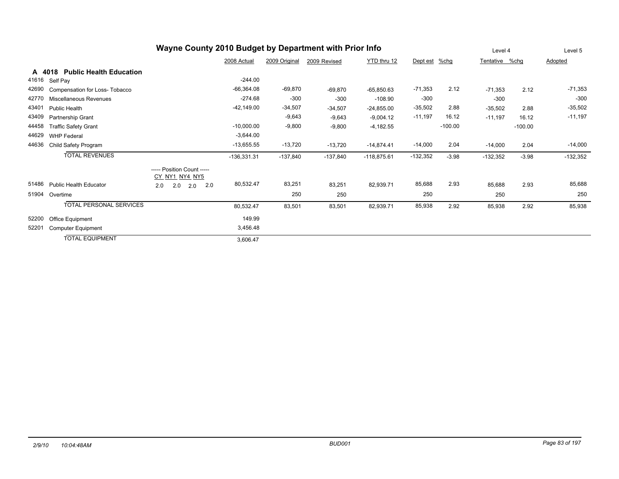|       |                                          |                                              | Level 4       |               | Level 5      |               |            |           |            |           |            |
|-------|------------------------------------------|----------------------------------------------|---------------|---------------|--------------|---------------|------------|-----------|------------|-----------|------------|
|       |                                          |                                              | 2008 Actual   | 2009 Original | 2009 Revised | YTD thru 12   | Dept est   | $%$ chg   | Tentative  | %chg      | Adopted    |
|       | <b>Public Health Education</b><br>A 4018 |                                              |               |               |              |               |            |           |            |           |            |
| 41616 | Self Pay                                 |                                              | $-244.00$     |               |              |               |            |           |            |           |            |
| 42690 | Compensation for Loss- Tobacco           |                                              | $-66,364.08$  | $-69,870$     | $-69,870$    | $-65,850.63$  | $-71,353$  | 2.12      | $-71.353$  | 2.12      | $-71,353$  |
| 42770 | Miscellaneous Revenues                   |                                              | $-274.68$     | $-300$        | $-300$       | $-108.90$     | $-300$     |           | $-300$     |           | $-300$     |
| 43401 | <b>Public Health</b>                     |                                              | $-42,149.00$  | $-34,507$     | $-34,507$    | $-24,855.00$  | $-35,502$  | 2.88      | $-35,502$  | 2.88      | $-35,502$  |
| 43409 | Partnership Grant                        |                                              |               | $-9,643$      | $-9,643$     | $-9,004.12$   | $-11,197$  | 16.12     | $-11,197$  | 16.12     | $-11,197$  |
| 44458 | <b>Traffic Safety Grant</b>              |                                              | $-10,000.00$  | $-9,800$      | $-9,800$     | $-4,182.55$   |            | $-100.00$ |            | $-100.00$ |            |
| 44629 | <b>WHP Federal</b>                       |                                              | $-3,644.00$   |               |              |               |            |           |            |           |            |
| 44636 | Child Safety Program                     |                                              | $-13,655.55$  | $-13,720$     | $-13,720$    | $-14,874.41$  | $-14,000$  | 2.04      | $-14,000$  | 2.04      | $-14,000$  |
|       | <b>TOTAL REVENUES</b>                    |                                              | $-136,331.31$ | $-137,840$    | $-137,840$   | $-118,875.61$ | $-132,352$ | $-3.98$   | $-132,352$ | $-3.98$   | $-132,352$ |
|       |                                          | ----- Position Count -----<br>CY NY1 NY4 NY5 |               |               |              |               |            |           |            |           |            |
| 51486 | <b>Public Health Educator</b>            | 2.0<br>2.0<br>2.0<br>2.0                     | 80,532.47     | 83,251        | 83,251       | 82,939.71     | 85,688     | 2.93      | 85,688     | 2.93      | 85,688     |
| 51904 | Overtime                                 |                                              |               | 250           | 250          |               | 250        |           | 250        |           | 250        |
|       | <b>TOTAL PERSONAL SERVICES</b>           |                                              | 80,532.47     | 83,501        | 83,501       | 82,939.71     | 85,938     | 2.92      | 85,938     | 2.92      | 85,938     |
| 52200 | Office Equipment                         |                                              | 149.99        |               |              |               |            |           |            |           |            |
| 52201 | <b>Computer Equipment</b>                |                                              | 3,456.48      |               |              |               |            |           |            |           |            |
|       | <b>TOTAL EQUIPMENT</b>                   |                                              | 3,606.47      |               |              |               |            |           |            |           |            |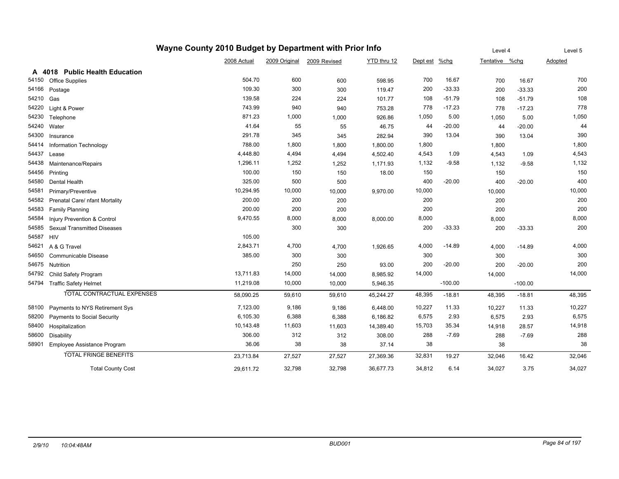|       |                                    | Wayne County 2010 Budget by Department with Prior Info |               |              |             |               |           | Level 4        |           | Level 5 |
|-------|------------------------------------|--------------------------------------------------------|---------------|--------------|-------------|---------------|-----------|----------------|-----------|---------|
|       |                                    | 2008 Actual                                            | 2009 Original | 2009 Revised | YTD thru 12 | Dept est %chg |           | Tentative %chg |           | Adopted |
| A     | 4018 Public Health Education       |                                                        |               |              |             |               |           |                |           |         |
| 54150 | <b>Office Supplies</b>             | 504.70                                                 | 600           | 600          | 598.95      | 700           | 16.67     | 700            | 16.67     | 700     |
| 54166 | Postage                            | 109.30                                                 | 300           | 300          | 119.47      | 200           | $-33.33$  | 200            | $-33.33$  | 200     |
| 54210 | Gas                                | 139.58                                                 | 224           | 224          | 101.77      | 108           | $-51.79$  | 108            | $-51.79$  | 108     |
| 54220 | Light & Power                      | 743.99                                                 | 940           | 940          | 753.28      | 778           | $-17.23$  | 778            | $-17.23$  | 778     |
| 54230 | Telephone                          | 871.23                                                 | 1,000         | 1,000        | 926.86      | 1,050         | 5.00      | 1,050          | 5.00      | 1,050   |
| 54240 | Water                              | 41.64                                                  | 55            | 55           | 46.75       | 44            | $-20.00$  | 44             | $-20.00$  | 44      |
| 54300 | Insurance                          | 291.78                                                 | 345           | 345          | 282.94      | 390           | 13.04     | 390            | 13.04     | 390     |
| 54414 | Information Technology             | 788.00                                                 | 1,800         | 1,800        | 1,800.00    | 1,800         |           | 1,800          |           | 1,800   |
| 54437 | Lease                              | 4,448.80                                               | 4,494         | 4,494        | 4,502.40    | 4,543         | 1.09      | 4,543          | 1.09      | 4,543   |
| 54438 | Maintenance/Repairs                | 1,296.11                                               | 1,252         | 1,252        | 1,171.93    | 1,132         | $-9.58$   | 1,132          | $-9.58$   | 1,132   |
| 54456 | Printing                           | 100.00                                                 | 150           | 150          | 18.00       | 150           |           | 150            |           | 150     |
| 54580 | <b>Dental Health</b>               | 325.00                                                 | 500           | 500          |             | 400           | $-20.00$  | 400            | $-20.00$  | 400     |
| 54581 | Primary/Preventive                 | 10,294.95                                              | 10,000        | 10,000       | 9,970.00    | 10,000        |           | 10,000         |           | 10,000  |
| 54582 | Prenatal Care/ nfant Mortality     | 200.00                                                 | 200           | 200          |             | 200           |           | 200            |           | 200     |
| 54583 | <b>Family Planning</b>             | 200.00                                                 | 200           | 200          |             | 200           |           | 200            |           | 200     |
| 54584 | Injury Prevention & Control        | 9,470.55                                               | 8,000         | 8,000        | 8,000.00    | 8,000         |           | 8,000          |           | 8,000   |
| 54585 | <b>Sexual Transmitted Diseases</b> |                                                        | 300           | 300          |             | 200           | $-33.33$  | 200            | $-33.33$  | 200     |
| 54587 | <b>HIV</b>                         | 105.00                                                 |               |              |             |               |           |                |           |         |
| 54621 | A & G Travel                       | 2,843.71                                               | 4,700         | 4,700        | 1,926.65    | 4,000         | -14.89    | 4,000          | $-14.89$  | 4,000   |
| 54650 | Communicable Disease               | 385.00                                                 | 300           | 300          |             | 300           |           | 300            |           | 300     |
| 54675 | Nutrition                          |                                                        | 250           | 250          | 93.00       | 200           | $-20.00$  | 200            | $-20.00$  | 200     |
| 54792 | Child Safety Program               | 13,711.83                                              | 14,000        | 14,000       | 8,985.92    | 14,000        |           | 14,000         |           | 14,000  |
| 54794 | <b>Traffic Safety Helmet</b>       | 11,219.08                                              | 10,000        | 10,000       | 5,946.35    |               | $-100.00$ |                | $-100.00$ |         |
|       | <b>TOTAL CONTRACTUAL EXPENSES</b>  | 58,090.25                                              | 59,610        | 59,610       | 45,244.27   | 48,395        | $-18.81$  | 48,395         | $-18.81$  | 48,395  |
| 58100 | Payments to NYS Retirement Sys     | 7,123.00                                               | 9,186         | 9,186        | 6,448.00    | 10,227        | 11.33     | 10,227         | 11.33     | 10,227  |
| 58200 | Payments to Social Security        | 6,105.30                                               | 6,388         | 6,388        | 6,186.82    | 6,575         | 2.93      | 6,575          | 2.93      | 6,575   |
| 58400 | Hospitalization                    | 10,143.48                                              | 11,603        | 11,603       | 14,389.40   | 15,703        | 35.34     | 14,918         | 28.57     | 14,918  |
| 58600 | <b>Disability</b>                  | 306.00                                                 | 312           | 312          | 308.00      | 288           | $-7.69$   | 288            | $-7.69$   | 288     |
| 58901 | Employee Assistance Program        | 36.06                                                  | 38            | 38           | 37.14       | 38            |           | 38             |           | 38      |
|       | <b>TOTAL FRINGE BENEFITS</b>       | 23,713.84                                              | 27,527        | 27,527       | 27,369.36   | 32,831        | 19.27     | 32,046         | 16.42     | 32,046  |
|       | <b>Total County Cost</b>           | 29,611.72                                              | 32,798        | 32,798       | 36,677.73   | 34,812        | 6.14      | 34,027         | 3.75      | 34,027  |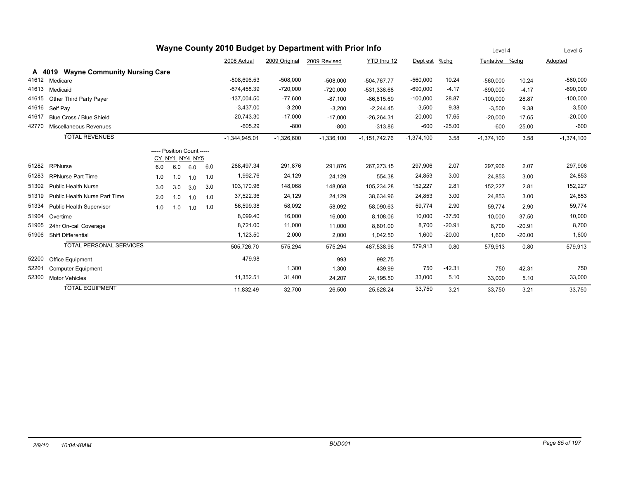| Wayne County 2010 Budget by Department with Prior Info |                                     |     |     |                                              |     |                 |               |              |                 | Level 4      |          | Level 5        |          |              |
|--------------------------------------------------------|-------------------------------------|-----|-----|----------------------------------------------|-----|-----------------|---------------|--------------|-----------------|--------------|----------|----------------|----------|--------------|
|                                                        |                                     |     |     |                                              |     | 2008 Actual     | 2009 Original | 2009 Revised | YTD thru 12     | Dept est     | %chg     | Tentative %chq |          | Adopted      |
| A 4019                                                 | <b>Wayne Community Nursing Care</b> |     |     |                                              |     |                 |               |              |                 |              |          |                |          |              |
| 41612                                                  | Medicare                            |     |     |                                              |     | $-508.696.53$   | $-508,000$    | $-508,000$   | $-504.767.77$   | $-560,000$   | 10.24    | $-560.000$     | 10.24    | $-560,000$   |
| 41613                                                  | Medicaid                            |     |     |                                              |     | $-674, 458.39$  | $-720,000$    | $-720,000$   | $-531,336.68$   | $-690,000$   | $-4.17$  | $-690,000$     | $-4.17$  | $-690,000$   |
| 41615                                                  | Other Third Party Payer             |     |     |                                              |     | $-137,004.50$   | $-77,600$     | $-87,100$    | $-86,815.69$    | $-100,000$   | 28.87    | $-100,000$     | 28.87    | $-100,000$   |
| 41616                                                  | Self Pav                            |     |     |                                              |     | $-3.437.00$     | $-3,200$      | $-3,200$     | $-2,244.45$     | $-3,500$     | 9.38     | $-3.500$       | 9.38     | $-3,500$     |
| 41617                                                  | Blue Cross / Blue Shield            |     |     |                                              |     | $-20,743.30$    | $-17,000$     | $-17,000$    | $-26,264.31$    | $-20,000$    | 17.65    | $-20,000$      | 17.65    | $-20,000$    |
| 42770                                                  | Miscellaneous Revenues              |     |     |                                              |     | $-605.29$       | $-800$        | $-800$       | $-313.86$       | $-600$       | $-25.00$ | $-600$         | $-25.00$ | $-600$       |
|                                                        | <b>TOTAL REVENUES</b>               |     |     |                                              |     | $-1,344,945.01$ | $-1,326,600$  | $-1,336,100$ | $-1,151,742.76$ | $-1,374,100$ | 3.58     | $-1,374,100$   | 3.58     | $-1,374,100$ |
|                                                        |                                     |     |     | ----- Position Count -----<br>CY_NY1_NY4_NY5 |     |                 |               |              |                 |              |          |                |          |              |
| 51282                                                  | RPNurse                             | 6.0 | 6.0 | 6.0                                          | 6.0 | 288,497.34      | 291,876       | 291,876      | 267,273.15      | 297,906      | 2.07     | 297,906        | 2.07     | 297,906      |
| 51283                                                  | <b>RPNurse Part Time</b>            | 1.0 | 1.0 | 1.0                                          | 1.0 | 1,992.76        | 24,129        | 24,129       | 554.38          | 24,853       | 3.00     | 24,853         | 3.00     | 24,853       |
| 51302                                                  | <b>Public Health Nurse</b>          | 3.0 | 3.0 | 3.0                                          | 3.0 | 103,170.96      | 148,068       | 148,068      | 105,234.28      | 152,227      | 2.81     | 152,227        | 2.81     | 152,227      |
| 51319                                                  | Public Health Nurse Part Time       | 2.0 | 1.0 | 1.0                                          | 1.0 | 37,522.36       | 24,129        | 24,129       | 38,634.96       | 24,853       | 3.00     | 24,853         | 3.00     | 24,853       |
| 51334                                                  | Public Health Supervisor            | 1.0 | 1.0 | 1.0                                          | 1.0 | 56,599.38       | 58,092        | 58,092       | 58,090.63       | 59,774       | 2.90     | 59,774         | 2.90     | 59,774       |
| 51904                                                  | Overtime                            |     |     |                                              |     | 8,099.40        | 16,000        | 16,000       | 8,108.06        | 10,000       | $-37.50$ | 10,000         | $-37.50$ | 10,000       |
| 51905                                                  | 24hr On-call Coverage               |     |     |                                              |     | 8.721.00        | 11,000        | 11,000       | 8,601.00        | 8,700        | $-20.91$ | 8,700          | $-20.91$ | 8,700        |
| 51906                                                  | <b>Shift Differential</b>           |     |     |                                              |     | 1,123.50        | 2,000         | 2,000        | 1,042.50        | 1,600        | $-20.00$ | 1,600          | $-20.00$ | 1,600        |
|                                                        | <b>TOTAL PERSONAL SERVICES</b>      |     |     |                                              |     | 505,726.70      | 575,294       | 575,294      | 487,538.96      | 579,913      | 0.80     | 579,913        | 0.80     | 579,913      |
| 52200                                                  | Office Equipment                    |     |     |                                              |     | 479.98          |               | 993          | 992.75          |              |          |                |          |              |
| 52201                                                  | <b>Computer Equipment</b>           |     |     |                                              |     |                 | 1,300         | 1,300        | 439.99          | 750          | $-42.31$ | 750            | $-42.31$ | 750          |
| 52300                                                  | <b>Motor Vehicles</b>               |     |     |                                              |     | 11,352.51       | 31,400        | 24,207       | 24,195.50       | 33,000       | 5.10     | 33,000         | 5.10     | 33,000       |
|                                                        | <b>TOTAL EQUIPMENT</b>              |     |     |                                              |     | 11.832.49       | 32.700        | 26.500       | 25.628.24       | 33,750       | 3.21     | 33.750         | 3.21     | 33.750       |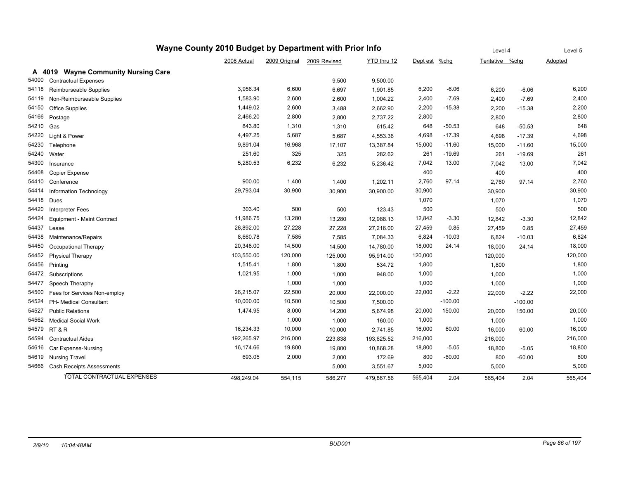|       | Wayne County 2010 Budget by Department with Prior Info |             | Level 4       |              | Level 5     |               |           |                |           |                |
|-------|--------------------------------------------------------|-------------|---------------|--------------|-------------|---------------|-----------|----------------|-----------|----------------|
|       |                                                        | 2008 Actual | 2009 Original | 2009 Revised | YTD thru 12 | Dept est %chg |           | Tentative %chg |           | <b>Adopted</b> |
|       | A 4019 Wayne Community Nursing Care                    |             |               |              |             |               |           |                |           |                |
| 54000 | <b>Contractual Expenses</b>                            |             |               | 9,500        | 9,500.00    |               |           |                |           |                |
| 54118 | Reimburseable Supplies                                 | 3,956.34    | 6,600         | 6,697        | 1,901.85    | 6,200         | $-6.06$   | 6,200          | $-6.06$   | 6,200          |
| 54119 | Non-Reimburseable Supplies                             | 1,583.90    | 2,600         | 2,600        | 1,004.22    | 2,400         | $-7.69$   | 2,400          | $-7.69$   | 2,400          |
| 54150 | Office Supplies                                        | 1,449.02    | 2,600         | 3,488        | 2,662.90    | 2,200         | $-15.38$  | 2,200          | $-15.38$  | 2,200          |
| 54166 | Postage                                                | 2,466.20    | 2,800         | 2,800        | 2,737.22    | 2,800         |           | 2,800          |           | 2,800          |
| 54210 | Gas                                                    | 843.80      | 1,310         | 1,310        | 615.42      | 648           | $-50.53$  | 648            | $-50.53$  | 648            |
| 54220 | Light & Power                                          | 4,497.25    | 5,687         | 5,687        | 4,553.36    | 4,698         | $-17.39$  | 4,698          | $-17.39$  | 4,698          |
| 54230 | Telephone                                              | 9,891.04    | 16,968        | 17,107       | 13,387.84   | 15,000        | $-11.60$  | 15,000         | $-11.60$  | 15,000         |
| 54240 | Water                                                  | 251.60      | 325           | 325          | 282.62      | 261           | $-19.69$  | 261            | $-19.69$  | 261            |
| 54300 | Insurance                                              | 5,280.53    | 6,232         | 6,232        | 5,236.42    | 7,042         | 13.00     | 7,042          | 13.00     | 7,042          |
| 54408 | Copier Expense                                         |             |               |              |             | 400           |           | 400            |           | 400            |
| 54410 | Conference                                             | 900.00      | 1,400         | 1,400        | 1,202.11    | 2,760         | 97.14     | 2,760          | 97.14     | 2,760          |
| 54414 | Information Technology                                 | 29,793.04   | 30,900        | 30,900       | 30,900.00   | 30,900        |           | 30,900         |           | 30,900         |
| 54418 | Dues                                                   |             |               |              |             | 1,070         |           | 1,070          |           | 1,070          |
| 54420 | <b>Interpreter Fees</b>                                | 303.40      | 500           | 500          | 123.43      | 500           |           | 500            |           | 500            |
| 54424 | Equipment - Maint Contract                             | 11,986.75   | 13,280        | 13,280       | 12,988.13   | 12,842        | $-3.30$   | 12,842         | $-3.30$   | 12,842         |
| 54437 | Lease                                                  | 26,892.00   | 27,228        | 27,228       | 27,216.00   | 27,459        | 0.85      | 27,459         | 0.85      | 27,459         |
| 54438 | Maintenance/Repairs                                    | 8,660.78    | 7,585         | 7,585        | 7,084.33    | 6,824         | $-10.03$  | 6,824          | $-10.03$  | 6,824          |
| 54450 | Occupational Therapy                                   | 20,348.00   | 14,500        | 14,500       | 14,780.00   | 18,000        | 24.14     | 18,000         | 24.14     | 18,000         |
| 54452 | <b>Physical Therapy</b>                                | 103,550.00  | 120,000       | 125,000      | 95,914.00   | 120,000       |           | 120,000        |           | 120,000        |
| 54456 | Printing                                               | 1,515.41    | 1,800         | 1,800        | 534.72      | 1,800         |           | 1,800          |           | 1,800          |
| 54472 | Subscriptions                                          | 1,021.95    | 1,000         | 1,000        | 948.00      | 1,000         |           | 1,000          |           | 1,000          |
| 54477 | Speech Theraphy                                        |             | 1,000         | 1,000        |             | 1,000         |           | 1,000          |           | 1,000          |
| 54500 | Fees for Services Non-employ                           | 26,215.07   | 22,500        | 20,000       | 22,000.00   | 22,000        | $-2.22$   | 22,000         | $-2.22$   | 22,000         |
| 54524 | PH- Medical Consultant                                 | 10,000.00   | 10,500        | 10,500       | 7,500.00    |               | $-100.00$ |                | $-100.00$ |                |
| 54527 | <b>Public Relations</b>                                | 1,474.95    | 8,000         | 14,200       | 5,674.98    | 20,000        | 150.00    | 20,000         | 150.00    | 20,000         |
| 54562 | <b>Medical Social Work</b>                             |             | 1,000         | 1,000        | 160.00      | 1,000         |           | 1,000          |           | 1,000          |
|       | 54579 RT & R                                           | 16,234.33   | 10,000        | 10,000       | 2,741.85    | 16,000        | 60.00     | 16,000         | 60.00     | 16,000         |
| 54594 | <b>Contractual Aides</b>                               | 192,265.97  | 216,000       | 223,838      | 193,625.52  | 216,000       |           | 216,000        |           | 216,000        |
| 54616 | Car Expense-Nursing                                    | 16,174.66   | 19,800        | 19,800       | 10,868.28   | 18,800        | $-5.05$   | 18,800         | $-5.05$   | 18,800         |
|       | 54619 Nursing Travel                                   | 693.05      | 2,000         | 2,000        | 172.69      | 800           | $-60.00$  | 800            | $-60.00$  | 800            |
| 54666 | <b>Cash Receipts Assessments</b>                       |             |               | 5,000        | 3,551.67    | 5,000         |           | 5,000          |           | 5,000          |
|       | TOTAL CONTRACTUAL EXPENSES                             | 498.249.04  | 554,115       | 586,277      | 479,867.56  | 565,404       | 2.04      | 565.404        | 2.04      | 565,404        |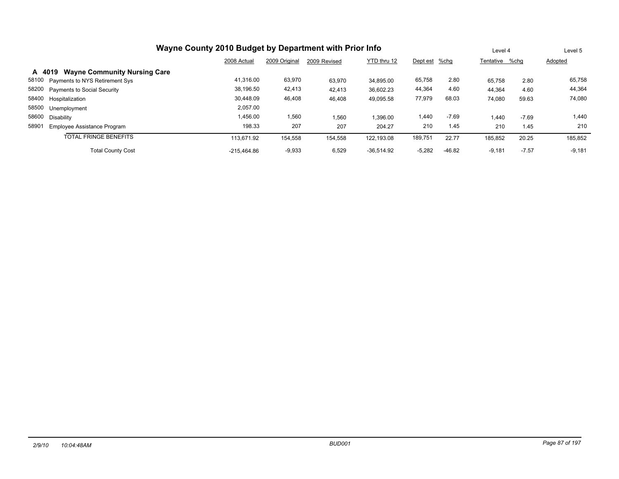| Wayne County 2010 Budget by Department with Prior Info |               | Level 4       |              | Level 5      |               |          |                |         |          |
|--------------------------------------------------------|---------------|---------------|--------------|--------------|---------------|----------|----------------|---------|----------|
|                                                        | 2008 Actual   | 2009 Original | 2009 Revised | YTD thru 12  | Dept est %chg |          | Tentative %chq |         | Adopted  |
| <b>Wayne Community Nursing Care</b><br>A 4019          |               |               |              |              |               |          |                |         |          |
| 58100 Payments to NYS Retirement Sys                   | 41.316.00     | 63,970        | 63,970       | 34.895.00    | 65,758        | 2.80     | 65,758         | 2.80    | 65,758   |
| 58200 Payments to Social Security                      | 38,196.50     | 42,413        | 42,413       | 36,602.23    | 44,364        | 4.60     | 44,364         | 4.60    | 44,364   |
| 58400 Hospitalization                                  | 30.448.09     | 46,408        | 46,408       | 49,095.58    | 77,979        | 68.03    | 74,080         | 59.63   | 74,080   |
| 58500 Unemployment                                     | 2,057.00      |               |              |              |               |          |                |         |          |
| 58600 Disability                                       | 1,456.00      | 1,560         | .560         | 1.396.00     | 1,440         | $-7.69$  | 1.440          | $-7.69$ | 1,440    |
| 58901<br>Employee Assistance Program                   | 198.33        | 207           | 207          | 204.27       | 210           | 1.45     | 210            | 1.45    | 210      |
| <b>TOTAL FRINGE BENEFITS</b>                           | 113.671.92    | 154,558       | 154,558      | 122.193.08   | 189,751       | 22.77    | 185,852        | 20.25   | 185,852  |
| <b>Total County Cost</b>                               | $-215.464.86$ | $-9,933$      | 6,529        | $-36.514.92$ | $-5,282$      | $-46.82$ | $-9,181$       | $-7.57$ | $-9,181$ |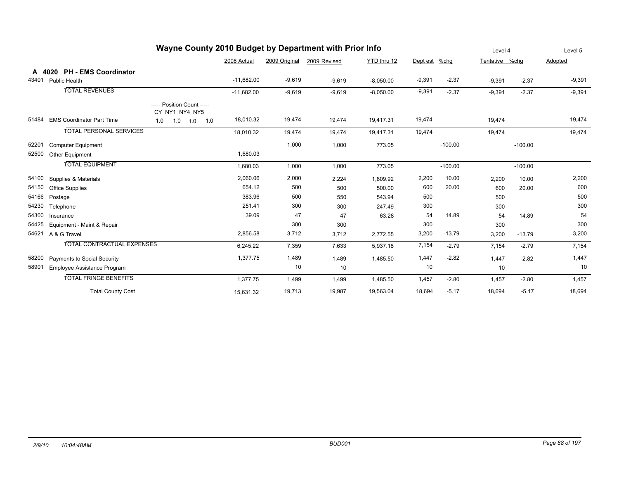| Wayne County 2010 Budget by Department with Prior Info |                                  |                                              |              |               |              |             |          |           |                | Level 4   |          |
|--------------------------------------------------------|----------------------------------|----------------------------------------------|--------------|---------------|--------------|-------------|----------|-----------|----------------|-----------|----------|
|                                                        |                                  |                                              | 2008 Actual  | 2009 Original | 2009 Revised | YTD thru 12 | Dept est | %chg      | Tentative %chg |           | Adopted  |
|                                                        | A 4020 PH - EMS Coordinator      |                                              |              |               |              |             |          |           |                |           |          |
| 43401                                                  | Public Health                    |                                              | $-11,682.00$ | $-9,619$      | $-9,619$     | $-8,050.00$ | $-9,391$ | $-2.37$   | $-9,391$       | $-2.37$   | $-9,391$ |
|                                                        | <b>TOTAL REVENUES</b>            |                                              | $-11,682.00$ | $-9,619$      | $-9,619$     | $-8,050.00$ | $-9,391$ | $-2.37$   | $-9,391$       | $-2.37$   | $-9,391$ |
|                                                        |                                  | ----- Position Count -----<br>CY NY1 NY4 NY5 |              |               |              |             |          |           |                |           |          |
| 51484                                                  | <b>EMS Coordinator Part Time</b> | 1.0<br>1.0<br>1.0<br>1.0                     | 18,010.32    | 19,474        | 19,474       | 19,417.31   | 19,474   |           | 19,474         |           | 19,474   |
|                                                        | <b>TOTAL PERSONAL SERVICES</b>   |                                              | 18,010.32    | 19,474        | 19,474       | 19,417.31   | 19,474   |           | 19,474         |           | 19,474   |
| 52201                                                  | <b>Computer Equipment</b>        |                                              |              | 1,000         | 1,000        | 773.05      |          | $-100.00$ |                | $-100.00$ |          |
| 52500                                                  | Other Equipment                  |                                              | 1,680.03     |               |              |             |          |           |                |           |          |
|                                                        | <b>TOTAL EQUIPMENT</b>           |                                              | 1,680.03     | 1,000         | 1,000        | 773.05      |          | $-100.00$ |                | $-100.00$ |          |
| 54100                                                  | Supplies & Materials             |                                              | 2,060.06     | 2,000         | 2,224        | 1,809.92    | 2,200    | 10.00     | 2,200          | 10.00     | 2,200    |
| 54150                                                  | <b>Office Supplies</b>           |                                              | 654.12       | 500           | 500          | 500.00      | 600      | 20.00     | 600            | 20.00     | 600      |
| 54166                                                  | Postage                          |                                              | 383.96       | 500           | 550          | 543.94      | 500      |           | 500            |           | 500      |
| 54230                                                  | Telephone                        |                                              | 251.41       | 300           | 300          | 247.49      | 300      |           | 300            |           | 300      |
| 54300                                                  | Insurance                        |                                              | 39.09        | 47            | 47           | 63.28       | 54       | 14.89     | 54             | 14.89     | 54       |
| 54425                                                  | Equipment - Maint & Repair       |                                              |              | 300           | 300          |             | 300      |           | 300            |           | 300      |
| 54621                                                  | A & G Travel                     |                                              | 2,856.58     | 3,712         | 3,712        | 2,772.55    | 3,200    | $-13.79$  | 3,200          | $-13.79$  | 3,200    |
|                                                        | TOTAL CONTRACTUAL EXPENSES       |                                              | 6,245.22     | 7,359         | 7,633        | 5,937.18    | 7,154    | $-2.79$   | 7,154          | $-2.79$   | 7,154    |
| 58200                                                  | Payments to Social Security      |                                              | 1,377.75     | 1,489         | 1,489        | 1,485.50    | 1,447    | $-2.82$   | 1,447          | $-2.82$   | 1,447    |
| 58901                                                  | Employee Assistance Program      |                                              |              | 10            | 10           |             | 10       |           | 10             |           | 10       |
|                                                        | <b>TOTAL FRINGE BENEFITS</b>     |                                              | 1,377.75     | 1,499         | 1,499        | 1,485.50    | 1,457    | $-2.80$   | 1,457          | $-2.80$   | 1,457    |
|                                                        | <b>Total County Cost</b>         |                                              | 15,631.32    | 19,713        | 19,987       | 19,563.04   | 18,694   | $-5.17$   | 18,694         | $-5.17$   | 18,694   |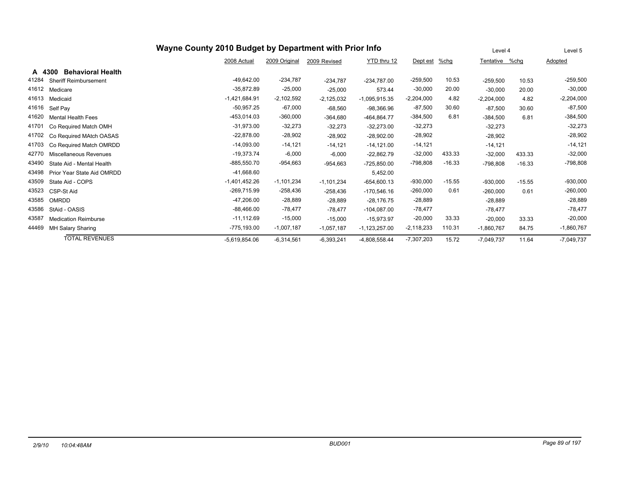|                                       |                 | Level 4       | Level 5      |                 |              |          |              |          |              |
|---------------------------------------|-----------------|---------------|--------------|-----------------|--------------|----------|--------------|----------|--------------|
|                                       | 2008 Actual     | 2009 Original | 2009 Revised | YTD thru 12     | Dept est     | $%$ chg  | Tentative    | %chg     | Adopted      |
| <b>Behavioral Health</b><br>A 4300    |                 |               |              |                 |              |          |              |          |              |
| 41284<br><b>Sheriff Reimbursement</b> | $-49,642.00$    | $-234,787$    | $-234,787$   | $-234,787.00$   | $-259,500$   | 10.53    | $-259,500$   | 10.53    | $-259,500$   |
| 41612<br>Medicare                     | $-35,872.89$    | $-25,000$     | $-25,000$    | 573.44          | $-30,000$    | 20.00    | $-30,000$    | 20.00    | $-30,000$    |
| 41613<br>Medicaid                     | $-1,421,684.91$ | $-2,102,592$  | $-2,125,032$ | $-1,095,915.35$ | $-2,204,000$ | 4.82     | $-2,204,000$ | 4.82     | $-2,204,000$ |
| 41616<br>Self Pay                     | $-50,957.25$    | $-67,000$     | $-68,560$    | $-98,366.96$    | $-87,500$    | 30.60    | $-87,500$    | 30.60    | $-87,500$    |
| 41620<br><b>Mental Health Fees</b>    | $-453,014.03$   | $-360,000$    | $-364,680$   | -464,864.77     | $-384,500$   | 6.81     | $-384,500$   | 6.81     | $-384,500$   |
| 41701<br>Co Required Match OMH        | $-31,973.00$    | $-32,273$     | $-32,273$    | $-32,273.00$    | $-32,273$    |          | $-32,273$    |          | $-32,273$    |
| 41702<br>Co Required MAtch OASAS      | $-22,878.00$    | $-28,902$     | $-28,902$    | $-28,902.00$    | $-28,902$    |          | $-28,902$    |          | $-28,902$    |
| 41703<br>Co Required Match OMRDD      | $-14,093.00$    | $-14,121$     | $-14,121$    | $-14,121.00$    | $-14,121$    |          | $-14,121$    |          | $-14,121$    |
| 42770<br>Miscellaneous Revenues       | $-19,373.74$    | $-6,000$      | $-6,000$     | $-22,862.79$    | $-32,000$    | 433.33   | $-32,000$    | 433.33   | $-32,000$    |
| 43490<br>State Aid - Mental Health    | $-885,550.70$   | -954,663      | $-954,663$   | $-725,850.00$   | -798,808     | $-16.33$ | $-798,808$   | $-16.33$ | -798,808     |
| 43498<br>Prior Year State Aid OMRDD   | $-41,668.60$    |               |              | 5,452.00        |              |          |              |          |              |
| 43509<br>State Aid - COPS             | $-1,401,452.26$ | $-1,101,234$  | $-1,101,234$ | $-654,600.13$   | $-930,000$   | $-15.55$ | $-930,000$   | $-15.55$ | $-930,000$   |
| 43523<br>CSP-St Aid                   | $-269,715.99$   | $-258,436$    | $-258,436$   | $-170,546.16$   | $-260,000$   | 0.61     | $-260,000$   | 0.61     | $-260,000$   |
| 43585<br>OMRDD                        | $-47,206.00$    | $-28,889$     | $-28,889$    | $-28,176.75$    | $-28,889$    |          | $-28,889$    |          | $-28,889$    |
| 43586<br>StAid - OASIS                | $-88,466.00$    | $-78,477$     | $-78,477$    | $-104,087.00$   | $-78,477$    |          | $-78,477$    |          | $-78,477$    |
| 43587<br><b>Medication Reimburse</b>  | $-11,112.69$    | $-15,000$     | $-15,000$    | $-15,973.97$    | $-20,000$    | 33.33    | $-20,000$    | 33.33    | $-20,000$    |
| 44469<br>MH Salary Sharing            | $-775,193.00$   | $-1,007,187$  | $-1,057,187$ | $-1,123,257.00$ | $-2,118,233$ | 110.31   | $-1,860,767$ | 84.75    | $-1,860,767$ |
| <b>TOTAL REVENUES</b>                 | $-5,619,854.06$ | $-6,314,561$  | $-6,393,241$ | $-4,808,558.44$ | $-7,307,203$ | 15.72    | $-7,049,737$ | 11.64    | $-7,049,737$ |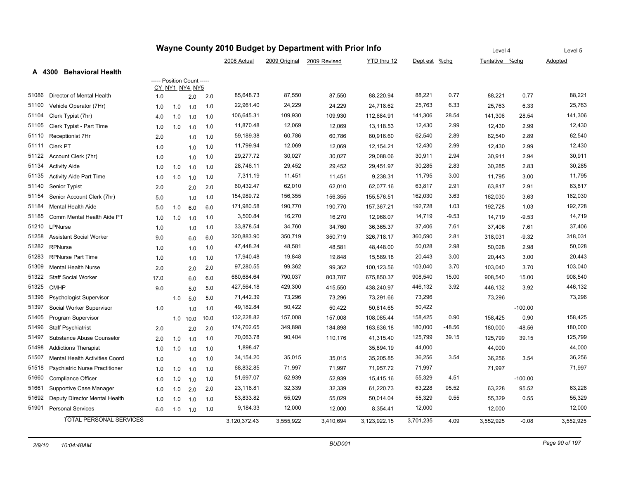|       |                                       | Wayne County 2010 Budget by Department with Prior Info |                |            |      |              |               |              |              | Level 4   | Level 5  |                |           |           |
|-------|---------------------------------------|--------------------------------------------------------|----------------|------------|------|--------------|---------------|--------------|--------------|-----------|----------|----------------|-----------|-----------|
|       |                                       |                                                        |                |            |      | 2008 Actual  | 2009 Original | 2009 Revised | YTD thru 12  | Dept est  | %chg     | Tentative %chg |           | Adopted   |
|       | <b>Behavioral Health</b><br>A 4300    |                                                        |                |            |      |              |               |              |              |           |          |                |           |           |
|       |                                       | ----- Position Count -----                             | CY NY1 NY4 NY5 |            |      |              |               |              |              |           |          |                |           |           |
| 51086 | Director of Mental Health             | 1.0                                                    |                | 2.0        | 2.0  | 85,648.73    | 87,550        | 87,550       | 88,220.94    | 88,221    | 0.77     | 88,221         | 0.77      | 88,221    |
| 51100 | Vehicle Operator (7Hr)                | 1.0                                                    | 1.0            | 1.0        | 1.0  | 22,961.40    | 24,229        | 24,229       | 24,718.62    | 25,763    | 6.33     | 25,763         | 6.33      | 25,763    |
| 51104 | Clerk Typist (7hr)                    | 4.0                                                    | 1.0            | 1.0        | 1.0  | 106,645.31   | 109,930       | 109,930      | 112,684.91   | 141,306   | 28.54    | 141,306        | 28.54     | 141,306   |
| 51105 | Clerk Typist - Part Time              | 1.0                                                    | 1.0            | 1.0        | 1.0  | 11,870.48    | 12,069        | 12,069       | 13,118.53    | 12,430    | 2.99     | 12,430         | 2.99      | 12,430    |
| 51110 | Receptionist 7Hr                      | 2.0                                                    |                | 1.0        | 1.0  | 59,189.38    | 60,786        | 60,786       | 60,916.60    | 62,540    | 2.89     | 62,540         | 2.89      | 62,540    |
| 51111 | Clerk PT                              | 1.0                                                    |                | 1.0        | 1.0  | 11,799.94    | 12,069        | 12,069       | 12,154.21    | 12,430    | 2.99     | 12,430         | 2.99      | 12,430    |
| 51122 | Account Clerk (7hr)                   | 1.0                                                    |                | 1.0        | 1.0  | 29,277.72    | 30,027        | 30,027       | 29,088.06    | 30,911    | 2.94     | 30,911         | 2.94      | 30,911    |
| 51134 | <b>Activity Aide</b>                  | 1.0                                                    | 1.0            | 1.0        | 1.0  | 28,746.11    | 29,452        | 29,452       | 29,451.97    | 30,285    | 2.83     | 30,285         | 2.83      | 30,285    |
| 51135 | <b>Activity Aide Part Time</b>        | 1.0                                                    | 1.0            | 1.0        | 1.0  | 7,311.19     | 11,451        | 11,451       | 9,238.31     | 11,795    | 3.00     | 11,795         | 3.00      | 11,795    |
| 51140 | Senior Typist                         | 2.0                                                    |                | 2.0        | 2.0  | 60,432.47    | 62,010        | 62,010       | 62,077.16    | 63,817    | 2.91     | 63,817         | 2.91      | 63,817    |
| 51154 | Senior Account Clerk (7hr)            | 5.0                                                    |                | 1.0        | 1.0  | 154,989.72   | 156,355       | 156,355      | 155,576.51   | 162,030   | 3.63     | 162,030        | 3.63      | 162,030   |
| 51184 | <b>Mental Health Aide</b>             | 5.0                                                    | 1.0            | 6.0        | 6.0  | 171,980.58   | 190,770       | 190,770      | 157,367.21   | 192,728   | 1.03     | 192,728        | 1.03      | 192,728   |
| 51185 | Comm Mental Health Aide PT            | 1.0                                                    | 1.0            | 1.0        | 1.0  | 3,500.84     | 16,270        | 16,270       | 12,968.07    | 14,719    | $-9.53$  | 14,719         | $-9.53$   | 14,719    |
| 51210 | LPNurse                               | 1.0                                                    |                | 1.0        | 1.0  | 33,878.54    | 34,760        | 34,760       | 36,365.37    | 37,406    | 7.61     | 37,406         | 7.61      | 37,406    |
| 51258 | <b>Assistant Social Worker</b>        | 9.0                                                    |                | 6.0        | 6.0  | 320,883.90   | 350,719       | 350,719      | 326,718.17   | 360,590   | 2.81     | 318,031        | $-9.32$   | 318,031   |
| 51282 | <b>RPNurse</b>                        | 1.0                                                    |                | 1.0        | 1.0  | 47,448.24    | 48,581        | 48,581       | 48,448.00    | 50,028    | 2.98     | 50,028         | 2.98      | 50,028    |
| 51283 | <b>RPNurse Part Time</b>              | 1.0                                                    |                | 1.0        | 1.0  | 17,940.48    | 19,848        | 19,848       | 15,589.18    | 20,443    | 3.00     | 20,443         | 3.00      | 20,443    |
| 51309 | <b>Mental Health Nurse</b>            | 2.0                                                    |                | 2.0        | 2.0  | 97,280.55    | 99,362        | 99,362       | 100,123.56   | 103,040   | 3.70     | 103,040        | 3.70      | 103,040   |
| 51322 | <b>Staff Social Worker</b>            | 17.0                                                   |                | 6.0        | 6.0  | 680,684.64   | 790,037       | 803,787      | 675,850.37   | 908,540   | 15.00    | 908,540        | 15.00     | 908,540   |
| 51325 | <b>CMHP</b>                           | 9.0                                                    |                | 5.0        | 5.0  | 427,564.18   | 429,300       | 415,550      | 438,240.97   | 446,132   | 3.92     | 446,132        | 3.92      | 446,132   |
| 51396 | Psychologist Supervisor               |                                                        | 1.0            | 5.0        | 5.0  | 71,442.39    | 73,296        | 73,296       | 73,291.66    | 73,296    |          | 73,296         |           | 73,296    |
| 51397 | Social Worker Supervisor              | 1.0                                                    |                | 1.0        | 1.0  | 49,182.84    | 50,422        | 50,422       | 50,614.65    | 50,422    |          |                | $-100.00$ |           |
| 51405 | Program Supervisor                    |                                                        |                | $1.0$ 10.0 | 10.0 | 132,228.82   | 157,008       | 157,008      | 108,085.44   | 158,425   | 0.90     | 158,425        | 0.90      | 158,425   |
| 51496 | <b>Staff Psychiatrist</b>             | 2.0                                                    |                | 2.0        | 2.0  | 174,702.65   | 349,898       | 184,898      | 163,636.18   | 180,000   | $-48.56$ | 180,000        | $-48.56$  | 180,000   |
| 51497 | Substance Abuse Counselor             | 2.0                                                    | 1.0            | 1.0        | 1.0  | 70,063.78    | 90,404        | 110,176      | 41,315.40    | 125,799   | 39.15    | 125,799        | 39.15     | 125,799   |
| 51498 | <b>Addictions Therapist</b>           | 1.0                                                    | 1.0            | 1.0        | 1.0  | 1,898.47     |               |              | 35,894.19    | 44,000    |          | 44,000         |           | 44,000    |
| 51507 | Mental Health Activities Coord        | 1.0                                                    |                | 1.0        | 1.0  | 34,154.20    | 35,015        | 35,015       | 35,205.85    | 36,256    | 3.54     | 36,256         | 3.54      | 36,256    |
| 51518 | <b>Psychiatric Nurse Practitioner</b> | 1.0                                                    | 1.0            | 1.0        | 1.0  | 68,832.85    | 71,997        | 71,997       | 71,957.72    | 71,997    |          | 71,997         |           | 71,997    |
| 51660 | Compliance Officer                    | 1.0                                                    | 1.0            | 1.0        | 1.0  | 51,697.07    | 52,939        | 52,939       | 15,415.16    | 55,329    | 4.51     |                | $-100.00$ |           |
| 51661 | Supportive Case Manager               | 1.0                                                    | 1.0            | 2.0        | 2.0  | 23,116.81    | 32,339        | 32,339       | 61,220.73    | 63,228    | 95.52    | 63,228         | 95.52     | 63,228    |
| 51692 | Deputy Director Mental Health         | 1.0                                                    | 1.0            | 1.0        | 1.0  | 53,833.82    | 55,029        | 55,029       | 50,014.04    | 55,329    | 0.55     | 55,329         | 0.55      | 55,329    |
| 51901 | <b>Personal Services</b>              | 6.0                                                    | 1.0            | 1.0        | 1.0  | 9,184.33     | 12,000        | 12,000       | 8,354.41     | 12,000    |          | 12,000         |           | 12,000    |
|       | <b>TOTAL PERSONAL SERVICES</b>        |                                                        |                |            |      | 3,120,372.43 | 3,555,922     | 3,410,694    | 3,123,922.15 | 3,701,235 | 4.09     | 3,552,925      | $-0.08$   | 3,552,925 |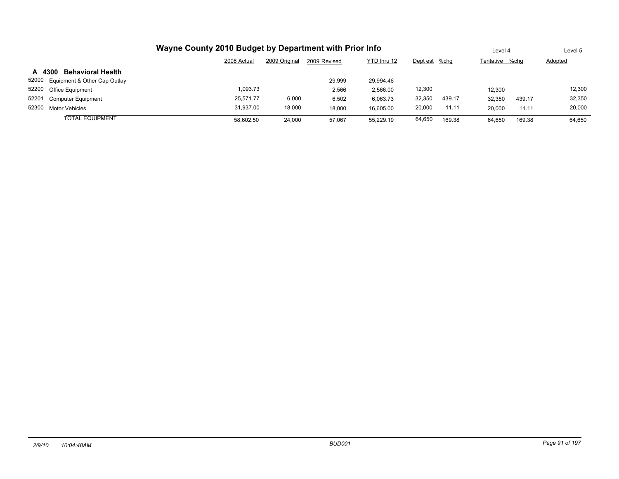|                                       |             | Level 4       |              | Level 5     |               |        |                |        |         |
|---------------------------------------|-------------|---------------|--------------|-------------|---------------|--------|----------------|--------|---------|
|                                       | 2008 Actual | 2009 Original | 2009 Revised | YTD thru 12 | Dept est %chg |        | Tentative %chq |        | Adopted |
| <b>Behavioral Health</b><br>A 4300    |             |               |              |             |               |        |                |        |         |
| 52000<br>Equipment & Other Cap Outlay |             |               | 29.999       | 29.994.46   |               |        |                |        |         |
| 52200<br><b>Office Equipment</b>      | 1,093.73    |               | 2,566        | 2,566.00    | 12,300        |        | 12.300         |        | 12,300  |
| 52201<br><b>Computer Equipment</b>    | 25.571.77   | 6,000         | 6,502        | 6.063.73    | 32,350        | 439.17 | 32,350         | 439.17 | 32,350  |
| 52300<br><b>Motor Vehicles</b>        | 31,937.00   | 18,000        | 18.000       | 16.605.00   | 20,000        | 11.11  | 20,000         | 11.11  | 20,000  |
| <b>TOTAL EQUIPMENT</b>                | 58,602.50   | 24,000        | 57.067       | 55.229.19   | 64,650        | 169.38 | 64.650         | 169.38 | 64.650  |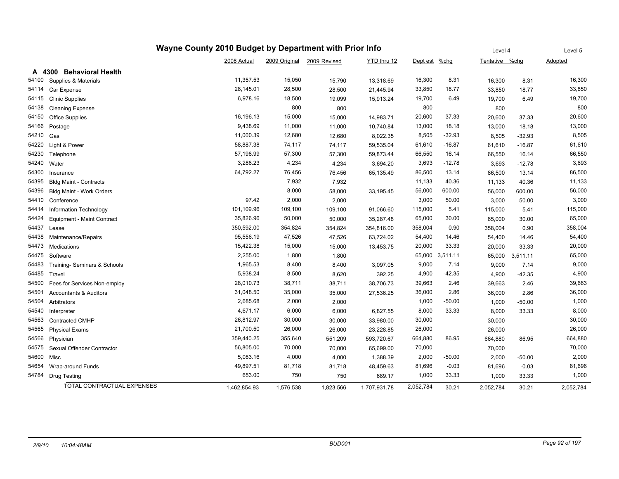|       |                                   |              | Level 4       | Level 5      |              |               |                 |                |          |           |
|-------|-----------------------------------|--------------|---------------|--------------|--------------|---------------|-----------------|----------------|----------|-----------|
|       |                                   | 2008 Actual  | 2009 Original | 2009 Revised | YTD thru 12  | Dept est %chg |                 | Tentative %chg |          | Adopted   |
|       | A 4300 Behavioral Health          |              |               |              |              |               |                 |                |          |           |
| 54100 | Supplies & Materials              | 11,357.53    | 15,050        | 15,790       | 13,318.69    | 16,300        | 8.31            | 16,300         | 8.31     | 16,300    |
| 54114 | Car Expense                       | 28,145.01    | 28,500        | 28,500       | 21,445.94    | 33,850        | 18.77           | 33,850         | 18.77    | 33,850    |
| 54115 | <b>Clinic Supplies</b>            | 6,978.16     | 18,500        | 19,099       | 15,913.24    | 19,700        | 6.49            | 19,700         | 6.49     | 19,700    |
| 54138 | <b>Cleaning Expense</b>           |              | 800           | 800          |              | 800           |                 | 800            |          | 800       |
| 54150 | <b>Office Supplies</b>            | 16,196.13    | 15,000        | 15,000       | 14,983.71    | 20,600        | 37.33           | 20,600         | 37.33    | 20,600    |
| 54166 | Postage                           | 9,438.69     | 11,000        | 11,000       | 10,740.84    | 13,000        | 18.18           | 13,000         | 18.18    | 13,000    |
| 54210 | Gas                               | 11,000.39    | 12,680        | 12,680       | 8,022.35     | 8,505         | $-32.93$        | 8,505          | $-32.93$ | 8,505     |
| 54220 | Light & Power                     | 58,887.38    | 74,117        | 74,117       | 59,535.04    | 61,610        | $-16.87$        | 61,610         | $-16.87$ | 61,610    |
| 54230 | Telephone                         | 57,198.99    | 57,300        | 57,300       | 59,873.44    | 66,550        | 16.14           | 66,550         | 16.14    | 66,550    |
| 54240 | Water                             | 3,288.23     | 4,234         | 4,234        | 3,694.20     | 3,693         | $-12.78$        | 3,693          | $-12.78$ | 3,693     |
| 54300 | Insurance                         | 64,792.27    | 76,456        | 76,456       | 65,135.49    | 86,500        | 13.14           | 86,500         | 13.14    | 86,500    |
| 54395 | <b>Bldg Maint - Contracts</b>     |              | 7,932         | 7,932        |              | 11,133        | 40.36           | 11,133         | 40.36    | 11,133    |
| 54396 | Bldg Maint - Work Orders          |              | 8,000         | 58,000       | 33,195.45    | 56,000        | 600.00          | 56,000         | 600.00   | 56,000    |
| 54410 | Conference                        | 97.42        | 2,000         | 2,000        |              | 3,000         | 50.00           | 3,000          | 50.00    | 3,000     |
| 54414 | Information Technology            | 101,109.96   | 109,100       | 109,100      | 91,066.60    | 115,000       | 5.41            | 115,000        | 5.41     | 115,000   |
| 54424 | Equipment - Maint Contract        | 35,826.96    | 50,000        | 50,000       | 35,287.48    | 65,000        | 30.00           | 65,000         | 30.00    | 65,000    |
| 54437 | Lease                             | 350,592.00   | 354,824       | 354,824      | 354,816.00   | 358,004       | 0.90            | 358,004        | 0.90     | 358,004   |
| 54438 | Maintenance/Repairs               | 95,556.19    | 47,526        | 47,526       | 63,724.02    | 54,400        | 14.46           | 54,400         | 14.46    | 54,400    |
| 54473 | Medications                       | 15,422.38    | 15,000        | 15,000       | 13,453.75    | 20,000        | 33.33           | 20,000         | 33.33    | 20,000    |
| 54475 | Software                          | 2,255.00     | 1,800         | 1,800        |              |               | 65,000 3,511.11 | 65,000         | 3,511.11 | 65,000    |
| 54483 | Training- Seminars & Schools      | 1,965.53     | 8,400         | 8,400        | 3,097.05     | 9,000         | 7.14            | 9,000          | 7.14     | 9,000     |
| 54485 | Travel                            | 5,938.24     | 8,500         | 8,620        | 392.25       | 4,900         | $-42.35$        | 4,900          | $-42.35$ | 4,900     |
| 54500 | Fees for Services Non-employ      | 28,010.73    | 38,711        | 38,711       | 38,706.73    | 39,663        | 2.46            | 39,663         | 2.46     | 39,663    |
| 54501 | <b>Accountants &amp; Auditors</b> | 31,048.50    | 35,000        | 35,000       | 27,536.25    | 36,000        | 2.86            | 36,000         | 2.86     | 36,000    |
| 54504 | Arbitrators                       | 2,685.68     | 2,000         | 2,000        |              | 1,000         | $-50.00$        | 1,000          | $-50.00$ | 1,000     |
| 54540 | Interpreter                       | 4,671.17     | 6,000         | 6,000        | 6,827.55     | 8,000         | 33.33           | 8,000          | 33.33    | 8,000     |
| 54563 | <b>Contracted CMHP</b>            | 26,812.97    | 30,000        | 30,000       | 33,980.00    | 30,000        |                 | 30,000         |          | 30,000    |
| 54565 | <b>Physical Exams</b>             | 21,700.50    | 26,000        | 26,000       | 23,228.85    | 26,000        |                 | 26,000         |          | 26,000    |
| 54566 | Physician                         | 359,440.25   | 355,640       | 551,209      | 593,720.67   | 664,880       | 86.95           | 664,880        | 86.95    | 664,880   |
| 54575 | Sexual Offender Contractor        | 56,805.00    | 70,000        | 70,000       | 65,699.00    | 70,000        |                 | 70,000         |          | 70,000    |
| 54600 | Misc                              | 5,083.16     | 4,000         | 4,000        | 1,388.39     | 2,000         | $-50.00$        | 2,000          | $-50.00$ | 2,000     |
| 54654 | Wrap-around Funds                 | 49,897.51    | 81,718        | 81,718       | 48,459.63    | 81,696        | $-0.03$         | 81,696         | $-0.03$  | 81,696    |
| 54784 | <b>Drug Testing</b>               | 653.00       | 750           | 750          | 689.17       | 1,000         | 33.33           | 1,000          | 33.33    | 1,000     |
|       | <b>TOTAL CONTRACTUAL EXPENSES</b> | 1,462,854.93 | 1,576,538     | 1,823,566    | 1,707,931.78 | 2,052,784     | 30.21           | 2,052,784      | 30.21    | 2,052,784 |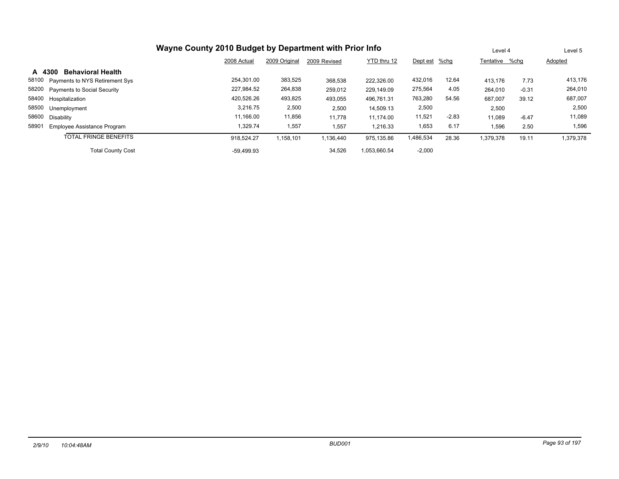| Wayne County 2010 Budget by Department with Prior Info |              |               |              |              |               |         |                | Level 4 | Level 5        |
|--------------------------------------------------------|--------------|---------------|--------------|--------------|---------------|---------|----------------|---------|----------------|
|                                                        | 2008 Actual  | 2009 Original | 2009 Revised | YTD thru 12  | Dept est %chg |         | Tentative %chg |         | <b>Adopted</b> |
| <b>Behavioral Health</b><br>A 4300                     |              |               |              |              |               |         |                |         |                |
| 58100<br>Payments to NYS Retirement Sys                | 254.301.00   | 383,525       | 368,538      | 222.326.00   | 432,016       | 12.64   | 413,176        | 7.73    | 413,176        |
| 58200 Payments to Social Security                      | 227,984.52   | 264,838       | 259,012      | 229,149.09   | 275,564       | 4.05    | 264,010        | $-0.31$ | 264,010        |
| 58400 Hospitalization                                  | 420,526.26   | 493,825       | 493,055      | 496,761.31   | 763,280       | 54.56   | 687,007        | 39.12   | 687,007        |
| 58500<br>Unemployment                                  | 3,216.75     | 2,500         | 2,500        | 14,509.13    | 2,500         |         | 2,500          |         | 2,500          |
| 58600<br>Disability                                    | 11.166.00    | 11,856        | 11.778       | 11.174.00    | 11,521        | $-2.83$ | 11.089         | $-6.47$ | 11,089         |
| 58901<br>Employee Assistance Program                   | 1,329.74     | 1,557         | 1,557        | 1.216.33     | 1,653         | 6.17    | 1,596          | 2.50    | 1,596          |
| <b>TOTAL FRINGE BENEFITS</b>                           | 918.524.27   | 1,158,101     | 1,136,440    | 975.135.86   | 1,486,534     | 28.36   | 1,379,378      | 19.11   | 1,379,378      |
| <b>Total County Cost</b>                               | $-59.499.93$ |               | 34,526       | 1.053.660.54 | $-2,000$      |         |                |         |                |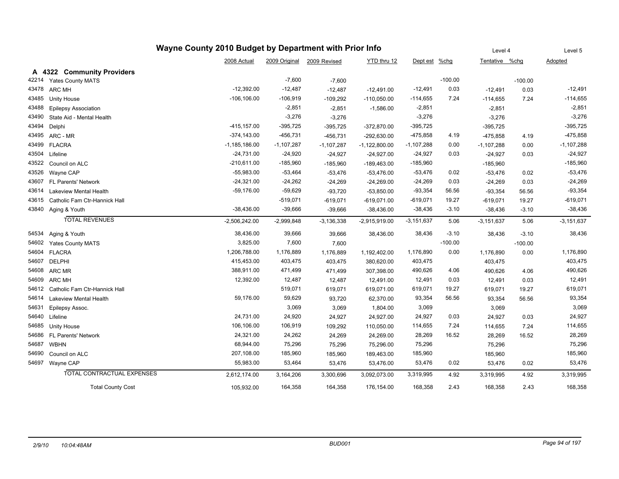| Wayne County 2010 Budget by Department with Prior Info |                                     |                   |               |              |                   |                |           |                | Level 4   | Level 5      |
|--------------------------------------------------------|-------------------------------------|-------------------|---------------|--------------|-------------------|----------------|-----------|----------------|-----------|--------------|
|                                                        |                                     | 2008 Actual       | 2009 Original | 2009 Revised | YTD thru 12       | Dept est       | $%$ chg   | Tentative %chg |           | Adopted      |
|                                                        | A 4322 Community Providers          |                   |               |              |                   |                |           |                |           |              |
| 42214                                                  | Yates County MATS                   |                   | $-7,600$      | $-7,600$     |                   |                | $-100.00$ |                | $-100.00$ |              |
| 43478                                                  | <b>ARC MH</b>                       | $-12,392.00$      | $-12,487$     | $-12,487$    | $-12,491.00$      | $-12,491$      | 0.03      | $-12,491$      | 0.03      | $-12,491$    |
| 43485                                                  | <b>Unity House</b>                  | $-106, 106.00$    | $-106,919$    | $-109,292$   | $-110,050.00$     | -114,655       | 7.24      | $-114,655$     | 7.24      | $-114,655$   |
| 43488                                                  | <b>Epilepsy Association</b>         |                   | $-2,851$      | $-2,851$     | $-1,586.00$       | $-2,851$       |           | $-2,851$       |           | $-2,851$     |
| 43490                                                  | State Aid - Mental Health           |                   | $-3,276$      | $-3,276$     |                   | $-3,276$       |           | $-3,276$       |           | $-3,276$     |
| 43494                                                  | Delphi                              | $-415, 157.00$    | $-395,725$    | $-395,725$   | $-372,870.00$     | $-395,725$     |           | $-395,725$     |           | $-395,725$   |
| 43495                                                  | ARC - MR                            | $-374, 143.00$    | $-456,731$    | $-456,731$   | $-292,630.00$     | $-475,858$     | 4.19      | $-475,858$     | 4.19      | $-475,858$   |
| 43499                                                  | <b>FLACRA</b>                       | $-1, 185, 186.00$ | $-1,107,287$  | $-1,107,287$ | $-1, 122, 800.00$ | $-1,107,288$   | 0.00      | $-1,107,288$   | 0.00      | $-1,107,288$ |
| 43504                                                  | Lifeline                            | $-24,731.00$      | $-24,920$     | $-24,927$    | $-24,927.00$      | $-24,927$      | 0.03      | $-24,927$      | 0.03      | $-24,927$    |
| 43522                                                  | Council on ALC                      | $-210,611.00$     | $-185,960$    | $-185,960$   | $-189,463.00$     | -185,960       |           | $-185,960$     |           | $-185,960$   |
| 43526                                                  | Wayne CAP                           | $-55,983.00$      | $-53,464$     | $-53,476$    | $-53,476.00$      | $-53,476$      | 0.02      | $-53,476$      | 0.02      | $-53,476$    |
| 43607                                                  | FL Parents' Network                 | $-24,321.00$      | $-24,262$     | $-24,269$    | $-24,269.00$      | $-24,269$      | 0.03      | $-24,269$      | 0.03      | $-24,269$    |
| 43614                                                  | <b>Lakeview Mental Health</b>       | $-59,176.00$      | $-59,629$     | $-93,720$    | $-53,850.00$      | $-93,354$      | 56.56     | $-93,354$      | 56.56     | $-93,354$    |
| 43615                                                  | Catholic Fam Ctr-Hannick Hall       |                   | $-519,071$    | $-619,071$   | $-619,071.00$     | -619,071       | 19.27     | -619,071       | 19.27     | $-619,071$   |
| 43840                                                  | Aging & Youth                       | $-38,436.00$      | $-39,666$     | $-39,666$    | $-38,436.00$      | $-38,436$      | $-3.10$   | $-38,436$      | $-3.10$   | $-38,436$    |
|                                                        | <b>TOTAL REVENUES</b>               | $-2,506,242.00$   | $-2,999,848$  | $-3,136,338$ | $-2,915,919.00$   | $-3, 151, 637$ | 5.06      | $-3,151,637$   | 5.06      | $-3,151,637$ |
| 54534                                                  | Aging & Youth                       | 38,436.00         | 39,666        | 39,666       | 38,436.00         | 38,436         | $-3.10$   | 38,436         | $-3.10$   | 38,436       |
| 54602                                                  | <b>Yates County MATS</b>            | 3,825.00          | 7,600         | 7,600        |                   |                | $-100.00$ |                | $-100.00$ |              |
|                                                        | 54604 FLACRA                        | 1,206,788.00      | 1,176,889     | 1,176,889    | 1,192,402.00      | 1,176,890      | 0.00      | 1,176,890      | 0.00      | 1,176,890    |
| 54607                                                  | <b>DELPHI</b>                       | 415,453.00        | 403,475       | 403,475      | 380,620.00        | 403,475        |           | 403,475        |           | 403,475      |
| 54608                                                  | ARC MR                              | 388,911.00        | 471,499       | 471,499      | 307,398.00        | 490,626        | 4.06      | 490,626        | 4.06      | 490,626      |
| 54609                                                  | <b>ARC MH</b>                       | 12,392.00         | 12,487        | 12,487       | 12,491.00         | 12,491         | 0.03      | 12,491         | 0.03      | 12,491       |
|                                                        | 54612 Catholic Fam Ctr-Hannick Hall |                   | 519,071       | 619,071      | 619,071.00        | 619,071        | 19.27     | 619,071        | 19.27     | 619,071      |
| 54614                                                  | <b>Lakeview Mental Health</b>       | 59,176.00         | 59,629        | 93,720       | 62,370.00         | 93,354         | 56.56     | 93,354         | 56.56     | 93,354       |
| 54631                                                  | Epilepsy Assoc.                     |                   | 3,069         | 3,069        | 1,804.00          | 3,069          |           | 3,069          |           | 3,069        |
| 54640                                                  | Lifeline                            | 24,731.00         | 24,920        | 24,927       | 24,927.00         | 24,927         | 0.03      | 24,927         | 0.03      | 24,927       |
| 54685                                                  | Unity House                         | 106,106.00        | 106,919       | 109,292      | 110,050.00        | 114,655        | 7.24      | 114,655        | 7.24      | 114,655      |
| 54686                                                  | FL Parents' Network                 | 24,321.00         | 24,262        | 24,269       | 24,269.00         | 28,269         | 16.52     | 28,269         | 16.52     | 28,269       |
| 54687                                                  | <b>WBHN</b>                         | 68,944.00         | 75,296        | 75,296       | 75,296.00         | 75,296         |           | 75,296         |           | 75,296       |
| 54690                                                  | Council on ALC                      | 207,108.00        | 185,960       | 185,960      | 189,463.00        | 185,960        |           | 185,960        |           | 185,960      |
|                                                        | 54697 Wayne CAP                     | 55,983.00         | 53,464        | 53,476       | 53,476.00         | 53,476         | 0.02      | 53,476         | 0.02      | 53,476       |
|                                                        | <b>TOTAL CONTRACTUAL EXPENSES</b>   | 2,612,174.00      | 3,164,206     | 3,300,696    | 3,092,073.00      | 3,319,995      | 4.92      | 3,319,995      | 4.92      | 3,319,995    |
|                                                        | <b>Total County Cost</b>            | 105,932.00        | 164,358       | 164,358      | 176,154.00        | 168,358        | 2.43      | 168,358        | 2.43      | 168,358      |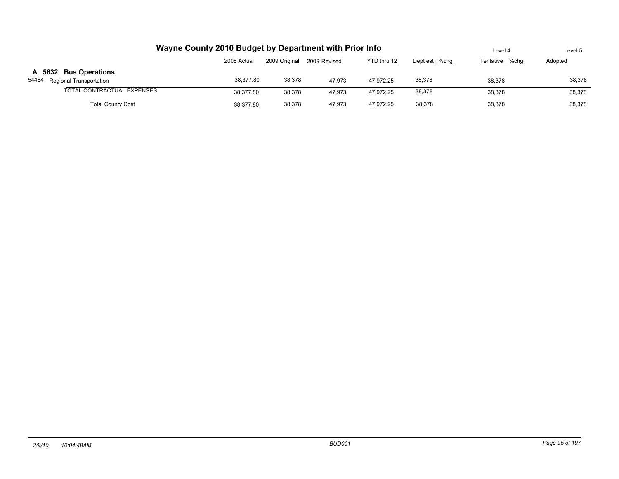| Wayne County 2010 Budget by Department with Prior Info | Level 4                                                                      | Level 5 |        |           |        |        |        |  |  |  |  |
|--------------------------------------------------------|------------------------------------------------------------------------------|---------|--------|-----------|--------|--------|--------|--|--|--|--|
|                                                        | 2009 Original<br>YTD thru 12<br>2008 Actual<br>Dept est %chg<br>2009 Revised |         |        |           |        |        |        |  |  |  |  |
| A 5632 Bus Operations<br>54464 Regional Transportation | 38.377.80                                                                    | 38,378  | 47.973 | 47.972.25 | 38,378 | 38.378 | 38,378 |  |  |  |  |
| TOTAL CONTRACTUAL EXPENSES                             | 38.377.80                                                                    | 38,378  | 47.973 | 47.972.25 | 38,378 | 38.378 | 38,378 |  |  |  |  |
| <b>Total County Cost</b>                               | 38.377.80                                                                    | 38,378  | 47.973 | 47.972.25 | 38.378 | 38.378 | 38,378 |  |  |  |  |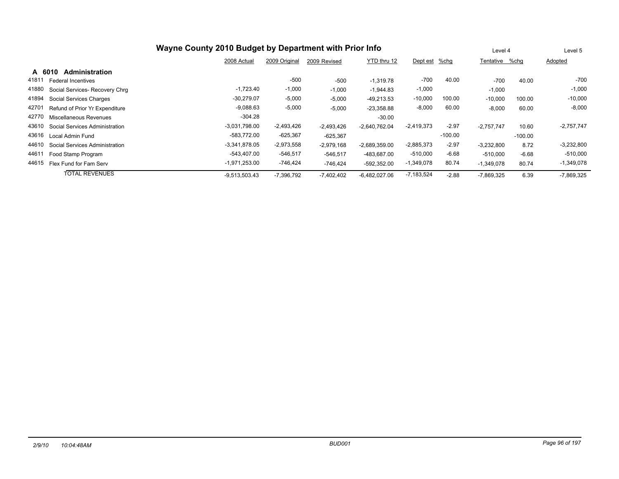|                                         |                 | Level 4       |              | Level 5         |              |           |                |           |              |
|-----------------------------------------|-----------------|---------------|--------------|-----------------|--------------|-----------|----------------|-----------|--------------|
|                                         | 2008 Actual     | 2009 Original | 2009 Revised | YTD thru 12     | Dept est     | %chg      | Tentative %chq |           | Adopted      |
| Administration<br>A 6010                |                 |               |              |                 |              |           |                |           |              |
| 41811<br><b>Federal Incentives</b>      |                 | $-500$        | $-500$       | $-1,319.78$     | $-700$       | 40.00     | $-700$         | 40.00     | -700         |
| 41880<br>Social Services- Recovery Chrq | $-1,723.40$     | $-1,000$      | $-1,000$     | $-1,944.83$     | $-1,000$     |           | $-1,000$       |           | $-1,000$     |
| 41894<br>Social Services Charges        | $-30,279.07$    | $-5,000$      | $-5,000$     | $-49.213.53$    | $-10,000$    | 100.00    | $-10,000$      | 100.00    | $-10,000$    |
| 42701<br>Refund of Prior Yr Expenditure | $-9,088.63$     | $-5,000$      | $-5,000$     | $-23,358.88$    | $-8,000$     | 60.00     | $-8,000$       | 60.00     | $-8,000$     |
| 42770<br>Miscellaneous Revenues         | $-304.28$       |               |              | $-30.00$        |              |           |                |           |              |
| 43610<br>Social Services Administration | $-3,031,798.00$ | $-2,493,426$  | $-2,493,426$ | $-2,640,762.04$ | $-2,419,373$ | $-2.97$   | $-2.757.747$   | 10.60     | $-2,757,747$ |
| 43616<br>Local Admin Fund               | -583.772.00     | $-625,367$    | $-625.367$   |                 |              | $-100.00$ |                | $-100.00$ |              |
| 44610<br>Social Services Administration | $-3,341,878.05$ | $-2,973,558$  | $-2,979,168$ | $-2,689,359.00$ | $-2,885,373$ | $-2.97$   | $-3,232,800$   | 8.72      | $-3,232,800$ |
| 44611<br>Food Stamp Program             | -543,407.00     | $-546,517$    | $-546.517$   | -483.687.00     | $-510,000$   | $-6.68$   | $-510.000$     | $-6.68$   | $-510,000$   |
| 44615<br>Flex Fund for Fam Serv         | $-1,971,253.00$ | -746,424      | $-746,424$   | -592,352.00     | $-1,349,078$ | 80.74     | $-1,349,078$   | 80.74     | $-1,349,078$ |
| <b>TOTAL REVENUES</b>                   | $-9,513,503.43$ | $-7,396,792$  | $-7,402,402$ | $-6,482,027.06$ | $-7,183,524$ | $-2.88$   | $-7,869,325$   | 6.39      | $-7,869,325$ |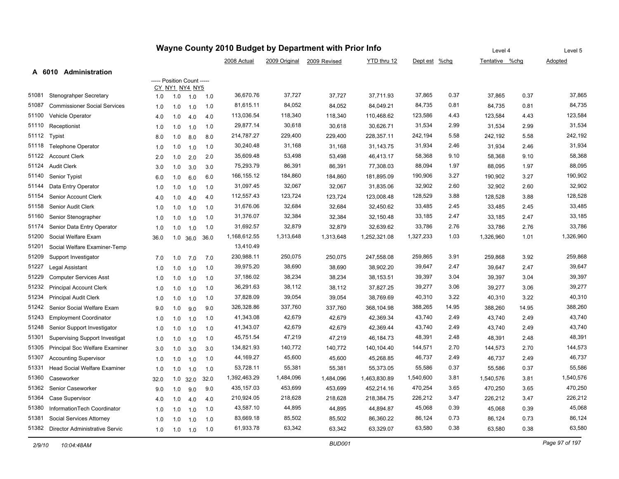|       |                                       | Wayne County 2010 Budget by Department with Prior Info |     |                                              |      |              |               | Level 4      |              | Level 5       |       |                |       |           |
|-------|---------------------------------------|--------------------------------------------------------|-----|----------------------------------------------|------|--------------|---------------|--------------|--------------|---------------|-------|----------------|-------|-----------|
|       |                                       |                                                        |     |                                              |      | 2008 Actual  | 2009 Original | 2009 Revised | YTD thru 12  | Dept est %chg |       | Tentative %chg |       | Adopted   |
|       | A 6010 Administration                 |                                                        |     |                                              |      |              |               |              |              |               |       |                |       |           |
|       |                                       |                                                        |     | ----- Position Count -----<br>CY NY1 NY4 NY5 |      |              |               |              |              |               |       |                |       |           |
| 51081 | Stenograhper Secretary                | 1.0                                                    | 1.0 | 1.0                                          | 1.0  | 36,670.76    | 37,727        | 37,727       | 37,711.93    | 37,865        | 0.37  | 37,865         | 0.37  | 37,865    |
| 51087 | <b>Commissioner Social Services</b>   | 1.0                                                    | 1.0 | 1.0                                          | 1.0  | 81,615.11    | 84,052        | 84,052       | 84,049.21    | 84,735        | 0.81  | 84,735         | 0.81  | 84,735    |
| 51100 | Vehicle Operator                      | 4.0                                                    | 1.0 | 4.0                                          | 4.0  | 113,036.54   | 118,340       | 118,340      | 110,468.62   | 123,586       | 4.43  | 123,584        | 4.43  | 123,584   |
| 51110 | Receptionist                          | 1.0                                                    | 1.0 | 1.0                                          | 1.0  | 29,877.14    | 30,618        | 30,618       | 30,626.71    | 31,534        | 2.99  | 31,534         | 2.99  | 31,534    |
| 51112 | Typist                                | 8.0                                                    | 1.0 | 8.0                                          | 8.0  | 214,787.27   | 229,400       | 229,400      | 228,357.11   | 242,194       | 5.58  | 242,192        | 5.58  | 242,192   |
| 51118 | <b>Telephone Operator</b>             | 1.0                                                    | 1.0 | 1.0                                          | 1.0  | 30,240.48    | 31,168        | 31,168       | 31,143.75    | 31,934        | 2.46  | 31,934         | 2.46  | 31,934    |
| 51122 | <b>Account Clerk</b>                  | 2.0                                                    | 1.0 | 2.0                                          | 2.0  | 35,609.48    | 53,498        | 53,498       | 46,413.17    | 58,368        | 9.10  | 58,368         | 9.10  | 58,368    |
| 51124 | <b>Audit Clerk</b>                    | 3.0                                                    | 1.0 | 3.0                                          | 3.0  | 75,293.79    | 86,391        | 86,391       | 77,308.03    | 88,094        | 1.97  | 88,095         | 1.97  | 88,095    |
| 51140 | Senior Typist                         | 6.0                                                    | 1.0 | 6.0                                          | 6.0  | 166, 155. 12 | 184,860       | 184,860      | 181,895.09   | 190,906       | 3.27  | 190,902        | 3.27  | 190,902   |
| 51144 | Data Entry Operator                   | 1.0                                                    | 1.0 | 1.0                                          | 1.0  | 31,097.45    | 32,067        | 32,067       | 31,835.06    | 32,902        | 2.60  | 32,902         | 2.60  | 32,902    |
| 51154 | Senior Account Clerk                  | 4.0                                                    | 1.0 | 4.0                                          | 4.0  | 112,557.43   | 123,724       | 123,724      | 123,008.48   | 128,529       | 3.88  | 128,528        | 3.88  | 128,528   |
| 51158 | Senior Audit Clerk                    | 1.0                                                    | 1.0 | 1.0                                          | 1.0  | 31,676.06    | 32,684        | 32,684       | 32,450.62    | 33,485        | 2.45  | 33,485         | 2.45  | 33,485    |
| 51160 | Senior Stenographer                   | 1.0                                                    | 1.0 | 1.0                                          | 1.0  | 31,376.07    | 32,384        | 32,384       | 32,150.48    | 33,185        | 2.47  | 33,185         | 2.47  | 33,185    |
| 51174 | Senior Data Entry Operator            | 1.0                                                    | 1.0 | 1.0                                          | 1.0  | 31,692.57    | 32,879        | 32,879       | 32,639.62    | 33,786        | 2.76  | 33,786         | 2.76  | 33,786    |
| 51200 | Social Welfare Exam                   | 36.0                                                   |     | $1.0$ 36.0                                   | 36.0 | 1,168,612.55 | 1,313,648     | 1,313,648    | 1,252,321.08 | 1,327,233     | 1.03  | 1,326,960      | 1.01  | 1,326,960 |
| 51201 | Social Welfare Examiner-Temp          |                                                        |     |                                              |      | 13,410.49    |               |              |              |               |       |                |       |           |
| 51209 | Support Investigator                  | 7.0                                                    | 1.0 | 7.0                                          | 7.0  | 230,988.11   | 250,075       | 250,075      | 247,558.08   | 259,865       | 3.91  | 259,868        | 3.92  | 259,868   |
| 51227 | Legal Assistant                       | 1.0                                                    | 1.0 | 1.0                                          | 1.0  | 39,975.20    | 38,690        | 38,690       | 38,902.20    | 39,647        | 2.47  | 39,647         | 2.47  | 39,647    |
| 51229 | <b>Computer Services Asst</b>         | 1.0                                                    | 1.0 | 1.0                                          | 1.0  | 37,186.02    | 38,234        | 38,234       | 38,153.51    | 39,397        | 3.04  | 39,397         | 3.04  | 39,397    |
| 51232 | <b>Principal Account Clerk</b>        | 1.0                                                    | 1.0 | 1.0                                          | 1.0  | 36,291.63    | 38,112        | 38,112       | 37,827.25    | 39,277        | 3.06  | 39,277         | 3.06  | 39,277    |
| 51234 | <b>Principal Audit Clerk</b>          | 1.0                                                    | 1.0 | 1.0                                          | 1.0  | 37,828.09    | 39,054        | 39,054       | 38,769.69    | 40,310        | 3.22  | 40,310         | 3.22  | 40,310    |
| 51242 | Senior Social Welfare Exam            | 9.0                                                    | 1.0 | 9.0                                          | 9.0  | 326,328.86   | 337,760       | 337,760      | 368,104.98   | 388,265       | 14.95 | 388,260        | 14.95 | 388,260   |
| 51243 | <b>Employment Coordinator</b>         | 1.0                                                    | 1.0 | 1.0                                          | 1.0  | 41,343.08    | 42,679        | 42,679       | 42,369.34    | 43,740        | 2.49  | 43,740         | 2.49  | 43,740    |
| 51248 | Senior Support Investigator           | 1.0                                                    | 1.0 | 1.0                                          | 1.0  | 41,343.07    | 42,679        | 42,679       | 42,369.44    | 43,740        | 2.49  | 43,740         | 2.49  | 43,740    |
| 51301 | <b>Supervising Support Investigat</b> | 1.0                                                    | 1.0 | 1.0                                          | 1.0  | 45,751.54    | 47,219        | 47,219       | 46,184.73    | 48,391        | 2.48  | 48,391         | 2.48  | 48,391    |
| 51305 | Principal Soc Welfare Examiner        | 3.0                                                    | 1.0 | 3.0                                          | 3.0  | 134,821.93   | 140,772       | 140,772      | 140,104.40   | 144,571       | 2.70  | 144,573        | 2.70  | 144,573   |
| 51307 | <b>Accounting Supervisor</b>          | 1.0                                                    | 1.0 | 1.0                                          | 1.0  | 44,169.27    | 45,600        | 45,600       | 45,268.85    | 46,737        | 2.49  | 46,737         | 2.49  | 46,737    |
| 51331 | Head Social Welfare Examiner          | 1.0                                                    | 1.0 | 1.0                                          | 1.0  | 53,728.11    | 55,381        | 55,381       | 55,373.05    | 55,586        | 0.37  | 55,586         | 0.37  | 55,586    |
| 51360 | Caseworker                            | 32.0                                                   | 1.0 | 32.0                                         | 32.0 | 1,392,463.29 | 1,484,096     | 1,484,096    | 1,463,830.89 | 1,540,600     | 3.81  | 1,540,576      | 3.81  | 1,540,576 |
| 51362 | Senior Caseworker                     | 9.0                                                    | 1.0 | 9.0                                          | 9.0  | 435,157.03   | 453,699       | 453,699      | 452,214.16   | 470,254       | 3.65  | 470,250        | 3.65  | 470,250   |
| 51364 | Case Supervisor                       | 4.0                                                    | 1.0 | 4.0                                          | 4.0  | 210,924.05   | 218,628       | 218,628      | 218,384.75   | 226,212       | 3.47  | 226,212        | 3.47  | 226,212   |
| 51380 | InformationTech Coordinator           | 1.0                                                    | 1.0 | 1.0                                          | 1.0  | 43,587.10    | 44,895        | 44,895       | 44,894.87    | 45,068        | 0.39  | 45,068         | 0.39  | 45,068    |
| 51381 | Social Services Attorney              | 1.0                                                    | 1.0 | 1.0                                          | 1.0  | 83,669.18    | 85,502        | 85,502       | 86,360.22    | 86,124        | 0.73  | 86,124         | 0.73  | 86,124    |
| 51382 | Director Administrative Servic        | 1.0                                                    | 1.0 | 1.0                                          | 1.0  | 61,933.78    | 63,342        | 63,342       | 63,329.07    | 63,580        | 0.38  | 63,580         | 0.38  | 63,580    |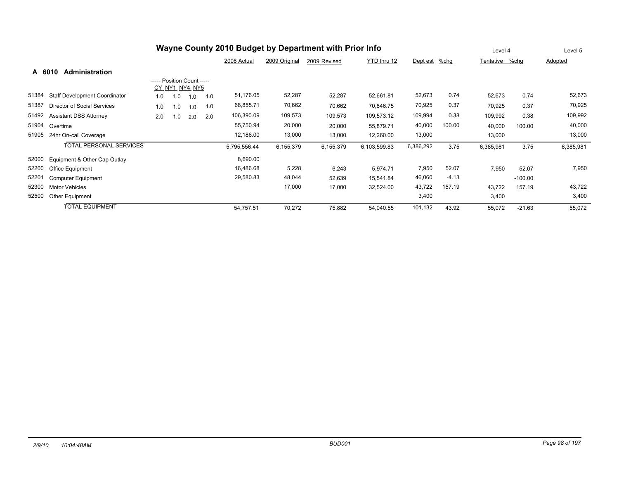| Wayne County 2010 Budget by Department with Prior Info |                                      |                            |                |     |     |              |               |              | Level 4      |           | Level 5 |                |           |           |
|--------------------------------------------------------|--------------------------------------|----------------------------|----------------|-----|-----|--------------|---------------|--------------|--------------|-----------|---------|----------------|-----------|-----------|
|                                                        |                                      |                            |                |     |     | 2008 Actual  | 2009 Original | 2009 Revised | YTD thru 12  | Dept est  | %chg    | Tentative %chg |           | Adopted   |
| A 6010                                                 | Administration                       |                            |                |     |     |              |               |              |              |           |         |                |           |           |
|                                                        |                                      | ----- Position Count ----- |                |     |     |              |               |              |              |           |         |                |           |           |
|                                                        |                                      |                            | CY NY1 NY4 NY5 |     |     |              |               |              |              |           |         |                |           |           |
| 51384                                                  | <b>Staff Development Coordinator</b> | 1.0                        | 1.0            | 1.0 | 1.0 | 51,176.05    | 52,287        | 52,287       | 52,661.81    | 52,673    | 0.74    | 52,673         | 0.74      | 52,673    |
| 51387                                                  | Director of Social Services          | 1.0                        | 1.0            | 1.0 | 1.0 | 68,855.71    | 70,662        | 70,662       | 70,846.75    | 70,925    | 0.37    | 70,925         | 0.37      | 70,925    |
| 51492                                                  | <b>Assistant DSS Attorney</b>        | 2.0                        | 1.0            | 2.0 | 2.0 | 106,390.09   | 109,573       | 109,573      | 109,573.12   | 109,994   | 0.38    | 109,992        | 0.38      | 109,992   |
| 51904                                                  | Overtime                             |                            |                |     |     | 55,750.94    | 20,000        | 20,000       | 55,879.71    | 40,000    | 100.00  | 40,000         | 100.00    | 40,000    |
| 51905                                                  | 24hr On-call Coverage                |                            |                |     |     | 12,186.00    | 13,000        | 13,000       | 12,260.00    | 13,000    |         | 13,000         |           | 13,000    |
|                                                        | <b>TOTAL PERSONAL SERVICES</b>       |                            |                |     |     | 5,795,556.44 | 6,155,379     | 6,155,379    | 6,103,599.83 | 6,386,292 | 3.75    | 6,385,981      | 3.75      | 6,385,981 |
| 52000                                                  | Equipment & Other Cap Outlay         |                            |                |     |     | 8,690.00     |               |              |              |           |         |                |           |           |
| 52200                                                  | Office Equipment                     |                            |                |     |     | 16,486.68    | 5,228         | 6,243        | 5,974.71     | 7,950     | 52.07   | 7,950          | 52.07     | 7,950     |
| 52201                                                  | <b>Computer Equipment</b>            |                            |                |     |     | 29,580.83    | 48,044        | 52,639       | 15,541.84    | 46,060    | $-4.13$ |                | $-100.00$ |           |
| 52300                                                  | <b>Motor Vehicles</b>                |                            |                |     |     |              | 17,000        | 17,000       | 32,524.00    | 43,722    | 157.19  | 43,722         | 157.19    | 43,722    |
| 52500                                                  | Other Equipment                      |                            |                |     |     |              |               |              |              | 3,400     |         | 3,400          |           | 3,400     |
|                                                        | <b>TOTAL EQUIPMENT</b>               |                            |                |     |     | 54,757.51    | 70,272        | 75,882       | 54,040.55    | 101,132   | 43.92   | 55,072         | $-21.63$  | 55,072    |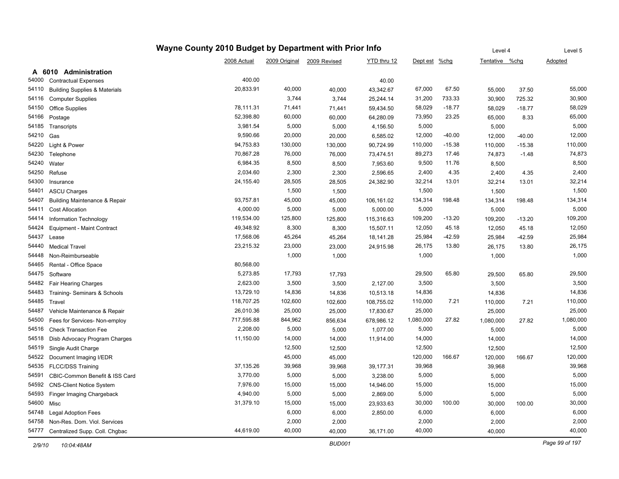|       |                                          | Wayne County 2010 Budget by Department with Prior Info |         |                            |             |               |          | Level 4        |          | Level 5        |
|-------|------------------------------------------|--------------------------------------------------------|---------|----------------------------|-------------|---------------|----------|----------------|----------|----------------|
|       |                                          | 2008 Actual                                            |         | 2009 Original 2009 Revised | YTD thru 12 | Dept est %chg |          | Tentative %chg |          | <b>Adopted</b> |
|       | A 6010 Administration                    |                                                        |         |                            |             |               |          |                |          |                |
| 54000 | <b>Contractual Expenses</b>              | 400.00                                                 |         |                            | 40.00       |               |          |                |          |                |
| 54110 | <b>Building Supplies &amp; Materials</b> | 20,833.91                                              | 40,000  | 40,000                     | 43,342.67   | 67,000        | 67.50    | 55,000         | 37.50    | 55,000         |
| 54116 | <b>Computer Supplies</b>                 |                                                        | 3,744   | 3,744                      | 25,244.14   | 31,200        | 733.33   | 30,900         | 725.32   | 30,900         |
| 54150 | <b>Office Supplies</b>                   | 78,111.31                                              | 71,441  | 71,441                     | 59,434.50   | 58,029        | $-18.77$ | 58,029         | $-18.77$ | 58,029         |
| 54166 | Postage                                  | 52,398.80                                              | 60,000  | 60,000                     | 64,280.09   | 73,950        | 23.25    | 65,000         | 8.33     | 65,000         |
| 54185 | Transcripts                              | 3,981.54                                               | 5,000   | 5,000                      | 4,156.50    | 5,000         |          | 5,000          |          | 5,000          |
| 54210 | Gas                                      | 9,590.66                                               | 20,000  | 20,000                     | 6,585.02    | 12,000        | $-40.00$ | 12,000         | $-40.00$ | 12,000         |
| 54220 | Light & Power                            | 94,753.83                                              | 130,000 | 130,000                    | 90,724.99   | 110,000       | $-15.38$ | 110,000        | $-15.38$ | 110,000        |
| 54230 | Telephone                                | 70,867.28                                              | 76,000  | 76,000                     | 73,474.51   | 89,273        | 17.46    | 74,873         | $-1.48$  | 74,873         |
| 54240 | Water                                    | 6,984.35                                               | 8,500   | 8,500                      | 7,953.60    | 9,500         | 11.76    | 8,500          |          | 8,500          |
| 54250 | Refuse                                   | 2,034.60                                               | 2,300   | 2,300                      | 2,596.65    | 2,400         | 4.35     | 2,400          | 4.35     | 2,400          |
| 54300 | Insurance                                | 24,155.40                                              | 28,505  | 28,505                     | 24,382.90   | 32,214        | 13.01    | 32,214         | 13.01    | 32,214         |
| 54401 | <b>ASCU Charges</b>                      |                                                        | 1,500   | 1,500                      |             | 1,500         |          | 1,500          |          | 1,500          |
| 54407 | <b>Building Maintenance &amp; Repair</b> | 93,757.81                                              | 45,000  | 45,000                     | 106,161.02  | 134,314       | 198.48   | 134,314        | 198.48   | 134,314        |
| 54411 | <b>Cost Allocation</b>                   | 4,000.00                                               | 5,000   | 5,000                      | 5,000.00    | 5,000         |          | 5,000          |          | 5,000          |
| 54414 | Information Technology                   | 119,534.00                                             | 125,800 | 125,800                    | 115,316.63  | 109,200       | $-13.20$ | 109,200        | $-13.20$ | 109,200        |
| 54424 | Equipment - Maint Contract               | 49,348.92                                              | 8,300   | 8,300                      | 15,507.11   | 12,050        | 45.18    | 12,050         | 45.18    | 12,050         |
| 54437 | Lease                                    | 17,568.06                                              | 45,264  | 45,264                     | 18,141.28   | 25,984        | $-42.59$ | 25,984         | $-42.59$ | 25,984         |
| 54440 | <b>Medical Travel</b>                    | 23,215.32                                              | 23,000  | 23,000                     | 24,915.98   | 26,175        | 13.80    | 26,175         | 13.80    | 26,175         |
| 54448 | Non-Reimburseable                        |                                                        | 1,000   | 1,000                      |             | 1,000         |          | 1,000          |          | 1,000          |
| 54465 | Rental - Office Space                    | 80,568.00                                              |         |                            |             |               |          |                |          |                |
| 54475 | Software                                 | 5,273.85                                               | 17,793  | 17,793                     |             | 29,500        | 65.80    | 29,500         | 65.80    | 29,500         |
| 54482 | Fair Hearing Charges                     | 2,623.00                                               | 3,500   | 3,500                      | 2,127.00    | 3,500         |          | 3,500          |          | 3,500          |
| 54483 | Training- Seminars & Schools             | 13,729.10                                              | 14,836  | 14,836                     | 10,513.18   | 14,836        |          | 14,836         |          | 14,836         |
| 54485 | Travel                                   | 118,707.25                                             | 102,600 | 102,600                    | 108,755.02  | 110,000       | 7.21     | 110,000        | 7.21     | 110,000        |
| 54487 | Vehicle Maintenance & Repair             | 26,010.36                                              | 25,000  | 25,000                     | 17,830.67   | 25,000        |          | 25,000         |          | 25,000         |
| 54500 | Fees for Services- Non-employ            | 717,595.88                                             | 844,962 | 856,634                    | 678,986.12  | 1,080,000     | 27.82    | 1,080,000      | 27.82    | 1,080,000      |
| 54516 | <b>Check Transaction Fee</b>             | 2,208.00                                               | 5,000   | 5,000                      | 1,077.00    | 5,000         |          | 5,000          |          | 5,000          |
| 54518 | Disb Advocacy Program Charges            | 11,150.00                                              | 14,000  | 14,000                     | 11,914.00   | 14,000        |          | 14,000         |          | 14,000         |
| 54519 | Single Audit Charge                      |                                                        | 12,500  | 12,500                     |             | 12,500        |          | 12,500         |          | 12,500         |
| 54522 | Document Imaging I/EDR                   |                                                        | 45,000  | 45,000                     |             | 120,000       | 166.67   | 120,000        | 166.67   | 120,000        |
| 54535 | <b>FLCC/DSS Training</b>                 | 37,135.26                                              | 39,968  | 39,968                     | 39,177.31   | 39,968        |          | 39,968         |          | 39,968         |
| 54591 | CBIC-Common Benefit & ISS Card           | 3,770.00                                               | 5,000   | 5,000                      | 3,238.00    | 5,000         |          | 5,000          |          | 5,000          |
| 54592 | <b>CNS-Client Notice System</b>          | 7,976.00                                               | 15,000  | 15,000                     | 14,946.00   | 15,000        |          | 15,000         |          | 15,000         |
| 54593 | Finger Imaging Chargeback                | 4,940.00                                               | 5,000   | 5,000                      | 2,869.00    | 5,000         |          | 5,000          |          | 5,000          |
| 54600 | Misc                                     | 31,379.10                                              | 15,000  | 15,000                     | 23,933.63   | 30,000        | 100.00   | 30,000         | 100.00   | 30,000         |
| 54748 | <b>Legal Adoption Fees</b>               |                                                        | 6,000   | 6,000                      | 2,850.00    | 6,000         |          | 6,000          |          | 6,000          |
| 54758 | Non-Res. Dom. Viol. Services             |                                                        | 2,000   | 2,000                      |             | 2,000         |          | 2,000          |          | 2,000          |
|       | 54777 Centralized Supp. Coll. Chgbac     | 44,619.00                                              | 40,000  | 40,000                     | 36,171.00   | 40,000        |          | 40,000         |          | 40,000         |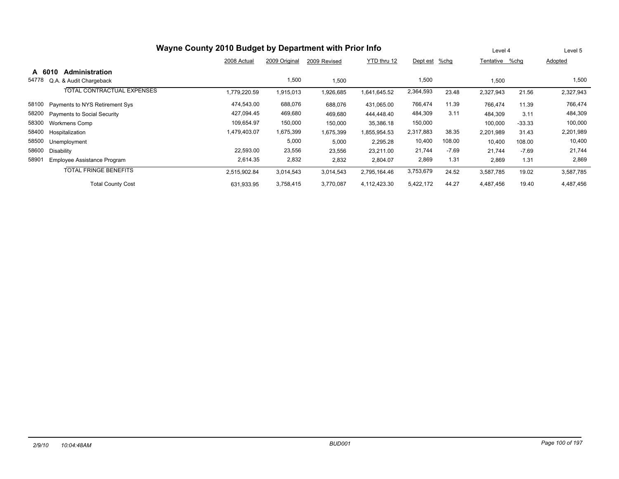| Wayne County 2010 Budget by Department with Prior Info |              | Level 4       |              | Level 5      |           |         |           |          |           |
|--------------------------------------------------------|--------------|---------------|--------------|--------------|-----------|---------|-----------|----------|-----------|
|                                                        | 2008 Actual  | 2009 Original | 2009 Revised | YTD thru 12  | Dept est  | %chg    | Tentative | %chg     | Adopted   |
| <b>Administration</b><br>A 6010                        |              |               |              |              |           |         |           |          |           |
| 54778<br>Q.A. & Audit Chargeback                       |              | 1,500         | 1,500        |              | 1,500     |         | 1,500     |          | 1,500     |
| TOTAL CONTRACTUAL EXPENSES                             | 1,779,220.59 | 1,915,013     | 1,926,685    | 641,645.52   | 2,364,593 | 23.48   | 2,327,943 | 21.56    | 2,327,943 |
| 58100<br>Payments to NYS Retirement Sys                | 474,543.00   | 688,076       | 688,076      | 431,065.00   | 766,474   | 11.39   | 766.474   | 11.39    | 766,474   |
| 58200<br><b>Payments to Social Security</b>            | 427,094.45   | 469,680       | 469,680      | 444.448.40   | 484,309   | 3.11    | 484.309   | 3.11     | 484,309   |
| 58300<br>Workmens Comp                                 | 109,654.97   | 150,000       | 150,000      | 35,386.18    | 150,000   |         | 100,000   | $-33.33$ | 100,000   |
| 58400<br>Hospitalization                               | 1,479,403.07 | 1,675,399     | 1,675,399    | 855,954.53   | 2,317,883 | 38.35   | 2,201,989 | 31.43    | 2,201,989 |
| 58500<br>Unemployment                                  |              | 5,000         | 5,000        | 2,295.28     | 10,400    | 108.00  | 10,400    | 108.00   | 10,400    |
| 58600<br>Disability                                    | 22,593.00    | 23,556        | 23,556       | 23,211.00    | 21,744    | $-7.69$ | 21,744    | $-7.69$  | 21,744    |
| 58901<br>Employee Assistance Program                   | 2,614.35     | 2,832         | 2,832        | 2,804.07     | 2,869     | 1.31    | 2,869     | 1.31     | 2,869     |
| <b>TOTAL FRINGE BENEFITS</b>                           | 2,515,902.84 | 3,014,543     | 3,014,543    | 2,795,164.46 | 3,753,679 | 24.52   | 3,587,785 | 19.02    | 3,587,785 |
| <b>Total County Cost</b>                               | 631,933.95   | 3,758,415     | 3,770,087    | 4,112,423.30 | 5,422,172 | 44.27   | 4,487,456 | 19.40    | 4,487,456 |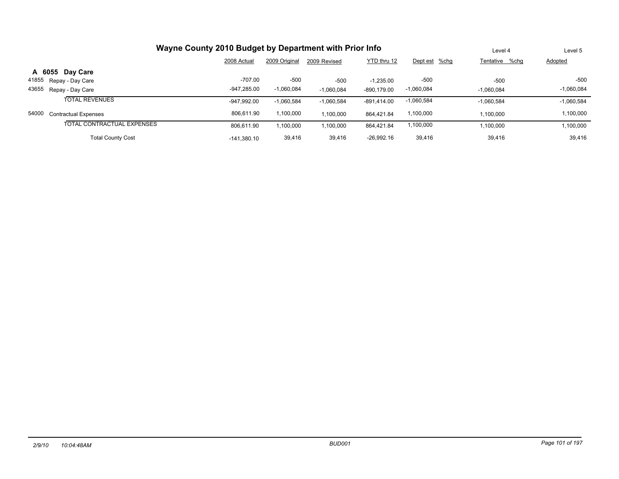| Wayne County 2010 Budget by Department with Prior Info | Level 4       | Level 5       |              |              |               |                |              |
|--------------------------------------------------------|---------------|---------------|--------------|--------------|---------------|----------------|--------------|
|                                                        | 2008 Actual   | 2009 Original | 2009 Revised | YTD thru 12  | Dept est %chg | Tentative %chq | Adopted      |
| A 6055 Day Care                                        |               |               |              |              |               |                |              |
| 41855<br>Repay - Day Care                              | -707.00       | $-500$        | $-500$       | $-1.235.00$  | -500          | $-500$         | $-500$       |
| 43655<br>Repay - Day Care                              | $-947.285.00$ | $-1,060,084$  | $-1,060,084$ | -890,179.00  | $-1,060,084$  | $-1.060.084$   | $-1,060,084$ |
| <b>TOTAL REVENUES</b>                                  | -947.992.00   | $-1.060.584$  | $-1,060,584$ | -891.414.00  | $-1,060,584$  | $-1,060,584$   | $-1,060,584$ |
| 54000<br><b>Contractual Expenses</b>                   | 806.611.90    | 1,100,000     | 1,100,000    | 864.421.84   | 1,100,000     | 1,100,000      | 1,100,000    |
| TOTAL CONTRACTUAL EXPENSES                             | 806.611.90    | 1,100,000     | 1,100,000    | 864,421.84   | 1,100,000     | 100,000        | 1,100,000    |
| <b>Total County Cost</b>                               | $-141.380.10$ | 39,416        | 39,416       | $-26,992.16$ | 39,416        | 39,416         | 39,416       |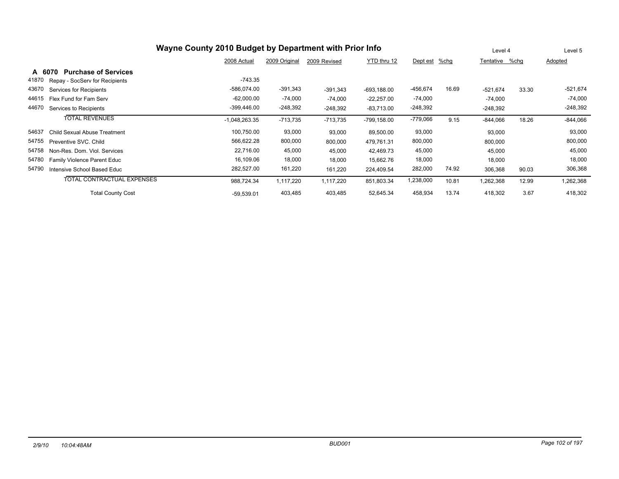|        | Wayne County 2010 Budget by Department with Prior Info                                          |                 |               |              |               |            |       |                | Level 4 | Level 5        |
|--------|-------------------------------------------------------------------------------------------------|-----------------|---------------|--------------|---------------|------------|-------|----------------|---------|----------------|
|        |                                                                                                 | 2008 Actual     | 2009 Original | 2009 Revised | YTD thru 12   | Dept est   | %chg  | Tentative %chg |         | <b>Adopted</b> |
| A 6070 | <b>Purchase of Services</b>                                                                     |                 |               |              |               |            |       |                |         |                |
| 41870  | Repay - SocServ for Recipients                                                                  | $-743.35$       |               |              |               |            |       |                |         |                |
| 43670  | Services for Recipients                                                                         | $-586,074.00$   | $-391,343$    | $-391,343$   | $-693.188.00$ | -456,674   | 16.69 | $-521,674$     | 33.30   | $-521,674$     |
| 44615  | Flex Fund for Fam Serv                                                                          | $-62,000.00$    | $-74,000$     | $-74,000$    | $-22,257.00$  | $-74,000$  |       | $-74,000$      |         | $-74,000$      |
| 44670  | Services to Recipients                                                                          | $-399,446.00$   | $-248,392$    | $-248,392$   | $-83,713.00$  | $-248,392$ |       | $-248,392$     |         | $-248,392$     |
|        | <b>TOTAL REVENUES</b>                                                                           | $-1,048,263.35$ | $-713,735$    | $-713,735$   | -799,158.00   | -779,066   | 9.15  | $-844,066$     | 18.26   | $-844,066$     |
| 54637  | Child Sexual Abuse Treatment                                                                    | 100,750.00      | 93,000        | 93,000       | 89,500.00     | 93,000     |       | 93,000         |         | 93,000         |
| 54755  | Preventive SVC, Child                                                                           | 566,622.28      | 800,000       | 800,000      | 479,761.31    | 800,000    |       | 800,000        |         | 800,000        |
| 54758  | Non-Res. Dom. Viol. Services                                                                    | 22,716.00       | 45,000        | 45,000       | 42,469.73     | 45,000     |       | 45,000         |         | 45,000         |
| 54780  | <b>Family Violence Parent Educ</b>                                                              | 16,109.06       | 18,000        | 18,000       | 15,662.76     | 18,000     |       | 18,000         |         | 18,000         |
| 54790  | Intensive School Based Educ                                                                     | 282,527.00      | 161,220       | 161,220      | 224,409.54    | 282,000    | 74.92 | 306,368        | 90.03   | 306,368        |
|        | <b>TOTAL CONTRACTUAL EXPENSES</b>                                                               | 988.724.34      | 1,117,220     | 1,117,220    | 851,803.34    | 1,238,000  | 10.81 | 1,262,368      | 12.99   | 1,262,368      |
|        | 13.74<br><b>Total County Cost</b><br>52,645.34<br>458,934<br>403,485<br>403,485<br>$-59,539.01$ |                 |               |              |               |            |       |                | 3.67    | 418,302        |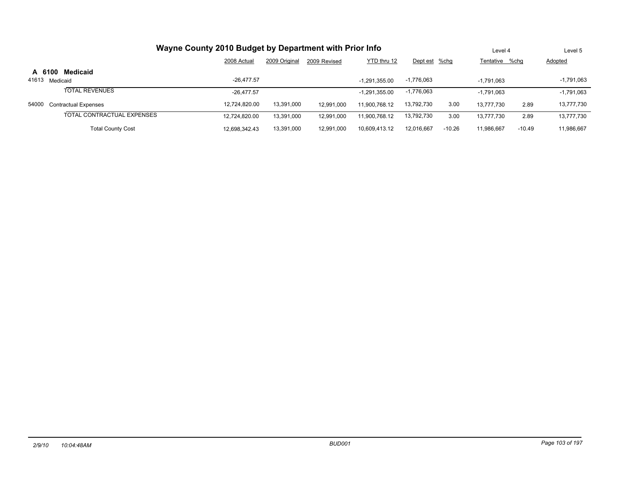|        | Wayne County 2010 Budget by Department with Prior Info |               |               |              |                 |               |          |                |          | Level 5        |
|--------|--------------------------------------------------------|---------------|---------------|--------------|-----------------|---------------|----------|----------------|----------|----------------|
|        |                                                        | 2008 Actual   | 2009 Original | 2009 Revised | YTD thru 12     | Dept est %chg |          | Tentative %chq |          | <b>Adopted</b> |
| A 6100 | Medicaid                                               |               |               |              |                 |               |          |                |          |                |
| 41613  | Medicaid                                               | $-26.477.57$  |               |              | $-1.291.355.00$ | $-1,776,063$  |          | $-1.791.063$   |          | $-1,791,063$   |
|        | <b>TOTAL REVENUES</b>                                  | $-26.477.57$  |               |              | $-1.291.355.00$ | $-1,776,063$  |          | $-1.791.063$   |          | $-1,791,063$   |
| 54000  | <b>Contractual Expenses</b>                            | 12.724.820.00 | 13,391,000    | 12.991.000   | 11.900.768.12   | 13,792,730    | 3.00     | 13.777.730     | 2.89     | 13,777,730     |
|        | TOTAL CONTRACTUAL EXPENSES                             | 12.724.820.00 | 13.391.000    | 12,991,000   | 11.900.768.12   | 13,792,730    | 3.00     | 13.777.730     | 2.89     | 13,777,730     |
|        | <b>Total County Cost</b>                               | 12.698.342.43 | 13,391,000    | 12,991,000   | 10,609,413.12   | 12,016,667    | $-10.26$ | 11,986,667     | $-10.49$ | 11,986,667     |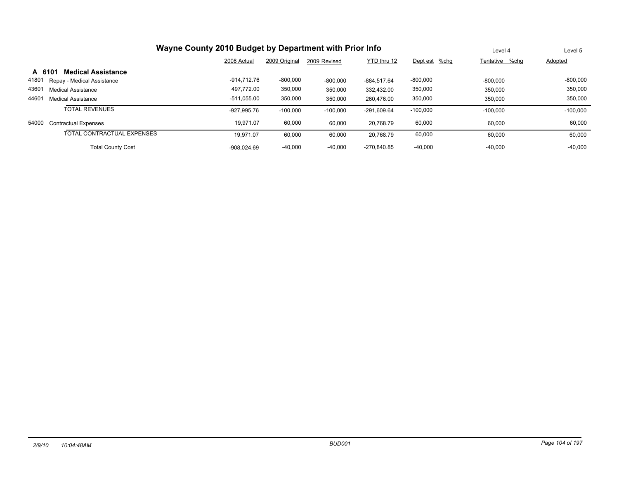| Wayne County 2010 Budget by Department with Prior Info |               | Level 4       | Level 5      |             |               |                |            |
|--------------------------------------------------------|---------------|---------------|--------------|-------------|---------------|----------------|------------|
|                                                        | 2008 Actual   | 2009 Original | 2009 Revised | YTD thru 12 | Dept est %chg | Tentative %chg | Adopted    |
| <b>Medical Assistance</b><br>A 6101                    |               |               |              |             |               |                |            |
| 41801<br>Repay - Medical Assistance                    | -914.712.76   | $-800,000$    | $-800.000$   | -884.517.64 | $-800,000$    | $-800.000$     | $-800,000$ |
| 43601<br><b>Medical Assistance</b>                     | 497.772.00    | 350,000       | 350,000      | 332.432.00  | 350,000       | 350.000        | 350,000    |
| 44601<br>Medical Assistance                            | $-511.055.00$ | 350,000       | 350,000      | 260.476.00  | 350,000       | 350.000        | 350,000    |
| <b>TOTAL REVENUES</b>                                  | -927.995.76   | $-100,000$    | $-100,000$   | -291.609.64 | $-100,000$    | $-100.000$     | $-100.000$ |
| 54000<br><b>Contractual Expenses</b>                   | 19,971.07     | 60,000        | 60,000       | 20.768.79   | 60,000        | 60.000         | 60,000     |
| TOTAL CONTRACTUAL EXPENSES                             | 19.971.07     | 60,000        | 60,000       | 20.768.79   | 60,000        | 60.000         | 60,000     |
| <b>Total County Cost</b>                               | $-908.024.69$ | $-40.000$     | $-40.000$    | -270.840.85 | $-40.000$     | $-40.000$      | $-40.000$  |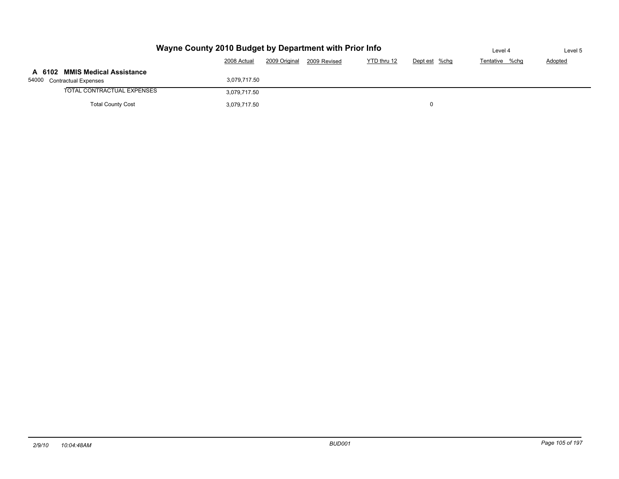|                                | Wayne County 2010 Budget by Department with Prior Info                       |  |  |  |  |  |  |  |  |  |
|--------------------------------|------------------------------------------------------------------------------|--|--|--|--|--|--|--|--|--|
|                                | YTD thru 12<br>2009 Original<br>2008 Actual<br>Dept est %chg<br>2009 Revised |  |  |  |  |  |  |  |  |  |
| A 6102 MMIS Medical Assistance |                                                                              |  |  |  |  |  |  |  |  |  |
| 54000 Contractual Expenses     | 3,079,717.50                                                                 |  |  |  |  |  |  |  |  |  |
| TOTAL CONTRACTUAL EXPENSES     | 3,079,717.50                                                                 |  |  |  |  |  |  |  |  |  |
| <b>Total County Cost</b>       |                                                                              |  |  |  |  |  |  |  |  |  |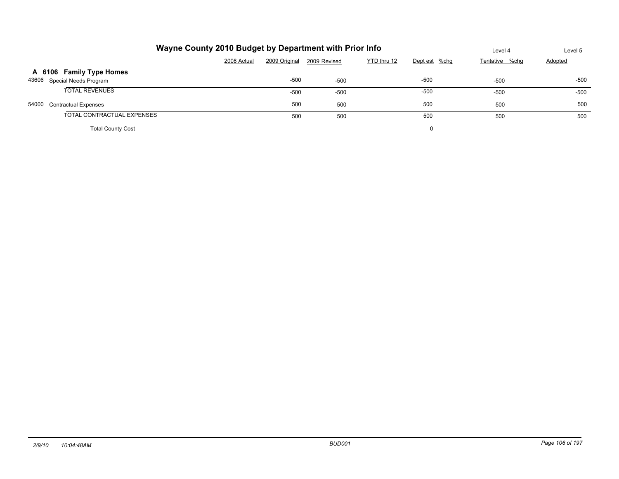|       | Wayne County 2010 Budget by Department with Prior Info | Level 4     | Level 5       |              |             |               |                |                |
|-------|--------------------------------------------------------|-------------|---------------|--------------|-------------|---------------|----------------|----------------|
|       |                                                        | 2008 Actual | 2009 Original | 2009 Revised | YTD thru 12 | Dept est %chg | Tentative %chg | <b>Adopted</b> |
|       | A 6106 Family Type Homes                               |             |               |              |             |               |                |                |
|       | 43606 Special Needs Program                            |             | $-500$        | $-500$       |             | -500          | $-500$         | $-500$         |
|       | <b>TOTAL REVENUES</b>                                  |             | $-500$        | $-500$       |             | $-500$        | $-500$         | $-500$         |
| 54000 | <b>Contractual Expenses</b>                            |             | 500           | 500          |             | 500           | 500            | 500            |
|       | TOTAL CONTRACTUAL EXPENSES                             |             | 500           | 500          |             | 500           | 500            | 500            |
|       | <b>Total County Cost</b>                               |             |               |              |             |               |                |                |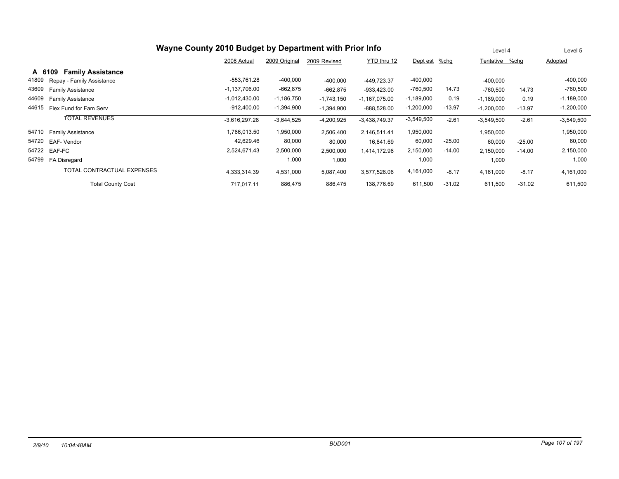|        | Wayne County 2010 Budget by Department with Prior Info |                 |               |              |                 |              |          |                |          | Level 5      |
|--------|--------------------------------------------------------|-----------------|---------------|--------------|-----------------|--------------|----------|----------------|----------|--------------|
|        |                                                        | 2008 Actual     | 2009 Original | 2009 Revised | YTD thru 12     | Dept est     | $%$ chg  | Tentative %chg |          | Adopted      |
| A 6109 | <b>Family Assistance</b>                               |                 |               |              |                 |              |          |                |          |              |
| 41809  | Repay - Family Assistance                              | -553,761.28     | $-400,000$    | $-400,000$   | -449.723.37     | $-400,000$   |          | $-400,000$     |          | $-400,000$   |
| 43609  | <b>Family Assistance</b>                               | $-1,137,706.00$ | $-662,875$    | $-662,875$   | $-933,423.00$   | $-760,500$   | 14.73    | $-760,500$     | 14.73    | $-760,500$   |
| 44609  | <b>Family Assistance</b>                               | $-1,012,430.00$ | $-1,186,750$  | $-1,743,150$ | $-1,167,075.00$ | $-1,189,000$ | 0.19     | $-1,189,000$   | 0.19     | $-1,189,000$ |
| 44615  | Flex Fund for Fam Serv                                 | $-912,400.00$   | $-1,394,900$  | $-1,394,900$ | $-888,528.00$   | $-1,200,000$ | $-13.97$ | $-1,200,000$   | $-13.97$ | $-1,200,000$ |
|        | <b>TOTAL REVENUES</b>                                  | $-3,616,297.28$ | $-3,644,525$  | $-4,200,925$ | $-3,438,749.37$ | $-3,549,500$ | $-2.61$  | $-3,549,500$   | $-2.61$  | $-3,549,500$ |
| 54710  | <b>Family Assistance</b>                               | 1,766,013.50    | 1,950,000     | 2,506,400    | 2,146,511.41    | 1,950,000    |          | 1,950,000      |          | 1,950,000    |
| 54720  | EAF-Vendor                                             | 42,629.46       | 80,000        | 80,000       | 16,841.69       | 60,000       | $-25.00$ | 60,000         | $-25.00$ | 60,000       |
| 54722  | EAF-FC                                                 | 2,524,671.43    | 2,500,000     | 2,500,000    | 1,414,172.96    | 2,150,000    | $-14.00$ | 2,150,000      | $-14.00$ | 2,150,000    |
| 54799  | FA Disregard                                           |                 | 1,000         | 1,000        |                 | 1,000        |          | 1,000          |          | 1,000        |
|        | TOTAL CONTRACTUAL EXPENSES                             | 4,333,314.39    | 4,531,000     | 5,087,400    | 3,577,526.06    | 4,161,000    | $-8.17$  | 4,161,000      | $-8.17$  | 4,161,000    |
|        | <b>Total County Cost</b>                               | 717.017.11      | 886,475       | 886,475      | 138,776.69      | 611,500      | $-31.02$ | 611,500        | $-31.02$ | 611,500      |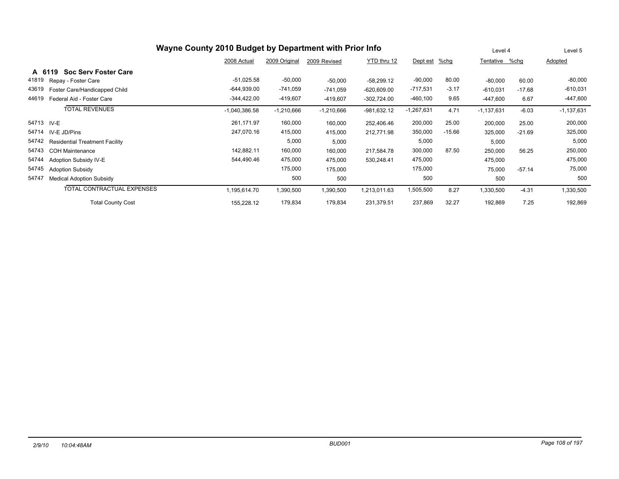|            | Wayne County 2010 Budget by Department with Prior Info |                 |               |              |               |              |          |              |          | Level 5      |
|------------|--------------------------------------------------------|-----------------|---------------|--------------|---------------|--------------|----------|--------------|----------|--------------|
|            |                                                        | 2008 Actual     | 2009 Original | 2009 Revised | YTD thru 12   | Dept est     | %chg     | Tentative    | %chq     | Adopted      |
| A 6119     | <b>Soc Serv Foster Care</b>                            |                 |               |              |               |              |          |              |          |              |
| 41819      | Repay - Foster Care                                    | $-51,025.58$    | $-50,000$     | $-50,000$    | $-58,299.12$  | $-90,000$    | 80.00    | $-80,000$    | 60.00    | $-80,000$    |
| 43619      | Foster Care/Handicapped Child                          | $-644,939.00$   | $-741,059$    | $-741,059$   | $-620,609.00$ | $-717,531$   | $-3.17$  | $-610,031$   | $-17.68$ | $-610,031$   |
| 44619      | Federal Aid - Foster Care                              | $-344,422.00$   | $-419,607$    | $-419,607$   | $-302,724.00$ | $-460,100$   | 9.65     | $-447,600$   | 6.67     | $-447,600$   |
|            | <b>TOTAL REVENUES</b>                                  | $-1,040,386.58$ | $-1,210,666$  | $-1,210,666$ | $-981,632.12$ | $-1,267,631$ | 4.71     | $-1,137,631$ | $-6.03$  | $-1,137,631$ |
| 54713 IV-E |                                                        | 261,171.97      | 160,000       | 160,000      | 252,406.46    | 200,000      | 25.00    | 200,000      | 25.00    | 200,000      |
| 54714      | IV-E JD/Pins                                           | 247,070.16      | 415,000       | 415,000      | 212,771.98    | 350,000      | $-15.66$ | 325,000      | $-21.69$ | 325,000      |
| 54742      | <b>Residential Treatment Facility</b>                  |                 | 5,000         | 5,000        |               | 5,000        |          | 5,000        |          | 5,000        |
| 54743      | <b>COH Maintenance</b>                                 | 142,882.11      | 160,000       | 160,000      | 217,584.78    | 300,000      | 87.50    | 250,000      | 56.25    | 250,000      |
| 54744      | Adoption Subsidy IV-E                                  | 544,490.46      | 475,000       | 475,000      | 530,248.41    | 475,000      |          | 475,000      |          | 475,000      |
| 54745      | <b>Adoption Subsidy</b>                                |                 | 175,000       | 175,000      |               | 175,000      |          | 75,000       | $-57.14$ | 75,000       |
| 54747      | <b>Medical Adoption Subsidy</b>                        |                 | 500           | 500          |               | 500          |          | 500          |          | 500          |
|            | TOTAL CONTRACTUAL EXPENSES                             | 1,195,614.70    | 1,390,500     | 1,390,500    | ,213,011.63   | 1,505,500    | 8.27     | 1,330,500    | $-4.31$  | 1,330,500    |
|            | <b>Total County Cost</b>                               | 155,228.12      | 179,834       | 179,834      | 231,379.51    | 237,869      | 32.27    | 192,869      | 7.25     | 192,869      |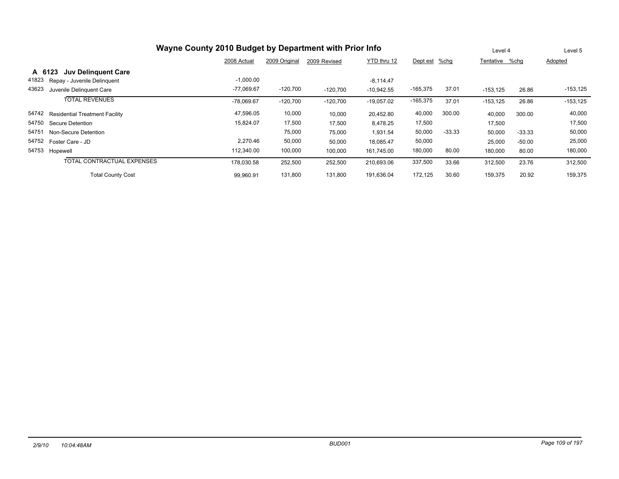| Wayne County 2010 Budget by Department with Prior Info |              | Level 4       |              | Level 5      |               |          |                |          |             |
|--------------------------------------------------------|--------------|---------------|--------------|--------------|---------------|----------|----------------|----------|-------------|
|                                                        | 2008 Actual  | 2009 Original | 2009 Revised | YTD thru 12  | Dept est %chg |          | Tentative %chq |          | Adopted     |
| <b>Juv Delinguent Care</b><br>A 6123                   |              |               |              |              |               |          |                |          |             |
| 41823<br>Repay - Juvenile Delinquent                   | $-1,000.00$  |               |              | $-8.114.47$  |               |          |                |          |             |
| 43623<br>Juvenile Delinquent Care                      | $-77,069.67$ | $-120,700$    | $-120,700$   | $-10,942.55$ | $-165,375$    | 37.01    | $-153, 125$    | 26.86    | $-153, 125$ |
| <b>TOTAL REVENUES</b>                                  | $-78,069.67$ | $-120,700$    | $-120,700$   | $-19,057.02$ | $-165,375$    | 37.01    | $-153, 125$    | 26.86    | $-153, 125$ |
| 54742<br><b>Residential Treatment Facility</b>         | 47,596.05    | 10,000        | 10,000       | 20,452.80    | 40,000        | 300.00   | 40,000         | 300.00   | 40,000      |
| 54750<br>Secure Detention                              | 15,824.07    | 17,500        | 17,500       | 8,478.25     | 17,500        |          | 17,500         |          | 17,500      |
| 54751<br>Non-Secure Detention                          |              | 75,000        | 75,000       | 1,931.54     | 50,000        | $-33.33$ | 50,000         | $-33.33$ | 50,000      |
| 54752<br>Foster Care - JD                              | 2.270.46     | 50,000        | 50,000       | 18.085.47    | 50,000        |          | 25,000         | $-50.00$ | 25,000      |
| 54753 Hopewell                                         | 112,340.00   | 100,000       | 100,000      | 161,745.00   | 180,000       | 80.00    | 180,000        | 80.00    | 180,000     |
| TOTAL CONTRACTUAL EXPENSES                             | 178,030.58   | 252,500       | 252,500      | 210,693.06   | 337,500       | 33.66    | 312,500        | 23.76    | 312,500     |
| <b>Total County Cost</b>                               | 99,960.91    | 131,800       | 131,800      | 191,636.04   | 172,125       | 30.60    | 159,375        | 20.92    | 159,375     |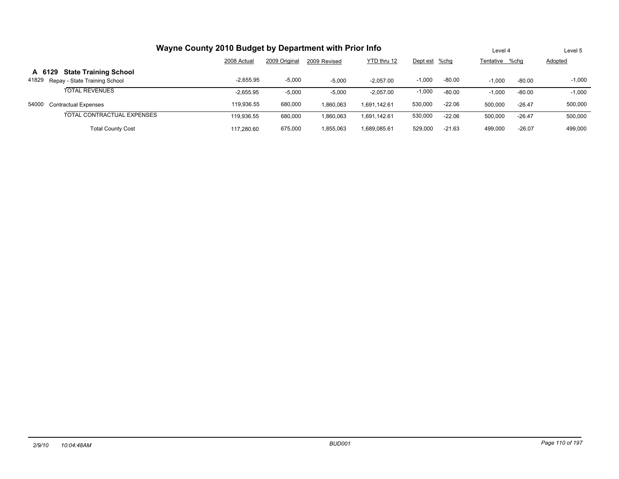|        | Wayne County 2010 Budget by Department with Prior Info |             | Level 4       |              | Level 5      |               |          |                |          |          |
|--------|--------------------------------------------------------|-------------|---------------|--------------|--------------|---------------|----------|----------------|----------|----------|
|        |                                                        | 2008 Actual | 2009 Original | 2009 Revised | YTD thru 12  | Dept est %chg |          | Tentative %chq |          | Adopted  |
| A 6129 | <b>State Training School</b>                           |             |               |              |              |               |          |                |          |          |
| 41829  | Repay - State Training School                          | $-2.655.95$ | $-5,000$      | $-5.000$     | $-2.057.00$  | $-1,000$      | $-80.00$ | $-1.000$       | $-80.00$ | $-1,000$ |
|        | <b>TOTAL REVENUES</b>                                  | $-2,655.95$ | $-5,000$      | $-5,000$     | $-2,057.00$  | $-1,000$      | $-80.00$ | $-1,000$       | $-80.00$ | $-1,000$ |
| 54000  | <b>Contractual Expenses</b>                            | 119.936.55  | 680,000       | 1.860.063    | 1.691.142.61 | 530,000       | $-22.06$ | 500.000        | $-26.47$ | 500,000  |
|        | TOTAL CONTRACTUAL EXPENSES                             | 119.936.55  | 680,000       | 1,860,063    | 1.691.142.61 | 530,000       | $-22.06$ | 500,000        | $-26.47$ | 500,000  |
|        | <b>Total County Cost</b>                               | 117.280.60  | 675,000       | 1,855,063    | 1.689.085.61 | 529.000       | $-21.63$ | 499,000        | $-26.07$ | 499,000  |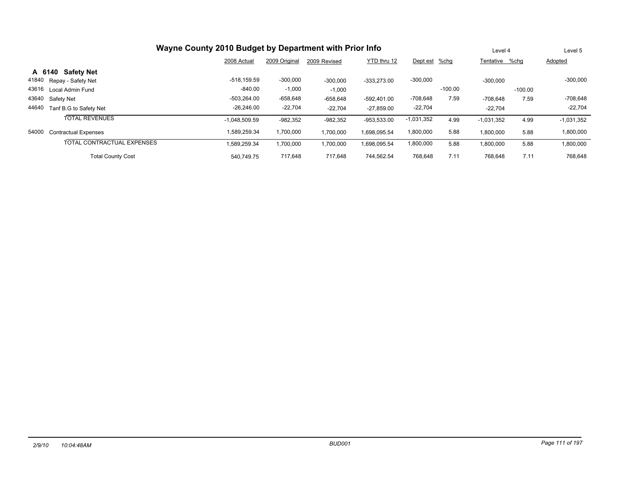| Wayne County 2010 Budget by Department with Prior Info |                 | Level 4       | Level 5      |               |               |           |                |           |                |  |  |  |  |
|--------------------------------------------------------|-----------------|---------------|--------------|---------------|---------------|-----------|----------------|-----------|----------------|--|--|--|--|
|                                                        | 2008 Actual     | 2009 Original | 2009 Revised | YTD thru 12   | Dept est %chg |           | Tentative %chq |           | <b>Adopted</b> |  |  |  |  |
| <b>Safety Net</b><br>A 6140                            |                 |               |              |               |               |           |                |           |                |  |  |  |  |
| 41840<br>Repay - Safety Net                            | $-518.159.59$   | $-300,000$    | $-300,000$   | $-333.273.00$ | $-300,000$    |           | $-300.000$     |           | $-300,000$     |  |  |  |  |
| 43616<br>Local Admin Fund                              | $-840.00$       | $-1,000$      | $-1,000$     |               |               | $-100.00$ |                | $-100.00$ |                |  |  |  |  |
| 43640<br>Safety Net                                    | $-503.264.00$   | $-658,648$    | $-658,648$   | -592.401.00   | $-708,648$    | 7.59      | -708.648       | 7.59      | $-708,648$     |  |  |  |  |
| 44640<br>Tanf B.G to Safety Net                        | $-26.246.00$    | $-22,704$     | $-22.704$    | $-27.859.00$  | $-22,704$     |           | $-22.704$      |           | $-22,704$      |  |  |  |  |
| <b>TOTAL REVENUES</b>                                  | $-1,048,509.59$ | $-982,352$    | $-982,352$   | -953,533.00   | $-1,031,352$  | 4.99      | $-1,031,352$   | 4.99      | $-1,031,352$   |  |  |  |  |
| 54000<br><b>Contractual Expenses</b>                   | 1,589,259.34    | 1,700,000     | 1,700,000    | 1,698,095.54  | 1,800,000     | 5.88      | 1,800,000      | 5.88      | 1,800,000      |  |  |  |  |
| TOTAL CONTRACTUAL EXPENSES                             | 1.589.259.34    | 1,700,000     | 1,700,000    | 1,698,095.54  | 1,800,000     | 5.88      | 1,800,000      | 5.88      | 1,800,000      |  |  |  |  |
| <b>Total County Cost</b>                               | 540.749.75      | 717.648       | 717.648      | 744.562.54    | 768,648       | 7.11      | 768.648        | 7.11      | 768,648        |  |  |  |  |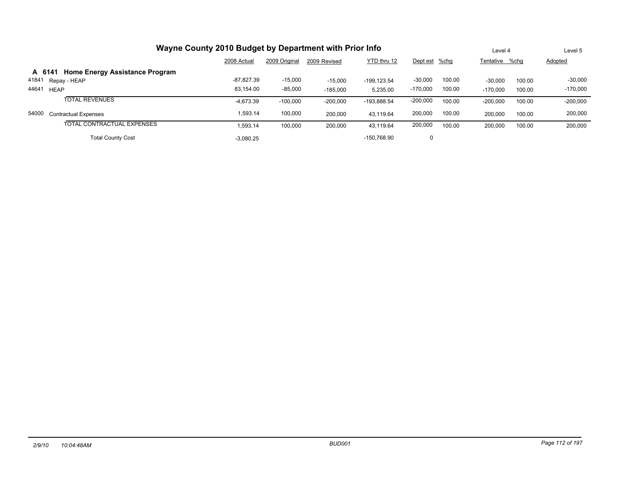| Wayne County 2010 Budget by Department with Prior Info |              | Level 4       | Level 5      |             |               |        |                |        |            |
|--------------------------------------------------------|--------------|---------------|--------------|-------------|---------------|--------|----------------|--------|------------|
|                                                        | 2008 Actual  | 2009 Original | 2009 Revised | YTD thru 12 | Dept est %chg |        | Tentative %chq |        | Adopted    |
| A 6141 Home Energy Assistance Program                  |              |               |              |             |               |        |                |        |            |
| 41841<br>Repay - HEAP                                  | $-87.827.39$ | $-15,000$     | $-15.000$    | -199.123.54 | $-30,000$     | 100.00 | $-30.000$      | 100.00 | $-30,000$  |
| 44641<br><b>HEAP</b>                                   | 83.154.00    | $-85,000$     | $-185.000$   | 5.235.00    | $-170,000$    | 100.00 | $-170,000$     | 100.00 | $-170,000$ |
| <b>TOTAL REVENUES</b>                                  | $-4,673.39$  | $-100,000$    | $-200,000$   | -193,888.54 | $-200,000$    | 100.00 | $-200,000$     | 100.00 | $-200,000$ |
| 54000<br><b>Contractual Expenses</b>                   | 1.593.14     | 100.000       | 200.000      | 43.119.64   | 200,000       | 100.00 | 200,000        | 100.00 | 200,000    |
| TOTAL CONTRACTUAL EXPENSES                             | 1.593.14     | 100,000       | 200,000      | 43.119.64   | 200,000       | 100.00 | 200,000        | 100.00 | 200,000    |
| <b>Total County Cost</b>                               | $-3.080.25$  |               |              | -150.768.90 | 0             |        |                |        |            |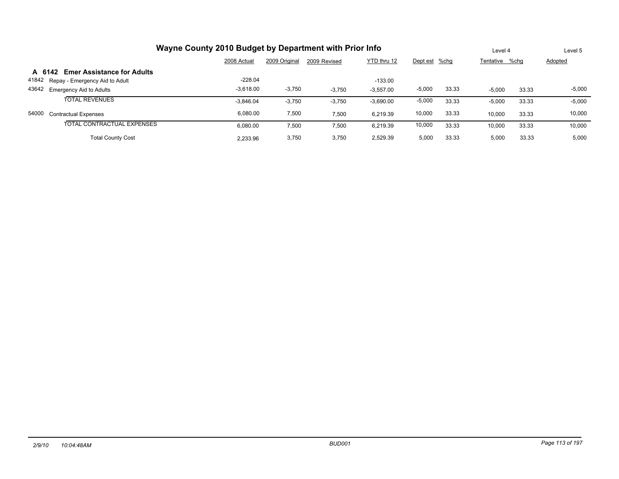| Wayne County 2010 Budget by Department with Prior Info |             | Level 4       |              | Level 5     |               |       |                |       |          |
|--------------------------------------------------------|-------------|---------------|--------------|-------------|---------------|-------|----------------|-------|----------|
|                                                        | 2008 Actual | 2009 Original | 2009 Revised | YTD thru 12 | Dept est %chg |       | Tentative %chg |       | Adopted  |
| <b>Emer Assistance for Adults</b><br>A 6142            |             |               |              |             |               |       |                |       |          |
| 41842<br>Repay - Emergency Aid to Adult                | $-228.04$   |               |              | $-133.00$   |               |       |                |       |          |
| 43642 Emergency Aid to Adults                          | $-3.618.00$ | $-3,750$      | $-3.750$     | $-3.557.00$ | $-5,000$      | 33.33 | $-5.000$       | 33.33 | $-5,000$ |
| <b>TOTAL REVENUES</b>                                  | $-3.846.04$ | $-3.750$      | $-3,750$     | $-3,690.00$ | $-5,000$      | 33.33 | $-5,000$       | 33.33 | $-5,000$ |
| 54000<br><b>Contractual Expenses</b>                   | 6.080.00    | 7,500         | 7.500        | 6.219.39    | 10,000        | 33.33 | 10.000         | 33.33 | 10,000   |
| TOTAL CONTRACTUAL EXPENSES                             | 6.080.00    | 7,500         | 7,500        | 6.219.39    | 10,000        | 33.33 | 10,000         | 33.33 | 10,000   |
| <b>Total County Cost</b>                               | 2.233.96    | 3,750         | 3,750        | 2.529.39    | 5,000         | 33.33 | 5,000          | 33.33 | 5,000    |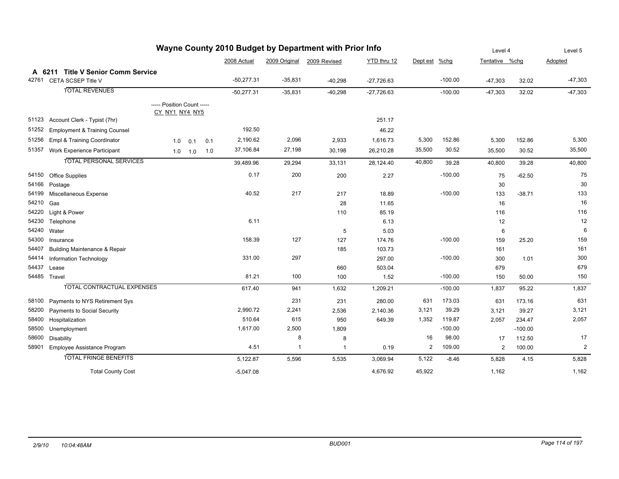| Wayne County 2010 Budget by Department with Prior Info |                                          |                                              |             |     |              |               |              |              |               |           | Level 4        | Level 5   |                |
|--------------------------------------------------------|------------------------------------------|----------------------------------------------|-------------|-----|--------------|---------------|--------------|--------------|---------------|-----------|----------------|-----------|----------------|
|                                                        |                                          |                                              |             |     | 2008 Actual  | 2009 Original | 2009 Revised | YTD thru 12  | Dept est %chg |           | Tentative %chg |           | Adopted        |
|                                                        | A 6211 Title V Senior Comm Service       |                                              |             |     |              |               |              |              |               |           |                |           |                |
| 42761                                                  | CETA SCSEP Title V                       |                                              |             |     | $-50,277.31$ | $-35,831$     | $-40,298$    | $-27,726.63$ |               | $-100.00$ | $-47,303$      | 32.02     | $-47,303$      |
|                                                        | <b>TOTAL REVENUES</b>                    |                                              |             |     | $-50,277.31$ | $-35,831$     | $-40,298$    | $-27,726.63$ |               | $-100.00$ | $-47,303$      | 32.02     | $-47,303$      |
|                                                        |                                          | ----- Position Count -----<br>CY_NY1_NY4_NY5 |             |     |              |               |              |              |               |           |                |           |                |
| 51123                                                  | Account Clerk - Typist (7hr)             |                                              |             |     |              |               |              | 251.17       |               |           |                |           |                |
| 51252                                                  | <b>Employment &amp; Training Counsel</b> |                                              |             |     | 192.50       |               |              | 46.22        |               |           |                |           |                |
| 51256                                                  | <b>Empl &amp; Training Coordinator</b>   | 1.0                                          | 0.1         | 0.1 | 2,190.62     | 2,096         | 2,933        | 1,616.73     | 5,300         | 152.86    | 5,300          | 152.86    | 5,300          |
| 51357                                                  | Work Experience Participant              |                                              | $1.0$ $1.0$ | 1.0 | 37,106.84    | 27,198        | 30,198       | 26,210.28    | 35,500        | 30.52     | 35,500         | 30.52     | 35,500         |
|                                                        | <b>TOTAL PERSONAL SERVICES</b>           |                                              |             |     | 39,489.96    | 29,294        | 33,131       | 28,124.40    | 40,800        | 39.28     | 40,800         | 39.28     | 40,800         |
| 54150                                                  | Office Supplies                          |                                              |             |     | 0.17         | 200           | 200          | 2.27         |               | $-100.00$ | 75             | $-62.50$  | 75             |
| 54166                                                  | Postage                                  |                                              |             |     |              |               |              |              |               |           | 30             |           | 30             |
| 54199                                                  | Miscellaneous Expense                    |                                              |             |     | 40.52        | 217           | 217          | 18.89        |               | $-100.00$ | 133            | $-38.71$  | 133            |
| 54210                                                  | Gas                                      |                                              |             |     |              |               | 28           | 11.65        |               |           | 16             |           | 16             |
| 54220                                                  | Light & Power                            |                                              |             |     |              |               | 110          | 85.19        |               |           | 116            |           | 116            |
| 54230                                                  | Telephone                                |                                              |             |     | 6.11         |               |              | 6.13         |               |           | 12             |           | 12             |
| 54240                                                  | Water                                    |                                              |             |     |              |               | 5            | 5.03         |               |           | 6              |           | 6              |
| 54300                                                  | Insurance                                |                                              |             |     | 158.39       | 127           | 127          | 174.76       |               | $-100.00$ | 159            | 25.20     | 159            |
| 54407                                                  | <b>Building Maintenance &amp; Repair</b> |                                              |             |     |              |               | 185          | 103.73       |               |           | 161            |           | 161            |
| 54414                                                  | Information Technology                   |                                              |             |     | 331.00       | 297           |              | 297.00       |               | $-100.00$ | 300            | 1.01      | 300            |
| 54437                                                  | Lease                                    |                                              |             |     |              |               | 660          | 503.04       |               |           | 679            |           | 679            |
|                                                        | 54485 Travel                             |                                              |             |     | 81.21        | 100           | 100          | 1.52         |               | $-100.00$ | 150            | 50.00     | 150            |
|                                                        | <b>TOTAL CONTRACTUAL EXPENSES</b>        |                                              |             |     | 617.40       | 941           | 1,632        | 1,209.21     |               | $-100.00$ | 1,837          | 95.22     | 1,837          |
| 58100                                                  | Payments to NYS Retirement Sys           |                                              |             |     |              | 231           | 231          | 280.00       | 631           | 173.03    | 631            | 173.16    | 631            |
| 58200                                                  | Payments to Social Security              |                                              |             |     | 2,990.72     | 2,241         | 2,536        | 2,140.36     | 3,121         | 39.29     | 3,121          | 39.27     | 3,121          |
| 58400                                                  | Hospitalization                          |                                              |             |     | 510.64       | 615           | 950          | 649.39       | 1,352         | 119.87    | 2,057          | 234.47    | 2,057          |
| 58500                                                  | Unemployment                             |                                              |             |     | 1,617.00     | 2,500         | 1,809        |              |               | $-100.00$ |                | $-100.00$ |                |
| 58600                                                  | <b>Disability</b>                        |                                              |             |     |              | 8             | 8            |              | 16            | 98.00     | 17             | 112.50    | 17             |
| 58901                                                  | Employee Assistance Program              |                                              |             |     | 4.51         | 1             | $\mathbf{1}$ | 0.19         | 2             | 109.00    | $\overline{2}$ | 100.00    | $\overline{2}$ |
|                                                        | <b>TOTAL FRINGE BENEFITS</b>             |                                              |             |     | 5,122.87     | 5,596         | 5,535        | 3,069.94     | 5,122         | $-8.46$   | 5,828          | 4.15      | 5,828          |
|                                                        | <b>Total County Cost</b>                 |                                              |             |     | $-5,047.08$  |               |              | 4,676.92     | 45,922        |           | 1,162          |           | 1,162          |

#### *2/9/10 10:04:48AM BUD001 Page 114 of 197*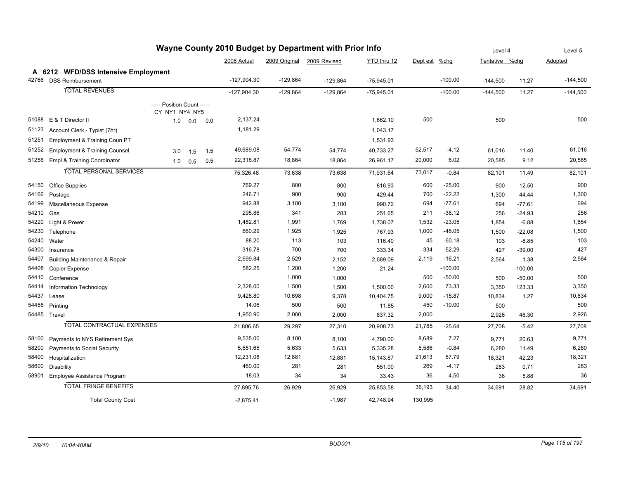|       |                                          |                            |              | wayne County 2010 Budget by Department with Prior lino |               |               |              |              | Level 4  |           | Level 5        |           |            |
|-------|------------------------------------------|----------------------------|--------------|--------------------------------------------------------|---------------|---------------|--------------|--------------|----------|-----------|----------------|-----------|------------|
|       |                                          |                            |              |                                                        | 2008 Actual   | 2009 Original | 2009 Revised | YTD thru 12  | Dept est | $%$ chg   | Tentative %chg |           | Adopted    |
|       | A 6212 WFD/DSS Intensive Employment      |                            |              |                                                        |               |               |              |              |          |           |                |           |            |
| 42766 | <b>DSS Reimbursement</b>                 |                            |              |                                                        | $-127,904.30$ | $-129,864$    | $-129,864$   | $-75,945.01$ |          | $-100.00$ | $-144,500$     | 11.27     | $-144,500$ |
|       | <b>TOTAL REVENUES</b>                    |                            |              |                                                        | $-127,904.30$ | $-129,864$    | $-129,864$   | $-75,945.01$ |          | $-100.00$ | $-144,500$     | 11.27     | $-144,500$ |
|       |                                          | ----- Position Count ----- |              |                                                        |               |               |              |              |          |           |                |           |            |
|       |                                          | CY_NY1_NY4_NY5             |              |                                                        |               |               |              |              |          |           |                |           |            |
| 51088 | E & T Director II                        |                            | $1.0 \t 0.0$ | 0.0                                                    | 2,137.24      |               |              | 1,662.10     | 500      |           | 500            |           | 500        |
| 51123 | Account Clerk - Typist (7hr)             |                            |              |                                                        | 1,181.29      |               |              | 1,043.17     |          |           |                |           |            |
| 51251 | Employment & Training Coun PT            |                            |              |                                                        |               |               |              | 1,531.93     |          |           |                |           |            |
| 51252 | <b>Employment &amp; Training Counsel</b> | 3.0                        | 1.5          | 1.5                                                    | 49,689.08     | 54,774        | 54,774       | 40,733.27    | 52,517   | $-4.12$   | 61,016         | 11.40     | 61,016     |
| 51256 | Empl & Training Coordinator              | 1.0                        | 0.5          | 0.5                                                    | 22,318.87     | 18,864        | 18,864       | 26,961.17    | 20,000   | 6.02      | 20,585         | 9.12      | 20,585     |
|       | <b>TOTAL PERSONAL SERVICES</b>           |                            |              |                                                        | 75,326.48     | 73,638        | 73,638       | 71,931.64    | 73,017   | $-0.84$   | 82,101         | 11.49     | 82,101     |
|       |                                          |                            |              |                                                        |               |               |              |              |          |           |                |           |            |
| 54150 | <b>Office Supplies</b>                   |                            |              |                                                        | 769.27        | 800           | 800          | 816.93       | 600      | $-25.00$  | 900            | 12.50     | 900        |
| 54166 | Postage                                  |                            |              |                                                        | 246.71        | 900           | 900          | 429.44       | 700      | $-22.22$  | 1,300          | 44.44     | 1,300      |
| 54199 | Miscellaneous Expense                    |                            |              |                                                        | 942.88        | 3,100         | 3,100        | 990.72       | 694      | $-77.61$  | 694            | $-77.61$  | 694        |
| 54210 | Gas                                      |                            |              |                                                        | 295.86        | 341           | 283          | 251.65       | 211      | $-38.12$  | 256            | $-24.93$  | 256        |
| 54220 | Light & Power                            |                            |              |                                                        | 1,482.81      | 1,991         | 1,769        | 1,738.07     | 1,532    | $-23.05$  | 1,854          | $-6.88$   | 1,854      |
| 54230 | Telephone                                |                            |              |                                                        | 660.29        | 1,925         | 1,925        | 767.93       | 1,000    | $-48.05$  | 1,500          | $-22.08$  | 1,500      |
| 54240 | Water                                    |                            |              |                                                        | 88.20         | 113           | 103          | 116.40       | 45       | $-60.18$  | 103            | $-8.85$   | 103        |
| 54300 | Insurance                                |                            |              |                                                        | 316.78        | 700           | 700          | 333.34       | 334      | $-52.29$  | 427            | $-39.00$  | 427        |
| 54407 | Building Maintenance & Repair            |                            |              |                                                        | 2,699.84      | 2,529         | 2,152        | 2,689.09     | 2,119    | $-16.21$  | 2,564          | 1.38      | 2,564      |
| 54408 | <b>Copier Expense</b>                    |                            |              |                                                        | 582.25        | 1,200         | 1,200        | 21.24        |          | $-100.00$ |                | $-100.00$ |            |
| 54410 | Conference                               |                            |              |                                                        |               | 1,000         | 1,000        |              | 500      | $-50.00$  | 500            | $-50.00$  | 500        |
| 54414 | Information Technology                   |                            |              |                                                        | 2,328.00      | 1,500         | 1,500        | 1,500.00     | 2,600    | 73.33     | 3,350          | 123.33    | 3,350      |
| 54437 | Lease                                    |                            |              |                                                        | 9,428.80      | 10,698        | 9,378        | 10,404.75    | 9,000    | $-15.87$  | 10,834         | 1.27      | 10,834     |
| 54456 | Printing                                 |                            |              |                                                        | 14.06         | 500           | 500          | 11.85        | 450      | $-10.00$  | 500            |           | 500        |
|       | 54485 Travel                             |                            |              |                                                        | 1,950.90      | 2,000         | 2,000        | 837.32       | 2,000    |           | 2,926          | 46.30     | 2,926      |
|       | <b>TOTAL CONTRACTUAL EXPENSES</b>        |                            |              |                                                        | 21,806.65     | 29,297        | 27,310       | 20,908.73    | 21,785   | $-25.64$  | 27,708         | $-5.42$   | 27,708     |
| 58100 | Payments to NYS Retirement Sys           |                            |              |                                                        | 9,535.00      | 8,100         | 8,100        | 4,790.00     | 8,689    | 7.27      | 9,771          | 20.63     | 9,771      |
| 58200 | Payments to Social Security              |                            |              |                                                        | 5,651.65      | 5,633         | 5,633        | 5,335.28     | 5,586    | $-0.84$   | 6,280          | 11.49     | 6,280      |
| 58400 | Hospitalization                          |                            |              |                                                        | 12,231.08     | 12,881        | 12,881       | 15,143.87    | 21,613   | 67.79     | 18,321         | 42.23     | 18,321     |
| 58600 | Disability                               |                            |              |                                                        | 460.00        | 281           | 281          | 551.00       | 269      | $-4.17$   | 283            | 0.71      | 283        |
| 58901 | Employee Assistance Program              |                            |              |                                                        | 18.03         | 34            | 34           | 33.43        | 36       | 4.50      | 36             | 5.88      | 36         |
|       | <b>TOTAL FRINGE BENEFITS</b>             |                            |              |                                                        | 27,895.76     | 26,929        | 26,929       | 25,853.58    | 36,193   | 34.40     | 34,691         | 28.82     | 34,691     |
|       | <b>Total County Cost</b>                 |                            |              |                                                        | $-2.875.41$   |               | $-1.987$     | 42,748.94    | 130.995  |           |                |           |            |

# **Wayne County 2010 Budget by Department with Prior Info**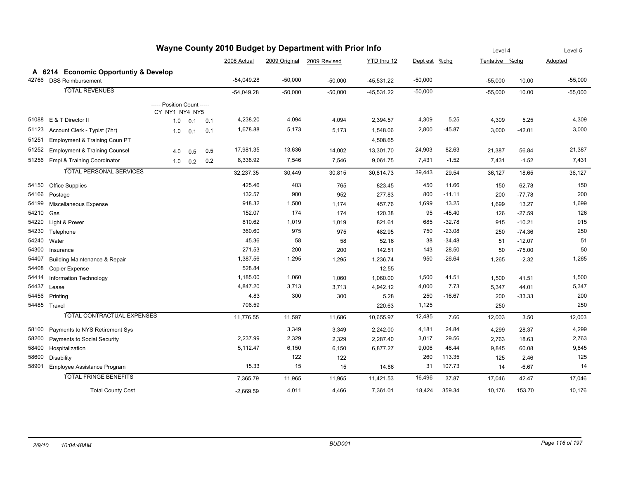| Wayne County 2010 Budget by Department with Prior Info |                                          |                                              |     |     |              |           |                            |              |               |          |                | Level 4  |           |  |
|--------------------------------------------------------|------------------------------------------|----------------------------------------------|-----|-----|--------------|-----------|----------------------------|--------------|---------------|----------|----------------|----------|-----------|--|
|                                                        |                                          |                                              |     |     | 2008 Actual  |           | 2009 Original 2009 Revised | YTD thru 12  | Dept est %chg |          | Tentative %chg |          | Adopted   |  |
|                                                        | A 6214 Economic Opportuntly & Develop    |                                              |     |     |              |           |                            |              |               |          |                |          |           |  |
|                                                        | 42766 DSS Reimbursement                  |                                              |     |     | $-54,049.28$ | $-50,000$ | $-50,000$                  | $-45,531.22$ | $-50,000$     |          | $-55,000$      | 10.00    | $-55,000$ |  |
|                                                        | <b>TOTAL REVENUES</b>                    |                                              |     |     | $-54,049.28$ | $-50,000$ | $-50,000$                  | $-45,531.22$ | $-50,000$     |          | $-55,000$      | 10.00    | $-55,000$ |  |
|                                                        |                                          | ----- Position Count -----<br>CY_NY1_NY4_NY5 |     |     |              |           |                            |              |               |          |                |          |           |  |
| 51088                                                  | E & T Director II                        | 1.0                                          | 0.1 | 0.1 | 4,238.20     | 4,094     | 4,094                      | 2,394.57     | 4,309         | 5.25     | 4,309          | 5.25     | 4,309     |  |
| 51123                                                  | Account Clerk - Typist (7hr)             | 1.0                                          | 0.1 | 0.1 | 1,678.88     | 5,173     | 5,173                      | 1,548.06     | 2,800         | $-45.87$ | 3,000          | -42.01   | 3,000     |  |
| 51251                                                  | Employment & Training Coun PT            |                                              |     |     |              |           |                            | 4,508.65     |               |          |                |          |           |  |
| 51252                                                  | <b>Employment &amp; Training Counsel</b> | 4.0                                          | 0.5 | 0.5 | 17,981.35    | 13,636    | 14,002                     | 13,301.70    | 24,903        | 82.63    | 21,387         | 56.84    | 21,387    |  |
| 51256                                                  | Empl & Training Coordinator              | 1.0                                          | 0.2 | 0.2 | 8,338.92     | 7,546     | 7,546                      | 9,061.75     | 7,431         | $-1.52$  | 7,431          | $-1.52$  | 7,431     |  |
|                                                        | <b>TOTAL PERSONAL SERVICES</b>           |                                              |     |     | 32,237.35    | 30,449    | 30,815                     | 30,814.73    | 39,443        | 29.54    | 36,127         | 18.65    | 36,127    |  |
| 54150                                                  | <b>Office Supplies</b>                   |                                              |     |     | 425.46       | 403       | 765                        | 823.45       | 450           | 11.66    | 150            | $-62.78$ | 150       |  |
| 54166                                                  | Postage                                  |                                              |     |     | 132.57       | 900       | 952                        | 277.83       | 800           | $-11.11$ | 200            | $-77.78$ | 200       |  |
| 54199                                                  | Miscellaneous Expense                    |                                              |     |     | 918.32       | 1,500     | 1,174                      | 457.76       | 1,699         | 13.25    | 1,699          | 13.27    | 1,699     |  |
| 54210                                                  | Gas                                      |                                              |     |     | 152.07       | 174       | 174                        | 120.38       | 95            | $-45.40$ | 126            | $-27.59$ | 126       |  |
| 54220                                                  | Light & Power                            |                                              |     |     | 810.62       | 1,019     | 1,019                      | 821.61       | 685           | $-32.78$ | 915            | $-10.21$ | 915       |  |
| 54230                                                  | Telephone                                |                                              |     |     | 360.60       | 975       | 975                        | 482.95       | 750           | $-23.08$ | 250            | $-74.36$ | 250       |  |
| 54240                                                  | Water                                    |                                              |     |     | 45.36        | 58        | 58                         | 52.16        | 38            | $-34.48$ | 51             | $-12.07$ | 51        |  |
| 54300                                                  | Insurance                                |                                              |     |     | 271.53       | 200       | 200                        | 142.51       | 143           | $-28.50$ | 50             | $-75.00$ | 50        |  |
| 54407                                                  | <b>Building Maintenance &amp; Repair</b> |                                              |     |     | 1,387.56     | 1,295     | 1,295                      | 1,236.74     | 950           | $-26.64$ | 1,265          | $-2.32$  | 1,265     |  |
| 54408                                                  | Copier Expense                           |                                              |     |     | 528.84       |           |                            | 12.55        |               |          |                |          |           |  |
| 54414                                                  | Information Technology                   |                                              |     |     | 1,185.00     | 1,060     | 1,060                      | 1,060.00     | 1,500         | 41.51    | 1,500          | 41.51    | 1,500     |  |
| 54437                                                  | Lease                                    |                                              |     |     | 4,847.20     | 3,713     | 3,713                      | 4,942.12     | 4,000         | 7.73     | 5,347          | 44.01    | 5,347     |  |
| 54456                                                  | Printing                                 |                                              |     |     | 4.83         | 300       | 300                        | 5.28         | 250           | $-16.67$ | 200            | $-33.33$ | 200       |  |
|                                                        | 54485 Travel                             |                                              |     |     | 706.59       |           |                            | 220.63       | 1,125         |          | 250            |          | 250       |  |
|                                                        | <b>TOTAL CONTRACTUAL EXPENSES</b>        |                                              |     |     | 11,776.55    | 11,597    | 11,686                     | 10,655.97    | 12,485        | 7.66     | 12,003         | 3.50     | 12,003    |  |
| 58100                                                  | Payments to NYS Retirement Sys           |                                              |     |     |              | 3,349     | 3,349                      | 2,242.00     | 4,181         | 24.84    | 4,299          | 28.37    | 4,299     |  |
| 58200                                                  | Payments to Social Security              |                                              |     |     | 2,237.99     | 2,329     | 2,329                      | 2,287.40     | 3,017         | 29.56    | 2,763          | 18.63    | 2,763     |  |
| 58400                                                  | Hospitalization                          |                                              |     |     | 5,112.47     | 6,150     | 6,150                      | 6,877.27     | 9,006         | 46.44    | 9,845          | 60.08    | 9,845     |  |
| 58600                                                  | Disability                               |                                              |     |     |              | 122       | 122                        |              | 260           | 113.35   | 125            | 2.46     | 125       |  |
| 58901                                                  | Employee Assistance Program              |                                              |     |     | 15.33        | 15        | 15                         | 14.86        | 31            | 107.73   | 14             | $-6.67$  | 14        |  |
|                                                        | <b>TOTAL FRINGE BENEFITS</b>             |                                              |     |     | 7,365.79     | 11,965    | 11,965                     | 11,421.53    | 16,496        | 37.87    | 17,046         | 42.47    | 17,046    |  |
|                                                        | <b>Total County Cost</b>                 |                                              |     |     | $-2.669.59$  | 4,011     | 4,466                      | 7,361.01     | 18,424        | 359.34   | 10.176         | 153.70   | 10,176    |  |

#### *2/9/10 10:04:48AM BUD001 Page 116 of 197*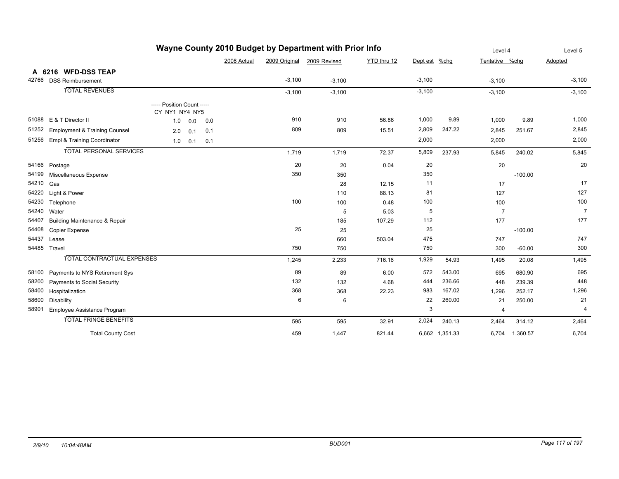|       |                                          |                                              | Level 4 | Level 5 |             |               |              |             |               |                |                |           |                |
|-------|------------------------------------------|----------------------------------------------|---------|---------|-------------|---------------|--------------|-------------|---------------|----------------|----------------|-----------|----------------|
|       |                                          |                                              |         |         | 2008 Actual | 2009 Original | 2009 Revised | YTD thru 12 | Dept est %chg |                | Tentative %chg |           | Adopted        |
|       | A 6216 WFD-DSS TEAP                      |                                              |         |         |             |               |              |             |               |                |                |           |                |
| 42766 | <b>DSS Reimbursement</b>                 |                                              |         |         |             | $-3,100$      | $-3,100$     |             | $-3,100$      |                | $-3,100$       |           | $-3,100$       |
|       | <b>TOTAL REVENUES</b>                    |                                              |         |         |             | $-3,100$      | $-3,100$     |             | $-3,100$      |                | $-3,100$       |           | $-3,100$       |
|       |                                          | ----- Position Count -----<br>CY NY1 NY4 NY5 |         |         |             |               |              |             |               |                |                |           |                |
| 51088 | E & T Director II                        | 1.0                                          | 0.0     | 0.0     |             | 910           | 910          | 56.86       | 1,000         | 9.89           | 1,000          | 9.89      | 1,000          |
| 51252 | <b>Employment &amp; Training Counsel</b> | 2.0                                          | 0.1     | 0.1     |             | 809           | 809          | 15.51       | 2,809         | 247.22         | 2,845          | 251.67    | 2,845          |
| 51256 | Empl & Training Coordinator              | 1.0                                          | 0.1     | 0.1     |             |               |              |             | 2,000         |                | 2,000          |           | 2,000          |
|       | <b>TOTAL PERSONAL SERVICES</b>           |                                              |         |         |             | 1,719         | 1,719        | 72.37       | 5,809         | 237.93         | 5,845          | 240.02    | 5,845          |
| 54166 | Postage                                  |                                              |         |         |             | 20            | 20           | 0.04        | 20            |                | 20             |           | 20             |
| 54199 | Miscellaneous Expense                    |                                              |         |         |             | 350           | 350          |             | 350           |                |                | $-100.00$ |                |
| 54210 | Gas                                      |                                              |         |         |             |               | 28           | 12.15       | 11            |                | 17             |           | 17             |
| 54220 | Light & Power                            |                                              |         |         |             |               | 110          | 88.13       | 81            |                | 127            |           | 127            |
| 54230 | Telephone                                |                                              |         |         |             | 100           | 100          | 0.48        | 100           |                | 100            |           | 100            |
| 54240 | Water                                    |                                              |         |         |             |               | 5            | 5.03        | 5             |                | $\overline{7}$ |           | $\overline{7}$ |
| 54407 | <b>Building Maintenance &amp; Repair</b> |                                              |         |         |             |               | 185          | 107.29      | 112           |                | 177            |           | 177            |
| 54408 | <b>Copier Expense</b>                    |                                              |         |         |             | 25            | 25           |             | 25            |                |                | $-100.00$ |                |
| 54437 | Lease                                    |                                              |         |         |             |               | 660          | 503.04      | 475           |                | 747            |           | 747            |
| 54485 | Travel                                   |                                              |         |         |             | 750           | 750          |             | 750           |                | 300            | $-60.00$  | 300            |
|       | <b>TOTAL CONTRACTUAL EXPENSES</b>        |                                              |         |         |             | 1,245         | 2,233        | 716.16      | 1,929         | 54.93          | 1,495          | 20.08     | 1,495          |
| 58100 | Payments to NYS Retirement Sys           |                                              |         |         |             | 89            | 89           | 6.00        | 572           | 543.00         | 695            | 680.90    | 695            |
| 58200 | Payments to Social Security              |                                              |         |         |             | 132           | 132          | 4.68        | 444           | 236.66         | 448            | 239.39    | 448            |
| 58400 | Hospitalization                          |                                              |         |         |             | 368           | 368          | 22.23       | 983           | 167.02         | 1,296          | 252.17    | 1,296          |
| 58600 | <b>Disability</b>                        |                                              |         |         |             | 6             | 6            |             | 22            | 260.00         | 21             | 250.00    | 21             |
| 58901 | Employee Assistance Program              |                                              |         |         |             |               |              |             | 3             |                | 4              |           | $\overline{4}$ |
|       | <b>TOTAL FRINGE BENEFITS</b>             |                                              |         |         |             | 595           | 595          | 32.91       | 2,024         | 240.13         | 2,464          | 314.12    | 2,464          |
|       | <b>Total County Cost</b>                 |                                              |         |         |             | 459           | 1,447        | 821.44      |               | 6,662 1,351.33 | 6,704          | 1,360.57  | 6,704          |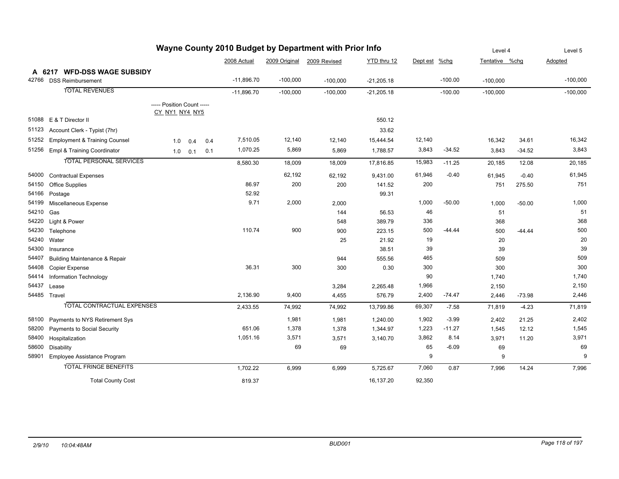|       | Wayne County 2010 Budget by Department with Prior Info |                                              |     |     |              |               |              |              |               |           |                |          | Level 5    |
|-------|--------------------------------------------------------|----------------------------------------------|-----|-----|--------------|---------------|--------------|--------------|---------------|-----------|----------------|----------|------------|
|       |                                                        |                                              |     |     | 2008 Actual  | 2009 Original | 2009 Revised | YTD thru 12  | Dept est %chg |           | Tentative %chq |          | Adopted    |
|       | A 6217 WFD-DSS WAGE SUBSIDY                            |                                              |     |     |              |               |              |              |               |           |                |          |            |
|       | 42766 DSS Reimbursement                                |                                              |     |     | $-11,896.70$ | $-100,000$    | $-100,000$   | $-21,205.18$ |               | $-100.00$ | $-100,000$     |          | $-100,000$ |
|       | <b>TOTAL REVENUES</b>                                  |                                              |     |     | $-11.896.70$ | $-100,000$    | $-100,000$   | $-21,205.18$ |               | $-100.00$ | $-100,000$     |          | $-100,000$ |
|       |                                                        | ----- Position Count -----<br>CY NY1 NY4 NY5 |     |     |              |               |              |              |               |           |                |          |            |
| 51088 | E & T Director II                                      |                                              |     |     |              |               |              | 550.12       |               |           |                |          |            |
| 51123 | Account Clerk - Typist (7hr)                           |                                              |     |     |              |               |              | 33.62        |               |           |                |          |            |
| 51252 | <b>Employment &amp; Training Counsel</b>               | 1.0                                          | 0.4 | 0.4 | 7,510.05     | 12,140        | 12,140       | 15,444.54    | 12,140        |           | 16,342         | 34.61    | 16,342     |
| 51256 | Empl & Training Coordinator                            | 1.0                                          | 0.1 | 0.1 | 1,070.25     | 5,869         | 5,869        | 1,788.57     | 3,843         | $-34.52$  | 3,843          | $-34.52$ | 3,843      |
|       | <b>TOTAL PERSONAL SERVICES</b>                         |                                              |     |     | 8,580.30     | 18,009        | 18,009       | 17,816.85    | 15,983        | $-11.25$  | 20,185         | 12.08    | 20,185     |
| 54000 | <b>Contractual Expenses</b>                            |                                              |     |     |              | 62,192        | 62,192       | 9,431.00     | 61,946        | $-0.40$   | 61,945         | $-0.40$  | 61,945     |
| 54150 | <b>Office Supplies</b>                                 |                                              |     |     | 86.97        | 200           | 200          | 141.52       | 200           |           | 751            | 275.50   | 751        |
| 54166 | Postage                                                |                                              |     |     | 52.92        |               |              | 99.31        |               |           |                |          |            |
| 54199 | Miscellaneous Expense                                  |                                              |     |     | 9.71         | 2,000         | 2,000        |              | 1,000         | $-50.00$  | 1,000          | $-50.00$ | 1,000      |
| 54210 | Gas                                                    |                                              |     |     |              |               | 144          | 56.53        | 46            |           | 51             |          | 51         |
| 54220 | Light & Power                                          |                                              |     |     |              |               | 548          | 389.79       | 336           |           | 368            |          | 368        |
| 54230 | Telephone                                              |                                              |     |     | 110.74       | 900           | 900          | 223.15       | 500           | $-44.44$  | 500            | $-44.44$ | 500        |
| 54240 | Water                                                  |                                              |     |     |              |               | 25           | 21.92        | 19            |           | 20             |          | 20         |
| 54300 | Insurance                                              |                                              |     |     |              |               |              | 38.51        | 39            |           | 39             |          | 39         |
| 54407 | <b>Building Maintenance &amp; Repair</b>               |                                              |     |     |              |               | 944          | 555.56       | 465           |           | 509            |          | 509        |
| 54408 | Copier Expense                                         |                                              |     |     | 36.31        | 300           | 300          | 0.30         | 300           |           | 300            |          | 300        |
| 54414 | Information Technology                                 |                                              |     |     |              |               |              |              | 90            |           | 1,740          |          | 1,740      |
| 54437 | Lease                                                  |                                              |     |     |              |               | 3,284        | 2,265.48     | 1,966         |           | 2,150          |          | 2,150      |
|       | 54485 Travel                                           |                                              |     |     | 2,136.90     | 9,400         | 4,455        | 576.79       | 2,400         | $-74.47$  | 2,446          | $-73.98$ | 2,446      |
|       | <b>TOTAL CONTRACTUAL EXPENSES</b>                      |                                              |     |     | 2,433.55     | 74,992        | 74,992       | 13,799.86    | 69,307        | $-7.58$   | 71,819         | $-4.23$  | 71,819     |
| 58100 | Payments to NYS Retirement Sys                         |                                              |     |     |              | 1,981         | 1,981        | 1,240.00     | 1,902         | $-3.99$   | 2,402          | 21.25    | 2,402      |
| 58200 | Payments to Social Security                            |                                              |     |     | 651.06       | 1,378         | 1,378        | 1,344.97     | 1,223         | $-11.27$  | 1,545          | 12.12    | 1,545      |
| 58400 | Hospitalization                                        |                                              |     |     | 1,051.16     | 3,571         | 3,571        | 3,140.70     | 3,862         | 8.14      | 3,971          | 11.20    | 3,971      |
| 58600 | Disability                                             |                                              |     |     |              | 69            | 69           |              | 65            | $-6.09$   | 69             |          | 69         |
| 58901 | Employee Assistance Program                            |                                              |     |     |              |               |              |              | 9             |           | 9              |          | 9          |
|       | <b>TOTAL FRINGE BENEFITS</b>                           |                                              |     |     | 1,702.22     | 6,999         | 6,999        | 5,725.67     | 7,060         | 0.87      | 7,996          | 14.24    | 7,996      |
|       | <b>Total County Cost</b>                               |                                              |     |     | 819.37       |               |              | 16,137.20    | 92,350        |           |                |          |            |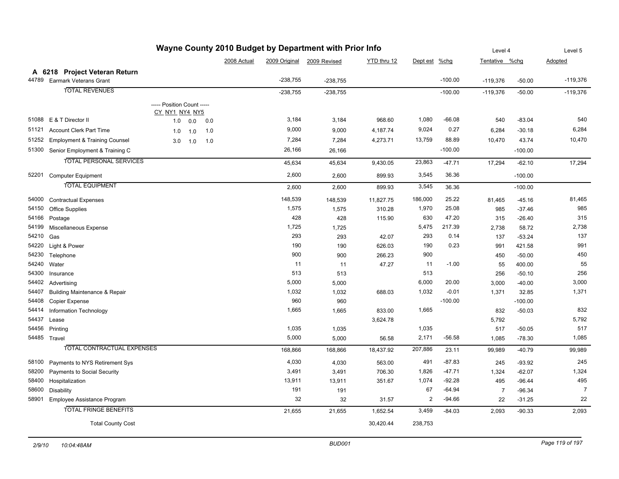| Wayne County 2010 Budget by Department with Prior Info |                                          |                                              |     |     |             |            |                            |             |              |           | Level 4        | Level 5   |                |
|--------------------------------------------------------|------------------------------------------|----------------------------------------------|-----|-----|-------------|------------|----------------------------|-------------|--------------|-----------|----------------|-----------|----------------|
|                                                        |                                          |                                              |     |     | 2008 Actual |            | 2009 Original 2009 Revised | YTD thru 12 | Dept est     | $%$ chg   | Tentative %chg |           | Adopted        |
|                                                        | A 6218 Project Veteran Return            |                                              |     |     |             |            |                            |             |              |           |                |           |                |
| 44789                                                  | Earmark Veterans Grant                   |                                              |     |     |             | $-238,755$ | $-238,755$                 |             |              | $-100.00$ | $-119,376$     | $-50.00$  | $-119,376$     |
|                                                        | <b>TOTAL REVENUES</b>                    |                                              |     |     |             | $-238,755$ | $-238,755$                 |             |              | $-100.00$ | $-119,376$     | $-50.00$  | $-119,376$     |
|                                                        |                                          |                                              |     |     |             |            |                            |             |              |           |                |           |                |
|                                                        |                                          | ----- Position Count -----<br>CY_NY1_NY4_NY5 |     |     |             |            |                            |             |              |           |                |           |                |
| 51088                                                  | E & T Director II                        | 1.0                                          | 0.0 | 0.0 |             | 3,184      | 3,184                      | 968.60      | 1,080        | $-66.08$  | 540            | $-83.04$  | 540            |
| 51121                                                  | <b>Account Clerk Part Time</b>           | 1.0                                          | 1.0 | 1.0 |             | 9,000      | 9,000                      | 4,187.74    | 9,024        | 0.27      | 6,284          | $-30.18$  | 6,284          |
| 51252                                                  | <b>Employment &amp; Training Counsel</b> | 3.0                                          | 1.0 | 1.0 |             | 7,284      | 7,284                      | 4,273.71    | 13,759       | 88.89     | 10,470         | 43.74     | 10,470         |
| 51300                                                  | Senior Employment & Training C           |                                              |     |     |             | 26,166     | 26,166                     |             |              | $-100.00$ |                | $-100.00$ |                |
|                                                        | <b>TOTAL PERSONAL SERVICES</b>           |                                              |     |     |             |            |                            |             |              |           |                |           |                |
|                                                        |                                          |                                              |     |     |             | 45,634     | 45,634                     | 9,430.05    | 23,863       | $-47.71$  | 17,294         | $-62.10$  | 17,294         |
| 52201                                                  | <b>Computer Equipment</b>                |                                              |     |     |             | 2,600      | 2,600                      | 899.93      | 3,545        | 36.36     |                | $-100.00$ |                |
|                                                        | <b>TOTAL EQUIPMENT</b>                   |                                              |     |     |             | 2,600      | 2,600                      | 899.93      | 3,545        | 36.36     |                | $-100.00$ |                |
| 54000                                                  | <b>Contractual Expenses</b>              |                                              |     |     |             | 148,539    | 148,539                    | 11,827.75   | 186,000      | 25.22     | 81,465         | $-45.16$  | 81,465         |
| 54150                                                  | <b>Office Supplies</b>                   |                                              |     |     |             | 1,575      | 1,575                      | 310.28      | 1,970        | 25.08     | 985            | $-37.46$  | 985            |
| 54166                                                  | Postage                                  |                                              |     |     |             | 428        | 428                        | 115.90      | 630          | 47.20     | 315            | $-26.40$  | 315            |
| 54199                                                  | Miscellaneous Expense                    |                                              |     |     |             | 1,725      | 1,725                      |             | 5,475        | 217.39    | 2,738          | 58.72     | 2,738          |
| 54210                                                  | Gas                                      |                                              |     |     |             | 293        | 293                        | 42.07       | 293          | 0.14      | 137            | $-53.24$  | 137            |
| 54220                                                  | Light & Power                            |                                              |     |     |             | 190        | 190                        | 626.03      | 190          | 0.23      | 991            | 421.58    | 991            |
| 54230                                                  | Telephone                                |                                              |     |     |             | 900        | 900                        | 266.23      | 900          |           | 450            | $-50.00$  | 450            |
| 54240                                                  | Water                                    |                                              |     |     |             | 11         | 11                         | 47.27       | 11           | $-1.00$   | 55             | 400.00    | 55             |
| 54300                                                  | Insurance                                |                                              |     |     |             | 513        | 513                        |             | 513          |           | 256            | $-50.10$  | 256            |
| 54402                                                  | Advertising                              |                                              |     |     |             | 5,000      | 5,000                      |             | 6,000        | 20.00     | 3,000          | $-40.00$  | 3,000          |
| 54407                                                  | <b>Building Maintenance &amp; Repair</b> |                                              |     |     |             | 1,032      | 1,032                      | 688.03      | 1,032        | $-0.01$   | 1,371          | 32.85     | 1,371          |
| 54408                                                  | <b>Copier Expense</b>                    |                                              |     |     |             | 960        | 960                        |             |              | $-100.00$ |                | $-100.00$ |                |
| 54414                                                  | Information Technology                   |                                              |     |     |             | 1,665      | 1,665                      | 833.00      | 1,665        |           | 832            | $-50.03$  | 832            |
| 54437                                                  | Lease                                    |                                              |     |     |             |            |                            | 3,624.78    |              |           | 5,792          |           | 5,792          |
| 54456                                                  | Printing                                 |                                              |     |     |             | 1,035      | 1,035                      |             | 1,035        |           | 517            | $-50.05$  | 517            |
|                                                        | 54485 Travel                             |                                              |     |     |             | 5,000      | 5,000                      | 56.58       | 2,171        | $-56.58$  | 1,085          | $-78.30$  | 1,085          |
|                                                        | TOTAL CONTRACTUAL EXPENSES               |                                              |     |     |             | 168,866    | 168,866                    | 18,437.92   | 207,886      | 23.11     | 99,989         | $-40.79$  | 99,989         |
| 58100                                                  | Payments to NYS Retirement Sys           |                                              |     |     |             | 4,030      | 4,030                      | 563.00      | 491          | $-87.83$  | 245            | $-93.92$  | 245            |
| 58200                                                  | Payments to Social Security              |                                              |     |     |             | 3,491      | 3,491                      | 706.30      | 1,826        | $-47.71$  | 1,324          | $-62.07$  | 1,324          |
| 58400                                                  | Hospitalization                          |                                              |     |     |             | 13,911     | 13,911                     | 351.67      | 1,074        | $-92.28$  | 495            | $-96.44$  | 495            |
| 58600                                                  | Disability                               |                                              |     |     |             | 191        | 191                        |             | 67           | $-64.94$  | $\overline{7}$ | $-96.34$  | $\overline{7}$ |
| 58901                                                  | Employee Assistance Program              |                                              |     |     |             | 32         | 32                         | 31.57       | $\mathbf{2}$ | $-94.66$  | 22             | $-31.25$  | 22             |
|                                                        | <b>TOTAL FRINGE BENEFITS</b>             |                                              |     |     |             | 21,655     | 21,655                     | 1,652.54    | 3,459        | $-84.03$  | 2,093          | $-90.33$  | 2,093          |
|                                                        | <b>Total County Cost</b>                 |                                              |     |     |             |            |                            | 30,420.44   | 238,753      |           |                |           |                |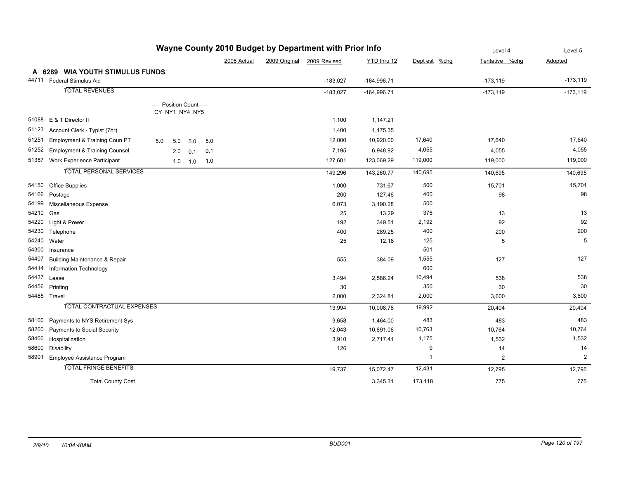|           |                                          | <b>The County 2010 Budget by Department with Frior line</b> |             |               |              |               |               | Level 4        | Level 5        |
|-----------|------------------------------------------|-------------------------------------------------------------|-------------|---------------|--------------|---------------|---------------|----------------|----------------|
|           |                                          |                                                             | 2008 Actual | 2009 Original | 2009 Revised | YTD thru 12   | Dept est %chg | Tentative %chg | Adopted        |
|           | A 6289 WIA YOUTH STIMULUS FUNDS          |                                                             |             |               |              |               |               |                |                |
|           | 44711 Federal Stimulus Aid               |                                                             |             |               | $-183,027$   | $-164,996.71$ |               | $-173,119$     | $-173,119$     |
|           | <b>TOTAL REVENUES</b>                    |                                                             |             |               | $-183,027$   | $-164,996.71$ |               | $-173,119$     | $-173,119$     |
|           |                                          | ----- Position Count -----                                  |             |               |              |               |               |                |                |
|           |                                          | CY_NY1_NY4_NY5                                              |             |               |              |               |               |                |                |
|           | 51088 E & T Director II                  |                                                             |             |               | 1,100        | 1,147.21      |               |                |                |
|           | 51123 Account Clerk - Typist (7hr)       |                                                             |             |               | 1,400        | 1,175.35      |               |                |                |
|           | 51251 Employment & Training Coun PT      | 5.0<br>5.0<br>5.0<br>5.0                                    |             |               | 12,000       | 10,920.00     | 17,640        | 17,640         | 17,640         |
|           | 51252 Employment & Training Counsel      | 2.0<br>0.1<br>0.1                                           |             |               | 7,195        | 6,948.92      | 4,055         | 4,055          | 4,055          |
|           | 51357 Work Experience Participant        | 1.0<br>1.0<br>1.0                                           |             |               | 127,601      | 123,069.29    | 119,000       | 119,000        | 119,000        |
|           | <b>TOTAL PERSONAL SERVICES</b>           |                                                             |             |               | 149,296      | 143,260.77    | 140,695       | 140,695        | 140,695        |
|           | 54150 Office Supplies                    |                                                             |             |               | 1,000        | 731.67        | 500           | 15,701         | 15,701         |
|           | 54166 Postage                            |                                                             |             |               | 200          | 127.46        | 400           | 98             | 98             |
|           | 54199 Miscellaneous Expense              |                                                             |             |               | 6,073        | 3,190.28      | 500           |                |                |
| 54210 Gas |                                          |                                                             |             |               | 25           | 13.29         | 375           | 13             | 13             |
| 54220     | Light & Power                            |                                                             |             |               | 192          | 349.51        | 2,192         | 92             | 92             |
| 54230     | Telephone                                |                                                             |             |               | 400          | 289.25        | 400           | 200            | 200            |
| 54240     | Water                                    |                                                             |             |               | 25           | 12.18         | 125           | 5              | 5              |
| 54300     | Insurance                                |                                                             |             |               |              |               | 501           |                |                |
| 54407     | <b>Building Maintenance &amp; Repair</b> |                                                             |             |               | 555          | 384.09        | 1,555         | 127            | 127            |
| 54414     | <b>Information Technology</b>            |                                                             |             |               |              |               | 600           |                |                |
| 54437     | Lease                                    |                                                             |             |               | 3,494        | 2,586.24      | 10,494        | 538            | 538            |
|           | 54456 Printing                           |                                                             |             |               | 30           |               | 350           | 30             | 30             |
|           | 54485 Travel                             |                                                             |             |               | 2,000        | 2,324.81      | 2,000         | 3,600          | 3,600          |
|           | <b>TOTAL CONTRACTUAL EXPENSES</b>        |                                                             |             |               | 13,994       | 10,008.78     | 19,992        | 20,404         | 20,404         |
| 58100     | Payments to NYS Retirement Sys           |                                                             |             |               | 3,658        | 1,464.00      | 483           | 483            | 483            |
| 58200     | Payments to Social Security              |                                                             |             |               | 12,043       | 10,891.06     | 10,763        | 10,764         | 10,764         |
| 58400     | Hospitalization                          |                                                             |             |               | 3,910        | 2,717.41      | 1,175         | 1,532          | 1,532          |
| 58600     | Disability                               |                                                             |             |               | 126          |               | 9             | 14             | 14             |
| 58901     | Employee Assistance Program              |                                                             |             |               |              |               | $\mathbf{1}$  | 2              | $\overline{2}$ |
|           | <b>TOTAL FRINGE BENEFITS</b>             |                                                             |             |               | 19,737       | 15,072.47     | 12,431        | 12,795         | 12,795         |
|           | <b>Total County Cost</b>                 |                                                             |             |               |              | 3,345.31      | 173,118       | 775            | 775            |

### **Wayne County 2010 Budget by Department with Prior Info**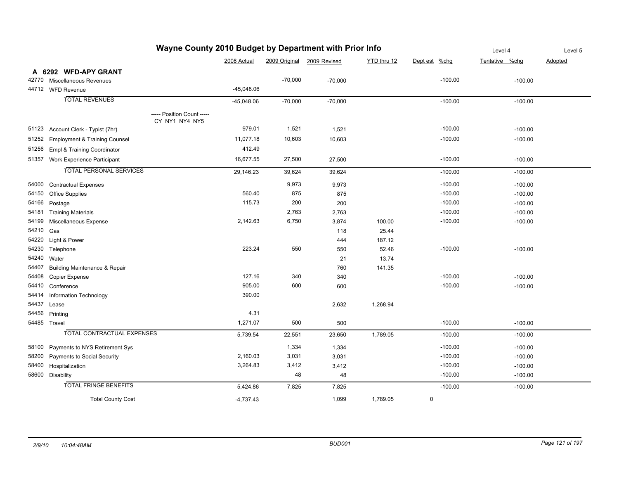|           |                                              | wayne County 2010 Budget by Department with Prior into |                            |           |             |                     | Level 4        | Level 5 |
|-----------|----------------------------------------------|--------------------------------------------------------|----------------------------|-----------|-------------|---------------------|----------------|---------|
|           |                                              | 2008 Actual                                            | 2009 Original 2009 Revised |           | YTD thru 12 | $%$ chg<br>Dept est | Tentative %chg | Adopted |
| A         | 6292 WFD-APY GRANT                           |                                                        |                            |           |             |                     |                |         |
| 42770     | Miscellaneous Revenues                       |                                                        | $-70,000$                  | $-70,000$ |             | $-100.00$           | $-100.00$      |         |
|           | 44712 WFD Revenue                            | $-45,048.06$                                           |                            |           |             |                     |                |         |
|           | <b>TOTAL REVENUES</b>                        | $-45,048.06$                                           | $-70,000$                  | $-70,000$ |             | $-100.00$           | $-100.00$      |         |
|           | ----- Position Count -----<br>CY_NY1_NY4_NY5 |                                                        |                            |           |             |                     |                |         |
| 51123     | Account Clerk - Typist (7hr)                 | 979.01                                                 | 1,521                      | 1,521     |             | $-100.00$           | $-100.00$      |         |
| 51252     | <b>Employment &amp; Training Counsel</b>     | 11,077.18                                              | 10,603                     | 10,603    |             | $-100.00$           | $-100.00$      |         |
| 51256     | Empl & Training Coordinator                  | 412.49                                                 |                            |           |             |                     |                |         |
|           | 51357 Work Experience Participant            | 16,677.55                                              | 27,500                     | 27,500    |             | $-100.00$           | $-100.00$      |         |
|           | <b>TOTAL PERSONAL SERVICES</b>               | 29,146.23                                              | 39,624                     | 39,624    |             | $-100.00$           | $-100.00$      |         |
| 54000     | <b>Contractual Expenses</b>                  |                                                        | 9,973                      | 9,973     |             | $-100.00$           | $-100.00$      |         |
| 54150     | <b>Office Supplies</b>                       | 560.40                                                 | 875                        | 875       |             | $-100.00$           | $-100.00$      |         |
| 54166     | Postage                                      | 115.73                                                 | 200                        | 200       |             | $-100.00$           | $-100.00$      |         |
| 54181     | <b>Training Materials</b>                    |                                                        | 2,763                      | 2,763     |             | $-100.00$           | $-100.00$      |         |
| 54199     | Miscellaneous Expense                        | 2,142.63                                               | 6,750                      | 3,874     | 100.00      | $-100.00$           | $-100.00$      |         |
| 54210 Gas |                                              |                                                        |                            | 118       | 25.44       |                     |                |         |
| 54220     | Light & Power                                |                                                        |                            | 444       | 187.12      |                     |                |         |
| 54230     | Telephone                                    | 223.24                                                 | 550                        | 550       | 52.46       | $-100.00$           | $-100.00$      |         |
|           | 54240 Water                                  |                                                        |                            | 21        | 13.74       |                     |                |         |
| 54407     | <b>Building Maintenance &amp; Repair</b>     |                                                        |                            | 760       | 141.35      |                     |                |         |
| 54408     | Copier Expense                               | 127.16                                                 | 340                        | 340       |             | $-100.00$           | $-100.00$      |         |
| 54410     | Conference                                   | 905.00                                                 | 600                        | 600       |             | $-100.00$           | $-100.00$      |         |
| 54414     | <b>Information Technology</b>                | 390.00                                                 |                            |           |             |                     |                |         |
| 54437     | Lease                                        |                                                        |                            | 2,632     | 1,268.94    |                     |                |         |
| 54456     | Printing                                     | 4.31                                                   |                            |           |             |                     |                |         |
|           | 54485 Travel                                 | 1,271.07                                               | 500                        | 500       |             | $-100.00$           | $-100.00$      |         |
|           | <b>TOTAL CONTRACTUAL EXPENSES</b>            | 5,739.54                                               | 22,551                     | 23,650    | 1,789.05    | $-100.00$           | $-100.00$      |         |
| 58100     | Payments to NYS Retirement Sys               |                                                        | 1,334                      | 1,334     |             | $-100.00$           | $-100.00$      |         |
| 58200     | Payments to Social Security                  | 2,160.03                                               | 3,031                      | 3,031     |             | $-100.00$           | $-100.00$      |         |
| 58400     | Hospitalization                              | 3,264.83                                               | 3,412                      | 3,412     |             | $-100.00$           | $-100.00$      |         |
|           | 58600 Disability                             |                                                        | 48                         | 48        |             | $-100.00$           | $-100.00$      |         |
|           | <b>TOTAL FRINGE BENEFITS</b>                 | 5,424.86                                               | 7,825                      | 7,825     |             | $-100.00$           | $-100.00$      |         |
|           | <b>Total County Cost</b>                     | $-4,737.43$                                            |                            | 1,099     | 1,789.05    | $\mathbf 0$         |                |         |

## **Wayne County 2010 Budget by Department with Prior Info**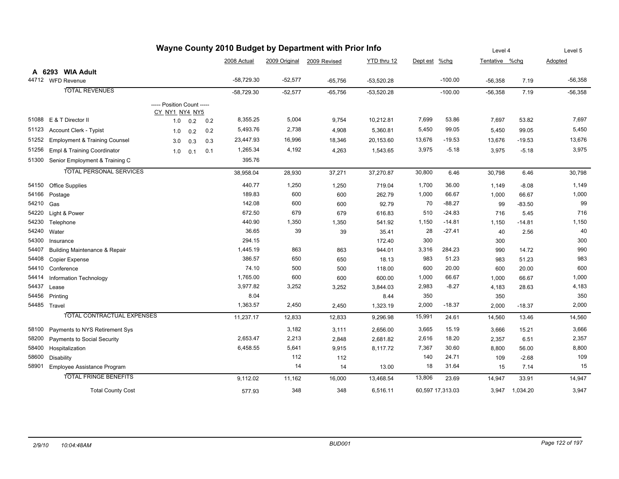| Wayne County 2010 Budget by Department with Prior Info |                                          |                            |     |     |              |           |                            | Level 4      |          | Level 5          |                |          |           |
|--------------------------------------------------------|------------------------------------------|----------------------------|-----|-----|--------------|-----------|----------------------------|--------------|----------|------------------|----------------|----------|-----------|
|                                                        |                                          |                            |     |     | 2008 Actual  |           | 2009 Original 2009 Revised | YTD thru 12  | Dept est | %chg             | Tentative %chq |          | Adopted   |
|                                                        | A 6293 WIA Adult                         |                            |     |     |              |           |                            |              |          |                  |                |          |           |
|                                                        | 44712 WFD Revenue                        |                            |     |     | $-58,729.30$ | $-52,577$ | $-65,756$                  | $-53,520.28$ |          | $-100.00$        | $-56,358$      | 7.19     | $-56,358$ |
|                                                        | <b>TOTAL REVENUES</b>                    |                            |     |     | $-58,729.30$ | $-52,577$ | $-65,756$                  | $-53,520.28$ |          | $-100.00$        | $-56,358$      | 7.19     | $-56,358$ |
|                                                        |                                          | ----- Position Count ----- |     |     |              |           |                            |              |          |                  |                |          |           |
|                                                        |                                          | CY_NY1_NY4_NY5             |     |     |              |           |                            |              |          |                  |                |          |           |
| 51088                                                  | E & T Director II                        | 1.0                        | 0.2 | 0.2 | 8,355.25     | 5,004     | 9,754                      | 10,212.81    | 7,699    | 53.86            | 7,697          | 53.82    | 7,697     |
| 51123                                                  | <b>Account Clerk - Typist</b>            | 1.0                        | 0.2 | 0.2 | 5,493.76     | 2,738     | 4,908                      | 5,360.81     | 5,450    | 99.05            | 5,450          | 99.05    | 5,450     |
| 51252                                                  | <b>Employment &amp; Training Counsel</b> | 3.0                        | 0.3 | 0.3 | 23,447.93    | 16,996    | 18,346                     | 20,153.60    | 13,676   | $-19.53$         | 13,676         | $-19.53$ | 13,676    |
| 51256                                                  | Empl & Training Coordinator              | 1.0                        | 0.1 | 0.1 | 1,265.34     | 4,192     | 4,263                      | 1,543.65     | 3,975    | $-5.18$          | 3,975          | $-5.18$  | 3,975     |
| 51300                                                  | Senior Employment & Training C           |                            |     |     | 395.76       |           |                            |              |          |                  |                |          |           |
|                                                        | <b>TOTAL PERSONAL SERVICES</b>           |                            |     |     | 38,958.04    | 28,930    | 37,271                     | 37,270.87    | 30,800   | 6.46             | 30,798         | 6.46     | 30,798    |
| 54150                                                  | <b>Office Supplies</b>                   |                            |     |     | 440.77       | 1,250     | 1,250                      | 719.04       | 1,700    | 36.00            | 1,149          | $-8.08$  | 1,149     |
| 54166                                                  | Postage                                  |                            |     |     | 189.83       | 600       | 600                        | 262.79       | 1,000    | 66.67            | 1,000          | 66.67    | 1,000     |
| 54210                                                  | Gas                                      |                            |     |     | 142.08       | 600       | 600                        | 92.79        | 70       | $-88.27$         | 99             | $-83.50$ | 99        |
| 54220                                                  | Light & Power                            |                            |     |     | 672.50       | 679       | 679                        | 616.83       | 510      | $-24.83$         | 716            | 5.45     | 716       |
| 54230                                                  | Telephone                                |                            |     |     | 440.90       | 1,350     | 1,350                      | 541.92       | 1,150    | $-14.81$         | 1,150          | $-14.81$ | 1,150     |
| 54240                                                  | Water                                    |                            |     |     | 36.65        | 39        | 39                         | 35.41        | 28       | $-27.41$         | 40             | 2.56     | 40        |
| 54300                                                  | Insurance                                |                            |     |     | 294.15       |           |                            | 172.40       | 300      |                  | 300            |          | 300       |
| 54407                                                  | <b>Building Maintenance &amp; Repair</b> |                            |     |     | 1,445.19     | 863       | 863                        | 944.01       | 3,316    | 284.23           | 990            | 14.72    | 990       |
| 54408                                                  | Copier Expense                           |                            |     |     | 386.57       | 650       | 650                        | 18.13        | 983      | 51.23            | 983            | 51.23    | 983       |
| 54410                                                  | Conference                               |                            |     |     | 74.10        | 500       | 500                        | 118.00       | 600      | 20.00            | 600            | 20.00    | 600       |
| 54414                                                  | Information Technology                   |                            |     |     | 1,765.00     | 600       | 600                        | 600.00       | 1,000    | 66.67            | 1,000          | 66.67    | 1,000     |
| 54437                                                  | Lease                                    |                            |     |     | 3,977.82     | 3,252     | 3,252                      | 3,844.03     | 2,983    | $-8.27$          | 4,183          | 28.63    | 4,183     |
| 54456                                                  | Printing                                 |                            |     |     | 8.04         |           |                            | 8.44         | 350      |                  | 350            |          | 350       |
|                                                        | 54485 Travel                             |                            |     |     | 1,363.57     | 2,450     | 2,450                      | 1,323.19     | 2,000    | $-18.37$         | 2,000          | $-18.37$ | 2,000     |
|                                                        | <b>TOTAL CONTRACTUAL EXPENSES</b>        |                            |     |     | 11,237.17    | 12,833    | 12,833                     | 9,296.98     | 15,991   | 24.61            | 14,560         | 13.46    | 14,560    |
| 58100                                                  | Payments to NYS Retirement Sys           |                            |     |     |              | 3,182     | 3,111                      | 2,656.00     | 3,665    | 15.19            | 3,666          | 15.21    | 3,666     |
| 58200                                                  | Payments to Social Security              |                            |     |     | 2,653.47     | 2,213     | 2,848                      | 2,681.82     | 2,616    | 18.20            | 2,357          | 6.51     | 2,357     |
| 58400                                                  | Hospitalization                          |                            |     |     | 6,458.55     | 5,641     | 9,915                      | 8,117.72     | 7,367    | 30.60            | 8,800          | 56.00    | 8,800     |
| 58600                                                  | Disability                               |                            |     |     |              | 112       | 112                        |              | 140      | 24.71            | 109            | $-2.68$  | 109       |
| 58901                                                  | Employee Assistance Program              |                            |     |     |              | 14        | 14                         | 13.00        | 18       | 31.64            | 15             | 7.14     | 15        |
|                                                        | <b>TOTAL FRINGE BENEFITS</b>             |                            |     |     | 9,112.02     | 11,162    | 16,000                     | 13,468.54    | 13,806   | 23.69            | 14,947         | 33.91    | 14,947    |
|                                                        | <b>Total County Cost</b>                 |                            |     |     | 577.93       | 348       | 348                        | 6,516.11     |          | 60,597 17,313.03 | 3,947          | 1,034.20 | 3,947     |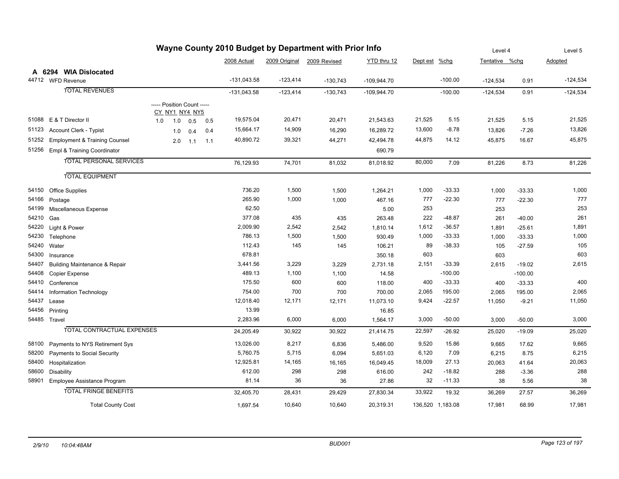| Wayne County 2010 Budget by Department with Prior Info |                                          |                                              |     |     |               |            |                            | Level 4       |          | Level 5          |                |           |            |
|--------------------------------------------------------|------------------------------------------|----------------------------------------------|-----|-----|---------------|------------|----------------------------|---------------|----------|------------------|----------------|-----------|------------|
|                                                        |                                          |                                              |     |     | 2008 Actual   |            | 2009 Original 2009 Revised | YTD thru 12   | Dept est | $%$ chg          | Tentative %chg |           | Adopted    |
|                                                        | A 6294 WIA Dislocated                    |                                              |     |     |               |            |                            |               |          |                  |                |           |            |
|                                                        | 44712 WFD Revenue                        |                                              |     |     | $-131,043.58$ | $-123,414$ | $-130,743$                 | $-109,944.70$ |          | $-100.00$        | $-124,534$     | 0.91      | $-124,534$ |
|                                                        | <b>TOTAL REVENUES</b>                    |                                              |     |     | $-131,043.58$ | $-123,414$ | $-130,743$                 | $-109,944.70$ |          | $-100.00$        | $-124,534$     | 0.91      | $-124,534$ |
|                                                        |                                          | ----- Position Count -----<br>CY_NY1_NY4_NY5 |     |     |               |            |                            |               |          |                  |                |           |            |
|                                                        | 51088 E & T Director II                  | 1.0<br>1.0                                   | 0.5 | 0.5 | 19,575.04     | 20,471     | 20,471                     | 21,543.63     | 21,525   | 5.15             | 21,525         | 5.15      | 21,525     |
| 51123                                                  | <b>Account Clerk - Typist</b>            | 1.0                                          | 0.4 | 0.4 | 15,664.17     | 14,909     | 16,290                     | 16,289.72     | 13,600   | $-8.78$          | 13,826         | $-7.26$   | 13,826     |
| 51252                                                  | <b>Employment &amp; Training Counsel</b> | 2.0                                          | 1.1 | 1.1 | 40,890.72     | 39,321     | 44,271                     | 42,494.78     | 44,875   | 14.12            | 45,875         | 16.67     | 45,875     |
| 51256                                                  | Empl & Training Coordinator              |                                              |     |     |               |            |                            | 690.79        |          |                  |                |           |            |
|                                                        | <b>TOTAL PERSONAL SERVICES</b>           |                                              |     |     | 76,129.93     | 74,701     | 81,032                     | 81,018.92     | 80,000   | 7.09             | 81,226         | 8.73      | 81,226     |
|                                                        | <b>TOTAL EQUIPMENT</b>                   |                                              |     |     |               |            |                            |               |          |                  |                |           |            |
| 54150                                                  | <b>Office Supplies</b>                   |                                              |     |     | 736.20        | 1,500      | 1,500                      | 1,264.21      | 1,000    | $-33.33$         | 1,000          | $-33.33$  | 1,000      |
| 54166                                                  | Postage                                  |                                              |     |     | 265.90        | 1,000      | 1,000                      | 467.16        | 777      | $-22.30$         | 777            | $-22.30$  | 777        |
| 54199                                                  | Miscellaneous Expense                    |                                              |     |     | 62.50         |            |                            | 5.00          | 253      |                  | 253            |           | 253        |
| 54210                                                  | Gas                                      |                                              |     |     | 377.08        | 435        | 435                        | 263.48        | 222      | $-48.87$         | 261            | $-40.00$  | 261        |
| 54220                                                  | Light & Power                            |                                              |     |     | 2,009.90      | 2,542      | 2,542                      | 1,810.14      | 1,612    | $-36.57$         | 1,891          | $-25.61$  | 1,891      |
| 54230                                                  | Telephone                                |                                              |     |     | 786.13        | 1,500      | 1,500                      | 930.49        | 1,000    | $-33.33$         | 1,000          | $-33.33$  | 1,000      |
| 54240                                                  | Water                                    |                                              |     |     | 112.43        | 145        | 145                        | 106.21        | 89       | $-38.33$         | 105            | $-27.59$  | 105        |
| 54300                                                  | Insurance                                |                                              |     |     | 678.81        |            |                            | 350.18        | 603      |                  | 603            |           | 603        |
| 54407                                                  | <b>Building Maintenance &amp; Repair</b> |                                              |     |     | 3,441.56      | 3,229      | 3,229                      | 2,731.18      | 2,151    | $-33.39$         | 2,615          | $-19.02$  | 2,615      |
| 54408                                                  | <b>Copier Expense</b>                    |                                              |     |     | 489.13        | 1,100      | 1,100                      | 14.58         |          | $-100.00$        |                | $-100.00$ |            |
| 54410                                                  | Conference                               |                                              |     |     | 175.50        | 600        | 600                        | 118.00        | 400      | $-33.33$         | 400            | $-33.33$  | 400        |
| 54414                                                  | Information Technology                   |                                              |     |     | 754.00        | 700        | 700                        | 700.00        | 2,065    | 195.00           | 2,065          | 195.00    | 2,065      |
| 54437                                                  | Lease                                    |                                              |     |     | 12,018.40     | 12,171     | 12,171                     | 11,073.10     | 9,424    | $-22.57$         | 11,050         | $-9.21$   | 11,050     |
| 54456                                                  | Printing                                 |                                              |     |     | 13.99         |            |                            | 16.85         |          |                  |                |           |            |
|                                                        | 54485 Travel                             |                                              |     |     | 2,283.96      | 6,000      | 6,000                      | 1,564.17      | 3,000    | $-50.00$         | 3,000          | $-50.00$  | 3,000      |
|                                                        | <b>TOTAL CONTRACTUAL EXPENSES</b>        |                                              |     |     | 24,205.49     | 30,922     | 30,922                     | 21,414.75     | 22,597   | $-26.92$         | 25,020         | $-19.09$  | 25,020     |
| 58100                                                  | Payments to NYS Retirement Sys           |                                              |     |     | 13,026.00     | 8,217      | 6,836                      | 5,486.00      | 9,520    | 15.86            | 9,665          | 17.62     | 9,665      |
| 58200                                                  | Payments to Social Security              |                                              |     |     | 5,760.75      | 5,715      | 6,094                      | 5,651.03      | 6,120    | 7.09             | 6,215          | 8.75      | 6,215      |
| 58400                                                  | Hospitalization                          |                                              |     |     | 12,925.81     | 14,165     | 16,165                     | 16,049.45     | 18,009   | 27.13            | 20,063         | 41.64     | 20,063     |
| 58600                                                  | Disability                               |                                              |     |     | 612.00        | 298        | 298                        | 616.00        | 242      | $-18.82$         | 288            | $-3.36$   | 288        |
| 58901                                                  | Employee Assistance Program              |                                              |     |     | 81.14         | 36         | 36                         | 27.86         | 32       | $-11.33$         | 38             | 5.56      | 38         |
|                                                        | <b>TOTAL FRINGE BENEFITS</b>             |                                              |     |     | 32,405.70     | 28,431     | 29,429                     | 27,830.34     | 33,922   | 19.32            | 36,269         | 27.57     | 36,269     |
|                                                        | <b>Total County Cost</b>                 |                                              |     |     | 1,697.54      | 10,640     | 10,640                     | 20,319.31     |          | 136,520 1,183.08 | 17,981         | 68.99     | 17,981     |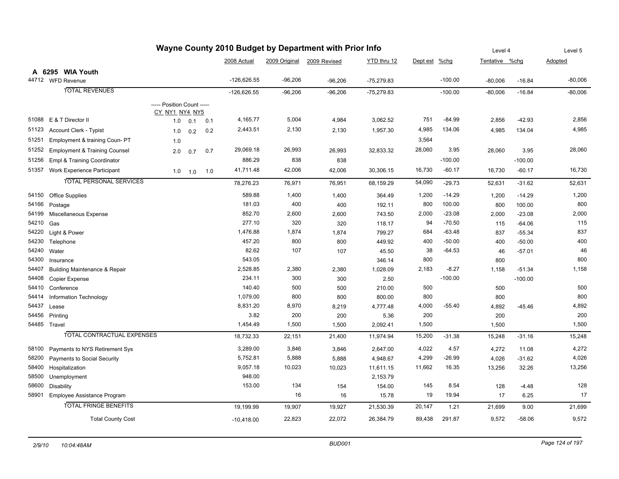| Wayne County 2010 Budget by Department with Prior Info |                                          |                                              |             |     | Level 4          |               | Level 5      |              |               |           |                |           |              |
|--------------------------------------------------------|------------------------------------------|----------------------------------------------|-------------|-----|------------------|---------------|--------------|--------------|---------------|-----------|----------------|-----------|--------------|
|                                                        |                                          |                                              |             |     | 2008 Actual      | 2009 Original | 2009 Revised | YTD thru 12  | Dept est %chg |           | Tentative %chg |           | Adopted      |
|                                                        | A 6295 WIA Youth                         |                                              |             |     |                  |               |              |              |               |           |                |           |              |
|                                                        | 44712 WFD Revenue                        |                                              |             |     | -126,626.55      | $-96,206$     | $-96,206$    | $-75,279.83$ |               | $-100.00$ | $-80,006$      | $-16.84$  | $-80,006$    |
|                                                        | <b>TOTAL REVENUES</b>                    |                                              |             |     | $-126,626.55$    | $-96,206$     | $-96,206$    | $-75,279.83$ |               | $-100.00$ | $-80,006$      | $-16.84$  | $-80,006$    |
|                                                        |                                          |                                              |             |     |                  |               |              |              |               |           |                |           |              |
|                                                        |                                          | ----- Position Count -----<br>CY_NY1_NY4_NY5 |             |     |                  |               |              |              |               |           |                |           |              |
| 51088                                                  | E & T Director II                        | 1.0                                          | 0.1         | 0.1 | 4,165.77         | 5,004         | 4,984        | 3,062.52     | 751           | $-84.99$  | 2,856          | $-42.93$  | 2,856        |
| 51123                                                  | <b>Account Clerk - Typist</b>            | 1.0                                          | 0.2         | 0.2 | 2,443.51         | 2,130         | 2,130        | 1,957.30     | 4,985         | 134.06    | 4,985          | 134.04    | 4,985        |
| 51251                                                  | Employment & training Coun- PT           | 1.0                                          |             |     |                  |               |              |              | 3,564         |           |                |           |              |
| 51252                                                  | <b>Employment &amp; Training Counsel</b> | 2.0                                          | 0.7         | 0.7 | 29,069.18        | 26,993        | 26,993       | 32,833.32    | 28,060        | 3.95      | 28,060         | 3.95      | 28,060       |
| 51256                                                  | Empl & Training Coordinator              |                                              |             |     | 886.29           | 838           | 838          |              |               | $-100.00$ |                | $-100.00$ |              |
| 51357                                                  | Work Experience Participant              |                                              | $1.0 \t1.0$ | 1.0 | 41,711.48        | 42,006        | 42,006       | 30,306.15    | 16,730        | $-60.17$  | 16,730         | $-60.17$  | 16,730       |
|                                                        | <b>TOTAL PERSONAL SERVICES</b>           |                                              |             |     | 78,276.23        | 76,971        | 76,951       | 68,159.29    | 54,090        | $-29.73$  | 52,631         | $-31.62$  | 52,631       |
|                                                        |                                          |                                              |             |     |                  |               |              |              |               |           |                |           |              |
| 54150                                                  | <b>Office Supplies</b>                   |                                              |             |     | 589.88           | 1,400         | 1,400        | 364.49       | 1,200         | $-14.29$  | 1,200          | $-14.29$  | 1,200<br>800 |
| 54166                                                  | Postage                                  |                                              |             |     | 181.03<br>852.70 | 400           | 400          | 192.11       | 800           | 100.00    | 800            | 100.00    | 2,000        |
| 54199                                                  | Miscellaneous Expense                    |                                              |             |     |                  | 2,600         | 2,600        | 743.50       | 2,000         | $-23.08$  | 2,000          | $-23.08$  |              |
| 54210                                                  | Gas                                      |                                              |             |     | 277.10           | 320           | 320          | 118.17       | 94            | $-70.50$  | 115            | $-64.06$  | 115          |
| 54220                                                  | Light & Power                            |                                              |             |     | 1,476.88         | 1,874         | 1,874        | 799.27       | 684           | $-63.48$  | 837            | $-55.34$  | 837          |
| 54230                                                  | Telephone                                |                                              |             |     | 457.20           | 800           | 800          | 449.92       | 400           | $-50.00$  | 400            | $-50.00$  | 400          |
| 54240                                                  | Water                                    |                                              |             |     | 82.62            | 107           | 107          | 45.50        | 38            | $-64.53$  | 46             | $-57.01$  | 46           |
| 54300                                                  | Insurance                                |                                              |             |     | 543.05           |               |              | 346.14       | 800           |           | 800            |           | 800          |
| 54407                                                  | <b>Building Maintenance &amp; Repair</b> |                                              |             |     | 2,528.85         | 2,380         | 2,380        | 1,028.09     | 2,183         | $-8.27$   | 1,158          | $-51.34$  | 1,158        |
| 54408                                                  | <b>Copier Expense</b>                    |                                              |             |     | 234.11           | 300           | 300          | 2.50         |               | $-100.00$ |                | $-100.00$ |              |
| 54410                                                  | Conference                               |                                              |             |     | 140.40           | 500           | 500          | 210.00       | 500           |           | 500            |           | 500          |
| 54414                                                  | Information Technology                   |                                              |             |     | 1,079.00         | 800           | 800          | 800.00       | 800           |           | 800            |           | 800          |
| 54437                                                  | Lease                                    |                                              |             |     | 8,831.20         | 8,970         | 8,219        | 4,777.48     | 4,000         | $-55.40$  | 4,892          | $-45.46$  | 4,892        |
| 54456                                                  | Printing                                 |                                              |             |     | 3.82             | 200           | 200          | 5.36         | 200           |           | 200            |           | 200          |
|                                                        | 54485 Travel                             |                                              |             |     | 1,454.49         | 1,500         | 1,500        | 2,092.41     | 1,500         |           | 1,500          |           | 1,500        |
|                                                        | <b>TOTAL CONTRACTUAL EXPENSES</b>        |                                              |             |     | 18,732.33        | 22,151        | 21,400       | 11,974.94    | 15,200        | $-31.38$  | 15,248         | $-31.16$  | 15,248       |
| 58100                                                  | Payments to NYS Retirement Sys           |                                              |             |     | 3,289.00         | 3,846         | 3,846        | 2,647.00     | 4,022         | 4.57      | 4,272          | 11.08     | 4,272        |
| 58200                                                  | Payments to Social Security              |                                              |             |     | 5,752.81         | 5,888         | 5,888        | 4,948.67     | 4,299         | -26.99    | 4,026          | $-31.62$  | 4,026        |
| 58400                                                  | Hospitalization                          |                                              |             |     | 9,057.18         | 10,023        | 10,023       | 11,611.15    | 11,662        | 16.35     | 13,256         | 32.26     | 13,256       |
| 58500                                                  | Unemployment                             |                                              |             |     | 948.00           |               |              | 2,153.79     |               |           |                |           |              |
| 58600                                                  | Disability                               |                                              |             |     | 153.00           | 134           | 154          | 154.00       | 145           | 8.54      | 128            | $-4.48$   | 128          |
| 58901                                                  | Employee Assistance Program              |                                              |             |     |                  | 16            | 16           | 15.78        | 19            | 19.94     | 17             | 6.25      | 17           |
|                                                        | <b>TOTAL FRINGE BENEFITS</b>             |                                              |             |     | 19,199.99        | 19,907        | 19,927       | 21,530.39    | 20,147        | 1.21      | 21,699         | 9.00      | 21,699       |
|                                                        | <b>Total County Cost</b>                 |                                              |             |     | $-10,418.00$     | 22,823        | 22,072       | 26,384.79    | 89,438        | 291.87    | 9,572          | $-58.06$  | 9,572        |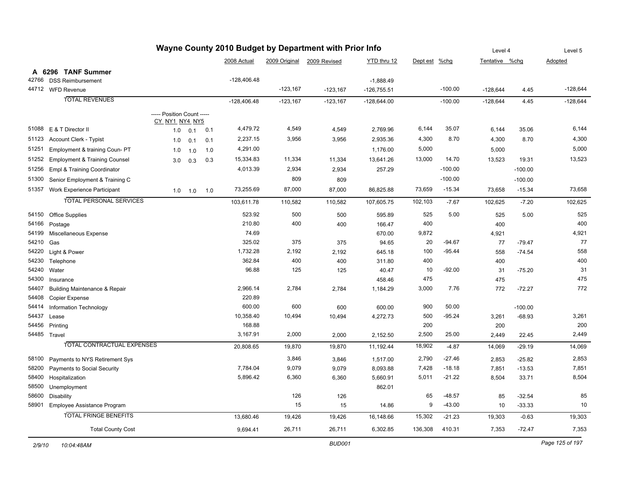| Wayne County 2010 Budget by Department with Prior Info |                                          |                            |     |     |               |            | Level 4                    |               | Level 5       |           |                |           |            |
|--------------------------------------------------------|------------------------------------------|----------------------------|-----|-----|---------------|------------|----------------------------|---------------|---------------|-----------|----------------|-----------|------------|
|                                                        |                                          |                            |     |     | 2008 Actual   |            | 2009 Original 2009 Revised | YTD thru 12   | Dept est %chg |           | Tentative %chg |           | Adopted    |
|                                                        | A 6296 TANF Summer                       |                            |     |     |               |            |                            |               |               |           |                |           |            |
| 42766                                                  | <b>DSS Reimbursement</b>                 |                            |     |     | $-128,406.48$ |            |                            | $-1,888.49$   |               |           |                |           |            |
|                                                        | 44712 WFD Revenue                        |                            |     |     |               | $-123,167$ | $-123,167$                 | $-126,755.51$ |               | $-100.00$ | $-128,644$     | 4.45      | $-128,644$ |
|                                                        | <b>TOTAL REVENUES</b>                    |                            |     |     | $-128,406.48$ | $-123,167$ | $-123,167$                 | $-128,644.00$ |               | $-100.00$ | $-128,644$     | 4.45      | $-128,644$ |
|                                                        |                                          | ----- Position Count ----- |     |     |               |            |                            |               |               |           |                |           |            |
|                                                        |                                          | <u>CY_NY1_NY4_NY5</u>      |     |     |               |            |                            |               |               |           |                |           |            |
|                                                        | 51088 E & T Director II                  | 1.0                        | 0.1 | 0.1 | 4,479.72      | 4,549      | 4,549                      | 2,769.96      | 6,144         | 35.07     | 6,144          | 35.06     | 6,144      |
| 51123                                                  | <b>Account Clerk - Typist</b>            | 1.0                        | 0.1 | 0.1 | 2,237.15      | 3,956      | 3,956                      | 2,935.36      | 4,300         | 8.70      | 4,300          | 8.70      | 4,300      |
| 51251                                                  | Employment & training Coun- PT           | 1.0                        | 1.0 | 1.0 | 4,291.00      |            |                            | 1,176.00      | 5,000         |           | 5,000          |           | 5,000      |
| 51252                                                  | <b>Employment &amp; Training Counsel</b> | 3.0                        | 0.3 | 0.3 | 15,334.83     | 11,334     | 11,334                     | 13,641.26     | 13,000        | 14.70     | 13,523         | 19.31     | 13,523     |
| 51256                                                  | Empl & Training Coordinator              |                            |     |     | 4,013.39      | 2,934      | 2,934                      | 257.29        |               | $-100.00$ |                | $-100.00$ |            |
| 51300                                                  | Senior Employment & Training C           |                            |     |     |               | 809        | 809                        |               |               | $-100.00$ |                | $-100.00$ |            |
| 51357                                                  | Work Experience Participant              | 1.0                        | 1.0 | 1.0 | 73,255.69     | 87,000     | 87,000                     | 86,825.88     | 73,659        | $-15.34$  | 73,658         | $-15.34$  | 73,658     |
|                                                        | <b>TOTAL PERSONAL SERVICES</b>           |                            |     |     | 103,611.78    | 110,582    | 110,582                    | 107,605.75    | 102,103       | $-7.67$   | 102,625        | $-7.20$   | 102,625    |
|                                                        |                                          |                            |     |     |               |            |                            |               |               |           |                |           |            |
| 54150                                                  | <b>Office Supplies</b>                   |                            |     |     | 523.92        | 500        | 500                        | 595.89        | 525           | 5.00      | 525            | 5.00      | 525        |
| 54166                                                  | Postage                                  |                            |     |     | 210.80        | 400        | 400                        | 166.47        | 400           |           | 400            |           | 400        |
| 54199                                                  | Miscellaneous Expense                    |                            |     |     | 74.69         |            |                            | 670.00        | 9,872         |           | 4,921          |           | 4,921      |
| 54210                                                  | Gas                                      |                            |     |     | 325.02        | 375        | 375                        | 94.65         | 20            | $-94.67$  | 77             | $-79.47$  | 77         |
| 54220                                                  | Light & Power                            |                            |     |     | 1,732.28      | 2,192      | 2,192                      | 645.18        | 100           | $-95.44$  | 558            | $-74.54$  | 558        |
| 54230                                                  | Telephone                                |                            |     |     | 362.84        | 400        | 400                        | 311.80        | 400           |           | 400            |           | 400        |
| 54240                                                  | Water                                    |                            |     |     | 96.88         | 125        | 125                        | 40.47         | 10            | $-92.00$  | 31             | $-75.20$  | 31         |
| 54300                                                  | Insurance                                |                            |     |     |               |            |                            | 458.46        | 475           |           | 475            |           | 475        |
| 54407                                                  | <b>Building Maintenance &amp; Repair</b> |                            |     |     | 2,966.14      | 2,784      | 2,784                      | 1,184.29      | 3,000         | 7.76      | 772            | $-72.27$  | 772        |
| 54408                                                  | <b>Copier Expense</b>                    |                            |     |     | 220.89        |            |                            |               |               |           |                |           |            |
| 54414                                                  | Information Technology                   |                            |     |     | 600.00        | 600        | 600                        | 600.00        | 900           | 50.00     |                | $-100.00$ |            |
| 54437                                                  | Lease                                    |                            |     |     | 10,358.40     | 10,494     | 10,494                     | 4,272.73      | 500           | $-95.24$  | 3,261          | $-68.93$  | 3,261      |
| 54456                                                  | Printing                                 |                            |     |     | 168.88        |            |                            |               | 200           |           | 200            |           | 200        |
|                                                        | 54485 Travel                             |                            |     |     | 3,167.91      | 2,000      | 2,000                      | 2,152.50      | 2,500         | 25.00     | 2,449          | 22.45     | 2,449      |
|                                                        | TOTAL CONTRACTUAL EXPENSES               |                            |     |     | 20,808.65     | 19,870     | 19,870                     | 11,192.44     | 18,902        | $-4.87$   | 14,069         | $-29.19$  | 14,069     |
| 58100                                                  | Payments to NYS Retirement Sys           |                            |     |     |               | 3,846      | 3,846                      | 1,517.00      | 2,790         | $-27.46$  | 2,853          | $-25.82$  | 2,853      |
| 58200                                                  | Payments to Social Security              |                            |     |     | 7,784.04      | 9,079      | 9,079                      | 8,093.88      | 7,428         | $-18.18$  | 7,851          | $-13.53$  | 7,851      |
| 58400                                                  | Hospitalization                          |                            |     |     | 5,896.42      | 6,360      | 6,360                      | 5,660.91      | 5,011         | $-21.22$  | 8,504          | 33.71     | 8,504      |
| 58500                                                  | Unemployment                             |                            |     |     |               |            |                            | 862.01        |               |           |                |           |            |
| 58600                                                  | Disability                               |                            |     |     |               | 126        | 126                        |               | 65            | $-48.57$  | 85             | $-32.54$  | 85         |
| 58901                                                  | <b>Employee Assistance Program</b>       |                            |     |     |               | 15         | 15                         | 14.86         | 9             | $-43.00$  | 10             | $-33.33$  | 10         |
|                                                        | <b>TOTAL FRINGE BENEFITS</b>             |                            |     |     | 13,680.46     | 19,426     | 19,426                     | 16,148.66     | 15,302        | $-21.23$  | 19,303         | $-0.63$   | 19,303     |
|                                                        | <b>Total County Cost</b>                 |                            |     |     | 9,694.41      | 26,711     | 26,711                     | 6,302.85      | 136,308       | 410.31    | 7,353          | $-72.47$  | 7,353      |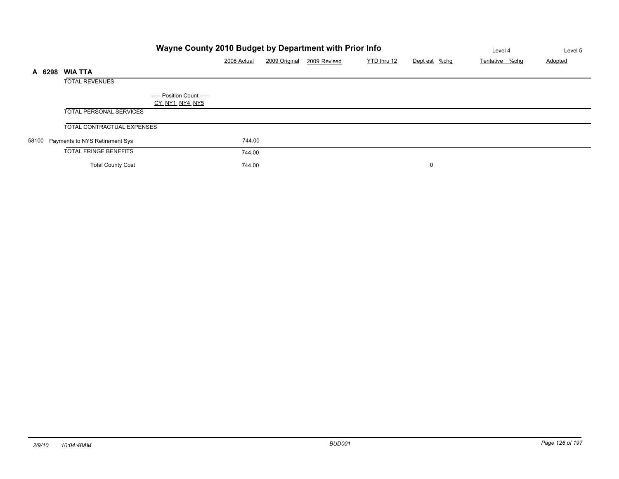|        |                                      |                                                     | Level 4     | Level 5       |              |             |               |                |         |
|--------|--------------------------------------|-----------------------------------------------------|-------------|---------------|--------------|-------------|---------------|----------------|---------|
|        |                                      |                                                     | 2008 Actual | 2009 Original | 2009 Revised | YTD thru 12 | Dept est %chg | Tentative %chg | Adopted |
| A 6298 | <b>WIA TTA</b>                       |                                                     |             |               |              |             |               |                |         |
|        | <b>TOTAL REVENUES</b>                |                                                     |             |               |              |             |               |                |         |
|        |                                      | ----- Position Count -----<br><u>CY_NY1_NY4_NY5</u> |             |               |              |             |               |                |         |
|        | <b>TOTAL PERSONAL SERVICES</b>       |                                                     |             |               |              |             |               |                |         |
|        | <b>TOTAL CONTRACTUAL EXPENSES</b>    |                                                     |             |               |              |             |               |                |         |
|        | 58100 Payments to NYS Retirement Sys |                                                     | 744.00      |               |              |             |               |                |         |
|        | <b>TOTAL FRINGE BENEFITS</b>         |                                                     | 744.00      |               |              |             |               |                |         |
|        | <b>Total County Cost</b>             |                                                     | 744.00      |               |              |             | 0             |                |         |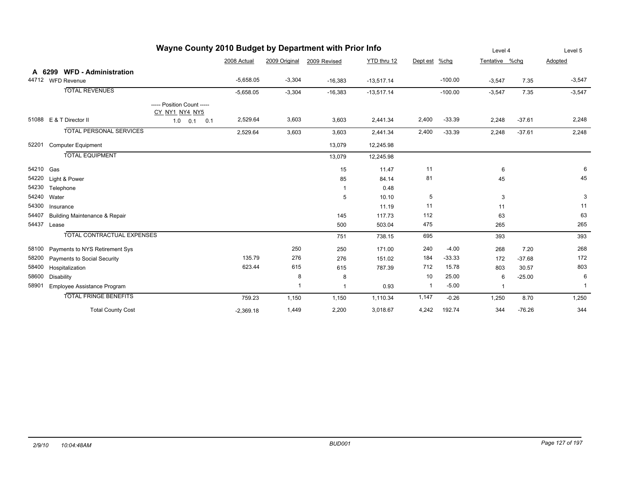| Wayne County 2010 Budget by Department with Prior Info |            |                                          |                                              |             |                         |                |              |                         |           |                | Level 4  |                |
|--------------------------------------------------------|------------|------------------------------------------|----------------------------------------------|-------------|-------------------------|----------------|--------------|-------------------------|-----------|----------------|----------|----------------|
|                                                        |            |                                          |                                              | 2008 Actual | 2009 Original           | 2009 Revised   | YTD thru 12  | Dept est %chg           |           | Tentative %chg |          | Adopted        |
|                                                        |            | A 6299 WFD - Administration              |                                              |             |                         |                |              |                         |           |                |          |                |
|                                                        |            | 44712 WFD Revenue                        |                                              | $-5,658.05$ | $-3,304$                | $-16,383$      | $-13,517.14$ |                         | $-100.00$ | $-3,547$       | 7.35     | $-3,547$       |
|                                                        |            | <b>TOTAL REVENUES</b>                    |                                              | $-5,658.05$ | $-3,304$                | $-16,383$      | $-13,517.14$ |                         | $-100.00$ | $-3,547$       | 7.35     | $-3,547$       |
|                                                        |            |                                          | ----- Position Count -----<br>CY_NY1_NY4_NY5 |             |                         |                |              |                         |           |                |          |                |
|                                                        |            | 51088 E & T Director II                  | 1.0<br>$0.1$ 0.1                             | 2,529.64    | 3,603                   | 3,603          | 2,441.34     | 2,400                   | $-33.39$  | 2,248          | $-37.61$ | 2,248          |
|                                                        |            | <b>TOTAL PERSONAL SERVICES</b>           |                                              | 2,529.64    | 3,603                   | 3,603          | 2,441.34     | 2,400                   | $-33.39$  | 2,248          | $-37.61$ | 2,248          |
| 52201                                                  |            | <b>Computer Equipment</b>                |                                              |             |                         | 13,079         | 12,245.98    |                         |           |                |          |                |
|                                                        |            | <b>TOTAL EQUIPMENT</b>                   |                                              |             |                         | 13,079         | 12,245.98    |                         |           |                |          |                |
| 54210 Gas                                              |            |                                          |                                              |             |                         | 15             | 11.47        | 11                      |           | 6              |          | 6              |
|                                                        |            | 54220 Light & Power                      |                                              |             |                         | 85             | 84.14        | 81                      |           | 45             |          | 45             |
| 54230                                                  |            | Telephone                                |                                              |             |                         | $\mathbf{1}$   | 0.48         |                         |           |                |          |                |
| 54240                                                  | Water      |                                          |                                              |             |                         | 5              | 10.10        | 5                       |           | 3              |          | 3              |
| 54300                                                  | Insurance  |                                          |                                              |             |                         |                | 11.19        | 11                      |           | 11             |          | 11             |
| 54407                                                  |            | <b>Building Maintenance &amp; Repair</b> |                                              |             |                         | 145            | 117.73       | 112                     |           | 63             |          | 63             |
| 54437                                                  | Lease      |                                          |                                              |             |                         | 500            | 503.04       | 475                     |           | 265            |          | 265            |
|                                                        |            | TOTAL CONTRACTUAL EXPENSES               |                                              |             |                         | 751            | 738.15       | 695                     |           | 393            |          | 393            |
| 58100                                                  |            | Payments to NYS Retirement Sys           |                                              |             | 250                     | 250            | 171.00       | 240                     | $-4.00$   | 268            | 7.20     | 268            |
| 58200                                                  |            | Payments to Social Security              |                                              | 135.79      | 276                     | 276            | 151.02       | 184                     | $-33.33$  | 172            | $-37.68$ | 172            |
| 58400                                                  |            | Hospitalization                          |                                              | 623.44      | 615                     | 615            | 787.39       | 712                     | 15.78     | 803            | 30.57    | 803            |
| 58600                                                  | Disability |                                          |                                              |             | 8                       | 8              |              | 10                      | 25.00     | 6              | $-25.00$ | 6              |
| 58901                                                  |            | Employee Assistance Program              |                                              |             | $\overline{\mathbf{1}}$ | $\overline{1}$ | 0.93         | $\overline{\mathbf{1}}$ | $-5.00$   | $\mathbf{1}$   |          | $\overline{1}$ |
|                                                        |            | <b>TOTAL FRINGE BENEFITS</b>             |                                              | 759.23      | 1,150                   | 1,150          | 1,110.34     | 1,147                   | $-0.26$   | 1,250          | 8.70     | 1,250          |
|                                                        |            | <b>Total County Cost</b>                 |                                              | $-2,369.18$ | 1,449                   | 2,200          | 3,018.67     | 4,242                   | 192.74    | 344            | $-76.26$ | 344            |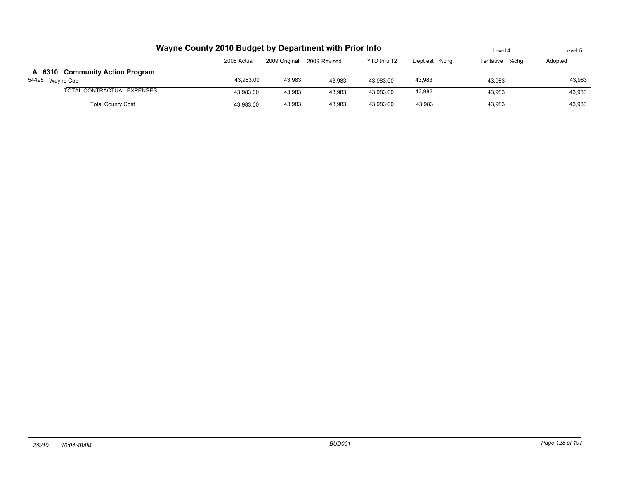|                                                    | Wayne County 2010 Budget by Department with Prior Info                       |        |        |           |        |        |        |  |  |  |  |
|----------------------------------------------------|------------------------------------------------------------------------------|--------|--------|-----------|--------|--------|--------|--|--|--|--|
|                                                    | YTD thru 12<br>2009 Original<br>2008 Actual<br>Dept est %chg<br>2009 Revised |        |        |           |        |        |        |  |  |  |  |
| A 6310 Community Action Program<br>54495 Wayne Cap | 43.983.00                                                                    | 43,983 | 43.983 | 43.983.00 | 43,983 | 43.983 | 43,983 |  |  |  |  |
| TOTAL CONTRACTUAL EXPENSES                         | 43.983.00                                                                    | 43.983 | 43.983 | 43,983.00 | 43,983 | 43.983 | 43,983 |  |  |  |  |
| <b>Total County Cost</b>                           | 43,983.00                                                                    | 43,983 | 43.983 | 43.983.00 | 43.983 | 43.983 | 43.983 |  |  |  |  |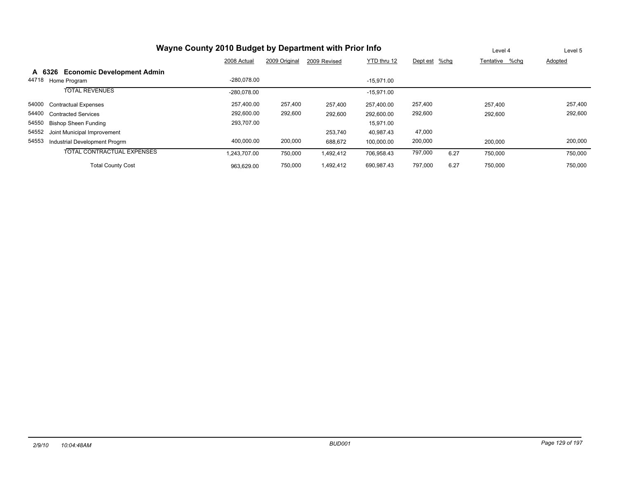|       | Wayne County 2010 Budget by Department with Prior Info |               | Level 4       | Level 5      |              |               |      |                |                |
|-------|--------------------------------------------------------|---------------|---------------|--------------|--------------|---------------|------|----------------|----------------|
|       |                                                        | 2008 Actual   | 2009 Original | 2009 Revised | YTD thru 12  | Dept est %chg |      | Tentative %chg | <b>Adopted</b> |
|       | A 6326 Economic Development Admin                      |               |               |              |              |               |      |                |                |
| 44718 | Home Program                                           | $-280.078.00$ |               |              | $-15.971.00$ |               |      |                |                |
|       | <b>TOTAL REVENUES</b>                                  | -280.078.00   |               |              | $-15.971.00$ |               |      |                |                |
| 54000 | <b>Contractual Expenses</b>                            | 257,400.00    | 257,400       | 257,400      | 257,400.00   | 257,400       |      | 257,400        | 257,400        |
| 54400 | <b>Contracted Services</b>                             | 292,600.00    | 292,600       | 292,600      | 292,600.00   | 292,600       |      | 292,600        | 292,600        |
| 54550 | <b>Bishop Sheen Funding</b>                            | 293,707.00    |               |              | 15,971.00    |               |      |                |                |
| 54552 | Joint Municipal Improvement                            |               |               | 253,740      | 40.987.43    | 47,000        |      |                |                |
| 54553 | Industrial Development Progrm                          | 400.000.00    | 200,000       | 688,672      | 100,000.00   | 200,000       |      | 200.000        | 200,000        |
|       | TOTAL CONTRACTUAL EXPENSES                             | 1.243.707.00  | 750,000       | 1,492,412    | 706,958.43   | 797,000       | 6.27 | 750,000        | 750,000        |
|       | <b>Total County Cost</b>                               | 963,629.00    | 750,000       | 1,492,412    | 690,987.43   | 797,000       | 6.27 | 750.000        | 750,000        |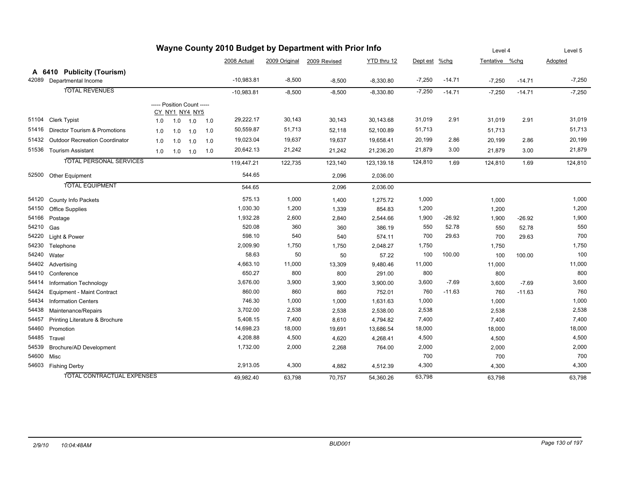| Wayne County 2010 Budget by Department with Prior Info |                                      |     |     |                                              | Level 4 |              | Level 5  |                            |             |          |          |                |          |          |
|--------------------------------------------------------|--------------------------------------|-----|-----|----------------------------------------------|---------|--------------|----------|----------------------------|-------------|----------|----------|----------------|----------|----------|
|                                                        |                                      |     |     |                                              |         | 2008 Actual  |          | 2009 Original 2009 Revised | YTD thru 12 | Dept est | $%$ chg  | Tentative %chg |          | Adopted  |
|                                                        | A 6410 Publicity (Tourism)           |     |     |                                              |         |              |          |                            |             |          |          |                |          |          |
|                                                        | 42089 Departmental Income            |     |     |                                              |         | $-10,983.81$ | $-8,500$ | $-8,500$                   | $-8,330.80$ | $-7,250$ | $-14.71$ | $-7,250$       | $-14.71$ | $-7,250$ |
|                                                        | <b>TOTAL REVENUES</b>                |     |     |                                              |         | $-10,983.81$ | $-8,500$ | $-8,500$                   | $-8,330.80$ | $-7,250$ | $-14.71$ | $-7,250$       | $-14.71$ | $-7,250$ |
|                                                        |                                      |     |     | ----- Position Count -----<br>CY_NY1_NY4_NY5 |         |              |          |                            |             |          |          |                |          |          |
|                                                        | 51104 Clerk Typist                   | 1.0 | 1.0 | 1.0                                          | 1.0     | 29,222.17    | 30,143   | 30,143                     | 30,143.68   | 31,019   | 2.91     | 31,019         | 2.91     | 31,019   |
|                                                        | 51416 Director Tourism & Promotions  | 1.0 | 1.0 | 1.0                                          | 1.0     | 50,559.87    | 51,713   | 52,118                     | 52,100.89   | 51,713   |          | 51,713         |          | 51,713   |
|                                                        | 51432 Outdoor Recreation Coordinator | 1.0 | 1.0 | 1.0                                          | 1.0     | 19,023.04    | 19,637   | 19,637                     | 19,658.41   | 20,199   | 2.86     | 20,199         | 2.86     | 20,199   |
| 51536                                                  | <b>Tourism Assistant</b>             | 1.0 | 1.0 | 1.0                                          | 1.0     | 20,642.13    | 21,242   | 21,242                     | 21,236.20   | 21,879   | 3.00     | 21,879         | 3.00     | 21,879   |
|                                                        | <b>TOTAL PERSONAL SERVICES</b>       |     |     |                                              |         | 119,447.21   | 122,735  | 123,140                    | 123,139.18  | 124,810  | 1.69     | 124,810        | 1.69     | 124,810  |
|                                                        | 52500 Other Equipment                |     |     |                                              |         | 544.65       |          | 2,096                      | 2,036.00    |          |          |                |          |          |
|                                                        | <b>TOTAL EQUIPMENT</b>               |     |     |                                              |         | 544.65       |          | 2,096                      | 2,036.00    |          |          |                |          |          |
| 54120                                                  | <b>County Info Packets</b>           |     |     |                                              |         | 575.13       | 1,000    | 1,400                      | 1,275.72    | 1,000    |          | 1,000          |          | 1,000    |
| 54150                                                  | <b>Office Supplies</b>               |     |     |                                              |         | 1,030.30     | 1,200    | 1,339                      | 854.83      | 1,200    |          | 1,200          |          | 1,200    |
| 54166                                                  | Postage                              |     |     |                                              |         | 1,932.28     | 2,600    | 2,840                      | 2,544.66    | 1,900    | -26.92   | 1,900          | $-26.92$ | 1,900    |
| 54210                                                  | Gas                                  |     |     |                                              |         | 520.08       | 360      | 360                        | 386.19      | 550      | 52.78    | 550            | 52.78    | 550      |
| 54220                                                  | Light & Power                        |     |     |                                              |         | 598.10       | 540      | 540                        | 574.11      | 700      | 29.63    | 700            | 29.63    | 700      |
| 54230                                                  | Telephone                            |     |     |                                              |         | 2,009.90     | 1,750    | 1,750                      | 2,048.27    | 1,750    |          | 1,750          |          | 1,750    |
| 54240                                                  | Water                                |     |     |                                              |         | 58.63        | 50       | 50                         | 57.22       | 100      | 100.00   | 100            | 100.00   | 100      |
|                                                        | 54402 Advertising                    |     |     |                                              |         | 4,663.10     | 11,000   | 13,309                     | 9,480.46    | 11,000   |          | 11,000         |          | 11,000   |
| 54410                                                  | Conference                           |     |     |                                              |         | 650.27       | 800      | 800                        | 291.00      | 800      |          | 800            |          | 800      |
| 54414                                                  | Information Technology               |     |     |                                              |         | 3,676.00     | 3,900    | 3,900                      | 3,900.00    | 3,600    | $-7.69$  | 3,600          | $-7.69$  | 3,600    |
| 54424                                                  | <b>Equipment - Maint Contract</b>    |     |     |                                              |         | 860.00       | 860      | 860                        | 752.01      | 760      | $-11.63$ | 760            | $-11.63$ | 760      |
| 54434                                                  | <b>Information Centers</b>           |     |     |                                              |         | 746.30       | 1,000    | 1,000                      | 1,631.63    | 1,000    |          | 1,000          |          | 1,000    |
| 54438                                                  | Maintenance/Repairs                  |     |     |                                              |         | 3,702.00     | 2,538    | 2,538                      | 2,538.00    | 2,538    |          | 2,538          |          | 2,538    |
| 54457                                                  | Printing Literature & Brochure       |     |     |                                              |         | 5,408.15     | 7,400    | 8,610                      | 4,794.82    | 7,400    |          | 7,400          |          | 7,400    |
|                                                        | 54460 Promotion                      |     |     |                                              |         | 14,698.23    | 18,000   | 19,691                     | 13,686.54   | 18,000   |          | 18,000         |          | 18,000   |
|                                                        | 54485 Travel                         |     |     |                                              |         | 4,208.88     | 4,500    | 4,620                      | 4,268.41    | 4,500    |          | 4,500          |          | 4,500    |
| 54539                                                  | Brochure/AD Development              |     |     |                                              |         | 1,732.00     | 2,000    | 2,268                      | 764.00      | 2,000    |          | 2,000          |          | 2,000    |
| 54600 Misc                                             |                                      |     |     |                                              |         |              |          |                            |             | 700      |          | 700            |          | 700      |
|                                                        | 54603 Fishing Derby                  |     |     |                                              |         | 2,913.05     | 4,300    | 4,882                      | 4,512.39    | 4,300    |          | 4,300          |          | 4,300    |
|                                                        | TOTAL CONTRACTUAL EXPENSES           |     |     |                                              |         | 49.982.40    | 63,798   | 70,757                     | 54,360.26   | 63,798   |          | 63,798         |          | 63,798   |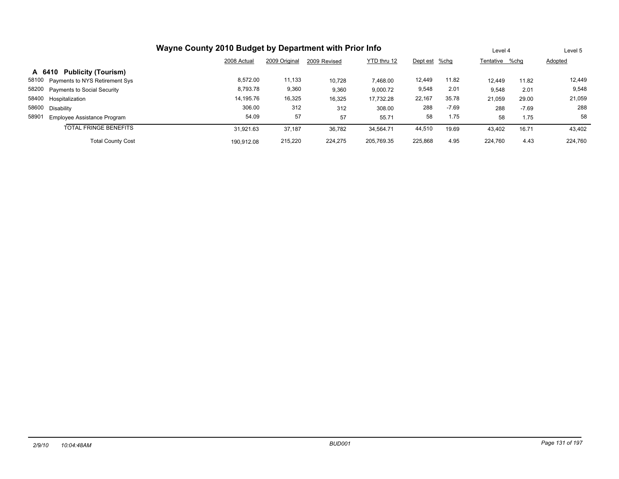|                                             |             | Level 4       |              | Level 5     |               |         |                |         |         |
|---------------------------------------------|-------------|---------------|--------------|-------------|---------------|---------|----------------|---------|---------|
|                                             | 2008 Actual | 2009 Original | 2009 Revised | YTD thru 12 | Dept est %chg |         | Tentative %chg |         | Adopted |
| A 6410 Publicity (Tourism)                  |             |               |              |             |               |         |                |         |         |
| 58100 Payments to NYS Retirement Sys        | 8.572.00    | 11,133        | 10.728       | 7.468.00    | 12,449        | 11.82   | 12.449         | 11.82   | 12,449  |
| 58200 Payments to Social Security           | 8,793.78    | 9,360         | 9,360        | 9,000.72    | 9,548         | 2.01    | 9,548          | 2.01    | 9,548   |
| 58400 Hospitalization                       | 14,195.76   | 16,325        | 16,325       | 17,732.28   | 22,167        | 35.78   | 21,059         | 29.00   | 21,059  |
| 58600 Disability                            | 306.00      | 312           | 312          | 308.00      | 288           | $-7.69$ | 288            | $-7.69$ | 288     |
| 58901<br><b>Employee Assistance Program</b> | 54.09       | 57            | 57           | 55.71       | 58            | 1.75    | 58             | 1.75    | 58      |
| <b>TOTAL FRINGE BENEFITS</b>                | 31.921.63   | 37,187        | 36,782       | 34,564.71   | 44,510        | 19.69   | 43,402         | 16.71   | 43,402  |
| <b>Total County Cost</b>                    | 190.912.08  | 215,220       | 224.275      | 205.769.35  | 225,868       | 4.95    | 224.760        | 4.43    | 224.760 |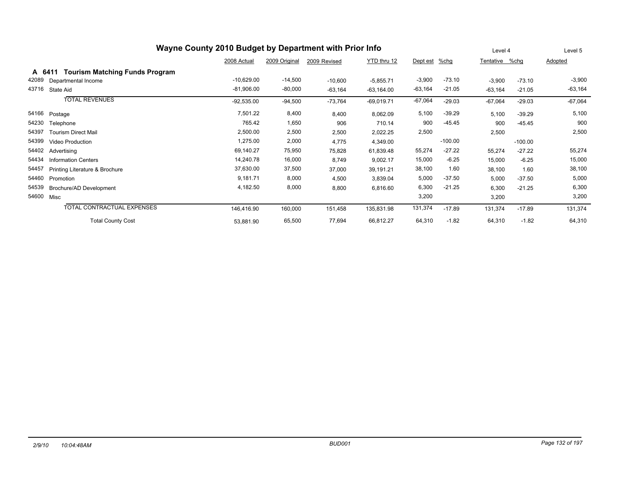|       | Wayne County 2010 Budget by Department with Prior Info |              | Level 4       |              | Level 5      |           |           |           |           |           |
|-------|--------------------------------------------------------|--------------|---------------|--------------|--------------|-----------|-----------|-----------|-----------|-----------|
|       |                                                        | 2008 Actual  | 2009 Original | 2009 Revised | YTD thru 12  | Dept est  | $%$ chg   | Tentative | %chg      | Adopted   |
|       | <b>Tourism Matching Funds Program</b><br>A 6411        |              |               |              |              |           |           |           |           |           |
| 42089 | Departmental Income                                    | $-10,629.00$ | $-14,500$     | $-10,600$    | $-5,855.71$  | $-3,900$  | $-73.10$  | $-3,900$  | $-73.10$  | $-3,900$  |
| 43716 | State Aid                                              | $-81,906.00$ | $-80,000$     | $-63,164$    | $-63,164.00$ | $-63,164$ | $-21.05$  | $-63,164$ | $-21.05$  | $-63,164$ |
|       | <b>TOTAL REVENUES</b>                                  | $-92,535.00$ | $-94,500$     | $-73,764$    | $-69,019.71$ | $-67,064$ | $-29.03$  | $-67,064$ | $-29.03$  | $-67,064$ |
| 54166 | Postage                                                | 7,501.22     | 8,400         | 8,400        | 8,062.09     | 5,100     | $-39.29$  | 5,100     | $-39.29$  | 5,100     |
| 54230 | Telephone                                              | 765.42       | 1,650         | 906          | 710.14       | 900       | $-45.45$  | 900       | $-45.45$  | 900       |
| 54397 | <b>Tourism Direct Mail</b>                             | 2,500.00     | 2,500         | 2,500        | 2,022.25     | 2,500     |           | 2,500     |           | 2,500     |
| 54399 | Video Production                                       | 1,275.00     | 2,000         | 4,775        | 4,349.00     |           | $-100.00$ |           | $-100.00$ |           |
| 54402 | Advertising                                            | 69,140.27    | 75,950        | 75,828       | 61,839.48    | 55,274    | $-27.22$  | 55,274    | $-27.22$  | 55,274    |
| 54434 | <b>Information Centers</b>                             | 14,240.78    | 16,000        | 8,749        | 9,002.17     | 15,000    | $-6.25$   | 15,000    | $-6.25$   | 15,000    |
| 54457 | Printing Literature & Brochure                         | 37,630.00    | 37,500        | 37,000       | 39,191.21    | 38,100    | 1.60      | 38,100    | 1.60      | 38,100    |
| 54460 | Promotion                                              | 9,181.71     | 8,000         | 4,500        | 3,839.04     | 5,000     | $-37.50$  | 5,000     | $-37.50$  | 5,000     |
| 54539 | Brochure/AD Development                                | 4,182.50     | 8,000         | 8,800        | 6,816.60     | 6,300     | $-21.25$  | 6,300     | $-21.25$  | 6,300     |
| 54600 | Misc                                                   |              |               |              |              | 3,200     |           | 3,200     |           | 3,200     |
|       | TOTAL CONTRACTUAL EXPENSES                             | 146,416.90   | 160,000       | 151,458      | 135,831.98   | 131,374   | $-17.89$  | 131,374   | $-17.89$  | 131,374   |
|       | <b>Total County Cost</b>                               | 53,881.90    | 65,500        | 77,694       | 66,812.27    | 64,310    | $-1.82$   | 64,310    | $-1.82$   | 64,310    |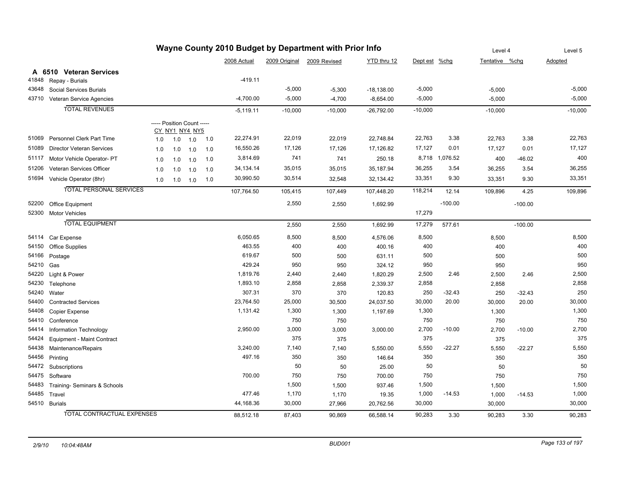| Wayne County 2010 Budget by Department with Prior Info |                                  |     |                            |     |     |             |           |                            | Level 4      |               | Level 5        |                |           |           |
|--------------------------------------------------------|----------------------------------|-----|----------------------------|-----|-----|-------------|-----------|----------------------------|--------------|---------------|----------------|----------------|-----------|-----------|
|                                                        |                                  |     |                            |     |     | 2008 Actual |           | 2009 Original 2009 Revised | YTD thru 12  | Dept est %chg |                | Tentative %chq |           | Adopted   |
|                                                        | A 6510 Veteran Services          |     |                            |     |     |             |           |                            |              |               |                |                |           |           |
| 41848                                                  | Repay - Burials                  |     |                            |     |     | $-419.11$   |           |                            |              |               |                |                |           |           |
| 43648                                                  | Social Services Burials          |     |                            |     |     |             | $-5,000$  | $-5,300$                   | $-18,138.00$ | $-5,000$      |                | $-5,000$       |           | $-5,000$  |
| 43710                                                  | Veteran Service Agencies         |     |                            |     |     | $-4,700.00$ | $-5,000$  | $-4,700$                   | $-8,654.00$  | $-5,000$      |                | $-5,000$       |           | $-5,000$  |
|                                                        | <b>TOTAL REVENUES</b>            |     |                            |     |     | $-5,119.11$ | $-10,000$ | $-10,000$                  | $-26,792.00$ | $-10,000$     |                | $-10,000$      |           | $-10,000$ |
|                                                        |                                  |     | ----- Position Count ----- |     |     |             |           |                            |              |               |                |                |           |           |
|                                                        |                                  |     | CY_NY1_NY4_NY5             |     |     |             |           |                            |              |               |                |                |           |           |
| 51069                                                  | Personnel Clerk Part Time        | 1.0 | 1.0                        | 1.0 | 1.0 | 22,274.91   | 22,019    | 22,019                     | 22,748.84    | 22,763        | 3.38           | 22,763         | 3.38      | 22,763    |
| 51089                                                  | <b>Director Veteran Services</b> | 1.0 | 1.0                        | 1.0 | 1.0 | 16,550.26   | 17,126    | 17,126                     | 17,126.82    | 17,127        | 0.01           | 17,127         | 0.01      | 17,127    |
| 51117                                                  | Motor Vehicle Operator- PT       | 1.0 | 1.0                        | 1.0 | 1.0 | 3,814.69    | 741       | 741                        | 250.18       |               | 8,718 1,076.52 | 400            | $-46.02$  | 400       |
| 51206                                                  | Veteran Services Officer         | 1.0 | 1.0                        | 1.0 | 1.0 | 34, 134. 14 | 35,015    | 35,015                     | 35,187.94    | 36,255        | 3.54           | 36,255         | 3.54      | 36,255    |
| 51694                                                  | Vehicle Operator (8hr)           | 1.0 | 1.0                        | 1.0 | 1.0 | 30,990.50   | 30,514    | 32,548                     | 32,134.42    | 33,351        | 9.30           | 33,351         | 9.30      | 33,351    |
|                                                        | <b>TOTAL PERSONAL SERVICES</b>   |     |                            |     |     | 107,764.50  | 105,415   | 107,449                    | 107,448.20   | 118,214       | 12.14          | 109,896        | 4.25      | 109,896   |
| 52200                                                  | Office Equipment                 |     |                            |     |     |             | 2,550     | 2,550                      | 1,692.99     |               | $-100.00$      |                | $-100.00$ |           |
|                                                        | 52300 Motor Vehicles             |     |                            |     |     |             |           |                            |              | 17,279        |                |                |           |           |
|                                                        | <b>TOTAL EQUIPMENT</b>           |     |                            |     |     |             | 2,550     | 2,550                      | 1,692.99     | 17,279        | 577.61         |                | $-100.00$ |           |
|                                                        |                                  |     |                            |     |     |             |           |                            |              |               |                |                |           |           |
| 54114                                                  | Car Expense                      |     |                            |     |     | 6,050.65    | 8,500     | 8,500                      | 4,576.06     | 8,500         |                | 8,500          |           | 8,500     |
| 54150                                                  | <b>Office Supplies</b>           |     |                            |     |     | 463.55      | 400       | 400                        | 400.16       | 400           |                | 400            |           | 400       |
| 54166                                                  | Postage                          |     |                            |     |     | 619.67      | 500       | 500                        | 631.11       | 500           |                | 500            |           | 500       |
| 54210                                                  | Gas                              |     |                            |     |     | 429.24      | 950       | 950                        | 324.12       | 950           |                | 950            |           | 950       |
| 54220                                                  | Light & Power                    |     |                            |     |     | 1,819.76    | 2,440     | 2,440                      | 1,820.29     | 2,500         | 2.46           | 2,500          | 2.46      | 2,500     |
| 54230                                                  | Telephone                        |     |                            |     |     | 1,893.10    | 2,858     | 2,858                      | 2,339.37     | 2,858         |                | 2,858          |           | 2,858     |
| 54240                                                  | Water                            |     |                            |     |     | 307.31      | 370       | 370                        | 120.83       | 250           | $-32.43$       | 250            | $-32.43$  | 250       |
| 54400                                                  | <b>Contracted Services</b>       |     |                            |     |     | 23,764.50   | 25,000    | 30,500                     | 24,037.50    | 30,000        | 20.00          | 30,000         | 20.00     | 30,000    |
| 54408                                                  | Copier Expense                   |     |                            |     |     | 1,131.42    | 1,300     | 1,300                      | 1,197.69     | 1,300         |                | 1,300          |           | 1,300     |
| 54410                                                  | Conference                       |     |                            |     |     |             | 750       | 750                        |              | 750           |                | 750            |           | 750       |
| 54414                                                  | Information Technology           |     |                            |     |     | 2,950.00    | 3,000     | 3,000                      | 3,000.00     | 2,700         | $-10.00$       | 2,700          | $-10.00$  | 2,700     |
| 54424                                                  | Equipment - Maint Contract       |     |                            |     |     |             | 375       | 375                        |              | 375           |                | 375            |           | 375       |
| 54438                                                  | Maintenance/Repairs              |     |                            |     |     | 3,240.00    | 7,140     | 7,140                      | 5,550.00     | 5,550         | $-22.27$       | 5,550          | $-22.27$  | 5,550     |
| 54456                                                  | Printing                         |     |                            |     |     | 497.16      | 350       | 350                        | 146.64       | 350           |                | 350            |           | 350       |
| 54472                                                  | Subscriptions                    |     |                            |     |     |             | 50        | 50                         | 25.00        | 50            |                | 50             |           | 50        |
| 54475                                                  | Software                         |     |                            |     |     | 700.00      | 750       | 750                        | 700.00       | 750           |                | 750            |           | 750       |
| 54483                                                  | Training- Seminars & Schools     |     |                            |     |     |             | 1,500     | 1,500                      | 937.46       | 1,500         |                | 1,500          |           | 1,500     |
| 54485                                                  | Travel                           |     |                            |     |     | 477.46      | 1,170     | 1,170                      | 19.35        | 1,000         | $-14.53$       | 1,000          | $-14.53$  | 1,000     |
|                                                        | 54510 Burials                    |     |                            |     |     | 44,168.36   | 30,000    | 27,966                     | 20,762.56    | 30,000        |                | 30,000         |           | 30,000    |
|                                                        | TOTAL CONTRACTUAL EXPENSES       |     |                            |     |     | 88,512.18   | 87.403    | 90.869                     | 66,588.14    | 90,283        | 3.30           | 90,283         | 3.30      | 90,283    |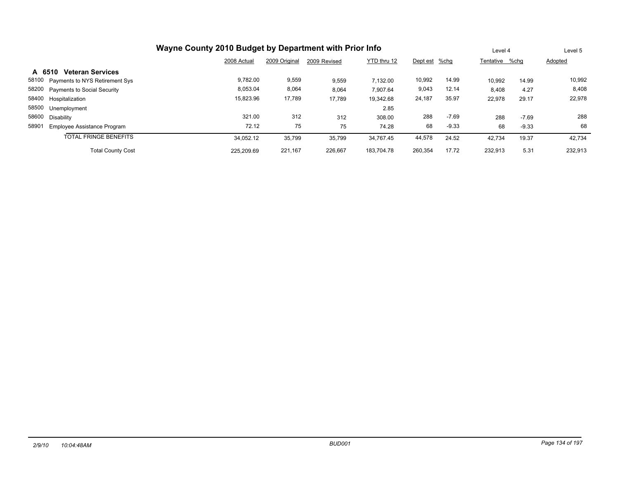|                                             | Wayne County 2010 Budget by Department with Prior Info |               |              |             |               |         |                |         |         |  |  |
|---------------------------------------------|--------------------------------------------------------|---------------|--------------|-------------|---------------|---------|----------------|---------|---------|--|--|
|                                             | 2008 Actual                                            | 2009 Original | 2009 Revised | YTD thru 12 | Dept est %chg |         | Tentative %chq |         | Adopted |  |  |
| <b>Veteran Services</b><br>A 6510           |                                                        |               |              |             |               |         |                |         |         |  |  |
| 58100<br>Payments to NYS Retirement Sys     | 9,782.00                                               | 9,559         | 9,559        | 7.132.00    | 10,992        | 14.99   | 10,992         | 14.99   | 10,992  |  |  |
| 58200<br><b>Payments to Social Security</b> | 8,053.04                                               | 8,064         | 8,064        | 7,907.64    | 9,043         | 12.14   | 8,408          | 4.27    | 8,408   |  |  |
| 58400<br>Hospitalization                    | 15,823.96                                              | 17,789        | 17,789       | 19,342.68   | 24,187        | 35.97   | 22,978         | 29.17   | 22,978  |  |  |
| 58500<br>Unemployment                       |                                                        |               |              | 2.85        |               |         |                |         |         |  |  |
| 58600<br>Disability                         | 321.00                                                 | 312           | 312          | 308.00      | 288           | $-7.69$ | 288            | $-7.69$ | 288     |  |  |
| 58901<br>Employee Assistance Program        | 72.12                                                  | 75            | 75           | 74.28       | 68            | $-9.33$ | 68             | $-9.33$ | 68      |  |  |
| <b>TOTAL FRINGE BENEFITS</b>                | 34,052.12                                              | 35,799        | 35,799       | 34.767.45   | 44,578        | 24.52   | 42,734         | 19.37   | 42,734  |  |  |
| <b>Total County Cost</b>                    | 225.209.69                                             | 221.167       | 226.667      | 183.704.78  | 260.354       | 17.72   | 232.913        | 5.31    | 232,913 |  |  |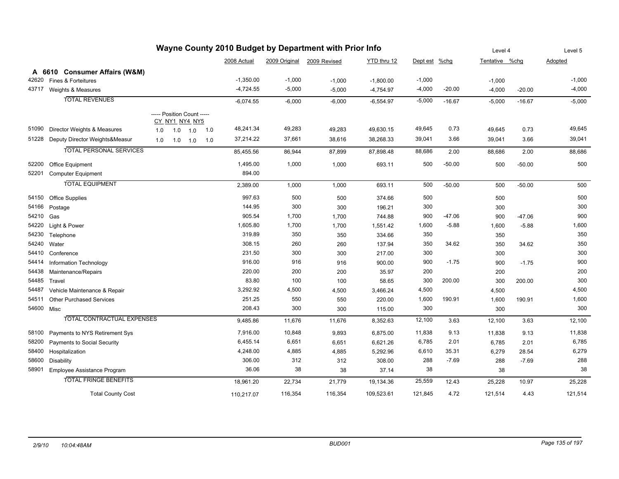| Wayne County 2010 Budget by Department with Prior Info |                                   |                                              |     |                   |     |             |          | Level 4                    |             | Level 5  |          |                |          |          |
|--------------------------------------------------------|-----------------------------------|----------------------------------------------|-----|-------------------|-----|-------------|----------|----------------------------|-------------|----------|----------|----------------|----------|----------|
|                                                        |                                   |                                              |     |                   |     | 2008 Actual |          | 2009 Original 2009 Revised | YTD thru 12 | Dept est | %chg     | Tentative %chg |          | Adopted  |
|                                                        | A 6610 Consumer Affairs (W&M)     |                                              |     |                   |     |             |          |                            |             |          |          |                |          |          |
| 42620                                                  | Fines & Forteitures               |                                              |     |                   |     | $-1,350.00$ | $-1,000$ | $-1,000$                   | $-1,800.00$ | $-1,000$ |          | $-1,000$       |          | $-1,000$ |
| 43717                                                  | Weights & Measures                |                                              |     |                   |     | $-4,724.55$ | $-5,000$ | $-5,000$                   | $-4,754.97$ | $-4,000$ | $-20.00$ | $-4,000$       | $-20.00$ | $-4,000$ |
|                                                        | <b>TOTAL REVENUES</b>             |                                              |     |                   |     | $-6,074.55$ | $-6,000$ | $-6,000$                   | $-6,554.97$ | $-5,000$ | $-16.67$ | $-5,000$       | $-16.67$ | $-5,000$ |
|                                                        |                                   |                                              |     |                   |     |             |          |                            |             |          |          |                |          |          |
|                                                        |                                   | ----- Position Count -----<br>CY_NY1_NY4_NY5 |     |                   |     |             |          |                            |             |          |          |                |          |          |
| 51090                                                  | Director Weights & Measures       | 1.0                                          | 1.0 | 1.0               | 1.0 | 48,241.34   | 49,283   | 49,283                     | 49,630.15   | 49,645   | 0.73     | 49,645         | 0.73     | 49,645   |
| 51228                                                  | Deputy Director Weights&Measur    | 1.0                                          |     | $1.0$ $1.0$ $1.0$ |     | 37,214.22   | 37,661   | 38,616                     | 38,268.33   | 39,041   | 3.66     | 39,041         | 3.66     | 39,041   |
|                                                        | <b>TOTAL PERSONAL SERVICES</b>    |                                              |     |                   |     | 85,455.56   | 86,944   | 87,899                     | 87,898.48   | 88,686   | 2.00     | 88,686         | 2.00     | 88,686   |
| 52200                                                  | Office Equipment                  |                                              |     |                   |     | 1,495.00    | 1,000    | 1,000                      | 693.11      | 500      | $-50.00$ | 500            | $-50.00$ | 500      |
| 52201                                                  | <b>Computer Equipment</b>         |                                              |     |                   |     | 894.00      |          |                            |             |          |          |                |          |          |
|                                                        | <b>TOTAL EQUIPMENT</b>            |                                              |     |                   |     | 2,389.00    | 1,000    | 1,000                      | 693.11      | 500      | $-50.00$ | 500            | $-50.00$ | 500      |
| 54150                                                  | <b>Office Supplies</b>            |                                              |     |                   |     | 997.63      | 500      | 500                        | 374.66      | 500      |          | 500            |          | 500      |
| 54166                                                  | Postage                           |                                              |     |                   |     | 144.95      | 300      | 300                        | 196.21      | 300      |          | 300            |          | 300      |
| 54210 Gas                                              |                                   |                                              |     |                   |     | 905.54      | 1,700    | 1,700                      | 744.88      | 900      | $-47.06$ | 900            | $-47.06$ | 900      |
| 54220                                                  | Light & Power                     |                                              |     |                   |     | 1,605.80    | 1,700    | 1,700                      | 1,551.42    | 1,600    | $-5.88$  | 1,600          | $-5.88$  | 1,600    |
| 54230                                                  | Telephone                         |                                              |     |                   |     | 319.89      | 350      | 350                        | 334.66      | 350      |          | 350            |          | 350      |
| 54240                                                  | Water                             |                                              |     |                   |     | 308.15      | 260      | 260                        | 137.94      | 350      | 34.62    | 350            | 34.62    | 350      |
| 54410                                                  | Conference                        |                                              |     |                   |     | 231.50      | 300      | 300                        | 217.00      | 300      |          | 300            |          | 300      |
| 54414                                                  | Information Technology            |                                              |     |                   |     | 916.00      | 916      | 916                        | 900.00      | 900      | $-1.75$  | 900            | $-1.75$  | 900      |
| 54438                                                  | Maintenance/Repairs               |                                              |     |                   |     | 220.00      | 200      | 200                        | 35.97       | 200      |          | 200            |          | 200      |
| 54485                                                  | Travel                            |                                              |     |                   |     | 83.80       | 100      | 100                        | 58.65       | 300      | 200.00   | 300            | 200.00   | 300      |
| 54487                                                  | Vehicle Maintenance & Repair      |                                              |     |                   |     | 3,292.92    | 4,500    | 4,500                      | 3,466.24    | 4,500    |          | 4,500          |          | 4,500    |
| 54511                                                  | <b>Other Purchased Services</b>   |                                              |     |                   |     | 251.25      | 550      | 550                        | 220.00      | 1,600    | 190.91   | 1,600          | 190.91   | 1,600    |
| 54600 Misc                                             |                                   |                                              |     |                   |     | 208.43      | 300      | 300                        | 115.00      | 300      |          | 300            |          | 300      |
|                                                        | <b>TOTAL CONTRACTUAL EXPENSES</b> |                                              |     |                   |     | 9,485.86    | 11,676   | 11,676                     | 8,352.63    | 12,100   | 3.63     | 12,100         | 3.63     | 12,100   |
| 58100                                                  | Payments to NYS Retirement Sys    |                                              |     |                   |     | 7,916.00    | 10,848   | 9,893                      | 6,875.00    | 11,838   | 9.13     | 11,838         | 9.13     | 11,838   |
| 58200                                                  | Payments to Social Security       |                                              |     |                   |     | 6,455.14    | 6,651    | 6,651                      | 6,621.26    | 6,785    | 2.01     | 6,785          | 2.01     | 6,785    |
| 58400                                                  | Hospitalization                   |                                              |     |                   |     | 4,248.00    | 4,885    | 4,885                      | 5,292.96    | 6,610    | 35.31    | 6,279          | 28.54    | 6,279    |
| 58600                                                  | <b>Disability</b>                 |                                              |     |                   |     | 306.00      | 312      | 312                        | 308.00      | 288      | $-7.69$  | 288            | $-7.69$  | 288      |
| 58901                                                  | Employee Assistance Program       |                                              |     |                   |     | 36.06       | 38       | 38                         | 37.14       | 38       |          | 38             |          | 38       |
|                                                        | <b>TOTAL FRINGE BENEFITS</b>      |                                              |     |                   |     | 18,961.20   | 22,734   | 21,779                     | 19,134.36   | 25,559   | 12.43    | 25,228         | 10.97    | 25,228   |
|                                                        | <b>Total County Cost</b>          |                                              |     |                   |     | 110,217.07  | 116,354  | 116,354                    | 109,523.61  | 121,845  | 4.72     | 121,514        | 4.43     | 121,514  |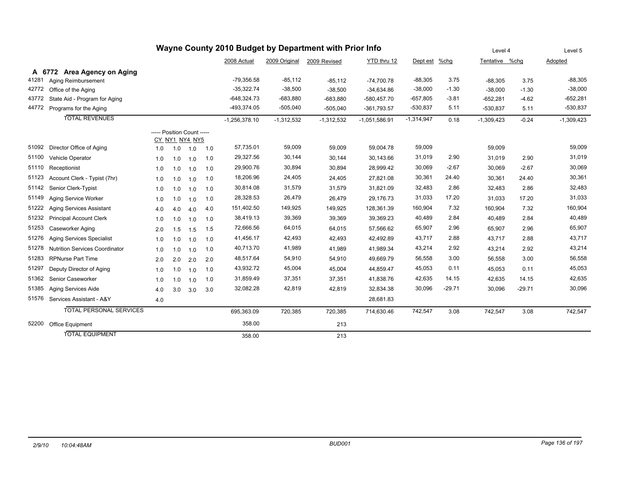| Wayne County 2010 Budget by Department with Prior Info |                                       |                            |                |     |     |                 |               |              |                 |               | Level 4  |                | Level 5  |              |
|--------------------------------------------------------|---------------------------------------|----------------------------|----------------|-----|-----|-----------------|---------------|--------------|-----------------|---------------|----------|----------------|----------|--------------|
|                                                        |                                       |                            |                |     |     | 2008 Actual     | 2009 Original | 2009 Revised | YTD thru 12     | Dept est %chg |          | Tentative %chq |          | Adopted      |
|                                                        | A 6772 Area Agency on Aging           |                            |                |     |     |                 |               |              |                 |               |          |                |          |              |
| 41281                                                  | Aging Reimbursement                   |                            |                |     |     | $-79,356.58$    | $-85,112$     | $-85,112$    | $-74,700.78$    | $-88,305$     | 3.75     | $-88.305$      | 3.75     | $-88,305$    |
| 42772                                                  | Office of the Aging                   |                            |                |     |     | $-35,322.74$    | $-38,500$     | $-38,500$    | $-34,634.86$    | $-38,000$     | $-1.30$  | $-38,000$      | $-1.30$  | $-38,000$    |
| 43772                                                  | State Aid - Program for Aging         |                            |                |     |     | $-648,324.73$   | $-683,880$    | $-683,880$   | $-580,457.70$   | $-657,805$    | $-3.81$  | $-652,281$     | $-4.62$  | $-652,281$   |
| 44772                                                  | Programs for the Aging                |                            |                |     |     | -493,374.05     | $-505,040$    | $-505,040$   | $-361,793.57$   | $-530,837$    | 5.11     | $-530,837$     | 5.11     | $-530,837$   |
|                                                        | <b>TOTAL REVENUES</b>                 |                            |                |     |     | $-1,256,378.10$ | $-1,312,532$  | $-1,312,532$ | $-1,051,586.91$ | $-1,314,947$  | 0.18     | $-1,309,423$   | $-0.24$  | $-1,309,423$ |
|                                                        |                                       | ----- Position Count ----- | CY NY1 NY4 NY5 |     |     |                 |               |              |                 |               |          |                |          |              |
| 51092                                                  | Director Office of Aging              | 1.0                        | 1.0            | 1.0 | 1.0 | 57,735.01       | 59,009        | 59,009       | 59,004.78       | 59,009        |          | 59,009         |          | 59,009       |
| 51100                                                  | Vehicle Operator                      | 1.0                        | 1.0            | 1.0 | 1.0 | 29,327.56       | 30,144        | 30,144       | 30,143.66       | 31,019        | 2.90     | 31,019         | 2.90     | 31,019       |
| 51110                                                  | Receptionist                          | 1.0                        | 1.0            | 1.0 | 1.0 | 29,900.76       | 30,894        | 30,894       | 28,999.42       | 30,069        | $-2.67$  | 30,069         | $-2.67$  | 30,069       |
| 51123                                                  | Account Clerk - Typist (7hr)          | 1.0                        | 1.0            | 1.0 | 1.0 | 18,206.96       | 24,405        | 24,405       | 27,821.08       | 30,361        | 24.40    | 30,361         | 24.40    | 30,361       |
| 51142                                                  | Senior Clerk-Typist                   | 1.0                        | 1.0            | 1.0 | 1.0 | 30,814.08       | 31,579        | 31,579       | 31,821.09       | 32,483        | 2.86     | 32,483         | 2.86     | 32,483       |
| 51149                                                  | Aging Service Worker                  | 1.0                        | 1.0            | 1.0 | 1.0 | 28,328.53       | 26,479        | 26,479       | 29,176.73       | 31,033        | 17.20    | 31,033         | 17.20    | 31,033       |
| 51222                                                  | <b>Aging Services Assistant</b>       | 4.0                        | 4.0            | 4.0 | 4.0 | 151,402.50      | 149,925       | 149,925      | 128,361.39      | 160,904       | 7.32     | 160,904        | 7.32     | 160,904      |
| 51232                                                  | <b>Principal Account Clerk</b>        | 1.0                        | 1.0            | 1.0 | 1.0 | 38,419.13       | 39,369        | 39,369       | 39,369.23       | 40,489        | 2.84     | 40,489         | 2.84     | 40,489       |
| 51253                                                  | Caseworker Aging                      | 2.0                        | 1.5            | 1.5 | 1.5 | 72,666.56       | 64,015        | 64,015       | 57,566.62       | 65,907        | 2.96     | 65,907         | 2.96     | 65,907       |
| 51276                                                  | <b>Aging Services Specialist</b>      | 1.0                        | 1.0            | 1.0 | 1.0 | 41,456.17       | 42,493        | 42,493       | 42,492.89       | 43,717        | 2.88     | 43,717         | 2.88     | 43,717       |
| 51278                                                  | <b>Nutrition Services Coordinator</b> | 1.0                        | 1.0            | 1.0 | 1.0 | 40,713.70       | 41,989        | 41,989       | 41,989.34       | 43,214        | 2.92     | 43,214         | 2.92     | 43,214       |
| 51283                                                  | <b>RPNurse Part Time</b>              | 2.0                        | 2.0            | 2.0 | 2.0 | 48,517.64       | 54,910        | 54,910       | 49,669.79       | 56,558        | 3.00     | 56,558         | 3.00     | 56,558       |
| 51297                                                  | Deputy Director of Aging              | 1.0                        | 1.0            | 1.0 | 1.0 | 43,932.72       | 45,004        | 45,004       | 44,859.47       | 45,053        | 0.11     | 45,053         | 0.11     | 45,053       |
| 51362                                                  | Senior Caseworker                     | 1.0                        | 1.0            | 1.0 | 1.0 | 31,859.49       | 37,351        | 37,351       | 41,838.76       | 42,635        | 14.15    | 42,635         | 14.15    | 42,635       |
| 51385                                                  | Aging Services Aide                   | 4.0                        | 3.0            | 3.0 | 3.0 | 32,082.28       | 42,819        | 42,819       | 32,834.38       | 30,096        | $-29.71$ | 30,096         | $-29.71$ | 30,096       |
| 51576                                                  | Services Assistant - A&Y              | 4.0                        |                |     |     |                 |               |              | 28,681.83       |               |          |                |          |              |
|                                                        | <b>TOTAL PERSONAL SERVICES</b>        |                            |                |     |     | 695,363.09      | 720,385       | 720,385      | 714,630.46      | 742,547       | 3.08     | 742,547        | 3.08     | 742,547      |
| 52200                                                  | <b>Office Equipment</b>               |                            |                |     |     | 358.00          |               | 213          |                 |               |          |                |          |              |
|                                                        | <b>TOTAL EQUIPMENT</b>                |                            |                |     |     | 358.00          |               | 213          |                 |               |          |                |          |              |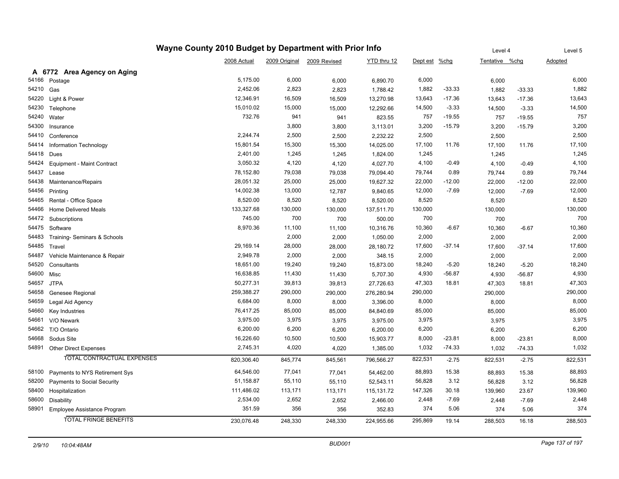|       |                                   | Wayne County 2010 Budget by Department with Prior Info |               |              |              |               |          | Level 4        |          | Level 5 |
|-------|-----------------------------------|--------------------------------------------------------|---------------|--------------|--------------|---------------|----------|----------------|----------|---------|
|       |                                   | 2008 Actual                                            | 2009 Original | 2009 Revised | YTD thru 12  | Dept est %chg |          | Tentative %chg |          | Adopted |
|       | A 6772 Area Agency on Aging       |                                                        |               |              |              |               |          |                |          |         |
| 54166 | Postage                           | 5,175.00                                               | 6,000         | 6,000        | 6,890.70     | 6,000         |          | 6,000          |          | 6,000   |
| 54210 | Gas                               | 2,452.06                                               | 2,823         | 2,823        | 1,788.42     | 1,882         | $-33.33$ | 1,882          | $-33.33$ | 1,882   |
| 54220 | Light & Power                     | 12,346.91                                              | 16,509        | 16,509       | 13,270.98    | 13,643        | $-17.36$ | 13,643         | $-17.36$ | 13,643  |
| 54230 | Telephone                         | 15,010.02                                              | 15,000        | 15,000       | 12,292.66    | 14,500        | $-3.33$  | 14,500         | $-3.33$  | 14,500  |
| 54240 | Water                             | 732.76                                                 | 941           | 941          | 823.55       | 757           | $-19.55$ | 757            | $-19.55$ | 757     |
| 54300 | Insurance                         |                                                        | 3,800         | 3,800        | 3,113.01     | 3,200         | $-15.79$ | 3,200          | $-15.79$ | 3,200   |
| 54410 | Conference                        | 2,244.74                                               | 2,500         | 2,500        | 2,232.22     | 2,500         |          | 2,500          |          | 2,500   |
| 54414 | Information Technology            | 15,801.54                                              | 15,300        | 15,300       | 14,025.00    | 17,100        | 11.76    | 17,100         | 11.76    | 17,100  |
| 54418 | Dues                              | 2,401.00                                               | 1,245         | 1,245        | 1,824.00     | 1,245         |          | 1,245          |          | 1,245   |
| 54424 | Equipment - Maint Contract        | 3,050.32                                               | 4,120         | 4,120        | 4,027.70     | 4,100         | -0.49    | 4,100          | $-0.49$  | 4,100   |
| 54437 | Lease                             | 78,152.80                                              | 79,038        | 79,038       | 79,094.40    | 79,744        | 0.89     | 79,744         | 0.89     | 79,744  |
| 54438 | Maintenance/Repairs               | 28,051.32                                              | 25,000        | 25,000       | 19,627.32    | 22,000        | $-12.00$ | 22,000         | $-12.00$ | 22,000  |
| 54456 | Printing                          | 14,002.38                                              | 13,000        | 12,787       | 9,840.65     | 12,000        | $-7.69$  | 12,000         | $-7.69$  | 12,000  |
| 54465 | Rental - Office Space             | 8,520.00                                               | 8,520         | 8,520        | 8,520.00     | 8,520         |          | 8,520          |          | 8,520   |
| 54466 | Home Delivered Meals              | 133,327.68                                             | 130,000       | 130,000      | 137,511.70   | 130,000       |          | 130,000        |          | 130,000 |
| 54472 | Subscriptions                     | 745.00                                                 | 700           | 700          | 500.00       | 700           |          | 700            |          | 700     |
| 54475 | Software                          | 8,970.36                                               | 11,100        | 11,100       | 10,316.76    | 10,360        | -6.67    | 10,360         | $-6.67$  | 10,360  |
| 54483 | Training- Seminars & Schools      |                                                        | 2,000         | 2,000        | 1,050.00     | 2,000         |          | 2,000          |          | 2,000   |
| 54485 | Travel                            | 29,169.14                                              | 28,000        | 28,000       | 28,180.72    | 17,600        | $-37.14$ | 17,600         | $-37.14$ | 17,600  |
| 54487 | Vehicle Maintenance & Repair      | 2,949.78                                               | 2,000         | 2,000        | 348.15       | 2,000         |          | 2,000          |          | 2,000   |
| 54520 | Consultants                       | 18,651.00                                              | 19,240        | 19,240       | 15,873.00    | 18,240        | $-5.20$  | 18,240         | $-5.20$  | 18,240  |
| 54600 | Misc                              | 16,638.85                                              | 11,430        | 11,430       | 5,707.30     | 4,930         | $-56.87$ | 4,930          | $-56.87$ | 4,930   |
| 54657 | <b>JTPA</b>                       | 50,277.31                                              | 39,813        | 39,813       | 27,726.63    | 47,303        | 18.81    | 47,303         | 18.81    | 47,303  |
| 54658 | Genesee Regional                  | 259,388.27                                             | 290,000       | 290,000      | 276,280.94   | 290,000       |          | 290,000        |          | 290,000 |
| 54659 | Legal Aid Agency                  | 6,684.00                                               | 8,000         | 8,000        | 3,396.00     | 8,000         |          | 8,000          |          | 8,000   |
| 54660 | Key Industries                    | 76,417.25                                              | 85,000        | 85,000       | 84,840.69    | 85,000        |          | 85,000         |          | 85,000  |
| 54661 | V/O Newark                        | 3,975.00                                               | 3,975         | 3,975        | 3,975.00     | 3,975         |          | 3,975          |          | 3,975   |
| 54662 | T/O Ontario                       | 6,200.00                                               | 6,200         | 6,200        | 6,200.00     | 6,200         |          | 6,200          |          | 6,200   |
| 54668 | Sodus Site                        | 16,226.60                                              | 10,500        | 10,500       | 15,903.77    | 8,000         | $-23.81$ | 8,000          | $-23.81$ | 8,000   |
| 54891 | <b>Other Direct Expenses</b>      | 2,745.31                                               | 4,020         | 4,020        | 1,385.00     | 1,032         | $-74.33$ | 1,032          | $-74.33$ | 1,032   |
|       | <b>TOTAL CONTRACTUAL EXPENSES</b> | 820,306.40                                             | 845,774       | 845,561      | 796,566.27   | 822,531       | $-2.75$  | 822,531        | $-2.75$  | 822,531 |
| 58100 | Payments to NYS Retirement Sys    | 64,546.00                                              | 77,041        | 77,041       | 54,462.00    | 88,893        | 15.38    | 88,893         | 15.38    | 88,893  |
| 58200 | Payments to Social Security       | 51,158.87                                              | 55,110        | 55,110       | 52,543.11    | 56,828        | 3.12     | 56,828         | 3.12     | 56,828  |
| 58400 | Hospitalization                   | 111,486.02                                             | 113,171       | 113,171      | 115, 131. 72 | 147,326       | 30.18    | 139,960        | 23.67    | 139,960 |
| 58600 | <b>Disability</b>                 | 2,534.00                                               | 2,652         | 2,652        | 2,466.00     | 2,448         | $-7.69$  | 2,448          | $-7.69$  | 2,448   |
| 58901 | Employee Assistance Program       | 351.59                                                 | 356           | 356          | 352.83       | 374           | 5.06     | 374            | 5.06     | 374     |
|       | <b>TOTAL FRINGE BENEFITS</b>      | 230,076.48                                             | 248,330       | 248,330      | 224,955.66   | 295,869       | 19.14    | 288,503        | 16.18    | 288,503 |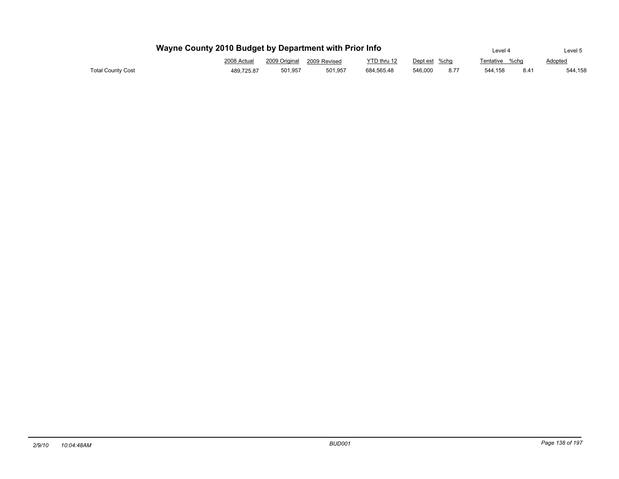|                   | Wayne County 2010 Budget by Department with Prior Info | Level 4                    |         | Level 5     |               |      |                |               |         |
|-------------------|--------------------------------------------------------|----------------------------|---------|-------------|---------------|------|----------------|---------------|---------|
|                   | 2008 Actual                                            | 2009 Original 2009 Revised |         | YTD thru 12 | Dept est %chg |      | Tentative %chq |               | Adopted |
| Total County Cost | 489.725.87                                             | 501.957                    | 501.957 | 684.565.48  | 546.000       | 8.77 | 544.158        | $8.4^{\circ}$ | 544,158 |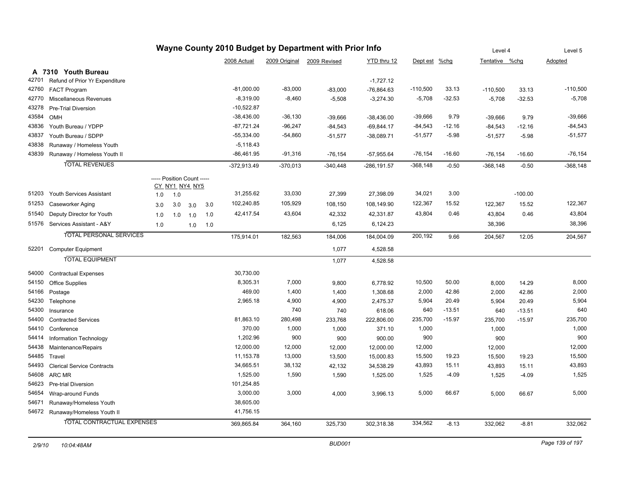|       | Wayne County 2010 Budget by Department with Prior Info |     |                            |     |     |               |               |              |                |            | Level 4  |                | Level 5   |            |
|-------|--------------------------------------------------------|-----|----------------------------|-----|-----|---------------|---------------|--------------|----------------|------------|----------|----------------|-----------|------------|
|       |                                                        |     |                            |     |     | 2008 Actual   | 2009 Original | 2009 Revised | YTD thru 12    | Dept est   | $%$ chg  | Tentative %chq |           | Adopted    |
|       | A 7310 Youth Bureau                                    |     |                            |     |     |               |               |              |                |            |          |                |           |            |
| 42701 | Refund of Prior Yr Expenditure                         |     |                            |     |     |               |               |              | $-1,727.12$    |            |          |                |           |            |
| 42760 | <b>FACT Program</b>                                    |     |                            |     |     | $-81,000.00$  | $-83,000$     | $-83,000$    | $-76,864.63$   | $-110,500$ | 33.13    | $-110,500$     | 33.13     | $-110,500$ |
| 42770 | Miscellaneous Revenues                                 |     |                            |     |     | $-8,319.00$   | $-8,460$      | $-5,508$     | $-3,274.30$    | $-5,708$   | $-32.53$ | $-5,708$       | $-32.53$  | $-5,708$   |
| 43278 | <b>Pre-Trial Diversion</b>                             |     |                            |     |     | $-10,522.87$  |               |              |                |            |          |                |           |            |
| 43584 | OMH                                                    |     |                            |     |     | $-38,436.00$  | $-36,130$     | $-39,666$    | $-38,436.00$   | $-39,666$  | 9.79     | $-39,666$      | 9.79      | $-39,666$  |
| 43836 | Youth Bureau / YDPP                                    |     |                            |     |     | $-87,721.24$  | $-96,247$     | $-84,543$    | $-69,844.17$   | $-84,543$  | $-12.16$ | $-84,543$      | $-12.16$  | $-84,543$  |
| 43837 | Youth Bureau / SDPP                                    |     |                            |     |     | $-55,334.00$  | $-54,860$     | $-51,577$    | $-38,089.71$   | $-51,577$  | $-5.98$  | $-51,577$      | $-5.98$   | $-51,577$  |
| 43838 | Runaway / Homeless Youth                               |     |                            |     |     | $-5,118.43$   |               |              |                |            |          |                |           |            |
| 43839 | Runaway / Homeless Youth II                            |     |                            |     |     | $-86,461.95$  | $-91,316$     | $-76,154$    | $-57,955.64$   | $-76, 154$ | $-16.60$ | $-76, 154$     | $-16.60$  | $-76, 154$ |
|       | <b>TOTAL REVENUES</b>                                  |     |                            |     |     | $-372,913.49$ | $-370,013$    | $-340,448$   | $-286, 191.57$ | $-368,148$ | $-0.50$  | $-368, 148$    | $-0.50$   | $-368,148$ |
|       |                                                        |     | ----- Position Count ----- |     |     |               |               |              |                |            |          |                |           |            |
|       |                                                        |     | CY_NY1_NY4_NY5             |     |     |               |               |              |                |            |          |                |           |            |
| 51203 | Youth Services Assistant                               | 1.0 | 1.0                        |     |     | 31,255.62     | 33,030        | 27,399       | 27,398.09      | 34,021     | 3.00     |                | $-100.00$ |            |
| 51253 | Caseworker Aging                                       | 3.0 | 3.0                        | 3.0 | 3.0 | 102,240.85    | 105,929       | 108,150      | 108,149.90     | 122,367    | 15.52    | 122,367        | 15.52     | 122,367    |
| 51540 | Deputy Director for Youth                              | 1.0 | 1.0                        | 1.0 | 1.0 | 42,417.54     | 43,604        | 42,332       | 42,331.87      | 43,804     | 0.46     | 43,804         | 0.46      | 43,804     |
|       | 51576 Services Assistant - A&Y                         | 1.0 |                            | 1.0 | 1.0 |               |               | 6,125        | 6,124.23       |            |          | 38,396         |           | 38,396     |
|       | <b>TOTAL PERSONAL SERVICES</b>                         |     |                            |     |     | 175,914.01    | 182,563       | 184,006      | 184,004.09     | 200,192    | 9.66     | 204,567        | 12.05     | 204,567    |
| 52201 | <b>Computer Equipment</b>                              |     |                            |     |     |               |               | 1,077        | 4,528.58       |            |          |                |           |            |
|       | <b>TOTAL EQUIPMENT</b>                                 |     |                            |     |     |               |               | 1,077        | 4,528.58       |            |          |                |           |            |
| 54000 | <b>Contractual Expenses</b>                            |     |                            |     |     | 30,730.00     |               |              |                |            |          |                |           |            |
| 54150 | Office Supplies                                        |     |                            |     |     | 8,305.31      | 7,000         | 9,800        | 6,778.92       | 10,500     | 50.00    | 8,000          | 14.29     | 8,000      |
| 54166 | Postage                                                |     |                            |     |     | 469.00        | 1,400         | 1,400        | 1,308.68       | 2,000      | 42.86    | 2,000          | 42.86     | 2,000      |
| 54230 | Telephone                                              |     |                            |     |     | 2,965.18      | 4,900         | 4,900        | 2,475.37       | 5,904      | 20.49    | 5,904          | 20.49     | 5,904      |
| 54300 | Insurance                                              |     |                            |     |     |               | 740           | 740          | 618.06         | 640        | $-13.51$ | 640            | $-13.51$  | 640        |
| 54400 | <b>Contracted Services</b>                             |     |                            |     |     | 81,863.10     | 280,498       | 233,768      | 222,806.00     | 235,700    | $-15.97$ | 235,700        | $-15.97$  | 235,700    |
| 54410 | Conference                                             |     |                            |     |     | 370.00        | 1,000         | 1,000        | 371.10         | 1,000      |          | 1,000          |           | 1,000      |
| 54414 | Information Technology                                 |     |                            |     |     | 1,202.96      | 900           | 900          | 900.00         | 900        |          | 900            |           | 900        |
| 54438 | Maintenance/Repairs                                    |     |                            |     |     | 12,000.00     | 12,000        | 12,000       | 12,000.00      | 12,000     |          | 12,000         |           | 12,000     |
| 54485 | Travel                                                 |     |                            |     |     | 11,153.78     | 13,000        | 13,500       | 15,000.83      | 15,500     | 19.23    | 15,500         | 19.23     | 15,500     |
| 54493 | <b>Clerical Service Contracts</b>                      |     |                            |     |     | 34,665.51     | 38,132        | 42,132       | 34,538.29      | 43,893     | 15.11    | 43,893         | 15.11     | 43,893     |
|       | 54608 ARC MR                                           |     |                            |     |     | 1,525.00      | 1,590         | 1,590        | 1,525.00       | 1,525      | $-4.09$  | 1,525          | $-4.09$   | 1,525      |
| 54623 | <b>Pre-trial Diversion</b>                             |     |                            |     |     | 101,254.85    |               |              |                |            |          |                |           |            |
| 54654 | Wrap-around Funds                                      |     |                            |     |     | 3,000.00      | 3,000         | 4,000        | 3,996.13       | 5,000      | 66.67    | 5,000          | 66.67     | 5,000      |
| 54671 | Runaway/Homeless Youth                                 |     |                            |     |     | 38,605.00     |               |              |                |            |          |                |           |            |
|       | 54672 Runaway/Homeless Youth II                        |     |                            |     |     | 41,756.15     |               |              |                |            |          |                |           |            |
|       | <b>TOTAL CONTRACTUAL EXPENSES</b>                      |     |                            |     |     | 369,865.84    | 364,160       | 325,730      | 302,318.38     | 334,562    | $-8.13$  | 332,062        | $-8.81$   | 332,062    |
|       |                                                        |     |                            |     |     |               |               |              |                |            |          |                |           |            |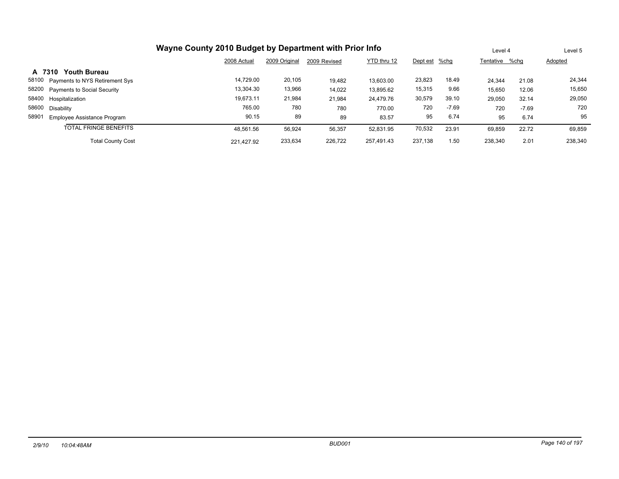|                                         | Wayne County 2010 Budget by Department with Prior Info |               |              |             |               |         | Level 4        |         | Level 5 |
|-----------------------------------------|--------------------------------------------------------|---------------|--------------|-------------|---------------|---------|----------------|---------|---------|
|                                         | 2008 Actual                                            | 2009 Original | 2009 Revised | YTD thru 12 | Dept est %chg |         | Tentative %chg |         | Adopted |
| <b>Youth Bureau</b><br>A 7310           |                                                        |               |              |             |               |         |                |         |         |
| 58100<br>Payments to NYS Retirement Sys | 14.729.00                                              | 20,105        | 19,482       | 13.603.00   | 23,823        | 18.49   | 24.344         | 21.08   | 24,344  |
| 58200<br>Payments to Social Security    | 13,304.30                                              | 13,966        | 14,022       | 13,895.62   | 15,315        | 9.66    | 15,650         | 12.06   | 15,650  |
| 58400<br>Hospitalization                | 19.673.11                                              | 21,984        | 21,984       | 24.479.76   | 30,579        | 39.10   | 29,050         | 32.14   | 29,050  |
| 58600<br>Disability                     | 765.00                                                 | 780           | 780          | 770.00      | 720           | $-7.69$ | 720            | $-7.69$ | 720     |
| 58901<br>Employee Assistance Program    | 90.15                                                  | 89            | 89           | 83.57       | 95            | 6.74    | 95             | 6.74    | 95      |
| <b>TOTAL FRINGE BENEFITS</b>            | 48.561.56                                              | 56,924        | 56,357       | 52,831.95   | 70,532        | 23.91   | 69,859         | 22.72   | 69,859  |
| <b>Total County Cost</b>                | 221.427.92                                             | 233.634       | 226,722      | 257.491.43  | 237.138       | 1.50    | 238.340        | 2.01    | 238,340 |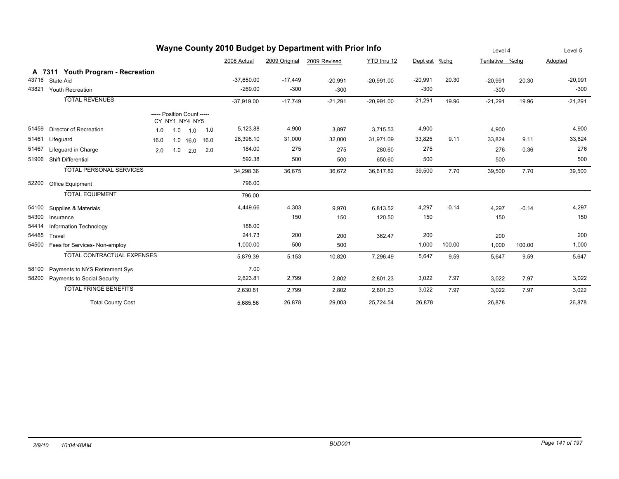| Wayne County 2010 Budget by Department with Prior Info |                                   |      |                                              |      |              |               |              |              |           | Level 4 |                | Level 5 |           |
|--------------------------------------------------------|-----------------------------------|------|----------------------------------------------|------|--------------|---------------|--------------|--------------|-----------|---------|----------------|---------|-----------|
|                                                        |                                   |      |                                              |      | 2008 Actual  | 2009 Original | 2009 Revised | YTD thru 12  | Dept est  | %chg    | Tentative %chq |         | Adopted   |
|                                                        | A 7311 Youth Program - Recreation |      |                                              |      |              |               |              |              |           |         |                |         |           |
| 43716                                                  | State Aid                         |      |                                              |      | $-37.650.00$ | $-17,449$     | $-20,991$    | $-20,991.00$ | $-20,991$ | 20.30   | $-20,991$      | 20.30   | $-20,991$ |
| 43821                                                  | <b>Youth Recreation</b>           |      |                                              |      | $-269.00$    | $-300$        | $-300$       |              | $-300$    |         | $-300$         |         | $-300$    |
|                                                        | <b>TOTAL REVENUES</b>             |      |                                              |      | $-37,919.00$ | $-17,749$     | $-21,291$    | $-20,991.00$ | $-21,291$ | 19.96   | $-21,291$      | 19.96   | $-21,291$ |
|                                                        |                                   |      | ----- Position Count -----<br>CY_NY1_NY4_NY5 |      |              |               |              |              |           |         |                |         |           |
| 51459                                                  | Director of Recreation            | 1.0  | 1.0<br>1.0                                   | 1.0  | 5,123.88     | 4,900         | 3,897        | 3,715.53     | 4,900     |         | 4,900          |         | 4,900     |
| 51461                                                  | Lifeguard                         | 16.0 | 1.0<br>16.0                                  | 16.0 | 28,398.10    | 31,000        | 32,000       | 31,971.09    | 33,825    | 9.11    | 33,824         | 9.11    | 33,824    |
| 51467                                                  | Lifeguard in Charge               | 2.0  | 1.0<br>2.0                                   | 2.0  | 184.00       | 275           | 275          | 280.60       | 275       |         | 276            | 0.36    | 276       |
| 51906                                                  | <b>Shift Differential</b>         |      |                                              |      | 592.38       | 500           | 500          | 650.60       | 500       |         | 500            |         | 500       |
|                                                        | <b>TOTAL PERSONAL SERVICES</b>    |      |                                              |      | 34,298.36    | 36,675        | 36,672       | 36,617.82    | 39,500    | 7.70    | 39,500         | 7.70    | 39,500    |
| 52200                                                  | Office Equipment                  |      |                                              |      | 796.00       |               |              |              |           |         |                |         |           |
|                                                        | <b>TOTAL EQUIPMENT</b>            |      |                                              |      | 796.00       |               |              |              |           |         |                |         |           |
| 54100                                                  | Supplies & Materials              |      |                                              |      | 4,449.66     | 4,303         | 9,970        | 6,813.52     | 4,297     | $-0.14$ | 4,297          | $-0.14$ | 4,297     |
| 54300                                                  | Insurance                         |      |                                              |      |              | 150           | 150          | 120.50       | 150       |         | 150            |         | 150       |
| 54414                                                  | Information Technology            |      |                                              |      | 188.00       |               |              |              |           |         |                |         |           |
| 54485                                                  | Travel                            |      |                                              |      | 241.73       | 200           | 200          | 362.47       | 200       |         | 200            |         | 200       |
| 54500                                                  | Fees for Services- Non-employ     |      |                                              |      | 1,000.00     | 500           | 500          |              | 1,000     | 100.00  | 1,000          | 100.00  | 1,000     |
|                                                        | <b>TOTAL CONTRACTUAL EXPENSES</b> |      |                                              |      | 5,879.39     | 5,153         | 10,820       | 7,296.49     | 5,647     | 9.59    | 5,647          | 9.59    | 5,647     |
| 58100                                                  | Payments to NYS Retirement Sys    |      |                                              |      | 7.00         |               |              |              |           |         |                |         |           |
| 58200                                                  | Payments to Social Security       |      |                                              |      | 2,623.81     | 2,799         | 2,802        | 2,801.23     | 3,022     | 7.97    | 3,022          | 7.97    | 3,022     |
|                                                        | <b>TOTAL FRINGE BENEFITS</b>      |      |                                              |      | 2,630.81     | 2,799         | 2,802        | 2,801.23     | 3,022     | 7.97    | 3,022          | 7.97    | 3,022     |
|                                                        | <b>Total County Cost</b>          |      |                                              |      | 5,685.56     | 26,878        | 29,003       | 25,724.54    | 26,878    |         | 26,878         |         | 26,878    |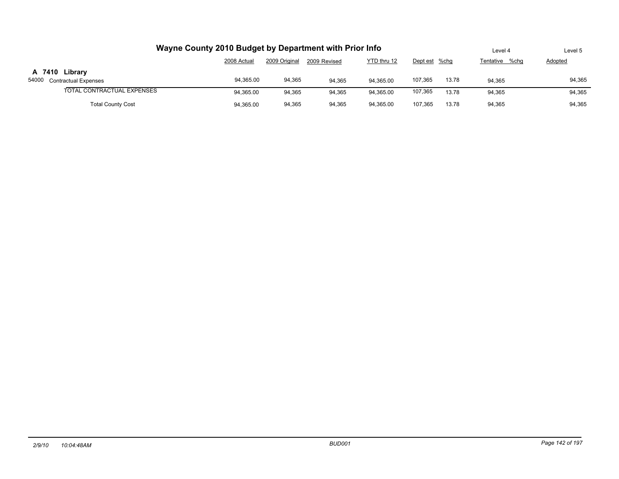|                            | Wayne County 2010 Budget by Department with Prior Info                       |        |        |           |         |       | Level 4 | Level 5 |  |  |
|----------------------------|------------------------------------------------------------------------------|--------|--------|-----------|---------|-------|---------|---------|--|--|
|                            | YTD thru 12<br>2009 Original<br>2008 Actual<br>2009 Revised<br>Dept est %chg |        |        |           |         |       |         |         |  |  |
| A 7410 Library             |                                                                              |        |        |           |         |       |         |         |  |  |
| 54000 Contractual Expenses | 94,365.00                                                                    | 94,365 | 94.365 | 94.365.00 | 107.365 | 13.78 | 94.365  | 94,365  |  |  |
| TOTAL CONTRACTUAL EXPENSES | 94.365.00                                                                    | 94.365 | 94.365 | 94.365.00 | 107,365 | 13.78 | 94.365  | 94,365  |  |  |
| <b>Total County Cost</b>   | 94.365.00                                                                    | 94,365 | 94,365 | 94.365.00 | 107.365 | 13.78 | 94.365  | 94,365  |  |  |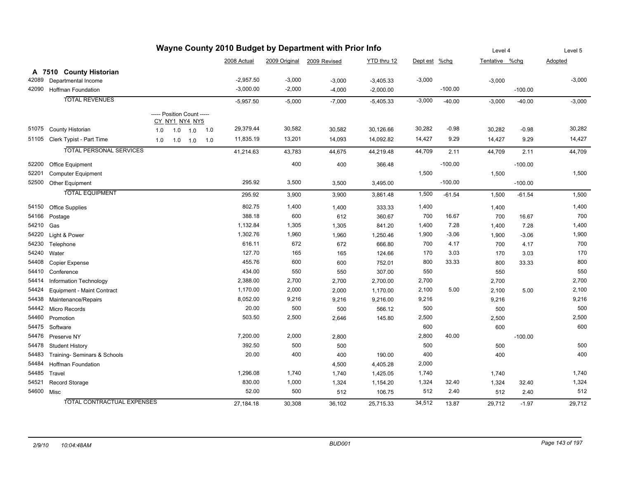| Wayne County 2010 Budget by Department with Prior Info |                                   |     |                            |     |             |          |                            |             |          |           | Level 4        |           | Level 5  |
|--------------------------------------------------------|-----------------------------------|-----|----------------------------|-----|-------------|----------|----------------------------|-------------|----------|-----------|----------------|-----------|----------|
|                                                        |                                   |     |                            |     | 2008 Actual |          | 2009 Original 2009 Revised | YTD thru 12 | Dept est | $%$ chg   | Tentative %chg |           | Adopted  |
|                                                        | A 7510 County Historian           |     |                            |     |             |          |                            |             |          |           |                |           |          |
| 42089                                                  | Departmental Income               |     |                            |     | $-2,957.50$ | $-3,000$ | $-3,000$                   | $-3,405.33$ | $-3,000$ |           | $-3,000$       |           | $-3,000$ |
| 42090                                                  | <b>Hoffman Foundation</b>         |     |                            |     | $-3,000.00$ | $-2,000$ | $-4,000$                   | $-2,000.00$ |          | $-100.00$ |                | $-100.00$ |          |
|                                                        | <b>TOTAL REVENUES</b>             |     |                            |     | $-5,957.50$ | $-5,000$ | $-7,000$                   | $-5,405.33$ | $-3,000$ | $-40.00$  | $-3,000$       | $-40.00$  | $-3,000$ |
|                                                        |                                   |     | ----- Position Count ----- |     |             |          |                            |             |          |           |                |           |          |
|                                                        |                                   |     | <u>CY_NY1_NY4_NY5</u>      |     |             |          |                            |             |          |           |                |           |          |
| 51075                                                  | County Historian                  | 1.0 | 1.0<br>1.0                 | 1.0 | 29,379.44   | 30,582   | 30,582                     | 30,126.66   | 30,282   | $-0.98$   | 30,282         | $-0.98$   | 30,282   |
| 51105                                                  | Clerk Typist - Part Time          | 1.0 | $1.0$ $1.0$                | 1.0 | 11,835.19   | 13,201   | 14,093                     | 14,092.82   | 14,427   | 9.29      | 14,427         | 9.29      | 14,427   |
|                                                        | <b>TOTAL PERSONAL SERVICES</b>    |     |                            |     | 41,214.63   | 43,783   | 44,675                     | 44,219.48   | 44,709   | 2.11      | 44,709         | 2.11      | 44,709   |
| 52200                                                  | <b>Office Equipment</b>           |     |                            |     |             | 400      | 400                        | 366.48      |          | $-100.00$ |                | $-100.00$ |          |
| 52201                                                  | <b>Computer Equipment</b>         |     |                            |     |             |          |                            |             | 1,500    |           | 1,500          |           | 1,500    |
| 52500                                                  | Other Equipment                   |     |                            |     | 295.92      | 3,500    | 3,500                      | 3,495.00    |          | $-100.00$ |                | $-100.00$ |          |
|                                                        | <b>TOTAL EQUIPMENT</b>            |     |                            |     | 295.92      | 3,900    | 3,900                      | 3,861.48    | 1,500    | $-61.54$  | 1,500          | $-61.54$  | 1,500    |
| 54150                                                  | <b>Office Supplies</b>            |     |                            |     | 802.75      | 1,400    | 1,400                      | 333.33      | 1,400    |           | 1,400          |           | 1,400    |
| 54166                                                  | Postage                           |     |                            |     | 388.18      | 600      | 612                        | 360.67      | 700      | 16.67     | 700            | 16.67     | 700      |
| 54210                                                  | Gas                               |     |                            |     | 1,132.84    | 1,305    | 1,305                      | 841.20      | 1,400    | 7.28      | 1,400          | 7.28      | 1,400    |
| 54220                                                  | Light & Power                     |     |                            |     | 1,302.76    | 1,960    | 1,960                      | 1,250.46    | 1,900    | $-3.06$   | 1,900          | $-3.06$   | 1,900    |
| 54230                                                  | Telephone                         |     |                            |     | 616.11      | 672      | 672                        | 666.80      | 700      | 4.17      | 700            | 4.17      | 700      |
| 54240                                                  | Water                             |     |                            |     | 127.70      | 165      | 165                        | 124.66      | 170      | 3.03      | 170            | 3.03      | 170      |
| 54408                                                  | Copier Expense                    |     |                            |     | 455.76      | 600      | 600                        | 752.01      | 800      | 33.33     | 800            | 33.33     | 800      |
| 54410                                                  | Conference                        |     |                            |     | 434.00      | 550      | 550                        | 307.00      | 550      |           | 550            |           | 550      |
| 54414                                                  | Information Technology            |     |                            |     | 2,388.00    | 2,700    | 2,700                      | 2,700.00    | 2,700    |           | 2,700          |           | 2,700    |
| 54424                                                  | Equipment - Maint Contract        |     |                            |     | 1,170.00    | 2,000    | 2,000                      | 1,170.00    | 2,100    | 5.00      | 2,100          | 5.00      | 2,100    |
| 54438                                                  | Maintenance/Repairs               |     |                            |     | 8,052.00    | 9,216    | 9,216                      | 9,216.00    | 9,216    |           | 9,216          |           | 9,216    |
| 54442                                                  | <b>Micro Records</b>              |     |                            |     | 20.00       | 500      | 500                        | 566.12      | 500      |           | 500            |           | 500      |
| 54460                                                  | Promotion                         |     |                            |     | 503.50      | 2,500    | 2,646                      | 145.80      | 2,500    |           | 2,500          |           | 2,500    |
| 54475                                                  | Software                          |     |                            |     |             |          |                            |             | 600      |           | 600            |           | 600      |
| 54476                                                  | Preserve NY                       |     |                            |     | 7,200.00    | 2,000    | 2,800                      |             | 2,800    | 40.00     |                | $-100.00$ |          |
| 54478                                                  | <b>Student History</b>            |     |                            |     | 392.50      | 500      | 500                        |             | 500      |           | 500            |           | 500      |
| 54483                                                  | Training- Seminars & Schools      |     |                            |     | 20.00       | 400      | 400                        | 190.00      | 400      |           | 400            |           | 400      |
| 54484                                                  | <b>Hoffman Foundation</b>         |     |                            |     |             |          | 4,500                      | 4,405.28    | 2,000    |           |                |           |          |
| 54485                                                  | Travel                            |     |                            |     | 1,296.08    | 1,740    | 1,740                      | 1,425.05    | 1,740    |           | 1,740          |           | 1,740    |
| 54521                                                  | Record Storage                    |     |                            |     | 830.00      | 1,000    | 1,324                      | 1,154.20    | 1,324    | 32.40     | 1,324          | 32.40     | 1,324    |
| 54600 Misc                                             |                                   |     |                            |     | 52.00       | 500      | 512                        | 106.75      | 512      | 2.40      | 512            | 2.40      | 512      |
|                                                        | <b>TOTAL CONTRACTUAL EXPENSES</b> |     |                            |     | 27,184.18   | 30,308   | 36,102                     | 25,715.33   | 34,512   | 13.87     | 29,712         | $-1.97$   | 29,712   |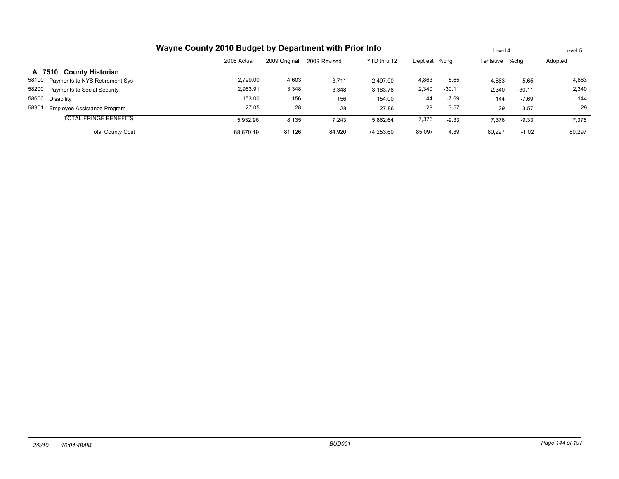|                                      | Wayne County 2010 Budget by Department with Prior Info<br>2009 Original<br>YTD thru 12<br>2008 Actual<br>2009 Revised<br>Dept est %chg |        |        |           |        |          |                |          |         |  |
|--------------------------------------|----------------------------------------------------------------------------------------------------------------------------------------|--------|--------|-----------|--------|----------|----------------|----------|---------|--|
|                                      |                                                                                                                                        |        |        |           |        |          | Tentative %chq |          | Adopted |  |
| A 7510 County Historian              |                                                                                                                                        |        |        |           |        |          |                |          |         |  |
| 58100 Payments to NYS Retirement Sys | 2.799.00                                                                                                                               | 4,603  | 3,711  | 2.497.00  | 4,863  | 5.65     | 4,863          | 5.65     | 4,863   |  |
| 58200 Payments to Social Security    | 2,953.91                                                                                                                               | 3,348  | 3,348  | 3,183.78  | 2,340  | $-30.11$ | 2,340          | $-30.11$ | 2,340   |  |
| 58600 Disability                     | 153.00                                                                                                                                 | 156    | 156    | 154.00    | 144    | $-7.69$  | 144            | $-7.69$  | 144     |  |
| 58901<br>Employee Assistance Program | 27.05                                                                                                                                  | 28     | 28     | 27.86     | 29     | 3.57     | 29             | 3.57     | 29      |  |
| <b>TOTAL FRINGE BENEFITS</b>         | 5.932.96                                                                                                                               | 8,135  | 7,243  | 5.862.64  | 7,376  | $-9.33$  | 7,376          | $-9.33$  | 7.376   |  |
| <b>Total County Cost</b>             | 68.670.19                                                                                                                              | 81,126 | 84,920 | 74,253.60 | 85,097 | 4.89     | 80.297         | $-1.02$  | 80.297  |  |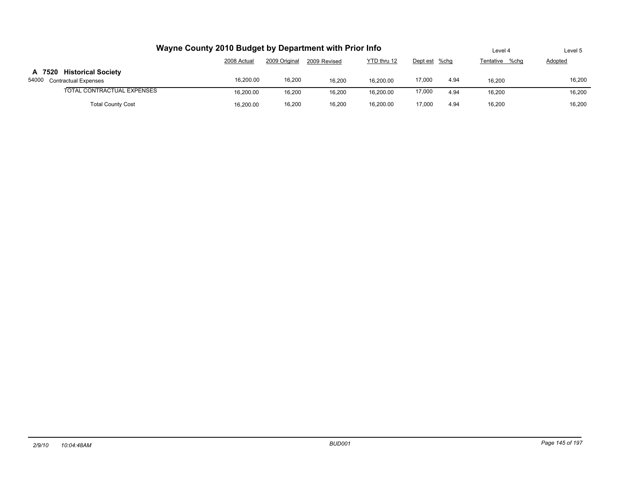| Wayne County 2010 Budget by Department with Prior Info  | Level 4     | Level 5       |              |             |               |      |                |         |
|---------------------------------------------------------|-------------|---------------|--------------|-------------|---------------|------|----------------|---------|
|                                                         | 2008 Actual | 2009 Original | 2009 Revised | YTD thru 12 | Dept est %chg |      | Tentative %chq | Adopted |
| A 7520 Historical Society<br>54000 Contractual Expenses | 16,200.00   | 16,200        | 16.200       | 16.200.00   | 17,000        | 4.94 | 16.200         | 16,200  |
| TOTAL CONTRACTUAL EXPENSES                              | 16.200.00   | 16.200        | 16.200       | 16.200.00   | 17,000        | 4.94 | 16.200         | 16,200  |
| <b>Total County Cost</b>                                | 16.200.00   | 16,200        | 16.200       | 16.200.00   | 17.000        | 4.94 | 16.200         | 16.200  |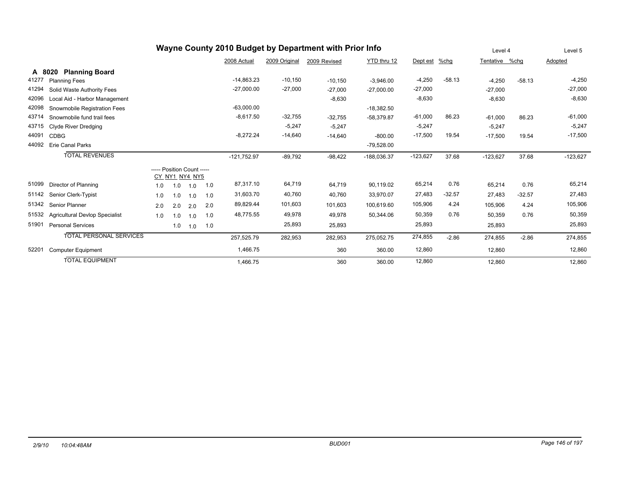|       | Wayne County 2010 Budget by Department with Prior Info |                            |                |     |     |               |               |              |               |               | Level 4  |                | Level 5  |            |
|-------|--------------------------------------------------------|----------------------------|----------------|-----|-----|---------------|---------------|--------------|---------------|---------------|----------|----------------|----------|------------|
|       |                                                        |                            |                |     |     | 2008 Actual   | 2009 Original | 2009 Revised | YTD thru 12   | Dept est %chg |          | Tentative %chg |          | Adopted    |
|       | <b>Planning Board</b><br>A 8020                        |                            |                |     |     |               |               |              |               |               |          |                |          |            |
| 41277 | <b>Planning Fees</b>                                   |                            |                |     |     | $-14,863.23$  | $-10,150$     | $-10,150$    | $-3.946.00$   | $-4,250$      | $-58.13$ | $-4,250$       | $-58.13$ | $-4,250$   |
| 41294 | Solid Waste Authority Fees                             |                            |                |     |     | $-27,000.00$  | $-27,000$     | $-27,000$    | $-27,000.00$  | $-27,000$     |          | $-27,000$      |          | $-27,000$  |
| 42096 | Local Aid - Harbor Management                          |                            |                |     |     |               |               | $-8,630$     |               | $-8,630$      |          | $-8,630$       |          | $-8,630$   |
| 42098 | Snowmobile Registration Fees                           |                            |                |     |     | $-63,000.00$  |               |              | $-18,382.50$  |               |          |                |          |            |
| 43714 | Snowmobile fund trail fees                             |                            |                |     |     | $-8,617.50$   | $-32,755$     | $-32,755$    | $-58,379.87$  | $-61,000$     | 86.23    | $-61,000$      | 86.23    | $-61,000$  |
| 43715 | <b>Clyde River Dredging</b>                            |                            |                |     |     |               | $-5,247$      | $-5,247$     |               | $-5,247$      |          | $-5,247$       |          | $-5,247$   |
| 44091 | <b>CDBG</b>                                            |                            |                |     |     | $-8,272.24$   | $-14,640$     | $-14,640$    | $-800.00$     | $-17,500$     | 19.54    | $-17,500$      | 19.54    | $-17,500$  |
| 44092 | <b>Erie Canal Parks</b>                                |                            |                |     |     |               |               |              | $-79,528.00$  |               |          |                |          |            |
|       | <b>TOTAL REVENUES</b>                                  |                            |                |     |     | $-121,752.97$ | $-89,792$     | $-98,422$    | $-188,036.37$ | $-123,627$    | 37.68    | $-123,627$     | 37.68    | $-123,627$ |
|       |                                                        | ----- Position Count ----- |                |     |     |               |               |              |               |               |          |                |          |            |
|       |                                                        |                            | CY NY1 NY4 NY5 |     |     |               |               |              |               |               |          |                |          |            |
| 51099 | Director of Planning                                   | 1.0                        | 1.0            | 1.0 | 1.0 | 87,317.10     | 64,719        | 64,719       | 90,119.02     | 65,214        | 0.76     | 65,214         | 0.76     | 65,214     |
| 51142 | Senior Clerk-Typist                                    | 1.0                        | 1.0            | 1.0 | 1.0 | 31,603.70     | 40,760        | 40,760       | 33,970.07     | 27,483        | $-32.57$ | 27,483         | $-32.57$ | 27,483     |
| 51342 | Senior Planner                                         | 2.0                        | 2.0            | 2.0 | 2.0 | 89,829.44     | 101,603       | 101,603      | 100,619.60    | 105,906       | 4.24     | 105,906        | 4.24     | 105,906    |
| 51532 | <b>Agricultural Devlop Specialist</b>                  | 1.0                        | 1.0            | 1.0 | 1.0 | 48,775.55     | 49,978        | 49,978       | 50,344.06     | 50,359        | 0.76     | 50,359         | 0.76     | 50,359     |
| 51901 | <b>Personal Services</b>                               |                            | 1.0            | 1.0 | 1.0 |               | 25,893        | 25,893       |               | 25,893        |          | 25,893         |          | 25,893     |
|       | <b>TOTAL PERSONAL SERVICES</b>                         |                            |                |     |     | 257,525.79    | 282,953       | 282,953      | 275,052.75    | 274,855       | $-2.86$  | 274,855        | $-2.86$  | 274,855    |
| 52201 | <b>Computer Equipment</b>                              |                            |                |     |     | 1,466.75      |               | 360          | 360.00        | 12,860        |          | 12,860         |          | 12,860     |
|       | <b>TOTAL EQUIPMENT</b>                                 |                            |                |     |     | 1,466.75      |               | 360          | 360.00        | 12,860        |          | 12,860         |          | 12,860     |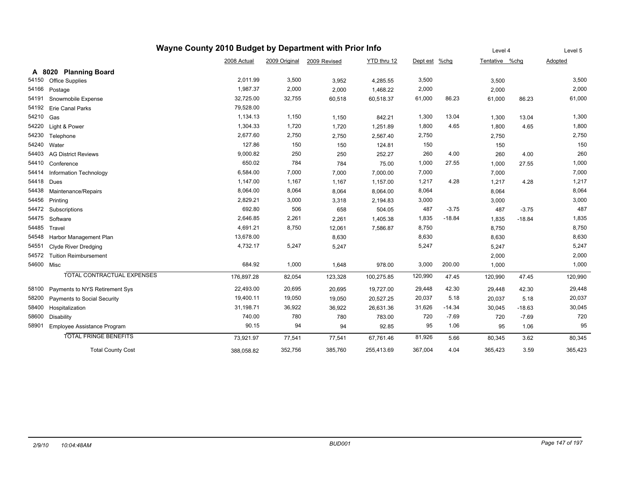|       | Wayne County 2010 Budget by Department with Prior Info |             | Level 4       |              | Level 5     |          |          |                |          |         |
|-------|--------------------------------------------------------|-------------|---------------|--------------|-------------|----------|----------|----------------|----------|---------|
|       |                                                        | 2008 Actual | 2009 Original | 2009 Revised | YTD thru 12 | Dept est | %chg     | Tentative %chq |          | Adopted |
|       | A 8020 Planning Board                                  |             |               |              |             |          |          |                |          |         |
| 54150 | <b>Office Supplies</b>                                 | 2,011.99    | 3,500         | 3,952        | 4,285.55    | 3,500    |          | 3,500          |          | 3,500   |
| 54166 | Postage                                                | 1,987.37    | 2,000         | 2,000        | 1,468.22    | 2,000    |          | 2,000          |          | 2,000   |
| 54191 | Snowmobile Expense                                     | 32,725.00   | 32,755        | 60,518       | 60,518.37   | 61,000   | 86.23    | 61,000         | 86.23    | 61,000  |
| 54192 | <b>Erie Canal Parks</b>                                | 79,528.00   |               |              |             |          |          |                |          |         |
| 54210 | Gas                                                    | 1,134.13    | 1,150         | 1,150        | 842.21      | 1,300    | 13.04    | 1,300          | 13.04    | 1,300   |
| 54220 | Light & Power                                          | 1,304.33    | 1,720         | 1,720        | 1,251.89    | 1,800    | 4.65     | 1,800          | 4.65     | 1,800   |
| 54230 | Telephone                                              | 2,677.60    | 2,750         | 2,750        | 2,567.40    | 2,750    |          | 2,750          |          | 2,750   |
| 54240 | Water                                                  | 127.86      | 150           | 150          | 124.81      | 150      |          | 150            |          | 150     |
| 54403 | <b>AG District Reviews</b>                             | 9,000.82    | 250           | 250          | 252.27      | 260      | 4.00     | 260            | 4.00     | 260     |
| 54410 | Conference                                             | 650.02      | 784           | 784          | 75.00       | 1,000    | 27.55    | 1,000          | 27.55    | 1,000   |
| 54414 | Information Technology                                 | 6,584.00    | 7,000         | 7,000        | 7,000.00    | 7,000    |          | 7,000          |          | 7,000   |
| 54418 | Dues                                                   | 1,147.00    | 1,167         | 1,167        | 1,157.00    | 1,217    | 4.28     | 1,217          | 4.28     | 1,217   |
| 54438 | Maintenance/Repairs                                    | 8,064.00    | 8,064         | 8,064        | 8,064.00    | 8,064    |          | 8,064          |          | 8,064   |
| 54456 | Printing                                               | 2,829.21    | 3,000         | 3,318        | 2,194.83    | 3,000    |          | 3,000          |          | 3,000   |
| 54472 | Subscriptions                                          | 692.80      | 506           | 658          | 504.05      | 487      | $-3.75$  | 487            | $-3.75$  | 487     |
| 54475 | Software                                               | 2,646.85    | 2,261         | 2,261        | 1,405.38    | 1,835    | $-18.84$ | 1,835          | $-18.84$ | 1,835   |
| 54485 | Travel                                                 | 4,691.21    | 8,750         | 12,061       | 7,586.87    | 8,750    |          | 8,750          |          | 8,750   |
| 54548 | Harbor Management Plan                                 | 13,678.00   |               | 8,630        |             | 8,630    |          | 8,630          |          | 8,630   |
| 54551 | <b>Clyde River Dredging</b>                            | 4,732.17    | 5,247         | 5,247        |             | 5,247    |          | 5,247          |          | 5,247   |
| 54572 | <b>Tuition Reimbursement</b>                           |             |               |              |             |          |          | 2,000          |          | 2,000   |
| 54600 | Misc                                                   | 684.92      | 1,000         | 1,648        | 978.00      | 3,000    | 200.00   | 1,000          |          | 1,000   |
|       | TOTAL CONTRACTUAL EXPENSES                             | 176,897.28  | 82,054        | 123,328      | 100,275.85  | 120,990  | 47.45    | 120,990        | 47.45    | 120,990 |
| 58100 | Payments to NYS Retirement Sys                         | 22,493.00   | 20,695        | 20,695       | 19,727.00   | 29,448   | 42.30    | 29,448         | 42.30    | 29,448  |
| 58200 | Payments to Social Security                            | 19,400.11   | 19,050        | 19,050       | 20,527.25   | 20,037   | 5.18     | 20,037         | 5.18     | 20,037  |
| 58400 | Hospitalization                                        | 31,198.71   | 36,922        | 36,922       | 26,631.36   | 31,626   | $-14.34$ | 30.045         | $-18.63$ | 30,045  |
| 58600 | Disability                                             | 740.00      | 780           | 780          | 783.00      | 720      | $-7.69$  | 720            | $-7.69$  | 720     |
| 58901 | Employee Assistance Program                            | 90.15       | 94            | 94           | 92.85       | 95       | 1.06     | 95             | 1.06     | 95      |
|       | <b>TOTAL FRINGE BENEFITS</b>                           | 73,921.97   | 77,541        | 77,541       | 67,761.46   | 81,926   | 5.66     | 80,345         | 3.62     | 80,345  |
|       | <b>Total County Cost</b>                               | 388,058.82  | 352,756       | 385,760      | 255,413.69  | 367,004  | 4.04     | 365,423        | 3.59     | 365,423 |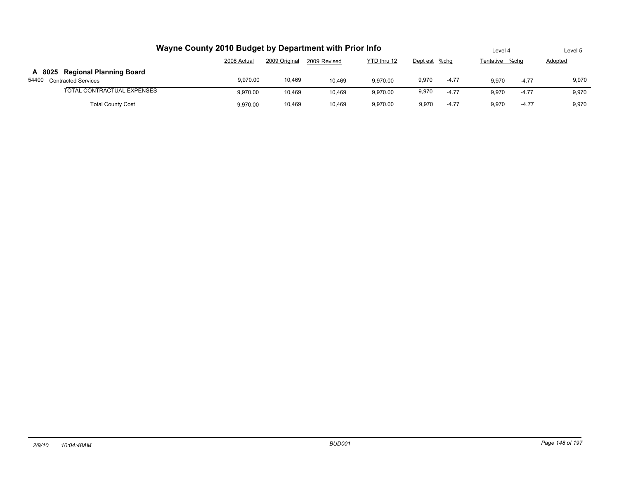| Wayne County 2010 Budget by Department with Prior Info      |             |               |              |             |               |         | Level 4        |         | Level 5 |  |
|-------------------------------------------------------------|-------------|---------------|--------------|-------------|---------------|---------|----------------|---------|---------|--|
|                                                             | 2008 Actual | 2009 Original | 2009 Revised | YTD thru 12 | Dept est %chq |         | Tentative %chq |         | Adopted |  |
| A 8025 Regional Planning Board<br>54400 Contracted Services | 9.970.00    | 10,469        | 10.469       | 9.970.00    | 9,970         | $-4.77$ | 9.970          | $-4.77$ | 9,970   |  |
| TOTAL CONTRACTUAL EXPENSES                                  | 9.970.00    | 10.469        | 10.469       | 9.970.00    | 9,970         | $-4.77$ | 9.970          | $-4.77$ | 9,970   |  |
| <b>Total County Cost</b>                                    | 9.970.00    | 10.469        | 10.469       | 9.970.00    | 9.970         | $-4.77$ | 9.970          | $-4.77$ | 9.970   |  |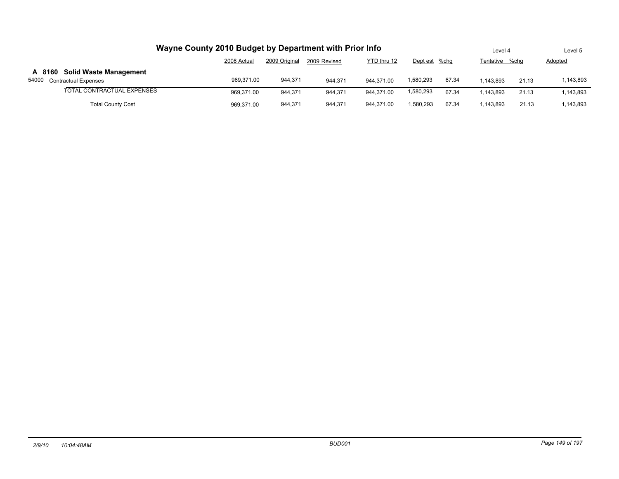| Wayne County 2010 Budget by Department with Prior Info                |             |               |              |             |               |       |           |       | Level 5   |  |
|-----------------------------------------------------------------------|-------------|---------------|--------------|-------------|---------------|-------|-----------|-------|-----------|--|
|                                                                       | 2008 Actual | 2009 Original | 2009 Revised | YTD thru 12 | Dept est %chg |       | Tentative | %cha  | Adopted   |  |
| A 8160 Solid Waste Management<br>54000<br><b>Contractual Expenses</b> | 969.371.00  | 944,371       | 944.371      | 944.371.00  | 580,293       | 67.34 | 1.143.893 | 21.13 | 1,143,893 |  |
| TOTAL CONTRACTUAL EXPENSES                                            | 969.371.00  | 944.371       | 944.371      | 944.371.00  | 1,580,293     | 67.34 | 1.143.893 | 21.13 | 1,143,893 |  |
| <b>Total County Cost</b>                                              | 969.371.00  | 944,371       | 944,371      | 944.371.00  | .580.293      | 67.34 | 1.143.893 | 21.13 | 1,143,893 |  |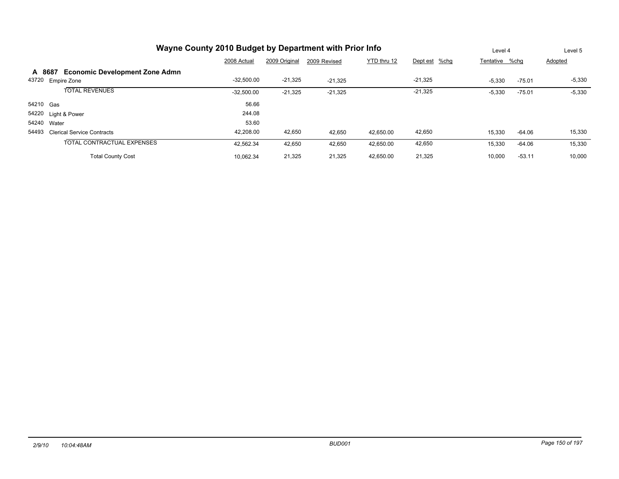|           | Wayne County 2010 Budget by Department with Prior Info |              |               |              |             |               |                |          | Level 5  |  |
|-----------|--------------------------------------------------------|--------------|---------------|--------------|-------------|---------------|----------------|----------|----------|--|
|           |                                                        | 2008 Actual  | 2009 Original | 2009 Revised | YTD thru 12 | Dept est %chg | Tentative %chq |          | Adopted  |  |
| A 8687    | <b>Economic Development Zone Admn</b>                  |              |               |              |             |               |                |          |          |  |
| 43720     | <b>Empire Zone</b>                                     | $-32,500.00$ | $-21,325$     | $-21.325$    |             | $-21,325$     | $-5,330$       | $-75.01$ | $-5,330$ |  |
|           | <b>TOTAL REVENUES</b>                                  | $-32,500.00$ | $-21,325$     | $-21,325$    |             | $-21,325$     | $-5,330$       | $-75.01$ | $-5,330$ |  |
| 54210 Gas |                                                        | 56.66        |               |              |             |               |                |          |          |  |
|           | 54220 Light & Power                                    | 244.08       |               |              |             |               |                |          |          |  |
| 54240     | Water                                                  | 53.60        |               |              |             |               |                |          |          |  |
| 54493     | <b>Clerical Service Contracts</b>                      | 42,208.00    | 42,650        | 42,650       | 42,650.00   | 42,650        | 15,330         | -64.06   | 15,330   |  |
|           | TOTAL CONTRACTUAL EXPENSES                             | 42,562.34    | 42,650        | 42,650       | 42,650.00   | 42,650        | 15,330         | $-64.06$ | 15,330   |  |
|           | <b>Total County Cost</b>                               | 10.062.34    | 21,325        | 21,325       | 42,650.00   | 21,325        | 10,000         | $-53.11$ | 10,000   |  |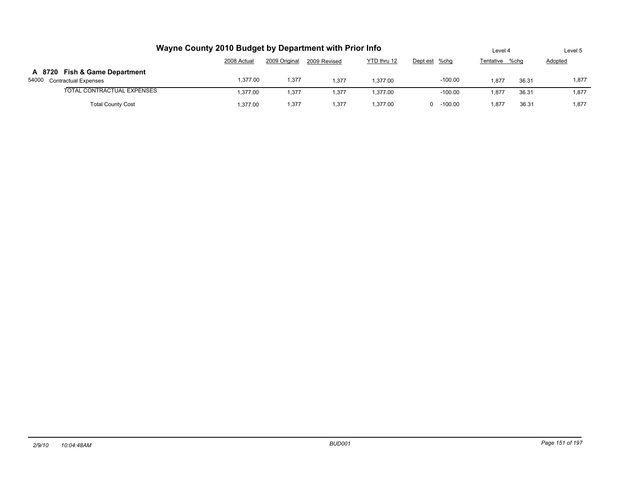| Wayne County 2010 Budget by Department with Prior Info      |             |               |              |             |                 |                | Level 4 | Level 5 |
|-------------------------------------------------------------|-------------|---------------|--------------|-------------|-----------------|----------------|---------|---------|
|                                                             | 2008 Actual | 2009 Original | 2009 Revised | YTD thru 12 | Dept est %chg   | Tentative %chg |         | Adopted |
| A 8720 Fish & Game Department<br>54000 Contractual Expenses | 1,377.00    | 1,377         | 1.377        | 1.377.00    | $-100.00$       | 1.877          | 36.31   | 1,877   |
| TOTAL CONTRACTUAL EXPENSES                                  | 1.377.00    | 1,377         | 1.377        | 1.377.00    | $-100.00$       | 1.877          | 36.31   | 1,877   |
| <b>Total County Cost</b>                                    | .377.00     | 1,377         | 1.377        | 1.377.00    | $-100.00$<br>n. | 1.877          | 36.31   | 1.877   |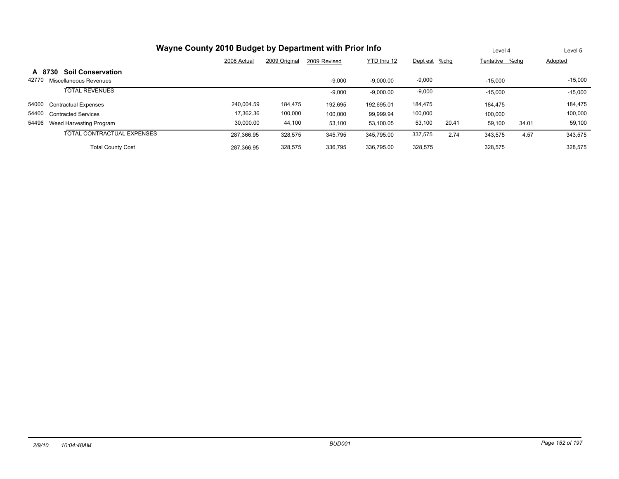| Wayne County 2010 Budget by Department with Prior Info |                                    |             |               |              |             |               |       |                | Level 4 | Level 5   |
|--------------------------------------------------------|------------------------------------|-------------|---------------|--------------|-------------|---------------|-------|----------------|---------|-----------|
|                                                        |                                    | 2008 Actual | 2009 Original | 2009 Revised | YTD thru 12 | Dept est %chg |       | Tentative %chq |         | Adopted   |
|                                                        | <b>Soil Conservation</b><br>A 8730 |             |               |              |             |               |       |                |         |           |
| 42770                                                  | Miscellaneous Revenues             |             |               | $-9,000$     | $-9.000.00$ | $-9,000$      |       | $-15,000$      |         | $-15,000$ |
|                                                        | <b>TOTAL REVENUES</b>              |             |               | $-9,000$     | $-9,000.00$ | $-9,000$      |       | $-15,000$      |         | $-15,000$ |
| 54000                                                  | <b>Contractual Expenses</b>        | 240.004.59  | 184,475       | 192,695      | 192.695.01  | 184,475       |       | 184.475        |         | 184,475   |
| 54400                                                  | <b>Contracted Services</b>         | 17,362.36   | 100,000       | 100,000      | 99.999.94   | 100,000       |       | 100.000        |         | 100,000   |
|                                                        | 54496 Weed Harvesting Program      | 30.000.00   | 44,100        | 53,100       | 53.100.05   | 53,100        | 20.41 | 59.100         | 34.01   | 59,100    |
|                                                        | TOTAL CONTRACTUAL EXPENSES         | 287,366.95  | 328.575       | 345,795      | 345.795.00  | 337,575       | 2.74  | 343,575        | 4.57    | 343,575   |
|                                                        | <b>Total County Cost</b>           | 287.366.95  | 328,575       | 336,795      | 336.795.00  | 328,575       |       | 328,575        |         | 328,575   |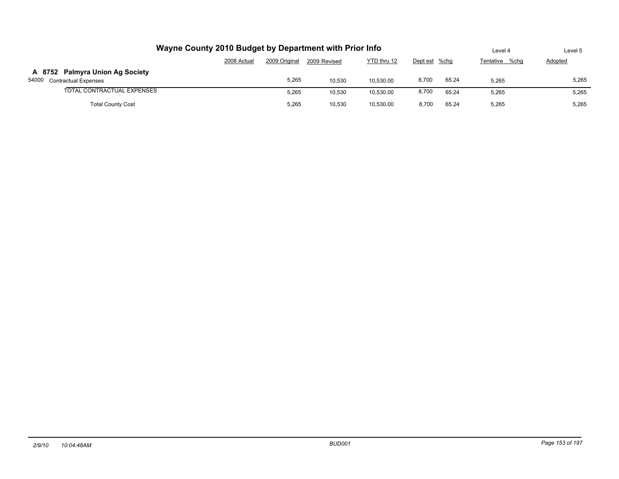| Wayne County 2010 Budget by Department with Prior Info        | Level 4     | Level 5       |              |             |               |       |                   |         |
|---------------------------------------------------------------|-------------|---------------|--------------|-------------|---------------|-------|-------------------|---------|
|                                                               | 2008 Actual | 2009 Original | 2009 Revised | YTD thru 12 | Dept est %chg |       | Tentative<br>%chq | Adopted |
| A 8752 Palmyra Union Ag Society<br>54000 Contractual Expenses |             | 5,265         | 10.530       | 10.530.00   | 8,700         | 65.24 | 5,265             | 5,265   |
| TOTAL CONTRACTUAL EXPENSES                                    |             | 5,265         | 10.530       | 10.530.00   | 8,700         | 65.24 | 5,265             | 5,265   |
| <b>Total County Cost</b>                                      |             | 5,265         | 10.530       | 10.530.00   | 8.700         | 65.24 | 5,265             | 5,265   |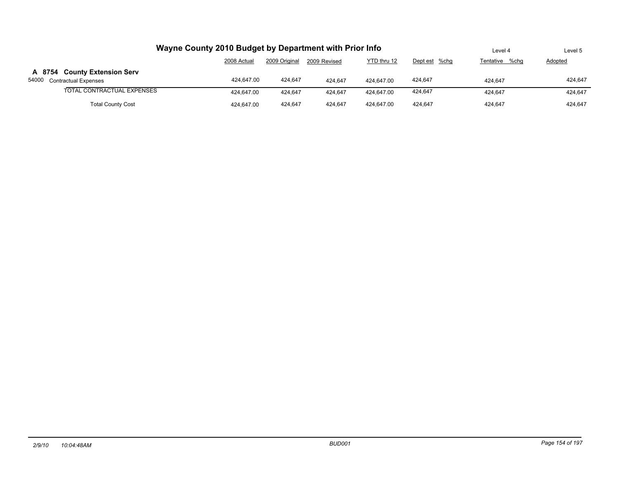| Wayne County 2010 Budget by Department with Prior Info     | Level 4     | Level 5       |              |             |               |                |                |
|------------------------------------------------------------|-------------|---------------|--------------|-------------|---------------|----------------|----------------|
|                                                            | 2008 Actual | 2009 Original | 2009 Revised | YTD thru 12 | Dept est %chg | Tentative %chq | <b>Adopted</b> |
| A 8754 County Extension Serv<br>54000 Contractual Expenses | 424.647.00  | 424.647       | 424.647      | 424.647.00  | 424.647       | 424.647        | 424.647        |
| TOTAL CONTRACTUAL EXPENSES                                 | 424.647.00  | 424.647       | 424.647      | 424.647.00  | 424.647       | 424.647        | 424.647        |
| <b>Total County Cost</b>                                   | 424.647.00  | 424.647       | 424.647      | 424.647.00  | 424.647       | 424.647        | 424.647        |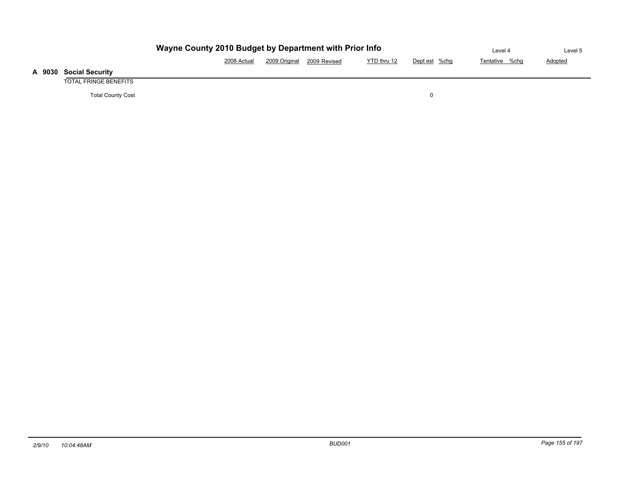|                              | Level 4     | Level 5       |              |             |               |                |                |
|------------------------------|-------------|---------------|--------------|-------------|---------------|----------------|----------------|
|                              | 2008 Actual | 2009 Original | 2009 Revised | YTD thru 12 | Dept est %chg | Tentative %chg | <b>Adopted</b> |
| <b>Social Security</b>       |             |               |              |             |               |                |                |
| <b>TOTAL FRINGE BENEFITS</b> |             |               |              |             |               |                |                |

Total County Cost 0

**A 9030 Social Security**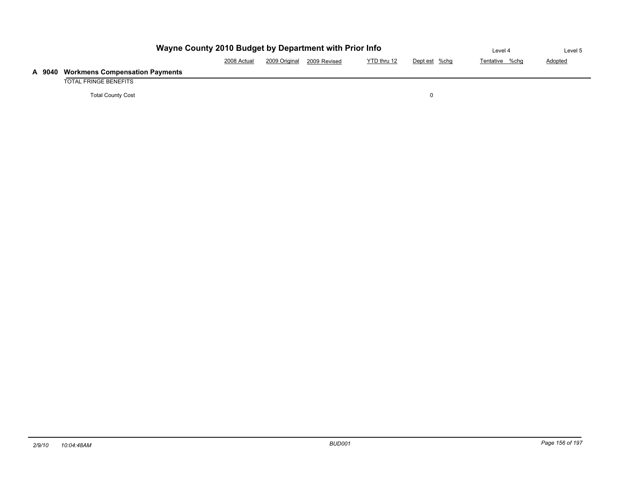|      | Wayne County 2010 Budget by Department with Prior Info | Level 4     | Level 5       |              |             |               |                |         |
|------|--------------------------------------------------------|-------------|---------------|--------------|-------------|---------------|----------------|---------|
|      |                                                        | 2008 Actual | 2009 Original | 2009 Revised | YTD thru 12 | Dept est %chg | Tentative %chg | Adopted |
| 9040 | <b>Workmens Compensation Payments</b>                  |             |               |              |             |               |                |         |
|      | TOTAL FRINGE BENEFITS                                  |             |               |              |             |               |                |         |
|      | <b>Total County Cost</b>                               |             |               |              |             |               |                |         |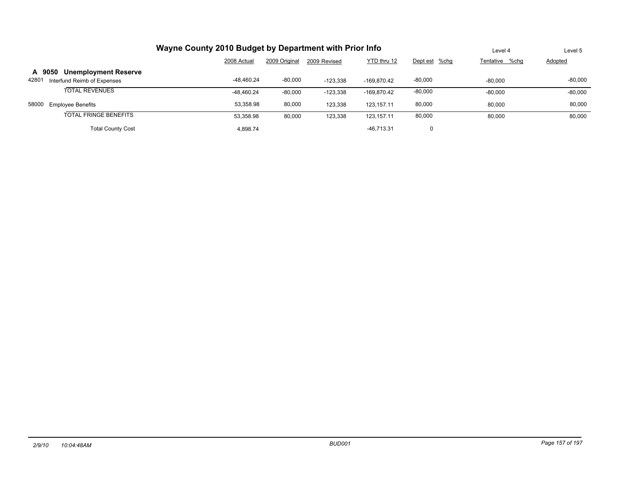|                                                                               | Level 4      | Level 5       |              |              |               |                |                |
|-------------------------------------------------------------------------------|--------------|---------------|--------------|--------------|---------------|----------------|----------------|
|                                                                               | 2008 Actual  | 2009 Original | 2009 Revised | YTD thru 12  | Dept est %chg | Tentative %chq | <b>Adopted</b> |
| <b>Unemployment Reserve</b><br>A 9050<br>42801<br>Interfund Reimb of Expenses | -48.460.24   | $-80,000$     | $-123.338$   | -169.870.42  | $-80,000$     | $-80.000$      | $-80,000$      |
| <b>TOTAL REVENUES</b>                                                         | $-48.460.24$ | $-80,000$     | $-123,338$   | -169.870.42  | $-80,000$     | $-80,000$      | $-80,000$      |
| 58000<br><b>Employee Benefits</b>                                             | 53.358.98    | 80,000        | 123.338      | 123.157.11   | 80,000        | 80.000         | 80,000         |
| TOTAL FRINGE BENEFITS                                                         | 53.358.98    | 80,000        | 123.338      | 123.157.11   | 80,000        | 80,000         | 80,000         |
| <b>Total County Cost</b>                                                      | 4.898.74     |               |              | $-46.713.31$ | 0             |                |                |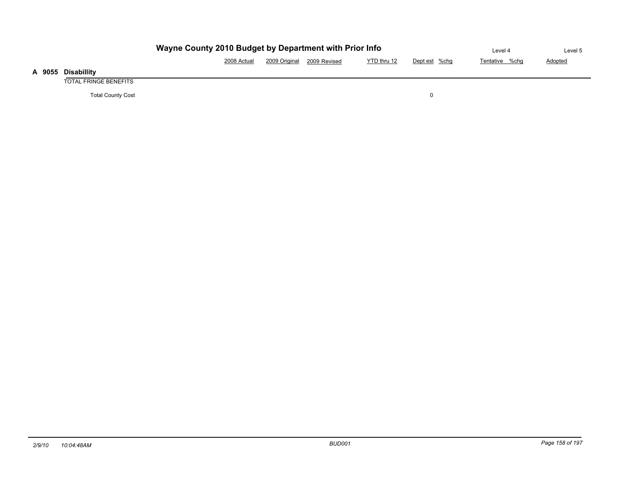|                       | Level 4                                                                      | Level 5 |  |  |  |  |  |  |  |  |
|-----------------------|------------------------------------------------------------------------------|---------|--|--|--|--|--|--|--|--|
|                       | 2009 Original<br>YTD thru 12<br>2008 Actual<br>Dept est %chg<br>2009 Revised |         |  |  |  |  |  |  |  |  |
| <b>Disabillity</b>    |                                                                              |         |  |  |  |  |  |  |  |  |
| TOTAL FRINGE BENEFITS |                                                                              |         |  |  |  |  |  |  |  |  |

Total County Cost 0

**A 9055 Disabillity**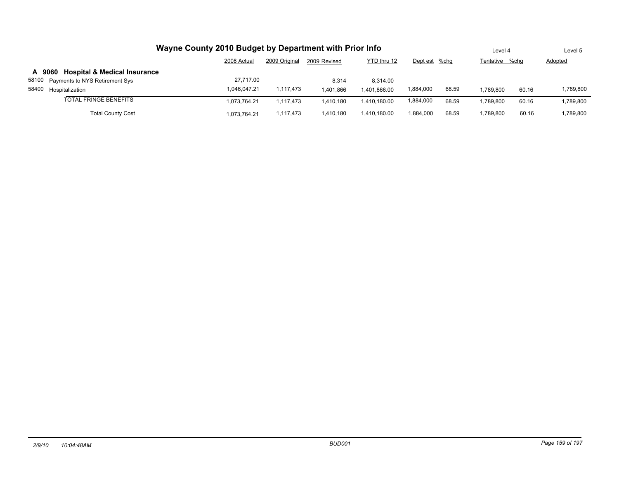| Wayne County 2010 Budget by Department with Prior Info | Level 4      |               | Level 5      |              |               |       |                |       |                |
|--------------------------------------------------------|--------------|---------------|--------------|--------------|---------------|-------|----------------|-------|----------------|
|                                                        | 2008 Actual  | 2009 Original | 2009 Revised | YTD thru 12  | Dept est %chg |       | Tentative %chq |       | <b>Adopted</b> |
| <b>Hospital &amp; Medical Insurance</b><br>A 9060      |              |               |              |              |               |       |                |       |                |
| 58100 Payments to NYS Retirement Sys                   | 27.717.00    |               | 8.314        | 8.314.00     |               |       |                |       |                |
| 58400 Hospitalization                                  | 1,046,047.21 | 1,117,473     | 1.401.866    | 1.401.866.00 | 1,884,000     | 68.59 | 1.789.800      | 60.16 | 1,789,800      |
| <b>TOTAL FRINGE BENEFITS</b>                           | 1,073,764.21 | 1.117.473     | 1.410.180    | 1.410.180.00 | 1,884,000     | 68.59 | 1,789,800      | 60.16 | 1,789,800      |
| <b>Total County Cost</b>                               | 073,764.21   | 1,117,473     | 1.410.180    | 1.410.180.00 | 1.884.000     | 68.59 | 1.789.800      | 60.16 | 1,789,800      |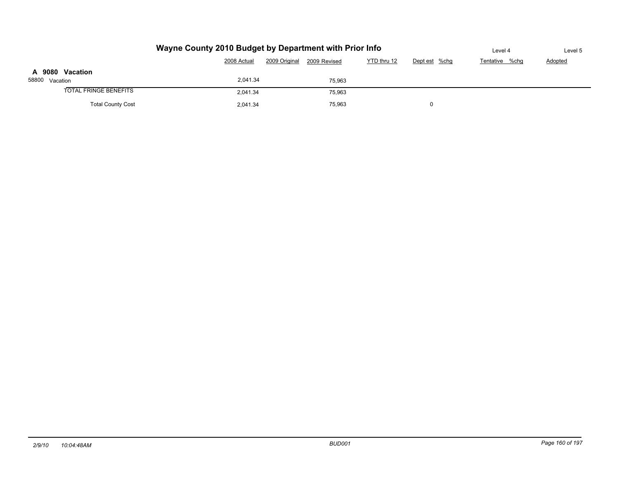|                              | Level 4     | Level 5       |              |             |               |                |         |
|------------------------------|-------------|---------------|--------------|-------------|---------------|----------------|---------|
|                              | 2008 Actual | 2009 Original | 2009 Revised | YTD thru 12 | Dept est %chg | Tentative %chq | Adopted |
| A 9080 Vacation              |             |               |              |             |               |                |         |
| 58800 Vacation               | 2,041.34    |               | 75.963       |             |               |                |         |
| <b>TOTAL FRINGE BENEFITS</b> | 2.041.34    |               | 75,963       |             |               |                |         |
| <b>Total County Cost</b>     | 2,041.34    |               | 75,963       |             | 0             |                |         |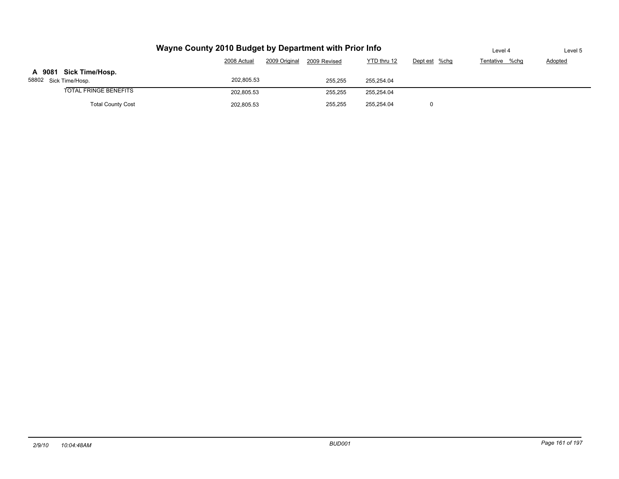|                                                 | Level 4     | Level 5                       |             |               |                |                |
|-------------------------------------------------|-------------|-------------------------------|-------------|---------------|----------------|----------------|
|                                                 | 2008 Actual | 2009 Original<br>2009 Revised | YTD thru 12 | Dept est %chg | Tentative %chq | <b>Adopted</b> |
| A 9081 Sick Time/Hosp.<br>58802 Sick Time/Hosp. | 202.805.53  | 255,255                       | 255.254.04  |               |                |                |
| <b>TOTAL FRINGE BENEFITS</b>                    | 202.805.53  | 255,255                       | 255,254.04  |               |                |                |
| <b>Total County Cost</b>                        | 202,805.53  | 255,255                       | 255.254.04  |               |                |                |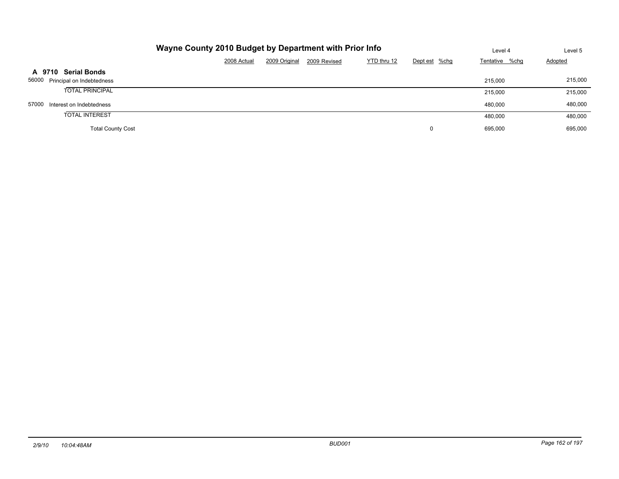| Wayne County 2010 Budget by Department with Prior Info | Level 4     | Level 5       |              |             |               |                |                |
|--------------------------------------------------------|-------------|---------------|--------------|-------------|---------------|----------------|----------------|
|                                                        | 2008 Actual | 2009 Original | 2009 Revised | YTD thru 12 | Dept est %chg | Tentative %chg | <b>Adopted</b> |
| <b>Serial Bonds</b><br>A 9710                          |             |               |              |             |               |                |                |
| 56000 Principal on Indebtedness                        |             |               |              |             |               | 215,000        | 215,000        |
| <b>TOTAL PRINCIPAL</b>                                 |             |               |              |             |               | 215,000        | 215,000        |
| 57000<br>Interest on Indebtedness                      |             |               |              |             |               | 480.000        | 480,000        |
| <b>TOTAL INTEREST</b>                                  |             |               |              |             |               | 480,000        | 480,000        |
| <b>Total County Cost</b>                               |             |               |              |             | 0             | 695,000        | 695,000        |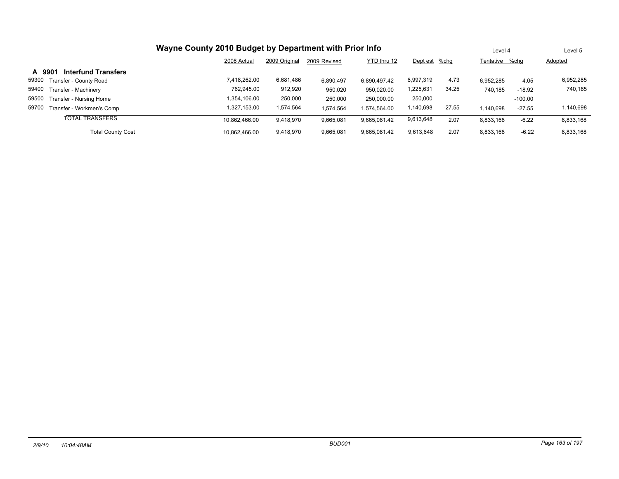| Wayne County 2010 Budget by Department with Prior Info | Level 4       |               | Level 5      |              |               |          |                |           |                |
|--------------------------------------------------------|---------------|---------------|--------------|--------------|---------------|----------|----------------|-----------|----------------|
|                                                        | 2008 Actual   | 2009 Original | 2009 Revised | YTD thru 12  | Dept est %chg |          | Tentative %chg |           | <b>Adopted</b> |
| <b>Interfund Transfers</b><br>A 9901                   |               |               |              |              |               |          |                |           |                |
| 59300<br>Transfer - County Road                        | 7,418,262.00  | 6,681,486     | 6,890,497    | 6,890,497.42 | 6,997,319     | 4.73     | 6,952,285      | 4.05      | 6,952,285      |
| 59400<br>Transfer - Machinery                          | 762,945.00    | 912,920       | 950,020      | 950.020.00   | 1,225,631     | 34.25    | 740.185        | $-18.92$  | 740,185        |
| 59500<br>Transfer - Nursing Home                       | 1.354.106.00  | 250,000       | 250,000      | 250,000.00   | 250,000       |          |                | $-100.00$ |                |
| 59700<br>Transfer - Workmen's Comp                     | 1.327.153.00  | 1,574,564     | 1,574,564    | 1.574.564.00 | 140,698       | $-27.55$ | 1.140.698      | $-27.55$  | 1,140,698      |
| <b>TOTAL TRANSFERS</b>                                 | 10.862.466.00 | 9,418,970     | 9,665,081    | 9.665.081.42 | 9,613,648     | 2.07     | 8,833,168      | $-6.22$   | 8,833,168      |
| <b>Total County Cost</b>                               | 10.862.466.00 | 9,418,970     | 9,665,081    | 9.665.081.42 | 9,613,648     | 2.07     | 8,833,168      | $-6.22$   | 8,833,168      |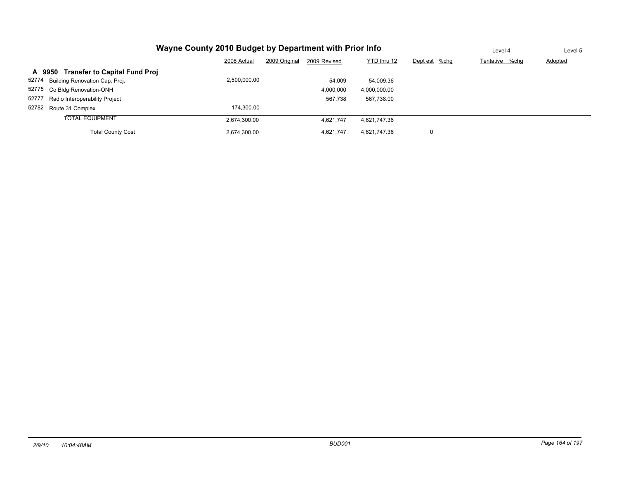| Wayne County 2010 Budget by Department with Prior Info | Level 4      | Level 5       |              |              |               |                |                |
|--------------------------------------------------------|--------------|---------------|--------------|--------------|---------------|----------------|----------------|
|                                                        | 2008 Actual  | 2009 Original | 2009 Revised | YTD thru 12  | Dept est %chg | Tentative %chq | <b>Adopted</b> |
| A 9950 Transfer to Capital Fund Proj                   |              |               |              |              |               |                |                |
| 52774 Building Renovation Cap. Proj.                   | 2,500,000.00 |               | 54.009       | 54,009.36    |               |                |                |
| 52775 Co Bldg Renovation-ONH                           |              |               | 4,000,000    | 4,000,000.00 |               |                |                |
| 52777<br>Radio Interoperability Project                |              |               | 567.738      | 567,738.00   |               |                |                |
| 52782 Route 31 Complex                                 | 174.300.00   |               |              |              |               |                |                |
| <b>TOTAL EQUIPMENT</b>                                 | 2,674,300.00 |               | 4,621,747    | 4,621,747.36 |               |                |                |
| <b>Total County Cost</b>                               | 2,674,300.00 |               | 4,621,747    | 4,621,747.36 | 0             |                |                |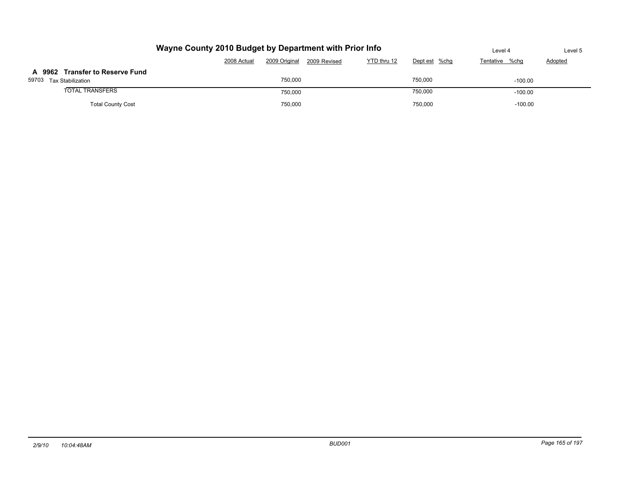| Wayne County 2010 Budget by Department with Prior Info     | Level 4     | Level 5       |              |             |               |                |                |
|------------------------------------------------------------|-------------|---------------|--------------|-------------|---------------|----------------|----------------|
|                                                            | 2008 Actual | 2009 Original | 2009 Revised | YTD thru 12 | Dept est %chg | Tentative %chq | <b>Adopted</b> |
| A 9962 Transfer to Reserve Fund<br>59703 Tax Stabilization |             | 750.000       |              |             | 750,000       | $-100.00$      |                |
| <b>TOTAL TRANSFERS</b>                                     |             | 750,000       |              |             | 750,000       | $-100.00$      |                |
| <b>Total County Cost</b>                                   |             | 750,000       |              |             | 750.000       | $-100.00$      |                |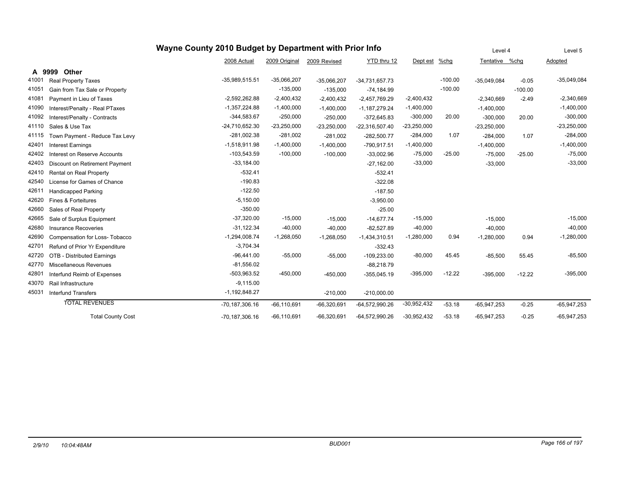|       |                                | Level 4            | Level 5         |               |                  |               |           |                |           |               |
|-------|--------------------------------|--------------------|-----------------|---------------|------------------|---------------|-----------|----------------|-----------|---------------|
|       |                                | 2008 Actual        | 2009 Original   | 2009 Revised  | YTD thru 12      | Dept est      | $%$ chg   | Tentative %chg |           | Adopted       |
|       | A 9999<br><b>Other</b>         |                    |                 |               |                  |               |           |                |           |               |
| 41001 | Real Property Taxes            | $-35,989,515.51$   | $-35,066,207$   | $-35,066,207$ | $-34,731,657.73$ |               | $-100.00$ | $-35,049,084$  | $-0.05$   | $-35,049,084$ |
| 41051 | Gain from Tax Sale or Property |                    | $-135,000$      | $-135,000$    | $-74,184.99$     |               | $-100.00$ |                | $-100.00$ |               |
| 41081 | Payment in Lieu of Taxes       | $-2,592,262.88$    | $-2,400,432$    | $-2,400,432$  | $-2,457,769.29$  | $-2,400,432$  |           | $-2,340,669$   | $-2.49$   | $-2,340,669$  |
| 41090 | Interest/Penalty - Real PTaxes | $-1,357,224.88$    | $-1,400,000$    | $-1,400,000$  | $-1,187,279.24$  | $-1,400,000$  |           | $-1,400,000$   |           | $-1,400,000$  |
| 41092 | Interest/Penalty - Contracts   | $-344,583.67$      | $-250,000$      | $-250,000$    | $-372,645.83$    | $-300,000$    | 20.00     | $-300,000$     | 20.00     | $-300,000$    |
| 41110 | Sales & Use Tax                | -24,710,652.30     | $-23,250,000$   | $-23,250,000$ | $-22,316,507.40$ | $-23,250,000$ |           | $-23,250,000$  |           | $-23,250,000$ |
| 41115 | Town Payment - Reduce Tax Levy | $-281,002.38$      | $-281,002$      | $-281,002$    | $-282,500.77$    | $-284,000$    | 1.07      | $-284,000$     | 1.07      | $-284,000$    |
| 42401 | <b>Interest Earnings</b>       | $-1.518.911.98$    | $-1,400,000$    | $-1,400,000$  | $-790,917.51$    | $-1,400,000$  |           | $-1,400,000$   |           | $-1,400,000$  |
| 42402 | Interest on Reserve Accounts   | $-103,543.59$      | $-100,000$      | $-100,000$    | $-33,002.96$     | $-75,000$     | $-25.00$  | $-75,000$      | $-25.00$  | $-75,000$     |
| 42403 | Discount on Retirement Payment | $-33,184.00$       |                 |               | $-27,162.00$     | $-33,000$     |           | $-33,000$      |           | $-33,000$     |
| 42410 | Rental on Real Property        | $-532.41$          |                 |               | $-532.41$        |               |           |                |           |               |
| 42540 | License for Games of Chance    | $-190.83$          |                 |               | $-322.08$        |               |           |                |           |               |
| 42611 | <b>Handicapped Parking</b>     | $-122.50$          |                 |               | $-187.50$        |               |           |                |           |               |
| 42620 | Fines & Forteitures            | $-5,150.00$        |                 |               | $-3,950.00$      |               |           |                |           |               |
| 42660 | Sales of Real Property         | $-350.00$          |                 |               | $-25.00$         |               |           |                |           |               |
| 42665 | Sale of Surplus Equipment      | $-37,320.00$       | $-15,000$       | $-15,000$     | $-14,677.74$     | $-15,000$     |           | $-15,000$      |           | $-15,000$     |
| 42680 | <b>Insurance Recoveries</b>    | $-31,122.34$       | $-40,000$       | $-40,000$     | $-82,527.89$     | $-40,000$     |           | $-40,000$      |           | $-40,000$     |
| 42690 | Compensation for Loss- Tobacco | $-1,294,008.74$    | $-1,268,050$    | $-1,268,050$  | $-1,434,310.51$  | $-1,280,000$  | 0.94      | $-1,280,000$   | 0.94      | $-1,280,000$  |
| 42701 | Refund of Prior Yr Expenditure | $-3,704.34$        |                 |               | $-332.43$        |               |           |                |           |               |
| 42720 | OTB - Distributed Earnings     | $-96,441.00$       | $-55,000$       | $-55,000$     | $-109,233.00$    | $-80,000$     | 45.45     | $-85,500$      | 55.45     | $-85,500$     |
| 42770 | Miscellaneous Revenues         | $-81,556.02$       |                 |               | $-88,218.79$     |               |           |                |           |               |
| 42801 | Interfund Reimb of Expenses    | $-503,963.52$      | $-450,000$      | $-450,000$    | $-355,045.19$    | $-395,000$    | $-12.22$  | $-395,000$     | $-12.22$  | $-395,000$    |
| 43070 | Rail Infrastructure            | $-9,115.00$        |                 |               |                  |               |           |                |           |               |
| 45031 | <b>Interfund Transfers</b>     | $-1,192,848.27$    |                 | $-210,000$    | $-210,000.00$    |               |           |                |           |               |
|       | <b>TOTAL REVENUES</b>          | $-70, 187, 306.16$ | $-66, 110, 691$ | $-66,320,691$ | $-64,572,990.26$ | $-30,952,432$ | $-53.18$  | $-65,947,253$  | $-0.25$   | $-65,947,253$ |
|       | <b>Total County Cost</b>       | $-70, 187, 306.16$ | $-66, 110, 691$ | $-66,320,691$ | $-64,572,990.26$ | $-30,952,432$ | $-53.18$  | $-65,947,253$  | $-0.25$   | $-65,947,253$ |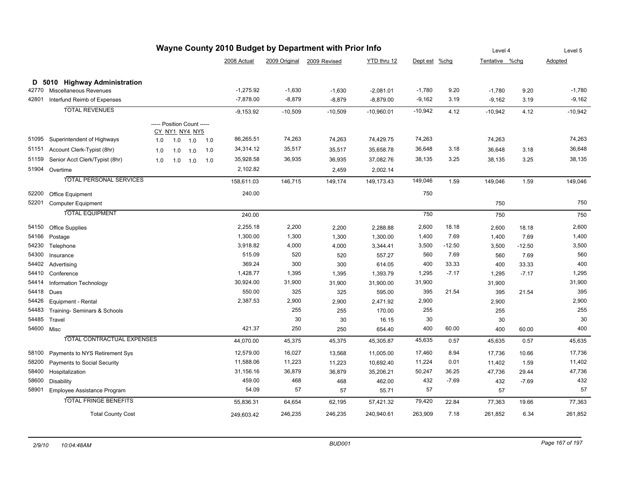| Wayne County 2010 Budget by Department with Prior Info |                                   |     |                            |     |     |             |           |                            |              | Level 4       |          | Level 5        |          |           |
|--------------------------------------------------------|-----------------------------------|-----|----------------------------|-----|-----|-------------|-----------|----------------------------|--------------|---------------|----------|----------------|----------|-----------|
|                                                        |                                   |     |                            |     |     | 2008 Actual |           | 2009 Original 2009 Revised | YTD thru 12  | Dept est %chg |          | Tentative %chq |          | Adopted   |
|                                                        | D 5010 Highway Administration     |     |                            |     |     |             |           |                            |              |               |          |                |          |           |
| 42770                                                  | Miscellaneous Revenues            |     |                            |     |     | $-1,275.92$ | $-1,630$  | $-1,630$                   | $-2,081.01$  | $-1,780$      | 9.20     | $-1,780$       | 9.20     | $-1,780$  |
| 42801                                                  | Interfund Reimb of Expenses       |     |                            |     |     | $-7,878.00$ | $-8,879$  | $-8,879$                   | $-8,879.00$  | $-9,162$      | 3.19     | $-9,162$       | 3.19     | $-9,162$  |
|                                                        | <b>TOTAL REVENUES</b>             |     |                            |     |     | $-9,153.92$ | $-10,509$ | $-10,509$                  | $-10,960.01$ | $-10,942$     | 4.12     | $-10,942$      | 4.12     | $-10,942$ |
|                                                        |                                   |     | ----- Position Count ----- |     |     |             |           |                            |              |               |          |                |          |           |
|                                                        |                                   |     | CY NY1 NY4 NY5             |     |     |             |           |                            |              |               |          |                |          |           |
| 51095                                                  | Superintendent of Highways        | 1.0 | 1.0                        | 1.0 | 1.0 | 86,265.51   | 74,263    | 74,263                     | 74,429.75    | 74,263        |          | 74,263         |          | 74,263    |
| 51151                                                  | Account Clerk-Typist (8hr)        | 1.0 | 1.0                        | 1.0 | 1.0 | 34,314.12   | 35,517    | 35,517                     | 35,658.78    | 36,648        | 3.18     | 36,648         | 3.18     | 36,648    |
| 51159                                                  | Senior Acct Clerk/Typist (8hr)    | 1.0 | 1.0                        | 1.0 | 1.0 | 35,928.58   | 36,935    | 36,935                     | 37,082.76    | 38,135        | 3.25     | 38,135         | 3.25     | 38,135    |
|                                                        | 51904 Overtime                    |     |                            |     |     | 2,102.82    |           | 2,459                      | 2,002.14     |               |          |                |          |           |
|                                                        | <b>TOTAL PERSONAL SERVICES</b>    |     |                            |     |     | 158,611.03  | 146,715   | 149,174                    | 149,173.43   | 149,046       | 1.59     | 149,046        | 1.59     | 149,046   |
| 52200                                                  | <b>Office Equipment</b>           |     |                            |     |     | 240.00      |           |                            |              | 750           |          |                |          |           |
| 52201                                                  | Computer Equipment                |     |                            |     |     |             |           |                            |              |               |          | 750            |          | 750       |
|                                                        | <b>TOTAL EQUIPMENT</b>            |     |                            |     |     | 240.00      |           |                            |              | 750           |          | 750            |          | 750       |
| 54150                                                  | Office Supplies                   |     |                            |     |     | 2,255.18    | 2,200     | 2,200                      | 2,288.88     | 2,600         | 18.18    | 2,600          | 18.18    | 2,600     |
| 54166                                                  | Postage                           |     |                            |     |     | 1,300.00    | 1,300     | 1,300                      | 1,300.00     | 1,400         | 7.69     | 1,400          | 7.69     | 1,400     |
| 54230                                                  | Telephone                         |     |                            |     |     | 3,918.82    | 4,000     | 4,000                      | 3,344.41     | 3,500         | $-12.50$ | 3,500          | $-12.50$ | 3,500     |
| 54300                                                  | Insurance                         |     |                            |     |     | 515.09      | 520       | 520                        | 557.27       | 560           | 7.69     | 560            | 7.69     | 560       |
| 54402                                                  | Advertising                       |     |                            |     |     | 369.24      | 300       | 300                        | 614.05       | 400           | 33.33    | 400            | 33.33    | 400       |
| 54410                                                  | Conference                        |     |                            |     |     | 1,428.77    | 1,395     | 1,395                      | 1,393.79     | 1,295         | $-7.17$  | 1,295          | $-7.17$  | 1,295     |
| 54414                                                  | Information Technology            |     |                            |     |     | 30,924.00   | 31,900    | 31,900                     | 31,900.00    | 31,900        |          | 31,900         |          | 31,900    |
| 54418                                                  | Dues                              |     |                            |     |     | 550.00      | 325       | 325                        | 595.00       | 395           | 21.54    | 395            | 21.54    | 395       |
| 54426                                                  | Equipment - Rental                |     |                            |     |     | 2,387.53    | 2,900     | 2,900                      | 2,471.92     | 2,900         |          | 2,900          |          | 2,900     |
| 54483                                                  | Training- Seminars & Schools      |     |                            |     |     |             | 255       | 255                        | 170.00       | 255           |          | 255            |          | 255       |
| 54485                                                  | Travel                            |     |                            |     |     |             | 30        | 30                         | 16.15        | 30            |          | 30             |          | 30        |
| 54600 Misc                                             |                                   |     |                            |     |     | 421.37      | 250       | 250                        | 654.40       | 400           | 60.00    | 400            | 60.00    | 400       |
|                                                        | <b>TOTAL CONTRACTUAL EXPENSES</b> |     |                            |     |     | 44,070.00   | 45,375    | 45,375                     | 45,305.87    | 45,635        | 0.57     | 45,635         | 0.57     | 45,635    |
| 58100                                                  | Payments to NYS Retirement Sys    |     |                            |     |     | 12,579.00   | 16,027    | 13,568                     | 11,005.00    | 17,460        | 8.94     | 17,736         | 10.66    | 17,736    |
| 58200                                                  | Payments to Social Security       |     |                            |     |     | 11,588.06   | 11,223    | 11,223                     | 10,692.40    | 11,224        | 0.01     | 11,402         | 1.59     | 11,402    |
| 58400                                                  | Hospitalization                   |     |                            |     |     | 31,156.16   | 36,879    | 36,879                     | 35,206.21    | 50,247        | 36.25    | 47,736         | 29.44    | 47,736    |
| 58600                                                  | Disability                        |     |                            |     |     | 459.00      | 468       | 468                        | 462.00       | 432           | $-7.69$  | 432            | $-7.69$  | 432       |
|                                                        | 58901 Employee Assistance Program |     |                            |     |     | 54.09       | 57        | 57                         | 55.71        | 57            |          | 57             |          | 57        |
|                                                        | <b>TOTAL FRINGE BENEFITS</b>      |     |                            |     |     | 55,836.31   | 64,654    | 62,195                     | 57,421.32    | 79,420        | 22.84    | 77,363         | 19.66    | 77,363    |
|                                                        | <b>Total County Cost</b>          |     |                            |     |     | 249,603.42  | 246,235   | 246,235                    | 240,940.61   | 263,909       | 7.18     | 261,852        | 6.34     | 261,852   |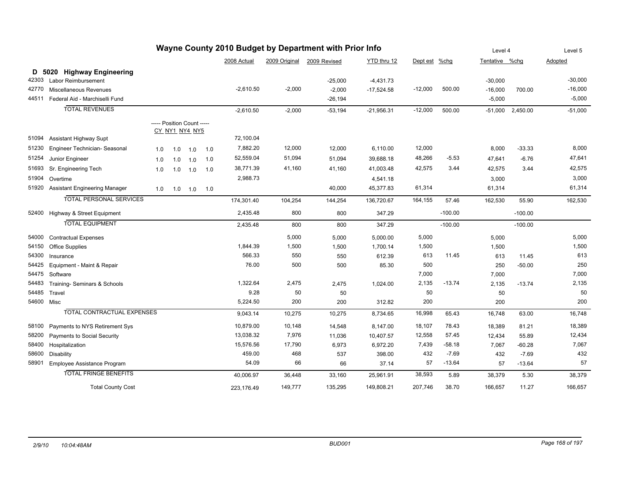| Wayne County 2010 Budget by Department with Prior Info |                                      |     |     |                                              |     |             |               |              | Level 4      |               | Level 5   |                |           |           |
|--------------------------------------------------------|--------------------------------------|-----|-----|----------------------------------------------|-----|-------------|---------------|--------------|--------------|---------------|-----------|----------------|-----------|-----------|
|                                                        |                                      |     |     |                                              |     | 2008 Actual | 2009 Original | 2009 Revised | YTD thru 12  | Dept est %chg |           | Tentative %chg |           | Adopted   |
|                                                        | D 5020 Highway Engineering           |     |     |                                              |     |             |               |              |              |               |           |                |           |           |
| 42303                                                  | Labor Reimbursement                  |     |     |                                              |     |             |               | $-25,000$    | $-4,431.73$  |               |           | $-30,000$      |           | $-30,000$ |
| 42770                                                  | Miscellaneous Revenues               |     |     |                                              |     | $-2,610.50$ | $-2,000$      | $-2,000$     | $-17,524.58$ | $-12,000$     | 500.00    | $-16,000$      | 700.00    | $-16,000$ |
| 44511                                                  | Federal Aid - Marchiselli Fund       |     |     |                                              |     |             |               | $-26,194$    |              |               |           | $-5,000$       |           | $-5,000$  |
|                                                        | <b>TOTAL REVENUES</b>                |     |     |                                              |     | $-2,610.50$ | $-2,000$      | $-53,194$    | $-21,956.31$ | $-12,000$     | 500.00    | $-51,000$      | 2,450.00  | $-51,000$ |
|                                                        |                                      |     |     | ----- Position Count -----<br>CY_NY1_NY4_NY5 |     |             |               |              |              |               |           |                |           |           |
| 51094                                                  | <b>Assistant Highway Supt</b>        |     |     |                                              |     | 72,100.04   |               |              |              |               |           |                |           |           |
| 51230                                                  | Engineer Technician- Seasonal        | 1.0 | 1.0 | 1.0                                          | 1.0 | 7,882.20    | 12,000        | 12,000       | 6,110.00     | 12,000        |           | 8,000          | $-33.33$  | 8,000     |
| 51254                                                  | Junior Engineer                      | 1.0 | 1.0 | 1.0                                          | 1.0 | 52,559.04   | 51,094        | 51,094       | 39,688.18    | 48,266        | $-5.53$   | 47,641         | $-6.76$   | 47,641    |
| 51693                                                  | Sr. Engineering Tech                 | 1.0 | 1.0 | 1.0                                          | 1.0 | 38,771.39   | 41,160        | 41,160       | 41,003.48    | 42,575        | 3.44      | 42,575         | 3.44      | 42,575    |
| 51904                                                  | Overtime                             |     |     |                                              |     | 2,988.73    |               |              | 4,541.18     |               |           | 3,000          |           | 3,000     |
| 51920                                                  | <b>Assistant Engineering Manager</b> | 1.0 | 1.0 | 1.0                                          | 1.0 |             |               | 40,000       | 45,377.83    | 61,314        |           | 61,314         |           | 61,314    |
|                                                        | <b>TOTAL PERSONAL SERVICES</b>       |     |     |                                              |     | 174,301.40  | 104,254       | 144,254      | 136,720.67   | 164,155       | 57.46     | 162,530        | 55.90     | 162,530   |
| 52400                                                  | Highway & Street Equipment           |     |     |                                              |     | 2,435.48    | 800           | 800          | 347.29       |               | $-100.00$ |                | $-100.00$ |           |
|                                                        | <b>TOTAL EQUIPMENT</b>               |     |     |                                              |     | 2,435.48    | 800           | 800          | 347.29       |               | $-100.00$ |                | $-100.00$ |           |
| 54000                                                  | <b>Contractual Expenses</b>          |     |     |                                              |     |             | 5,000         | 5,000        | 5,000.00     | 5,000         |           | 5,000          |           | 5,000     |
| 54150                                                  | Office Supplies                      |     |     |                                              |     | 1,844.39    | 1,500         | 1,500        | 1,700.14     | 1,500         |           | 1,500          |           | 1,500     |
| 54300                                                  | Insurance                            |     |     |                                              |     | 566.33      | 550           | 550          | 612.39       | 613           | 11.45     | 613            | 11.45     | 613       |
| 54425                                                  | Equipment - Maint & Repair           |     |     |                                              |     | 76.00       | 500           | 500          | 85.30        | 500           |           | 250            | $-50.00$  | 250       |
| 54475                                                  | Software                             |     |     |                                              |     |             |               |              |              | 7,000         |           | 7,000          |           | 7,000     |
| 54483                                                  | Training-Seminars & Schools          |     |     |                                              |     | 1,322.64    | 2,475         | 2,475        | 1,024.00     | 2,135         | $-13.74$  | 2,135          | $-13.74$  | 2,135     |
| 54485                                                  | Travel                               |     |     |                                              |     | 9.28        | 50            | 50           |              | 50            |           | 50             |           | 50        |
| 54600 Misc                                             |                                      |     |     |                                              |     | 5,224.50    | 200           | 200          | 312.82       | 200           |           | 200            |           | 200       |
|                                                        | <b>TOTAL CONTRACTUAL EXPENSES</b>    |     |     |                                              |     | 9,043.14    | 10,275        | 10,275       | 8,734.65     | 16,998        | 65.43     | 16,748         | 63.00     | 16,748    |
| 58100                                                  | Payments to NYS Retirement Sys       |     |     |                                              |     | 10,879.00   | 10,148        | 14,548       | 8,147.00     | 18,107        | 78.43     | 18,389         | 81.21     | 18,389    |
| 58200                                                  | Payments to Social Security          |     |     |                                              |     | 13,038.32   | 7,976         | 11,036       | 10,407.57    | 12,558        | 57.45     | 12,434         | 55.89     | 12,434    |
| 58400                                                  | Hospitalization                      |     |     |                                              |     | 15,576.56   | 17,790        | 6,973        | 6,972.20     | 7,439         | $-58.18$  | 7,067          | $-60.28$  | 7,067     |
| 58600                                                  | <b>Disability</b>                    |     |     |                                              |     | 459.00      | 468           | 537          | 398.00       | 432           | $-7.69$   | 432            | $-7.69$   | 432       |
| 58901                                                  | Employee Assistance Program          |     |     |                                              |     | 54.09       | 66            | 66           | 37.14        | 57            | $-13.64$  | 57             | $-13.64$  | 57        |
|                                                        | <b>TOTAL FRINGE BENEFITS</b>         |     |     |                                              |     | 40,006.97   | 36,448        | 33,160       | 25,961.91    | 38,593        | 5.89      | 38,379         | 5.30      | 38,379    |
|                                                        | <b>Total County Cost</b>             |     |     |                                              |     | 223,176.49  | 149,777       | 135,295      | 149,808.21   | 207,746       | 38.70     | 166,657        | 11.27     | 166,657   |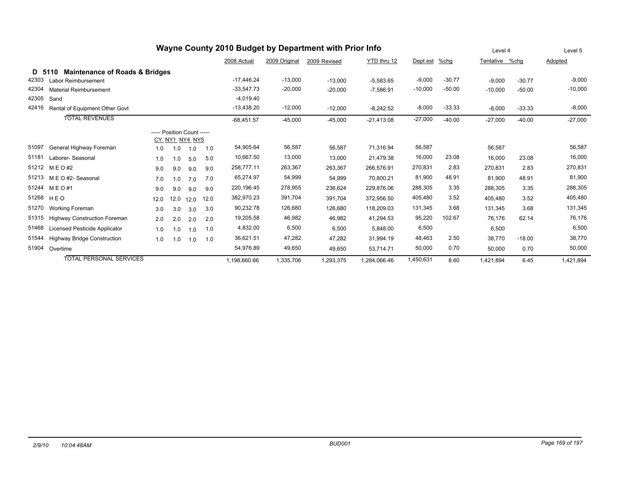| Wayne County 2010 Budget by Department with Prior Info |                                           |      |                            |      |      |              |               |              |              |           | Level 4  |                | Level 5  |           |
|--------------------------------------------------------|-------------------------------------------|------|----------------------------|------|------|--------------|---------------|--------------|--------------|-----------|----------|----------------|----------|-----------|
|                                                        |                                           |      |                            |      |      | 2008 Actual  | 2009 Original | 2009 Revised | YTD thru 12  | Dept est  | $%$ chg  | Tentative %chg |          | Adopted   |
| D 5110                                                 | <b>Maintenance of Roads &amp; Bridges</b> |      |                            |      |      |              |               |              |              |           |          |                |          |           |
| 42303                                                  | Labor Reimbursement                       |      |                            |      |      | $-17,446.24$ | $-13,000$     | $-13,000$    | $-5,583.65$  | $-9,000$  | $-30.77$ | $-9,000$       | $-30.77$ | $-9,000$  |
| 42304                                                  | <b>Material Reimbursement</b>             |      |                            |      |      | $-33,547.73$ | $-20,000$     | $-20,000$    | $-7,586.91$  | $-10,000$ | $-50.00$ | $-10,000$      | $-50.00$ | $-10,000$ |
| 42305                                                  | Sand                                      |      |                            |      |      | $-4,019.40$  |               |              |              |           |          |                |          |           |
| 42416                                                  | Rental of Equipment Other Govt            |      |                            |      |      | $-13,438.20$ | $-12,000$     | $-12,000$    | $-8,242.52$  | $-8,000$  | $-33.33$ | $-8,000$       | $-33.33$ | $-8,000$  |
|                                                        | <b>TOTAL REVENUES</b>                     |      |                            |      |      | $-68,451.57$ | $-45,000$     | $-45,000$    | $-21,413.08$ | $-27,000$ | $-40.00$ | $-27,000$      | $-40.00$ | $-27,000$ |
|                                                        |                                           |      | ----- Position Count ----- |      |      |              |               |              |              |           |          |                |          |           |
|                                                        |                                           |      | CY NY1 NY4 NY5             |      |      |              |               |              |              |           |          |                |          |           |
| 51097                                                  | General Highway Foreman                   | 1.0  | 1.0                        | 1.0  | 1.0  | 54,905.64    | 56,587        | 56.587       | 71,316.94    | 56,587    |          | 56,587         |          | 56,587    |
| 51181                                                  | Laborer-Seasonal                          | 1.0  | 1.0                        | 5.0  | 5.0  | 10,667.50    | 13,000        | 13,000       | 21,479.38    | 16,000    | 23.08    | 16.000         | 23.08    | 16,000    |
| 51212                                                  | M E O #2                                  | 9.0  | 9.0                        | 9.0  | 9.0  | 258,777.11   | 263,367       | 263,367      | 266,576.91   | 270,831   | 2.83     | 270,831        | 2.83     | 270,831   |
|                                                        | 51213 M E O #2- Seasonal                  | 7.0  | 1.0                        | 7.0  | 7.0  | 65,274.97    | 54,999        | 54,999       | 70,800.21    | 81,900    | 48.91    | 81,900         | 48.91    | 81,900    |
| 51244                                                  | M E O #1                                  | 9.0  | 9.0                        | 9.0  | 9.0  | 220,196.45   | 278,955       | 236,624      | 229,876.06   | 288,305   | 3.35     | 288,305        | 3.35     | 288,305   |
| 51268                                                  | HEO                                       | 12.0 | 12.0                       | 12.0 | 12.0 | 382,970.23   | 391,704       | 391,704      | 372,956.50   | 405,480   | 3.52     | 405.480        | 3.52     | 405,480   |
| 51270                                                  | Working Foreman                           | 3.0  | 3.0                        | 3.0  | 3.0  | 90,232.78    | 126,680       | 126,680      | 118,209.03   | 131,345   | 3.68     | 131,345        | 3.68     | 131,345   |
| 51315                                                  | <b>Highway Construction Foreman</b>       | 2.0  | 2.0                        | 2.0  | 2.0  | 19,205.58    | 46,982        | 46,982       | 41,294.53    | 95,220    | 102.67   | 76.176         | 62.14    | 76,176    |
| 51468                                                  | <b>Licensed Pesticide Applicator</b>      | 1.0  | 1.0                        | 1.0  | 1.0  | 4,832.00     | 6,500         | 6,500        | 5,848.00     | 6,500     |          | 6,500          |          | 6,500     |
| 51544                                                  | <b>Highway Bridge Construction</b>        | 1.0  | 1.0                        | 1.0  | 1.0  | 36,621.51    | 47,282        | 47,282       | 31,994.19    | 48,463    | 2.50     | 38,770         | $-18.00$ | 38,770    |
| 51904                                                  | Overtime                                  |      |                            |      |      | 54,976.89    | 49,650        | 49,650       | 53,714.71    | 50,000    | 0.70     | 50,000         | 0.70     | 50,000    |
|                                                        | <b>TOTAL PERSONAL SERVICES</b>            |      |                            |      |      | 1,198,660.66 | 1,335,706     | 1,293,375    | 1,284,066.46 | 1,450,631 | 8.60     | 1,421,894      | 6.45     | 1,421,894 |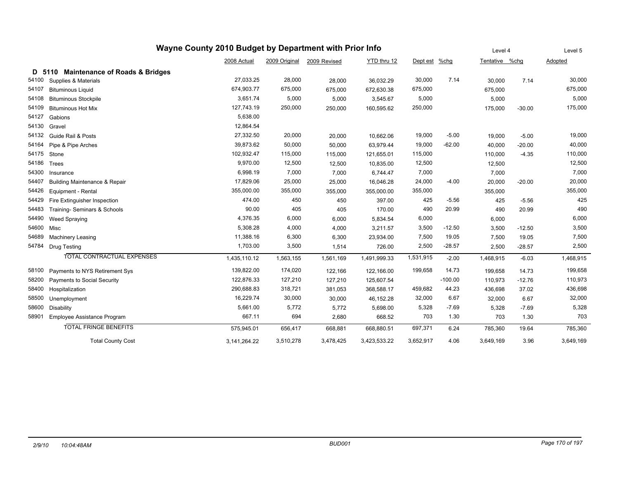| Wayne County 2010 Budget by Department with Prior Info |                                           |              |               |              |              |           |           |                | Level 4  | Level 5   |
|--------------------------------------------------------|-------------------------------------------|--------------|---------------|--------------|--------------|-----------|-----------|----------------|----------|-----------|
|                                                        |                                           | 2008 Actual  | 2009 Original | 2009 Revised | YTD thru 12  | Dept est  | $%$ chg   | Tentative %chg |          | Adopted   |
| D 5110                                                 | <b>Maintenance of Roads &amp; Bridges</b> |              |               |              |              |           |           |                |          |           |
| 54100                                                  | Supplies & Materials                      | 27,033.25    | 28,000        | 28,000       | 36,032.29    | 30,000    | 7.14      | 30,000         | 7.14     | 30,000    |
| 54107                                                  | <b>Bituminous Liquid</b>                  | 674,903.77   | 675,000       | 675,000      | 672,630.38   | 675,000   |           | 675,000        |          | 675,000   |
| 54108                                                  | <b>Bituminous Stockpile</b>               | 3.651.74     | 5,000         | 5,000        | 3,545.67     | 5,000     |           | 5,000          |          | 5,000     |
| 54109                                                  | <b>Bituminous Hot Mix</b>                 | 127,743.19   | 250,000       | 250,000      | 160,595.62   | 250,000   |           | 175,000        | $-30.00$ | 175,000   |
| 54127                                                  | Gabions                                   | 5,638.00     |               |              |              |           |           |                |          |           |
| 54130                                                  | Gravel                                    | 12,864.54    |               |              |              |           |           |                |          |           |
| 54132                                                  | Guide Rail & Posts                        | 27,332.50    | 20,000        | 20,000       | 10,662.06    | 19,000    | $-5.00$   | 19,000         | $-5.00$  | 19,000    |
| 54164                                                  | Pipe & Pipe Arches                        | 39,873.62    | 50,000        | 50,000       | 63,979.44    | 19,000    | $-62.00$  | 40,000         | $-20.00$ | 40,000    |
| 54175                                                  | Stone                                     | 102,932.47   | 115,000       | 115,000      | 121,655.01   | 115,000   |           | 110,000        | $-4.35$  | 110,000   |
| 54186                                                  | <b>Trees</b>                              | 9,970.00     | 12,500        | 12,500       | 10,835.00    | 12,500    |           | 12,500         |          | 12,500    |
| 54300                                                  | Insurance                                 | 6,998.19     | 7,000         | 7,000        | 6,744.47     | 7,000     |           | 7,000          |          | 7,000     |
| 54407                                                  | <b>Building Maintenance &amp; Repair</b>  | 17,829.06    | 25,000        | 25,000       | 16,046.28    | 24,000    | $-4.00$   | 20,000         | $-20.00$ | 20,000    |
| 54426                                                  | Equipment - Rental                        | 355,000.00   | 355,000       | 355,000      | 355,000.00   | 355,000   |           | 355,000        |          | 355,000   |
| 54429                                                  | Fire Extinguisher Inspection              | 474.00       | 450           | 450          | 397.00       | 425       | $-5.56$   | 425            | $-5.56$  | 425       |
| 54483                                                  | Training- Seminars & Schools              | 90.00        | 405           | 405          | 170.00       | 490       | 20.99     | 490            | 20.99    | 490       |
| 54490                                                  | Weed Spraying                             | 4,376.35     | 6,000         | 6,000        | 5,834.54     | 6,000     |           | 6,000          |          | 6,000     |
| 54600                                                  | Misc                                      | 5,308.28     | 4,000         | 4,000        | 3,211.57     | 3,500     | $-12.50$  | 3,500          | $-12.50$ | 3,500     |
| 54689                                                  | <b>Machinery Leasing</b>                  | 11,388.16    | 6,300         | 6,300        | 23,934.00    | 7,500     | 19.05     | 7,500          | 19.05    | 7,500     |
| 54784                                                  | <b>Drug Testing</b>                       | 1,703.00     | 3,500         | 1,514        | 726.00       | 2,500     | $-28.57$  | 2,500          | $-28.57$ | 2,500     |
|                                                        | <b>TOTAL CONTRACTUAL EXPENSES</b>         | 1,435,110.12 | 1,563,155     | 1,561,169    | 1,491,999.33 | 1,531,915 | $-2.00$   | 1,468,915      | $-6.03$  | 1,468,915 |
| 58100                                                  | Payments to NYS Retirement Sys            | 139,822.00   | 174,020       | 122,166      | 122,166.00   | 199,658   | 14.73     | 199.658        | 14.73    | 199,658   |
| 58200                                                  | Payments to Social Security               | 122,876.33   | 127,210       | 127,210      | 125,607.54   |           | $-100.00$ | 110,973        | $-12.76$ | 110,973   |
| 58400                                                  | Hospitalization                           | 290,688.83   | 318,721       | 381,053      | 368,588.17   | 459,682   | 44.23     | 436,698        | 37.02    | 436,698   |
| 58500                                                  | Unemployment                              | 16,229.74    | 30,000        | 30,000       | 46,152.28    | 32,000    | 6.67      | 32,000         | 6.67     | 32,000    |
| 58600                                                  | Disability                                | 5,661.00     | 5,772         | 5,772        | 5,698.00     | 5,328     | $-7.69$   | 5,328          | $-7.69$  | 5,328     |
| 58901                                                  | Employee Assistance Program               | 667.11       | 694           | 2,680        | 668.52       | 703       | 1.30      | 703            | 1.30     | 703       |
|                                                        | <b>TOTAL FRINGE BENEFITS</b>              | 575.945.01   | 656,417       | 668,881      | 668,880.51   | 697,371   | 6.24      | 785.360        | 19.64    | 785,360   |
|                                                        | <b>Total County Cost</b>                  | 3,141,264.22 | 3,510,278     | 3,478,425    | 3,423,533.22 | 3,652,917 | 4.06      | 3,649,169      | 3.96     | 3,649,169 |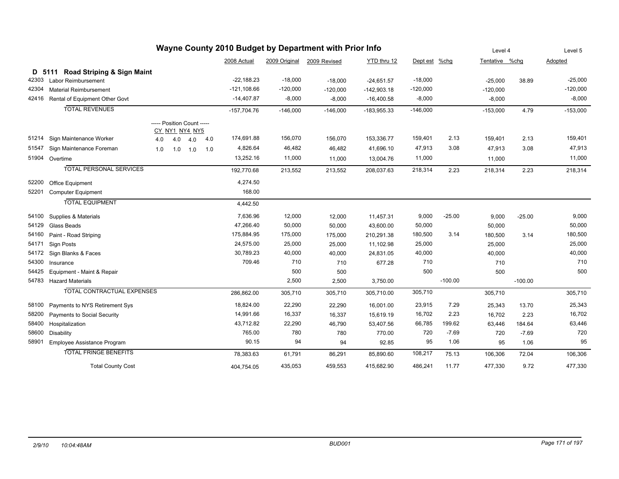| Wayne County 2010 Budget by Department with Prior Info |                                   |                            |                |     |     |               | Level 4       |              | Level 5       |               |           |                |           |            |
|--------------------------------------------------------|-----------------------------------|----------------------------|----------------|-----|-----|---------------|---------------|--------------|---------------|---------------|-----------|----------------|-----------|------------|
|                                                        |                                   |                            |                |     |     | 2008 Actual   | 2009 Original | 2009 Revised | YTD thru 12   | Dept est %chg |           | Tentative %chq |           | Adopted    |
|                                                        | D 5111 Road Striping & Sign Maint |                            |                |     |     |               |               |              |               |               |           |                |           |            |
| 42303                                                  | Labor Reimbursement               |                            |                |     |     | $-22,188.23$  | $-18,000$     | $-18,000$    | $-24,651.57$  | $-18,000$     |           | $-25,000$      | 38.89     | $-25,000$  |
| 42304                                                  | <b>Material Reimbursement</b>     |                            |                |     |     | $-121,108.66$ | $-120,000$    | $-120,000$   | $-142,903.18$ | $-120,000$    |           | $-120,000$     |           | $-120,000$ |
| 42416                                                  | Rental of Equipment Other Govt    |                            |                |     |     | $-14,407.87$  | $-8,000$      | $-8,000$     | $-16,400.58$  | $-8,000$      |           | $-8,000$       |           | $-8,000$   |
|                                                        | <b>TOTAL REVENUES</b>             |                            |                |     |     | $-157,704.76$ | $-146,000$    | $-146,000$   | $-183,955.33$ | $-146,000$    |           | $-153,000$     | 4.79      | $-153,000$ |
|                                                        |                                   | ----- Position Count ----- | CY_NY1_NY4_NY5 |     |     |               |               |              |               |               |           |                |           |            |
|                                                        | 51214 Sign Maintenance Worker     | 4.0                        | 4.0            | 4.0 | 4.0 | 174,691.88    | 156,070       | 156,070      | 153,336.77    | 159,401       | 2.13      | 159,401        | 2.13      | 159,401    |
| 51547                                                  | Sign Maintenance Foreman          | 1.0                        | 1.0            | 1.0 | 1.0 | 4,826.64      | 46,482        | 46,482       | 41,696.10     | 47,913        | 3.08      | 47,913         | 3.08      | 47,913     |
|                                                        | 51904 Overtime                    |                            |                |     |     | 13,252.16     | 11,000        | 11,000       | 13,004.76     | 11,000        |           | 11,000         |           | 11,000     |
|                                                        | <b>TOTAL PERSONAL SERVICES</b>    |                            |                |     |     | 192,770.68    | 213,552       | 213,552      | 208,037.63    | 218,314       | 2.23      | 218,314        | 2.23      | 218,314    |
| 52200                                                  | Office Equipment                  |                            |                |     |     | 4,274.50      |               |              |               |               |           |                |           |            |
| 52201                                                  | <b>Computer Equipment</b>         |                            |                |     |     | 168.00        |               |              |               |               |           |                |           |            |
|                                                        | <b>TOTAL EQUIPMENT</b>            |                            |                |     |     | 4,442.50      |               |              |               |               |           |                |           |            |
| 54100                                                  | Supplies & Materials              |                            |                |     |     | 7,636.96      | 12,000        | 12,000       | 11,457.31     | 9,000         | $-25.00$  | 9,000          | $-25.00$  | 9,000      |
| 54129                                                  | Glass Beads                       |                            |                |     |     | 47,266.40     | 50,000        | 50,000       | 43,600.00     | 50,000        |           | 50,000         |           | 50,000     |
| 54160                                                  | Paint - Road Striping             |                            |                |     |     | 175,884.95    | 175,000       | 175,000      | 210,291.38    | 180,500       | 3.14      | 180,500        | 3.14      | 180,500    |
| 54171                                                  | Sign Posts                        |                            |                |     |     | 24,575.00     | 25,000        | 25,000       | 11,102.98     | 25,000        |           | 25,000         |           | 25,000     |
| 54172                                                  | Sign Blanks & Faces               |                            |                |     |     | 30,789.23     | 40,000        | 40,000       | 24,831.05     | 40,000        |           | 40,000         |           | 40,000     |
| 54300                                                  | Insurance                         |                            |                |     |     | 709.46        | 710           | 710          | 677.28        | 710           |           | 710            |           | 710        |
| 54425                                                  | Equipment - Maint & Repair        |                            |                |     |     |               | 500           | 500          |               | 500           |           | 500            |           | 500        |
|                                                        | 54783 Hazard Materials            |                            |                |     |     |               | 2,500         | 2,500        | 3,750.00      |               | $-100.00$ |                | $-100.00$ |            |
|                                                        | <b>TOTAL CONTRACTUAL EXPENSES</b> |                            |                |     |     | 286,862.00    | 305,710       | 305,710      | 305,710.00    | 305,710       |           | 305,710        |           | 305,710    |
| 58100                                                  | Payments to NYS Retirement Sys    |                            |                |     |     | 18,824.00     | 22,290        | 22,290       | 16,001.00     | 23,915        | 7.29      | 25,343         | 13.70     | 25,343     |
| 58200                                                  | Payments to Social Security       |                            |                |     |     | 14,991.66     | 16,337        | 16,337       | 15,619.19     | 16,702        | 2.23      | 16,702         | 2.23      | 16,702     |
| 58400                                                  | Hospitalization                   |                            |                |     |     | 43,712.82     | 22,290        | 46,790       | 53,407.56     | 66,785        | 199.62    | 63,446         | 184.64    | 63,446     |
| 58600                                                  | Disability                        |                            |                |     |     | 765.00        | 780           | 780          | 770.00        | 720           | $-7.69$   | 720            | $-7.69$   | 720        |
| 58901                                                  | Employee Assistance Program       |                            |                |     |     | 90.15         | 94            | 94           | 92.85         | 95            | 1.06      | 95             | 1.06      | 95         |
|                                                        | <b>TOTAL FRINGE BENEFITS</b>      |                            |                |     |     | 78,383.63     | 61,791        | 86,291       | 85,890.60     | 108,217       | 75.13     | 106,306        | 72.04     | 106,306    |
|                                                        | <b>Total County Cost</b>          |                            |                |     |     | 404,754.05    | 435,053       | 459,553      | 415,682.90    | 486,241       | 11.77     | 477,330        | 9.72      | 477,330    |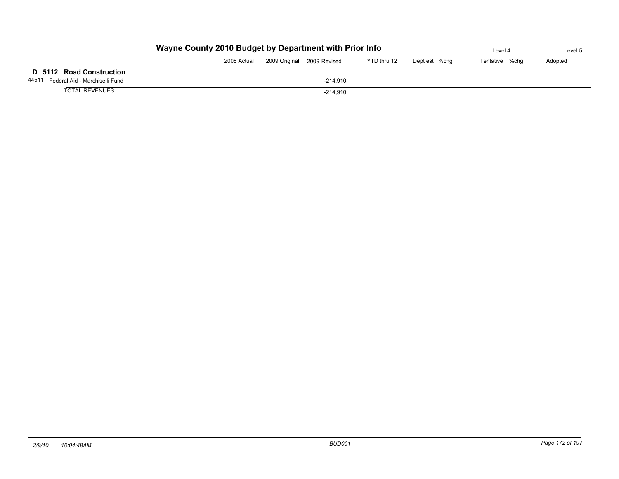|                                         | Wayne County 2010 Budget by Department with Prior Info |               |              |             |               |                |  |                |  |  |  |
|-----------------------------------------|--------------------------------------------------------|---------------|--------------|-------------|---------------|----------------|--|----------------|--|--|--|
|                                         | 2008 Actual                                            | 2009 Original | 2009 Revised | YTD thru 12 | Dept est %chg | Tentative %chq |  | <b>Adopted</b> |  |  |  |
| D 5112 Road Construction                |                                                        |               |              |             |               |                |  |                |  |  |  |
| 44511<br>Federal Aid - Marchiselli Fund |                                                        |               | $-214.910$   |             |               |                |  |                |  |  |  |
| <b>TOTAL REVENUES</b>                   |                                                        |               |              |             |               |                |  |                |  |  |  |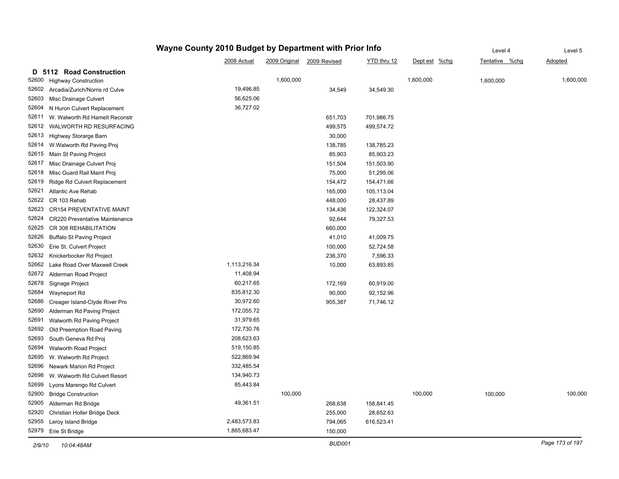|                                           | Wayne County 2010 Budget by Department with Prior Info |           |                            |             |               |                | Level 5         |
|-------------------------------------------|--------------------------------------------------------|-----------|----------------------------|-------------|---------------|----------------|-----------------|
|                                           | 2008 Actual                                            |           | 2009 Original 2009 Revised | YTD thru 12 | Dept est %chg | Tentative %chg | Adopted         |
| 5112 Road Construction<br>D               |                                                        |           |                            |             |               |                |                 |
| 52600<br><b>Highway Construction</b>      |                                                        | 1,600,000 |                            |             | 1,600,000     | 1,600,000      | 1,600,000       |
| 52602<br>Arcadia/Zurich/Norris rd Culve   | 19,496.85                                              |           | 34,549                     | 34,549.30   |               |                |                 |
| 52603<br>Misc Drainage Culvert            | 56,625.06                                              |           |                            |             |               |                |                 |
| 52604<br>N Huron Culvert Replacement      | 36,727.02                                              |           |                            |             |               |                |                 |
| 52611<br>W. Walworth Rd Hamelt Reconstr   |                                                        |           | 651,703                    | 701,986.75  |               |                |                 |
| 52612<br>WALWORTH RD RESURFACING          |                                                        |           | 499,575                    | 499,574.72  |               |                |                 |
| 52613<br>Highway Storarge Barn            |                                                        |           | 30,000                     |             |               |                |                 |
| 52614<br>W. Walworth Rd Paving Proj       |                                                        |           | 138,785                    | 138,785.23  |               |                |                 |
| 52615<br>Main St Paving Project           |                                                        |           | 85,903                     | 85,903.23   |               |                |                 |
| 52617<br>Misc Drainage Culvert Proj       |                                                        |           | 151,504                    | 151,503.90  |               |                |                 |
| 52618<br>Misc Guard Rail Maint Proj       |                                                        |           | 75,000                     | 51,295.06   |               |                |                 |
| 52619<br>Ridge Rd Culvert Replacement     |                                                        |           | 154,472                    | 154,471.66  |               |                |                 |
| 52621<br><b>Atlantic Ave Rehab</b>        |                                                        |           | 165,000                    | 105,113.04  |               |                |                 |
| 52622<br>CR 103 Rehab                     |                                                        |           | 448,000                    | 28,437.89   |               |                |                 |
| 52623<br><b>CR154 PREVENTATIVE MAINT</b>  |                                                        |           | 134,436                    | 122,324.07  |               |                |                 |
| 52624<br>CR220 Preventative Maintenance   |                                                        |           | 92,644                     | 79,327.53   |               |                |                 |
| 52625<br>CR 308 REHABILITATION            |                                                        |           | 660,000                    |             |               |                |                 |
| 52626<br><b>Buffalo St Paving Project</b> |                                                        |           | 41,010                     | 41,009.75   |               |                |                 |
| 52630<br>Erie St. Culvert Project         |                                                        |           | 100,000                    | 52,724.58   |               |                |                 |
| 52632<br>Knickerbocker Rd Project         |                                                        |           | 236,370                    | 7,596.33    |               |                |                 |
| 52662<br>Lake Road Over Maxwell Creek     | 1,113,216.34                                           |           | 10,000                     | 63,893.85   |               |                |                 |
| 52672<br>Alderman Road Project            | 11,408.94                                              |           |                            |             |               |                |                 |
| 52678<br>Signage Project                  | 60,217.65                                              |           | 172,169                    | 60,919.00   |               |                |                 |
| 52684<br>Wayneport Rd                     | 835,812.30                                             |           | 90,000                     | 92,152.96   |               |                |                 |
| 52686<br>Creager Island-Clyde River Pro   | 30,972.60                                              |           | 905,387                    | 71,746.12   |               |                |                 |
| 52690<br>Alderman Rd Paving Project       | 172,055.72                                             |           |                            |             |               |                |                 |
| 52691<br>Walworth Rd Paving Project       | 31,979.65                                              |           |                            |             |               |                |                 |
| 52692<br>Old Preemption Road Paving       | 172,730.76                                             |           |                            |             |               |                |                 |
| 52693<br>South Geneva Rd Proj             | 208,623.63                                             |           |                            |             |               |                |                 |
| 52694<br>Walworth Road Project            | 519,150.85                                             |           |                            |             |               |                |                 |
| 52695<br>W. Walworth Rd Project           | 522,869.94                                             |           |                            |             |               |                |                 |
| 52696<br>Newark Marion Rd Project         | 332,485.54                                             |           |                            |             |               |                |                 |
| 52698<br>W. Walworth Rd Culvert Resort    | 134,940.73                                             |           |                            |             |               |                |                 |
| 52699<br>Lyons Marengo Rd Culvert         | 85,443.84                                              |           |                            |             |               |                |                 |
| 52900<br><b>Bridge Construction</b>       |                                                        | 100,000   |                            |             | 100,000       | 100,000        | 100,000         |
| 52905<br>Alderman Rd Bridge               | 49,361.51                                              |           | 268,638                    | 158,841.45  |               |                |                 |
| 52920<br>Christian Holler Bridge Deck     |                                                        |           | 255,000                    | 28,652.63   |               |                |                 |
| 52955<br>Leroy Island Bridge              | 2,483,573.83                                           |           | 794,065                    | 616,523.41  |               |                |                 |
| 52979<br>Erie St Bridge                   | 1,865,683.47                                           |           | 150,000                    |             |               |                |                 |
| 2/9/10<br>10:04:48AM                      |                                                        |           | <b>BUD001</b>              |             |               |                | Page 173 of 197 |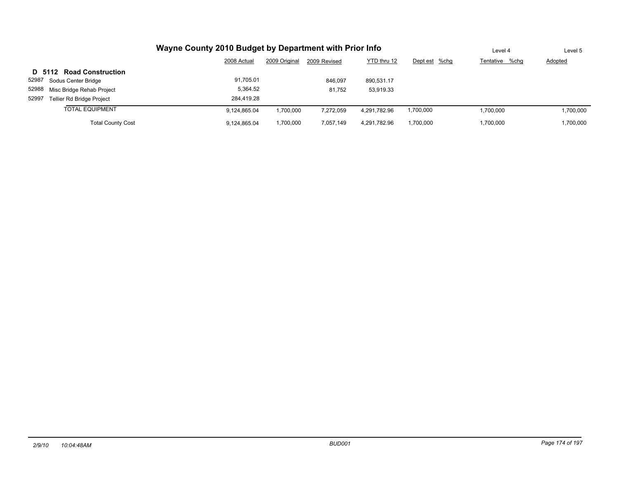| Wayne County 2010 Budget by Department with Prior Info | Level 4      | Level 5       |              |              |               |                |                |
|--------------------------------------------------------|--------------|---------------|--------------|--------------|---------------|----------------|----------------|
|                                                        | 2008 Actual  | 2009 Original | 2009 Revised | YTD thru 12  | Dept est %chg | Tentative %chq | <b>Adopted</b> |
| D 5112 Road Construction                               |              |               |              |              |               |                |                |
| 52987<br>Sodus Center Bridge                           | 91,705.01    |               | 846,097      | 890,531.17   |               |                |                |
| 52988<br>Misc Bridge Rehab Project                     | 5,364.52     |               | 81.752       | 53,919.33    |               |                |                |
| 52997<br><b>Tellier Rd Bridge Project</b>              | 284.419.28   |               |              |              |               |                |                |
| <b>TOTAL EQUIPMENT</b>                                 | 9.124.865.04 | 1,700,000     | 7.272.059    | 4.291.782.96 | 1,700,000     | 1.700.000      | 1,700,000      |
| <b>Total County Cost</b>                               | 9,124,865.04 | 1,700,000     | 7,057,149    | 4,291,782.96 | 1,700,000     | 1.700.000      | 1,700,000      |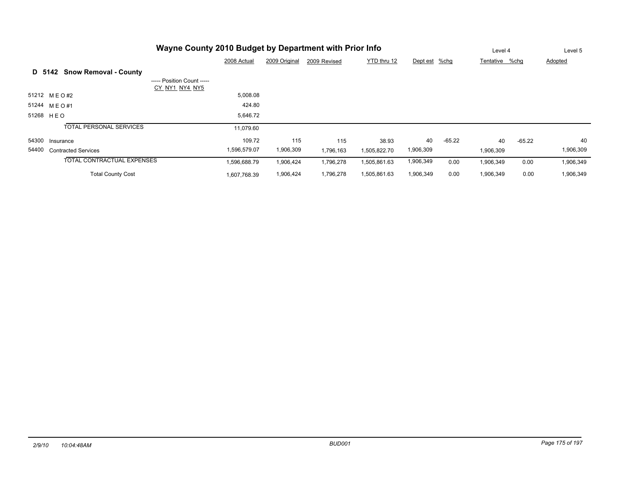|       | Wayne County 2010 Budget by Department with Prior Info |                                              |               |              |              |               |          |                | Level 4  | Level 5        |  |
|-------|--------------------------------------------------------|----------------------------------------------|---------------|--------------|--------------|---------------|----------|----------------|----------|----------------|--|
|       |                                                        | 2008 Actual                                  | 2009 Original | 2009 Revised | YTD thru 12  | Dept est %chg |          | Tentative %chq |          | <b>Adopted</b> |  |
|       | <b>Snow Removal - County</b><br>D 5142                 |                                              |               |              |              |               |          |                |          |                |  |
|       |                                                        | ----- Position Count -----<br>CY NY1 NY4 NY5 |               |              |              |               |          |                |          |                |  |
|       | 51212 MEO#2                                            | 5,008.08                                     |               |              |              |               |          |                |          |                |  |
|       | 51244 MEO#1                                            |                                              | 424.80        |              |              |               |          |                |          |                |  |
|       | 51268 HEO                                              | 5,646.72                                     |               |              |              |               |          |                |          |                |  |
|       | <b>TOTAL PERSONAL SERVICES</b>                         | 11,079.60                                    |               |              |              |               |          |                |          |                |  |
|       | 54300 Insurance                                        |                                              | 109.72        | 115          | 115<br>38.93 | 40            | $-65.22$ | 40             | $-65.22$ | 40             |  |
| 54400 | <b>Contracted Services</b>                             | 1,596,579.07                                 | 1,906,309     | 1,796,163    | 1,505,822.70 | 1,906,309     |          | 1,906,309      |          | 1,906,309      |  |
|       | <b>TOTAL CONTRACTUAL EXPENSES</b>                      | 1,596,688.79                                 | 1,906,424     | 1,796,278    | 1,505,861.63 | 1,906,349     | 0.00     | 1,906,349      | 0.00     | 1,906,349      |  |
|       | <b>Total County Cost</b>                               | 1,607,768.39                                 | 1,906,424     | 1,796,278    | 1,505,861.63 | 1,906,349     | 0.00     | 1,906,349      | 0.00     | 1,906,349      |  |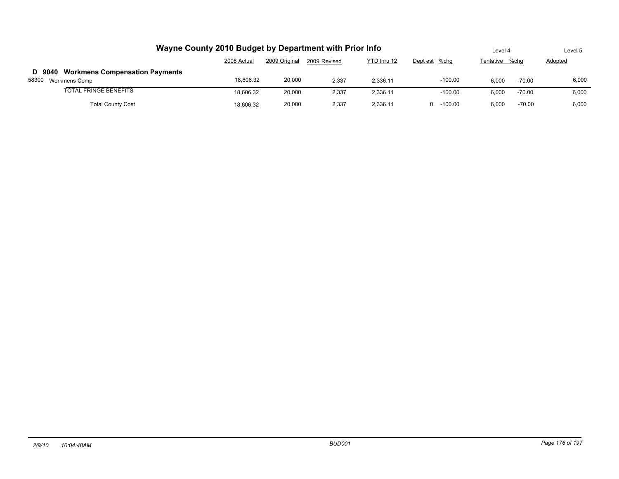| Wayne County 2010 Budget by Department with Prior Info          | Level 4     |               | Level 5      |             |               |                |          |                |  |
|-----------------------------------------------------------------|-------------|---------------|--------------|-------------|---------------|----------------|----------|----------------|--|
|                                                                 | 2008 Actual | 2009 Original | 2009 Revised | YTD thru 12 | Dept est %chg | Tentative %chq |          | <b>Adopted</b> |  |
| D 9040 Workmens Compensation Payments<br>58300<br>Workmens Comp | 18.606.32   | 20,000        | 2.337        | 2.336.11    | $-100.00$     | 6.000          | $-70.00$ | 6.000          |  |
| <b>TOTAL FRINGE BENEFITS</b>                                    | 18,606.32   | 20,000        | 2,337        | 2,336.11    | $-100.00$     | 6,000          | -70.00   | 6,000          |  |
| <b>Total County Cost</b>                                        | 18.606.32   | 20,000        | 2,337        | 2,336.11    | $0 - 100.00$  | 6,000          | $-70.00$ | 6,000          |  |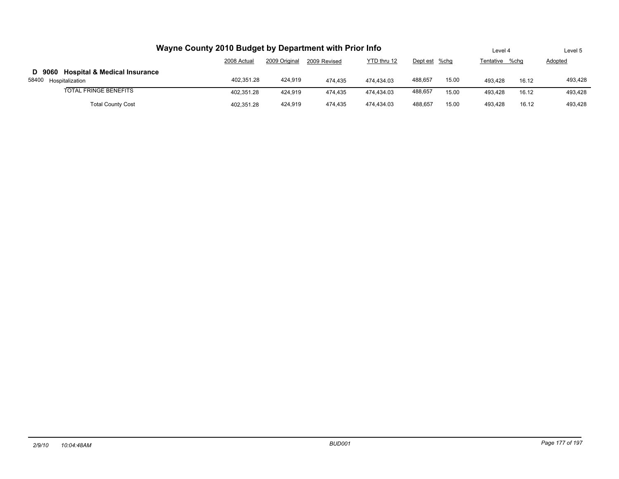| Wayne County 2010 Budget by Department with Prior Info                        |             |               |              |             |               |       |                |       | Level 5 |  |
|-------------------------------------------------------------------------------|-------------|---------------|--------------|-------------|---------------|-------|----------------|-------|---------|--|
|                                                                               | 2008 Actual | 2009 Original | 2009 Revised | YTD thru 12 | Dept est %chq |       | Tentative %chq |       | Adopted |  |
| <b>Hospital &amp; Medical Insurance</b><br>D 9060<br>58400<br>Hospitalization | 402.351.28  | 424,919       | 474.435      | 474.434.03  | 488,657       | 15.00 | 493.428        | 16.12 | 493,428 |  |
| <b>TOTAL FRINGE BENEFITS</b>                                                  | 402.351.28  | 424.919       | 474.435      | 474.434.03  | 488,657       | 15.00 | 493.428        | 16.12 | 493,428 |  |
| <b>Total County Cost</b>                                                      | 402.351.28  | 424,919       | 474.435      | 474.434.03  | 488,657       | 15.00 | 493.428        | 16.12 | 493,428 |  |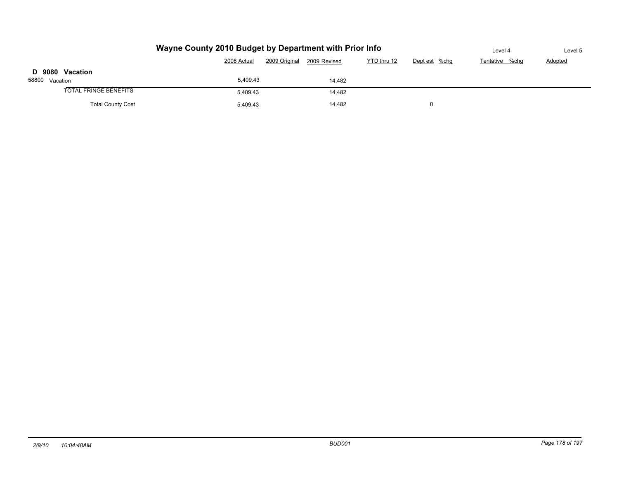|                              | Level 4     | Level 5      |             |               |                |                |  |
|------------------------------|-------------|--------------|-------------|---------------|----------------|----------------|--|
|                              | 2008 Actual | 2009 Revised | YTD thru 12 | Dept est %chg | Tentative %chg | <b>Adopted</b> |  |
| D 9080 Vacation              |             |              |             |               |                |                |  |
| 58800 Vacation               | 5,409.43    |              | 14,482      |               |                |                |  |
| <b>TOTAL FRINGE BENEFITS</b> | 5.409.43    |              | 14,482      |               |                |                |  |
| <b>Total County Cost</b>     | 0           |              |             |               |                |                |  |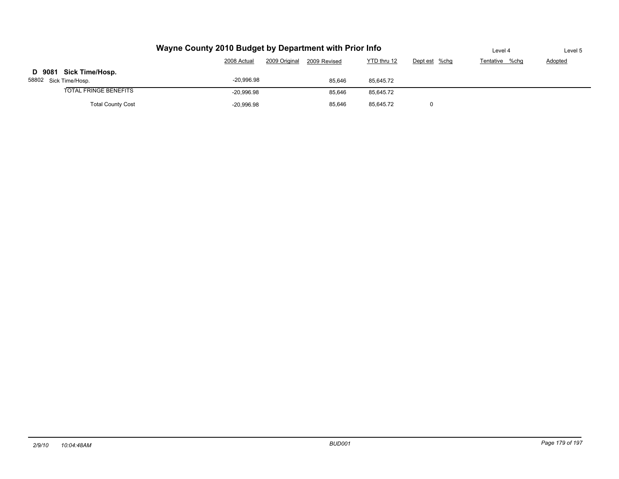|                                                 | Level 4                                                                      | Level 5 |           |  |  |  |  |  |  |  |  |
|-------------------------------------------------|------------------------------------------------------------------------------|---------|-----------|--|--|--|--|--|--|--|--|
|                                                 | 2009 Original<br>YTD thru 12<br>2008 Actual<br>2009 Revised<br>Dept est %chg |         |           |  |  |  |  |  |  |  |  |
| D 9081 Sick Time/Hosp.<br>58802 Sick Time/Hosp. | $-20,996.98$                                                                 | 85,646  | 85,645.72 |  |  |  |  |  |  |  |  |
| <b>TOTAL FRINGE BENEFITS</b>                    | $-20.996.98$                                                                 | 85,646  | 85,645.72 |  |  |  |  |  |  |  |  |
| <b>Total County Cost</b>                        |                                                                              |         |           |  |  |  |  |  |  |  |  |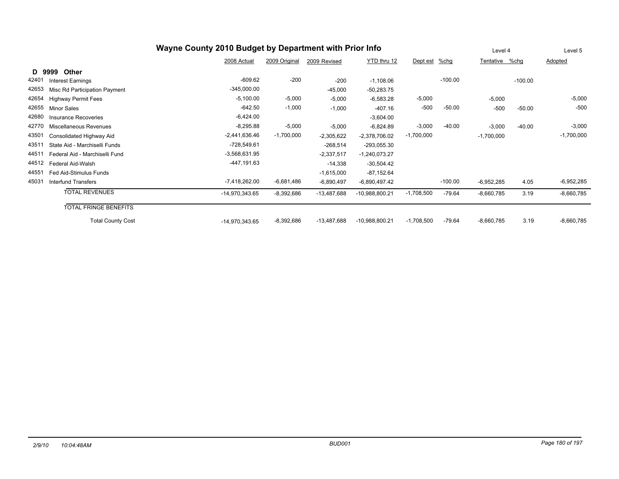| Wayne County 2010 Budget by Department with Prior Info |                                |                  |               |               |                  |              |           |                | Level 4   | Level 5      |
|--------------------------------------------------------|--------------------------------|------------------|---------------|---------------|------------------|--------------|-----------|----------------|-----------|--------------|
|                                                        |                                | 2008 Actual      | 2009 Original | 2009 Revised  | YTD thru 12      | Dept est     | $%$ chg   | Tentative %chg |           | Adopted      |
| D                                                      | 9999<br>Other                  |                  |               |               |                  |              |           |                |           |              |
| 42401                                                  | Interest Earnings              | $-609.62$        | $-200$        | $-200$        | $-1,108.06$      |              | $-100.00$ |                | $-100.00$ |              |
| 42653                                                  | Misc Rd Participation Payment  | $-345,000.00$    |               | $-45,000$     | $-50,283.75$     |              |           |                |           |              |
| 42654                                                  | <b>Highway Permit Fees</b>     | $-5,100.00$      | $-5,000$      | $-5,000$      | $-6,583.28$      | $-5,000$     |           | $-5,000$       |           | $-5,000$     |
| 42655                                                  | Minor Sales                    | $-642.50$        | $-1,000$      | $-1,000$      | $-407.16$        | $-500$       | $-50.00$  | $-500$         | $-50.00$  | $-500$       |
| 42680                                                  | Insurance Recoveries           | $-6,424.00$      |               |               | $-3,604.00$      |              |           |                |           |              |
| 42770                                                  | Miscellaneous Revenues         | $-8,295.88$      | $-5,000$      | $-5,000$      | $-6,824.89$      | $-3,000$     | $-40.00$  | $-3,000$       | $-40.00$  | $-3,000$     |
| 43501                                                  | Consolidated Highway Aid       | $-2,441,636.46$  | $-1,700,000$  | $-2,305,622$  | $-2,378,706.02$  | $-1,700,000$ |           | $-1,700,000$   |           | $-1,700,000$ |
| 43511                                                  | State Aid - Marchiselli Funds  | $-728,549.61$    |               | $-268,514$    | $-293,055.30$    |              |           |                |           |              |
| 44511                                                  | Federal Aid - Marchiselli Fund | $-3,568,631.95$  |               | $-2,337,517$  | $-1,240,073.27$  |              |           |                |           |              |
| 44512                                                  | Federal Aid-Walsh              | -447,191.63      |               | $-14,338$     | $-30,504.42$     |              |           |                |           |              |
| 44551                                                  | Fed Aid-Stimulus Funds         |                  |               | $-1,615,000$  | $-87,152.64$     |              |           |                |           |              |
| 45031                                                  | Interfund Transfers            | $-7,418,262.00$  | $-6,681,486$  | $-6,890,497$  | $-6,890,497.42$  |              | $-100.00$ | $-6,952,285$   | 4.05      | $-6,952,285$ |
|                                                        | <b>TOTAL REVENUES</b>          | $-14,970,343.65$ | $-8,392,686$  | $-13,487,688$ | $-10,988,800.21$ | $-1,708,500$ | $-79.64$  | $-8,660,785$   | 3.19      | $-8,660,785$ |
|                                                        | <b>TOTAL FRINGE BENEFITS</b>   |                  |               |               |                  |              |           |                |           |              |
|                                                        | <b>Total County Cost</b>       | $-14,970,343.65$ | $-8,392,686$  | $-13,487,688$ | $-10,988,800.21$ | $-1,708,500$ | $-79.64$  | $-8,660,785$   | 3.19      | $-8,660,785$ |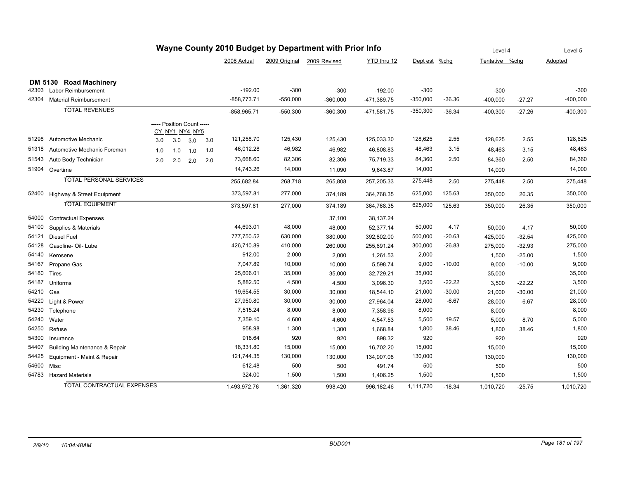| Wayne County 2010 Budget by Department with Prior Info |                                          |                            |     |                |     |               |                            |            |               |               |          | Level 4        | Level 5  |            |
|--------------------------------------------------------|------------------------------------------|----------------------------|-----|----------------|-----|---------------|----------------------------|------------|---------------|---------------|----------|----------------|----------|------------|
|                                                        |                                          |                            |     |                |     | 2008 Actual   | 2009 Original 2009 Revised |            | YTD thru 12   | Dept est %chg |          | Tentative %chg |          | Adopted    |
|                                                        |                                          |                            |     |                |     |               |                            |            |               |               |          |                |          |            |
|                                                        | DM 5130 Road Machinery                   |                            |     |                |     |               |                            |            |               |               |          |                |          |            |
| 42303                                                  | Labor Reimbursement                      |                            |     |                |     | $-192.00$     | $-300$                     | $-300$     | $-192.00$     | $-300$        |          | $-300$         |          | $-300$     |
| 42304                                                  | <b>Material Reimbursement</b>            |                            |     |                |     | $-858,773.71$ | $-550,000$                 | $-360,000$ | -471,389.75   | $-350,000$    | $-36.36$ | $-400,000$     | $-27.27$ | $-400,000$ |
|                                                        | <b>TOTAL REVENUES</b>                    |                            |     |                |     | $-858,965.71$ | $-550,300$                 | $-360,300$ | $-471,581.75$ | $-350,300$    | $-36.34$ | $-400,300$     | $-27.26$ | $-400,300$ |
|                                                        |                                          | ----- Position Count ----- |     | CY NY1 NY4 NY5 |     |               |                            |            |               |               |          |                |          |            |
| 51298                                                  | Automotive Mechanic                      | 3.0                        | 3.0 | 3.0            | 3.0 | 121,258.70    | 125,430                    | 125,430    | 125,033.30    | 128,625       | 2.55     | 128,625        | 2.55     | 128,625    |
| 51318                                                  | Automotive Mechanic Foreman              | 1.0                        | 1.0 | 1.0            | 1.0 | 46,012.28     | 46,982                     | 46,982     | 46,808.83     | 48,463        | 3.15     | 48,463         | 3.15     | 48,463     |
| 51543                                                  | Auto Body Technician                     | 2.0                        | 2.0 | 2.0            | 2.0 | 73,668.60     | 82,306                     | 82,306     | 75,719.33     | 84,360        | 2.50     | 84,360         | 2.50     | 84,360     |
| 51904                                                  | Overtime                                 |                            |     |                |     | 14,743.26     | 14,000                     | 11,090     | 9,643.87      | 14,000        |          | 14,000         |          | 14,000     |
|                                                        | <b>TOTAL PERSONAL SERVICES</b>           |                            |     |                |     | 255,682.84    | 268,718                    | 265,808    | 257,205.33    | 275,448       | 2.50     | 275,448        | 2.50     | 275,448    |
| 52400                                                  | Highway & Street Equipment               |                            |     |                |     | 373,597.81    | 277,000                    | 374,189    | 364,768.35    | 625,000       | 125.63   | 350,000        | 26.35    | 350,000    |
|                                                        | <b>TOTAL EQUIPMENT</b>                   |                            |     |                |     | 373,597.81    | 277,000                    | 374,189    | 364,768.35    | 625,000       | 125.63   | 350,000        | 26.35    | 350,000    |
| 54000                                                  | <b>Contractual Expenses</b>              |                            |     |                |     |               |                            | 37,100     | 38,137.24     |               |          |                |          |            |
| 54100                                                  | Supplies & Materials                     |                            |     |                |     | 44,693.01     | 48,000                     | 48,000     | 52,377.14     | 50,000        | 4.17     | 50,000         | 4.17     | 50,000     |
| 54121                                                  | Diesel Fuel                              |                            |     |                |     | 777,750.52    | 630,000                    | 380,000    | 392,802.00    | 500,000       | $-20.63$ | 425,000        | $-32.54$ | 425,000    |
| 54128                                                  | Gasoline- Oil- Lube                      |                            |     |                |     | 426,710.89    | 410,000                    | 260,000    | 255,691.24    | 300,000       | $-26.83$ | 275,000        | $-32.93$ | 275,000    |
| 54140                                                  | Kerosene                                 |                            |     |                |     | 912.00        | 2,000                      | 2,000      | 1,261.53      | 2,000         |          | 1,500          | $-25.00$ | 1,500      |
| 54167                                                  | Propane Gas                              |                            |     |                |     | 7,047.89      | 10,000                     | 10,000     | 5,598.74      | 9,000         | $-10.00$ | 9,000          | $-10.00$ | 9,000      |
| 54180                                                  | <b>Tires</b>                             |                            |     |                |     | 25,606.01     | 35,000                     | 35,000     | 32,729.21     | 35,000        |          | 35,000         |          | 35,000     |
| 54187                                                  | Uniforms                                 |                            |     |                |     | 5,882.50      | 4,500                      | 4,500      | 3,096.30      | 3,500         | $-22.22$ | 3,500          | $-22.22$ | 3,500      |
| 54210                                                  | Gas                                      |                            |     |                |     | 19,654.55     | 30,000                     | 30,000     | 18,544.10     | 21,000        | $-30.00$ | 21,000         | $-30.00$ | 21,000     |
| 54220                                                  | Light & Power                            |                            |     |                |     | 27,950.80     | 30,000                     | 30,000     | 27,964.04     | 28,000        | $-6.67$  | 28,000         | $-6.67$  | 28,000     |
| 54230                                                  | Telephone                                |                            |     |                |     | 7,515.24      | 8,000                      | 8,000      | 7,358.96      | 8,000         |          | 8,000          |          | 8,000      |
| 54240                                                  | Water                                    |                            |     |                |     | 7,359.10      | 4,600                      | 4,600      | 4,547.53      | 5,500         | 19.57    | 5,000          | 8.70     | 5,000      |
| 54250                                                  | Refuse                                   |                            |     |                |     | 958.98        | 1,300                      | 1,300      | 1,668.84      | 1,800         | 38.46    | 1,800          | 38.46    | 1,800      |
| 54300                                                  | Insurance                                |                            |     |                |     | 918.64        | 920                        | 920        | 898.32        | 920           |          | 920            |          | 920        |
| 54407                                                  | <b>Building Maintenance &amp; Repair</b> |                            |     |                |     | 18,331.80     | 15,000                     | 15,000     | 16,702.20     | 15,000        |          | 15,000         |          | 15,000     |
| 54425                                                  | Equipment - Maint & Repair               |                            |     |                |     | 121,744.35    | 130,000                    | 130,000    | 134,907.08    | 130,000       |          | 130,000        |          | 130,000    |
| 54600                                                  | Misc                                     |                            |     |                |     | 612.48        | 500                        | 500        | 491.74        | 500           |          | 500            |          | 500        |
| 54783                                                  | <b>Hazard Materials</b>                  |                            |     |                |     | 324.00        | 1,500                      | 1,500      | 1,406.25      | 1,500         |          | 1,500          |          | 1,500      |
|                                                        | TOTAL CONTRACTUAL EXPENSES               |                            |     |                |     | 1,493,972.76  | 1,361,320                  | 998,420    | 996,182.46    | 1,111,720     | $-18.34$ | 1,010,720      | $-25.75$ | 1,010,720  |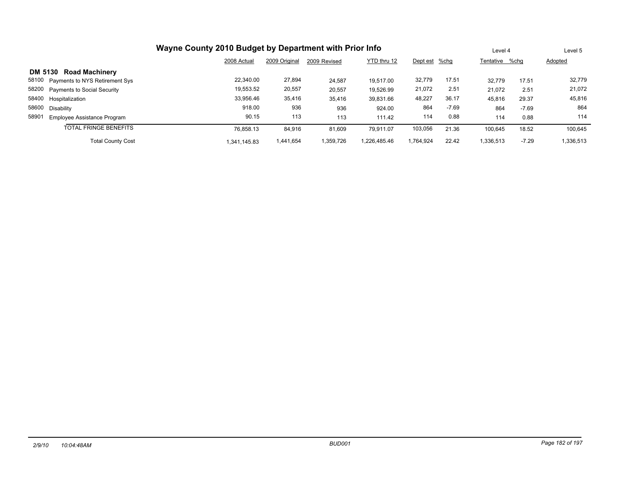|                                         |              | Level 4       |              | Level 5      |               |         |                |         |           |
|-----------------------------------------|--------------|---------------|--------------|--------------|---------------|---------|----------------|---------|-----------|
|                                         | 2008 Actual  | 2009 Original | 2009 Revised | YTD thru 12  | Dept est %chg |         | Tentative %chq |         | Adopted   |
| DM 5130 Road Machinery                  |              |               |              |              |               |         |                |         |           |
| 58100<br>Payments to NYS Retirement Sys | 22.340.00    | 27,894        | 24,587       | 19.517.00    | 32,779        | 17.51   | 32.779         | 17.51   | 32,779    |
| 58200<br>Payments to Social Security    | 19.553.52    | 20,557        | 20,557       | 19.526.99    | 21,072        | 2.51    | 21.072         | 2.51    | 21,072    |
| 58400 Hospitalization                   | 33.956.46    | 35,416        | 35,416       | 39,831.66    | 48,227        | 36.17   | 45,816         | 29.37   | 45,816    |
| 58600<br>Disability                     | 918.00       | 936           | 936          | 924.00       | 864           | $-7.69$ | 864            | $-7.69$ | 864       |
| 58901<br>Employee Assistance Program    | 90.15        | 113           | 113          | 111.42       | 114           | 0.88    | 114            | 0.88    | 114       |
| <b>TOTAL FRINGE BENEFITS</b>            | 76.858.13    | 84,916        | 81,609       | 79.911.07    | 103,056       | 21.36   | 100,645        | 18.52   | 100,645   |
| <b>Total County Cost</b>                | 1.341.145.83 | 1,441,654     | 1,359,726    | 1.226.485.46 | 1.764.924     | 22.42   | 1,336,513      | $-7.29$ | 1,336,513 |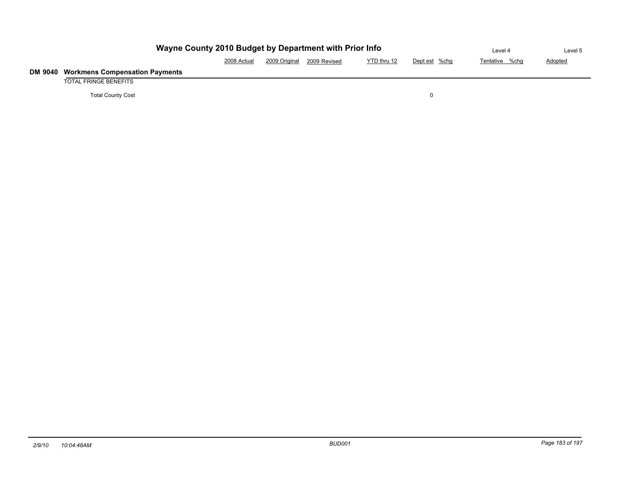|         | Wayne County 2010 Budget by Department with Prior Info |             | Level 4       | Level 5      |             |               |                |         |
|---------|--------------------------------------------------------|-------------|---------------|--------------|-------------|---------------|----------------|---------|
|         |                                                        | 2008 Actual | 2009 Original | 2009 Revised | YTD thru 12 | Dept est %chg | Tentative %chg | Adopted |
| DM 9040 | <b>Workmens Compensation Payments</b>                  |             |               |              |             |               |                |         |
|         | TOTAL FRINGE BENEFITS                                  |             |               |              |             |               |                |         |
|         | <b>Total County Cost</b>                               |             |               |              |             |               |                |         |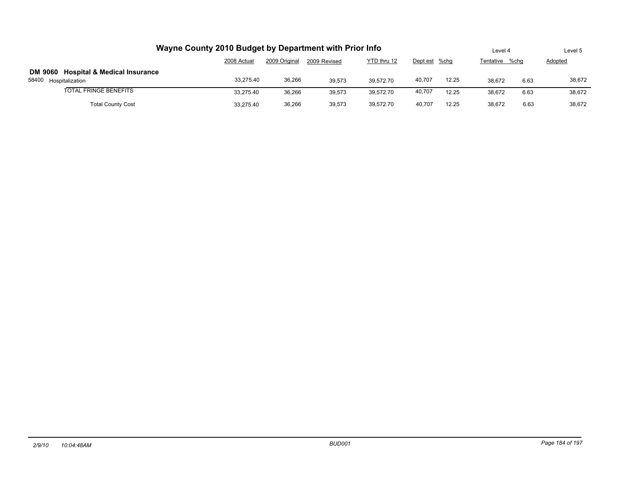| Wayne County 2010 Budget by Department with Prior Info                                    |             | Level 4       |              | Level 5     |               |       |                |      |         |
|-------------------------------------------------------------------------------------------|-------------|---------------|--------------|-------------|---------------|-------|----------------|------|---------|
|                                                                                           | 2008 Actual | 2009 Original | 2009 Revised | YTD thru 12 | Dept est %chg |       | Tentative %chq |      | Adopted |
| DM 9060 Hospital & Medical Insurance                                                      |             |               |              |             |               |       |                |      |         |
| 58400<br>Hospitalization                                                                  | 33,275.40   | 36,266        | 39.573       | 39.572.70   | 40,707        | 12.25 | 38.672         | 6.63 | 38,672  |
| <b>TOTAL FRINGE BENEFITS</b>                                                              | 33.275.40   | 36.266        | 39.573       | 39.572.70   | 40,707        | 12.25 | 38.672         | 6.63 | 38.672  |
| 36,266<br><b>Total County Cost</b><br>39.573<br>12.25<br>39.572.70<br>40.707<br>33.275.40 |             |               |              |             |               |       |                |      | 38.672  |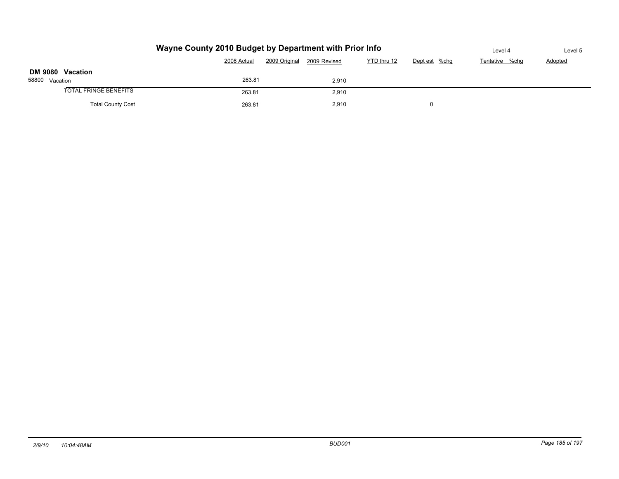|                          | Wayne County 2010 Budget by Department with Prior Info |         |  |  | Level 4 | Level 5 |
|--------------------------|--------------------------------------------------------|---------|--|--|---------|---------|
|                          | Tentative %chq                                         | Adopted |  |  |         |         |
| DM 9080 Vacation         |                                                        |         |  |  |         |         |
| 58800 Vacation           | 263.81                                                 | 2.910   |  |  |         |         |
| TOTAL FRINGE BENEFITS    |                                                        |         |  |  |         |         |
| <b>Total County Cost</b> |                                                        |         |  |  |         |         |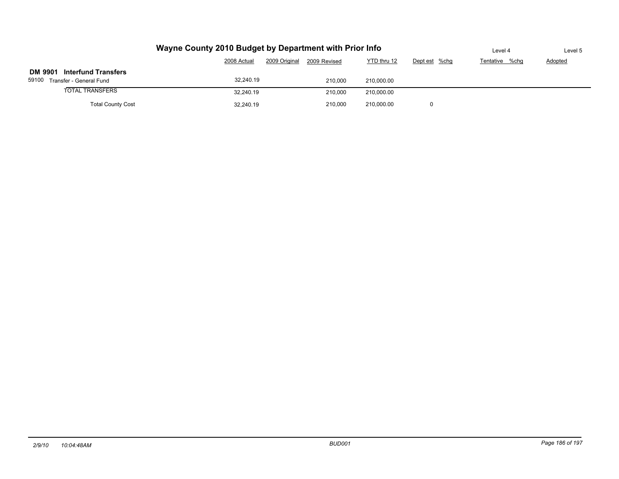|                                                                 | Wayne County 2010 Budget by Department with Prior Info |              |             |               |                |         |  |  |  |  |  |  |
|-----------------------------------------------------------------|--------------------------------------------------------|--------------|-------------|---------------|----------------|---------|--|--|--|--|--|--|
|                                                                 | 2009 Original<br>2008 Actual                           | 2009 Revised | YTD thru 12 | Dept est %chg | Tentative %chg | Adopted |  |  |  |  |  |  |
| DM 9901 Interfund Transfers<br>59100<br>Transfer - General Fund |                                                        |              |             |               |                |         |  |  |  |  |  |  |
| <b>TOTAL TRANSFERS</b>                                          | 32.240.19                                              | 210.000      | 210,000.00  |               |                |         |  |  |  |  |  |  |
| <b>Total County Cost</b>                                        |                                                        |              |             |               |                |         |  |  |  |  |  |  |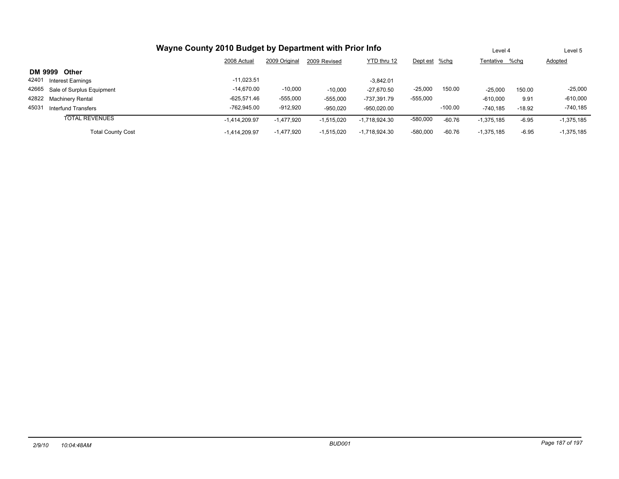| Wayne County 2010 Budget by Department with Prior Info |                 | Level 4       |              | Level 5         |               |           |                |          |                |
|--------------------------------------------------------|-----------------|---------------|--------------|-----------------|---------------|-----------|----------------|----------|----------------|
|                                                        | 2008 Actual     | 2009 Original | 2009 Revised | YTD thru 12     | Dept est %chg |           | Tentative %chg |          | <b>Adopted</b> |
| DM 9999<br><b>Other</b>                                |                 |               |              |                 |               |           |                |          |                |
| 42401<br><b>Interest Earnings</b>                      | $-11.023.51$    |               |              | $-3.842.01$     |               |           |                |          |                |
| 42665 Sale of Surplus Equipment                        | $-14.670.00$    | $-10,000$     | $-10,000$    | $-27,670.50$    | $-25,000$     | 150.00    | $-25,000$      | 150.00   | $-25,000$      |
| 42822 Machinery Rental                                 | -625,571.46     | $-555,000$    | $-555.000$   | -737.391.79     | $-555,000$    |           | $-610,000$     | 9.91     | $-610,000$     |
| 45031<br><b>Interfund Transfers</b>                    | -762.945.00     | $-912,920$    | $-950,020$   | $-950,020.00$   |               | $-100.00$ | $-740,185$     | $-18.92$ | $-740,185$     |
| <b>TOTAL REVENUES</b>                                  | $-1.414.209.97$ | $-1,477,920$  | $-1,515,020$ | $-1,718,924.30$ | $-580,000$    | $-60.76$  | $-1,375,185$   | $-6.95$  | $-1,375,185$   |
| <b>Total County Cost</b>                               | $-1.414.209.97$ | $-1,477,920$  | $-1,515,020$ | $-1,718,924.30$ | $-580,000$    | $-60.76$  | $-1.375.185$   | $-6.95$  | $-1,375,185$   |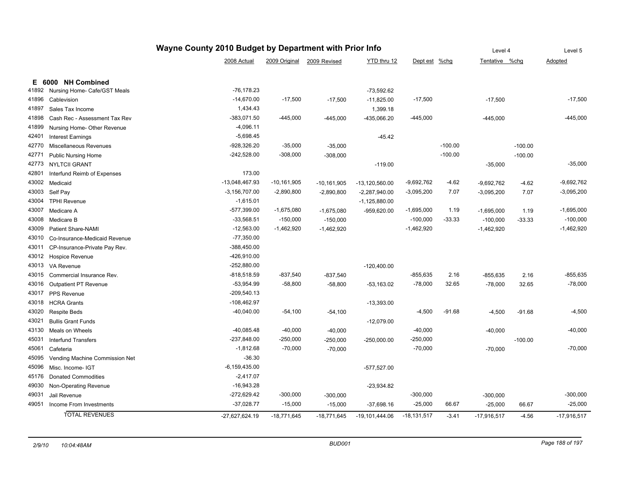|       |                                |                   | Level 4         |                            | Level 5          |                 |           |                |           |               |
|-------|--------------------------------|-------------------|-----------------|----------------------------|------------------|-----------------|-----------|----------------|-----------|---------------|
|       |                                | 2008 Actual       |                 | 2009 Original 2009 Revised | YTD thru 12      | Dept est        | $%$ chg   | Tentative %chg |           | Adopted       |
|       |                                |                   |                 |                            |                  |                 |           |                |           |               |
|       | E 6000 NH Combined             |                   |                 |                            |                  |                 |           |                |           |               |
| 41892 | Nursing Home- Cafe/GST Meals   | $-76, 178.23$     |                 |                            | $-73,592.62$     |                 |           |                |           |               |
| 41896 | Cablevision                    | $-14,670.00$      | $-17,500$       | $-17,500$                  | $-11,825.00$     | $-17,500$       |           | $-17,500$      |           | $-17,500$     |
| 41897 | Sales Tax Income               | 1,434.43          |                 |                            | 1,399.18         |                 |           |                |           |               |
| 41898 | Cash Rec - Assessment Tax Rev  | $-383,071.50$     | $-445,000$      | $-445,000$                 | -435,066.20      | $-445,000$      |           | $-445,000$     |           | -445,000      |
| 41899 | Nursing Home- Other Revenue    | $-4,096.11$       |                 |                            |                  |                 |           |                |           |               |
| 42401 | <b>Interest Earnings</b>       | $-5,698.45$       |                 |                            | $-45.42$         |                 |           |                |           |               |
| 42770 | Miscellaneous Revenues         | -928,326.20       | $-35,000$       | $-35,000$                  |                  |                 | $-100.00$ |                | $-100.00$ |               |
| 42771 | <b>Public Nursing Home</b>     | $-242,528.00$     | $-308,000$      | $-308,000$                 |                  |                 | $-100.00$ |                | $-100.00$ |               |
| 42773 | <b>NYLTCII GRANT</b>           |                   |                 |                            | $-119.00$        |                 |           | $-35,000$      |           | $-35,000$     |
| 42801 | Interfund Reimb of Expenses    | 173.00            |                 |                            |                  |                 |           |                |           |               |
| 43002 | Medicaid                       | -13,048,467.93    | $-10, 161, 905$ | $-10, 161, 905$            | $-13,120,560.00$ | $-9,692,762$    | $-4.62$   | $-9,692,762$   | $-4.62$   | $-9,692,762$  |
| 43003 | Self Pay                       | $-3,156,707.00$   | $-2,890,800$    | $-2,890,800$               | $-2,287,940.00$  | $-3,095,200$    | 7.07      | $-3,095,200$   | 7.07      | $-3,095,200$  |
| 43004 | <b>TPHI Revenue</b>            | $-1,615.01$       |                 |                            | $-1,125,880.00$  |                 |           |                |           |               |
| 43007 | Medicare A                     | $-577,399.00$     | $-1,675,080$    | $-1,675,080$               | -959,620.00      | $-1,695,000$    | 1.19      | $-1,695,000$   | 1.19      | $-1,695,000$  |
| 43008 | Medicare B                     | $-33,568.51$      | $-150,000$      | $-150,000$                 |                  | $-100,000$      | $-33.33$  | $-100,000$     | $-33.33$  | $-100,000$    |
| 43009 | <b>Patient Share-NAMI</b>      | $-12,563.00$      | $-1,462,920$    | $-1,462,920$               |                  | $-1,462,920$    |           | $-1,462,920$   |           | $-1,462,920$  |
| 43010 | Co-Insurance-Medicaid Revenue  | $-77,350.00$      |                 |                            |                  |                 |           |                |           |               |
| 43011 | CP-Insurance-Private Pay Rev.  | $-388,450.00$     |                 |                            |                  |                 |           |                |           |               |
| 43012 | Hospice Revenue                | -426,910.00       |                 |                            |                  |                 |           |                |           |               |
| 43013 | VA Revenue                     | $-252,880.00$     |                 |                            | $-120,400.00$    |                 |           |                |           |               |
| 43015 | Commercial Insurance Rev.      | $-818,518.59$     | $-837,540$      | $-837,540$                 |                  | $-855,635$      | 2.16      | $-855,635$     | 2.16      | $-855,635$    |
| 43016 | <b>Outpatient PT Revenue</b>   | $-53,954.99$      | $-58,800$       | $-58,800$                  | $-53,163.02$     | $-78,000$       | 32.65     | $-78,000$      | 32.65     | $-78,000$     |
| 43017 | PPS Revenue                    | $-209,540.13$     |                 |                            |                  |                 |           |                |           |               |
| 43018 | <b>HCRA Grants</b>             | $-108,462.97$     |                 |                            | $-13,393.00$     |                 |           |                |           |               |
| 43020 | <b>Respite Beds</b>            | $-40,040.00$      | $-54,100$       | $-54,100$                  |                  | $-4,500$        | $-91.68$  | $-4,500$       | $-91.68$  | $-4,500$      |
| 43021 | <b>Bullis Grant Funds</b>      |                   |                 |                            | $-12,079.00$     |                 |           |                |           |               |
| 43130 | Meals on Wheels                | $-40,085.48$      | $-40,000$       | $-40,000$                  |                  | $-40,000$       |           | $-40,000$      |           | $-40,000$     |
| 45031 | <b>Interfund Transfers</b>     | $-237,848.00$     | $-250,000$      | $-250,000$                 | $-250,000.00$    | $-250,000$      |           |                | $-100.00$ |               |
| 45061 | Cafeteria                      | $-1,812.68$       | $-70,000$       | $-70,000$                  |                  | $-70,000$       |           | $-70,000$      |           | $-70,000$     |
| 45095 | Vending Machine Commission Net | $-36.30$          |                 |                            |                  |                 |           |                |           |               |
| 45096 | Misc. Income- IGT              | $-6, 159, 435.00$ |                 |                            | $-577,527.00$    |                 |           |                |           |               |
| 45176 | <b>Donated Commodities</b>     | $-2,417.07$       |                 |                            |                  |                 |           |                |           |               |
| 49030 | Non-Operating Revenue          | $-16,943.28$      |                 |                            | $-23,934.82$     |                 |           |                |           |               |
| 49031 |                                | $-272,629.42$     | $-300,000$      |                            |                  | $-300,000$      |           |                |           | $-300,000$    |
| 49051 | Jail Revenue                   | $-37,028.77$      | $-15,000$       | $-300,000$                 |                  | $-25,000$       | 66.67     | $-300,000$     |           | $-25,000$     |
|       | Income From Investments        |                   |                 | $-15,000$                  | $-37,698.16$     |                 |           | $-25,000$      | 66.67     |               |
|       | <b>TOTAL REVENUES</b>          | -27,627,624.19    | $-18,771,645$   | $-18,771,645$              | -19,101,444.06   | $-18, 131, 517$ | $-3.41$   | $-17,916,517$  | $-4.56$   | $-17,916,517$ |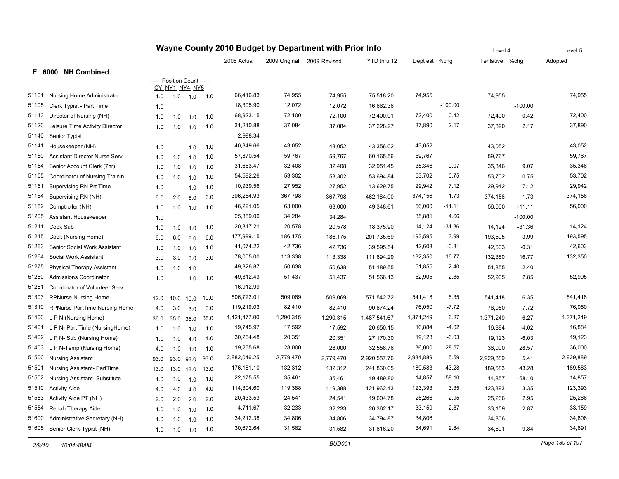| Wayne County 2010 Budget by Department with Prior Info |                                      |      |                                              |           |      | Level 4      |           | Level 5                    |              |               |           |                |           |           |
|--------------------------------------------------------|--------------------------------------|------|----------------------------------------------|-----------|------|--------------|-----------|----------------------------|--------------|---------------|-----------|----------------|-----------|-----------|
|                                                        |                                      |      |                                              |           |      | 2008 Actual  |           | 2009 Original 2009 Revised | YTD thru 12  | Dept est %chg |           | Tentative %chg |           | Adopted   |
|                                                        | E 6000 NH Combined                   |      |                                              |           |      |              |           |                            |              |               |           |                |           |           |
|                                                        |                                      |      | ----- Position Count -----<br>CY NY1 NY4 NY5 |           |      |              |           |                            |              |               |           |                |           |           |
| 51101                                                  | Nursing Home Administrator           | 1.0  | 1.0                                          | 1.0       | 1.0  | 66,416.83    | 74,955    | 74,955                     | 75,518.20    | 74,955        |           | 74,955         |           | 74,955    |
| 51105                                                  | Clerk Typist - Part Time             | 1.0  |                                              |           |      | 18,305.90    | 12,072    | 12,072                     | 16,662.36    |               | $-100.00$ |                | $-100.00$ |           |
| 51113                                                  | Director of Nursing (NH)             | 1.0  | 1.0                                          | 1.0       | 1.0  | 68,923.15    | 72,100    | 72,100                     | 72,400.01    | 72,400        | 0.42      | 72,400         | 0.42      | 72,400    |
| 51120                                                  | Leisure Time Activity Director       | 1.0  | 1.0                                          | 1.0       | 1.0  | 31,210.88    | 37,084    | 37,084                     | 37,228.27    | 37,890        | 2.17      | 37,890         | 2.17      | 37,890    |
| 51140                                                  | Senior Typist                        |      |                                              |           |      | 2,998.34     |           |                            |              |               |           |                |           |           |
| 51141                                                  | Housekeeper (NH)                     | 1.0  |                                              | 1.0       | 1.0  | 40,349.66    | 43,052    | 43,052                     | 43,356.02    | 43,052        |           | 43,052         |           | 43,052    |
| 51150                                                  | <b>Assistant Director Nurse Serv</b> | 1.0  | 1.0                                          | 1.0       | 1.0  | 57,870.54    | 59,767    | 59,767                     | 60,165.56    | 59,767        |           | 59,767         |           | 59,767    |
| 51154                                                  | Senior Account Clerk (7hr)           | 1.0  | 1.0                                          | 1.0       | 1.0  | 31,663.47    | 32,408    | 32,408                     | 32,951.45    | 35,346        | 9.07      | 35,346         | 9.07      | 35,346    |
| 51155                                                  | Coordinator of Nursing Trainin       | 1.0  | 1.0                                          | 1.0       | 1.0  | 54,582.26    | 53,302    | 53,302                     | 53,694.84    | 53,702        | 0.75      | 53,702         | 0.75      | 53,702    |
| 51161                                                  | Supervising RN Prt Time              | 1.0  |                                              | 1.0       | 1.0  | 10,939.56    | 27,952    | 27,952                     | 13,629.75    | 29,942        | 7.12      | 29,942         | 7.12      | 29,942    |
| 51164                                                  | Supervising RN (NH)                  | 6.0  | 2.0                                          | 6.0       | 6.0  | 396,254.93   | 367,798   | 367,798                    | 462,184.00   | 374,156       | 1.73      | 374,156        | 1.73      | 374,156   |
| 51182                                                  | Comptroller (NH)                     | 1.0  | 1.0                                          | 1.0       | 1.0  | 46,221.05    | 63,000    | 63,000                     | 49,348.61    | 56,000        | $-11.11$  | 56,000         | $-11.11$  | 56,000    |
| 51205                                                  | Assistant Housekeeper                | 1.0  |                                              |           |      | 25,389.00    | 34,284    | 34,284                     |              | 35,881        | 4.66      |                | $-100.00$ |           |
| 51211                                                  | Cook Sub                             | 1.0  | 1.0                                          | 1.0       | 1.0  | 20,317.21    | 20,578    | 20,578                     | 18,375.90    | 14,124        | $-31.36$  | 14,124         | $-31.36$  | 14,124    |
| 51215                                                  | Cook (Nursing Home)                  | 6.0  | 6.0                                          | 6.0       | 6.0  | 177,999.15   | 186,175   | 186,175                    | 201,735.69   | 193,595       | 3.99      | 193,595        | 3.99      | 193,595   |
| 51263                                                  | Senior Social Work Assistant         | 1.0  | 1.0                                          | 1.0       | 1.0  | 41,074.22    | 42,736    | 42,736                     | 39,595.54    | 42,603        | $-0.31$   | 42,603         | $-0.31$   | 42,603    |
| 51264                                                  | Social Work Assistant                | 3.0  | 3.0                                          | 3.0       | 3.0  | 78,005.00    | 113,338   | 113,338                    | 111,694.29   | 132,350       | 16.77     | 132,350        | 16.77     | 132,350   |
| 51275                                                  | <b>Physical Therapy Assistant</b>    | 1.0  | 1.0                                          | 1.0       |      | 49,326.87    | 50,638    | 50,638                     | 51,189.55    | 51,855        | 2.40      | 51,855         | 2.40      |           |
| 51280                                                  | <b>Admissions Coordinator</b>        | 1.0  |                                              | 1.0       | 1.0  | 49,812.43    | 51,437    | 51,437                     | 51,566.13    | 52,905        | 2.85      | 52,905         | 2.85      | 52,905    |
| 51281                                                  | Coordinator of Volunteer Serv        |      |                                              |           |      | 16,912.99    |           |                            |              |               |           |                |           |           |
| 51303                                                  | <b>RPNurse Nursing Home</b>          | 12.0 | 10.0                                         | 10.0      | 10.0 | 506,722.01   | 509,069   | 509,069                    | 571,542.72   | 541,418       | 6.35      | 541,418        | 6.35      | 541,418   |
| 51310                                                  | <b>RPNurse PartTime Nursing Home</b> | 4.0  | 3.0                                          | 3.0       | 3.0  | 119,219.03   | 82,410    | 82,410                     | 90,674.24    | 76,050        | $-7.72$   | 76,050         | $-7.72$   | 76,050    |
| 51400                                                  | L P N (Nursing Home)                 | 36.0 |                                              | 35.0 35.0 | 35.0 | 1,421,477.00 | 1,290,315 | 1,290,315                  | 1,487,541.67 | 1,371,249     | 6.27      | 1,371,249      | 6.27      | 1,371,249 |
| 51401                                                  | L P N- Part Time (NursingHome)       | 1.0  | 1.0                                          | 1.0       | 1.0  | 19,745.97    | 17,592    | 17,592                     | 20,650.15    | 16,884        | $-4.02$   | 16,884         | $-4.02$   | 16,884    |
| 51402                                                  | L P N- Sub (Nursing Home)            | 1.0  | 1.0                                          | 4.0       | 4.0  | 30,264.48    | 20,351    | 20,351                     | 27,170.30    | 19,123        | $-6.03$   | 19,123         | $-6.03$   | 19,123    |
| 51403                                                  | L P N-Temp (Nursing Home)            | 4.0  | 1.0                                          | 1.0       | 1.0  | 19,265.68    | 28,000    | 28,000                     | 32,558.76    | 36,000        | 28.57     | 36,000         | 28.57     | 36,000    |
| 51500                                                  | Nursing Assistant                    | 93.0 | 93.0                                         | 93.0      | 93.0 | 2,882,046.25 | 2,779,470 | 2,779,470                  | 2,920,557.76 | 2,934,889     | 5.59      | 2,929,889      | 5.41      | 2,929,889 |
| 51501                                                  | Nursing Assistant- PartTime          | 13.0 | 13.0                                         | 13.0      | 13.0 | 176,181.10   | 132,312   | 132,312                    | 241,860.05   | 189,583       | 43.28     | 189,583        | 43.28     | 189,583   |
| 51502                                                  | Nursing Assistant- Substitute        | 1.0  | 1.0                                          | 1.0       | 1.0  | 22,175.55    | 35,461    | 35,461                     | 19,489.80    | 14,857        | $-58.10$  | 14,857         | $-58.10$  | 14,857    |
| 51510                                                  | <b>Activity Aide</b>                 | 4.0  | 4.0                                          | 4.0       | 4.0  | 114,304.60   | 119,388   | 119,388                    | 121,962.43   | 123,393       | 3.35      | 123,393        | 3.35      | 123,393   |
| 51553                                                  | Activity Aide PT (NH)                | 2.0  | 2.0                                          | 2.0       | 2.0  | 20,433.53    | 24,541    | 24,541                     | 19,604.78    | 25,266        | 2.95      | 25,266         | 2.95      | 25,266    |
| 51554                                                  | Rehab Therapy Aide                   | 1.0  | 1.0                                          | 1.0       | 1.0  | 4,711.67     | 32,233    | 32,233                     | 20,362.17    | 33,159        | 2.87      | 33,159         | 2.87      | 33,159    |
| 51600                                                  | Administrative Secretary (NH)        | 1.0  | 1.0                                          | 1.0       | 1.0  | 34,212.38    | 34,806    | 34,806                     | 34,794.87    | 34,806        |           | 34,806         |           | 34,806    |
|                                                        | 51605 Senior Clerk-Typist (NH)       | 1.0  | 1.0                                          | 1.0       | 1.0  | 30,672.64    | 31,582    | 31,582                     | 31,616.20    | 34,691        | 9.84      | 34,691         | 9.84      | 34,691    |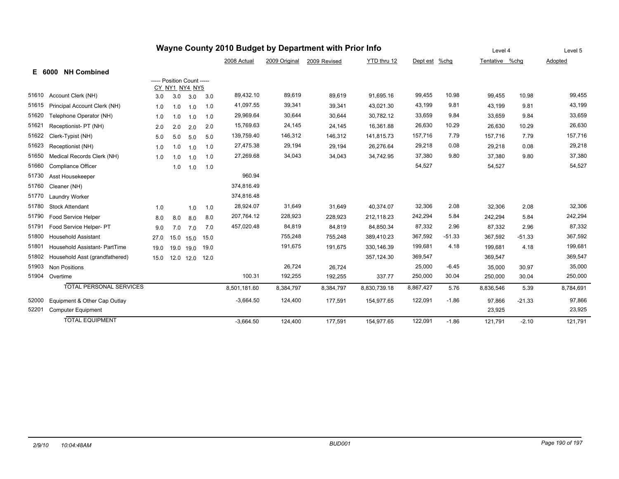| Wayne County 2010 Budget by Department with Prior Info |                                |      |                            |           |      |              |               |              |              |           |          | Level 4        |          | Level 5   |
|--------------------------------------------------------|--------------------------------|------|----------------------------|-----------|------|--------------|---------------|--------------|--------------|-----------|----------|----------------|----------|-----------|
|                                                        |                                |      |                            |           |      | 2008 Actual  | 2009 Original | 2009 Revised | YTD thru 12  | Dept est  | %chg     | Tentative %chg |          | Adopted   |
|                                                        | <b>NH Combined</b><br>E 6000   |      |                            |           |      |              |               |              |              |           |          |                |          |           |
|                                                        |                                |      | ----- Position Count ----- |           |      |              |               |              |              |           |          |                |          |           |
| 51610                                                  | Account Clerk (NH)             |      | CY_NY1_NY4_NY5             |           |      | 89,432.10    | 89,619        | 89,619       | 91,695.16    | 99,455    | 10.98    | 99.455         | 10.98    | 99,455    |
| 51615                                                  |                                | 3.0  | 3.0                        | 3.0       | 3.0  |              |               |              |              |           | 9.81     |                |          |           |
|                                                        | Principal Account Clerk (NH)   | 1.0  | 1.0                        | 1.0       | 1.0  | 41,097.55    | 39,341        | 39,341       | 43.021.30    | 43,199    |          | 43.199         | 9.81     | 43,199    |
| 51620                                                  | Telephone Operator (NH)        | 1.0  | 1.0                        | 1.0       | 1.0  | 29,969.64    | 30,644        | 30,644       | 30,782.12    | 33,659    | 9.84     | 33,659         | 9.84     | 33,659    |
| 51621                                                  | Receptionist- PT (NH)          | 2.0  | 2.0                        | 2.0       | 2.0  | 15,769.63    | 24,145        | 24,145       | 16,361.88    | 26,630    | 10.29    | 26,630         | 10.29    | 26,630    |
| 51622                                                  | Clerk-Typist (NH)              | 5.0  | 5.0                        | 5.0       | 5.0  | 139,759.40   | 146,312       | 146,312      | 141,815.73   | 157,716   | 7.79     | 157,716        | 7.79     | 157,716   |
| 51623                                                  | Receptionist (NH)              | 1.0  | 1.0                        | 1.0       | 1.0  | 27,475.38    | 29,194        | 29,194       | 26,276.64    | 29,218    | 0.08     | 29,218         | 0.08     | 29,218    |
| 51650                                                  | Medical Records Clerk (NH)     | 1.0  | 1.0                        | 1.0       | 1.0  | 27,269.68    | 34,043        | 34,043       | 34,742.95    | 37,380    | 9.80     | 37,380         | 9.80     | 37,380    |
| 51660                                                  | Compliance Officer             |      | 1.0                        | 1.0       | 1.0  |              |               |              |              | 54,527    |          | 54,527         |          | 54,527    |
| 51730                                                  | Asst Housekeeper               |      |                            |           |      | 960.94       |               |              |              |           |          |                |          |           |
| 51760                                                  | Cleaner (NH)                   |      |                            |           |      | 374,816.49   |               |              |              |           |          |                |          |           |
| 51770                                                  | Laundry Worker                 |      |                            |           |      | 374,816.48   |               |              |              |           |          |                |          |           |
| 51780                                                  | <b>Stock Attendant</b>         | 1.0  |                            | 1.0       | 1.0  | 28,924.07    | 31,649        | 31,649       | 40,374.07    | 32,306    | 2.08     | 32,306         | 2.08     | 32,306    |
| 51790                                                  | Food Service Helper            | 8.0  | 8.0                        | 8.0       | 8.0  | 207,764.12   | 228,923       | 228,923      | 212,118.23   | 242,294   | 5.84     | 242,294        | 5.84     | 242,294   |
| 51791                                                  | Food Service Helper- PT        | 9.0  | 7.0                        | 7.0       | 7.0  | 457,020.48   | 84,819        | 84,819       | 84,850.34    | 87,332    | 2.96     | 87.332         | 2.96     | 87,332    |
| 51800                                                  | <b>Household Assistant</b>     | 27.0 | 15.0                       | 15.0      | 15.0 |              | 755,248       | 755,248      | 389,410.23   | 367,592   | $-51.33$ | 367,592        | $-51.33$ | 367,592   |
| 51801                                                  | Household Assistant- PartTime  | 19.0 | 19.0                       | 19.0      | 19.0 |              | 191,675       | 191,675      | 330,146.39   | 199,681   | 4.18     | 199,681        | 4.18     | 199,681   |
| 51802                                                  | Household Asst (grandfathered) | 15.0 |                            | 12.0 12.0 | 12.0 |              |               |              | 357,124.30   | 369,547   |          | 369,547        |          | 369,547   |
| 51903                                                  | <b>Non Positions</b>           |      |                            |           |      |              | 26,724        | 26,724       |              | 25,000    | $-6.45$  | 35,000         | 30.97    | 35,000    |
| 51904                                                  | Overtime                       |      |                            |           |      | 100.31       | 192,255       | 192,255      | 337.77       | 250,000   | 30.04    | 250,000        | 30.04    | 250,000   |
|                                                        | <b>TOTAL PERSONAL SERVICES</b> |      |                            |           |      | 8,501,181.60 | 8,384,797     | 8,384,797    | 8,830,739.18 | 8,867,427 | 5.76     | 8,836,546      | 5.39     | 8,784,691 |
| 52000                                                  | Equipment & Other Cap Outlay   |      |                            |           |      | $-3,664.50$  | 124,400       | 177,591      | 154,977.65   | 122,091   | $-1.86$  | 97,866         | $-21.33$ | 97,866    |
| 52201                                                  | Computer Equipment             |      |                            |           |      |              |               |              |              |           |          | 23,925         |          | 23,925    |
|                                                        | <b>TOTAL EQUIPMENT</b>         |      |                            |           |      | $-3,664.50$  | 124,400       | 177,591      | 154,977.65   | 122,091   | $-1.86$  | 121,791        | $-2.10$  | 121,791   |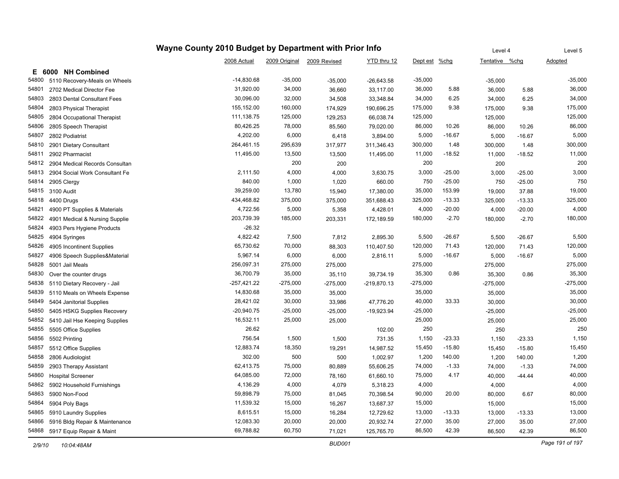|       |                                | Wayne County 2010 Budget by Department with Prior Info |               |              |               |               |          | Level 4        |          | Level 5    |
|-------|--------------------------------|--------------------------------------------------------|---------------|--------------|---------------|---------------|----------|----------------|----------|------------|
|       |                                | 2008 Actual                                            | 2009 Original | 2009 Revised | YTD thru 12   | Dept est %chg |          | Tentative %chg |          | Adopted    |
| Е.    | 6000 NH Combined               |                                                        |               |              |               |               |          |                |          |            |
| 54800 | 5110 Recovery-Meals on Wheels  | $-14,830.68$                                           | $-35,000$     | $-35,000$    | $-26,643.58$  | $-35,000$     |          | $-35,000$      |          | $-35,000$  |
| 54801 | 2702 Medical Director Fee      | 31,920.00                                              | 34,000        | 36,660       | 33,117.00     | 36,000        | 5.88     | 36,000         | 5.88     | 36,000     |
| 54803 | 2803 Dental Consultant Fees    | 30,096.00                                              | 32,000        | 34,508       | 33,348.84     | 34,000        | 6.25     | 34,000         | 6.25     | 34,000     |
| 54804 | 2803 Physical Therapist        | 155,152.00                                             | 160,000       | 174,929      | 190,696.25    | 175,000       | 9.38     | 175,000        | 9.38     | 175,000    |
| 54805 | 2804 Occupational Therapist    | 111,138.75                                             | 125,000       | 129,253      | 66,038.74     | 125,000       |          | 125,000        |          | 125,000    |
| 54806 | 2805 Speech Therapist          | 80,426.25                                              | 78,000        | 85,560       | 79,020.00     | 86,000        | 10.26    | 86,000         | 10.26    | 86,000     |
| 54807 | 2802 Podiatrist                | 4,202.00                                               | 6,000         | 6,418        | 3,894.00      | 5,000         | $-16.67$ | 5,000          | $-16.67$ | 5,000      |
| 54810 | 2901 Dietary Consultant        | 264,461.15                                             | 295,639       | 317,977      | 311,346.43    | 300,000       | 1.48     | 300,000        | 1.48     | 300,000    |
| 54811 | 2902 Pharmacist                | 11,495.00                                              | 13,500        | 13,500       | 11,495.00     | 11,000        | $-18.52$ | 11,000         | $-18.52$ | 11,000     |
| 54812 | 2904 Medical Records Consultan |                                                        | 200           | 200          |               | 200           |          | 200            |          | 200        |
| 54813 | 2904 Social Work Consultant Fe | 2,111.50                                               | 4,000         | 4,000        | 3,630.75      | 3,000         | $-25.00$ | 3,000          | $-25.00$ | 3,000      |
| 54814 | 2905 Clergy                    | 840.00                                                 | 1,000         | 1,020        | 660.00        | 750           | $-25.00$ | 750            | $-25.00$ | 750        |
| 54815 | 3100 Audit                     | 39,259.00                                              | 13,780        | 15,940       | 17,380.00     | 35,000        | 153.99   | 19,000         | 37.88    | 19,000     |
| 54818 | 4400 Drugs                     | 434,468.82                                             | 375,000       | 375,000      | 351,688.43    | 325,000       | $-13.33$ | 325,000        | $-13.33$ | 325,000    |
| 54821 | 4900 PT Supplies & Materials   | 4,722.56                                               | 5,000         | 5,358        | 4,428.01      | 4,000         | $-20.00$ | 4,000          | $-20.00$ | 4,000      |
| 54822 | 4901 Medical & Nursing Supplie | 203,739.39                                             | 185,000       | 203,331      | 172,189.59    | 180,000       | $-2.70$  | 180,000        | $-2.70$  | 180,000    |
| 54824 | 4903 Pers Hygiene Products     | $-26.32$                                               |               |              |               |               |          |                |          |            |
| 54825 | 4904 Syringes                  | 4,822.42                                               | 7,500         | 7,812        | 2,895.30      | 5,500         | $-26.67$ | 5,500          | $-26.67$ | 5,500      |
| 54826 | 4905 Incontinent Supplies      | 65,730.62                                              | 70,000        | 88,303       | 110,407.50    | 120,000       | 71.43    | 120,000        | 71.43    | 120,000    |
| 54827 | 4906 Speech Supplies&Material  | 5,967.14                                               | 6,000         | 6,000        | 2,816.11      | 5,000         | $-16.67$ | 5,000          | $-16.67$ | 5,000      |
| 54828 | 5001 Jail Meals                | 256,097.31                                             | 275,000       | 275,000      |               | 275,000       |          | 275,000        |          | 275,000    |
| 54830 | Over the counter drugs         | 36,700.79                                              | 35,000        | 35,110       | 39,734.19     | 35,300        | 0.86     | 35,300         | 0.86     | 35,300     |
| 54838 | 5110 Dietary Recovery - Jail   | $-257,421.22$                                          | $-275,000$    | $-275,000$   | $-219,870.13$ | $-275,000$    |          | $-275,000$     |          | $-275,000$ |
| 54839 | 5110 Meals on Wheels Expense   | 14,830.68                                              | 35,000        | 35,000       |               | 35,000        |          | 35,000         |          | 35,000     |
| 54849 | 5404 Janitorial Supplies       | 28,421.02                                              | 30,000        | 33,986       | 47,776.20     | 40,000        | 33.33    | 30,000         |          | 30,000     |
| 54850 | 5405 HSKG Supplies Recovery    | $-20,940.75$                                           | $-25,000$     | $-25,000$    | $-19,923.94$  | $-25,000$     |          | $-25,000$      |          | $-25,000$  |
| 54852 | 5410 Jail Hse Keeping Supplies | 16,532.11                                              | 25,000        | 25,000       |               | 25,000        |          | 25,000         |          | 25,000     |
| 54855 | 5505 Office Supplies           | 26.62                                                  |               |              | 102.00        | 250           |          | 250            |          | 250        |
| 54856 | 5502 Printing                  | 756.54                                                 | 1,500         | 1,500        | 731.35        | 1,150         | $-23.33$ | 1,150          | $-23.33$ | 1,150      |
| 54857 | 5512 Office Supplies           | 12,883.74                                              | 18,350        | 19,291       | 14,987.52     | 15,450        | $-15.80$ | 15,450         | $-15.80$ | 15,450     |
| 54858 | 2806 Audiologist               | 302.00                                                 | 500           | 500          | 1,002.97      | 1,200         | 140.00   | 1,200          | 140.00   | 1,200      |
| 54859 | 2903 Therapy Assistant         | 62,413.75                                              | 75,000        | 80,889       | 55,606.25     | 74,000        | $-1.33$  | 74,000         | $-1.33$  | 74,000     |
| 54860 | <b>Hospital Screener</b>       | 64,085.00                                              | 72,000        | 78,160       | 61,660.10     | 75,000        | 4.17     | 40,000         | $-44.44$ | 40,000     |
| 54862 | 5902 Household Furnishings     | 4,136.29                                               | 4,000         | 4,079        | 5,318.23      | 4,000         |          | 4,000          |          | 4,000      |
| 54863 | 5900 Non-Food                  | 59,898.79                                              | 75,000        | 81,045       | 70,398.54     | 90,000        | 20.00    | 80,000         | 6.67     | 80,000     |
| 54864 | 5904 Poly Bags                 | 11,539.32                                              | 15,000        | 16,267       | 13,687.37     | 15,000        |          | 15,000         |          | 15,000     |
| 54865 | 5910 Laundry Supplies          | 8,615.51                                               | 15,000        | 16,284       | 12,729.62     | 13,000        | $-13.33$ | 13,000         | $-13.33$ | 13,000     |
| 54866 | 5916 Bldg Repair & Maintenance | 12,083.30                                              | 20,000        | 20,000       | 20,932.74     | 27,000        | 35.00    | 27,000         | 35.00    | 27,000     |
| 54868 | 5917 Equip Repair & Maint      | 69,788.82                                              | 60,750        | 71,021       | 125,765.70    | 86,500        | 42.39    | 86,500         | 42.39    | 86,500     |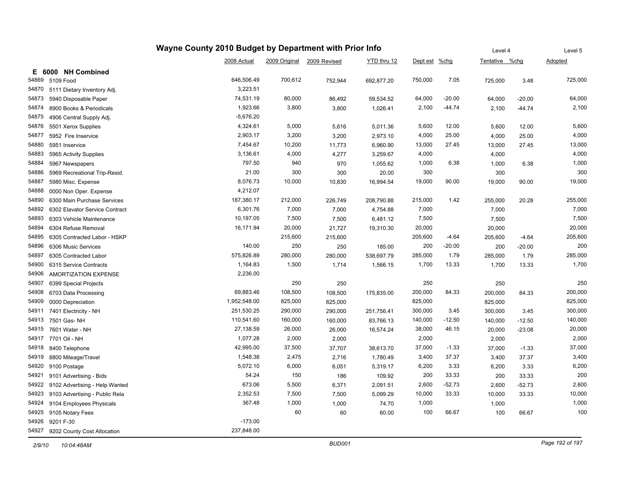|                                      |                                | Level 4      |               | Level 5      |             |               |          |                |          |         |
|--------------------------------------|--------------------------------|--------------|---------------|--------------|-------------|---------------|----------|----------------|----------|---------|
|                                      |                                | 2008 Actual  | 2009 Original | 2009 Revised | YTD thru 12 | Dept est %chg |          | Tentative %chg |          | Adopted |
| E 6000 NH Combined                   |                                |              |               |              |             |               |          |                |          |         |
| 54869<br>5109 Food                   |                                | 646,506.49   | 700,612       | 752,944      | 692,877.20  | 750,000       | 7.05     | 725,000        | 3.48     | 725,000 |
| 54870<br>5111 Dietary Inventory Adj. |                                | 3,223.51     |               |              |             |               |          |                |          |         |
| 54873<br>5940 Disposable Paper       |                                | 74,531.19    | 80,000        | 86,492       | 59,534.52   | 64,000        | $-20.00$ | 64,000         | $-20.00$ | 64,000  |
| 54874<br>8900 Books & Periodicals    |                                | 1,923.66     | 3,800         | 3,800        | 1,026.41    | 2,100         | $-44.74$ | 2,100          | $-44.74$ | 2,100   |
| 54875<br>4906 Central Supply Adj.    |                                | $-5,676.20$  |               |              |             |               |          |                |          |         |
| 54876<br>5501 Xerox Supplies         |                                | 4,324.61     | 5,000         | 5,616        | 5,011.36    | 5,600         | 12.00    | 5,600          | 12.00    | 5,600   |
| 54877<br>5952 Fire Inservice         |                                | 2,903.17     | 3,200         | 3,200        | 2,973.10    | 4,000         | 25.00    | 4,000          | 25.00    | 4,000   |
| 54880<br>5951 Inservice              |                                | 7,454.67     | 10,200        | 11,773       | 6,960.90    | 13,000        | 27.45    | 13,000         | 27.45    | 13,000  |
| 54883<br>5965 Activity Supplies      |                                | 3,136.61     | 4,000         | 4,277        | 3,259.67    | 4,000         |          | 4,000          |          | 4,000   |
| 54884<br>5967 Newspapers             |                                | 797.50       | 940           | 970          | 1,055.62    | 1,000         | 6.38     | 1,000          | 6.38     | 1,000   |
| 54886                                | 5969 Recreational Trip-Resid.  | 21.00        | 300           | 300          | 20.00       | 300           |          | 300            |          | 300     |
| 54887<br>5980 Misc. Expense          |                                | 8,076.73     | 10,000        | 10,830       | 16,994.54   | 19,000        | 90.00    | 19,000         | 90.00    | 19,000  |
| 54888<br>0000 Non Oper. Expense      |                                | 4,212.07     |               |              |             |               |          |                |          |         |
| 54890                                | 6300 Main Purchase Services    | 187,380.17   | 212,000       | 226,749      | 208,790.88  | 215,000       | 1.42     | 255,000        | 20.28    | 255,000 |
| 54892                                | 6302 Elavator Service Contract | 6,301.76     | 7,000         | 7,000        | 4,754.88    | 7,000         |          | 7,000          |          | 7,000   |
| 54893<br>6303 Vehicle Maintenance    |                                | 10,197.05    | 7,500         | 7,500        | 6,481.12    | 7,500         |          | 7,500          |          | 7,500   |
| 54894<br>6304 Refuse Removal         |                                | 16,171.94    | 20,000        | 21,727       | 19,310.30   | 20,000        |          | 20,000         |          | 20,000  |
| 54895                                | 6305 Contracted Labor - HSKP   |              | 215,600       | 215,600      |             | 205,600       | $-4.64$  | 205,600        | $-4.64$  | 205,600 |
| 54896<br>6306 Music Services         |                                | 140.00       | 250           | 250          | 185.00      | 200           | $-20.00$ | 200            | $-20.00$ | 200     |
| 54897<br>6305 Contracted Labor       |                                | 575,826.89   | 280,000       | 280,000      | 538,697.79  | 285,000       | 1.79     | 285,000        | 1.79     | 285,000 |
| 54900<br>6315 Service Contracts      |                                | 1,164.83     | 1,500         | 1,714        | 1,566.15    | 1,700         | 13.33    | 1,700          | 13.33    | 1,700   |
| 54906                                | AMORTIZATION EXPENSE           | 2,236.00     |               |              |             |               |          |                |          |         |
| 54907<br>6399 Special Projects       |                                |              | 250           | 250          |             | 250           |          | 250            |          | 250     |
| 54908<br>6703 Data Processing        |                                | 69,883.46    | 108,500       | 108,500      | 175,835.00  | 200,000       | 84.33    | 200,000        | 84.33    | 200,000 |
| 54909<br>0000 Depreciation           |                                | 1,952,548.00 | 825,000       | 825,000      |             | 825,000       |          | 825,000        |          | 825,000 |
| 54911<br>7401 Electricity - NH       |                                | 251,530.25   | 290,000       | 290,000      | 251,756.41  | 300,000       | 3.45     | 300,000        | 3.45     | 300,000 |
| 54913<br>7501 Gas-NH                 |                                | 110,541.60   | 160,000       | 160,000      | 83,766.13   | 140,000       | $-12.50$ | 140,000        | $-12.50$ | 140,000 |
| 54915<br>7601 Water - NH             |                                | 27,138.59    | 26,000        | 26,000       | 16,574.24   | 38,000        | 46.15    | 20,000         | $-23.08$ | 20,000  |
| 54917<br>7701 Oil - NH               |                                | 1,077.28     | 2,000         | 2,000        |             | 2,000         |          | 2,000          |          | 2,000   |
| 54918<br>8400 Telephone              |                                | 42,995.00    | 37,500        | 37,707       | 38,613.70   | 37,000        | $-1.33$  | 37,000         | $-1.33$  | 37,000  |
| 54919<br>8800 Mileage/Travel         |                                | 1,548.38     | 2,475         | 2,716        | 1,780.49    | 3,400         | 37.37    | 3,400          | 37.37    | 3,400   |
| 54920<br>9100 Postage                |                                | 5,072.10     | 6,000         | 6,051        | 5,319.17    | 6,200         | 3.33     | 6,200          | 3.33     | 6,200   |
| 54921<br>9101 Advertising - Bids     |                                | 54.24        | 150           | 186          | 109.92      | 200           | 33.33    | 200            | 33.33    | 200     |
| 54922                                | 9102 Advertising - Help Wanted | 673.06       | 5,500         | 6,371        | 2,091.51    | 2,600         | $-52.73$ | 2,600          | $-52.73$ | 2,600   |
| 54923                                | 9103 Advertising - Public Rela | 2,352.53     | 7,500         | 7,500        | 5,099.29    | 10,000        | 33.33    | 10,000         | 33.33    | 10,000  |
| 54924<br>9104 Employees Physicals    |                                | 367.48       | 1,000         | 1,000        | 74.70       | 1,000         |          | 1,000          |          | 1,000   |
| 54925<br>9105 Notary Fees            |                                |              | 60            | 60           | 60.00       | 100           | 66.67    | 100            | 66.67    | 100     |
| 54926<br>9201 F-30                   |                                | $-173.00$    |               |              |             |               |          |                |          |         |
| 54927<br>9202 County Cost Allocation |                                | 237,848.00   |               |              |             |               |          |                |          |         |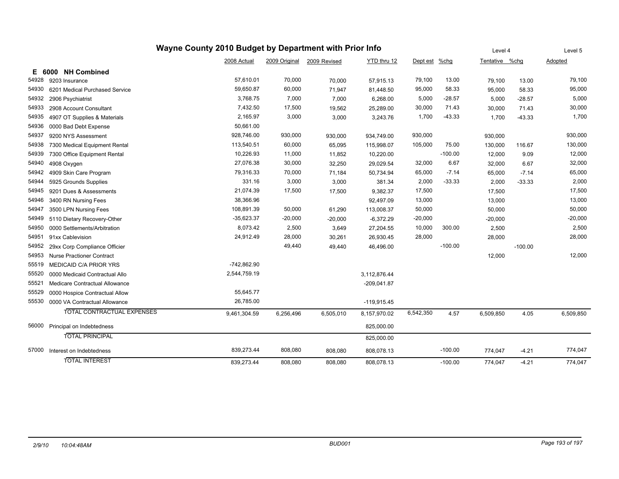| Wayne County 2010 Budget by Department with Prior Info |                                   |               |               |              |               |           | Level 4   |                | Level 5   |           |
|--------------------------------------------------------|-----------------------------------|---------------|---------------|--------------|---------------|-----------|-----------|----------------|-----------|-----------|
|                                                        |                                   | 2008 Actual   | 2009 Original | 2009 Revised | YTD thru 12   | Dept est  | $%$ chg   | Tentative %chg |           | Adopted   |
| <b>NH Combined</b><br>6000<br>Е.                       |                                   |               |               |              |               |           |           |                |           |           |
| 54928<br>9203 Insurance                                |                                   | 57,610.01     | 70,000        | 70,000       | 57,915.13     | 79,100    | 13.00     | 79,100         | 13.00     | 79,100    |
| 54930<br>6201 Medical Purchased Service                |                                   | 59,650.87     | 60,000        | 71,947       | 81,448.50     | 95,000    | 58.33     | 95,000         | 58.33     | 95,000    |
| 54932<br>2906 Psychiatrist                             |                                   | 3,768.75      | 7,000         | 7,000        | 6,268.00      | 5,000     | $-28.57$  | 5,000          | $-28.57$  | 5,000     |
| 54933<br>2908 Account Consultant                       |                                   | 7,432.50      | 17,500        | 19,562       | 25,289.00     | 30,000    | 71.43     | 30,000         | 71.43     | 30,000    |
| 54935<br>4907 OT Supplies & Materials                  |                                   | 2,165.97      | 3,000         | 3,000        | 3,243.76      | 1,700     | $-43.33$  | 1,700          | $-43.33$  | 1,700     |
| 54936<br>0000 Bad Debt Expense                         |                                   | 50,661.00     |               |              |               |           |           |                |           |           |
| 54937<br>9200 NYS Assessment                           |                                   | 928,746.00    | 930,000       | 930,000      | 934,749.00    | 930,000   |           | 930,000        |           | 930,000   |
| 54938<br>7300 Medical Equipment Rental                 |                                   | 113,540.51    | 60,000        | 65,095       | 115,998.07    | 105,000   | 75.00     | 130,000        | 116.67    | 130,000   |
| 54939<br>7300 Office Equipment Rental                  |                                   | 10,226.93     | 11,000        | 11,852       | 10,220.00     |           | $-100.00$ | 12,000         | 9.09      | 12,000    |
| 54940<br>4908 Oxygen                                   |                                   | 27,076.38     | 30,000        | 32,250       | 29,029.54     | 32,000    | 6.67      | 32,000         | 6.67      | 32,000    |
| 54942<br>4909 Skin Care Program                        |                                   | 79,316.33     | 70,000        | 71,184       | 50,734.94     | 65,000    | $-7.14$   | 65,000         | $-7.14$   | 65,000    |
| 54944<br>5925 Grounds Supplies                         |                                   | 331.16        | 3,000         | 3,000        | 381.34        | 2,000     | $-33.33$  | 2,000          | $-33.33$  | 2,000     |
| 54945<br>9201 Dues & Assessments                       |                                   | 21,074.39     | 17,500        | 17,500       | 9,382.37      | 17,500    |           | 17,500         |           | 17,500    |
| 54946<br>3400 RN Nursing Fees                          |                                   | 38,366.96     |               |              | 92,497.09     | 13,000    |           | 13,000         |           | 13,000    |
| 54947<br>3500 LPN Nursing Fees                         |                                   | 108,891.39    | 50,000        | 61,290       | 113,008.37    | 50,000    |           | 50.000         |           | 50,000    |
| 54949<br>5110 Dietary Recovery-Other                   |                                   | $-35,623.37$  | $-20,000$     | $-20,000$    | $-6,372.29$   | $-20,000$ |           | $-20,000$      |           | $-20,000$ |
| 54950<br>0000 Settlements/Arbitration                  |                                   | 8,073.42      | 2,500         | 3,649        | 27,204.55     | 10,000    | 300.00    | 2,500          |           | 2,500     |
| 54951<br>91xx Cablevision                              |                                   | 24,912.49     | 28,000        | 30,261       | 26,930.45     | 28,000    |           | 28,000         |           | 28,000    |
| 54952<br>29xx Corp Compliance Officier                 |                                   |               | 49,440        | 49,440       | 46,496.00     |           | $-100.00$ |                | $-100.00$ |           |
| 54953<br><b>Nurse Practioner Contract</b>              |                                   |               |               |              |               |           |           | 12,000         |           | 12,000    |
| 55519<br><b>MEDICAID C/A PRIOR YRS</b>                 |                                   | $-742,862.90$ |               |              |               |           |           |                |           |           |
| 55520<br>0000 Medicaid Contractual Allo                |                                   | 2,544,759.19  |               |              | 3,112,876.44  |           |           |                |           |           |
| 55521<br><b>Medicare Contractual Allowance</b>         |                                   |               |               |              | $-209,041.87$ |           |           |                |           |           |
| 55529<br>0000 Hospice Contractual Allow                |                                   | 55,645.77     |               |              |               |           |           |                |           |           |
| 55530<br>0000 VA Contractual Allowance                 |                                   | 26,785.00     |               |              | $-119,915.45$ |           |           |                |           |           |
|                                                        | <b>TOTAL CONTRACTUAL EXPENSES</b> | 9,461,304.59  | 6,256,496     | 6,505,010    | 8,157,970.02  | 6,542,350 | 4.57      | 6,509,850      | 4.05      | 6,509,850 |
| 56000 Principal on Indebtedness                        |                                   |               |               |              | 825,000.00    |           |           |                |           |           |
| <b>TOTAL PRINCIPAL</b>                                 |                                   |               |               |              | 825,000.00    |           |           |                |           |           |
| 57000<br>Interest on Indebtedness                      |                                   | 839,273.44    | 808,080       | 808,080      | 808,078.13    |           | $-100.00$ | 774,047        | $-4.21$   | 774,047   |
| <b>TOTAL INTEREST</b>                                  |                                   | 839,273.44    | 808,080       | 808,080      | 808,078.13    |           | $-100.00$ | 774,047        | $-4.21$   | 774,047   |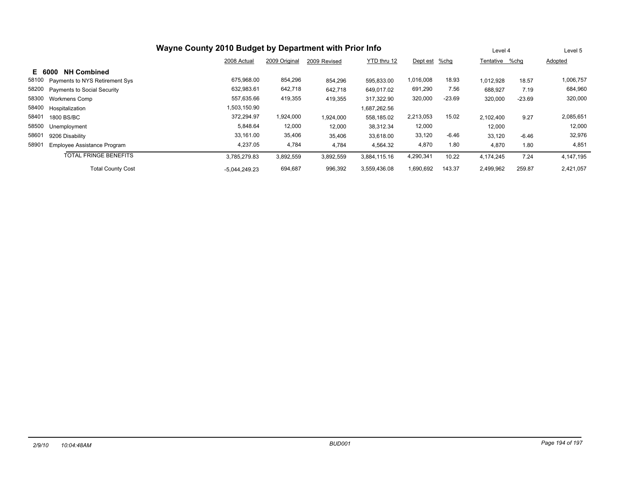| Wayne County 2010 Budget by Department with Prior Info |                 |                                                               |           |              |           |          |           | Level 4        | Level 5   |
|--------------------------------------------------------|-----------------|---------------------------------------------------------------|-----------|--------------|-----------|----------|-----------|----------------|-----------|
|                                                        | 2008 Actual     | 2009 Original<br>YTD thru 12<br>2009 Revised<br>Dept est %chg |           |              |           |          |           | Tentative %chq | Adopted   |
| <b>NH Combined</b><br>E 6000                           |                 |                                                               |           |              |           |          |           |                |           |
| 58100<br>Payments to NYS Retirement Sys                | 675,968.00      | 854,296                                                       | 854.296   | 595.833.00   | 1,016,008 | 18.93    | 1,012,928 | 18.57          | 1,006,757 |
| 58200<br><b>Payments to Social Security</b>            | 632,983.61      | 642,718                                                       | 642,718   | 649,017.02   | 691,290   | 7.56     | 688,927   | 7.19           | 684,960   |
| 58300<br><b>Workmens Comp</b>                          | 557,635.66      | 419,355                                                       | 419,355   | 317.322.90   | 320,000   | $-23.69$ | 320,000   | $-23.69$       | 320,000   |
| 58400<br>Hospitalization                               | 1,503,150.90    |                                                               |           | 1,687,262.56 |           |          |           |                |           |
| 58401<br>1800 BS/BC                                    | 372.294.97      | 1,924,000                                                     | 1,924,000 | 558,185.02   | 2,213,053 | 15.02    | 2.102.400 | 9.27           | 2,085,651 |
| 58500<br>Unemployment                                  | 5,848.64        | 12,000                                                        | 12,000    | 38.312.34    | 12,000    |          | 12,000    |                | 12,000    |
| 58601<br>9206 Disability                               | 33,161.00       | 35,406                                                        | 35,406    | 33,618.00    | 33,120    | $-6.46$  | 33,120    | $-6.46$        | 32,976    |
| 58901<br>Employee Assistance Program                   | 4,237.05        | 4,784                                                         | 4,784     | 4,564.32     | 4,870     | 1.80     | 4,870     | 1.80           | 4,851     |
| <b>TOTAL FRINGE BENEFITS</b>                           | 3,785,279.83    | 3,892,559                                                     | 3,892,559 | 3.884.115.16 | 4,290,341 | 10.22    | 4.174.245 | 7.24           | 4,147,195 |
| <b>Total County Cost</b>                               | $-5,044,249.23$ | 694,687                                                       | 996,392   | 3.559.436.08 | 1,690,692 | 143.37   | 2,499,962 | 259.87         | 2,421,057 |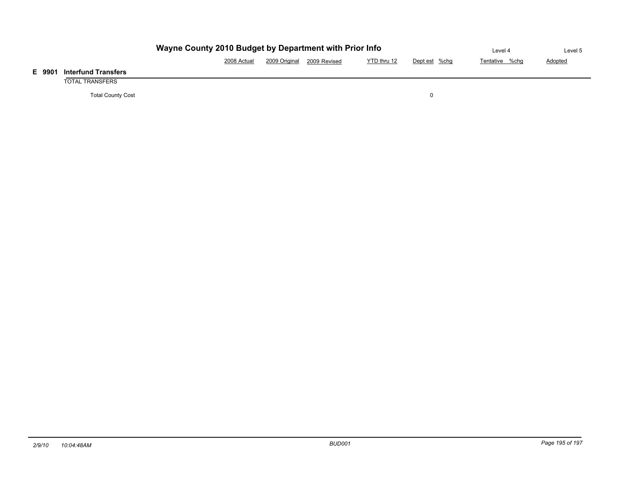|                            | Level 4     | Level 5                    |             |               |                |                |
|----------------------------|-------------|----------------------------|-------------|---------------|----------------|----------------|
|                            | 2008 Actual | 2009 Original 2009 Revised | YTD thru 12 | Dept est %chg | Tentative %chg | <b>Adopted</b> |
| <b>Interfund Transfers</b> |             |                            |             |               |                |                |
| TOTAL TRANSFERS            |             |                            |             |               |                |                |

Total County Cost 0

**E 9901 Interfund Transfers**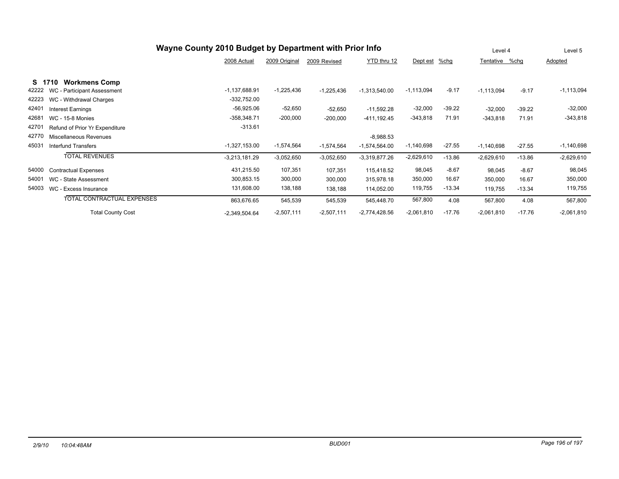| Wayne County 2010 Budget by Department with Prior Info |                                   |                 |               |              |                 |              | Level 4  |                | Level 5  |              |
|--------------------------------------------------------|-----------------------------------|-----------------|---------------|--------------|-----------------|--------------|----------|----------------|----------|--------------|
|                                                        |                                   | 2008 Actual     | 2009 Original | 2009 Revised | YTD thru 12     | Dept est     | $%$ chg  | Tentative %chg |          | Adopted      |
| S 17                                                   | <b>Workmens Comp</b><br>'10       |                 |               |              |                 |              |          |                |          |              |
| 42222                                                  | WC - Participant Assessment       | $-1,137,688.91$ | $-1,225,436$  | $-1,225,436$ | $-1,313,540.00$ | $-1,113,094$ | $-9.17$  | $-1,113,094$   | $-9.17$  | $-1,113,094$ |
| 42223                                                  | WC - Withdrawal Charges           | $-332,752.00$   |               |              |                 |              |          |                |          |              |
| 42401                                                  | Interest Earnings                 | $-56,925.06$    | $-52,650$     | $-52,650$    | $-11,592.28$    | $-32,000$    | $-39.22$ | $-32,000$      | $-39.22$ | $-32,000$    |
| 42681                                                  | <b>WC - 15-8 Monies</b>           | $-358,348.71$   | $-200,000$    | $-200,000$   | $-411, 192.45$  | $-343,818$   | 71.91    | $-343.818$     | 71.91    | $-343,818$   |
| 42701                                                  | Refund of Prior Yr Expenditure    | $-313.61$       |               |              |                 |              |          |                |          |              |
| 42770                                                  | Miscellaneous Revenues            |                 |               |              | $-8,988.53$     |              |          |                |          |              |
| 45031                                                  | <b>Interfund Transfers</b>        | $-1,327,153.00$ | $-1,574,564$  | $-1,574,564$ | $-1,574,564.00$ | $-1,140,698$ | $-27.55$ | $-1,140,698$   | $-27.55$ | $-1,140,698$ |
|                                                        | <b>TOTAL REVENUES</b>             | $-3,213,181.29$ | $-3,052,650$  | $-3,052,650$ | $-3,319,877.26$ | $-2,629,610$ | $-13.86$ | $-2,629,610$   | $-13.86$ | $-2,629,610$ |
| 54000                                                  | <b>Contractual Expenses</b>       | 431,215.50      | 107,351       | 107,351      | 115,418.52      | 98,045       | $-8.67$  | 98,045         | $-8.67$  | 98,045       |
| 54001                                                  | WC - State Assessment             | 300,853.15      | 300,000       | 300,000      | 315,978.18      | 350,000      | 16.67    | 350,000        | 16.67    | 350,000      |
| 54003                                                  | WC - Excess Insurance             | 131,608.00      | 138,188       | 138,188      | 114,052.00      | 119,755      | $-13.34$ | 119,755        | $-13.34$ | 119,755      |
|                                                        | <b>TOTAL CONTRACTUAL EXPENSES</b> | 863,676.65      | 545,539       | 545,539      | 545,448.70      | 567,800      | 4.08     | 567,800        | 4.08     | 567,800      |
|                                                        | <b>Total County Cost</b>          | $-2,349,504.64$ | $-2,507,111$  | $-2,507,111$ | $-2,774,428.56$ | $-2,061,810$ | $-17.76$ | $-2,061,810$   | $-17.76$ | $-2,061,810$ |